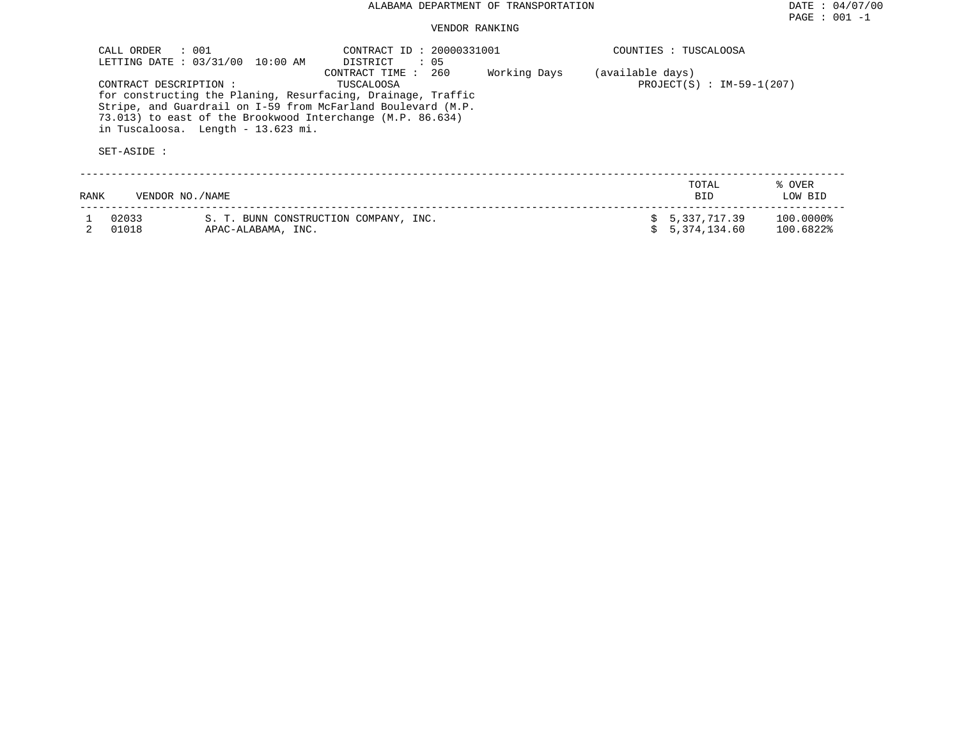| CALL ORDER                            | $\therefore$ 001<br>LETTING DATE: 03/31/00<br>10:00 AM                                           | CONTRACT ID: 20000331001<br>DISTRICT<br>: 05                                                                                                                        |              |                  | COUNTIES : TUSCALOOSA        |                        |
|---------------------------------------|--------------------------------------------------------------------------------------------------|---------------------------------------------------------------------------------------------------------------------------------------------------------------------|--------------|------------------|------------------------------|------------------------|
| CONTRACT DESCRIPTION :<br>SET-ASIDE : | 73.013) to east of the Brookwood Interchange (M.P. 86.634)<br>in Tuscaloosa. Length - 13.623 mi. | 260<br>CONTRACT TIME:<br>TUSCALOOSA<br>for constructing the Planing, Resurfacing, Drainage, Traffic<br>Stripe, and Guardrail on I-59 from McFarland Boulevard (M.P. | Working Days | (available days) | PROJECT(S) : $IM-59-1(207)$  |                        |
| RANK                                  | VENDOR NO./NAME                                                                                  |                                                                                                                                                                     |              |                  | TOTAL<br><b>BID</b>          | % OVER<br>LOW BID      |
| 02033<br>01018                        | APAC-ALABAMA, INC.                                                                               | S. T. BUNN CONSTRUCTION COMPANY, INC.                                                                                                                               |              | S.               | 5,337,717.39<br>5,374,134.60 | 100.0000%<br>100.6822% |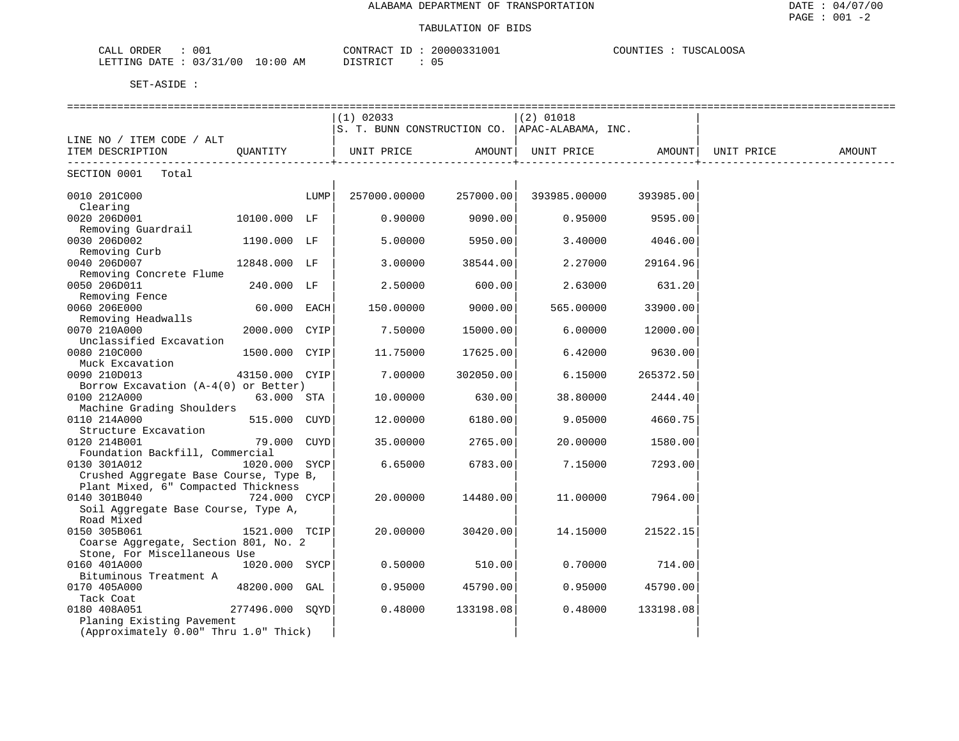| 001<br>ORDER<br>CALL                      | 20000331001<br>CONTRACT ID | TUSCALOOSA<br>COUNTIES<br>┘◡◡◡ |
|-------------------------------------------|----------------------------|--------------------------------|
| 03/31/00<br>$10:00$ AM<br>LETTING<br>DATE | DISTRICT<br>.              |                                |

|                                                                      |                 |      | $(1)$ 02033                                      |           | $(2)$ 01018  |           |            |        |
|----------------------------------------------------------------------|-----------------|------|--------------------------------------------------|-----------|--------------|-----------|------------|--------|
|                                                                      |                 |      | S. T. BUNN CONSTRUCTION CO.   APAC-ALABAMA, INC. |           |              |           |            |        |
| LINE NO / ITEM CODE / ALT                                            |                 |      |                                                  |           |              |           |            |        |
| ITEM DESCRIPTION<br>. _ _ _ _ _ _ _ _ _ _                            | OUANTITY        |      | UNIT PRICE                                       | AMOUNT    | UNIT PRICE   | AMOUNT    | UNIT PRICE | AMOUNT |
| SECTION 0001 Total                                                   |                 |      |                                                  |           |              |           |            |        |
| 0010 201C000                                                         |                 | LUMP | 257000.00000                                     | 257000.00 | 393985.00000 | 393985.00 |            |        |
| Clearing<br>0020 206D001                                             | 10100.000 LF    |      | 0.90000                                          | 9090.00   | 0.95000      | 9595.00   |            |        |
| Removing Guardrail                                                   |                 |      |                                                  |           |              |           |            |        |
| 0030 206D002                                                         | 1190.000 LF     |      | 5.00000                                          | 5950.00   | 3.40000      | 4046.00   |            |        |
| Removing Curb                                                        |                 |      |                                                  |           |              |           |            |        |
| 0040 206D007                                                         | 12848.000 LF    |      | 3.00000                                          | 38544.00  | 2,27000      | 29164.96  |            |        |
| Removing Concrete Flume                                              |                 |      |                                                  |           |              |           |            |        |
| 0050 206D011                                                         | 240.000 LF      |      | 2.50000                                          | 600.00    | 2.63000      | 631.20    |            |        |
| Removing Fence                                                       |                 |      |                                                  |           |              |           |            |        |
| 0060 206E000                                                         | 60.000 EACH     |      | 150.00000                                        | 9000.00   | 565.00000    | 33900.00  |            |        |
| Removing Headwalls                                                   |                 |      |                                                  |           |              |           |            |        |
| 0070 210A000                                                         | 2000.000 CYIP   |      | 7.50000                                          | 15000.00  | 6.00000      | 12000.00  |            |        |
| Unclassified Excavation                                              |                 |      |                                                  |           |              |           |            |        |
| 0080 210C000                                                         | 1500.000 CYIP   |      | 11.75000                                         | 17625.00  | 6.42000      | 9630.00   |            |        |
| Muck Excavation                                                      |                 |      | 7.00000                                          | 302050.00 | 6.15000      | 265372.50 |            |        |
| 0090 210D013<br>Borrow Excavation $(A-4(0))$ or Better)              | 43150.000 CYIP  |      |                                                  |           |              |           |            |        |
| 0100 212A000                                                         | 63.000 STA      |      | 10.00000                                         | 630.00    | 38.80000     | 2444.40   |            |        |
| Machine Grading Shoulders                                            |                 |      |                                                  |           |              |           |            |        |
| 0110 214A000                                                         | 515.000 CUYD    |      | 12.00000                                         | 6180.00   | 9.05000      | 4660.75   |            |        |
| Structure Excavation                                                 |                 |      |                                                  |           |              |           |            |        |
| 0120 214B001                                                         | 79.000 CUYD     |      | 35.00000                                         | 2765.00   | 20,00000     | 1580.00   |            |        |
| Foundation Backfill, Commercial                                      |                 |      |                                                  |           |              |           |            |        |
| 0130 301A012                                                         | 1020.000 SYCP   |      | 6.65000                                          | 6783.00   | 7.15000      | 7293.00   |            |        |
| Crushed Aggregate Base Course, Type B,                               |                 |      |                                                  |           |              |           |            |        |
| Plant Mixed, 6" Compacted Thickness                                  |                 |      |                                                  |           |              |           |            |        |
| 0140 301B040                                                         | 724.000 CYCP    |      | 20,00000                                         | 14480.00  | 11,00000     | 7964.00   |            |        |
| Soil Aggregate Base Course, Type A,                                  |                 |      |                                                  |           |              |           |            |        |
| Road Mixed                                                           |                 |      |                                                  |           |              |           |            |        |
| 0150 305B061                                                         | 1521.000 TCIP   |      | 20.00000                                         | 30420.00  | 14.15000     | 21522.15  |            |        |
| Coarse Aggregate, Section 801, No. 2<br>Stone, For Miscellaneous Use |                 |      |                                                  |           |              |           |            |        |
| 0160 401A000                                                         | 1020.000 SYCP   |      | 0.50000                                          | 510.00    | 0.70000      | 714.00    |            |        |
| Bituminous Treatment A                                               |                 |      |                                                  |           |              |           |            |        |
| 0170 405A000                                                         | 48200.000 GAL   |      | 0.95000                                          | 45790.00  | 0.95000      | 45790.00  |            |        |
| Tack Coat                                                            |                 |      |                                                  |           |              |           |            |        |
| 0180 408A051                                                         | 277496.000 SOYD |      | 0.48000                                          | 133198.08 | 0.48000      | 133198.08 |            |        |
| Planing Existing Pavement                                            |                 |      |                                                  |           |              |           |            |        |
| (Approximately 0.00" Thru 1.0" Thick)                                |                 |      |                                                  |           |              |           |            |        |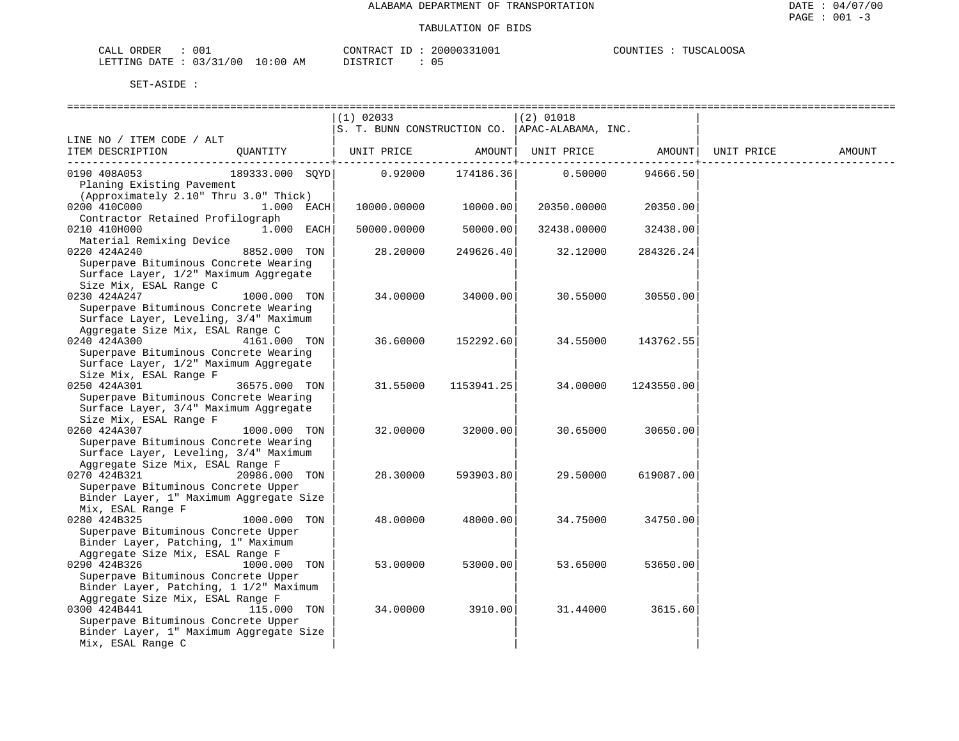| CALL ORDER                      | 001 | CONTRACT ID: 20000331001 |  | COUNTIES : TUSCALOOSA |  |
|---------------------------------|-----|--------------------------|--|-----------------------|--|
| LETTING DATE: 03/31/00 10:00 AM |     | DISTRICT                 |  |                       |  |

|                                                  |                 | $(1)$ 02033 |            | $(2)$ 01018                                     |            |            |        |
|--------------------------------------------------|-----------------|-------------|------------|-------------------------------------------------|------------|------------|--------|
|                                                  |                 |             |            | S. T. BUNN CONSTRUCTION CO.  APAC-ALABAMA, INC. |            |            |        |
| LINE NO / ITEM CODE / ALT                        |                 |             |            |                                                 |            |            |        |
| ITEM DESCRIPTION                                 | QUANTITY        | UNIT PRICE  | AMOUNT     | UNIT PRICE                                      | AMOUNT     | UNIT PRICE | AMOUNT |
| 0190 408A053                                     | 189333.000 SQYD | 0.92000     | 174186.36  | 0.50000                                         | 94666.50   |            |        |
| Planing Existing Pavement                        |                 |             |            |                                                 |            |            |        |
| (Approximately 2.10" Thru 3.0" Thick)            |                 |             |            |                                                 |            |            |        |
| 0200 410C000                                     | 1.000 EACH      | 10000.00000 | 10000.00   | 20350.00000                                     | 20350.00   |            |        |
| Contractor Retained Profilograph                 |                 |             |            |                                                 |            |            |        |
| 0210 410H000                                     | 1.000 EACH      | 50000.00000 | 50000.00   | 32438.00000                                     | 32438.00   |            |        |
| Material Remixing Device                         |                 |             |            |                                                 |            |            |        |
| 0220 424A240                                     | 8852.000 TON    | 28.20000    | 249626.40  | 32.12000                                        | 284326.24  |            |        |
| Superpave Bituminous Concrete Wearing            |                 |             |            |                                                 |            |            |        |
| Surface Layer, 1/2" Maximum Aggregate            |                 |             |            |                                                 |            |            |        |
| Size Mix, ESAL Range C                           |                 |             |            |                                                 |            |            |        |
| 0230 424A247                                     | 1000.000 TON    | 34.00000    | 34000.00   | 30.55000                                        | 30550.00   |            |        |
| Superpave Bituminous Concrete Wearing            |                 |             |            |                                                 |            |            |        |
| Surface Layer, Leveling, 3/4" Maximum            |                 |             |            |                                                 |            |            |        |
| Aggregate Size Mix, ESAL Range C<br>0240 424A300 | 4161.000 TON    | 36.60000    | 152292.60  | 34.55000                                        | 143762.55  |            |        |
| Superpave Bituminous Concrete Wearing            |                 |             |            |                                                 |            |            |        |
| Surface Layer, 1/2" Maximum Aggregate            |                 |             |            |                                                 |            |            |        |
| Size Mix, ESAL Range F                           |                 |             |            |                                                 |            |            |        |
| 0250 424A301                                     | 36575.000 TON   | 31.55000    | 1153941.25 | 34.00000                                        | 1243550.00 |            |        |
| Superpave Bituminous Concrete Wearing            |                 |             |            |                                                 |            |            |        |
| Surface Layer, 3/4" Maximum Aggregate            |                 |             |            |                                                 |            |            |        |
| Size Mix, ESAL Range F                           |                 |             |            |                                                 |            |            |        |
| 0260 424A307                                     | 1000.000 TON    | 32.00000    | 32000.00   | 30.65000                                        | 30650.00   |            |        |
| Superpave Bituminous Concrete Wearing            |                 |             |            |                                                 |            |            |        |
| Surface Layer, Leveling, 3/4" Maximum            |                 |             |            |                                                 |            |            |        |
| Aggregate Size Mix, ESAL Range F                 |                 |             |            |                                                 |            |            |        |
| 0270 424B321                                     | 20986.000 TON   | 28.30000    | 593903.80  | 29.50000                                        | 619087.00  |            |        |
| Superpave Bituminous Concrete Upper              |                 |             |            |                                                 |            |            |        |
| Binder Layer, 1" Maximum Aggregate Size          |                 |             |            |                                                 |            |            |        |
| Mix, ESAL Range F                                |                 |             |            |                                                 |            |            |        |
| 0280 424B325                                     | 1000.000 TON    | 48.00000    | 48000.00   | 34.75000                                        | 34750.00   |            |        |
| Superpave Bituminous Concrete Upper              |                 |             |            |                                                 |            |            |        |
| Binder Layer, Patching, 1" Maximum               |                 |             |            |                                                 |            |            |        |
| Aggregate Size Mix, ESAL Range F                 |                 |             |            |                                                 |            |            |        |
| 0290 424B326                                     | 1000.000 TON    | 53.00000    | 53000.00   | 53.65000                                        | 53650.00   |            |        |
| Superpave Bituminous Concrete Upper              |                 |             |            |                                                 |            |            |        |
| Binder Layer, Patching, 1 1/2" Maximum           |                 |             |            |                                                 |            |            |        |
| Aggregate Size Mix, ESAL Range F<br>0300 424B441 | 115,000 TON     | 34.00000    | 3910.00    | 31.44000                                        | 3615.60    |            |        |
| Superpave Bituminous Concrete Upper              |                 |             |            |                                                 |            |            |        |
| Binder Layer, 1" Maximum Aggregate Size          |                 |             |            |                                                 |            |            |        |
| Mix, ESAL Range C                                |                 |             |            |                                                 |            |            |        |
|                                                  |                 |             |            |                                                 |            |            |        |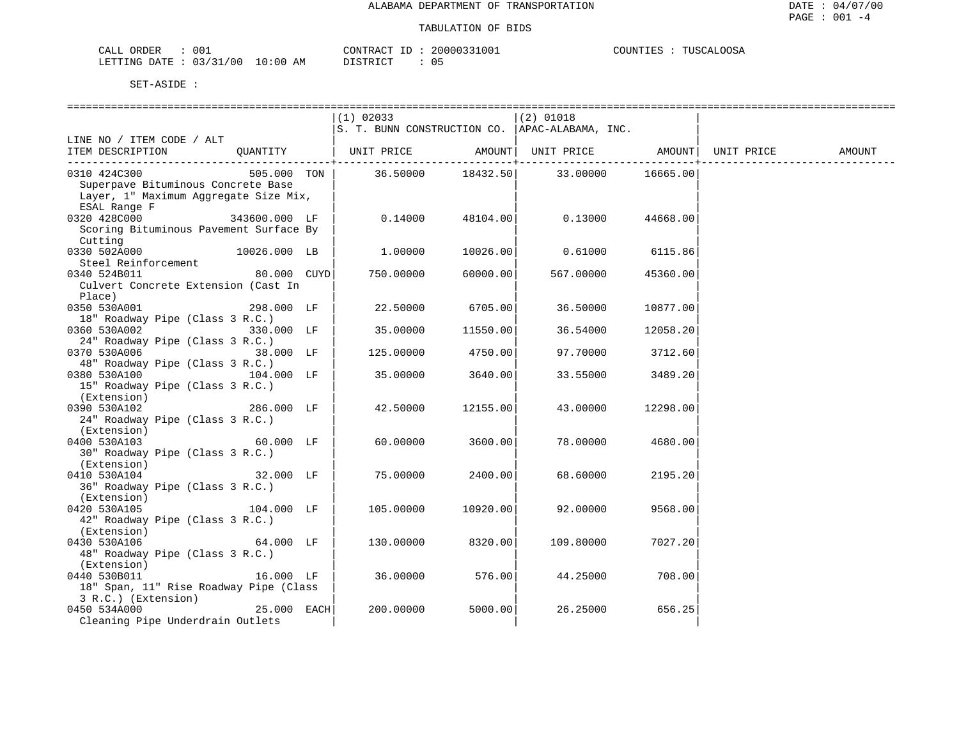| ORDER<br>CALL          | 001 |            | CONTRACT<br>ID        | 20000331001 | COUNTIES | TUSCALOOSA |
|------------------------|-----|------------|-----------------------|-------------|----------|------------|
| LETTING DATE: 03/31/00 |     | $10:00$ AM | DISTRICT<br>--------- |             |          |            |

|                                                                                     |               | $(1)$ 02033 |            | $(2)$ 01018<br>S. T. BUNN CONSTRUCTION CO.   APAC-ALABAMA, INC. |          |  |
|-------------------------------------------------------------------------------------|---------------|-------------|------------|-----------------------------------------------------------------|----------|--|
| LINE NO / ITEM CODE / ALT                                                           |               |             |            |                                                                 |          |  |
| ITEM DESCRIPTION QUANTITY   UNIT PRICE AMOUNT  UNIT PRICE AMOUNT  UNIT PRICE AMOUNT |               |             | ---------+ |                                                                 |          |  |
| 0310 424C300                                                                        | 505.000 TON   |             |            | 36.50000 18432.50 33.00000                                      | 16665.00 |  |
| Superpave Bituminous Concrete Base                                                  |               |             |            |                                                                 |          |  |
| Layer, 1" Maximum Aggregate Size Mix,                                               |               |             |            |                                                                 |          |  |
| ESAL Range F                                                                        |               |             |            |                                                                 |          |  |
| 0320 428C000 343600.000 LF                                                          |               | 0.14000     | 48104.00   | 0.13000                                                         | 44668.00 |  |
| Scoring Bituminous Pavement Surface By                                              |               |             |            |                                                                 |          |  |
| Cutting                                                                             |               |             |            |                                                                 |          |  |
| 0330 502A000<br>10026.000 LB                                                        |               | 1.00000     | 10026.00   | 0.61000 6115.86                                                 |          |  |
| Steel Reinforcement                                                                 |               |             |            |                                                                 |          |  |
| 80.000 CUYD<br>0340 524B011                                                         |               | 750.00000   | 60000.00   | 567.00000                                                       | 45360.00 |  |
| Culvert Concrete Extension (Cast In                                                 |               |             |            |                                                                 |          |  |
| Place)                                                                              |               |             |            |                                                                 |          |  |
| 0350 530A001                                                                        | 298.000 LF    | 22.50000    | 6705.00    | 36.50000                                                        | 10877.00 |  |
|                                                                                     |               |             |            |                                                                 |          |  |
| 18" Roadway Pipe (Class 3 R.C.)                                                     |               |             |            |                                                                 |          |  |
| 0360 530A002                                                                        | 330.000 LF    | 35.00000    | 11550.00   | 36.54000                                                        | 12058.20 |  |
| 24" Roadway Pipe (Class 3 R.C.)                                                     |               |             |            |                                                                 |          |  |
| 0370 530A006                                                                        | 38.000 LF     | 125.00000   | 4750.00    | 97.70000                                                        | 3712.60  |  |
| 48" Roadway Pipe (Class 3 R.C.)                                                     |               |             |            |                                                                 |          |  |
| 104.000 LF<br>0380 530A100                                                          |               | 35.00000    | 3640.00    | 33.55000                                                        | 3489.20  |  |
| 15" Roadway Pipe (Class 3 R.C.)                                                     |               |             |            |                                                                 |          |  |
| (Extension)                                                                         |               |             |            |                                                                 |          |  |
| 0390 530A102                                                                        | 286.000 LF    | 42.50000    | 12155.00   | 43.00000                                                        | 12298.00 |  |
| 24" Roadway Pipe (Class 3 R.C.)                                                     |               |             |            |                                                                 |          |  |
| (Extension)                                                                         |               |             |            |                                                                 |          |  |
| $60.000$ LF<br>0400 530A103                                                         |               | 60.00000    | 3600.00    | 78.00000                                                        | 4680.00  |  |
| 30" Roadway Pipe (Class 3 R.C.)                                                     |               |             |            |                                                                 |          |  |
| (Extension)                                                                         |               |             |            |                                                                 |          |  |
|                                                                                     | 32.000 LF     | 75.00000    |            | 68.60000                                                        | 2195.20  |  |
| 0410 530A104                                                                        |               |             | 2400.00    |                                                                 |          |  |
| 36" Roadway Pipe (Class 3 R.C.)                                                     |               |             |            |                                                                 |          |  |
| (Extension)                                                                         |               |             |            |                                                                 |          |  |
| 0420 530A105                                                                        | 104.000 LF    | 105.00000   | 10920.00   | 92.00000                                                        | 9568.00  |  |
| 42" Roadway Pipe (Class 3 R.C.)                                                     |               |             |            |                                                                 |          |  |
| (Extension)                                                                         |               |             |            |                                                                 |          |  |
| $64.000$ LF<br>0430 530A106                                                         |               | 130.00000   | 8320.00    | 109.80000                                                       | 7027.20  |  |
| 48" Roadway Pipe (Class 3 R.C.)                                                     |               |             |            |                                                                 |          |  |
| (Extension)                                                                         |               |             |            |                                                                 |          |  |
| 0440 530B011                                                                        | 16.000 LF     | 36.00000    | 576.00     | 44.25000                                                        | 708.00   |  |
| 18" Span, 11" Rise Roadway Pipe (Class                                              |               |             |            |                                                                 |          |  |
| 3 R.C.) (Extension)                                                                 |               |             |            |                                                                 |          |  |
| 0450 534A000                                                                        | $25.000$ EACH | 200.00000   | 5000.00    | 26.25000                                                        | 656.25   |  |
| Cleaning Pipe Underdrain Outlets                                                    |               |             |            |                                                                 |          |  |
|                                                                                     |               |             |            |                                                                 |          |  |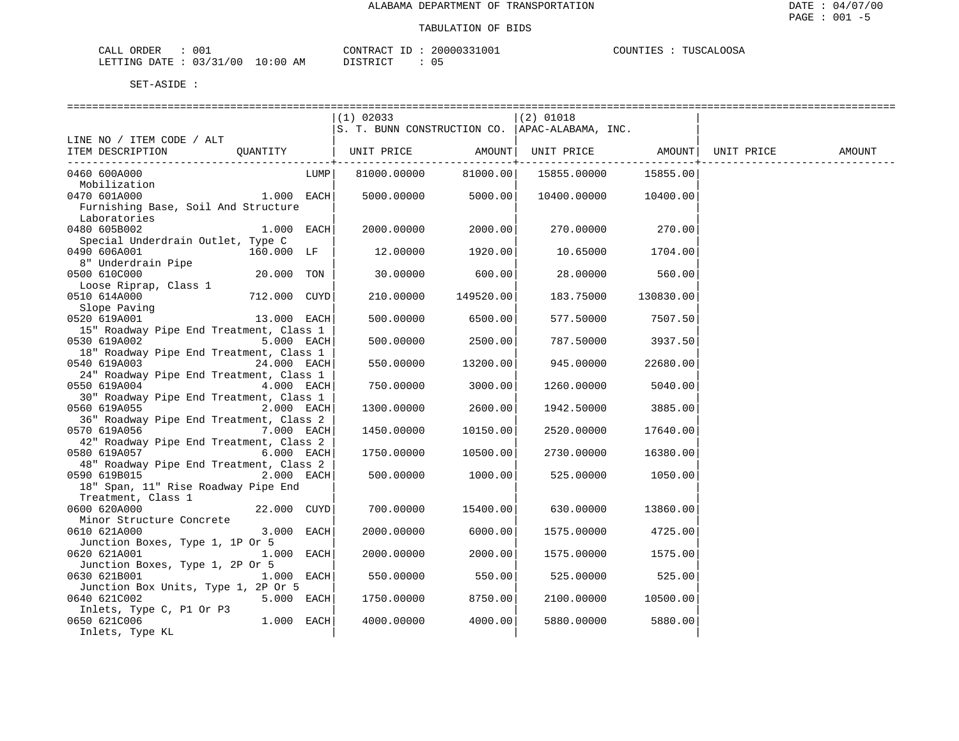| CALL ORDER                       | 001 |                  | CONTRACT ID: 20000331001 | COUNTIES<br>TUSCALOOSA |
|----------------------------------|-----|------------------|--------------------------|------------------------|
| LETTING DATE : 03/31/00 10:00 AM |     | יחי היה דרי<br>. |                          |                        |

|                                         |              |            | (1) 02033            |                | (2) 01018                                        |                  |            |        |
|-----------------------------------------|--------------|------------|----------------------|----------------|--------------------------------------------------|------------------|------------|--------|
|                                         |              |            |                      |                | S. T. BUNN CONSTRUCTION CO.   APAC-ALABAMA, INC. |                  |            |        |
| LINE NO / ITEM CODE / ALT               |              |            |                      |                |                                                  |                  |            |        |
| ITEM DESCRIPTION                        | QUANTITY     |            | UNIT PRICE AMOUNT    |                | UNIT PRICE AMOUNT                                |                  | UNIT PRICE | AMOUNT |
|                                         |              |            |                      | ------------+- |                                                  |                  |            |        |
| 0460 600A000                            |              | LUMP       | 81000.00000          | 81000.00       | 15855.00000                                      | 15855.00         |            |        |
| Mobilization                            |              |            |                      |                |                                                  |                  |            |        |
| 0470 601A000                            | $1.000$ EACH |            | $5000.00000$ 5000.00 |                | 10400.00000 10400.00                             |                  |            |        |
| Furnishing Base, Soil And Structure     |              |            |                      |                |                                                  |                  |            |        |
| Laboratories                            |              |            |                      |                |                                                  |                  |            |        |
| 0480 605B002                            | $1.000$ EACH |            | 2000.00000           | 2000.00        | 270.00000                                        | 270.00           |            |        |
| Special Underdrain Outlet, Type C       |              |            |                      |                |                                                  |                  |            |        |
| 0490 606A001                            | 160.000 LF   |            | 12.00000             | 1920.00        |                                                  | 10.65000 1704.00 |            |        |
| 8" Underdrain Pipe                      |              |            |                      |                |                                                  |                  |            |        |
| 0500 610C000                            | 20.000 TON   |            | 30.00000             | 600.00         | 28.00000                                         | 560.00           |            |        |
| Loose Riprap, Class 1                   |              |            |                      |                |                                                  |                  |            |        |
| 0510 614A000                            | 712.000 CUYD |            | 210.00000            | 149520.00      | 183.75000                                        | 130830.00        |            |        |
| Slope Paving                            |              |            |                      |                |                                                  |                  |            |        |
| 0520 619A001                            | 13.000 EACH  |            | 500.00000            | 6500.00        | 577.50000                                        | 7507.50          |            |        |
| 15" Roadway Pipe End Treatment, Class 1 |              |            |                      |                |                                                  |                  |            |        |
| 0530 619A002                            |              | 5.000 EACH | 500.00000            | 2500.00        | 787.50000                                        | 3937.50          |            |        |
| 18" Roadway Pipe End Treatment, Class 1 |              |            |                      |                |                                                  |                  |            |        |
| 0540 619A003                            | 24.000 EACH  |            |                      |                |                                                  | 22680.00         |            |        |
| 24" Roadway Pipe End Treatment, Class 1 |              |            | 550.00000            | 13200.00       | 945.00000                                        |                  |            |        |
|                                         | 4.000 EACH   |            |                      |                |                                                  |                  |            |        |
| 0550 619A004                            |              |            | 750.00000            | 3000.00        | 1260.00000                                       | 5040.00          |            |        |
| 30" Roadway Pipe End Treatment, Class 1 |              |            |                      |                |                                                  |                  |            |        |
| 0560 619A055                            | 2.000 EACH   |            | 1300.00000           | 2600.00        | 1942.50000                                       | 3885.00          |            |        |
| 36" Roadway Pipe End Treatment, Class 2 |              |            |                      |                |                                                  |                  |            |        |
| 0570 619A056 7.000 EACH                 |              |            | 1450.00000           | 10150.00       | 2520.00000                                       | 17640.00         |            |        |
| 42" Roadway Pipe End Treatment, Class 2 |              |            |                      |                |                                                  |                  |            |        |
| 0580 619A057                            | 6.000 EACH   |            | 1750.00000           | 10500.00       | 2730.00000                                       | 16380.00         |            |        |
| 48" Roadway Pipe End Treatment, Class 2 |              |            |                      |                |                                                  |                  |            |        |
| 0590 619B015                            | $2.000$ EACH |            | 500.00000            | 1000.00        | 525.00000                                        | 1050.00          |            |        |
| 18" Span, 11" Rise Roadway Pipe End     |              |            |                      |                |                                                  |                  |            |        |
| Treatment, Class 1                      |              |            |                      |                |                                                  |                  |            |        |
| 22.000 CUYD<br>0600 620A000             |              |            | 700.00000            | 15400.00       | 630.00000                                        | 13860.00         |            |        |
| Minor Structure Concrete                |              |            |                      |                |                                                  |                  |            |        |
| 0610 621A000                            | 3.000 EACH   |            | 2000.00000           | 6000.00        | 1575.00000                                       | 4725.00          |            |        |
| Junction Boxes, Type 1, 1P Or 5         |              |            |                      |                |                                                  |                  |            |        |
| 0620 621A001                            | 1.000 EACH   |            | 2000.00000           | 2000.00        | 1575.00000                                       | 1575.00          |            |        |
| Junction Boxes, Type 1, 2P Or 5         |              |            |                      |                |                                                  |                  |            |        |
| 0630 621B001                            | $1.000$ EACH |            | 550.00000            | 550.00         | 525.00000                                        | 525.00           |            |        |
| Junction Box Units, Type 1, 2P Or 5     |              |            |                      |                |                                                  |                  |            |        |
| 0640 621C002                            | $5.000$ EACH |            | 1750.00000           | 8750.00        | 2100.00000                                       | 10500.00         |            |        |
| Inlets, Type C, P1 Or P3                |              |            |                      |                |                                                  |                  |            |        |
| 0650 621C006                            | $1.000$ EACH |            | 4000.00000           | 4000.00        | 5880.00000                                       | 5880.00          |            |        |
| Inlets, Type KL                         |              |            |                      |                |                                                  |                  |            |        |
|                                         |              |            |                      |                |                                                  |                  |            |        |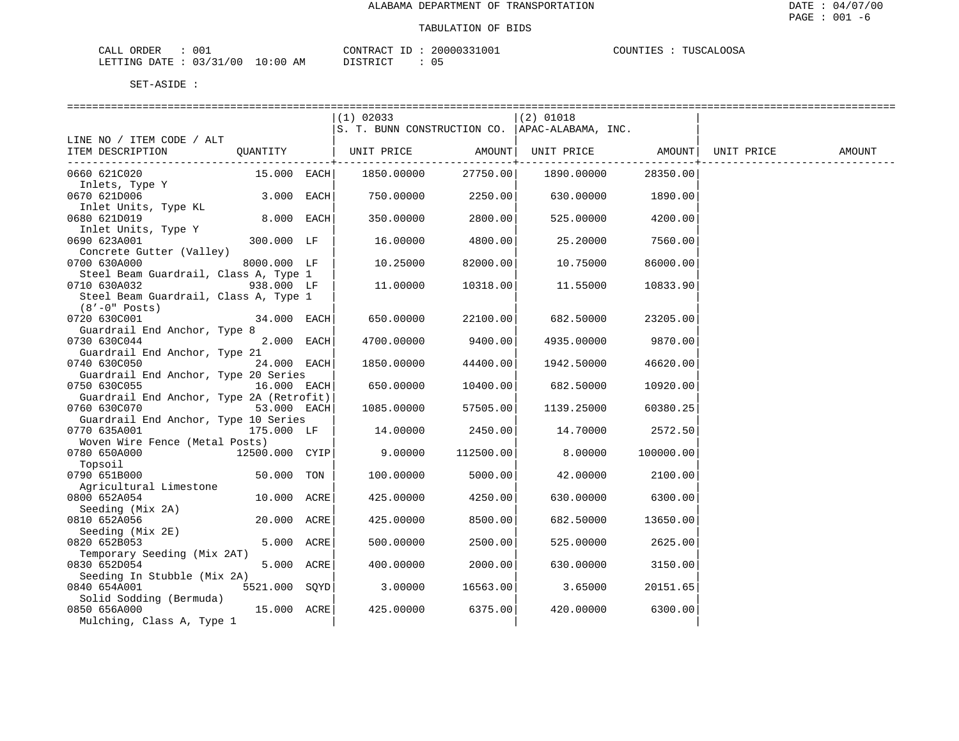| ORDER<br>CALL   | 001            |                   | <b>CONTRAL</b> | <sup>7</sup> 00. | .ററ.ട<br>COUNT I<br>TIISCAL.<br>- 그 모습<br>ாரர்கள |
|-----------------|----------------|-------------------|----------------|------------------|--------------------------------------------------|
| DATE<br>LETTING | 03/31/00<br>ັບ | 10:00<br>AM<br>__ | יחי הדסידת     | ັັ               |                                                  |

|                                                       |                | $(1)$ 02033                                      |           | $(2)$ 01018                  |           |        |
|-------------------------------------------------------|----------------|--------------------------------------------------|-----------|------------------------------|-----------|--------|
|                                                       |                | S. T. BUNN CONSTRUCTION CO.   APAC-ALABAMA, INC. |           |                              |           |        |
| LINE NO / ITEM CODE / ALT                             |                |                                                  |           |                              |           |        |
| ITEM DESCRIPTION                                      |                | QUANTITY   UNIT PRICE AMOUNT                     |           | UNIT PRICE AMOUNT UNIT PRICE |           | AMOUNT |
|                                                       |                |                                                  |           |                              |           |        |
| 0660 621C020                                          | 15.000 EACH    | 1850.00000                                       | 27750.00  | 1890.00000                   | 28350.00  |        |
| Inlets, Type Y                                        |                |                                                  |           |                              |           |        |
| 0670 621D006                                          | 3.000 EACH     | 750.00000                                        | 2250.00   | 630.00000                    | 1890.00   |        |
| Inlet Units, Type KL                                  |                |                                                  |           |                              |           |        |
| 0680 621D019                                          | 8.000 EACH     | 350.00000                                        | 2800.00   | 525.00000                    | 4200.00   |        |
| Inlet Units, Type Y                                   |                |                                                  |           |                              |           |        |
| 0690 623A001                                          | 300.000 LF     | 16.00000                                         | 4800.00   | 25.20000                     | 7560.00   |        |
| Concrete Gutter (Valley)                              |                |                                                  |           |                              |           |        |
| 0700 630A000<br>Steel Beam Guardrail, Class A, Type 1 | 8000.000 LF    | 10.25000                                         | 82000.00  | 10.75000                     | 86000.00  |        |
| 0710 630A032                                          | 938.000 LF     | 11,00000                                         | 10318.00  | 11.55000                     | 10833.90  |        |
| Steel Beam Guardrail, Class A, Type 1                 |                |                                                  |           |                              |           |        |
| $(8'-0"$ Posts)                                       |                |                                                  |           |                              |           |        |
| 0720 630C001                                          | 34.000 EACH    | 650.00000                                        | 22100.00  | 682.50000                    | 23205.00  |        |
| Guardrail End Anchor, Type 8                          |                |                                                  |           |                              |           |        |
| 0730 630C044                                          | 2.000 EACH     | 4700.00000                                       | 9400.00   | 4935.00000                   | 9870.00   |        |
| Guardrail End Anchor, Type 21                         |                |                                                  |           |                              |           |        |
| 0740 630C050                                          | 24.000 EACH    | 1850.00000                                       | 44400.00  | 1942.50000                   | 46620.00  |        |
| Guardrail End Anchor, Type 20 Series                  |                |                                                  |           |                              |           |        |
| 0750 630C055                                          | 16.000 EACH    | 650.00000                                        | 10400.00  | 682.50000                    | 10920.00  |        |
| Guardrail End Anchor, Type 2A (Retrofit)              |                |                                                  |           |                              |           |        |
| 0760 630C070                                          | 53.000 EACH    | 1085.00000                                       | 57505.00  | 1139.25000                   | 60380.25  |        |
| Guardrail End Anchor, Type 10 Series                  |                |                                                  |           |                              |           |        |
| 0770 635A001                                          | 175.000 LF     | 14.00000                                         | 2450.00   | 14.70000                     | 2572.50   |        |
| Woven Wire Fence (Metal Posts)                        |                |                                                  |           |                              |           |        |
| 0780 650A000                                          | 12500.000 CYIP | 9.00000                                          | 112500.00 | 8.00000                      | 100000.00 |        |
| Topsoil                                               |                |                                                  |           |                              |           |        |
| 0790 651B000                                          | 50.000 TON     | 100.00000                                        | 5000.00   | 42.00000                     | 2100.00   |        |
| Agricultural Limestone<br>0800 652A054                | 10.000 ACRE    | 425.00000                                        | 4250.00   | 630.00000                    | 6300.00   |        |
| Seeding (Mix 2A)                                      |                |                                                  |           |                              |           |        |
| 0810 652A056                                          | 20.000 ACRE    | 425.00000                                        | 8500.00   | 682.50000                    | 13650.00  |        |
| Seeding (Mix 2E)                                      |                |                                                  |           |                              |           |        |
| 0820 652B053                                          | 5.000 ACRE     | 500.00000                                        | 2500.00   | 525.00000                    | 2625.00   |        |
| Temporary Seeding (Mix 2AT)                           |                |                                                  |           |                              |           |        |
| 0830 652D054                                          | 5.000 ACRE     | 400.00000                                        | 2000.00   | 630.00000                    | 3150.00   |        |
| Seeding In Stubble (Mix 2A)                           |                |                                                  |           |                              |           |        |
| 0840 654A001                                          | 5521.000 SQYD  | 3.00000                                          | 16563.00  | 3.65000                      | 20151.65  |        |
| Solid Sodding (Bermuda)                               |                |                                                  |           |                              |           |        |
| 0850 656A000                                          | 15.000 ACRE    | 425.00000                                        | 6375.00   | 420.00000                    | 6300.00   |        |
| Mulching, Class A, Type 1                             |                |                                                  |           |                              |           |        |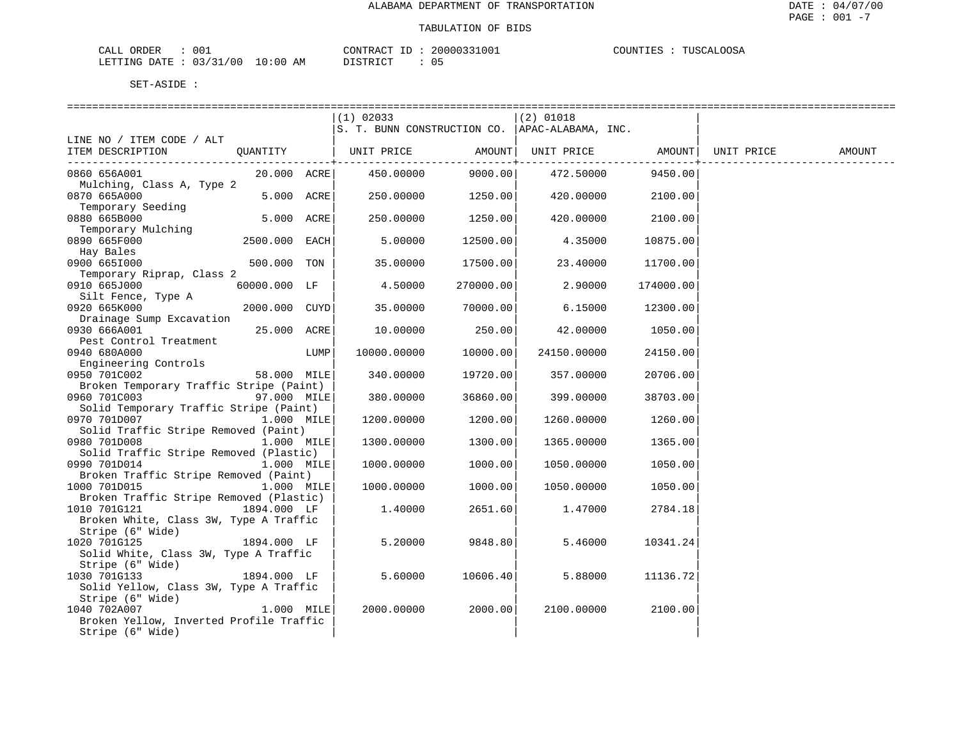| CALL<br>ORDER | 001      |             | CONTRACT                  | 20000331001 | COUNTIES<br>TIISCAL<br>.00SA |
|---------------|----------|-------------|---------------------------|-------------|------------------------------|
| LETTING DATE  | 03/31/00 | 10:00<br>AM | ידת דפידים דרי<br>1 J J J | 05          |                              |

|                                                         |                   |      | $(1)$ 02033                                    |                | $(2)$ 01018       |                 |            |        |
|---------------------------------------------------------|-------------------|------|------------------------------------------------|----------------|-------------------|-----------------|------------|--------|
|                                                         |                   |      | S. T. BUNN CONSTRUCTION CO. APAC-ALABAMA, INC. |                |                   |                 |            |        |
| LINE NO / ITEM CODE / ALT                               |                   |      |                                                |                |                   |                 |            |        |
| ITEM DESCRIPTION                                        | OUANTITY          |      | UNIT PRICE AMOUNT                              | -------------+ | UNIT PRICE AMOUNT | --------------+ | UNIT PRICE | AMOUNT |
| 0860 656A001                                            | $20.000$ ACRE     |      | 450.00000                                      | 9000.00        | 472.50000         | 9450.00         |            |        |
| Mulching, Class A, Type 2                               |                   |      |                                                |                |                   |                 |            |        |
| 0870 665A000                                            | 5.000 ACRE        |      | 250.00000                                      | 1250.00        | 420.00000         | 2100.00         |            |        |
| Temporary Seeding                                       |                   |      |                                                |                |                   |                 |            |        |
| 0880 665B000                                            | 5.000 ACRE        |      | 250.00000                                      | 1250.00        | 420.00000         | 2100.00         |            |        |
| Temporary Mulching<br>0890 665F000                      | 2500.000 EACH     |      | 5.00000                                        | 12500.00       | 4.35000           | 10875.00        |            |        |
| Hay Bales                                               |                   |      |                                                |                |                   |                 |            |        |
| 0900 6651000                                            | 500.000 TON       |      | 35.00000                                       | 17500.00       | 23.40000          | 11700.00        |            |        |
| Temporary Riprap, Class 2                               |                   |      |                                                |                |                   |                 |            |        |
| 0910 665J000                                            | 60000.000 LF      |      | 4.50000                                        | 270000.00      | 2.90000           | 174000.00       |            |        |
| Silt Fence, Type A                                      |                   |      |                                                |                |                   |                 |            |        |
| 0920 665K000                                            | $2000.000$ $CUYD$ |      | 35.00000                                       | 70000.00       | 6.15000           | 12300.00        |            |        |
| Drainage Sump Excavation                                |                   |      |                                                |                |                   |                 |            |        |
| 0930 666A001                                            | 25.000 ACRE       |      | 10.00000                                       | 250.00         | 42.00000          | 1050.00         |            |        |
| Pest Control Treatment                                  |                   |      |                                                |                |                   |                 |            |        |
| 0940 680A000                                            |                   | LUMP | 10000.00000                                    | 10000.00       | 24150.00000       | 24150.00        |            |        |
| Engineering Controls<br>0950 701C002                    | 58.000 MILE       |      | 340.00000                                      | 19720.00       | 357.00000         | 20706.00        |            |        |
| Broken Temporary Traffic Stripe (Paint)                 |                   |      |                                                |                |                   |                 |            |        |
| 0960 701C003                                            | 97.000 MILE       |      | 380.00000                                      | 36860.00       | 399.00000         | 38703.00        |            |        |
| Solid Temporary Traffic Stripe (Paint)                  |                   |      |                                                |                |                   |                 |            |        |
| 0970 701D007                                            | 1.000 MILE        |      | 1200.00000                                     | 1200.00        | 1260.00000        | 1260.00         |            |        |
| Solid Traffic Stripe Removed (Paint)                    |                   |      |                                                |                |                   |                 |            |        |
| 0980 701D008                                            | 1.000 MILE        |      | 1300.00000                                     | 1300.00        | 1365.00000        | 1365.00         |            |        |
| Solid Traffic Stripe Removed (Plastic)                  |                   |      |                                                |                |                   |                 |            |        |
| 0990 701D014                                            | 1.000 MILE        |      | 1000.00000                                     | 1000.00        | 1050.00000        | 1050.00         |            |        |
| Broken Traffic Stripe Removed (Paint)                   |                   |      |                                                |                |                   |                 |            |        |
| 1000 701D015<br>Broken Traffic Stripe Removed (Plastic) | 1.000 MILE        |      | 1000.00000                                     | 1000.00        | 1050.00000        | 1050.00         |            |        |
| 1010 701G121                                            | 1894.000 LF       |      | 1,40000                                        | 2651.60        | 1.47000           | 2784.18         |            |        |
| Broken White, Class 3W, Type A Traffic                  |                   |      |                                                |                |                   |                 |            |        |
| Stripe (6" Wide)                                        |                   |      |                                                |                |                   |                 |            |        |
| 1020 701G125                                            | 1894.000 LF       |      | 5.20000                                        | 9848.80        | 5.46000           | 10341.24        |            |        |
| Solid White, Class 3W, Type A Traffic                   |                   |      |                                                |                |                   |                 |            |        |
| Stripe (6" Wide)                                        |                   |      |                                                |                |                   |                 |            |        |
| 1030 701G133                                            | 1894.000 LF       |      | 5.60000                                        | 10606.40       | 5.88000           | 11136.72        |            |        |
| Solid Yellow, Class 3W, Type A Traffic                  |                   |      |                                                |                |                   |                 |            |        |
| Stripe (6" Wide)                                        |                   |      |                                                |                |                   |                 |            |        |
| 1040 702A007                                            | 1.000 MILE        |      | 2000.00000                                     | 2000.00        | 2100.00000        | 2100.00         |            |        |
| Broken Yellow, Inverted Profile Traffic                 |                   |      |                                                |                |                   |                 |            |        |
| Stripe (6" Wide)                                        |                   |      |                                                |                |                   |                 |            |        |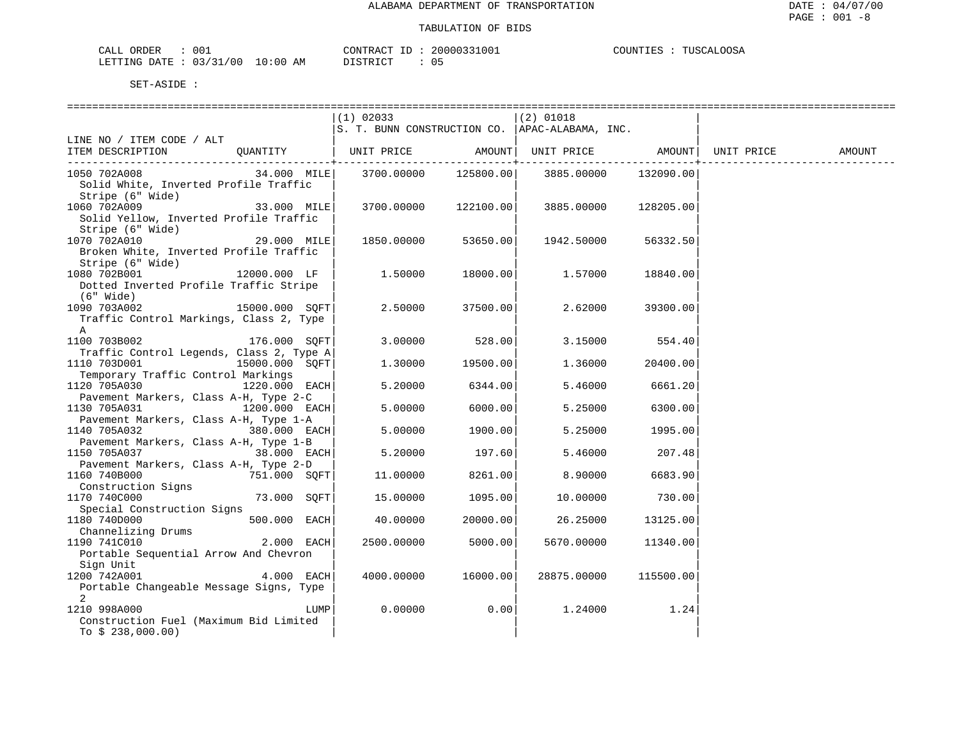| CALL ORDER                       | 001 |                  | CONTRACT ID: 20000331001 | COUNTIES<br>TUSCALOOSA |
|----------------------------------|-----|------------------|--------------------------|------------------------|
| LETTING DATE : 03/31/00 10:00 AM |     | יחי היה דרי<br>. |                          |                        |

|                                                    |                 |      | $(1)$ 02033                                           |                             | $(2)$ 01018 |                |            |        |
|----------------------------------------------------|-----------------|------|-------------------------------------------------------|-----------------------------|-------------|----------------|------------|--------|
|                                                    |                 |      | $ S.$ T. BUNN CONSTRUCTION CO. $ $ APAC-ALABAMA, INC. |                             |             |                |            |        |
| LINE NO / ITEM CODE / ALT                          |                 |      |                                                       |                             |             |                |            |        |
| ITEM DESCRIPTION                                   |                 |      |                                                       |                             |             |                | UNIT PRICE | AMOUNT |
|                                                    |                 |      |                                                       | . _ _ _ _ _ _ _ _ _ _ _ _ + |             |                |            |        |
| 1050 702A008                                       | 34.000 MILE     |      | 3700.00000 125800.00                                  |                             | 3885.00000  | 132090.00      |            |        |
| Solid White, Inverted Profile Traffic              |                 |      |                                                       |                             |             |                |            |        |
| Stripe (6" Wide)                                   |                 |      |                                                       |                             |             |                |            |        |
| 1060 702A009 33.000 MILE                           |                 |      | 3700.00000 122100.00                                  |                             | 3885.00000  | 128205.00      |            |        |
| Solid Yellow, Inverted Profile Traffic             |                 |      |                                                       |                             |             |                |            |        |
| Stripe (6" Wide)                                   |                 |      |                                                       |                             |             |                |            |        |
| 1070 702A010                                       | 29.000 MILE     |      | 1850.00000                                            | 53650.00                    | 1942.50000  | 56332.50       |            |        |
| Broken White, Inverted Profile Traffic             |                 |      |                                                       |                             |             |                |            |        |
| Stripe (6" Wide)                                   |                 |      |                                                       |                             |             |                |            |        |
| 1080 702B001 12000.000 LF                          |                 |      | 1.50000                                               | 18000.00                    | 1.57000     | 18840.00       |            |        |
| Dotted Inverted Profile Traffic Stripe             |                 |      |                                                       |                             |             |                |            |        |
| (6" Wide)                                          |                 |      |                                                       |                             |             |                |            |        |
| $15000.000$ SQFT<br>1090 703A002                   |                 |      | 2.50000                                               | 37500.00                    | 2.62000     | 39300.00       |            |        |
| Traffic Control Markings, Class 2, Type            |                 |      |                                                       |                             |             |                |            |        |
| A                                                  |                 |      |                                                       |                             |             |                |            |        |
| 1100 703B002                                       | 176.000 SQFT    |      |                                                       | $3.00000$ $528.00$          |             | 3.15000 554.40 |            |        |
| Traffic Control Legends, Class 2, Type A           |                 |      |                                                       |                             |             |                |            |        |
| 15000.000 SOFT                                     |                 |      |                                                       |                             |             |                |            |        |
| 1110 703D001<br>Temporary Traffic Control Markings |                 |      | 1,30000                                               | 19500.00                    | 1.36000     | 20400.00       |            |        |
|                                                    |                 |      |                                                       |                             |             |                |            |        |
| 1120 705A030                                       | $1220.000$ EACH |      | 5.20000                                               | 6344.00                     | 5.46000     | 6661.20        |            |        |
| Pavement Markers, Class A-H, Type 2-C              |                 |      |                                                       |                             |             |                |            |        |
| 1200.000 EACH<br>1130 705A031                      |                 |      | 5.00000                                               | 6000.00                     | 5.25000     | 6300.00        |            |        |
| Pavement Markers, Class A-H, Type 1-A              |                 |      |                                                       |                             |             |                |            |        |
| 1140 705A032 380.000 EACH                          |                 |      | 5.00000                                               | 1900.00                     | 5.25000     | 1995.00        |            |        |
| Pavement Markers, Class A-H, Type 1-B              |                 |      |                                                       |                             |             |                |            |        |
| $38.000$ EACH<br>1150 705A037                      |                 |      | 5.20000                                               | 197.60                      | 5.46000     | 207.48         |            |        |
| Pavement Markers, Class A-H, Type 2-D              |                 |      |                                                       |                             |             |                |            |        |
| 751.000 SOFT<br>1160 740B000                       |                 |      | 11.00000                                              | 8261.00                     | 8.90000     | 6683.90        |            |        |
| Construction Signs                                 |                 |      |                                                       |                             |             |                |            |        |
| 1170 740C000                                       | 73.000 SOFT     |      | 15.00000                                              | 1095.00                     | 10.00000    | 730.00         |            |        |
| Special Construction Signs                         |                 |      |                                                       |                             |             |                |            |        |
| $500.000$ EACH<br>1180 740D000                     |                 |      | 40.00000                                              | 20000.00                    | 26.25000    | 13125.00       |            |        |
| Channelizing Drums                                 |                 |      |                                                       |                             |             |                |            |        |
| 1190 741C010                                       | 2.000 EACH      |      | 2500.00000                                            | 5000.00                     | 5670.00000  | 11340.00       |            |        |
| Portable Sequential Arrow And Chevron              |                 |      |                                                       |                             |             |                |            |        |
| Sign Unit                                          |                 |      |                                                       |                             |             |                |            |        |
| $4.000$ EACH<br>1200 742A001                       |                 |      | 4000.00000                                            | 16000.00                    | 28875.00000 | 115500.00      |            |        |
| Portable Changeable Message Signs, Type            |                 |      |                                                       |                             |             |                |            |        |
| 2                                                  |                 |      |                                                       |                             |             |                |            |        |
| 1210 998A000                                       |                 | LUMP | 0.00000                                               | 0.00                        | 1.24000     | 1.24           |            |        |
| Construction Fuel (Maximum Bid Limited             |                 |      |                                                       |                             |             |                |            |        |
| To $$238,000.00)$                                  |                 |      |                                                       |                             |             |                |            |        |
|                                                    |                 |      |                                                       |                             |             |                |            |        |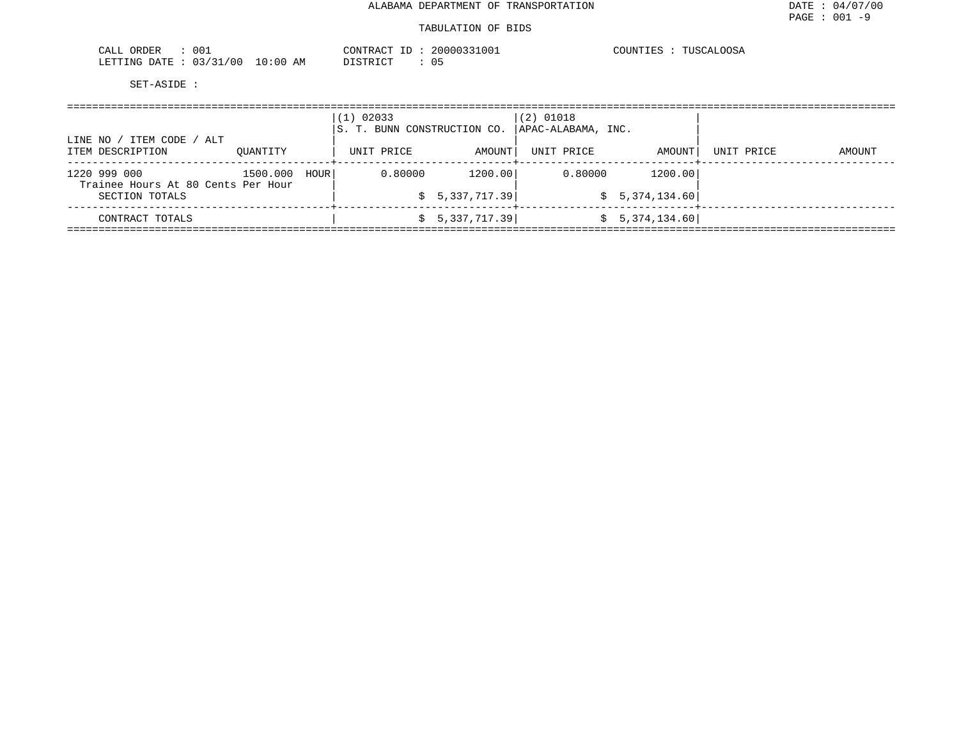#### TABULATION OF BIDS

| 001<br>CALL<br>ORDER        |             | CONTRACT<br>H. | 20000331001    | COUNTIES<br>.00SA<br>$\blacksquare$ . THSCLAT |
|-----------------------------|-------------|----------------|----------------|-----------------------------------------------|
| 03/31/00<br>LETTING<br>DATE | 10:00<br>AM | DISTRICT       | 0 <sub>5</sub> |                                               |

| LINE NO / ITEM CODE / ALT                          |          |      | $(1)$ 02033<br>S. T. BUNN CONSTRUCTION CO. |                 | $(2)$ 01018<br>APAC-ALABAMA, INC. |                 |            |        |
|----------------------------------------------------|----------|------|--------------------------------------------|-----------------|-----------------------------------|-----------------|------------|--------|
| ITEM DESCRIPTION                                   | OUANTITY |      | UNIT PRICE                                 | AMOUNT          | UNIT PRICE                        | AMOUNT          | UNIT PRICE | AMOUNT |
| 1220 999 000<br>Trainee Hours At 80 Cents Per Hour | 1500.000 | HOUR | 0.80000                                    | 1200.00         | 0.80000                           | 1200.00         |            |        |
| SECTION TOTALS                                     |          |      |                                            | \$5,337,717.39  |                                   | \$5,374,134.60] |            |        |
| CONTRACT TOTALS                                    |          |      |                                            | \$5,337,717.39] |                                   | \$5,374,134.60  |            |        |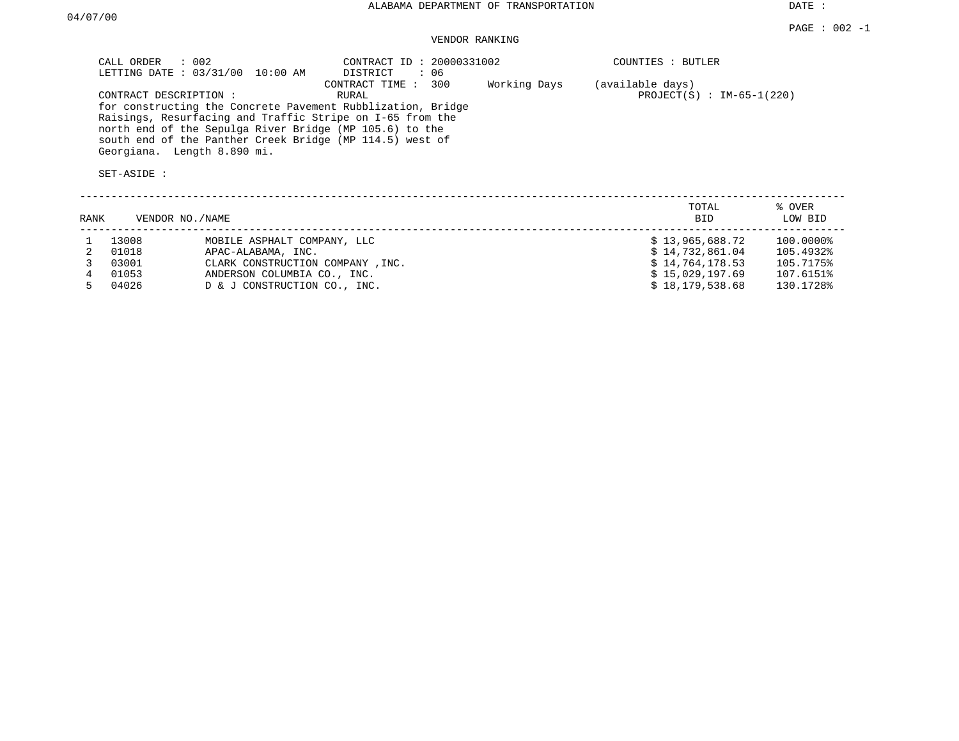# VENDOR RANKING

|      | $\therefore$ 002<br>CALL ORDER                                       | LETTING DATE : 03/31/00 10:00 AM | CONTRACT ID: 20000331002<br>DISTRICT<br>: 06                                                                                                                                                                                                                                    |              | COUNTIES : BUTLER                               |           |
|------|----------------------------------------------------------------------|----------------------------------|---------------------------------------------------------------------------------------------------------------------------------------------------------------------------------------------------------------------------------------------------------------------------------|--------------|-------------------------------------------------|-----------|
|      | CONTRACT DESCRIPTION :<br>Georgiana. Length 8.890 mi.<br>SET-ASIDE : |                                  | CONTRACT TIME : 300<br>RURAL<br>for constructing the Concrete Pavement Rubblization, Bridge<br>Raisings, Resurfacing and Traffic Stripe on I-65 from the<br>north end of the Sepulga River Bridge (MP 105.6) to the<br>south end of the Panther Creek Bridge (MP 114.5) west of | Working Days | (available days)<br>PROJECT(S) : $IM-65-1(220)$ |           |
|      |                                                                      |                                  |                                                                                                                                                                                                                                                                                 |              | TOTAL                                           | % OVER    |
| RANK | VENDOR NO./NAME                                                      |                                  |                                                                                                                                                                                                                                                                                 |              | BID                                             | LOW BID   |
|      | 13008                                                                | MOBILE ASPHALT COMPANY, LLC      |                                                                                                                                                                                                                                                                                 |              | \$13,965,688.72                                 | 100.0000% |
| 2    | 01018                                                                | APAC-ALABAMA, INC.               |                                                                                                                                                                                                                                                                                 |              | \$14,732,861.04                                 | 105.4932% |
|      | 03001                                                                | CLARK CONSTRUCTION COMPANY, INC. |                                                                                                                                                                                                                                                                                 |              | \$14,764,178.53                                 | 105.7175% |
| 4    | 01053                                                                | ANDERSON COLUMBIA CO., INC.      |                                                                                                                                                                                                                                                                                 |              | \$15,029,197.69                                 | 107.6151% |
| 5.   | 04026                                                                | D & J CONSTRUCTION CO., INC.     |                                                                                                                                                                                                                                                                                 |              | \$18,179,538.68                                 | 130.1728% |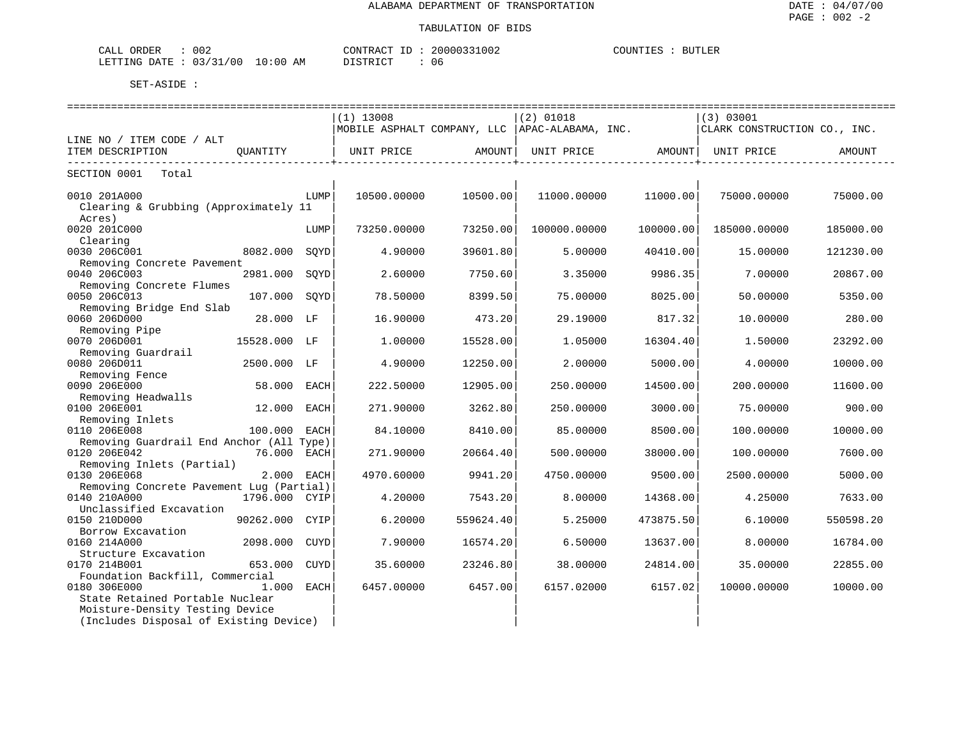| 002<br>ORDER<br>لىلطات                                                |          | CONTR.<br>$\sim$<br>، د ، | 002<br>$\sim$ $\sim$ | <b>BUTLEF</b><br>'' ''<br>J Pa P |
|-----------------------------------------------------------------------|----------|---------------------------|----------------------|----------------------------------|
| $\sim$ $\sim$<br>00<br>.ETTTNG<br>־יד∆רו<br>≽ ו<br>, , ,<br>---<br>__ | АM<br>11 | TAT<br>.                  | Uб                   |                                  |

|                                                                                                      |      | $(1)$ 13008 |           | $(2)$ 01018<br>MOBILE ASPHALT COMPANY, LLC  APAC-ALABAMA, INC. |           | (3) 03001<br>CLARK CONSTRUCTION CO., INC. |           |  |
|------------------------------------------------------------------------------------------------------|------|-------------|-----------|----------------------------------------------------------------|-----------|-------------------------------------------|-----------|--|
| LINE NO / ITEM CODE / ALT                                                                            |      |             |           |                                                                |           |                                           |           |  |
| ITEM DESCRIPTION<br>OUANTITY                                                                         |      | UNIT PRICE  | AMOUNT    | UNIT PRICE AMOUNT UNIT PRICE                                   |           |                                           | AMOUNT    |  |
| SECTION 0001<br>Total                                                                                |      |             |           |                                                                |           |                                           |           |  |
| 0010 201A000<br>Clearing & Grubbing (Approximately 11<br>Acres)                                      | LUMP | 10500.00000 | 10500.00  | 11000.00000                                                    | 11000.00  | 75000.00000                               | 75000.00  |  |
| 0020 201C000<br>Clearing                                                                             | LUMP | 73250.00000 | 73250.00  | 100000.00000                                                   | 100000.00 | 185000.00000                              | 185000.00 |  |
| 0030 206C001<br>8082.000                                                                             | SOYD | 4.90000     | 39601.80  | 5.00000                                                        | 40410.00  | 15.00000                                  | 121230.00 |  |
| Removing Concrete Pavement<br>0040 206C003<br>2981.000                                               | SOYD | 2.60000     | 7750.60   | 3.35000                                                        | 9986.35   | 7.00000                                   | 20867.00  |  |
| Removing Concrete Flumes<br>0050 206C013<br>107.000                                                  | SOYD | 78.50000    | 8399.50   | 75.00000                                                       | 8025.00   | 50.00000                                  | 5350.00   |  |
| Removing Bridge End Slab<br>0060 206D000<br>28.000 LF                                                |      | 16.90000    | 473.201   | 29.19000                                                       | 817.32    | 10.00000                                  | 280.00    |  |
| Removing Pipe<br>0070 206D001<br>15528.000 LF                                                        |      | 1,00000     | 15528.00  | 1.05000                                                        | 16304.40  | 1,50000                                   | 23292.00  |  |
| Removing Guardrail<br>0080 206D011<br>2500.000 LF                                                    |      | 4.90000     | 12250.00  | 2.00000                                                        | 5000.00   | 4.00000                                   | 10000.00  |  |
| Removing Fence<br>0090 206E000<br>58.000 EACH                                                        |      | 222.50000   | 12905.00  | 250.00000                                                      | 14500.00  | 200.00000                                 | 11600.00  |  |
| Removing Headwalls<br>0100 206E001<br>12.000                                                         | EACH | 271.90000   | 3262.80   | 250.00000                                                      | 3000.00   | 75.00000                                  | 900.00    |  |
| Removing Inlets<br>0110 206E008<br>100.000 EACH                                                      |      | 84.10000    | 8410.00   | 85,00000                                                       | 8500.00   | 100.00000                                 | 10000.00  |  |
| Removing Guardrail End Anchor (All Type)<br>0120 206E042<br>76.000 EACH<br>Removing Inlets (Partial) |      | 271.90000   | 20664.40  | 500.00000                                                      | 38000.00  | 100.00000                                 | 7600.00   |  |
| 0130 206E068<br>2.000 EACH                                                                           |      | 4970.60000  | 9941.20   | 4750.00000                                                     | 9500.00   | 2500.00000                                | 5000.00   |  |
| Removing Concrete Pavement Lug (Partial)<br>1796.000 CYIP<br>0140 210A000<br>Unclassified Excavation |      | 4.20000     | 7543.20   | 8.00000                                                        | 14368.00  | 4.25000                                   | 7633.00   |  |
| 0150 210D000<br>90262.000<br>Borrow Excavation                                                       | CYIP | 6.20000     | 559624.40 | 5.25000                                                        | 473875.50 | 6.10000                                   | 550598.20 |  |
| 0160 214A000<br>2098.000 CUYD<br>Structure Excavation                                                |      | 7.90000     | 16574.20  | 6.50000                                                        | 13637.00  | 8,00000                                   | 16784.00  |  |
| 0170 214B001<br>653.000                                                                              | CUYD | 35.60000    | 23246.80  | 38.00000                                                       | 24814.00  | 35.00000                                  | 22855.00  |  |
| Foundation Backfill, Commercial<br>0180 306E000<br>1.000 EACH<br>State Retained Portable Nuclear     |      | 6457.00000  | 6457.00   | 6157.02000                                                     | 6157.02   | 10000.00000                               | 10000.00  |  |
| Moisture-Density Testing Device<br>(Includes Disposal of Existing Device)                            |      |             |           |                                                                |           |                                           |           |  |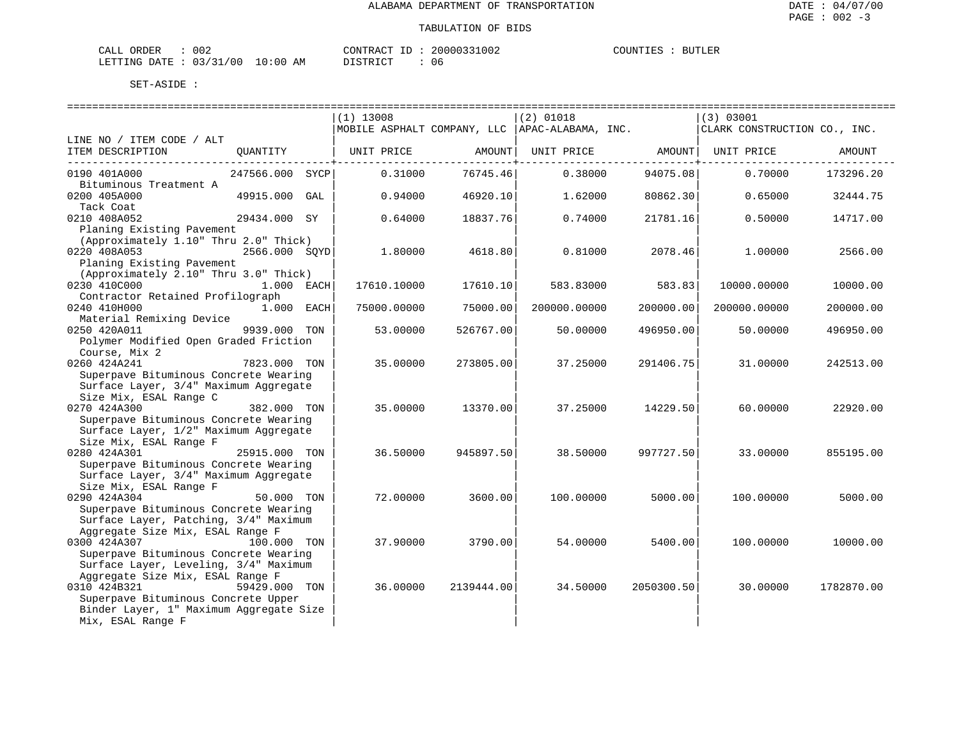| CALL ORDER                       | 002 | CONTRACT ID : |  | 20000331002 | COUNTIES | <b>BUTLER</b> |
|----------------------------------|-----|---------------|--|-------------|----------|---------------|
| LETTING DATE : 03/31/00 10:00 AM |     | DISTRICT      |  | 06          |          |               |

|                                                                   | $(1)$ 13008                                      | $(2)$ 01018                    | (3) 03001                    |
|-------------------------------------------------------------------|--------------------------------------------------|--------------------------------|------------------------------|
|                                                                   | MOBILE ASPHALT COMPANY, LLC   APAC-ALABAMA, INC. |                                | CLARK CONSTRUCTION CO., INC. |
| LINE NO / ITEM CODE / ALT                                         |                                                  |                                |                              |
| ITEM DESCRIPTION<br>QUANTITY                                      | UNIT PRICE                                       | AMOUNT<br>UNIT PRICE<br>AMOUNT | UNIT PRICE<br>AMOUNT         |
| 0190 401A000<br>247566.000 SYCP                                   | 0.31000<br>76745.46                              | 0.38000<br>94075.08            | 0.70000<br>173296.20         |
| Bituminous Treatment A                                            |                                                  |                                |                              |
| 0200 405A000<br>49915.000<br>GAL                                  | 0.94000<br>46920.10                              | 1.62000<br>80862.30            | 0.65000<br>32444.75          |
| Tack Coat                                                         |                                                  |                                |                              |
| 0210 408A052<br>29434.000 SY                                      | 0.64000<br>18837.76                              | 0.74000<br>21781.16            | 0.50000<br>14717.00          |
| Planing Existing Pavement                                         |                                                  |                                |                              |
| (Approximately 1.10" Thru 2.0" Thick)                             |                                                  |                                |                              |
| 0220 408A053<br>2566.000 SOYD                                     | 1.80000                                          | 4618.80<br>0.81000<br>2078.46  | 1,00000<br>2566.00           |
| Planing Existing Pavement                                         |                                                  |                                |                              |
| (Approximately 2.10" Thru 3.0" Thick)                             |                                                  |                                |                              |
| 0230 410C000<br>1.000 EACH<br>Contractor Retained Profilograph    | 17610.10000<br>17610.10                          | 583.83000<br>583.83            | 10000.00000<br>10000.00      |
| 0240 410H000<br>1.000 EACH                                        | 75000.00<br>75000.00000                          | 200000.00000<br>200000.00      | 200000.00000<br>200000.00    |
| Material Remixing Device                                          |                                                  |                                |                              |
| 0250 420A011<br>9939.000 TON                                      | 53.00000<br>526767.00                            | 50.00000<br>496950.00          | 50.00000<br>496950.00        |
| Polymer Modified Open Graded Friction                             |                                                  |                                |                              |
| Course, Mix 2                                                     |                                                  |                                |                              |
| 0260 424A241<br>7823.000 TON                                      | 35.00000<br>273805.00                            | 37.25000<br>291406.75          | 31.00000<br>242513.00        |
| Superpave Bituminous Concrete Wearing                             |                                                  |                                |                              |
| Surface Layer, 3/4" Maximum Aggregate                             |                                                  |                                |                              |
| Size Mix, ESAL Range C                                            |                                                  |                                |                              |
| 0270 424A300<br>382.000 TON                                       | 35.00000<br>13370.00                             | 37.25000<br>14229.50           | 60.00000<br>22920.00         |
| Superpave Bituminous Concrete Wearing                             |                                                  |                                |                              |
| Surface Layer, 1/2" Maximum Aggregate<br>Size Mix, ESAL Range F   |                                                  |                                |                              |
| 0280 424A301<br>25915.000 TON                                     | 36.50000<br>945897.50                            | 38.50000<br>997727.50          | 33.00000<br>855195.00        |
| Superpave Bituminous Concrete Wearing                             |                                                  |                                |                              |
| Surface Layer, 3/4" Maximum Aggregate                             |                                                  |                                |                              |
| Size Mix, ESAL Range F                                            |                                                  |                                |                              |
| 0290 424A304<br>50.000 TON                                        | 72.00000<br>3600.00                              | 100.00000<br>5000.00           | 100.00000<br>5000.00         |
| Superpave Bituminous Concrete Wearing                             |                                                  |                                |                              |
| Surface Layer, Patching, 3/4" Maximum                             |                                                  |                                |                              |
| Aggregate Size Mix, ESAL Range F                                  |                                                  |                                |                              |
| 0300 424A307<br>100.000 TON                                       | 37.90000                                         | 3790.00<br>54.00000<br>5400.00 | 100.00000<br>10000.00        |
| Superpave Bituminous Concrete Wearing                             |                                                  |                                |                              |
| Surface Layer, Leveling, 3/4" Maximum                             |                                                  |                                |                              |
| Aggregate Size Mix, ESAL Range F<br>0310 424B321<br>59429.000 TON | 36.00000<br>2139444.00                           | 34.50000<br>2050300.50         | 30,00000<br>1782870.00       |
| Superpave Bituminous Concrete Upper                               |                                                  |                                |                              |
| Binder Layer, 1" Maximum Aggregate Size                           |                                                  |                                |                              |
| Mix, ESAL Range F                                                 |                                                  |                                |                              |
|                                                                   |                                                  |                                |                              |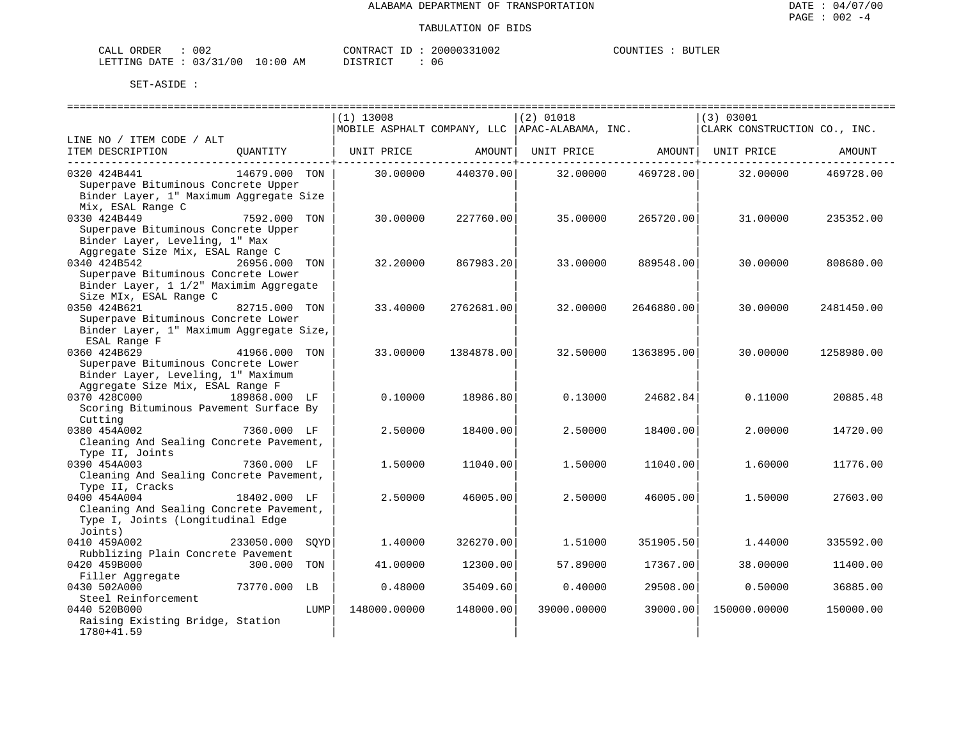| CALL<br>ORDER          | 002 |             | CONTRACT ID               | 20000331002 | COUNTIES | <b>BUTLER</b> |
|------------------------|-----|-------------|---------------------------|-------------|----------|---------------|
| LETTING DATE: 03/31/00 |     | 10:00<br>ΑM | DI STR TAT<br>. - - - - - | 06          |          |               |

|                                          |               |      | ----------------------------- |            | ==============================                  |            | ================================== |            |
|------------------------------------------|---------------|------|-------------------------------|------------|-------------------------------------------------|------------|------------------------------------|------------|
|                                          |               |      | $(1)$ 13008                   |            | $(2)$ 01018                                     |            | (3) 03001                          |            |
|                                          |               |      |                               |            | MOBILE ASPHALT COMPANY, LLC  APAC-ALABAMA, INC. |            | CLARK CONSTRUCTION CO., INC.       |            |
| LINE NO / ITEM CODE / ALT                |               |      |                               |            |                                                 |            |                                    |            |
| ITEM DESCRIPTION                         | OUANTITY      |      | UNIT PRICE                    | AMOUNT     | UNIT PRICE AMOUNT UNIT PRICE                    |            |                                    | AMOUNT     |
| 0320 424B441                             | 14679.000 TON |      | 30.00000                      | 440370.00  | 32.00000                                        | 469728.00  | 32.00000                           | 469728.00  |
| Superpave Bituminous Concrete Upper      |               |      |                               |            |                                                 |            |                                    |            |
| Binder Layer, 1" Maximum Aggregate Size  |               |      |                               |            |                                                 |            |                                    |            |
| Mix, ESAL Range C                        |               |      |                               |            |                                                 |            |                                    |            |
| 0330 424B449                             | 7592.000 TON  |      | 30.00000                      | 227760.00  | 35.00000                                        | 265720.00  | 31.00000                           | 235352.00  |
| Superpave Bituminous Concrete Upper      |               |      |                               |            |                                                 |            |                                    |            |
| Binder Layer, Leveling, 1" Max           |               |      |                               |            |                                                 |            |                                    |            |
| Aggregate Size Mix, ESAL Range C         |               |      |                               |            |                                                 |            |                                    |            |
| 0340 424B542                             | 26956,000 TON |      | 32.20000                      | 867983.20  | 33,00000                                        | 889548.00  | 30,00000                           | 808680.00  |
| Superpave Bituminous Concrete Lower      |               |      |                               |            |                                                 |            |                                    |            |
| Binder Layer, 1 1/2" Maximim Aggregate   |               |      |                               |            |                                                 |            |                                    |            |
| Size MIx, ESAL Range C                   |               |      |                               |            |                                                 |            |                                    |            |
| 0350 424B621                             | 82715.000 TON |      | 33.40000                      | 2762681.00 | 32,00000                                        | 2646880.00 | 30,00000                           | 2481450.00 |
| Superpave Bituminous Concrete Lower      |               |      |                               |            |                                                 |            |                                    |            |
| Binder Layer, 1" Maximum Aggregate Size, |               |      |                               |            |                                                 |            |                                    |            |
| ESAL Range F                             |               |      |                               |            |                                                 |            |                                    |            |
| 0360 424B629                             | 41966.000 TON |      | 33.00000                      | 1384878.00 | 32.50000                                        | 1363895.00 | 30.00000                           | 1258980.00 |
| Superpave Bituminous Concrete Lower      |               |      |                               |            |                                                 |            |                                    |            |
| Binder Layer, Leveling, 1" Maximum       |               |      |                               |            |                                                 |            |                                    |            |
| Aggregate Size Mix, ESAL Range F         |               |      |                               |            |                                                 |            |                                    |            |
| 0370 428C000                             | 189868.000 LF |      | 0.10000                       | 18986.80   | 0.13000                                         | 24682.84   | 0.11000                            | 20885.48   |
| Scoring Bituminous Pavement Surface By   |               |      |                               |            |                                                 |            |                                    |            |
| Cutting                                  |               |      |                               |            |                                                 |            |                                    |            |
| 0380 454A002                             | 7360.000 LF   |      | 2.50000                       | 18400.00   | 2.50000                                         | 18400.00   | 2.00000                            | 14720.00   |
| Cleaning And Sealing Concrete Pavement,  |               |      |                               |            |                                                 |            |                                    |            |
| Type II, Joints                          |               |      |                               |            |                                                 |            |                                    |            |
| 0390 454A003                             | 7360.000 LF   |      | 1.50000                       | 11040.00   | 1.50000                                         | 11040.00   | 1.60000                            | 11776.00   |
| Cleaning And Sealing Concrete Pavement,  |               |      |                               |            |                                                 |            |                                    |            |
| Type II, Cracks                          |               |      |                               |            |                                                 |            |                                    |            |
| 0400 454A004                             | 18402.000 LF  |      | 2.50000                       | 46005.00   | 2.50000                                         | 46005.00   | 1,50000                            | 27603.00   |
| Cleaning And Sealing Concrete Pavement,  |               |      |                               |            |                                                 |            |                                    |            |
| Type I, Joints (Longitudinal Edge        |               |      |                               |            |                                                 |            |                                    |            |
| Joints)                                  |               |      |                               |            |                                                 |            |                                    |            |
| 0410 459A002                             | 233050.000    | SOYD | 1.40000                       | 326270.00  | 1.51000                                         | 351905.50  | 1.44000                            | 335592.00  |
| Rubblizing Plain Concrete Pavement       |               |      |                               |            |                                                 |            |                                    |            |
| 0420 459B000                             | 300,000       | TON  | 41.00000                      | 12300.00   | 57.89000                                        | 17367.00   | 38,00000                           | 11400.00   |
| Filler Aggregate<br>0430 502A000         | 73770.000 LB  |      |                               |            |                                                 | 29508.00   |                                    |            |
| Steel Reinforcement                      |               |      | 0.48000                       | 35409.60   | 0.40000                                         |            | 0.50000                            | 36885.00   |
| 0440 520B000                             |               | LUMP | 148000.00000                  | 148000.00  | 39000.00000                                     | 39000.00   | 150000.00000                       | 150000.00  |
| Raising Existing Bridge, Station         |               |      |                               |            |                                                 |            |                                    |            |
| 1780+41.59                               |               |      |                               |            |                                                 |            |                                    |            |
|                                          |               |      |                               |            |                                                 |            |                                    |            |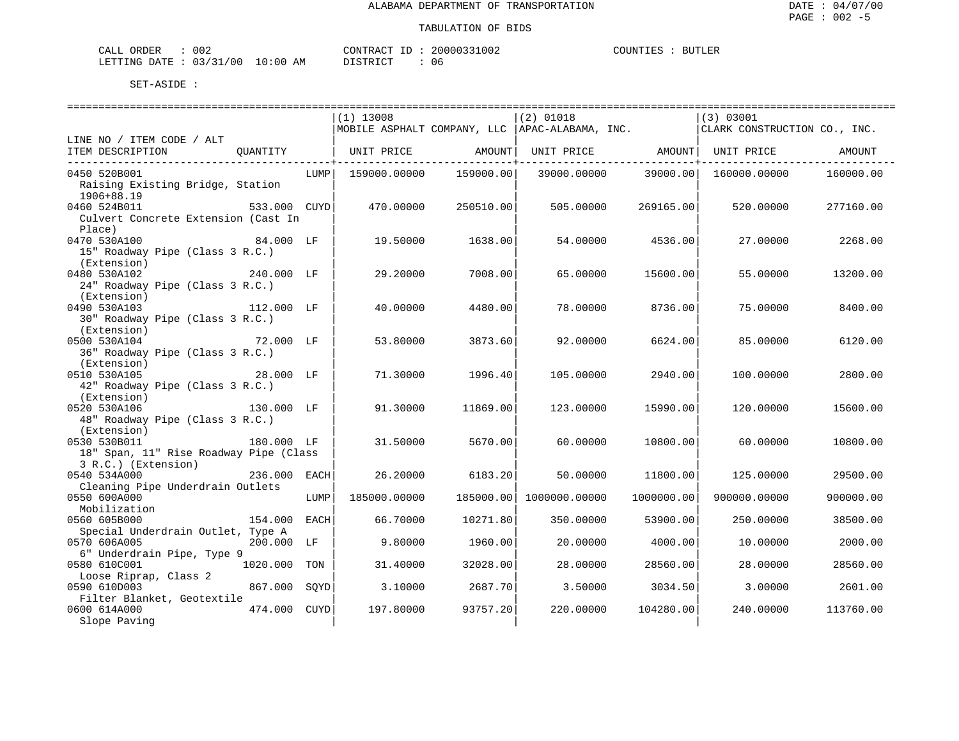| ORDER<br>$\sim$ $ -$<br>CALI | n n n<br>JUZ    |             | CONTRACT. | 20000331002 | COUNTIES | <b>BUTLER</b> |
|------------------------------|-----------------|-------------|-----------|-------------|----------|---------------|
| LETTING DATE                 | . 03/31<br>./00 | 10:00<br>ΆM | STR TOT   | u c         |          |               |

|                                                                                             |      |              | ========================== | ===============================                  |            |                              |           |
|---------------------------------------------------------------------------------------------|------|--------------|----------------------------|--------------------------------------------------|------------|------------------------------|-----------|
|                                                                                             |      | $(1)$ 13008  |                            | $(2)$ 01018                                      |            | (3) 03001                    |           |
|                                                                                             |      |              |                            | MOBILE ASPHALT COMPANY, LLC   APAC-ALABAMA, INC. |            | CLARK CONSTRUCTION CO., INC. |           |
| LINE NO / ITEM CODE / ALT<br>ITEM DESCRIPTION<br>OUANTITY                                   |      |              | UNIT PRICE AMOUNT          | UNIT PRICE AMOUNT UNIT PRICE                     |            |                              | AMOUNT    |
| 0450 520B001                                                                                | LUMP | 159000.00000 | 159000.00                  | 39000.00000                                      | 39000.00   | 160000.00000                 | 160000.00 |
| Raising Existing Bridge, Station<br>1906+88.19                                              |      |              |                            |                                                  |            |                              |           |
| 0460 524B011<br>533.000 CUYD<br>Culvert Concrete Extension (Cast In<br>Place)               |      | 470.00000    | 250510.00                  | 505,00000                                        | 269165.00  | 520.00000                    | 277160.00 |
| 0470 530A100<br>84.000 LF<br>15" Roadway Pipe (Class 3 R.C.)<br>(Extension)                 |      | 19.50000     | 1638.00                    | 54.00000                                         | 4536.00    | 27.00000                     | 2268.00   |
| 240.000 LF<br>0480 530A102<br>24" Roadway Pipe (Class 3 R.C.)<br>(Extension)                |      | 29,20000     | 7008.001                   | 65.00000                                         | 15600.00   | 55.00000                     | 13200.00  |
| 0490 530A103<br>112.000 LF<br>30" Roadway Pipe (Class 3 R.C.)                               |      | 40.00000     | 4480.00                    | 78,00000                                         | 8736.00    | 75.00000                     | 8400.00   |
| (Extension)<br>0500 530A104<br>$72.000$ LF<br>36" Roadway Pipe (Class 3 R.C.)               |      | 53.80000     | 3873.60                    | 92.00000                                         | 6624.00    | 85.00000                     | 6120.00   |
| (Extension)<br>28.000 LF<br>0510 530A105<br>42" Roadway Pipe (Class 3 R.C.)<br>(Extension)  |      | 71.30000     | 1996.40                    | 105.00000                                        | 2940.00    | 100,00000                    | 2800.00   |
| 0520 530A106<br>130.000 LF<br>48" Roadway Pipe (Class 3 R.C.)<br>(Extension)                |      | 91.30000     | 11869.00                   | 123.00000                                        | 15990.00   | 120,00000                    | 15600.00  |
| 180.000 LF<br>0530 530B011<br>18" Span, 11" Rise Roadway Pipe (Class<br>3 R.C.) (Extension) |      | 31.50000     | 5670.00                    | 60.00000                                         | 10800.00   | 60.00000                     | 10800.00  |
| 0540 534A000<br>236.000 EACH<br>Cleaning Pipe Underdrain Outlets                            |      | 26.20000     | 6183.20                    | 50.00000                                         | 11800.00   | 125.00000                    | 29500.00  |
| 0550 600A000<br>Mobilization                                                                | LUMP | 185000.00000 | 185000.00                  | 1000000.00000                                    | 1000000.00 | 900000.00000                 | 900000.00 |
| 0560 605B000<br>154.000 EACH<br>Special Underdrain Outlet, Type A                           |      | 66.70000     | 10271.80                   | 350.00000                                        | 53900.00   | 250.00000                    | 38500.00  |
| 0570 606A005<br>200.000 LF<br>6" Underdrain Pipe, Type 9                                    |      | 9.80000      | 1960.00                    | 20,00000                                         | 4000.00    | 10.00000                     | 2000.00   |
| 0580 610C001<br>1020.000 TON<br>Loose Riprap, Class 2                                       |      | 31,40000     | 32028.00                   | 28,00000                                         | 28560.00   | 28,00000                     | 28560.00  |
| 0590 610D003<br>867.000 SOYD<br>Filter Blanket, Geotextile                                  |      | 3.10000      | 2687.70                    | 3.50000                                          | 3034.50    | 3.00000                      | 2601.00   |
| 0600 614A000<br>474.000 CUYD<br>Slope Paving                                                |      | 197.80000    | 93757.20                   | 220,00000                                        | 104280.00  | 240.00000                    | 113760.00 |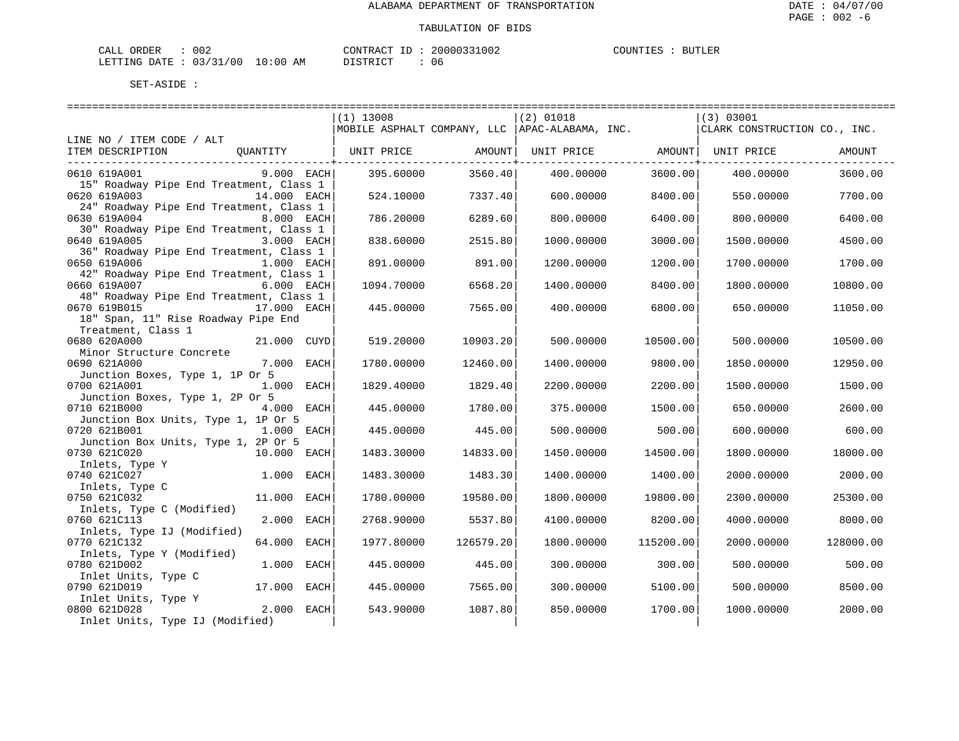| CALL ORDER                       | : 002 |  |
|----------------------------------|-------|--|
| LETTING DATE : 03/31/00 10:00 AM |       |  |

CONTRACT ID : 20000331002 DISTRICT : 06

COUNTIES : BUTLER

|                                                         |              |                   |           | ==============================                                    |           |                                           |           |
|---------------------------------------------------------|--------------|-------------------|-----------|-------------------------------------------------------------------|-----------|-------------------------------------------|-----------|
|                                                         |              | $(1)$ 13008       |           | $(2)$ 01018<br>MOBILE ASPHALT COMPANY, LLC $ $ APAC-ALABAMA, INC. |           | (3) 03001<br>CLARK CONSTRUCTION CO., INC. |           |
| LINE NO / ITEM CODE / ALT                               |              |                   |           |                                                                   |           |                                           |           |
| OUANTITY<br>ITEM DESCRIPTION                            |              | UNIT PRICE AMOUNT |           | UNIT PRICE AMOUNT   UNIT PRICE                                    |           |                                           | AMOUNT    |
|                                                         |              |                   |           |                                                                   |           |                                           |           |
| 0610 619A001                                            | 9.000 EACH   | 395.60000         | 3560.40   | 400.00000                                                         | 3600.00   | 400.00000                                 | 3600.00   |
| 15" Roadway Pipe End Treatment, Class 1                 |              |                   |           |                                                                   |           |                                           |           |
| 0620 619A003                                            | 14.000 EACH  | 524.10000         | 7337.401  | 600,00000                                                         | 8400.00   | 550.00000                                 | 7700.00   |
| 24" Roadway Pipe End Treatment, Class 1                 |              |                   |           |                                                                   |           |                                           |           |
| 0630 619A004                                            | 8.000 EACH   | 786.20000         | 6289.60   | 800,00000                                                         | 6400.00   | 800,00000                                 | 6400.00   |
| 30" Roadway Pipe End Treatment, Class 1                 |              |                   |           |                                                                   |           |                                           |           |
| 0640 619A005                                            | 3.000 EACH   | 838.60000         | 2515.80   | 1000.00000                                                        | 3000.00   | 1500.00000                                | 4500.00   |
| 36" Roadway Pipe End Treatment, Class 1<br>0650 619A006 | 1.000 EACH   | 891.00000         | 891.00    | 1200.00000                                                        | 1200.00   | 1700.00000                                | 1700.00   |
| 42" Roadway Pipe End Treatment, Class 1                 |              |                   |           |                                                                   |           |                                           |           |
| 0660 619A007                                            | 6.000 EACH   | 1094.70000        | 6568.201  | 1400.00000                                                        | 8400.00   | 1800.00000                                | 10800.00  |
| 48" Roadway Pipe End Treatment, Class 1                 |              |                   |           |                                                                   |           |                                           |           |
| 0670 619B015                                            | 17.000 EACH  | 445.00000         | 7565.00   | 400.00000                                                         | 6800.00   | 650.00000                                 | 11050.00  |
| 18" Span, 11" Rise Roadway Pipe End                     |              |                   |           |                                                                   |           |                                           |           |
| Treatment, Class 1                                      |              |                   |           |                                                                   |           |                                           |           |
| 0680 620A000                                            | 21.000 CUYD  | 519.20000         | 10903.20  | 500.00000                                                         | 10500.00  | 500.00000                                 | 10500.00  |
| Minor Structure Concrete                                |              |                   |           |                                                                   |           |                                           |           |
| 0690 621A000                                            | 7.000 EACH   | 1780.00000        | 12460.00  | 1400.00000                                                        | 9800.00   | 1850.00000                                | 12950.00  |
| Junction Boxes, Type 1, 1P Or 5                         |              |                   |           |                                                                   |           |                                           |           |
| 0700 621A001                                            | 1.000 EACH   | 1829.40000        | 1829.40   | 2200.00000                                                        | 2200.00   | 1500.00000                                | 1500.00   |
| Junction Boxes, Type 1, 2P Or 5                         |              |                   |           |                                                                   |           |                                           |           |
| 0710 621B000                                            | 4.000 EACH   | 445.00000         | 1780.00   | 375.00000                                                         | 1500.00   | 650.00000                                 | 2600.00   |
| Junction Box Units, Type 1, 1P Or 5<br>0720 621B001     | 1.000 EACH   | 445.00000         | 445.00    | 500,00000                                                         | 500.00    | 600,00000                                 | 600.00    |
| Junction Box Units, Type 1, 2P Or 5                     |              |                   |           |                                                                   |           |                                           |           |
| 0730 621C020<br>10.000 EACH                             |              | 1483.30000        | 14833.00  | 1450.00000                                                        | 14500.00  | 1800.00000                                | 18000.00  |
| Inlets, Type Y                                          |              |                   |           |                                                                   |           |                                           |           |
| 0740 621C027                                            | $1.000$ EACH | 1483.30000        | 1483.30   | 1400.00000                                                        | 1400.00   | 2000.00000                                | 2000.00   |
| Inlets, Type C                                          |              |                   |           |                                                                   |           |                                           |           |
| 0750 621C032                                            | 11.000 EACH  | 1780.00000        | 19580.00  | 1800.00000                                                        | 19800.00  | 2300.00000                                | 25300.00  |
| Inlets, Type C (Modified)                               |              |                   |           |                                                                   |           |                                           |           |
| 0760 621C113                                            | 2.000 EACH   | 2768.90000        | 5537.80   | 4100.00000                                                        | 8200.00   | 4000.00000                                | 8000.00   |
| Inlets, Type IJ (Modified)                              |              |                   |           |                                                                   |           |                                           |           |
| 0770 621C132                                            | 64.000 EACH  | 1977.80000        | 126579.20 | 1800.00000                                                        | 115200.00 | 2000.00000                                | 128000.00 |
| Inlets, Type Y (Modified)                               |              |                   |           |                                                                   |           |                                           |           |
| 1.000<br>0780 621D002                                   | EACH         | 445.00000         | 445.00    | 300.00000                                                         | 300.00    | 500.00000                                 | 500.00    |
| Inlet Units, Type C<br>0790 621D019                     | 17.000 EACH  |                   |           |                                                                   |           |                                           |           |
| Inlet Units, Type Y                                     |              | 445.00000         | 7565.00   | 300,00000                                                         | 5100.00   | 500,00000                                 | 8500.00   |
| 0800 621D028                                            | 2.000 EACH   | 543.90000         | 1087.80   | 850.00000                                                         | 1700.00   | 1000.00000                                | 2000.00   |
| Inlet Units, Type IJ (Modified)                         |              |                   |           |                                                                   |           |                                           |           |
|                                                         |              |                   |           |                                                                   |           |                                           |           |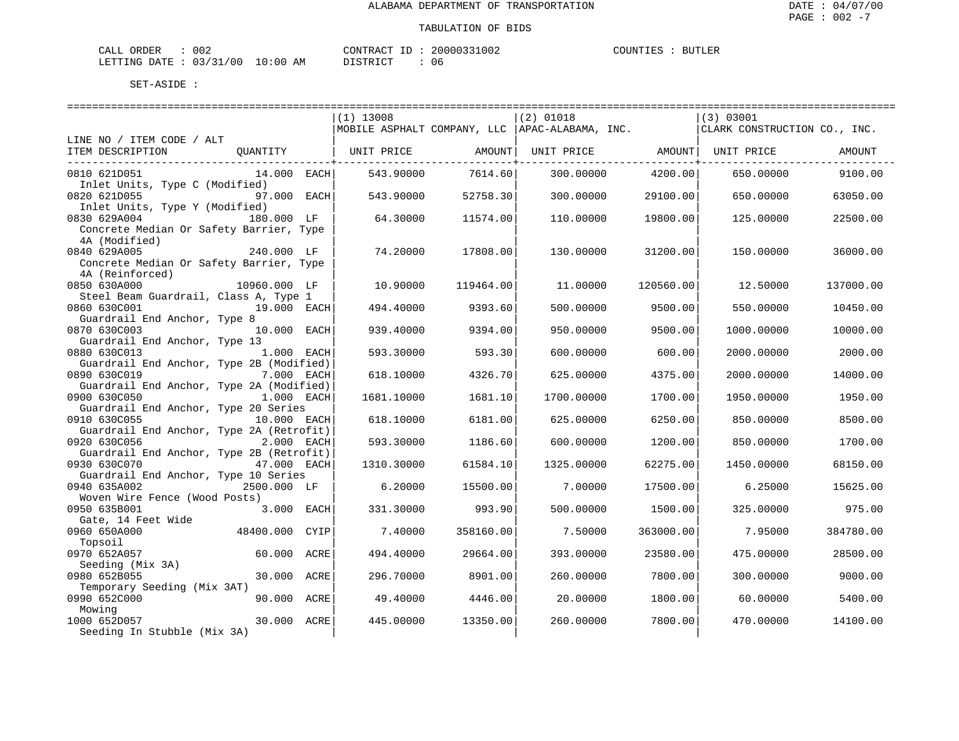| ORDER<br>CALL (                  | 002 | CONTRACT ID : | 20000331002 | COUNTIES | <b>BUTLER</b> |
|----------------------------------|-----|---------------|-------------|----------|---------------|
| LETTING DATE : 03/31/00 10:00 AM |     | DISTRICT      | 06          |          |               |

|                                          |              |      | $(1)$ 13008       |           | $(2)$ 01018                                      |           | (3) 03001                    |           |
|------------------------------------------|--------------|------|-------------------|-----------|--------------------------------------------------|-----------|------------------------------|-----------|
|                                          |              |      |                   |           | MOBILE ASPHALT COMPANY, LLC   APAC-ALABAMA, INC. |           | CLARK CONSTRUCTION CO., INC. |           |
| LINE NO / ITEM CODE / ALT                |              |      |                   |           |                                                  |           |                              |           |
| ITEM DESCRIPTION                         | QUANTITY     |      | UNIT PRICE AMOUNT |           | UNIT PRICE AMOUNT   UNIT PRICE                   |           |                              | AMOUNT    |
|                                          |              |      |                   |           |                                                  |           |                              |           |
| 0810 621D051                             | 14.000 EACH  |      | 543.90000         | 7614.60   | 300.00000                                        | 4200.00   | 650.00000                    | 9100.00   |
| Inlet Units, Type C (Modified)           |              |      |                   |           |                                                  |           |                              |           |
| 0820 621D055                             | 97.000 EACH  |      | 543.90000         | 52758.30  | 300,00000                                        | 29100.00  | 650.00000                    | 63050.00  |
| Inlet Units, Type Y (Modified)           |              |      |                   |           |                                                  |           |                              |           |
| 0830 629A004 180.000 LF                  |              |      | 64.30000          | 11574.00  | 110.00000                                        | 19800.00  | 125.00000                    | 22500.00  |
| Concrete Median Or Safety Barrier, Type  |              |      |                   |           |                                                  |           |                              |           |
| 4A (Modified)                            |              |      |                   |           |                                                  |           |                              |           |
| 0840 629A005                             | 240.000 LF   |      | 74.20000          | 17808.00  | 130.00000                                        | 31200.00  | 150.00000                    | 36000.00  |
| Concrete Median Or Safety Barrier, Type  |              |      |                   |           |                                                  |           |                              |           |
| 4A (Reinforced)                          |              |      |                   |           |                                                  |           |                              |           |
| 0850 630A000                             | 10960.000 LF |      | 10,90000          | 119464.00 | 11,00000                                         | 120560.00 | 12.50000                     | 137000.00 |
| Steel Beam Guardrail, Class A, Type 1    |              |      |                   |           |                                                  |           |                              |           |
| 0860 630C001                             | 19.000 EACH  |      | 494.40000         | 9393.60   | 500.00000                                        | 9500.00   | 550.00000                    | 10450.00  |
|                                          |              |      |                   |           |                                                  |           |                              |           |
| Guardrail End Anchor, Type 8             |              |      |                   |           |                                                  |           |                              |           |
| 0870 630C003                             | 10.000 EACH  |      | 939.40000         | 9394.00   | 950.00000                                        | 9500.00   | 1000.00000                   | 10000.00  |
| Guardrail End Anchor, Type 13            |              |      |                   |           |                                                  |           |                              |           |
| 0880 630C013                             | $1.000$ EACH |      | 593.30000         | 593.30    | 600,00000                                        | 600.00    | 2000.00000                   | 2000.00   |
| Guardrail End Anchor, Type 2B (Modified) |              |      |                   |           |                                                  |           |                              |           |
| 0890 630C019                             | 7.000 EACH   |      | 618.10000         | 4326.70   | 625.00000                                        | 4375.00   | 2000.00000                   | 14000.00  |
| Guardrail End Anchor, Type 2A (Modified) |              |      |                   |           |                                                  |           |                              |           |
| 0900 630C050                             | 1.000 EACH   |      | 1681.10000        | 1681.10   | 1700.00000                                       | 1700.00   | 1950.00000                   | 1950.00   |
| Guardrail End Anchor, Type 20 Series     |              |      |                   |           |                                                  |           |                              |           |
| 0910 630C055                             | 10.000 EACH  |      | 618,10000         | 6181.00   | 625.00000                                        | 6250.00   | 850,00000                    | 8500.00   |
| Guardrail End Anchor, Type 2A (Retrofit) |              |      |                   |           |                                                  |           |                              |           |
| 0920 630C056                             | 2.000 EACH   |      | 593.30000         | 1186.60   | 600.00000                                        | 1200.00   | 850.00000                    | 1700.00   |
| Guardrail End Anchor, Type 2B (Retrofit) |              |      |                   |           |                                                  |           |                              |           |
| 0930 630C070                             | 47.000 EACH  |      | 1310.30000        | 61584.10  | 1325.00000                                       | 62275.00  | 1450.00000                   | 68150.00  |
| Guardrail End Anchor, Type 10 Series     |              |      |                   |           |                                                  |           |                              |           |
| 0940 635A002                             | 2500.000 LF  |      | 6.20000           | 15500.00  | 7.00000                                          | 17500.00  | 6.25000                      | 15625.00  |
| Woven Wire Fence (Wood Posts)            |              |      |                   |           |                                                  |           |                              |           |
| 0950 635B001                             | 3.000 EACH   |      | 331.30000         | 993.90    | 500,00000                                        | 1500.00   | 325,00000                    | 975.00    |
| Gate, 14 Feet Wide                       |              |      |                   |           |                                                  |           |                              |           |
| 0960 650A000                             | 48400.000    | CYIP | 7.40000           | 358160.00 | 7.50000                                          | 363000.00 | 7.95000                      | 384780.00 |
| Topsoil                                  |              |      |                   |           |                                                  |           |                              |           |
| 0970 652A057                             | 60.000 ACRE  |      | 494.40000         | 29664.00  | 393.00000                                        | 23580.00  | 475.00000                    | 28500.00  |
| Seeding (Mix 3A)                         |              |      |                   |           |                                                  |           |                              |           |
| 0980 652B055                             | 30.000 ACRE  |      | 296.70000         | 8901.00   | 260.00000                                        | 7800.00   | 300.00000                    | 9000.00   |
| Temporary Seeding (Mix 3AT)              |              |      |                   |           |                                                  |           |                              |           |
| 0990 652C000                             | 90.000 ACRE  |      | 49.40000          | 4446.00   | 20.00000                                         | 1800.00   | 60.00000                     | 5400.00   |
| Mowing                                   |              |      |                   |           |                                                  |           |                              |           |
| 1000 652D057                             | 30.000 ACRE  |      | 445.00000         | 13350.00  | 260,00000                                        | 7800.00   | 470.00000                    | 14100.00  |
| Seeding In Stubble (Mix 3A)              |              |      |                   |           |                                                  |           |                              |           |
|                                          |              |      |                   |           |                                                  |           |                              |           |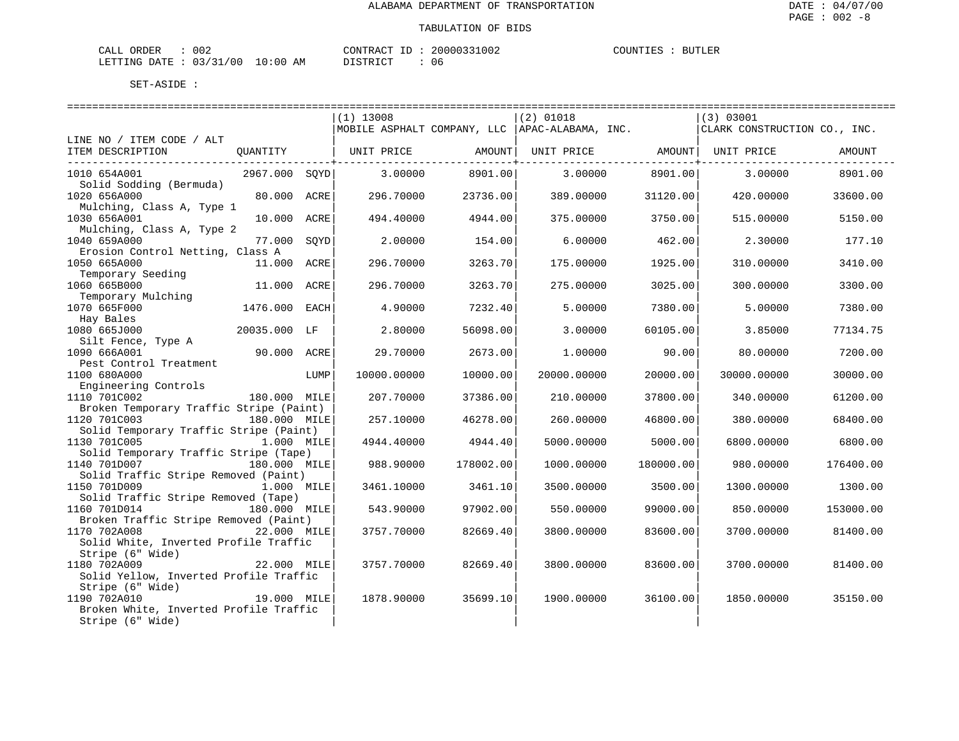| CALL ORDER                       | 002 | CONTRACT ID : |  | 20000331002 | COUNTIES | <b>BUTLER</b> |
|----------------------------------|-----|---------------|--|-------------|----------|---------------|
| LETTING DATE : 03/31/00 10:00 AM |     | DISTRICT      |  | 06          |          |               |

|                                                            |               |      | $(1)$ 13008 |           | $(2)$ 01018                                     |                      | (3) 03001                    |           |
|------------------------------------------------------------|---------------|------|-------------|-----------|-------------------------------------------------|----------------------|------------------------------|-----------|
|                                                            |               |      |             |           | MOBILE ASPHALT COMPANY, LLC  APAC-ALABAMA, INC. |                      | CLARK CONSTRUCTION CO., INC. |           |
| LINE NO / ITEM CODE / ALT                                  |               |      |             |           |                                                 |                      |                              |           |
| ITEM DESCRIPTION                                           | QUANTITY      |      | UNIT PRICE  | AMOUNT    | UNIT PRICE AMOUNT   UNIT PRICE                  | -------------+------ |                              | AMOUNT    |
| 1010 654A001                                               | 2967.000 SOYD |      | 3.00000     | 8901.00   | 3.00000                                         | 8901.00              | 3.00000                      | 8901.00   |
| Solid Sodding (Bermuda)                                    |               |      |             |           |                                                 |                      |                              |           |
| 1020 656A000                                               | 80.000 ACRE   |      | 296.70000   | 23736.00  | 389.00000                                       | 31120.00             | 420.00000                    | 33600.00  |
| Mulching, Class A, Type 1                                  |               |      |             |           |                                                 |                      |                              |           |
| 1030 656A001                                               | 10.000 ACRE   |      | 494.40000   | 4944.00   | 375,00000                                       | 3750.00              | 515.00000                    | 5150.00   |
| Mulching, Class A, Type 2<br>1040 659A000                  | 77.000        | SQYD | 2.00000     | 154.00    | 6.00000                                         | 462.00               | 2.30000                      | 177.10    |
| Erosion Control Netting, Class A                           |               |      |             |           |                                                 |                      |                              |           |
| 1050 665A000                                               | 11.000 ACRE   |      | 296.70000   | 3263.70   | 175.00000                                       | 1925.00              | 310.00000                    | 3410.00   |
| Temporary Seeding                                          |               |      |             |           |                                                 |                      |                              |           |
| 1060 665B000                                               | 11.000 ACRE   |      | 296.70000   | 3263.70   | 275.00000                                       | 3025.00              | 300.00000                    | 3300.00   |
| Temporary Mulching                                         |               |      |             |           |                                                 |                      |                              |           |
| 1070 665F000                                               | 1476.000 EACH |      | 4.90000     | 7232.40   | 5.00000                                         | 7380.00              | 5.00000                      | 7380.00   |
| Hay Bales                                                  |               |      |             |           |                                                 |                      |                              |           |
| 1080 665J000<br>Silt Fence, Type A                         | 20035.000 LF  |      | 2.80000     | 56098.00  | 3.00000                                         | 60105.00             | 3.85000                      | 77134.75  |
| 1090 666A001                                               | 90.000 ACRE   |      | 29.70000    | 2673.00   | 1,00000                                         | 90.00                | 80.00000                     | 7200.00   |
| Pest Control Treatment                                     |               |      |             |           |                                                 |                      |                              |           |
| 1100 680A000                                               |               | LUMP | 10000.00000 | 10000.00  | 20000.00000                                     | 20000.00             | 30000.00000                  | 30000.00  |
| Engineering Controls                                       |               |      |             |           |                                                 |                      |                              |           |
| 1110 701C002                                               | 180.000 MILE  |      | 207.70000   | 37386.00  | 210.00000                                       | 37800.00             | 340.00000                    | 61200.00  |
| Broken Temporary Traffic Stripe (Paint)                    |               |      |             |           |                                                 |                      |                              |           |
| 1120 701C003                                               | 180.000 MILE  |      | 257.10000   | 46278.00  | 260.00000                                       | 46800.00             | 380,00000                    | 68400.00  |
| Solid Temporary Traffic Stripe (Paint)                     |               |      |             |           |                                                 |                      |                              |           |
| 1130 701C005                                               | 1.000 MILE    |      | 4944.40000  | 4944.40   | 5000.00000                                      | 5000.00              | 6800.00000                   | 6800.00   |
| Solid Temporary Traffic Stripe (Tape)<br>1140 701D007      | 180.000 MILE  |      | 988.90000   | 178002.00 | 1000.00000                                      | 180000.00            | 980.00000                    | 176400.00 |
| Solid Traffic Stripe Removed (Paint)                       |               |      |             |           |                                                 |                      |                              |           |
| 1150 701D009                                               | 1.000 MILE    |      | 3461.10000  | 3461.10   | 3500.00000                                      | 3500.00              | 1300.00000                   | 1300.00   |
| Solid Traffic Stripe Removed (Tape)                        |               |      |             |           |                                                 |                      |                              |           |
| 1160 701D014                                               | 180.000 MILE  |      | 543.90000   | 97902.00  | 550.00000                                       | 99000.00             | 850.00000                    | 153000.00 |
| Broken Traffic Stripe Removed (Paint)                      |               |      |             |           |                                                 |                      |                              |           |
| 1170 702A008                                               | 22.000 MILE   |      | 3757.70000  | 82669.40  | 3800.00000                                      | 83600.00             | 3700.00000                   | 81400.00  |
| Solid White, Inverted Profile Traffic                      |               |      |             |           |                                                 |                      |                              |           |
| Stripe (6" Wide)                                           |               |      |             |           |                                                 |                      |                              |           |
| 1180 702A009                                               | 22.000 MILE   |      | 3757.70000  | 82669.40  | 3800.00000                                      | 83600.00             | 3700.00000                   | 81400.00  |
| Solid Yellow, Inverted Profile Traffic<br>Stripe (6" Wide) |               |      |             |           |                                                 |                      |                              |           |
| 1190 702A010                                               | 19.000 MILE   |      | 1878.90000  | 35699.10  | 1900.00000                                      | 36100.00             | 1850.00000                   | 35150.00  |
| Broken White, Inverted Profile Traffic                     |               |      |             |           |                                                 |                      |                              |           |
| Stripe (6" Wide)                                           |               |      |             |           |                                                 |                      |                              |           |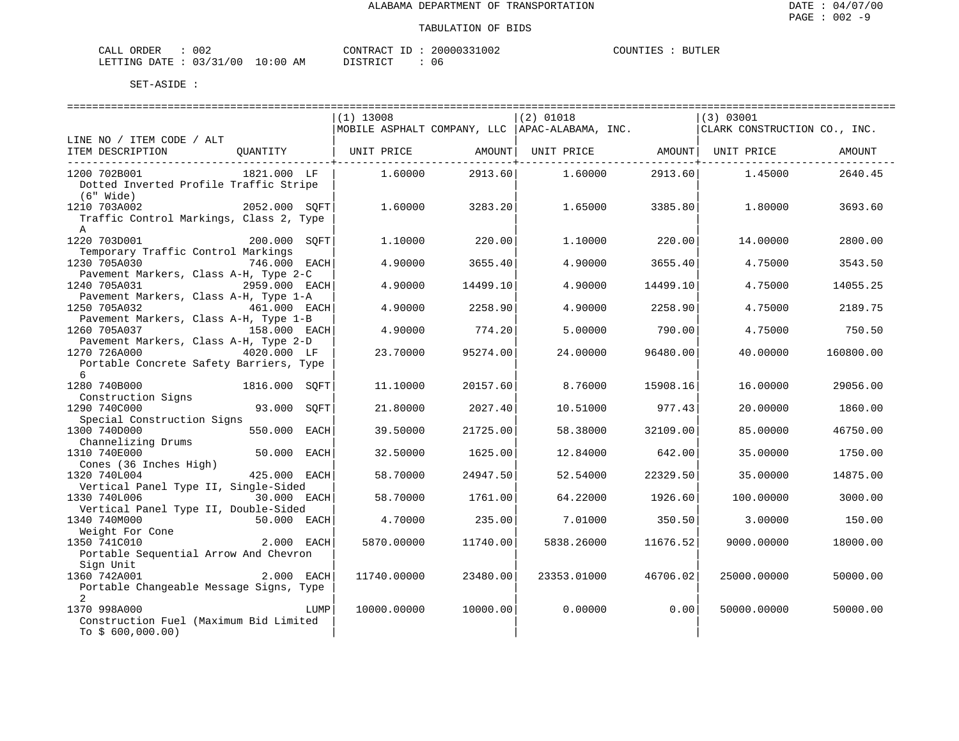| ORDER<br>CALL           | 002 |             | CONTRACT<br>$-$ | 20000331002 | COUNTIES | <b>BUTLER</b> |
|-------------------------|-----|-------------|-----------------|-------------|----------|---------------|
| LETTING DATE : 03/31/00 |     | 10:00<br>ΆM | חימת דפידי את   | 06          |          |               |

|                                                  |                 | $(1)$ 13008 |          | $(2)$ 01018                                     |          | (3) 03001                    |           |
|--------------------------------------------------|-----------------|-------------|----------|-------------------------------------------------|----------|------------------------------|-----------|
|                                                  |                 |             |          | MOBILE ASPHALT COMPANY, LLC  APAC-ALABAMA, INC. |          | CLARK CONSTRUCTION CO., INC. |           |
| LINE NO / ITEM CODE / ALT                        |                 |             |          |                                                 |          |                              |           |
| ITEM DESCRIPTION<br>---------------------------- | QUANTITY        | UNIT PRICE  | AMOUNT   | UNIT PRICE AMOUNT   UNIT PRICE                  |          |                              | AMOUNT    |
| 1200 702B001                                     | 1821.000 LF     | 1.60000     | 2913.60  | 1.60000                                         | 2913.60  | 1.45000                      | 2640.45   |
| Dotted Inverted Profile Traffic Stripe           |                 |             |          |                                                 |          |                              |           |
| (6" Wide)                                        |                 |             |          |                                                 |          |                              |           |
| 1210 703A002                                     | 2052.000 SQFT   | 1,60000     | 3283.20  | 1.65000                                         | 3385.80  | 1,80000                      | 3693.60   |
| Traffic Control Markings, Class 2, Type          |                 |             |          |                                                 |          |                              |           |
| $\mathsf{A}$                                     |                 |             |          |                                                 |          |                              |           |
| 1220 703D001                                     | 200.000 SOFT    | 1,10000     | 220.00   | 1,10000                                         | 220.00   | 14.00000                     | 2800.00   |
| Temporary Traffic Control Markings               |                 |             |          |                                                 |          |                              |           |
| 1230 705A030                                     | 746.000 EACH    | 4.90000     | 3655.40  | 4.90000                                         | 3655.40  | 4.75000                      | 3543.50   |
| Pavement Markers, Class A-H, Type 2-C            |                 |             |          |                                                 |          |                              |           |
| 1240 705A031                                     | 2959.000 EACH   | 4.90000     | 14499.10 | 4.90000                                         | 14499.10 | 4.75000                      | 14055.25  |
| Pavement Markers, Class A-H, Type 1-A            |                 |             |          |                                                 |          |                              |           |
| 1250 705A032                                     | 461.000 EACH    | 4.90000     | 2258.90  | 4.90000                                         | 2258.90  | 4.75000                      | 2189.75   |
| Pavement Markers, Class A-H, Type 1-B            |                 |             |          |                                                 |          |                              |           |
| 1260 705A037                                     | 158.000 EACH    | 4.90000     | 774.20   | 5.00000                                         | 790.00   | 4.75000                      | 750.50    |
| Pavement Markers, Class A-H, Type 2-D            |                 |             |          |                                                 |          |                              |           |
| 1270 726A000                                     | 4020.000 LF     | 23.70000    | 95274.00 | 24.00000                                        | 96480.00 | 40.00000                     | 160800.00 |
| Portable Concrete Safety Barriers, Type          |                 |             |          |                                                 |          |                              |           |
| $6^{\circ}$                                      |                 |             |          |                                                 |          |                              |           |
| 1280 740B000                                     | 1816.000 SOFT   | 11.10000    | 20157.60 | 8.76000                                         | 15908.16 | 16.00000                     | 29056.00  |
| Construction Signs                               |                 |             |          |                                                 |          |                              |           |
| 1290 740C000                                     | 93.000<br>SOFT  | 21.80000    | 2027.40  | 10.51000                                        | 977.43   | 20,00000                     | 1860.00   |
| Special Construction Signs                       |                 |             |          |                                                 |          |                              |           |
| 1300 740D000                                     | 550.000<br>EACH | 39.50000    | 21725.00 | 58.38000                                        | 32109.00 | 85,00000                     | 46750.00  |
| Channelizing Drums                               |                 |             |          |                                                 |          |                              |           |
| 1310 740E000                                     | 50.000 EACH     | 32.50000    | 1625.00  | 12.84000                                        | 642.00   | 35.00000                     | 1750.00   |
| Cones (36 Inches High)                           |                 |             |          |                                                 |          |                              |           |
| 1320 740L004                                     | 425.000 EACH    | 58.70000    | 24947.50 | 52.54000                                        | 22329.50 | 35.00000                     | 14875.00  |
| Vertical Panel Type II, Single-Sided             |                 |             |          |                                                 |          |                              |           |
| 1330 740L006                                     | 30.000 EACH     | 58.70000    | 1761.00  | 64.22000                                        | 1926.60  | 100.00000                    | 3000.00   |
| Vertical Panel Type II, Double-Sided             |                 |             |          |                                                 |          |                              |           |
| 1340 740M000                                     | 50.000 EACH     | 4.70000     | 235.00   | 7.01000                                         | 350.50   | 3.00000                      | 150.00    |
| Weight For Cone                                  |                 |             |          |                                                 |          |                              |           |
| 1350 741C010                                     | 2.000 EACH      | 5870.00000  | 11740.00 | 5838.26000                                      | 11676.52 | 9000.00000                   | 18000.00  |
| Portable Sequential Arrow And Chevron            |                 |             |          |                                                 |          |                              |           |
| Sign Unit                                        |                 |             |          |                                                 |          |                              |           |
| 1360 742A001                                     | 2.000 EACH      | 11740.00000 | 23480.00 | 23353.01000                                     | 46706.02 | 25000.00000                  | 50000.00  |
| Portable Changeable Message Signs, Type          |                 |             |          |                                                 |          |                              |           |
| 2                                                |                 |             |          |                                                 |          |                              |           |
| 1370 998A000                                     | LUMP            | 10000.00000 | 10000.00 | 0.00000                                         | 0.00     | 50000.00000                  | 50000.00  |
| Construction Fuel (Maximum Bid Limited           |                 |             |          |                                                 |          |                              |           |
| To $$600,000.00)$                                |                 |             |          |                                                 |          |                              |           |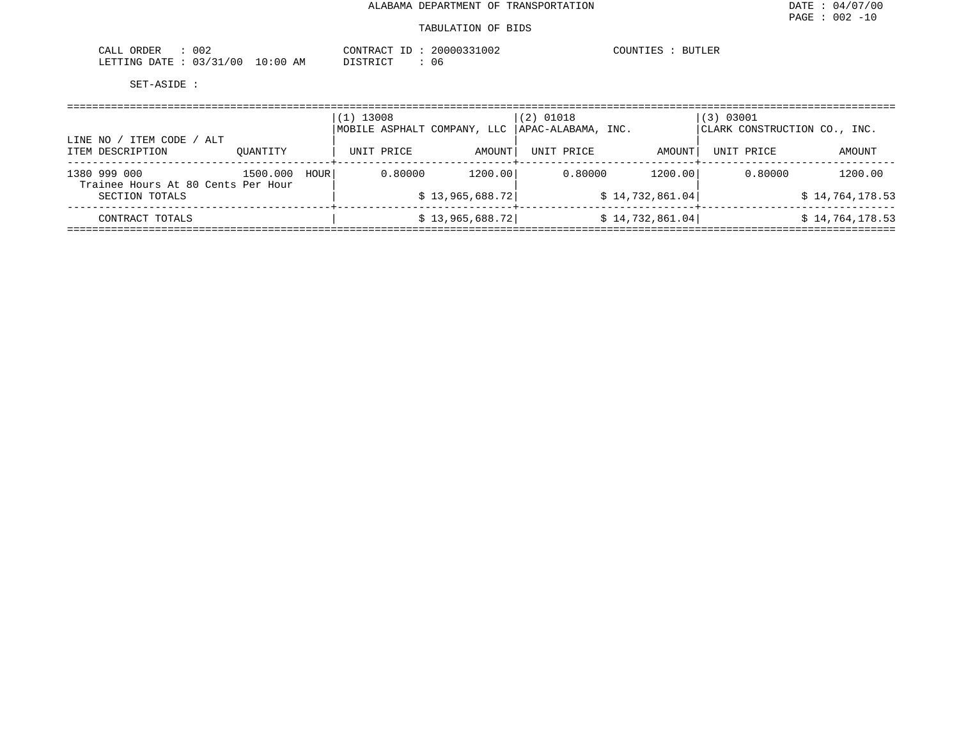| 002<br>ORDER<br>CALL   | CONTRACT ID          | 20000331002 | COUNTIES<br><b>BUTLER</b> |
|------------------------|----------------------|-------------|---------------------------|
| LETTING DATE: 03/31/00 | 10:00 AM<br>DISTRICT | 06          |                           |

| / ITEM CODE / ALT<br>LINE NO /                     |          |      | $(1)$ 13008<br>MOBILE ASPHALT COMPANY, LLC |                  | $(2)$ 01018<br>APAC-ALABAMA, INC. |                  | (3) 03001<br>CLARK CONSTRUCTION CO., INC. |                 |
|----------------------------------------------------|----------|------|--------------------------------------------|------------------|-----------------------------------|------------------|-------------------------------------------|-----------------|
| ITEM DESCRIPTION                                   | OUANTITY |      | UNIT PRICE                                 | AMOUNT           | UNIT PRICE                        | AMOUNT           | UNIT PRICE                                | AMOUNT          |
| 1380 999 000<br>Trainee Hours At 80 Cents Per Hour | 1500.000 | HOUR | 0.80000                                    | 1200.00          | 0.80000                           | 1200.00          | 0.80000                                   | 1200.00         |
| SECTION TOTALS                                     |          |      |                                            | \$13,965,688.72] |                                   | \$14,732,861.04] |                                           | \$14,764,178.53 |
| CONTRACT TOTALS                                    |          |      |                                            | \$13,965,688.72] |                                   | \$14,732,861.04] |                                           | \$14,764,178.53 |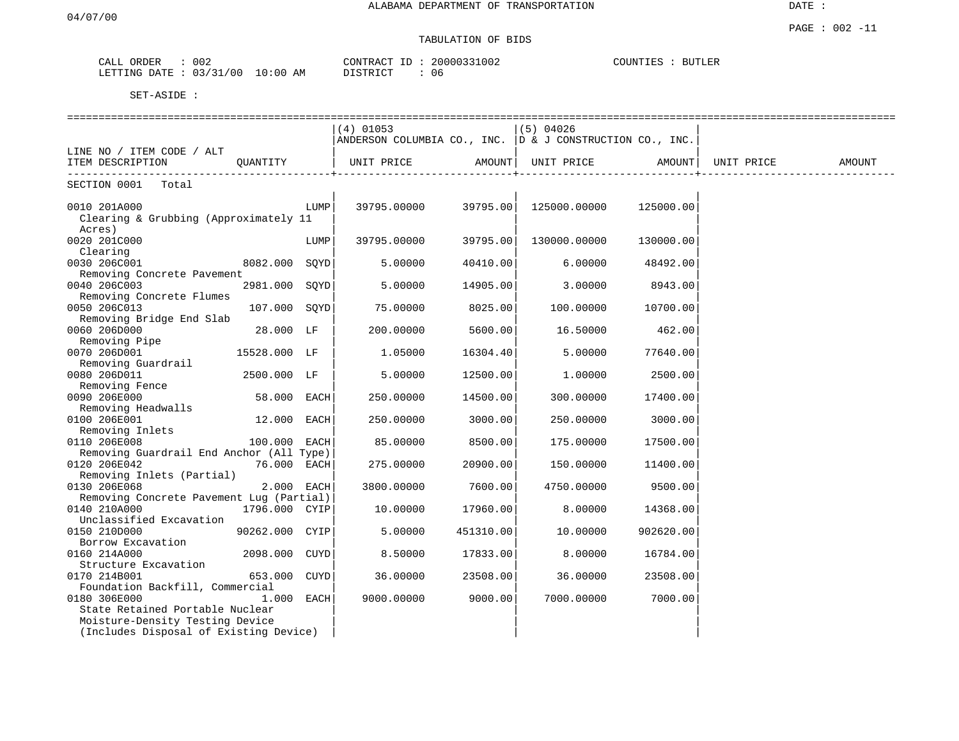### TABULATION OF BIDS

| ORDER<br>CALL | 002                     | 20000331002<br>CONTRACT<br>$- -$ | COUNTIES<br><b>BUTLER</b> |
|---------------|-------------------------|----------------------------------|---------------------------|
| LETTING DATE  | 03/31/00<br>10:00<br>AΜ | חי חי הרו פידי פור<br>-06        |                           |

|                                                                           |                |      | $(4)$ 01053                                                  |           | $(5)$ 04026  |           |            |        |
|---------------------------------------------------------------------------|----------------|------|--------------------------------------------------------------|-----------|--------------|-----------|------------|--------|
|                                                                           |                |      | ANDERSON COLUMBIA CO., INC. $ D \& J$ CONSTRUCTION CO., INC. |           |              |           |            |        |
| LINE NO / ITEM CODE / ALT                                                 |                |      |                                                              |           |              |           |            |        |
| ITEM DESCRIPTION                                                          | QUANTITY       |      | UNIT PRICE                                                   | AMOUNT    | UNIT PRICE   | AMOUNT    | UNIT PRICE | AMOUNT |
| SECTION 0001<br>Total                                                     |                |      |                                                              |           |              |           |            |        |
| 0010 201A000<br>Clearing & Grubbing (Approximately 11                     |                | LUMP | 39795.00000                                                  | 39795.00  | 125000.00000 | 125000.00 |            |        |
| Acres)<br>0020 201C000<br>Clearing                                        |                | LUMP | 39795.00000                                                  | 39795.00  | 130000.00000 | 130000.00 |            |        |
| 0030 206C001<br>Removing Concrete Pavement                                | 8082.000 SQYD  |      | 5.00000                                                      | 40410.00  | 6.00000      | 48492.00  |            |        |
| 0040 206C003<br>Removing Concrete Flumes                                  | 2981.000 SOYD  |      | 5,00000                                                      | 14905.00  | 3,00000      | 8943.00   |            |        |
| 0050 206C013<br>Removing Bridge End Slab                                  | 107.000 SQYD   |      | 75.00000                                                     | 8025.00   | 100.00000    | 10700.00  |            |        |
| 0060 206D000<br>Removing Pipe                                             | 28.000 LF      |      | 200.00000                                                    | 5600.00   | 16.50000     | 462.00    |            |        |
| 0070 206D001<br>Removing Guardrail                                        | 15528.000 LF   |      | 1.05000                                                      | 16304.40  | 5.00000      | 77640.00  |            |        |
| 0080 206D011                                                              | 2500.000 LF    |      | 5.00000                                                      | 12500.00  | 1,00000      | 2500.00   |            |        |
| Removing Fence<br>0090 206E000                                            | 58.000 EACH    |      | 250.00000                                                    | 14500.00  | 300.00000    | 17400.00  |            |        |
| Removing Headwalls<br>0100 206E001<br>Removing Inlets                     | 12.000         | EACH | 250.00000                                                    | 3000.00   | 250.00000    | 3000.00   |            |        |
| 0110 206E008<br>Removing Guardrail End Anchor (All Type)                  | 100.000 EACH   |      | 85.00000                                                     | 8500.00   | 175.00000    | 17500.00  |            |        |
| 0120 206E042<br>Removing Inlets (Partial)                                 | 76.000 EACH    |      | 275.00000                                                    | 20900.00  | 150.00000    | 11400.00  |            |        |
| 0130 206E068<br>Removing Concrete Pavement Lug (Partial)                  | 2.000 EACH     |      | 3800.00000                                                   | 7600.00   | 4750.00000   | 9500.00   |            |        |
| 0140 210A000<br>Unclassified Excavation                                   | 1796.000 CYIP  |      | 10.00000                                                     | 17960.00  | 8.00000      | 14368.00  |            |        |
| 0150 210D000<br>Borrow Excavation                                         | 90262.000 CYIP |      | 5.00000                                                      | 451310.00 | 10.00000     | 902620.00 |            |        |
| 0160 214A000<br>Structure Excavation                                      | 2098.000 CUYD  |      | 8.50000                                                      | 17833.00  | 8.00000      | 16784.00  |            |        |
| 0170 214B001<br>Foundation Backfill, Commercial                           | 653.000 CUYD   |      | 36.00000                                                     | 23508.00  | 36.00000     | 23508.00  |            |        |
| 0180 306E000<br>State Retained Portable Nuclear                           | 1.000 EACH     |      | 9000.00000                                                   | 9000.00   | 7000.00000   | 7000.00   |            |        |
| Moisture-Density Testing Device<br>(Includes Disposal of Existing Device) |                |      |                                                              |           |              |           |            |        |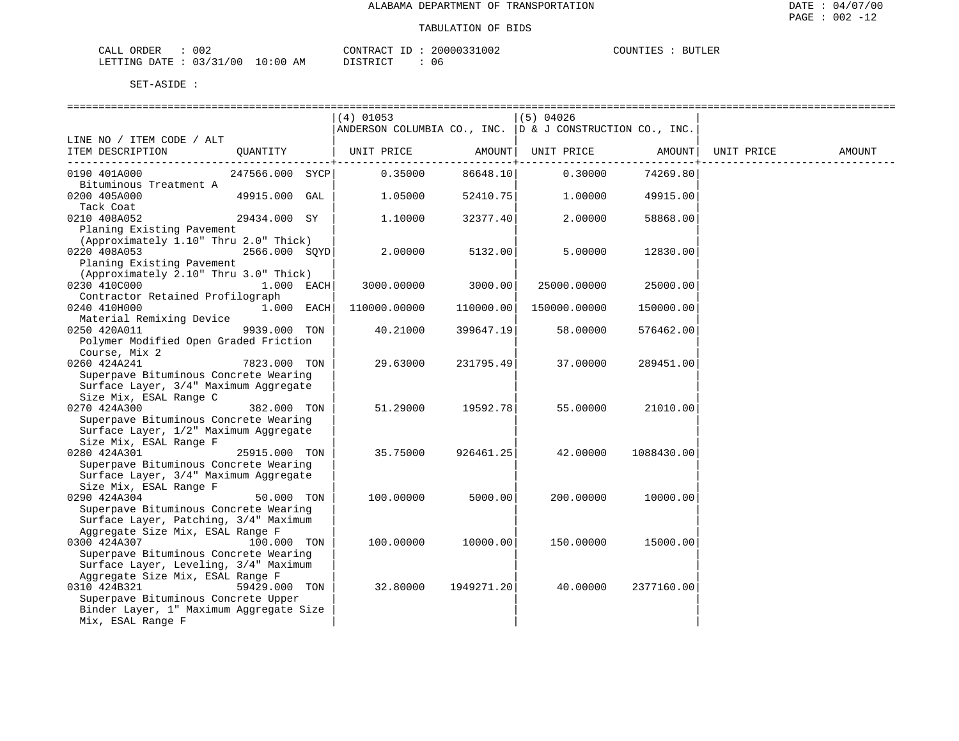| 002<br>ORDER<br>. . ۱<br>----         |                              | $- -$<br>' R ∆ (<br>.ON' |      | <b>BUTLER</b><br>™™™<br>. |
|---------------------------------------|------------------------------|--------------------------|------|---------------------------|
| ' 0 0<br>חימר<br>$\sim$<br>ING-<br>__ | ΔM<br>$\sim$ 115 $\sim$<br>∸ | חחי                      | -U G |                           |

|                                                                                                     |                 | ==============================<br>$(4)$ 01053<br>ANDERSON COLUMBIA CO., INC. D & J CONSTRUCTION CO., INC. |            | $(5)$ 04026  |            |            |        |
|-----------------------------------------------------------------------------------------------------|-----------------|-----------------------------------------------------------------------------------------------------------|------------|--------------|------------|------------|--------|
| LINE NO / ITEM CODE / ALT<br>ITEM DESCRIPTION                                                       | QUANTITY        | UNIT PRICE                                                                                                | AMOUNT     | UNIT PRICE   | AMOUNT     | UNIT PRICE | AMOUNT |
| 0190 401A000                                                                                        | 247566.000 SYCP | 0.35000                                                                                                   | 86648.10   | 0.30000      | 74269.80   |            |        |
| Bituminous Treatment A<br>0200 405A000                                                              | 49915.000 GAL   | 1,05000                                                                                                   | 52410.75   | 1,00000      | 49915.00   |            |        |
| Tack Coat<br>0210 408A052                                                                           | 29434.000 SY    | 1,10000                                                                                                   | 32377.40   | 2.00000      | 58868.00   |            |        |
| Planing Existing Pavement<br>(Approximately 1.10" Thru 2.0" Thick)                                  |                 |                                                                                                           |            |              |            |            |        |
| 0220 408A053                                                                                        | 2566.000 SQYD   | 2.00000                                                                                                   | 5132.00    | 5.00000      | 12830.00   |            |        |
| Planing Existing Pavement<br>(Approximately 2.10" Thru 3.0" Thick)                                  |                 |                                                                                                           |            |              |            |            |        |
| 0230 410C000                                                                                        | $1.000$ EACH    | 3000.00000                                                                                                | 3000.00    | 25000.00000  | 25000.00   |            |        |
| Contractor Retained Profilograph<br>0240 410H000<br>Material Remixing Device                        | 1.000 EACH      | 110000.00000                                                                                              | 110000.00  | 150000.00000 | 150000.00  |            |        |
| 0250 420A011<br>Polymer Modified Open Graded Friction                                               | 9939.000 TON    | 40.21000                                                                                                  | 399647.19  | 58.00000     | 576462.00  |            |        |
| Course, Mix 2<br>0260 424A241<br>Superpave Bituminous Concrete Wearing                              | 7823.000 TON    | 29.63000                                                                                                  | 231795.49  | 37.00000     | 289451.00  |            |        |
| Surface Layer, 3/4" Maximum Aggregate                                                               |                 |                                                                                                           |            |              |            |            |        |
| Size Mix, ESAL Range C<br>0270 424A300                                                              | 382.000 TON     | 51.29000                                                                                                  | 19592.78   | 55.00000     | 21010.00   |            |        |
| Superpave Bituminous Concrete Wearing<br>Surface Layer, 1/2" Maximum Aggregate                      |                 |                                                                                                           |            |              |            |            |        |
| Size Mix, ESAL Range F<br>0280 424A301                                                              | 25915.000 TON   | 35.75000                                                                                                  | 926461.25  | 42.00000     | 1088430.00 |            |        |
| Superpave Bituminous Concrete Wearing<br>Surface Layer, 3/4" Maximum Aggregate                      |                 |                                                                                                           |            |              |            |            |        |
| Size Mix, ESAL Range F                                                                              |                 |                                                                                                           |            |              |            |            |        |
| 0290 424A304<br>Superpave Bituminous Concrete Wearing                                               | 50.000 TON      | 100.00000                                                                                                 | 5000.00    | 200.00000    | 10000.00   |            |        |
| Surface Layer, Patching, 3/4" Maximum<br>Aggregate Size Mix, ESAL Range F                           |                 |                                                                                                           |            |              |            |            |        |
| 0300 424A307                                                                                        | 100.000 TON     | 100.00000                                                                                                 | 10000.00   | 150.00000    | 15000.00   |            |        |
| Superpave Bituminous Concrete Wearing<br>Surface Layer, Leveling, 3/4" Maximum                      |                 |                                                                                                           |            |              |            |            |        |
| Aggregate Size Mix, ESAL Range F<br>0310 424B321                                                    | 59429.000 TON   | 32.80000                                                                                                  | 1949271.20 | 40.00000     | 2377160.00 |            |        |
| Superpave Bituminous Concrete Upper<br>Binder Layer, 1" Maximum Aggregate Size<br>Mix, ESAL Range F |                 |                                                                                                           |            |              |            |            |        |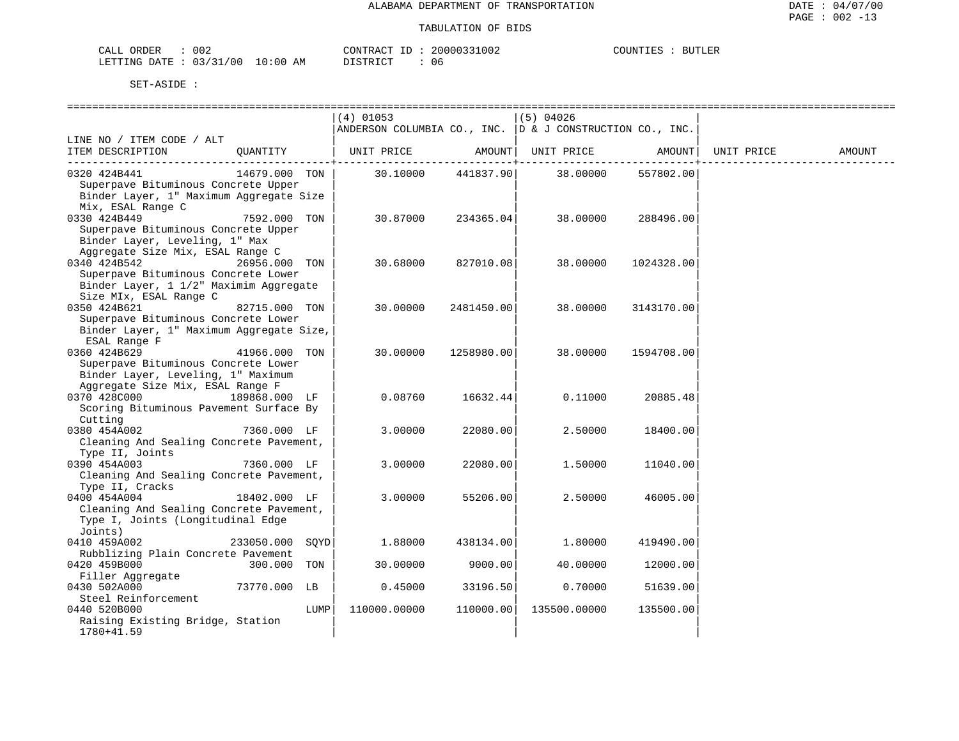| ORDER<br>CALL (               | 002 |    | CONTRACT ID         |  | 20000331002 | COUNTIES | <b>BUTLER</b> |
|-------------------------------|-----|----|---------------------|--|-------------|----------|---------------|
| LETTING DATE : 03/31/00 10:00 |     | AΜ | חי הדי אידי את<br>. |  | 06          |          |               |

|                                                  |               |      | $(4)$ 01053                                              |                    | $(5)$ 04026                    |            |            |        |
|--------------------------------------------------|---------------|------|----------------------------------------------------------|--------------------|--------------------------------|------------|------------|--------|
|                                                  |               |      | ANDERSON COLUMBIA CO., INC. D & J CONSTRUCTION CO., INC. |                    |                                |            |            |        |
| LINE NO / ITEM CODE / ALT                        |               |      |                                                          |                    |                                |            |            |        |
| ITEM DESCRIPTION                                 | OUANTITY      |      |                                                          |                    | UNIT PRICE AMOUNT   UNIT PRICE | AMOUNT     | UNIT PRICE | AMOUNT |
| 0320 424B441                                     | 14679.000 TON |      |                                                          | 30.10000 441837.90 | 38.00000                       | 557802.00  |            |        |
| Superpave Bituminous Concrete Upper              |               |      |                                                          |                    |                                |            |            |        |
| Binder Layer, 1" Maximum Aggregate Size          |               |      |                                                          |                    |                                |            |            |        |
| Mix, ESAL Range C                                |               |      |                                                          |                    |                                |            |            |        |
| 0330 424B449                                     | 7592.000 TON  |      | 30.87000                                                 | 234365.04          | 38.00000                       | 288496.00  |            |        |
| Superpave Bituminous Concrete Upper              |               |      |                                                          |                    |                                |            |            |        |
| Binder Layer, Leveling, 1" Max                   |               |      |                                                          |                    |                                |            |            |        |
| Aggregate Size Mix, ESAL Range C                 |               |      |                                                          |                    |                                |            |            |        |
| 0340 424B542                                     | 26956.000 TON |      | 30.68000                                                 | 827010.08          | 38,00000                       | 1024328.00 |            |        |
| Superpave Bituminous Concrete Lower              |               |      |                                                          |                    |                                |            |            |        |
| Binder Layer, 1 1/2" Maximim Aggregate           |               |      |                                                          |                    |                                |            |            |        |
| Size MIx, ESAL Range C<br>0350 424B621           | 82715.000 TON |      | 30.00000                                                 | 2481450.00         | 38.00000                       | 3143170.00 |            |        |
| Superpave Bituminous Concrete Lower              |               |      |                                                          |                    |                                |            |            |        |
| Binder Layer, 1" Maximum Aggregate Size,         |               |      |                                                          |                    |                                |            |            |        |
| ESAL Range F                                     |               |      |                                                          |                    |                                |            |            |        |
| 0360 424B629                                     | 41966.000 TON |      | 30,00000                                                 | 1258980.00         | 38.00000                       | 1594708.00 |            |        |
| Superpave Bituminous Concrete Lower              |               |      |                                                          |                    |                                |            |            |        |
| Binder Layer, Leveling, 1" Maximum               |               |      |                                                          |                    |                                |            |            |        |
| Aggregate Size Mix, ESAL Range F                 |               |      |                                                          |                    |                                |            |            |        |
| 0370 428C000<br>189868.000 LF                    |               |      | 0.08760                                                  | 16632.44           | 0.11000                        | 20885.48   |            |        |
| Scoring Bituminous Pavement Surface By           |               |      |                                                          |                    |                                |            |            |        |
| Cutting                                          |               |      |                                                          |                    |                                |            |            |        |
| 0380 454A002                                     | 7360.000 LF   |      | 3,00000                                                  | 22080.00           | 2.50000                        | 18400.00   |            |        |
| Cleaning And Sealing Concrete Pavement,          |               |      |                                                          |                    |                                |            |            |        |
| Type II, Joints<br>0390 454A003                  | 7360.000 LF   |      | 3.00000                                                  | 22080.00           | 1,50000                        | 11040.00   |            |        |
| Cleaning And Sealing Concrete Pavement,          |               |      |                                                          |                    |                                |            |            |        |
| Type II, Cracks                                  |               |      |                                                          |                    |                                |            |            |        |
| 0400 454A004                                     | 18402.000 LF  |      | 3.00000                                                  | 55206.00           | 2.50000                        | 46005.00   |            |        |
| Cleaning And Sealing Concrete Pavement,          |               |      |                                                          |                    |                                |            |            |        |
| Type I, Joints (Longitudinal Edge                |               |      |                                                          |                    |                                |            |            |        |
| Joints)                                          |               |      |                                                          |                    |                                |            |            |        |
| 0410 459A002                                     | 233050.000    | SOYD | 1.88000                                                  | 438134.00          | 1,80000                        | 419490.00  |            |        |
| Rubblizing Plain Concrete Pavement               |               |      |                                                          |                    |                                |            |            |        |
| 0420 459B000                                     | 300.000 TON   |      | 30.00000                                                 | 9000.00            | 40.00000                       | 12000.00   |            |        |
| Filler Aggregate                                 |               |      |                                                          |                    |                                |            |            |        |
| 0430 502A000                                     | 73770.000 LB  |      | 0.45000                                                  | 33196.50           | 0.70000                        | 51639.00   |            |        |
| Steel Reinforcement                              |               |      |                                                          |                    |                                |            |            |        |
| 0440 520B000<br>Raising Existing Bridge, Station |               | LUMP | 110000.00000                                             | 110000.00          | 135500.00000                   | 135500.00  |            |        |
| 1780+41.59                                       |               |      |                                                          |                    |                                |            |            |        |
|                                                  |               |      |                                                          |                    |                                |            |            |        |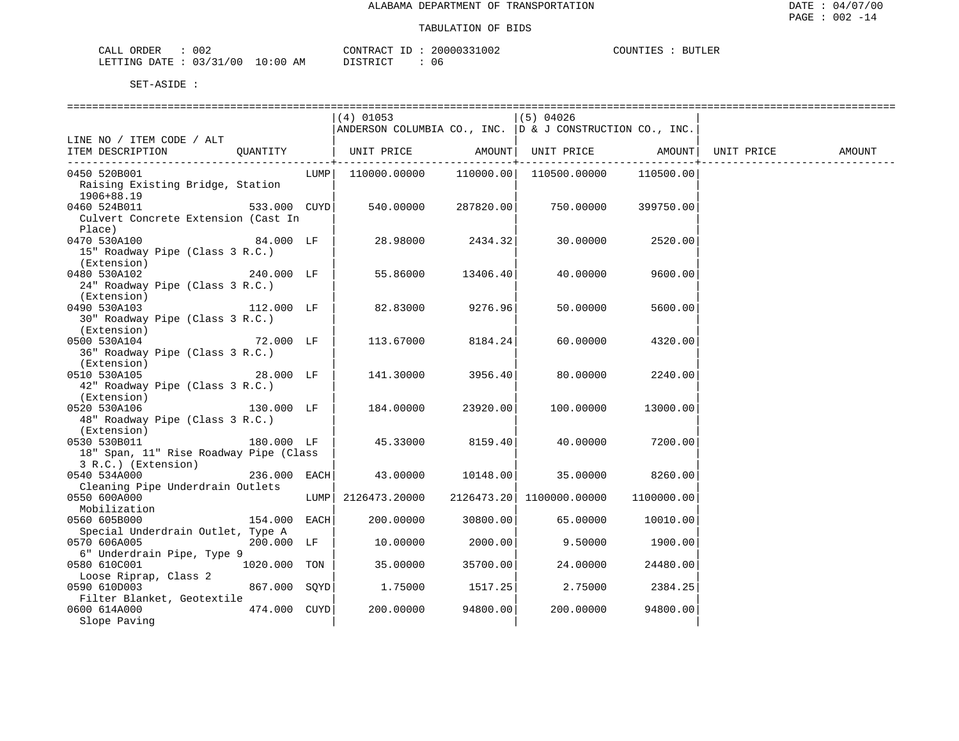| 002<br>ORDER<br>CALL         |             | CONTRACT<br>$ -$<br>л. | 20000331002 | COUNTIES | <b>BUTLER</b> |
|------------------------------|-------------|------------------------|-------------|----------|---------------|
| 03/31/00<br>LETTING<br>DATE. | 10:00<br>AM | חימת קידי את ה         | 06          |          |               |

|                                        |              | (4) 01053                                                    |                      | (5) 04026                             |                     |                   |  |
|----------------------------------------|--------------|--------------------------------------------------------------|----------------------|---------------------------------------|---------------------|-------------------|--|
|                                        |              | ANDERSON COLUMBIA CO., INC. $ D \& J$ CONSTRUCTION CO., INC. |                      |                                       |                     |                   |  |
| LINE NO / ITEM CODE / ALT              |              |                                                              |                      |                                       |                     |                   |  |
| ITEM DESCRIPTION QUANTITY              |              | UNIT PRICE AMOUNT  UNIT PRICE AMOUNT                         |                      |                                       |                     | UNIT PRICE AMOUNT |  |
|                                        |              |                                                              |                      |                                       |                     |                   |  |
| 0450 520B001                           |              |                                                              |                      |                                       | 110500.00           |                   |  |
| Raising Existing Bridge, Station       |              |                                                              |                      |                                       |                     |                   |  |
|                                        |              |                                                              |                      |                                       |                     |                   |  |
| 1906+88.19                             |              |                                                              |                      |                                       |                     |                   |  |
| 533.000 CUYD<br>0460 524B011           |              |                                                              | 540.00000 287820.00  |                                       | 750.00000 399750.00 |                   |  |
| Culvert Concrete Extension (Cast In    |              |                                                              |                      |                                       |                     |                   |  |
| Place)                                 |              |                                                              |                      |                                       |                     |                   |  |
| 0470 530A100                           | 84.000 LF    |                                                              | $28.98000$ $2434.32$ | 30.00000                              | 2520.00             |                   |  |
| 15" Roadway Pipe (Class 3 R.C.)        |              |                                                              |                      |                                       |                     |                   |  |
| (Extension)                            |              |                                                              |                      |                                       |                     |                   |  |
| 240.000 LF<br>0480 530A102             |              | 55.86000                                                     | 13406.40             | 40.00000                              | 9600.00             |                   |  |
| 24" Roadway Pipe (Class 3 R.C.)        |              |                                                              |                      |                                       |                     |                   |  |
| (Extension)                            |              |                                                              |                      |                                       |                     |                   |  |
| 0490 530A103                           | 112.000 LF   | 82.83000                                                     | 9276.96              | 50.00000                              | 5600.00             |                   |  |
| 30" Roadway Pipe (Class 3 R.C.)        |              |                                                              |                      |                                       |                     |                   |  |
|                                        |              |                                                              |                      |                                       |                     |                   |  |
| (Extension)<br>72.000 LF               |              |                                                              |                      |                                       |                     |                   |  |
| 0500 530A104                           |              | 113.67000                                                    | 8184.24              | 60.00000                              | 4320.00             |                   |  |
| 36" Roadway Pipe (Class 3 R.C.)        |              |                                                              |                      |                                       |                     |                   |  |
| (Extension)                            |              |                                                              |                      |                                       |                     |                   |  |
| 28.000 LF<br>0510 530A105              |              | 141.30000                                                    | 3956.40              | 80.00000                              | 2240.00             |                   |  |
| 42" Roadway Pipe (Class 3 R.C.)        |              |                                                              |                      |                                       |                     |                   |  |
| (Extension)                            |              |                                                              |                      |                                       |                     |                   |  |
| 0520 530A106                           | 130.000 LF   | 184.00000 23920.00                                           |                      | 100.00000                             | 13000.00            |                   |  |
| 48" Roadway Pipe (Class 3 R.C.)        |              |                                                              |                      |                                       |                     |                   |  |
| (Extension)                            |              |                                                              |                      |                                       |                     |                   |  |
| 180.000 LF<br>0530 530B011             |              | 45.33000                                                     | 8159.40              | 40.00000                              | 7200.00             |                   |  |
| 18" Span, 11" Rise Roadway Pipe (Class |              |                                                              |                      |                                       |                     |                   |  |
| 3 R.C.) (Extension)                    |              |                                                              |                      |                                       |                     |                   |  |
| 0540 534A000                           |              | 43.00000                                                     |                      |                                       |                     |                   |  |
|                                        | 236.000 EACH |                                                              | 10148.00             | 35.00000                              | 8260.00             |                   |  |
| Cleaning Pipe Underdrain Outlets       |              |                                                              |                      |                                       |                     |                   |  |
| 0550 600A000                           |              | LUMP 2126473.20000                                           |                      | 2126473.20  1100000.00000  1100000.00 |                     |                   |  |
| Mobilization                           |              |                                                              |                      |                                       |                     |                   |  |
| 0560 605B000                           | 154.000 EACH | 200.00000                                                    | 30800.00             | 65.00000                              | 10010.00            |                   |  |
| Special Underdrain Outlet, Type A      |              |                                                              |                      |                                       |                     |                   |  |
| 0570 606A005                           | 200.000 LF   | 10.00000                                                     | 2000.00              | 9.50000                               | 1900.00             |                   |  |
| 6" Underdrain Pipe, Type 9             |              |                                                              |                      |                                       |                     |                   |  |
| 0580 610C001                           | 1020.000 TON | 35.00000                                                     | 35700.00             | 24.00000                              | 24480.00            |                   |  |
| Loose Riprap, Class 2                  |              |                                                              |                      |                                       |                     |                   |  |
| 0590 610D003                           | 867.000 SQYD | 1.75000                                                      | 1517.25              | 2.75000                               | 2384.25             |                   |  |
| Filter Blanket, Geotextile             |              |                                                              |                      |                                       |                     |                   |  |
| 0600 614A000                           | 474.000 CUYD | 200.00000                                                    | 94800.00             |                                       | 94800.00            |                   |  |
|                                        |              |                                                              |                      | 200.00000                             |                     |                   |  |
| Slope Paving                           |              |                                                              |                      |                                       |                     |                   |  |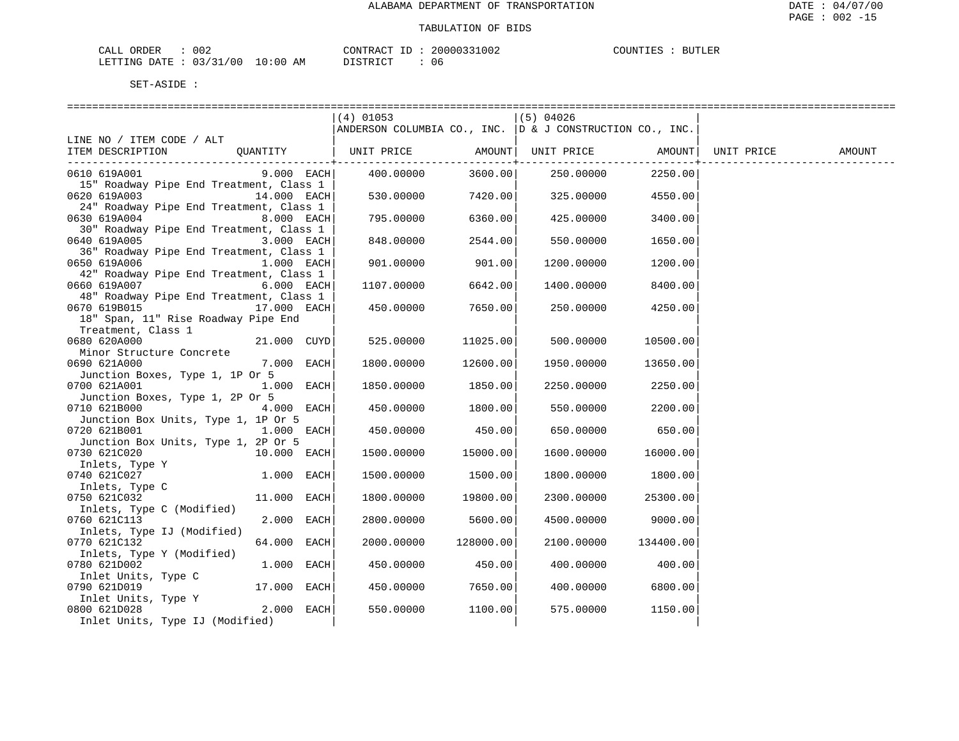| ORDER<br>CALL          | 002 |             | CONTRACT ID: | 20000331002 | COUNTIES | <b>BUTLER</b> |
|------------------------|-----|-------------|--------------|-------------|----------|---------------|
| LETTING DATE: 03/31/00 |     | 10:00<br>AM | DISTRICT     | 06          |          |               |

|                                                                      |              | $(4)$ 01053                                              |               | $(5)$ 04026 |           |            |        |
|----------------------------------------------------------------------|--------------|----------------------------------------------------------|---------------|-------------|-----------|------------|--------|
|                                                                      |              | ANDERSON COLUMBIA CO., INC. D & J CONSTRUCTION CO., INC. |               |             |           |            |        |
| LINE NO / ITEM CODE / ALT                                            |              |                                                          |               |             |           |            |        |
| QUANTITY   UNIT PRICE AMOUNT  UNIT PRICE AMOUNT <br>ITEM DESCRIPTION |              |                                                          | ----------+-- |             |           | UNIT PRICE | AMOUNT |
| 0610 619A001                                                         | $9.000$ EACH | 400.00000                                                | 3600.00       | 250.00000   | 2250.00   |            |        |
| 15" Roadway Pipe End Treatment, Class 1                              |              |                                                          |               |             |           |            |        |
| 0620 619A003<br>14.000 EACH                                          |              | 530.00000                                                | 7420.00       | 325.00000   | 4550.00   |            |        |
| 24" Roadway Pipe End Treatment, Class 1                              |              |                                                          |               |             |           |            |        |
| 0630 619A004                                                         | 8.000 EACH   | 795.00000                                                | 6360.00       | 425.00000   | 3400.00   |            |        |
| 30" Roadway Pipe End Treatment, Class 1                              |              |                                                          |               |             |           |            |        |
|                                                                      | $3.000$ EACH | 848.00000                                                | 2544.00       | 550.00000   | 1650.00   |            |        |
| 36" Roadway Pipe End Treatment, Class 1                              |              |                                                          |               |             |           |            |        |
| 0650 619A006<br>42" Roadway Pipe End Treatment, Class 1              | 1.000 EACH   | 901.00000                                                | 901.00        | 1200.00000  | 1200.00   |            |        |
| 0660 619A007                                                         | $6.000$ EACH | 1107.00000                                               | 6642.00       | 1400.00000  | 8400.00   |            |        |
| 48" Roadway Pipe End Treatment, Class 1                              |              |                                                          |               |             |           |            |        |
| 0670 619B015<br>17.000 EACH                                          |              | 450.00000                                                | 7650.00       | 250.00000   | 4250.00   |            |        |
| 18" Span, 11" Rise Roadway Pipe End                                  |              |                                                          |               |             |           |            |        |
| Treatment, Class 1                                                   |              |                                                          |               |             |           |            |        |
| 0680 620A000<br>21.000 CUYD                                          |              | 525.00000                                                | 11025.00      | 500.00000   | 10500.00  |            |        |
| Minor Structure Concrete                                             |              |                                                          |               |             |           |            |        |
| 0690 621A000                                                         | 7.000 EACH   | 1800.00000                                               | 12600.00      | 1950.00000  | 13650.00  |            |        |
| Junction Boxes, Type 1, 1P Or 5                                      |              |                                                          |               |             |           |            |        |
| 0700 621A001                                                         | 1.000 EACH   | 1850.00000                                               | 1850.00       | 2250.00000  | 2250.00   |            |        |
| Junction Boxes, Type 1, 2P Or 5                                      |              |                                                          |               |             |           |            |        |
| 0710 621B000<br>$4.000$ EACH                                         |              | 450.00000                                                | 1800.00       | 550.00000   | 2200.00   |            |        |
| Junction Box Units, Type 1, 1P Or 5<br>0720 621B001<br>$1.000$ EACH  |              | 450.00000                                                | 450.00        | 650.00000   | 650.00    |            |        |
| Junction Box Units, Type 1, 2P Or 5                                  |              |                                                          |               |             |           |            |        |
| 0730 621C020<br>10.000 EACH                                          |              | 1500.00000                                               | 15000.00      | 1600.00000  | 16000.00  |            |        |
| Inlets, Type Y                                                       |              |                                                          |               |             |           |            |        |
| 0740 621C027<br>1.000 EACH                                           |              | 1500.00000                                               | 1500.00       | 1800.00000  | 1800.00   |            |        |
| Inlets, Type C                                                       |              |                                                          |               |             |           |            |        |
| 0750 621C032<br>11.000 EACH                                          |              | 1800.00000                                               | 19800.00      | 2300.00000  | 25300.00  |            |        |
| Inlets, Type C (Modified)                                            |              |                                                          |               |             |           |            |        |
| 0760 621C113                                                         | 2.000 EACH   | 2800.00000                                               | 5600.00       | 4500.00000  | 9000.00   |            |        |
| Inlets, Type IJ (Modified)                                           |              |                                                          |               |             |           |            |        |
| 0770 621C132<br>64.000 EACH                                          |              | 2000.00000                                               | 128000.00     | 2100.00000  | 134400.00 |            |        |
| Inlets, Type Y (Modified)                                            |              |                                                          |               |             |           |            |        |
| 0780 621D002<br>$1.000$ EACH                                         |              | 450.00000                                                | 450.00        | 400.00000   | 400.00    |            |        |
| Inlet Units, Type C<br>0790 621D019<br>17.000 EACH                   |              | 450.00000                                                | 7650.00       | 400.00000   | 6800.00   |            |        |
| Inlet Units, Type Y                                                  |              |                                                          |               |             |           |            |        |
| 0800 621D028                                                         | $2.000$ EACH | 550.00000                                                | 1100.00       | 575.00000   | 1150.00   |            |        |
| Inlet Units, Type IJ (Modified)                                      |              |                                                          |               |             |           |            |        |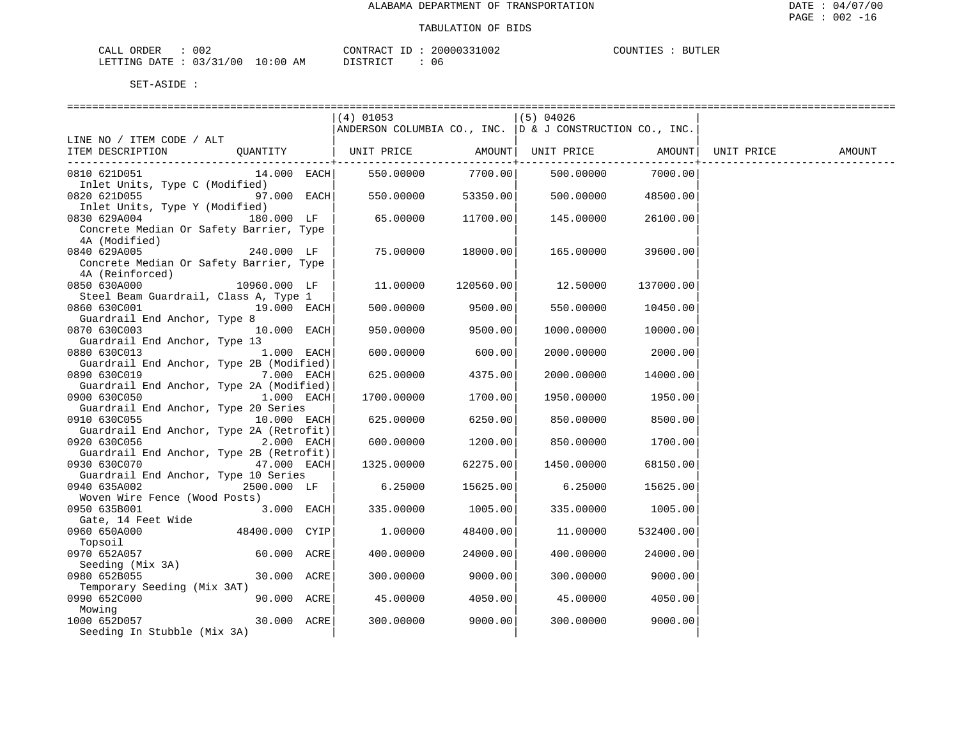| ORDER<br>CALL | 002        |             | CONTRACT<br>$-1$ | 20000331002 | COUNTIES | <b>BUTLER</b> |
|---------------|------------|-------------|------------------|-------------|----------|---------------|
| LETTING DATE  | : 03/31/00 | 10:00<br>ΑM | חימת סידים דרי   | 06          |          |               |

|                                                                         | (4) 01053                                                    |                         | (5) 04026                |                   |            |        |
|-------------------------------------------------------------------------|--------------------------------------------------------------|-------------------------|--------------------------|-------------------|------------|--------|
|                                                                         | ANDERSON COLUMBIA CO., INC. $ D \& J$ CONSTRUCTION CO., INC. |                         |                          |                   |            |        |
| LINE NO / ITEM CODE / ALT                                               |                                                              |                         |                          |                   |            |        |
| QUANTITY   UNIT PRICE<br>ITEM DESCRIPTION                               |                                                              |                         | AMOUNT UNIT PRICE AMOUNT |                   | UNIT PRICE | AMOUNT |
|                                                                         |                                                              | ----------+-<br>7700.00 |                          |                   |            |        |
| 0810 621D051<br>14.000 EACH <br>Inlet Units, Type C (Modified)          | 550.00000                                                    |                         |                          | 500.00000 7000.00 |            |        |
| 0820 621D055<br>97.000 EACH                                             | 550.00000                                                    | 53350.00                | 500.00000                | 48500.00          |            |        |
| Inlet Units, Type Y (Modified)                                          |                                                              |                         |                          |                   |            |        |
| 0830 629A004<br>180.000 LF                                              | 65.00000                                                     | 11700.00                | 145.00000                | 26100.00          |            |        |
| Concrete Median Or Safety Barrier, Type                                 |                                                              |                         |                          |                   |            |        |
| 4A (Modified)                                                           |                                                              |                         |                          |                   |            |        |
| 0840 629A005<br>240.000 LF                                              | 75.00000                                                     | 18000.00                | 165.00000                | 39600.00          |            |        |
| Concrete Median Or Safety Barrier, Type                                 |                                                              |                         |                          |                   |            |        |
| 4A (Reinforced)                                                         |                                                              |                         |                          |                   |            |        |
| 0850 630A000<br>10960.000 LF                                            | 11.00000                                                     | 120560.00               | 12.50000                 | 137000.00         |            |        |
| Steel Beam Guardrail, Class A, Type 1<br>19.000 EACH<br>0860 630C001    | 500.00000                                                    | 9500.00                 | 550.00000                | 10450.00          |            |        |
| Guardrail End Anchor, Type 8                                            |                                                              |                         |                          |                   |            |        |
| 0870 630C003<br>10.000 EACH                                             | 950.00000                                                    | 9500.00                 | 1000.00000               | 10000.00          |            |        |
| Guardrail End Anchor, Type 13                                           |                                                              |                         |                          |                   |            |        |
| 0880 630C013<br>1.000 EACH                                              | 600.00000                                                    | 600.00                  | 2000.00000               | 2000.00           |            |        |
| Guardrail End Anchor, Type 2B (Modified)                                |                                                              |                         |                          |                   |            |        |
| 7.000 EACH                                                              | 625.00000                                                    | 4375.00                 | 2000.00000               | 14000.00          |            |        |
| Guardrail End Anchor, Type 2A (Modified)                                |                                                              |                         |                          |                   |            |        |
| 0900 630C050<br>1.000 EACH                                              | 1700.00000                                                   | 1700.00                 | 1950.00000               | 1950.00           |            |        |
| Guardrail End Anchor, Type 20 Series                                    |                                                              |                         |                          |                   |            |        |
| 0910 630C055<br>10.000 EACH                                             | 625.00000                                                    | 6250.00                 | 850.00000                | 8500.00           |            |        |
| Guardrail End Anchor, Type 2A (Retrofit)                                |                                                              |                         |                          |                   |            |        |
| 0920 630C056<br>2.000 EACH                                              | 600.00000                                                    | 1200.00                 | 850.00000                | 1700.00           |            |        |
| Guardrail End Anchor, Type 2B (Retrofit)<br>0930 630C070<br>47.000 EACH |                                                              | 62275.00                |                          | 68150.00          |            |        |
| Guardrail End Anchor, Type 10 Series                                    | 1325.00000                                                   |                         | 1450.00000               |                   |            |        |
| 2500.000 LF<br>0940 635A002                                             | 6.25000                                                      | 15625.00                | 6.25000                  | 15625.00          |            |        |
| Woven Wire Fence (Wood Posts)                                           |                                                              |                         |                          |                   |            |        |
| 0950 635B001<br>$3.000$ EACH                                            | 335.00000                                                    | 1005.00                 | 335.00000                | 1005.00           |            |        |
| Gate, 14 Feet Wide                                                      |                                                              |                         |                          |                   |            |        |
| 48400.000 CYIP<br>0960 650A000                                          | 1.00000                                                      | 48400.00                | 11,00000                 | 532400.00         |            |        |
| Topsoil                                                                 |                                                              |                         |                          |                   |            |        |
| 0970 652A057<br>60.000 ACRE                                             | 400.00000                                                    | 24000.00                | 400,00000                | 24000.00          |            |        |
| Seeding (Mix 3A)                                                        |                                                              |                         |                          |                   |            |        |
| 0980 652B055<br>30.000 ACRE                                             | 300.00000                                                    | 9000.00                 | 300.00000                | 9000.00           |            |        |
| Temporary Seeding (Mix 3AT)                                             |                                                              |                         |                          |                   |            |        |
| 0990 652C000<br>90.000 ACRE                                             | 45.00000                                                     | 4050.00                 | 45.00000                 | 4050.00           |            |        |
| Mowing                                                                  |                                                              |                         |                          |                   |            |        |
| 1000 652D057<br>30.000 ACRE                                             | 300.00000                                                    | 9000.00                 | 300.00000                | 9000.00           |            |        |
| Seeding In Stubble (Mix 3A)                                             |                                                              |                         |                          |                   |            |        |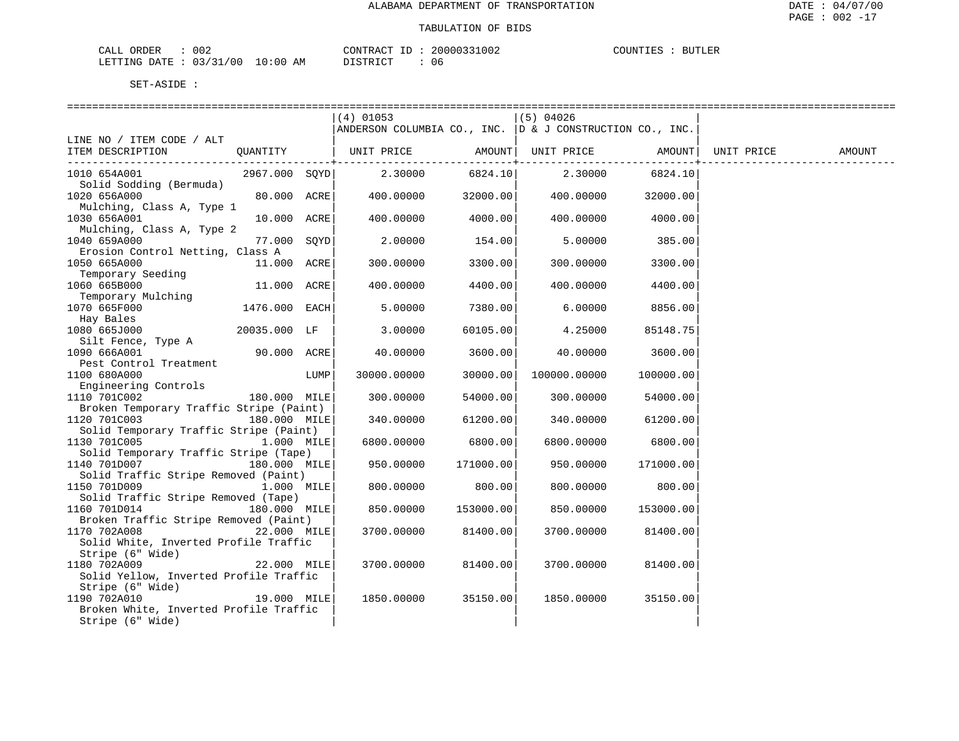| 002<br>CALL ORDER               | CONTRACT<br>ID | 20000331002 | <b>BUTLER</b><br>COUNTIES |
|---------------------------------|----------------|-------------|---------------------------|
| LETTING DATE: 03/31/00 10:00 AM | DISTRICT       | 06          |                           |

|                                                                     | (4) 01053                                                    |           | (5) 04026    |                           |            |        |
|---------------------------------------------------------------------|--------------------------------------------------------------|-----------|--------------|---------------------------|------------|--------|
|                                                                     | ANDERSON COLUMBIA CO., INC. $ D \& J$ CONSTRUCTION CO., INC. |           |              |                           |            |        |
| LINE NO / ITEM CODE / ALT                                           |                                                              |           |              |                           |            |        |
| ITEM DESCRIPTION<br>QUANTITY                                        | UNIT PRICE AMOUNT  UNIT PRICE AMOUNT                         | --------  |              | . _ _ _ _ _ _ _ _ _ _ _ _ | UNIT PRICE | AMOUNT |
| 1010 654A001<br>2967.000 SQYD                                       | 2.30000                                                      | 6824.10   | 2.30000      | 6824.10                   |            |        |
| Solid Sodding (Bermuda)                                             |                                                              |           |              |                           |            |        |
| 1020 656A000<br>80.000 ACRE                                         | 400.00000                                                    | 32000.00  | 400.00000    | 32000.00                  |            |        |
| Mulching, Class A, Type 1                                           |                                                              |           |              |                           |            |        |
| 1030 656A001<br>10.000 ACRE                                         | 400.00000                                                    | 4000.00   | 400.00000    | 4000.00                   |            |        |
| Mulching, Class A, Type 2<br>1040 659A000<br>77.000 SOYD            | 2,00000                                                      | 154.00    | 5.00000      | 385.00                    |            |        |
| Erosion Control Netting, Class A                                    |                                                              |           |              |                           |            |        |
| 1050 665A000<br>11.000 ACRE                                         | 300.00000                                                    | 3300.00   | 300.00000    | 3300.00                   |            |        |
| Temporary Seeding                                                   |                                                              |           |              |                           |            |        |
| 1060 665B000<br>11.000 ACRE                                         | 400.00000                                                    | 4400.00   | 400.00000    | 4400.00                   |            |        |
| Temporary Mulching                                                  |                                                              |           |              |                           |            |        |
| 1070 665F000<br>1476.000 EACH                                       | 5.00000                                                      | 7380.00   | 6.00000      | 8856.00                   |            |        |
| Hay Bales                                                           |                                                              |           |              |                           |            |        |
| 1080 665J000<br>20035.000 LF<br>Silt Fence, Type A                  | 3.00000                                                      | 60105.00  | 4.25000      | 85148.75                  |            |        |
| 1090 666A001<br>90.000 ACRE                                         | 40.00000                                                     | 3600.00   | 40.00000     | 3600.00                   |            |        |
| Pest Control Treatment                                              |                                                              |           |              |                           |            |        |
| 1100 680A000<br>LUMP                                                | 30000.00000                                                  | 30000.00  | 100000.00000 | 100000.00                 |            |        |
| Engineering Controls                                                |                                                              |           |              |                           |            |        |
| 1110 701C002<br>180.000 MILE                                        | 300.00000                                                    | 54000.00  | 300.00000    | 54000.00                  |            |        |
| Broken Temporary Traffic Stripe (Paint)                             |                                                              |           |              |                           |            |        |
| 1120 701C003<br>180.000 MILE                                        | 340.00000                                                    | 61200.00  | 340.00000    | 61200.00                  |            |        |
| Solid Temporary Traffic Stripe (Paint)                              |                                                              |           |              |                           |            |        |
| 1130 701C005<br>1.000 MILE<br>Solid Temporary Traffic Stripe (Tape) | 6800.00000                                                   | 6800.00   | 6800.00000   | 6800.00                   |            |        |
| 1140 701D007<br>180.000 MILE                                        | 950.00000                                                    | 171000.00 | 950.00000    | 171000.00                 |            |        |
| Solid Traffic Stripe Removed (Paint)                                |                                                              |           |              |                           |            |        |
| 1150 701D009<br>1.000 MILE                                          | 800.00000                                                    | 800.00    | 800,00000    | 800.00                    |            |        |
| Solid Traffic Stripe Removed (Tape)                                 |                                                              |           |              |                           |            |        |
| 1160 701D014<br>180.000 MILE                                        | 850.00000                                                    | 153000.00 | 850.00000    | 153000.00                 |            |        |
| Broken Traffic Stripe Removed (Paint)                               |                                                              |           |              |                           |            |        |
| 1170 702A008<br>22.000 MILE                                         | 3700.00000                                                   | 81400.00  | 3700.00000   | 81400.00                  |            |        |
| Solid White, Inverted Profile Traffic<br>Stripe (6" Wide)           |                                                              |           |              |                           |            |        |
| 1180 702A009<br>22.000 MILE                                         | 3700.00000                                                   | 81400.00  | 3700.00000   | 81400.00                  |            |        |
| Solid Yellow, Inverted Profile Traffic                              |                                                              |           |              |                           |            |        |
| Stripe (6" Wide)                                                    |                                                              |           |              |                           |            |        |
| 1190 702A010<br>19.000 MILE                                         | 1850.00000                                                   | 35150.00  | 1850.00000   | 35150.00                  |            |        |
| Broken White, Inverted Profile Traffic                              |                                                              |           |              |                           |            |        |
| Stripe (6" Wide)                                                    |                                                              |           |              |                           |            |        |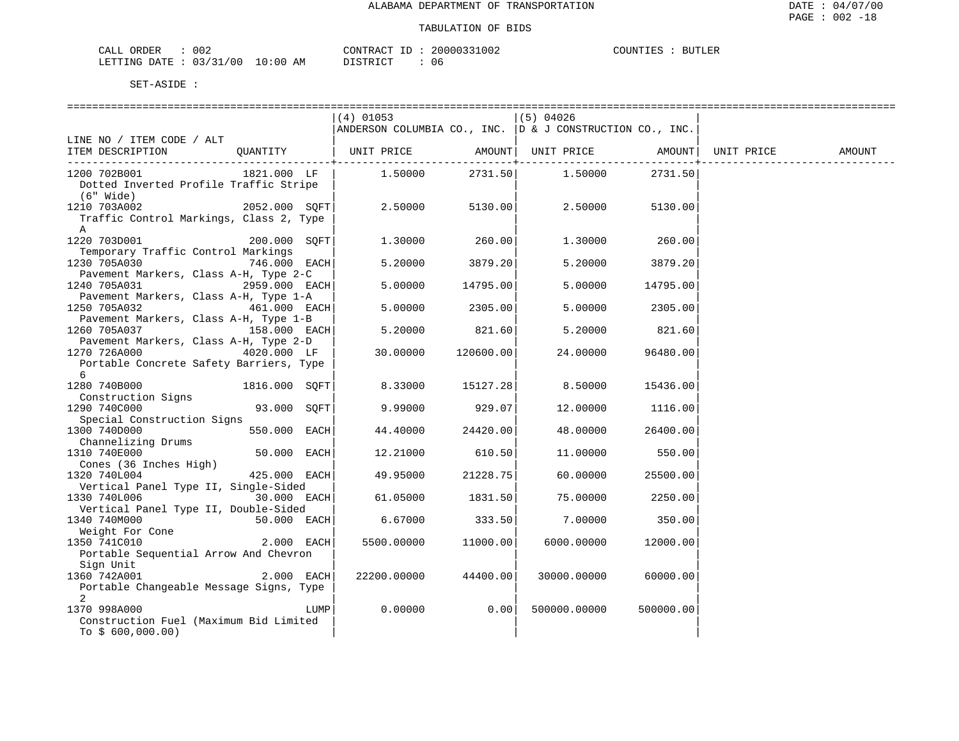| ORDER<br>CALL          | 002 |             | CONTRACT         | 20000331002 | COUNTIES | <b>BUTLER</b> |
|------------------------|-----|-------------|------------------|-------------|----------|---------------|
| LETTING DATE: 03/31/00 |     | 10:00<br>ΑM | די היה דמיד<br>. | 06          |          |               |

|                                            | (4) 01053                                                 |           | (5) 04026                  |           |            |        |
|--------------------------------------------|-----------------------------------------------------------|-----------|----------------------------|-----------|------------|--------|
|                                            | ANDERSON COLUMBIA CO., INC.  D & J CONSTRUCTION CO., INC. |           |                            |           |            |        |
| LINE NO / ITEM CODE / ALT                  |                                                           |           |                            |           |            |        |
| OUANTITY<br>ITEM DESCRIPTION               | UNIT PRICE                                                |           | AMOUNT   UNIT PRICE AMOUNT |           | UNIT PRICE | AMOUNT |
|                                            |                                                           | -------+- |                            |           |            |        |
| 1200 702B001<br>1821.000 LF                | 1.50000                                                   | 2731.50   | 1.50000                    | 2731.50   |            |        |
| Dotted Inverted Profile Traffic Stripe     |                                                           |           |                            |           |            |        |
| (6" Wide)                                  |                                                           |           |                            |           |            |        |
| 2052.000 SOFT<br>1210 703A002              | 2.50000                                                   | 5130.00   | 2.50000                    | 5130.00   |            |        |
| Traffic Control Markings, Class 2, Type    |                                                           |           |                            |           |            |        |
| A                                          |                                                           |           |                            |           |            |        |
| 1220 703D001<br>200.000 SOFT               | 1,30000                                                   | 260.00    | 1.30000                    | 260.00    |            |        |
| Temporary Traffic Control Markings         |                                                           |           |                            |           |            |        |
| 1230 705A030<br>746.000 EACH               | 5.20000                                                   | 3879.20   | 5.20000                    | 3879.20   |            |        |
| Pavement Markers, Class A-H, Type 2-C      |                                                           |           |                            |           |            |        |
| 1240 705A031<br>2959.000 EACH              | 5.00000                                                   | 14795.00  | 5.00000                    | 14795.00  |            |        |
| Pavement Markers, Class A-H, Type 1-A      |                                                           |           |                            |           |            |        |
| 1250 705A032<br>$461.000$ EACH             | 5.00000                                                   | 2305.00   | 5,00000                    | 2305.00   |            |        |
| Pavement Markers, Class A-H, Type 1-B      |                                                           |           |                            |           |            |        |
| 158.000 EACH<br>1260 705A037               | 5.20000                                                   | 821.60    | 5.20000                    | 821.60    |            |        |
| Pavement Markers, Class A-H, Type 2-D      |                                                           |           |                            |           |            |        |
| 1270 726A000<br>4020.000 LF                | 30.00000                                                  | 120600.00 | 24,00000                   | 96480.00  |            |        |
| Portable Concrete Safety Barriers, Type    |                                                           |           |                            |           |            |        |
| 6                                          |                                                           |           |                            |           |            |        |
| 1280 740B000<br>1816.000 SQFT              | 8.33000                                                   | 15127.28  | 8.50000                    | 15436.00  |            |        |
| Construction Signs                         |                                                           |           |                            |           |            |        |
| 1290 740C000<br>93.000 SOFT                | 9.99000                                                   | 929.07    | 12.00000                   | 1116.00   |            |        |
| Special Construction Signs<br>550.000 EACH |                                                           |           |                            |           |            |        |
| 1300 740D000<br>Channelizing Drums         | 44.40000                                                  | 24420.00  | 48.00000                   | 26400.00  |            |        |
| 1310 740E000<br>$50.000$ EACH              | 12.21000                                                  | 610.50    | 11,00000                   | 550.00    |            |        |
| Cones (36 Inches High)                     |                                                           |           |                            |           |            |        |
| 1320 740L004<br>425.000 EACH               | 49.95000                                                  | 21228.75  | 60.00000                   | 25500.00  |            |        |
| Vertical Panel Type II, Single-Sided       |                                                           |           |                            |           |            |        |
| 1330 740L006<br>30.000 EACH                | 61.05000                                                  | 1831.50   | 75.00000                   | 2250.00   |            |        |
| Vertical Panel Type II, Double-Sided       |                                                           |           |                            |           |            |        |
| 1340 740M000<br>50.000 EACH                | 6.67000                                                   | 333.50    | 7.00000                    | 350.00    |            |        |
| Weight For Cone                            |                                                           |           |                            |           |            |        |
| 1350 741C010<br>2.000 EACH                 | 5500.00000                                                | 11000.00  | 6000.00000                 | 12000.00  |            |        |
| Portable Sequential Arrow And Chevron      |                                                           |           |                            |           |            |        |
| Sign Unit                                  |                                                           |           |                            |           |            |        |
| 1360 742A001<br>2.000 EACH                 | 22200.00000                                               | 44400.00  | 30000.00000                | 60000.00  |            |        |
| Portable Changeable Message Signs, Type    |                                                           |           |                            |           |            |        |
| 2                                          |                                                           |           |                            |           |            |        |
| 1370 998A000<br>LUMP                       | 0.00000                                                   | 0.00      | 500000.00000               | 500000.00 |            |        |
| Construction Fuel (Maximum Bid Limited     |                                                           |           |                            |           |            |        |
| To $$600,000.00)$                          |                                                           |           |                            |           |            |        |
|                                            |                                                           |           |                            |           |            |        |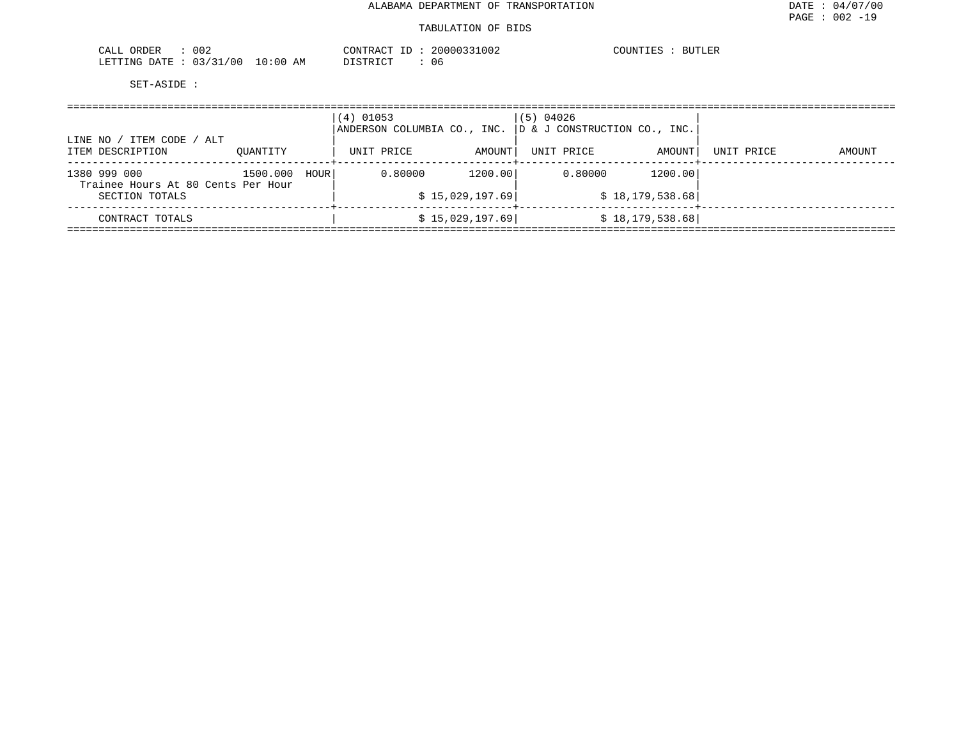#### TABULATION OF BIDS

| 002<br>ORDER<br>$\sim$ $\sim$ $\sim$ $\sim$<br>سسدت | CONTRACT               | 20000331002 | $C$ $C$ $T$ $T$ $T$ $T$ $T$ $C$<br><b>BUTLER</b><br>COUNIIE: |
|-----------------------------------------------------|------------------------|-------------|--------------------------------------------------------------|
| /00<br>: 03/31<br>LETTING DATE                      | $10:00$ AM<br>DISTRICT | U t         |                                                              |

|                                                        | $(4)$ 01053 |  | $(5)$ 04026                 |                                                           |                                                                    |        |
|--------------------------------------------------------|-------------|--|-----------------------------|-----------------------------------------------------------|--------------------------------------------------------------------|--------|
| OUANTITY                                               | UNIT PRICE  |  | UNIT PRICE                  | AMOUNT                                                    | UNIT PRICE                                                         | AMOUNT |
| 1500.000<br>HOUR<br>Trainee Hours At 80 Cents Per Hour | 0.80000     |  | 0.80000                     | 1200.00                                                   |                                                                    |        |
|                                                        |             |  |                             |                                                           |                                                                    |        |
|                                                        |             |  |                             |                                                           |                                                                    |        |
|                                                        |             |  | ANDERSON COLUMBIA CO., INC. | AMOUNT  <br>1200.00<br>\$15,029,197.69<br>\$15,029,197.69 | D & J CONSTRUCTION CO., INC.<br>\$18,179,538.68<br>\$18,179,538.68 |        |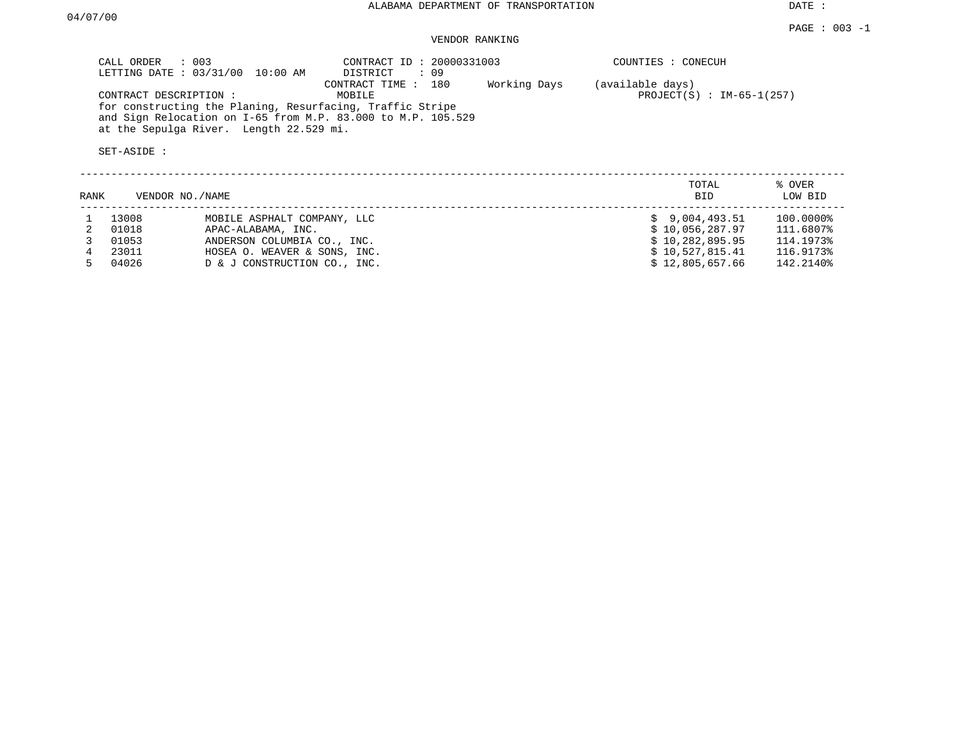DATE :

### VENDOR RANKING

| CALL ORDER : 003<br>LETTING DATE : 03/31/00 10:00 AM                                                                      | CONTRACT ID: 20000331003<br>DISTRICT<br>: 09 |              | COUNTIES : CONECUH          |
|---------------------------------------------------------------------------------------------------------------------------|----------------------------------------------|--------------|-----------------------------|
|                                                                                                                           | CONTRACT TIME : 180                          | Working Days | (available days)            |
| CONTRACT DESCRIPTION :                                                                                                    | MOBILE                                       |              | $PROJECT(S)$ : IM-65-1(257) |
| for constructing the Planing, Resurfacing, Traffic Stripe<br>and Sign Relocation on I-65 from M.P. 83.000 to M.P. 105.529 |                                              |              |                             |
| at the Sepulga River. Length 22.529 mi.                                                                                   |                                              |              |                             |
| SET-ASIDE :                                                                                                               |                                              |              |                             |

| RANK | VENDOR NO./NAME |                              | TOTAL<br><b>BID</b> | % OVER<br>LOW BID |
|------|-----------------|------------------------------|---------------------|-------------------|
|      | 13008           | MOBILE ASPHALT COMPANY, LLC  | \$9,004,493.51      | 100.0000%         |
|      | 01018           | APAC-ALABAMA, INC.           | \$10,056,287.97     | 111.6807%         |
|      | 01053           | ANDERSON COLUMBIA CO., INC.  | \$10,282,895.95     | 114.1973%         |
|      | 23011           | HOSEA O. WEAVER & SONS, INC. | \$10,527,815.41     | 116.9173%         |
|      | 04026           | D & J CONSTRUCTION CO., INC. | \$12,805,657.66     | 142.2140%         |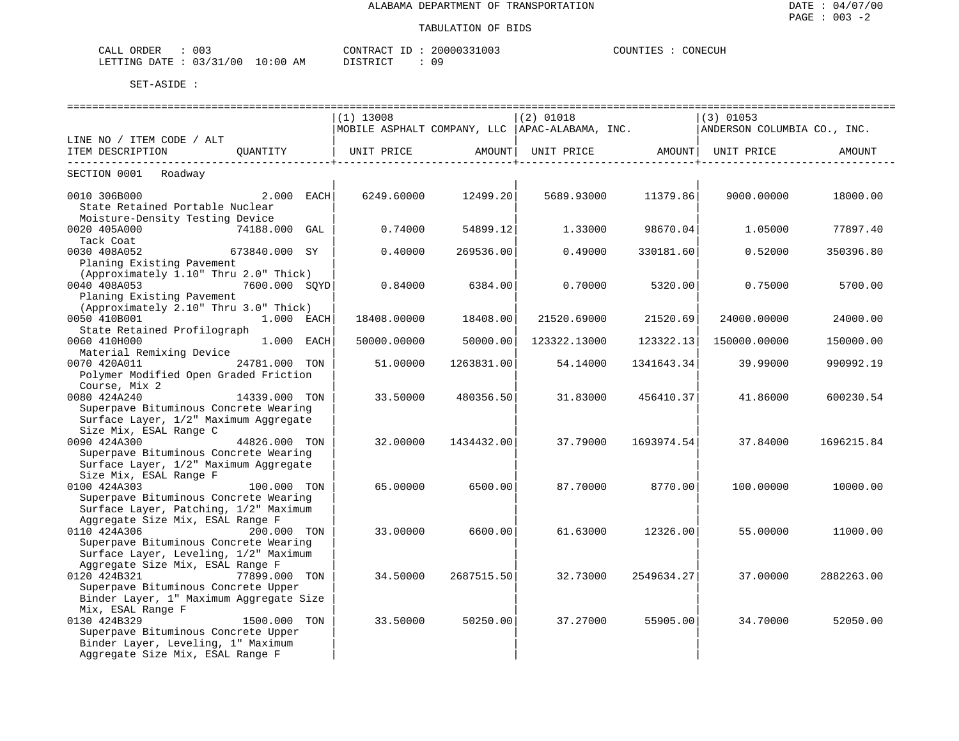| CALL ORDER<br>the contract of the contract of the contract of the contract of the contract of | 003 |          | CONTRACT ID: 20000331003 | COUNTIES | CONECUH |
|-----------------------------------------------------------------------------------------------|-----|----------|--------------------------|----------|---------|
| LETTING DATE : 03/31/00 10:00 AM                                                              |     | DISTRICT | 09                       |          |         |

|                                         |               | $(1)$ 13008       |                     | $(2)$ 01018  |                     | $(3)$ 01053                                                                |            |  |
|-----------------------------------------|---------------|-------------------|---------------------|--------------|---------------------|----------------------------------------------------------------------------|------------|--|
|                                         |               |                   |                     |              |                     | MOBILE ASPHALT COMPANY, LLC APAC-ALABAMA, INC. ANDERSON COLUMBIA CO., INC. |            |  |
| LINE NO / ITEM CODE / ALT               |               |                   |                     |              |                     |                                                                            |            |  |
| ITEM DESCRIPTION QUANTITY               |               | UNIT PRICE AMOUNT |                     |              |                     | UNIT PRICE AMOUNT UNIT PRICE                                               | AMOUNT     |  |
|                                         |               |                   |                     |              |                     |                                                                            |            |  |
| SECTION 0001 Roadway                    |               |                   |                     |              |                     |                                                                            |            |  |
| 0010 306B000 2.000 EACH                 |               |                   | 6249.60000 12499.20 |              | 5689.93000 11379.86 | 9000.00000                                                                 | 18000.00   |  |
| State Retained Portable Nuclear         |               |                   |                     |              |                     |                                                                            |            |  |
| Moisture-Density Testing Device         |               |                   |                     |              |                     |                                                                            |            |  |
| 0020 405A000<br>74188.000 GAL           |               | 0.74000           | 54899.12            | 1.33000      | 98670.04            |                                                                            | 77897.40   |  |
| Tack Coat                               |               |                   |                     |              |                     | 1.05000                                                                    |            |  |
| 673840.000 SY                           |               |                   |                     |              |                     |                                                                            |            |  |
| 0030 408A052                            |               | 0.40000           | 269536.00           | 0.49000      | 330181.60           | 0.52000                                                                    | 350396.80  |  |
| Planing Existing Pavement               |               |                   |                     |              |                     |                                                                            |            |  |
| (Approximately 1.10" Thru 2.0" Thick)   |               |                   |                     |              |                     |                                                                            |            |  |
| $7600.000$ SQYD<br>0040 408A053         |               | 0.84000           | 6384.00             | 0.70000      | 5320.00             | 0.75000                                                                    | 5700.00    |  |
| Planing Existing Pavement               |               |                   |                     |              |                     |                                                                            |            |  |
| (Approximately 2.10" Thru 3.0" Thick)   |               |                   |                     |              |                     |                                                                            |            |  |
| 0050 410B001<br>1.000 EACH              |               | 18408.00000       | 18408.00            | 21520.69000  | 21520.69            | 24000.00000                                                                | 24000.00   |  |
| State Retained Profilograph             |               |                   |                     |              |                     |                                                                            |            |  |
| 0060 410H000<br>1.000 EACH              |               | 50000.00000       | 50000.00            | 123322.13000 | 123322.13           | 150000.00000                                                               | 150000.00  |  |
| Material Remixing Device                |               |                   |                     |              |                     |                                                                            |            |  |
| 24781.000 TON<br>0070 420A011           |               | 51,00000          | 1263831.00          | 54.14000     | 1341643.34          | 39,99000                                                                   | 990992.19  |  |
| Polymer Modified Open Graded Friction   |               |                   |                     |              |                     |                                                                            |            |  |
| Course, Mix 2                           |               |                   |                     |              |                     |                                                                            |            |  |
| 0080 424A240                            | 14339.000 TON | 33.50000          | 480356.50           | 31.83000     | 456410.37           | 41.86000                                                                   | 600230.54  |  |
| Superpave Bituminous Concrete Wearing   |               |                   |                     |              |                     |                                                                            |            |  |
| Surface Layer, 1/2" Maximum Aggregate   |               |                   |                     |              |                     |                                                                            |            |  |
| Size Mix, ESAL Range C                  |               |                   |                     |              |                     |                                                                            |            |  |
| 0090 424A300                            | 44826.000 TON | 32.00000          | 1434432.00          | 37.79000     | 1693974.54          | 37.84000                                                                   | 1696215.84 |  |
| Superpave Bituminous Concrete Wearing   |               |                   |                     |              |                     |                                                                            |            |  |
| Surface Layer, 1/2" Maximum Aggregate   |               |                   |                     |              |                     |                                                                            |            |  |
| Size Mix, ESAL Range F                  |               |                   |                     |              |                     |                                                                            |            |  |
| 0100 424A303                            | 100.000 TON   | 65.00000          | 6500.00             |              | 87.70000 8770.00    | 100.00000                                                                  | 10000.00   |  |
| Superpave Bituminous Concrete Wearing   |               |                   |                     |              |                     |                                                                            |            |  |
| Surface Layer, Patching, 1/2" Maximum   |               |                   |                     |              |                     |                                                                            |            |  |
| Aggregate Size Mix, ESAL Range F        |               |                   |                     |              |                     |                                                                            |            |  |
| 0110 424A306                            | 200.000 TON   | 33.00000          | 6600.00             | 61.63000     | 12326.00            | 55.00000                                                                   | 11000.00   |  |
| Superpave Bituminous Concrete Wearing   |               |                   |                     |              |                     |                                                                            |            |  |
| Surface Layer, Leveling, 1/2" Maximum   |               |                   |                     |              |                     |                                                                            |            |  |
| Aggregate Size Mix, ESAL Range F        |               |                   |                     |              |                     |                                                                            |            |  |
| 0120 424B321                            | 77899.000 TON | 34.50000          | 2687515.50          | 32.73000     | 2549634.27          | 37.00000                                                                   | 2882263.00 |  |
| Superpave Bituminous Concrete Upper     |               |                   |                     |              |                     |                                                                            |            |  |
| Binder Layer, 1" Maximum Aggregate Size |               |                   |                     |              |                     |                                                                            |            |  |
| Mix, ESAL Range F                       |               |                   |                     |              |                     |                                                                            |            |  |
| 0130 424B329                            | 1500.000 TON  | 33.50000          | 50250.00            |              | 37.27000 55905.00   | 34.70000                                                                   | 52050.00   |  |
| Superpave Bituminous Concrete Upper     |               |                   |                     |              |                     |                                                                            |            |  |
| Binder Layer, Leveling, 1" Maximum      |               |                   |                     |              |                     |                                                                            |            |  |
| Aggregate Size Mix, ESAL Range F        |               |                   |                     |              |                     |                                                                            |            |  |
|                                         |               |                   |                     |              |                     |                                                                            |            |  |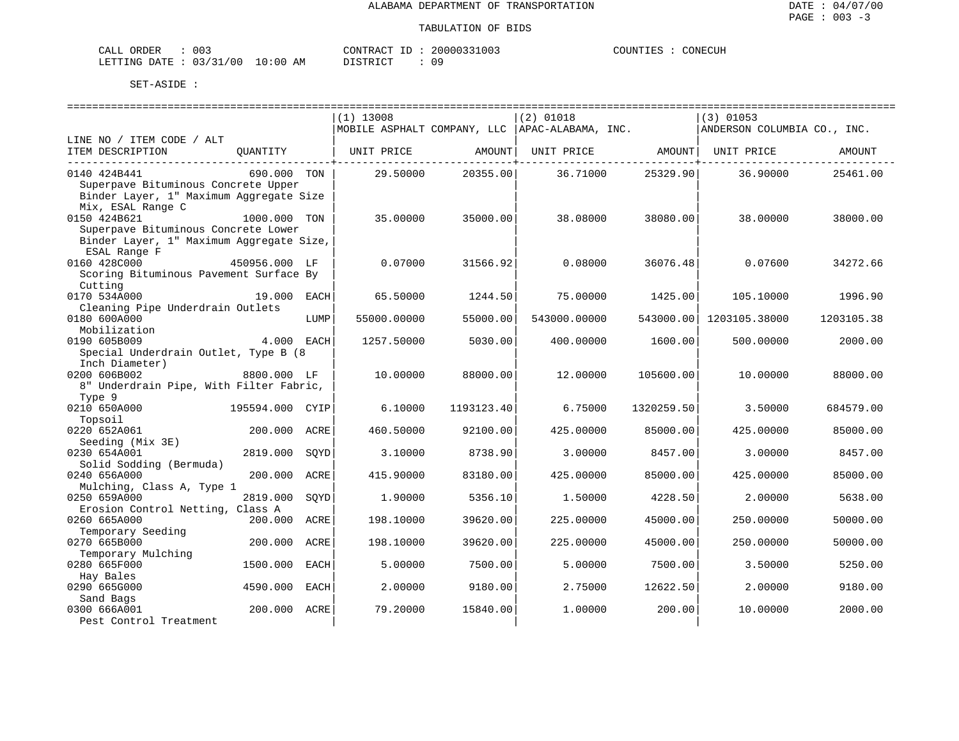| ORDER<br>CALI          | 003 |               | CONTRACT  | TD. | 20000331003 | COUNTIES | CONECUH |
|------------------------|-----|---------------|-----------|-----|-------------|----------|---------|
| LETTING DATE: 03/31/00 |     | LO : 00<br>AM | T STR TOT |     | n a         |          |         |

|                                          |                 |      | $(1)$ 13008 |            | $(2)$ 01018                                     |            | $(3)$ 01053                 |            |
|------------------------------------------|-----------------|------|-------------|------------|-------------------------------------------------|------------|-----------------------------|------------|
|                                          |                 |      |             |            | MOBILE ASPHALT COMPANY, LLC  APAC-ALABAMA, INC. |            | ANDERSON COLUMBIA CO., INC. |            |
| LINE NO / ITEM CODE / ALT                |                 |      |             |            |                                                 |            |                             |            |
| ITEM DESCRIPTION                         | QUANTITY        |      | UNIT PRICE  | AMOUNT     | UNIT PRICE                                      | AMOUNT     | UNIT PRICE                  | AMOUNT     |
|                                          |                 |      |             |            |                                                 |            |                             |            |
| 0140 424B441                             | 690.000 TON     |      | 29.50000    | 20355.00   | 36.71000                                        | 25329.90   | 36.90000                    | 25461.00   |
| Superpave Bituminous Concrete Upper      |                 |      |             |            |                                                 |            |                             |            |
| Binder Layer, 1" Maximum Aggregate Size  |                 |      |             |            |                                                 |            |                             |            |
| Mix, ESAL Range C                        |                 |      |             |            |                                                 |            |                             |            |
| 0150 424B621                             | 1000.000 TON    |      | 35.00000    | 35000.00   | 38,08000                                        | 38080.00   | 38.00000                    | 38000.00   |
| Superpave Bituminous Concrete Lower      |                 |      |             |            |                                                 |            |                             |            |
|                                          |                 |      |             |            |                                                 |            |                             |            |
| Binder Layer, 1" Maximum Aggregate Size, |                 |      |             |            |                                                 |            |                             |            |
| ESAL Range F                             |                 |      |             |            |                                                 |            |                             |            |
| 0160 428C000                             | 450956.000 LF   |      | 0.07000     | 31566.92   | 0.08000                                         | 36076.48   | 0.07600                     | 34272.66   |
| Scoring Bituminous Pavement Surface By   |                 |      |             |            |                                                 |            |                             |            |
| Cutting                                  |                 |      |             |            |                                                 |            |                             |            |
| 0170 534A000                             | 19.000          | EACH | 65.50000    | 1244.50    | 75.00000                                        | 1425.00    | 105.10000                   | 1996.90    |
| Cleaning Pipe Underdrain Outlets         |                 |      |             |            |                                                 |            |                             |            |
| 0180 600A000                             |                 | LUMP | 55000.00000 | 55000.00   | 543000.00000                                    | 543000.00  | 1203105.38000               | 1203105.38 |
| Mobilization                             |                 |      |             |            |                                                 |            |                             |            |
| 0190 605B009                             | 4.000 EACH      |      | 1257.50000  | 5030.00    | 400.00000                                       | 1600.00    | 500.00000                   | 2000.00    |
| Special Underdrain Outlet, Type B (8     |                 |      |             |            |                                                 |            |                             |            |
| Inch Diameter)                           |                 |      |             |            |                                                 |            |                             |            |
| 0200 606B002                             | 8800.000 LF     |      | 10.00000    | 88000.00   | 12,00000                                        | 105600.00  | 10,00000                    | 88000.00   |
| 8" Underdrain Pipe, With Filter Fabric,  |                 |      |             |            |                                                 |            |                             |            |
| Type 9                                   |                 |      |             |            |                                                 |            |                             |            |
| 0210 650A000                             | 195594.000 CYIP |      | 6.10000     | 1193123.40 | 6.75000                                         | 1320259.50 | 3.50000                     | 684579.00  |
| Topsoil                                  |                 |      |             |            |                                                 |            |                             |            |
| 0220 652A061                             | 200.000 ACRE    |      | 460.50000   | 92100.00   | 425,00000                                       | 85000.00   | 425.00000                   | 85000.00   |
| Seeding (Mix 3E)                         |                 |      |             |            |                                                 |            |                             |            |
|                                          |                 |      |             |            |                                                 |            |                             |            |
| 0230 654A001                             | 2819.000        | SOYD | 3.10000     | 8738.90    | 3.00000                                         | 8457.00    | 3.00000                     | 8457.00    |
| Solid Sodding (Bermuda)                  |                 |      |             |            |                                                 |            |                             |            |
| 0240 656A000                             | 200.000         | ACRE | 415.90000   | 83180.00   | 425.00000                                       | 85000.00   | 425.00000                   | 85000.00   |
| Mulching, Class A, Type 1                |                 |      |             |            |                                                 |            |                             |            |
| 0250 659A000                             | 2819.000        | SQYD | 1,90000     | 5356.10    | 1.50000                                         | 4228.50    | 2.00000                     | 5638.00    |
| Erosion Control Netting, Class A         |                 |      |             |            |                                                 |            |                             |            |
| 0260 665A000                             | 200.000 ACRE    |      | 198.10000   | 39620.00   | 225.00000                                       | 45000.00   | 250.00000                   | 50000.00   |
| Temporary Seeding                        |                 |      |             |            |                                                 |            |                             |            |
| 0270 665B000                             | 200.000         | ACRE | 198.10000   | 39620.00   | 225.00000                                       | 45000.00   | 250.00000                   | 50000.00   |
| Temporary Mulching                       |                 |      |             |            |                                                 |            |                             |            |
| 0280 665F000                             | 1500.000        | EACH | 5.00000     | 7500.00    | 5.00000                                         | 7500.00    | 3.50000                     | 5250.00    |
| Hay Bales                                |                 |      |             |            |                                                 |            |                             |            |
| 0290 665G000                             | 4590.000        | EACH | 2.00000     | 9180.00    | 2.75000                                         | 12622.50   | 2,00000                     | 9180.00    |
| Sand Bags                                |                 |      |             |            |                                                 |            |                             |            |
| 0300 666A001                             | 200.000         | ACRE | 79.20000    | 15840.00   | 1,00000                                         | 200.00     | 10.00000                    | 2000.00    |
| Pest Control Treatment                   |                 |      |             |            |                                                 |            |                             |            |
|                                          |                 |      |             |            |                                                 |            |                             |            |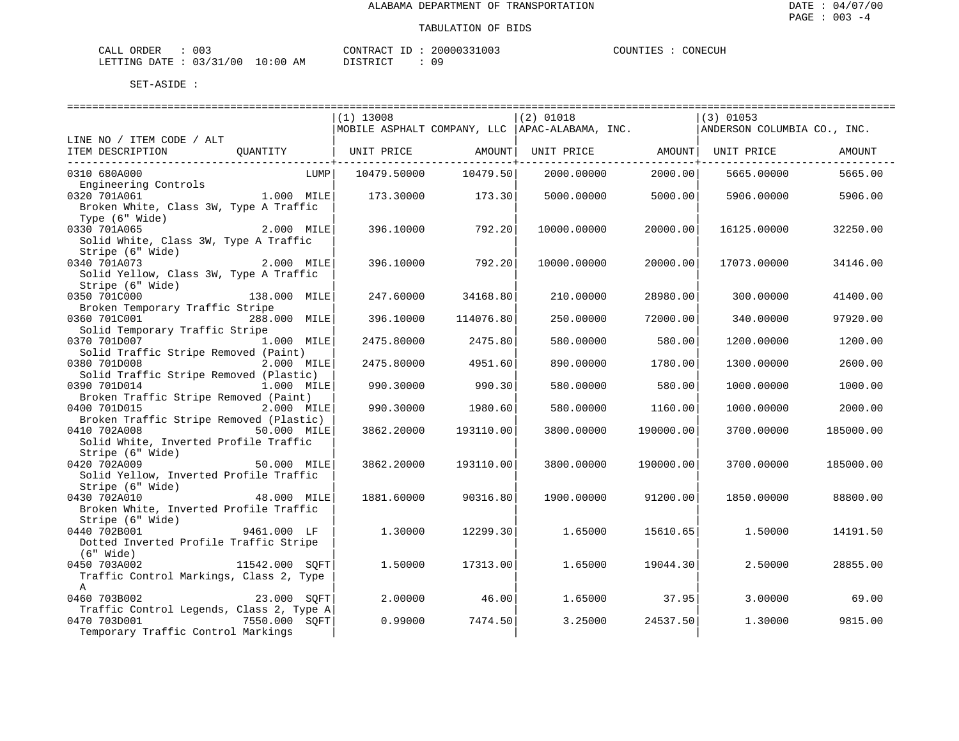| CALI | ORDER                  | ົ່<br>UU3          |             | 'ONTRAC'    | TГ | 20000331003 | COUNTIES | CONECUH |
|------|------------------------|--------------------|-------------|-------------|----|-------------|----------|---------|
|      | <b>DATE</b><br>LETTING | 0.3/31<br>/00<br>. | .0:00<br>AΜ | $\alpha$ mp |    | n a         |          |         |

|                                                                              |                | $(1)$ 13008 |           | $(2)$ 01018                                     |           | $(3)$ 01053                 |           |
|------------------------------------------------------------------------------|----------------|-------------|-----------|-------------------------------------------------|-----------|-----------------------------|-----------|
|                                                                              |                |             |           | MOBILE ASPHALT COMPANY, LLC  APAC-ALABAMA, INC. |           | ANDERSON COLUMBIA CO., INC. |           |
| LINE NO / ITEM CODE / ALT                                                    |                |             |           |                                                 |           |                             |           |
| ITEM DESCRIPTION QUANTITY   UNIT PRICE AMOUNT  UNIT PRICE AMOUNT  UNIT PRICE |                |             |           |                                                 |           |                             | AMOUNT    |
|                                                                              |                |             |           |                                                 |           |                             |           |
| 0310 680A000                                                                 | LUMP           | 10479.50000 | 10479.50  | 2000.00000                                      | 2000.00   | 5665.00000                  | 5665.00   |
| Engineering Controls                                                         |                |             |           |                                                 |           |                             |           |
| 0320 701A061                                                                 | 1.000 MILE     | 173.30000   | 173.30    | 5000.00000                                      | 5000.00   | 5906.00000                  | 5906.00   |
| Broken White, Class 3W, Type A Traffic                                       |                |             |           |                                                 |           |                             |           |
| Type (6" Wide)                                                               |                |             |           |                                                 |           |                             |           |
| 0330 701A065                                                                 | 2.000 MILE     | 396.10000   | 792.20    | 10000.00000                                     | 20000.00  | 16125.00000                 | 32250.00  |
| Solid White, Class 3W, Type A Traffic                                        |                |             |           |                                                 |           |                             |           |
| Stripe (6" Wide)                                                             | $2.000$ MILE   |             |           |                                                 |           |                             |           |
| 0340 701A073                                                                 |                | 396.10000   | 792.20    | 10000.00000                                     | 20000.00  | 17073.00000                 | 34146.00  |
| Solid Yellow, Class 3W, Type A Traffic                                       |                |             |           |                                                 |           |                             |           |
| Stripe (6" Wide)                                                             |                |             |           |                                                 |           |                             |           |
| 0350 701C000                                                                 | 138.000 MILE   | 247.60000   | 34168.80  | 210.00000                                       | 28980.00  | 300.00000                   | 41400.00  |
| Broken Temporary Traffic Stripe                                              |                |             |           |                                                 |           |                             |           |
| 0360 701C001                                                                 | 288.000 MILE   | 396.10000   | 114076.80 | 250.00000                                       | 72000.00  | 340.00000                   | 97920.00  |
| Solid Temporary Traffic Stripe<br>0370 701D007                               | 1.000 MILE     |             |           |                                                 |           |                             |           |
|                                                                              |                | 2475.80000  | 2475.80   | 580.00000                                       | 580.00    | 1200.00000                  | 1200.00   |
| Solid Traffic Stripe Removed (Paint)                                         |                |             |           |                                                 |           |                             |           |
| 0380 701D008<br>Solid Traffic Stripe Removed (Plastic)                       | 2.000 MILE     | 2475.80000  | 4951.60   | 890.00000                                       | 1780.00   | 1300.00000                  | 2600.00   |
| 0390 701D014                                                                 | 1.000 MILE     | 990.30000   | 990.30    | 580.00000                                       | 580.00    | 1000.00000                  | 1000.00   |
| Broken Traffic Stripe Removed (Paint)                                        |                |             |           |                                                 |           |                             |           |
| 0400 701D015                                                                 | 2.000 MILE     | 990.30000   | 1980.60   | 580.00000                                       | 1160.00   | 1000.00000                  | 2000.00   |
| Broken Traffic Stripe Removed (Plastic)                                      |                |             |           |                                                 |           |                             |           |
| 0410 702A008                                                                 | 50.000 MILE    | 3862.20000  | 193110.00 | 3800.00000                                      | 190000.00 | 3700.00000                  | 185000.00 |
| Solid White, Inverted Profile Traffic                                        |                |             |           |                                                 |           |                             |           |
| Stripe (6" Wide)                                                             |                |             |           |                                                 |           |                             |           |
| 0420 702A009                                                                 | $50.000$ MILE  | 3862.20000  | 193110.00 | 3800.00000                                      | 190000.00 | 3700.00000                  | 185000.00 |
| Solid Yellow, Inverted Profile Traffic                                       |                |             |           |                                                 |           |                             |           |
| Stripe (6" Wide)                                                             |                |             |           |                                                 |           |                             |           |
| 0430 702A010                                                                 | 48.000 MILE    | 1881.60000  | 90316.80  | 1900.00000                                      | 91200.00  | 1850.00000                  | 88800.00  |
| Broken White, Inverted Profile Traffic                                       |                |             |           |                                                 |           |                             |           |
| Stripe (6" Wide)                                                             |                |             |           |                                                 |           |                             |           |
| 0440 702B001                                                                 | 9461.000 LF    | 1,30000     | 12299.30  | 1.65000                                         | 15610.65  | 1,50000                     | 14191.50  |
| Dotted Inverted Profile Traffic Stripe                                       |                |             |           |                                                 |           |                             |           |
| $(6"$ Wide)                                                                  |                |             |           |                                                 |           |                             |           |
| 0450 703A002                                                                 | 11542.000 SQFT | 1,50000     | 17313.00  | 1.65000                                         | 19044.30  | 2.50000                     | 28855.00  |
| Traffic Control Markings, Class 2, Type                                      |                |             |           |                                                 |           |                             |           |
| $\mathbb{A}$                                                                 |                |             |           |                                                 |           |                             |           |
| 0460 703B002                                                                 | 23.000 SOFT    | 2,00000     | 46.00     | 1.65000                                         | 37.95     | 3,00000                     | 69.00     |
| Traffic Control Legends, Class 2, Type A                                     |                |             |           |                                                 |           |                             |           |
| 0470 703D001                                                                 | 7550.000 SOFT  | 0.99000     | 7474.50   | 3.25000                                         | 24537.50  | 1.30000                     | 9815.00   |
| Temporary Traffic Control Markings                                           |                |             |           |                                                 |           |                             |           |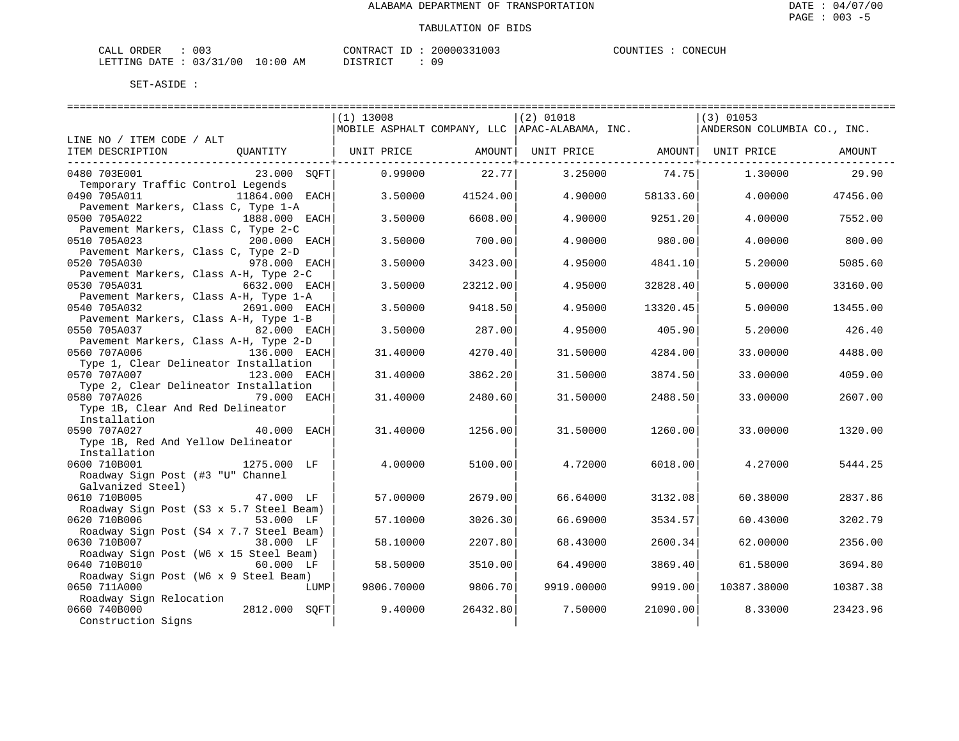| CALL ORDER                      | 003 | CONTRACT<br>' ID | 20000331003 | CONECUH<br>COUNTIES |
|---------------------------------|-----|------------------|-------------|---------------------|
| LETTING DATE: 03/31/00 10:00 AM |     | DISTRICT         | 09          |                     |

|                                                                      |                                                  |          | ============================ |          |                             |          |
|----------------------------------------------------------------------|--------------------------------------------------|----------|------------------------------|----------|-----------------------------|----------|
|                                                                      | $(1)$ 13008                                      |          | $(2)$ 01018                  |          | $(3)$ 01053                 |          |
|                                                                      | MOBILE ASPHALT COMPANY, LLC   APAC-ALABAMA, INC. |          |                              |          | ANDERSON COLUMBIA CO., INC. |          |
| LINE NO / ITEM CODE / ALT                                            |                                                  |          |                              |          |                             |          |
| ITEM DESCRIPTION<br>OUANTITY                                         | UNIT PRICE                                       | AMOUNT   | UNIT PRICE                   | AMOUNT   | UNIT PRICE                  | AMOUNT   |
|                                                                      |                                                  |          |                              |          |                             |          |
| 0480 703E001<br>23.000 SQFT                                          | 0.99000                                          | 22.77    | 3.25000                      | 74.75    | 1,30000                     | 29.90    |
| Temporary Traffic Control Legends                                    |                                                  |          |                              |          |                             |          |
| 0490 705A011<br>11864.000 EACH                                       | 3.50000                                          | 41524.00 | 4.90000                      | 58133.60 | 4.00000                     | 47456.00 |
| Pavement Markers, Class C, Type 1-A                                  |                                                  |          |                              |          |                             |          |
| 0500 705A022<br>1888.000 EACH<br>Pavement Markers, Class C, Type 2-C | 3.50000                                          | 6608.00  | 4.90000                      | 9251.20  | 4.00000                     | 7552.00  |
| 0510 705A023<br>200.000 EACH                                         | 3.50000                                          | 700.00   | 4.90000                      | 980.00   | 4.00000                     | 800.00   |
| Pavement Markers, Class C, Type 2-D                                  |                                                  |          |                              |          |                             |          |
| 0520 705A030<br>978.000 EACH                                         | 3.50000                                          | 3423.00  | 4.95000                      | 4841.10  | 5.20000                     | 5085.60  |
| Pavement Markers, Class A-H, Type 2-C                                |                                                  |          |                              |          |                             |          |
| 0530 705A031<br>6632.000 EACH                                        | 3.50000                                          | 23212.00 | 4.95000                      | 32828.40 | 5.00000                     | 33160.00 |
| Pavement Markers, Class A-H, Type 1-A                                |                                                  |          |                              |          |                             |          |
| 0540 705A032<br>2691.000 EACH                                        | 3.50000                                          | 9418.50  | 4.95000                      | 13320.45 | 5.00000                     | 13455.00 |
| Pavement Markers, Class A-H, Type 1-B                                |                                                  |          |                              |          |                             |          |
| 0550 705A037<br>82.000 EACH                                          | 3.50000                                          | 287.00   | 4.95000                      | 405.90   | 5.20000                     | 426.40   |
| Pavement Markers, Class A-H, Type 2-D                                |                                                  |          |                              |          |                             |          |
| 0560 707A006<br>136.000 EACH                                         | 31.40000                                         | 4270.40  | 31.50000                     | 4284.00  | 33.00000                    | 4488.00  |
| Type 1, Clear Delineator Installation                                |                                                  |          |                              |          |                             |          |
| 0570 707A007<br>123.000 EACH                                         | 31.40000                                         | 3862.20  | 31.50000                     | 3874.50  | 33.00000                    | 4059.00  |
| Type 2, Clear Delineator Installation                                |                                                  |          |                              |          |                             |          |
| 0580 707A026<br>79.000 EACH                                          | 31.40000                                         | 2480.60  | 31.50000                     | 2488.50  | 33,00000                    | 2607.00  |
| Type 1B, Clear And Red Delineator<br>Installation                    |                                                  |          |                              |          |                             |          |
| 0590 707A027<br>40.000<br>EACH                                       | 31.40000                                         | 1256.00  | 31.50000                     | 1260.00  | 33.00000                    | 1320.00  |
| Type 1B, Red And Yellow Delineator                                   |                                                  |          |                              |          |                             |          |
| Installation                                                         |                                                  |          |                              |          |                             |          |
| 0600 710B001<br>1275.000 LF                                          | 4.00000                                          | 5100.00  | 4.72000                      | 6018.00  | 4.27000                     | 5444.25  |
| Roadway Sign Post (#3 "U" Channel                                    |                                                  |          |                              |          |                             |          |
| Galvanized Steel)                                                    |                                                  |          |                              |          |                             |          |
| 0610 710B005<br>47.000 LF                                            | 57.00000                                         | 2679.00  | 66.64000                     | 3132.08  | 60.38000                    | 2837.86  |
| Roadway Sign Post (S3 x 5.7 Steel Beam)                              |                                                  |          |                              |          |                             |          |
| 0620 710B006<br>53.000 LF                                            | 57.10000                                         | 3026.30  | 66.69000                     | 3534.57  | 60.43000                    | 3202.79  |
| Roadway Sign Post (S4 x 7.7 Steel Beam)                              |                                                  |          |                              |          |                             |          |
| 0630 710B007<br>38.000 LF                                            | 58.10000                                         | 2207.80  | 68.43000                     | 2600.34  | 62,00000                    | 2356.00  |
| Roadway Sign Post (W6 x 15 Steel Beam)                               |                                                  |          |                              |          |                             |          |
| 0640 710B010<br>60.000 LF                                            | 58.50000                                         | 3510.00  | 64.49000                     | 3869.40  | 61.58000                    | 3694.80  |
| Roadway Sign Post (W6 x 9 Steel Beam)                                |                                                  |          |                              |          |                             |          |
| 0650 711A000<br>LUMP                                                 | 9806.70000                                       | 9806.70  | 9919.00000                   | 9919.00  | 10387.38000                 | 10387.38 |
| Roadway Sign Relocation<br>0660 740B000<br>2812.000 SOFT             | 9.40000                                          | 26432.80 | 7.50000                      | 21090.00 | 8.33000                     | 23423.96 |
| Construction Signs                                                   |                                                  |          |                              |          |                             |          |
|                                                                      |                                                  |          |                              |          |                             |          |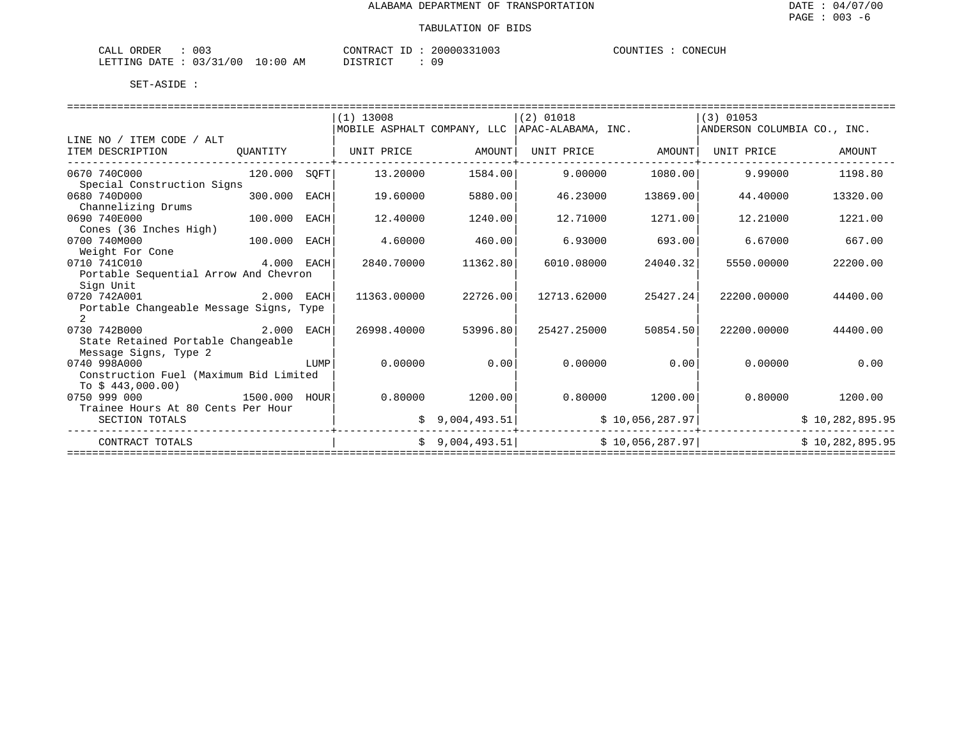| 003<br>ORDER<br>$\sim$ $ -$<br>A1.1<br>يستعدن   |                         | $- -$<br>"ON"<br>א שי      | UU 5                   | NECUH<br>ת INT" |
|-------------------------------------------------|-------------------------|----------------------------|------------------------|-----------------|
| .<br>0٥<br>RTTING.<br>חמת<br>$\sim$<br>-------- | :00<br>ΆM<br>— ⊥ ∪<br>⊷ | <b>POT STP</b><br>ມ⊥ມ⊥ນ⊥ພ⊥ | $\cap$ $\Omega$<br>. U |                 |

|                                         |              |      | $(1)$ 13008                                      |                 | $(2)$ 01018 |                 | $(3)$ 01053                 |                 |
|-----------------------------------------|--------------|------|--------------------------------------------------|-----------------|-------------|-----------------|-----------------------------|-----------------|
|                                         |              |      | MOBILE ASPHALT COMPANY, LLC   APAC-ALABAMA, INC. |                 |             |                 | ANDERSON COLUMBIA CO., INC. |                 |
| LINE NO / ITEM CODE / ALT               |              |      |                                                  |                 |             |                 |                             |                 |
| ITEM DESCRIPTION                        | OUANTITY     |      | UNIT PRICE                                       | AMOUNT          | UNIT PRICE  | AMOUNT          | UNIT PRICE                  | AMOUNT          |
| 0670 740C000                            | 120.000 SOFT |      | 13.20000                                         | 1584.00         | 9,00000     | 1080.00         | 9,99000                     | 1198.80         |
| Special Construction Signs              |              |      |                                                  |                 |             |                 |                             |                 |
| 0680 740D000                            | 300.000      | EACH | 19.60000                                         | 5880.00         | 46.23000    | 13869.00        | 44.40000                    | 13320.00        |
| Channelizing Drums                      |              |      |                                                  |                 |             |                 |                             |                 |
| 0690 740E000                            | 100.000      | EACH | 12.40000                                         | 1240.00         | 12.71000    | 1271.00         | 12,21000                    | 1221.00         |
| Cones (36 Inches High)                  |              |      |                                                  |                 |             |                 |                             |                 |
| 0700 740M000                            | 100.000      | EACH | 4.60000                                          | 460.00          | 6.93000     | 693.00          | 6.67000                     | 667.00          |
| Weight For Cone                         |              |      |                                                  |                 |             |                 |                             |                 |
| 0710 741C010                            | 4.000 EACH   |      | 2840.70000                                       | 11362.80        | 6010.08000  | 24040.32        | 5550.00000                  | 22200.00        |
| Portable Sequential Arrow And Chevron   |              |      |                                                  |                 |             |                 |                             |                 |
| Sign Unit                               |              |      |                                                  |                 |             |                 |                             |                 |
| 0720 742A001                            | 2.000 EACH   |      | 11363.00000                                      | 22726.00        | 12713.62000 | 25427.24        | 22200.00000                 | 44400.00        |
| Portable Changeable Message Signs, Type |              |      |                                                  |                 |             |                 |                             |                 |
| $\overline{2}$                          |              |      |                                                  |                 |             |                 |                             |                 |
| 0730 742B000<br>2.000                   |              | EACH | 26998.40000                                      | 53996.80        | 25427.25000 | 50854.50        | 22200.00000                 | 44400.00        |
| State Retained Portable Changeable      |              |      |                                                  |                 |             |                 |                             |                 |
| Message Signs, Type 2                   |              |      |                                                  |                 |             |                 |                             |                 |
| 0740 998A000                            |              | LUMP | 0.00000                                          | 0.00            | 0.00000     | 0.00            | 0.00000                     | 0.00            |
| Construction Fuel (Maximum Bid Limited  |              |      |                                                  |                 |             |                 |                             |                 |
| To $$443,000.00)$                       |              |      |                                                  |                 |             |                 |                             |                 |
| 0750 999 000                            | 1500.000     | HOUR | 0.80000                                          | 1200.00         | 0.80000     | 1200.00         | 0.80000                     | 1200.00         |
| Trainee Hours At 80 Cents Per Hour      |              |      |                                                  |                 |             |                 |                             |                 |
| SECTION TOTALS                          |              |      | \$                                               | 9,004,493.51    |             | \$10,056,287.97 |                             | \$10,282,895.95 |
| CONTRACT TOTALS                         |              |      |                                                  | \$9,004,493.51] |             | \$10,056,287.97 |                             | \$10,282,895.95 |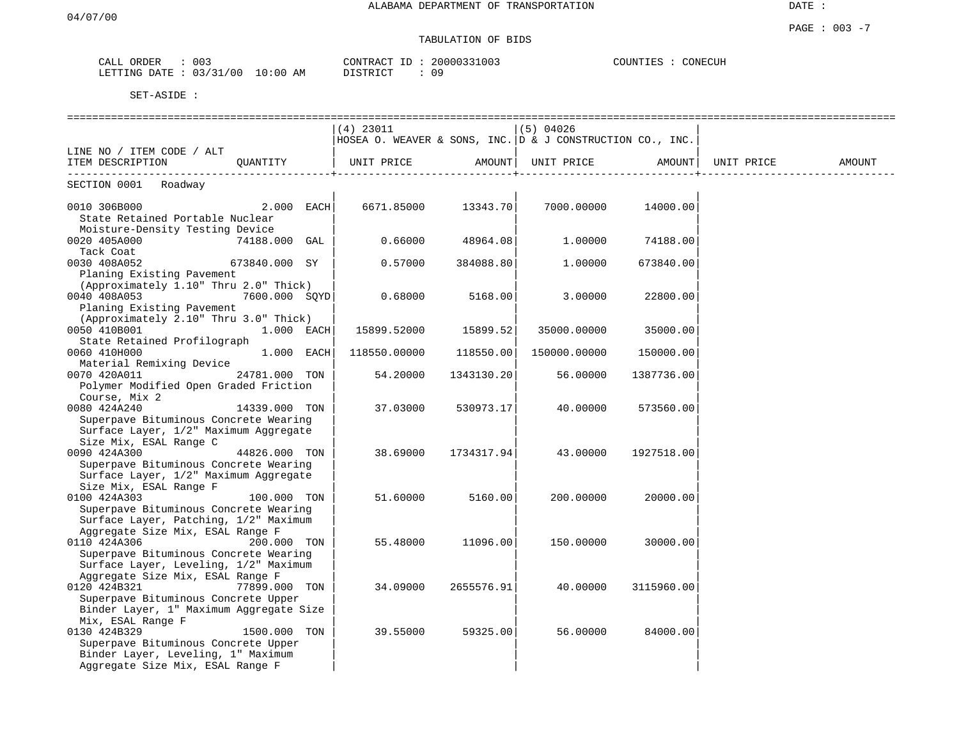# TABULATION OF BIDS

| ORDER<br>CALL   | 003      |             | CONTRACT<br>ID             | 20000331003 | COUNTIES | CONECUH |
|-----------------|----------|-------------|----------------------------|-------------|----------|---------|
| LETTING<br>DATE | 03/31/00 | 10:00<br>AΜ | ידי איד פידי פור<br>117TC. | 09          |          |         |

|                                                                                |               | $(4)$ 23011                                               |                   | $(5)$ 04026  |                     |        |
|--------------------------------------------------------------------------------|---------------|-----------------------------------------------------------|-------------------|--------------|---------------------|--------|
|                                                                                |               | HOSEA O. WEAVER & SONS, INC. D & J CONSTRUCTION CO., INC. |                   |              |                     |        |
| LINE NO / ITEM CODE / ALT                                                      |               |                                                           |                   |              |                     |        |
| ITEM DESCRIPTION QUANTITY                                                      |               | UNIT PRICE AMOUNT  UNIT PRICE AMOUNT  UNIT PRICE          |                   |              |                     | AMOUNT |
| SECTION 0001 Roadway                                                           |               |                                                           |                   |              |                     |        |
| 0010 306B000 $2.000$ EACH 6671.85000 13343.70 7000.00000 14000.00              |               |                                                           |                   |              |                     |        |
| State Retained Portable Nuclear                                                |               |                                                           |                   |              |                     |        |
| Moisture-Density Testing Device                                                |               |                                                           |                   |              |                     |        |
| 0020 405A000<br>$74188.000$ GAL                                                |               | $0.66000$ 48964.08                                        |                   | 1.00000      | 74188.00            |        |
| Tack Coat                                                                      |               |                                                           |                   |              |                     |        |
| $673840.000$ SY  <br>0030 408A052                                              |               | 0.57000                                                   | 384088.80         | 1.00000      | 673840.00           |        |
| Planing Existing Pavement                                                      |               |                                                           |                   |              |                     |        |
| (Approximately 1.10" Thru 2.0" Thick)                                          |               |                                                           |                   |              |                     |        |
| 0040 408A053                                                                   | 7600.000 SOYD | $0.68000$ 5168.00                                         |                   | 3.00000      | 22800.00            |        |
| Planing Existing Pavement                                                      |               |                                                           |                   |              |                     |        |
| (Approximately 2.10" Thru 3.0" Thick)                                          |               |                                                           |                   |              |                     |        |
| 0050 410B001                                                                   | $1.000$ EACH  | 15899.52000 15899.52                                      |                   | 35000.00000  | 35000.00            |        |
| State Retained Profilograph                                                    |               |                                                           |                   |              |                     |        |
| 0060 410H000                                                                   | $1.000$ EACH  | 118550.00000 118550.00                                    |                   | 150000.00000 | 150000.00           |        |
| Material Remixing Device                                                       |               |                                                           |                   |              |                     |        |
| 24781.000 TON<br>0070 420A011                                                  |               | 54.20000                                                  | 1343130.20        | 56.00000     | 1387736.00          |        |
| Polymer Modified Open Graded Friction                                          |               |                                                           |                   |              |                     |        |
| Course, Mix 2                                                                  |               |                                                           |                   |              |                     |        |
| 0080 424A240                                                                   | 14339.000 TON | 37.03000                                                  | 530973.17         | 40.00000     | 573560.00           |        |
| Superpave Bituminous Concrete Wearing                                          |               |                                                           |                   |              |                     |        |
| Surface Layer, 1/2" Maximum Aggregate                                          |               |                                                           |                   |              |                     |        |
| Size Mix, ESAL Range C                                                         |               |                                                           |                   |              |                     |        |
| 0090 424A300                                                                   | 44826.000 TON | 38.69000                                                  | 1734317.94        |              | 43.00000 1927518.00 |        |
| Superpave Bituminous Concrete Wearing                                          |               |                                                           |                   |              |                     |        |
| Surface Layer, 1/2" Maximum Aggregate                                          |               |                                                           |                   |              |                     |        |
| Size Mix, ESAL Range F                                                         |               |                                                           |                   |              |                     |        |
| 0100 424A303                                                                   | 100.000 TON   |                                                           | 51.60000 5160.00  | 200.00000    | 20000.00            |        |
| Superpave Bituminous Concrete Wearing                                          |               |                                                           |                   |              |                     |        |
| Surface Layer, Patching, 1/2" Maximum                                          |               |                                                           |                   |              |                     |        |
| Aggregate Size Mix, ESAL Range F                                               |               |                                                           |                   |              |                     |        |
| 0110 424A306                                                                   | 200.000 TON   |                                                           | 55.48000 11096.00 | 150.00000    | 30000.00            |        |
| Superpave Bituminous Concrete Wearing                                          |               |                                                           |                   |              |                     |        |
| Surface Layer, Leveling, 1/2" Maximum                                          |               |                                                           |                   |              |                     |        |
| Aggregate Size Mix, ESAL Range F                                               |               |                                                           |                   |              |                     |        |
| 0120 424B321                                                                   | 77899.000 TON | 34.09000                                                  | 2655576.91        | 40.00000     | 3115960.00          |        |
| Superpave Bituminous Concrete Upper<br>Binder Layer, 1" Maximum Aggregate Size |               |                                                           |                   |              |                     |        |
|                                                                                |               |                                                           |                   |              |                     |        |
| Mix, ESAL Range F<br>0130 424B329                                              | 1500.000 TON  | 39.55000                                                  | 59325.00          | 56.00000     | 84000.00            |        |
| Superpave Bituminous Concrete Upper                                            |               |                                                           |                   |              |                     |        |
| Binder Layer, Leveling, 1" Maximum                                             |               |                                                           |                   |              |                     |        |
| Aggregate Size Mix, ESAL Range F                                               |               |                                                           |                   |              |                     |        |
|                                                                                |               |                                                           |                   |              |                     |        |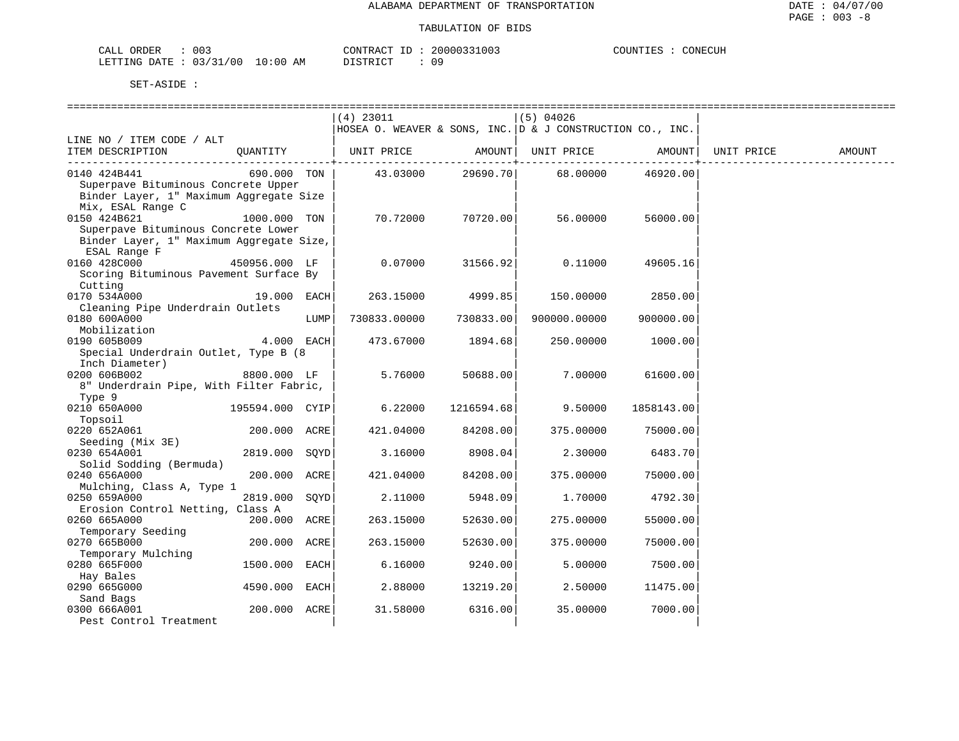CONECUH

| CALL ORDER                      | 003 | CONTRACT ID: |  | 20000331003 | COUNTIES | CONECUH |
|---------------------------------|-----|--------------|--|-------------|----------|---------|
| LETTING DATE: 03/31/00 10:00 AM |     | DISTRICT     |  | 09          |          |         |

|                                          |               |      | (4) 23011                                                     |            | $(5)$ 04026         |            |            |        |
|------------------------------------------|---------------|------|---------------------------------------------------------------|------------|---------------------|------------|------------|--------|
|                                          |               |      | HOSEA O. WEAVER & SONS, INC. $ D \& J$ CONSTRUCTION CO., INC. |            |                     |            |            |        |
| LINE NO / ITEM CODE / ALT                |               |      |                                                               |            |                     |            |            |        |
| ITEM DESCRIPTION                         | OUANTITY      |      | UNIT PRICE                                                    |            | AMOUNT   UNIT PRICE | AMOUNT     | UNIT PRICE | AMOUNT |
|                                          |               |      |                                                               | -------    |                     | ---------  |            |        |
| 0140 424B441                             | 690.000 TON   |      | 43.03000                                                      | 29690.70   | 68.00000            | 46920.00   |            |        |
| Superpave Bituminous Concrete Upper      |               |      |                                                               |            |                     |            |            |        |
| Binder Layer, 1" Maximum Aggregate Size  |               |      |                                                               |            |                     |            |            |        |
| Mix, ESAL Range C                        |               |      |                                                               |            |                     |            |            |        |
| 0150 424B621                             | 1000.000 TON  |      | 70.72000                                                      | 70720.00   | 56.00000            | 56000.00   |            |        |
| Superpave Bituminous Concrete Lower      |               |      |                                                               |            |                     |            |            |        |
| Binder Layer, 1" Maximum Aggregate Size, |               |      |                                                               |            |                     |            |            |        |
| ESAL Range F                             |               |      |                                                               |            |                     |            |            |        |
| 0160 428C000                             | 450956.000 LF |      | 0.07000                                                       | 31566.92   | 0.11000             | 49605.16   |            |        |
| Scoring Bituminous Pavement Surface By   |               |      |                                                               |            |                     |            |            |        |
| Cutting                                  |               |      |                                                               |            |                     |            |            |        |
| 0170 534A000                             | 19.000 EACH   |      | 263.15000                                                     | 4999.85    | 150.00000           | 2850.00    |            |        |
| Cleaning Pipe Underdrain Outlets         |               |      |                                                               |            |                     |            |            |        |
| 0180 600A000                             |               | LUMP | 730833.00000                                                  | 730833.00  | 900000.00000        | 900000.00  |            |        |
| Mobilization                             |               |      |                                                               |            |                     |            |            |        |
| 0190 605B009                             | 4.000 EACH    |      | 473.67000                                                     | 1894.68    | 250.00000           | 1000.00    |            |        |
| Special Underdrain Outlet, Type B (8)    |               |      |                                                               |            |                     |            |            |        |
| Inch Diameter)                           |               |      |                                                               |            |                     |            |            |        |
| 0200 606B002                             | 8800.000 LF   |      | 5.76000                                                       | 50688.00   | 7.00000             | 61600.00   |            |        |
| 8" Underdrain Pipe, With Filter Fabric,  |               |      |                                                               |            |                     |            |            |        |
| Type 9                                   |               |      |                                                               |            |                     |            |            |        |
| 0210 650A000 195594.000 CYIP             |               |      | 6.22000                                                       | 1216594.68 | 9.50000             | 1858143.00 |            |        |
| Topsoil                                  |               |      |                                                               |            |                     |            |            |        |
| 0220 652A061                             | 200.000 ACRE  |      | 421.04000                                                     | 84208.00   | 375.00000           | 75000.00   |            |        |
| Seeding (Mix 3E)                         |               |      |                                                               |            |                     |            |            |        |
| 0230 654A001                             | 2819.000 SOYD |      | 3.16000                                                       | 8908.04    | 2.30000             | 6483.70    |            |        |
| Solid Sodding (Bermuda)                  |               |      |                                                               |            |                     |            |            |        |
| 0240 656A000                             | 200.000 ACRE  |      | 421.04000                                                     | 84208.00   | 375.00000           | 75000.00   |            |        |
| Mulching, Class A, Type 1                |               |      |                                                               |            |                     |            |            |        |
| 0250 659A000                             | 2819.000 SQYD |      | 2.11000                                                       | 5948.09    | 1.70000             | 4792.30    |            |        |
| Erosion Control Netting, Class A         |               |      |                                                               |            |                     |            |            |        |
| 0260 665A000                             | 200.000 ACRE  |      | 263.15000                                                     | 52630.00   | 275.00000           | 55000.00   |            |        |
| Temporary Seeding                        |               |      |                                                               |            |                     |            |            |        |
| 0270 665B000                             | 200.000 ACRE  |      | 263.15000                                                     | 52630.00   | 375.00000           | 75000.00   |            |        |
| Temporary Mulching                       |               |      |                                                               |            |                     |            |            |        |
| 0280 665F000                             | 1500.000      | EACH | 6.16000                                                       | 9240.00    | 5.00000             | 7500.00    |            |        |
| Hay Bales                                |               |      |                                                               |            |                     |            |            |        |
| 0290 665G000                             | 4590.000 EACH |      | 2.88000                                                       | 13219.20   | 2.50000             | 11475.00   |            |        |
| Sand Bags                                |               |      |                                                               |            |                     |            |            |        |
| 0300 666A001                             | 200.000 ACRE  |      | 31.58000                                                      | 6316.00    | 35.00000            | 7000.00    |            |        |
| Pest Control Treatment                   |               |      |                                                               |            |                     |            |            |        |
|                                          |               |      |                                                               |            |                     |            |            |        |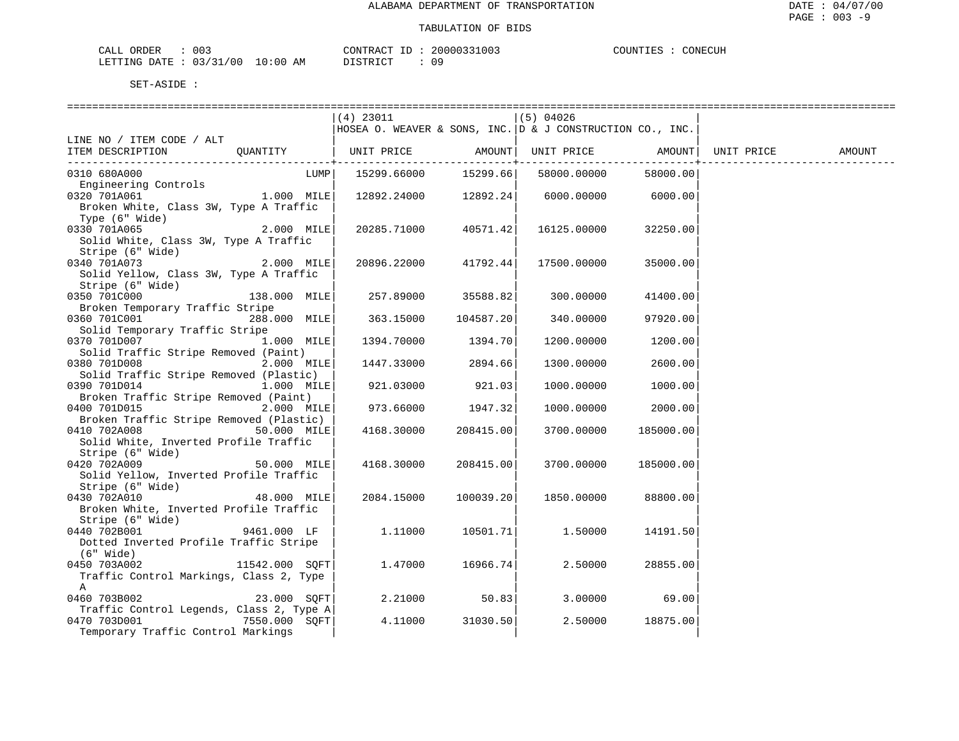| 003<br>CALL ORDER               |          | CONTRACT ID: 20000331003 | COUNTIES | CONECUH |
|---------------------------------|----------|--------------------------|----------|---------|
| LETTING DATE: 03/31/00 10:00 AM | DISTRICT |                          |          |         |

|                                                                                |                 | $(4)$ 23011                                               |                    | (5) 04026            |              |        |
|--------------------------------------------------------------------------------|-----------------|-----------------------------------------------------------|--------------------|----------------------|--------------|--------|
|                                                                                |                 | HOSEA O. WEAVER & SONS, INC. D & J CONSTRUCTION CO., INC. |                    |                      |              |        |
| LINE NO / ITEM CODE / ALT                                                      |                 |                                                           |                    |                      |              |        |
| ITEM DESCRIPTION QUANTITY   UNIT PRICE AMOUNT   UNIT PRICE AMOUNT   UNIT PRICE |                 |                                                           |                    |                      |              | AMOUNT |
|                                                                                |                 |                                                           |                    | -------+------------ | . <u>.</u> . |        |
| 0310 680A000                                                                   | LUMP            | 15299.66000                                               | 15299.66           | 58000.00000          | 58000.00     |        |
| Engineering Controls                                                           |                 |                                                           |                    |                      |              |        |
| 0320 701A061                                                                   | $1.000$ MILE    | 12892.24000 12892.24                                      |                    | 6000.00000 6000.00   |              |        |
| Broken White, Class 3W, Type A Traffic                                         |                 |                                                           |                    |                      |              |        |
| Type (6" Wide)                                                                 |                 |                                                           |                    |                      |              |        |
| 0330 701A065                                                                   | 2.000 MILE      | 20285.71000                                               | 40571.42           | 16125.00000          | 32250.00     |        |
| Solid White, Class 3W, Type A Traffic                                          |                 |                                                           |                    |                      |              |        |
| Stripe (6" Wide)                                                               |                 |                                                           |                    |                      |              |        |
| 0340 701A073                                                                   | 2.000 MILE      | 20896.22000 41792.44                                      |                    | 17500.00000          | 35000.00     |        |
| Solid Yellow, Class 3W, Type A Traffic                                         |                 |                                                           |                    |                      |              |        |
| Stripe (6" Wide)                                                               |                 |                                                           |                    |                      |              |        |
| 0350 701C000                                                                   | 138.000 MILE    |                                                           | 257.89000 35588.82 | 300.00000            | 41400.00     |        |
| Broken Temporary Traffic Stripe                                                |                 |                                                           |                    |                      |              |        |
| 0360 701C001                                                                   | 288,000 MILE    | 363.15000                                                 | 104587.201         | 340.00000            | 97920.00     |        |
| Solid Temporary Traffic Stripe                                                 |                 |                                                           |                    |                      |              |        |
| 0370 701D007                                                                   | 1.000 MILE      | 1394.70000                                                | 1394.70            | 1200.00000           | 1200.00      |        |
| Solid Traffic Stripe Removed (Paint)                                           |                 |                                                           |                    |                      |              |        |
| 0380 701D008                                                                   | 2.000 MILE      | 1447.33000                                                | 2894.66            | 1300.00000           | 2600.00      |        |
| Solid Traffic Stripe Removed (Plastic)                                         |                 |                                                           |                    |                      |              |        |
| 0390 701D014                                                                   | $1.000$ MILE    | 921.03000                                                 | 921.03             | 1000.00000           | 1000.00      |        |
| Broken Traffic Stripe Removed (Paint)                                          |                 |                                                           |                    |                      |              |        |
| 0400 701D015                                                                   | $2.000$ MILE    |                                                           | 973.66000 1947.32  | 1000.00000           | 2000.00      |        |
| Broken Traffic Stripe Removed (Plastic)<br>0410 702A008                        |                 |                                                           | 208415.00          |                      |              |        |
| Solid White, Inverted Profile Traffic                                          | 50.000 MILE     | 4168.30000                                                |                    | 3700.00000           | 185000.00    |        |
| Stripe (6" Wide)                                                               |                 |                                                           |                    |                      |              |        |
| 0420 702A009                                                                   | 50.000 MILE     | 4168.30000                                                | 208415.00          | 3700.00000           | 185000.00    |        |
| Solid Yellow, Inverted Profile Traffic                                         |                 |                                                           |                    |                      |              |        |
| Stripe (6" Wide)                                                               |                 |                                                           |                    |                      |              |        |
| 0430 702A010                                                                   | 48.000 MILE     | 2084.15000                                                | 100039.20          | 1850.00000           | 88800.00     |        |
| Broken White, Inverted Profile Traffic                                         |                 |                                                           |                    |                      |              |        |
| Stripe (6" Wide)                                                               |                 |                                                           |                    |                      |              |        |
| 0440 702B001                                                                   | 9461.000 LF     | 1.11000                                                   | 10501.71           | 1.50000              | 14191.50     |        |
| Dotted Inverted Profile Traffic Stripe                                         |                 |                                                           |                    |                      |              |        |
| (6" Wide)                                                                      |                 |                                                           |                    |                      |              |        |
| 0450 703A002                                                                   | 11542.000 SQFT  | 1.47000                                                   | 16966.74           | 2.50000              | 28855.00     |        |
| Traffic Control Markings, Class 2, Type                                        |                 |                                                           |                    |                      |              |        |
| A                                                                              |                 |                                                           |                    |                      |              |        |
| 0460 703B002                                                                   | 23.000 SOFT     | 2.21000                                                   | 50.83              | 3.00000              | 69.00        |        |
| Traffic Control Legends, Class 2, Type A                                       |                 |                                                           |                    |                      |              |        |
| 0470 703D001                                                                   | $7550.000$ SQFT | 4.11000                                                   | 31030.50           | 2.50000              | 18875.00     |        |
| Temporary Traffic Control Markings                                             |                 |                                                           |                    |                      |              |        |
|                                                                                |                 |                                                           |                    |                      |              |        |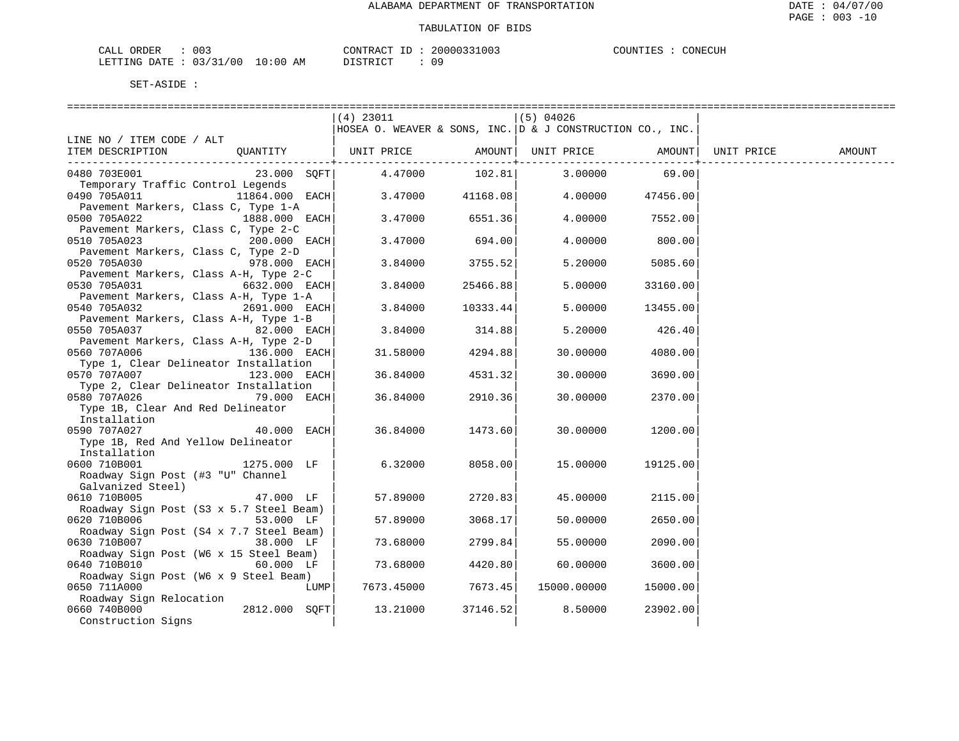| ORDER<br>CALI    | <u>.</u><br>UU3 |               | CONTRACT    | TГ. | 20000331003 | COUNTIES | CONECUH |
|------------------|-----------------|---------------|-------------|-----|-------------|----------|---------|
| DATE.<br>LETTING | 03/31/00<br>ັ   | LO : 00<br>ΑM | \T OMD T OM |     | 09          |          |         |

|                                                                        | ===============================                                           |          |             |          |            |        |
|------------------------------------------------------------------------|---------------------------------------------------------------------------|----------|-------------|----------|------------|--------|
|                                                                        | (4) 23011<br>HOSEA O. WEAVER & SONS, INC. $D \& J$ CONSTRUCTION CO., INC. |          | (5) 04026   |          |            |        |
| LINE NO / ITEM CODE / ALT                                              |                                                                           |          |             |          |            |        |
| ITEM DESCRIPTION<br>OUANTITY                                           | UNIT PRICE                                                                | AMOUNT   | UNIT PRICE  | AMOUNT   | UNIT PRICE | AMOUNT |
| 0480 703E001<br>23.000 SOFT                                            | 4.47000                                                                   | 102.81   | 3.00000     | 69.00    |            |        |
| Temporary Traffic Control Legends<br>0490 705A011<br>11864.000 EACH    | 3.47000                                                                   | 41168.08 | 4.00000     | 47456.00 |            |        |
| Pavement Markers, Class C, Type 1-A<br>0500 705A022<br>1888.000 EACH   | 3.47000                                                                   | 6551.36  | 4.00000     | 7552.00  |            |        |
| Pavement Markers, Class C, Type 2-C<br>0510 705A023<br>200.000 EACH    | 3.47000                                                                   | 694.00   | 4,00000     | 800.00   |            |        |
| Pavement Markers, Class C, Type 2-D                                    |                                                                           |          |             |          |            |        |
| 0520 705A030<br>978.000 EACH<br>Pavement Markers, Class A-H, Type 2-C  | 3.84000                                                                   | 3755.52  | 5.20000     | 5085.60  |            |        |
| 0530 705A031<br>6632.000 EACH                                          | 3.84000                                                                   | 25466.88 | 5.00000     | 33160.00 |            |        |
| Pavement Markers, Class A-H, Type 1-A<br>0540 705A032<br>2691.000 EACH | 3.84000                                                                   | 10333.44 | 5.00000     | 13455.00 |            |        |
| Pavement Markers, Class A-H, Type 1-B<br>0550 705A037<br>82.000 EACH   | 3.84000                                                                   | 314.88   | 5.20000     | 426.40   |            |        |
| Pavement Markers, Class A-H, Type 2-D<br>0560 707A006<br>136.000 EACH  | 31.58000                                                                  | 4294.88  | 30.00000    | 4080.00  |            |        |
| Type 1, Clear Delineator Installation                                  |                                                                           |          |             |          |            |        |
| 0570 707A007<br>123.000 EACH<br>Type 2, Clear Delineator Installation  | 36.84000                                                                  | 4531.32  | 30.00000    | 3690.00  |            |        |
| 0580 707A026<br>79.000 EACH<br>Type 1B, Clear And Red Delineator       | 36.84000                                                                  | 2910.36  | 30.00000    | 2370.00  |            |        |
| Installation                                                           |                                                                           |          |             |          |            |        |
| 0590 707A027<br>40.000<br>EACH                                         | 36.84000                                                                  | 1473.60  | 30.00000    | 1200.00  |            |        |
| Type 1B, Red And Yellow Delineator<br>Installation                     |                                                                           |          |             |          |            |        |
| 0600 710B001<br>1275.000 LF                                            | 6.32000                                                                   | 8058.00  | 15.00000    | 19125.00 |            |        |
| Roadway Sign Post (#3 "U" Channel                                      |                                                                           |          |             |          |            |        |
| Galvanized Steel)<br>0610 710B005<br>47.000 LF                         | 57.89000                                                                  | 2720.83  | 45.00000    | 2115.00  |            |        |
| Roadway Sign Post (S3 x 5.7 Steel Beam)<br>0620 710B006<br>53.000 LF   | 57.89000                                                                  | 3068.17  | 50.00000    | 2650.00  |            |        |
| Roadway Sign Post (S4 x 7.7 Steel Beam)                                |                                                                           |          |             |          |            |        |
| 0630 710B007<br>38.000 LF<br>Roadway Sign Post (W6 x 15 Steel Beam)    | 73.68000                                                                  | 2799.84  | 55.00000    | 2090.00  |            |        |
| 0640 710B010<br>60.000 LF                                              | 73.68000                                                                  | 4420.80  | 60.00000    | 3600.00  |            |        |
| Roadway Sign Post (W6 x 9 Steel Beam)<br>0650 711A000<br>LUMP          | 7673.45000                                                                | 7673.45  | 15000.00000 | 15000.00 |            |        |
| Roadway Sign Relocation<br>0660 740B000<br>2812.000 SOFT               | 13.21000                                                                  | 37146.52 | 8.50000     | 23902.00 |            |        |
| Construction Signs                                                     |                                                                           |          |             |          |            |        |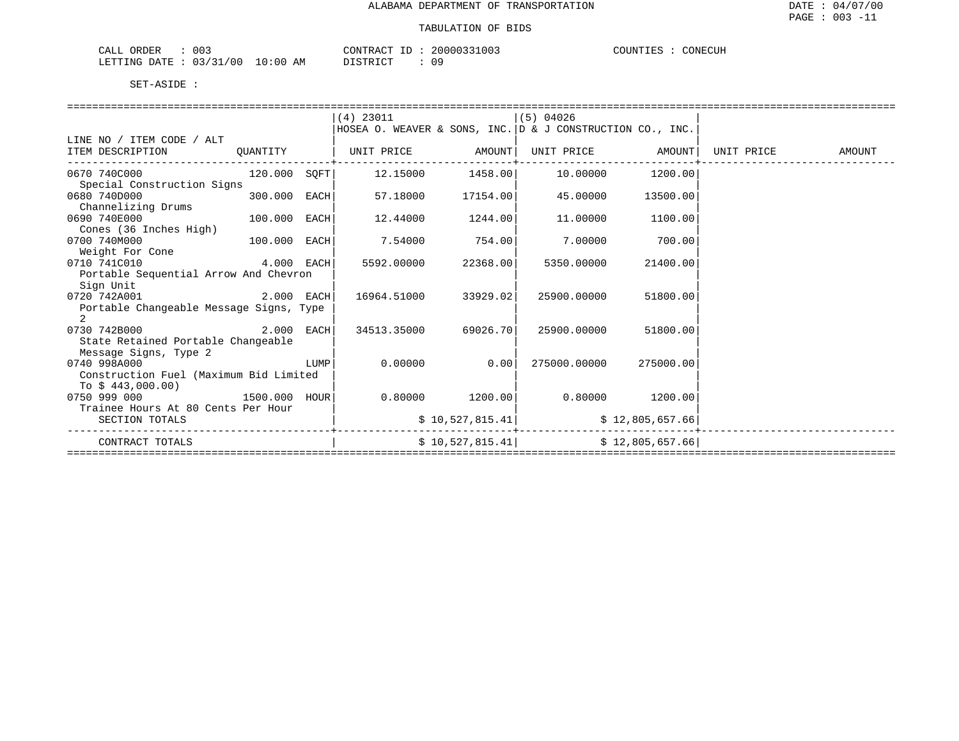| 003<br>ORDER<br>CALL                                                                                                                                     | CONTRACT<br>. .             | 20000331003 | COUNTIES<br>CONECUH |
|----------------------------------------------------------------------------------------------------------------------------------------------------------|-----------------------------|-------------|---------------------|
| 03/37<br>/00<br>LETTING<br>$\sqrt{2}$<br>the contract of the contract of the contract of the contract of the contract of the contract of the contract of | 10:00<br>חימת סידי את<br>AM | 09          |                     |

|                                         |              |      | $(4)$ 23011                                               |                                               | $(5)$ 04026       |                   |            |        |
|-----------------------------------------|--------------|------|-----------------------------------------------------------|-----------------------------------------------|-------------------|-------------------|------------|--------|
|                                         |              |      | HOSEA O. WEAVER & SONS, INC. D & J CONSTRUCTION CO., INC. |                                               |                   |                   |            |        |
| LINE NO / ITEM CODE / ALT               |              |      |                                                           |                                               |                   |                   |            |        |
| ITEM DESCRIPTION                        | QUANTITY     |      | UNIT PRICE AMOUNT                                         |                                               |                   | UNIT PRICE AMOUNT | UNIT PRICE | AMOUNT |
|                                         |              |      |                                                           | . _ _ _ _ _ _ _ _ _ _ _ _ _ _ _ + _ _ _ _ _ _ |                   |                   |            |        |
| 0670 740C000                            | 120.000 SOFT |      |                                                           |                                               |                   | 10.00000 1200.00  |            |        |
| Special Construction Signs              |              |      |                                                           |                                               |                   |                   |            |        |
| 0680 740D000                            | 300.000 EACH |      | 57.18000                                                  | 17154.00                                      | 45.00000          | 13500.00          |            |        |
| Channelizing Drums                      |              |      |                                                           |                                               |                   |                   |            |        |
| 0690 740E000<br>100.000 EACH            |              |      | 12.44000                                                  | 1244.00                                       | 11,00000          | 1100.00           |            |        |
| Cones (36 Inches High)                  |              |      |                                                           |                                               |                   |                   |            |        |
| 0700 740M000                            | 100.000 EACH |      | 7.54000                                                   | 754.00                                        | 7.00000           | 700.00            |            |        |
| Weight For Cone                         |              |      |                                                           |                                               |                   |                   |            |        |
| 4.000 EACH<br>0710 741C010              |              |      | 5592.00000                                                | 22368.00                                      | 5350.00000        | 21400.00          |            |        |
| Portable Sequential Arrow And Chevron   |              |      |                                                           |                                               |                   |                   |            |        |
| Sign Unit                               |              |      |                                                           |                                               |                   |                   |            |        |
| 0720 742A001<br>2.000 EACH              |              |      | 16964.51000                                               | 33929.02                                      | 25900.00000       | 51800.00          |            |        |
| Portable Changeable Message Signs, Type |              |      |                                                           |                                               |                   |                   |            |        |
| $\overline{2}$                          |              |      |                                                           |                                               |                   |                   |            |        |
| 2.000 EACH<br>0730 742B000              |              |      | 34513.35000                                               | 69026.70                                      | 25900.00000       | 51800.00          |            |        |
| State Retained Portable Changeable      |              |      |                                                           |                                               |                   |                   |            |        |
| Message Signs, Type 2                   |              |      |                                                           |                                               |                   |                   |            |        |
| 0740 998A000                            |              | LUMP | 0.00000                                                   | 0.00                                          | 275000.00000      | 275000.00         |            |        |
| Construction Fuel (Maximum Bid Limited  |              |      |                                                           |                                               |                   |                   |            |        |
| To $$443,000.00)$                       |              |      |                                                           |                                               |                   |                   |            |        |
| 0750 999 000                            |              |      |                                                           | $0.80000$ 1200.00                             | $0.80000$ 1200.00 |                   |            |        |
| Trainee Hours At 80 Cents Per Hour      |              |      |                                                           |                                               |                   |                   |            |        |
| SECTION TOTALS                          |              |      |                                                           | \$10,527,815.41                               |                   | \$12,805,657.66   |            |        |
|                                         |              |      |                                                           |                                               |                   |                   |            |        |
| CONTRACT TOTALS                         |              |      |                                                           | \$10,527,815.41                               |                   | \$12,805,657.66   |            |        |
|                                         |              |      |                                                           |                                               |                   |                   |            |        |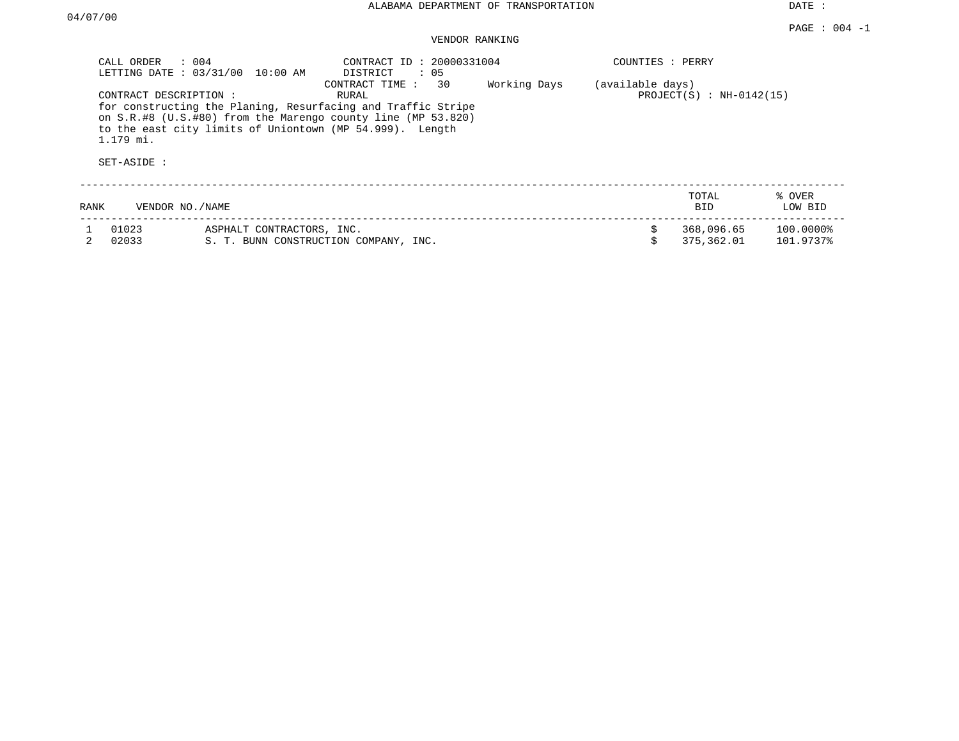DATE :

# VENDOR RANKING

| CALL ORDER : 004<br>LETTING DATE: 03/31/00        | 10:00 AM                                                                                                                                                                                 | CONTRACT ID: 20000331004<br>DISTRICT<br>: 05 |                                                | COUNTIES : PERRY |                          |                        |  |
|---------------------------------------------------|------------------------------------------------------------------------------------------------------------------------------------------------------------------------------------------|----------------------------------------------|------------------------------------------------|------------------|--------------------------|------------------------|--|
| CONTRACT DESCRIPTION:<br>1.179 mi.<br>SET-ASIDE : | for constructing the Planing, Resurfacing and Traffic Stripe<br>on S.R.#8 (U.S.#80) from the Marengo county line (MP 53.820)<br>to the east city limits of Uniontown (MP 54.999). Length |                                              | (available days)<br>$PROJECT(S) : NH-0142(15)$ |                  |                          |                        |  |
|                                                   |                                                                                                                                                                                          |                                              |                                                |                  |                          |                        |  |
| RANK                                              | VENDOR NO./NAME                                                                                                                                                                          |                                              |                                                |                  | TOTAL<br><b>BID</b>      | % OVER<br>LOW BID      |  |
| 01023<br>02033                                    | ASPHALT CONTRACTORS, INC.                                                                                                                                                                | S. T. BUNN CONSTRUCTION COMPANY, INC.        |                                                | \$               | 368,096.65<br>375,362.01 | 100.0000%<br>101.9737% |  |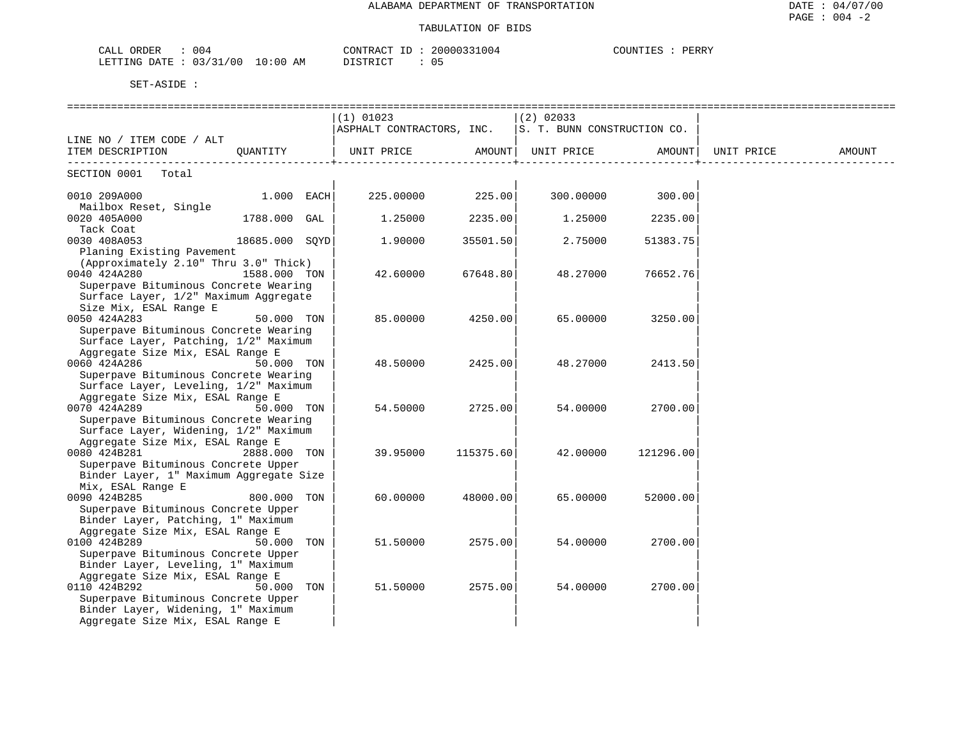| 004<br>$\sim$ $ -$<br>$\sim$ nnn<br>OKDER<br>للطما                 | חידוז∩ר<br>$\Delta \wedge \neg \neg$<br>20000<br>1004 | COUNTIES<br>PERRY<br>ا التلا على |
|--------------------------------------------------------------------|-------------------------------------------------------|----------------------------------|
| $\sim$ $\sim$ $\sim$<br>700<br>DATE<br>AΜ<br>. ი : იი<br>TET.I.TMG | T T T T T T T T T<br>$\cdots$<br>υ:<br>.              |                                  |

|                                         |                | $(1)$ 01023               |           | $(2)$ 02033                 |           |            |        |
|-----------------------------------------|----------------|---------------------------|-----------|-----------------------------|-----------|------------|--------|
|                                         |                | ASPHALT CONTRACTORS, INC. |           | S. T. BUNN CONSTRUCTION CO. |           |            |        |
| LINE NO / ITEM CODE / ALT               |                |                           |           |                             |           |            |        |
| ITEM DESCRIPTION                        | QUANTITY       |                           |           |                             |           | UNIT PRICE | AMOUNT |
| SECTION 0001<br>Total                   |                |                           |           |                             |           |            |        |
|                                         |                |                           |           |                             |           |            |        |
| 0010 209A000                            | 1.000 EACH     | 225.00000                 | 225.00    | 300.00000                   | 300.00    |            |        |
| Mailbox Reset, Single                   |                |                           |           |                             |           |            |        |
| 0020 405A000                            | 1788.000 GAL   | 1.25000                   | 2235.00   | 1.25000                     | 2235.00   |            |        |
| Tack Coat                               |                |                           |           |                             |           |            |        |
| 0030 408A053                            | 18685.000 SOYD | 1.90000                   | 35501.50  | 2.75000                     | 51383.75  |            |        |
| Planing Existing Pavement               |                |                           |           |                             |           |            |        |
| (Approximately 2.10" Thru 3.0" Thick)   |                |                           |           |                             |           |            |        |
| 0040 424A280                            | 1588.000 TON   | 42.60000                  | 67648.80  | 48.27000                    | 76652.76  |            |        |
| Superpave Bituminous Concrete Wearing   |                |                           |           |                             |           |            |        |
| Surface Layer, 1/2" Maximum Aggregate   |                |                           |           |                             |           |            |        |
| Size Mix, ESAL Range E                  |                |                           |           |                             |           |            |        |
| 0050 424A283                            | 50.000 TON     | 85,00000                  | 4250.00   | 65.00000                    | 3250.00   |            |        |
| Superpave Bituminous Concrete Wearing   |                |                           |           |                             |           |            |        |
| Surface Layer, Patching, 1/2" Maximum   |                |                           |           |                             |           |            |        |
| Aggregate Size Mix, ESAL Range E        |                |                           |           |                             |           |            |        |
| 0060 424A286                            | 50.000 TON     | 48.50000                  | 2425.00   | 48.27000                    | 2413.50   |            |        |
| Superpave Bituminous Concrete Wearing   |                |                           |           |                             |           |            |        |
| Surface Layer, Leveling, 1/2" Maximum   |                |                           |           |                             |           |            |        |
| Aggregate Size Mix, ESAL Range E        |                |                           |           |                             |           |            |        |
| 0070 424A289                            | 50.000 TON     | 54.50000                  | 2725.00   | 54.00000                    | 2700.00   |            |        |
| Superpave Bituminous Concrete Wearing   |                |                           |           |                             |           |            |        |
| Surface Layer, Widening, 1/2" Maximum   |                |                           |           |                             |           |            |        |
| Aggregate Size Mix, ESAL Range E        |                |                           |           |                             |           |            |        |
| 0080 424B281                            | 2888.000 TON   | 39.95000                  | 115375.60 | 42.00000                    | 121296.00 |            |        |
| Superpave Bituminous Concrete Upper     |                |                           |           |                             |           |            |        |
| Binder Layer, 1" Maximum Aggregate Size |                |                           |           |                             |           |            |        |
| Mix, ESAL Range E                       |                |                           |           |                             |           |            |        |
| 0090 424B285                            | 800.000 TON    | 60.00000                  | 48000.00  | 65.00000                    | 52000.00  |            |        |
| Superpave Bituminous Concrete Upper     |                |                           |           |                             |           |            |        |
| Binder Layer, Patching, 1" Maximum      |                |                           |           |                             |           |            |        |
| Aggregate Size Mix, ESAL Range E        |                |                           |           |                             |           |            |        |
| 0100 424B289                            | 50.000 TON     | 51.50000                  | 2575.00   | 54.00000                    | 2700.00   |            |        |
| Superpave Bituminous Concrete Upper     |                |                           |           |                             |           |            |        |
| Binder Layer, Leveling, 1" Maximum      |                |                           |           |                             |           |            |        |
| Aggregate Size Mix, ESAL Range E        |                |                           |           |                             |           |            |        |
| 0110 424B292                            | 50.000 TON     | 51.50000                  | 2575.00   | 54.00000                    | 2700.00   |            |        |
| Superpave Bituminous Concrete Upper     |                |                           |           |                             |           |            |        |
| Binder Layer, Widening, 1" Maximum      |                |                           |           |                             |           |            |        |
| Aggregate Size Mix, ESAL Range E        |                |                           |           |                             |           |            |        |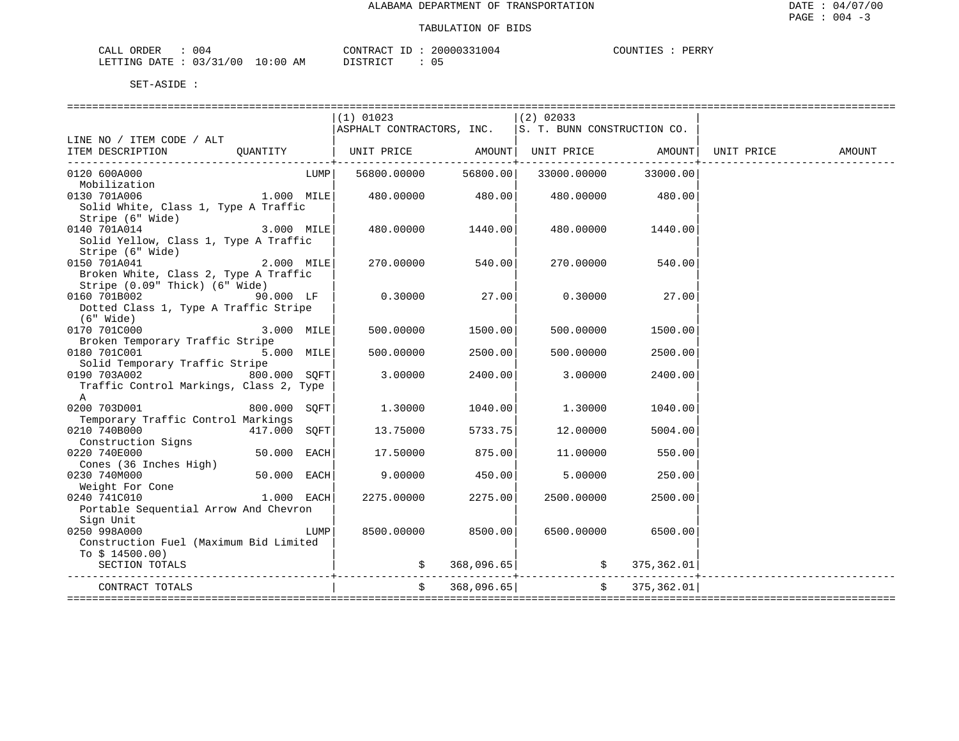| . д. н.<br>$\overline{1}$ | -004                 |           | $\cap$ $\cap$ $\cap$ $\cap$ $\cap$<br>่ /\ | $ -$ | 004<br>,,,,,,<br>.01 | PERRY<br>1 I M |
|---------------------------|----------------------|-----------|--------------------------------------------|------|----------------------|----------------|
| .ETTTNG<br>DATE.          | 00<br>$\mathbf{u}$ . | :00<br>AΜ | $\Gamma$                                   |      | U J                  |                |

|                                                    |              |      | $(1)$ 01023                                              |            | $(2)$ 02033                             |                      |        |
|----------------------------------------------------|--------------|------|----------------------------------------------------------|------------|-----------------------------------------|----------------------|--------|
|                                                    |              |      | ASPHALT CONTRACTORS, INC. $ s. r.$ BUNN CONSTRUCTION CO. |            |                                         |                      |        |
| LINE NO / ITEM CODE / ALT                          |              |      |                                                          |            |                                         |                      |        |
| ITEM DESCRIPTION                                   | OUANTITY     |      |                                                          |            | ___________________                     |                      | AMOUNT |
| 0120 600A000                                       |              | LUMP | 56800.00000                                              | 56800.00   |                                         | 33000.00000 33000.00 |        |
| Mobilization                                       |              |      |                                                          |            |                                         |                      |        |
| 1.000 MILE<br>0130 701A006                         |              |      | 480.00000                                                | 480.00     |                                         | 480.00000 480.00     |        |
| Solid White, Class 1, Type A Traffic               |              |      |                                                          |            |                                         |                      |        |
| Stripe (6" Wide)                                   |              |      |                                                          |            |                                         |                      |        |
| 0140 701A014                                       | 3.000 MILE   |      | 480.00000                                                | 1440.00    | 480.00000                               | 1440.00              |        |
| Solid Yellow, Class 1, Type A Traffic              |              |      |                                                          |            |                                         |                      |        |
| Stripe (6" Wide)                                   |              |      |                                                          |            |                                         |                      |        |
| 2.000 MILE<br>0150 701A041                         |              |      | 270.00000                                                | 540.00     | 270.00000                               | 540.00               |        |
| Broken White, Class 2, Type A Traffic              |              |      |                                                          |            |                                         |                      |        |
| Stripe (0.09" Thick) (6" Wide)                     |              |      |                                                          |            |                                         |                      |        |
| 0160 701B002                                       | 90.000 LF    |      | 0.30000                                                  | 27.00      | 0.30000                                 | 27.00                |        |
| Dotted Class 1, Type A Traffic Stripe              |              |      |                                                          |            |                                         |                      |        |
| (6" Wide)                                          |              |      |                                                          |            |                                         |                      |        |
| 0170 701C000                                       | 3.000 MILE   |      | 500,00000                                                | 1500.00    | 500.00000                               | 1500.00              |        |
| Broken Temporary Traffic Stripe                    |              |      |                                                          |            |                                         |                      |        |
| 0180 701C001                                       | 5.000 MILE   |      | 500,00000                                                | 2500.00    | 500.00000                               | 2500.00              |        |
| Solid Temporary Traffic Stripe                     |              |      |                                                          |            |                                         |                      |        |
| 0190 703A002                                       | 800.000 SOFT |      | 3.00000                                                  | 2400.00    | 3.00000                                 | 2400.00              |        |
| Traffic Control Markings, Class 2, Type            |              |      |                                                          |            |                                         |                      |        |
| Α                                                  |              |      |                                                          |            |                                         |                      |        |
| 0200 703D001<br>Temporary Traffic Control Markings | 800.000 SOFT |      | 1,30000                                                  | 1040.00    | 1,30000                                 | 1040.00              |        |
| 0210 740B000                                       | 417.000 SOFT |      | 13.75000                                                 | 5733.75    | 12.00000                                | 5004.00              |        |
| Construction Signs                                 |              |      |                                                          |            |                                         |                      |        |
| 0220 740E000                                       | 50.000 EACH  |      | 17.50000                                                 | 875.00     | 11,00000                                | 550.00               |        |
| Cones (36 Inches High)                             |              |      |                                                          |            |                                         |                      |        |
| 0230 740M000                                       | 50.000 EACH  |      | 9.00000                                                  | 450.00     | 5.00000                                 | 250.00               |        |
| Weight For Cone                                    |              |      |                                                          |            |                                         |                      |        |
| 0240 741C010                                       | 1.000 EACH   |      | 2275.00000                                               | 2275.00    | 2500.00000                              | 2500.00              |        |
| Portable Sequential Arrow And Chevron              |              |      |                                                          |            |                                         |                      |        |
| Sign Unit                                          |              |      |                                                          |            |                                         |                      |        |
| 0250 998A000                                       |              | LUMP | 8500.00000                                               | 8500.00    | 6500.00000                              | 6500.00              |        |
| Construction Fuel (Maximum Bid Limited             |              |      |                                                          |            |                                         |                      |        |
| To $$14500.00)$                                    |              |      |                                                          |            |                                         |                      |        |
| SECTION TOTALS                                     |              |      |                                                          |            | $\sharp$ 368,096.65 $\sharp$ 375,362.01 |                      |        |
|                                                    |              |      | $\mathsf{S}$                                             | 368,096.65 |                                         | \$375,362.01]        |        |
| CONTRACT TOTALS                                    |              |      |                                                          |            |                                         |                      |        |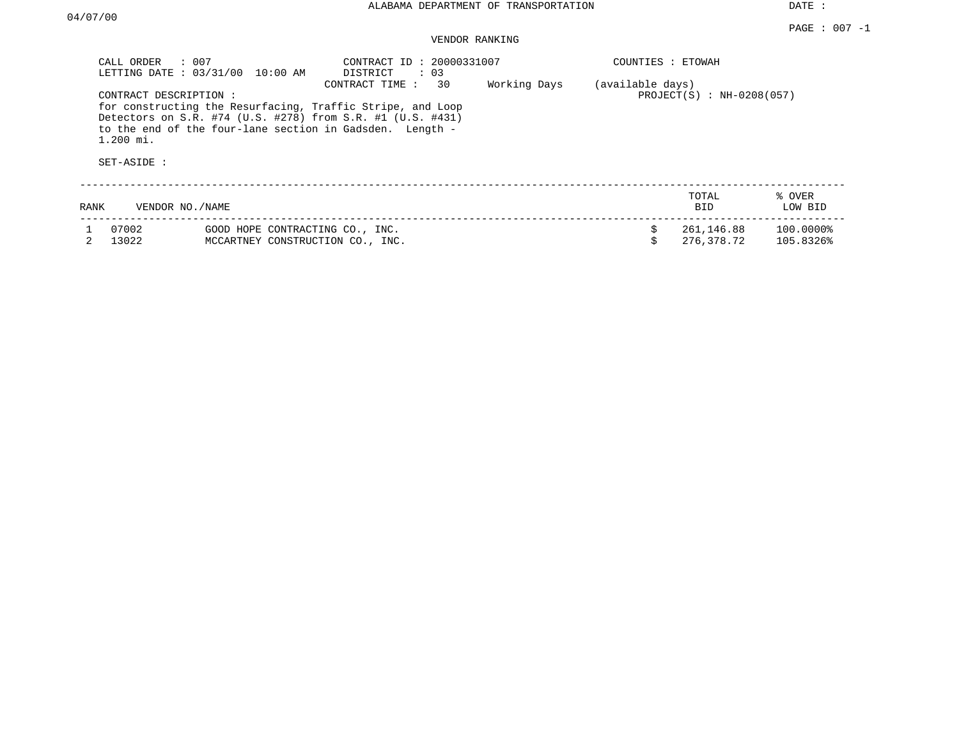DATE :

## VENDOR RANKING

| CALL ORDER<br>LETTING DATE: 03/31/00                | $\therefore$ 007<br>10:00 AM                                                                                                                                                         | CONTRACT ID: 20000331007<br>: 03<br>DISTRICT |              | COUNTIES : ETOWAH |                             |                        |
|-----------------------------------------------------|--------------------------------------------------------------------------------------------------------------------------------------------------------------------------------------|----------------------------------------------|--------------|-------------------|-----------------------------|------------------------|
| CONTRACT DESCRIPTION:<br>$1.200$ mi.<br>SET-ASIDE : | for constructing the Resurfacing, Traffic Stripe, and Loop<br>Detectors on S.R. #74 (U.S. #278) from S.R. #1 (U.S. #431)<br>to the end of the four-lane section in Gadsden. Length - | 30<br>CONTRACT TIME:                         | Working Days | (available days)  | $PROJECT(S) : NH-0208(057)$ |                        |
| RANK                                                | VENDOR NO. / NAME                                                                                                                                                                    |                                              |              |                   | TOTAL<br><b>BID</b>         | % OVER<br>LOW BID      |
| 07002<br>13022                                      | GOOD HOPE CONTRACTING CO., INC.<br>MCCARTNEY CONSTRUCTION CO., INC.                                                                                                                  |                                              |              | \$                | 261,146.88<br>276,378.72    | 100.00008<br>105.8326% |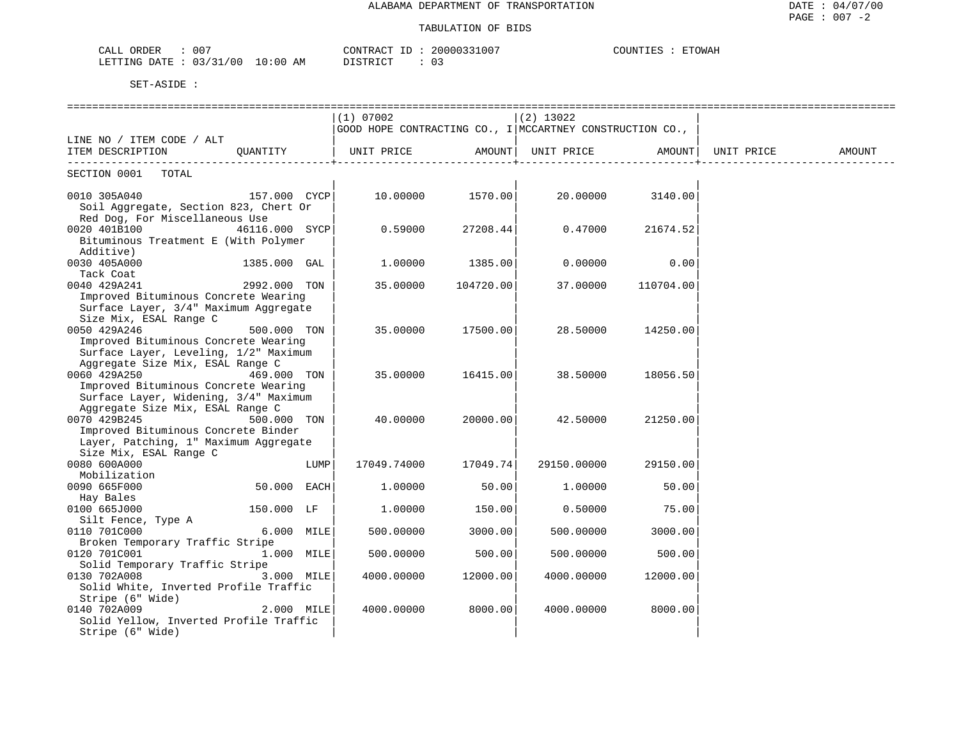| CALL ORDER<br>007               |          | CONTRACT ID: 20000331007 | COUNTIES : | ETOWAH |
|---------------------------------|----------|--------------------------|------------|--------|
| LETTING DATE: 03/31/00 10:00 AM | DISTRICT |                          |            |        |

|                                                                               |                |            | $(1)$ 07002                                                    |                  | $(2)$ 13022        |                    |        |
|-------------------------------------------------------------------------------|----------------|------------|----------------------------------------------------------------|------------------|--------------------|--------------------|--------|
|                                                                               |                |            | $ $ GOOD HOPE CONTRACTING CO., I   MCCARTNEY CONSTRUCTION CO., |                  |                    |                    |        |
| LINE NO / ITEM CODE / ALT                                                     |                |            |                                                                |                  |                    |                    |        |
| ITEM DESCRIPTION                                                              | QUANTITY       |            | UNIT PRICE                                                     |                  | AMOUNT  UNIT PRICE | AMOUNT  UNIT PRICE | AMOUNT |
| SECTION 0001 TOTAL                                                            |                |            |                                                                |                  |                    |                    |        |
| 0010 305A040 157.000 CYCP                                                     |                |            |                                                                | 10.00000 1570.00 |                    | 20.00000 3140.00   |        |
| Soil Aggregate, Section 823, Chert Or                                         |                |            |                                                                |                  |                    |                    |        |
| Red Dog, For Miscellaneous Use                                                |                |            |                                                                |                  |                    |                    |        |
| 0020 401B100                                                                  | 46116.000 SYCP |            | 0.59000                                                        | 27208.44         | 0.47000            | 21674.52           |        |
| Bituminous Treatment E (With Polymer                                          |                |            |                                                                |                  |                    |                    |        |
| Additive)                                                                     |                |            |                                                                |                  |                    |                    |        |
| 0030 405A000                                                                  | 1385.000 GAL   |            | 1.00000                                                        | 1385.00          | 0.00000            | 0.00               |        |
| Tack Coat                                                                     |                |            |                                                                |                  |                    |                    |        |
| 0040 429A241                                                                  | 2992.000 TON   |            | 35.00000                                                       | 104720.00        | 37.00000           | 110704.00          |        |
| Improved Bituminous Concrete Wearing                                          |                |            |                                                                |                  |                    |                    |        |
| Surface Layer, 3/4" Maximum Aggregate                                         |                |            |                                                                |                  |                    |                    |        |
| Size Mix, ESAL Range C                                                        |                |            |                                                                |                  |                    |                    |        |
| 0050 429A246                                                                  | 500.000 TON    |            | 35.00000                                                       | 17500.00         | 28.50000           | 14250.00           |        |
| Improved Bituminous Concrete Wearing                                          |                |            |                                                                |                  |                    |                    |        |
| Surface Layer, Leveling, 1/2" Maximum                                         |                |            |                                                                |                  |                    |                    |        |
| Aggregate Size Mix, ESAL Range C                                              |                |            |                                                                |                  |                    |                    |        |
| 0060 429A250<br>469.000 TON                                                   |                |            | 35.00000                                                       | 16415.00         | 38.50000           | 18056.50           |        |
| Improved Bituminous Concrete Wearing<br>Surface Layer, Widening, 3/4" Maximum |                |            |                                                                |                  |                    |                    |        |
| Aggregate Size Mix, ESAL Range C                                              |                |            |                                                                |                  |                    |                    |        |
| 0070 429B245                                                                  | 500.000 TON    |            | 40.00000                                                       | 20000.00         | 42.50000           | 21250.00           |        |
| Improved Bituminous Concrete Binder                                           |                |            |                                                                |                  |                    |                    |        |
| Layer, Patching, 1" Maximum Aggregate                                         |                |            |                                                                |                  |                    |                    |        |
| Size Mix, ESAL Range C                                                        |                |            |                                                                |                  |                    |                    |        |
| 0080 600A000                                                                  |                | LUMP       | 17049.74000                                                    | 17049.74         | 29150.00000        | 29150.00           |        |
| Mobilization                                                                  |                |            |                                                                |                  |                    |                    |        |
| 0090 665F000                                                                  | 50.000 EACH    |            | 1,00000                                                        | 50.00            | 1,00000            | 50.00              |        |
| Hay Bales                                                                     |                |            |                                                                |                  |                    |                    |        |
| 0100 665J000                                                                  | 150.000 LF     |            | 1,00000                                                        | 150.00           | 0.50000            | 75.00              |        |
| Silt Fence, Type A                                                            |                |            |                                                                |                  |                    |                    |        |
| 0110 701C000                                                                  |                | 6.000 MILE | 500.00000                                                      | 3000.00          | 500.00000          | 3000.00            |        |
| Broken Temporary Traffic Stripe                                               |                |            |                                                                |                  |                    |                    |        |
| 0120 701C001                                                                  | 1.000 MILE     |            | 500.00000                                                      | 500.00           | 500.00000          | 500.00             |        |
| Solid Temporary Traffic Stripe                                                |                |            |                                                                |                  |                    |                    |        |
| 0130 702A008                                                                  | 3.000 MILE     |            | 4000.00000                                                     | 12000.00         | 4000.00000         | 12000.00           |        |
| Solid White, Inverted Profile Traffic                                         |                |            |                                                                |                  |                    |                    |        |
| Stripe (6" Wide)                                                              |                |            |                                                                |                  |                    |                    |        |
| 0140 702A009<br>Solid Yellow, Inverted Profile Traffic                        |                | 2.000 MILE | 4000.00000                                                     | 8000.00          | 4000.00000         | 8000.00            |        |
| Stripe (6" Wide)                                                              |                |            |                                                                |                  |                    |                    |        |
|                                                                               |                |            |                                                                |                  |                    |                    |        |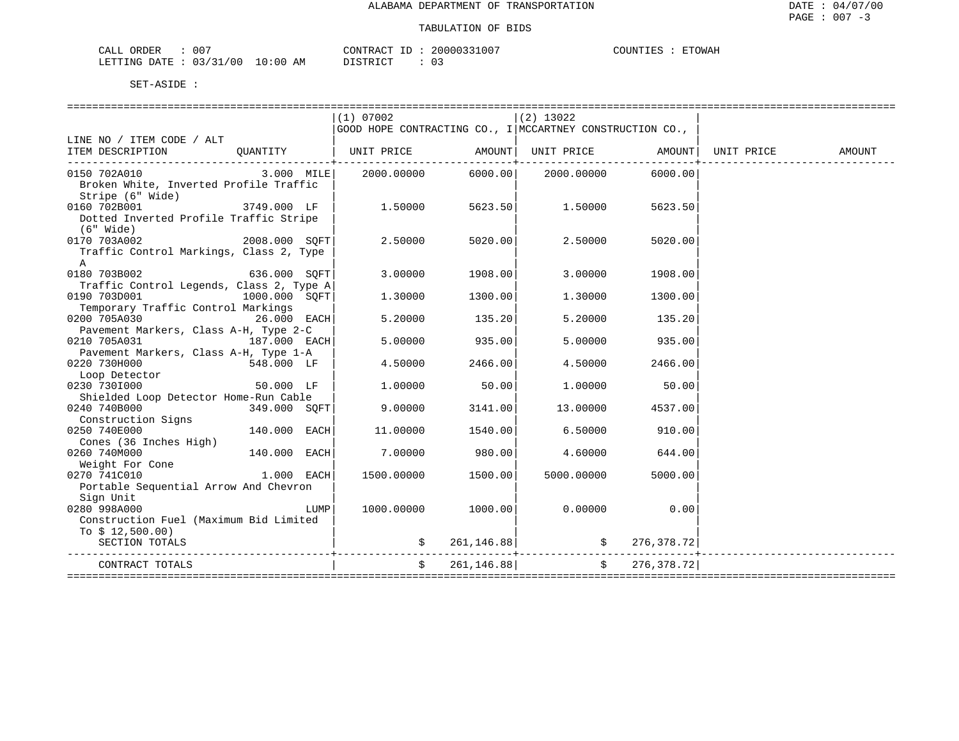| $00^{\circ}$<br>ORDER<br>CALL |            | CONTRACT<br>ID :           | 20000331007          | COUNTIES<br><b>ETOWAH</b> |
|-------------------------------|------------|----------------------------|----------------------|---------------------------|
| LETTING DATE: 03/31/00        | $10:00$ AM | די חים דמי דמ<br>--------- | $\sim$ $\sim$<br>U 3 |                           |

|                                                                              |               |      | (1) 07002                                                |                | $(2)$ 13022                            |                  |        |
|------------------------------------------------------------------------------|---------------|------|----------------------------------------------------------|----------------|----------------------------------------|------------------|--------|
|                                                                              |               |      | GOOD HOPE CONTRACTING CO., I MCCARTNEY CONSTRUCTION CO., |                |                                        |                  |        |
| LINE NO / ITEM CODE / ALT                                                    |               |      |                                                          |                |                                        |                  |        |
| ITEM DESCRIPTION QUANTITY   UNIT PRICE AMOUNT  UNIT PRICE AMOUNT  UNIT PRICE |               |      |                                                          |                |                                        |                  | AMOUNT |
| -----------------------------                                                |               |      |                                                          |                |                                        |                  |        |
| 0150 702A010                                                                 |               |      | $3.000$ MILE $2000.00000$ 6000.00 2000.00000             |                |                                        | 6000.00          |        |
| Broken White, Inverted Profile Traffic                                       |               |      |                                                          |                |                                        |                  |        |
| Stripe (6" Wide)<br>$3749.000$ LF<br>0160 702B001                            |               |      |                                                          |                |                                        |                  |        |
| Dotted Inverted Profile Traffic Stripe                                       |               |      | 1.50000                                                  |                | 5623.50 1.50000                        | 5623.50          |        |
| $(6"$ Wide)                                                                  |               |      |                                                          |                |                                        |                  |        |
| 0170 703A002                                                                 | 2008.000 SOFT |      | 2.50000                                                  | 5020.00        | 2.50000                                | 5020.00          |        |
| Traffic Control Markings, Class 2, Type                                      |               |      |                                                          |                |                                        |                  |        |
|                                                                              |               |      |                                                          |                |                                        |                  |        |
| A<br>0180 703B002                                                            | 636.000 SOFT  |      | 3.00000                                                  | 1908.00        | 3.00000                                | 1908.00          |        |
| Traffic Control Legends, Class 2, Type A                                     |               |      |                                                          |                |                                        |                  |        |
| 0190 703D001                                                                 | 1000.000 SOFT |      | 1.30000                                                  | 1300.00        | 1,30000                                | 1300.00          |        |
| Temporary Traffic Control Markings                                           |               |      |                                                          |                |                                        |                  |        |
| 0200 705A030<br>$26.000$ EACH                                                |               |      | 5.20000                                                  | 135.20         | 5.20000                                | 135.20           |        |
| Pavement Markers, Class A-H, Type 2-C                                        |               |      |                                                          |                |                                        |                  |        |
| 0210 705A031                                                                 | 187.000 EACH  |      | 5.00000                                                  | 935.00         | 5.00000                                | 935.00           |        |
| Pavement Markers, Class A-H, Type 1-A                                        |               |      |                                                          |                |                                        |                  |        |
| 0220 730H000                                                                 | 548.000 LF    |      | 4.50000                                                  | 2466.00        | 4.50000                                | 2466.00          |        |
| Loop Detector                                                                |               |      |                                                          |                |                                        |                  |        |
| 0230 7301000                                                                 | $50.000$ LF   |      | 1,00000                                                  | 50.00          | 1,00000                                | 50.00            |        |
| Shielded Loop Detector Home-Run Cable                                        |               |      |                                                          |                |                                        |                  |        |
| 0240 740B000<br>349.000 SOFT                                                 |               |      | 9.00000                                                  | 3141.00        |                                        | 13.00000 4537.00 |        |
| Construction Signs                                                           |               |      |                                                          |                |                                        |                  |        |
| 0250 740E000                                                                 | 140.000 EACH  |      | 11.00000                                                 | 1540.00        |                                        | 6.50000 910.00   |        |
| Cones (36 Inches High)                                                       |               |      |                                                          |                |                                        |                  |        |
| 0260 740M000                                                                 | 140.000 EACH  |      | 7.00000                                                  | 980.00         | 4.60000                                | 644.00           |        |
| Weight For Cone                                                              |               |      |                                                          |                |                                        |                  |        |
| 1.000 EACH<br>0270 741C010                                                   |               |      | 1500.00000                                               | 1500.00        | 5000.00000                             | 5000.00          |        |
| Portable Sequential Arrow And Chevron                                        |               |      |                                                          |                |                                        |                  |        |
| Sign Unit                                                                    |               |      |                                                          |                |                                        |                  |        |
| 0280 998A000                                                                 |               | LUMP |                                                          |                | $1000.00000$ $1000.00$ $0$ .00000 0.00 |                  |        |
| Construction Fuel (Maximum Bid Limited                                       |               |      |                                                          |                |                                        |                  |        |
| To $$12,500.00)$                                                             |               |      |                                                          |                |                                        |                  |        |
| SECTION TOTALS                                                               |               |      |                                                          |                | $\sin 261, 146.88$ $\sin 276, 378.72$  |                  |        |
|                                                                              |               |      |                                                          |                |                                        |                  |        |
| CONTRACT TOTALS                                                              |               |      |                                                          | \$261, 146.88] |                                        | \$276,378.72]    |        |
|                                                                              |               |      |                                                          |                |                                        |                  |        |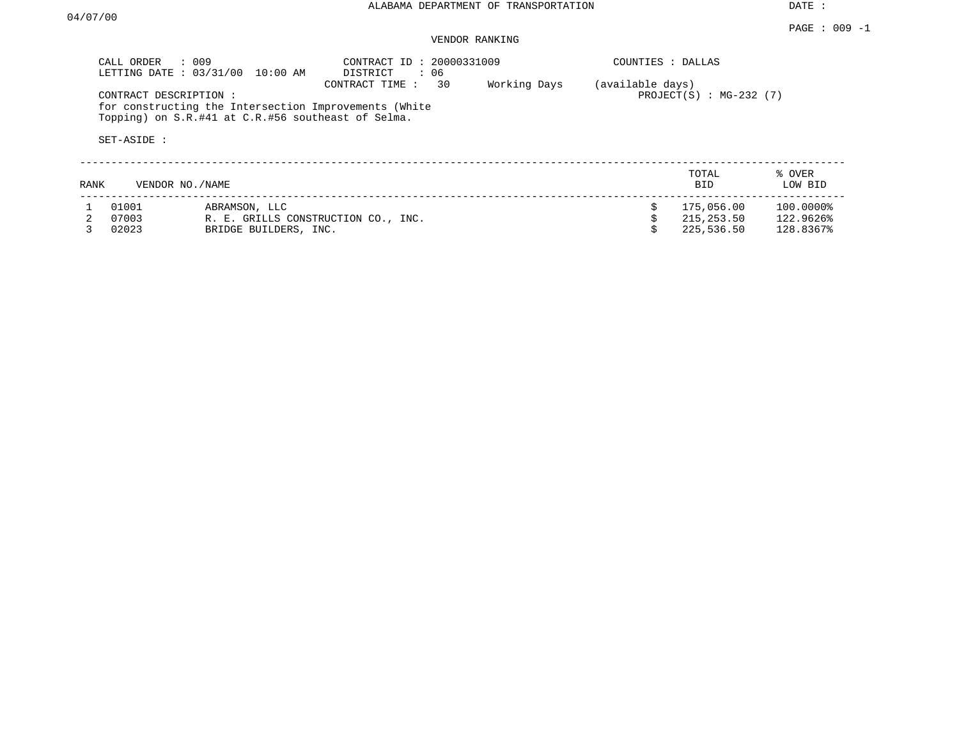PAGE : 009 -1

## VENDOR RANKING

|                         | CALL ORDER : 009<br>LETTING DATE: 03/31/00<br>10:00 AM                                                                               | CONTRACT ID: 20000331009<br>: 06<br>DISTRICT |              | COUNTIES : DALLAS |                                        |                                     |
|-------------------------|--------------------------------------------------------------------------------------------------------------------------------------|----------------------------------------------|--------------|-------------------|----------------------------------------|-------------------------------------|
| SET-ASIDE :             | CONTRACT DESCRIPTION:<br>for constructing the Intersection Improvements (White<br>Topping) on S.R.#41 at C.R.#56 southeast of Selma. | 30<br>CONTRACT TIME :                        | Working Days | (available days)  | PROJECT $(S)$ : MG-232 $(7)$           |                                     |
| RANK                    | VENDOR NO. / NAME                                                                                                                    |                                              |              |                   | TOTAL<br>BID.                          | % OVER<br>LOW BID                   |
| 01001<br>07003<br>02023 | ABRAMSON, LLC<br>BRIDGE BUILDERS, INC.                                                                                               | R. E. GRILLS CONSTRUCTION CO., INC.          |              |                   | 175,056.00<br>215,253.50<br>225,536.50 | 100.0000%<br>122.9626%<br>128.8367% |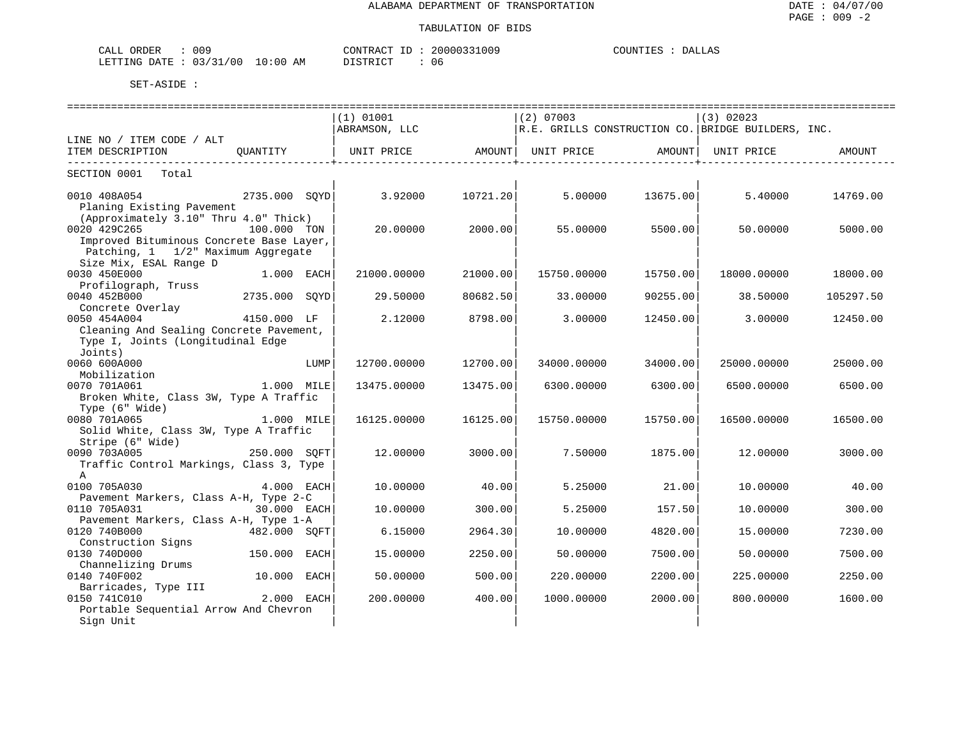| 009<br>CALL ORDER                |          | CONTRACT ID: 20000331009 | COUNTIES : DALLAS |
|----------------------------------|----------|--------------------------|-------------------|
| LETTING DATE : 03/31/00 10:00 AM | DISTRICT | 06                       |                   |

|                                          |               |      | ----------------------------- |          | ----------------------------- |          | ==================================                 |           |
|------------------------------------------|---------------|------|-------------------------------|----------|-------------------------------|----------|----------------------------------------------------|-----------|
|                                          |               |      | (1) 01001                     |          | $(2)$ 07003                   |          | (3) 02023                                          |           |
|                                          |               |      | ABRAMSON, LLC                 |          |                               |          | R.E. GRILLS CONSTRUCTION CO. BRIDGE BUILDERS, INC. |           |
| LINE NO / ITEM CODE / ALT                |               |      |                               |          |                               |          |                                                    |           |
| ITEM DESCRIPTION                         |               |      |                               |          |                               |          |                                                    | AMOUNT    |
| SECTION 0001 Total                       |               |      |                               |          |                               |          |                                                    |           |
| 0010 408A054                             | 2735.000 SOYD |      | 3.92000                       | 10721.20 | 5.00000                       | 13675.00 | 5.40000                                            | 14769.00  |
| Planing Existing Pavement                |               |      |                               |          |                               |          |                                                    |           |
| (Approximately 3.10" Thru 4.0" Thick)    |               |      |                               |          |                               |          |                                                    |           |
| 0020 429C265                             | 100.000 TON   |      | 20,00000                      | 2000.00  | 55.00000                      | 5500.00  | 50.00000                                           | 5000.00   |
| Improved Bituminous Concrete Base Layer, |               |      |                               |          |                               |          |                                                    |           |
| Patching, 1 1/2" Maximum Aggregate       |               |      |                               |          |                               |          |                                                    |           |
| Size Mix, ESAL Range D                   |               |      |                               |          |                               |          |                                                    |           |
| 0030 450E000                             | 1.000 EACH    |      | 21000.00000                   | 21000.00 | 15750.00000                   | 15750.00 | 18000.00000                                        | 18000.00  |
| Profilograph, Truss                      |               |      |                               |          |                               |          |                                                    |           |
| 0040 452B000                             | 2735.000 SOYD |      | 29.50000                      | 80682.50 | 33.00000                      | 90255.00 | 38.50000                                           | 105297.50 |
| Concrete Overlay<br>0050 454A004         | 4150.000 LF   |      | 2.12000                       | 8798.00  | 3.00000                       | 12450.00 | 3.00000                                            |           |
| Cleaning And Sealing Concrete Pavement,  |               |      |                               |          |                               |          |                                                    | 12450.00  |
| Type I, Joints (Longitudinal Edge        |               |      |                               |          |                               |          |                                                    |           |
| Joints)                                  |               |      |                               |          |                               |          |                                                    |           |
| 0060 600A000                             |               | LUMP | 12700.00000                   | 12700.00 | 34000.00000                   | 34000.00 | 25000.00000                                        | 25000.00  |
| Mobilization                             |               |      |                               |          |                               |          |                                                    |           |
| 0070 701A061                             | 1.000 MILE    |      | 13475.00000                   | 13475.00 | 6300.00000                    | 6300.00  | 6500.00000                                         | 6500.00   |
| Broken White, Class 3W, Type A Traffic   |               |      |                               |          |                               |          |                                                    |           |
| Type (6" Wide)                           |               |      |                               |          |                               |          |                                                    |           |
| 0080 701A065                             | 1.000 MILE    |      | 16125.00000                   | 16125.00 | 15750.00000                   | 15750.00 | 16500.00000                                        | 16500.00  |
| Solid White, Class 3W, Type A Traffic    |               |      |                               |          |                               |          |                                                    |           |
| Stripe (6" Wide)                         |               |      |                               |          |                               |          |                                                    |           |
| 0090 703A005                             | 250.000 SOFT  |      | 12.00000                      | 3000.00  | 7.50000                       | 1875.00  | 12.00000                                           | 3000.00   |
| Traffic Control Markings, Class 3, Type  |               |      |                               |          |                               |          |                                                    |           |
| $\mathsf{A}$                             |               |      |                               |          |                               |          |                                                    |           |
| 0100 705A030                             | 4.000 EACH    |      | 10.00000                      | 40.00    | 5.25000                       | 21.00    | 10.00000                                           | 40.00     |
| Pavement Markers, Class A-H, Type 2-C    |               |      |                               |          |                               |          |                                                    |           |
| 0110 705A031                             | 30.000 EACH   |      | 10.00000                      | 300.00   | 5.25000                       | 157.50   | 10.00000                                           | 300.00    |
| Pavement Markers, Class A-H, Type 1-A    |               |      |                               |          |                               |          |                                                    |           |
| 0120 740B000                             | 482.000 SOFT  |      | 6.15000                       | 2964.30  | 10.00000                      | 4820.00  | 15.00000                                           | 7230.00   |
| Construction Signs                       |               |      |                               |          |                               |          |                                                    |           |
| 0130 740D000                             | 150.000 EACH  |      | 15.00000                      | 2250.00  | 50.00000                      | 7500.00  | 50.00000                                           | 7500.00   |
| Channelizing Drums                       |               |      |                               |          |                               |          |                                                    |           |
| 0140 740F002                             | 10.000 EACH   |      | 50.00000                      | 500.00   | 220.00000                     | 2200.00  | 225.00000                                          | 2250.00   |
| Barricades, Type III                     |               |      |                               |          |                               |          |                                                    |           |
| 0150 741C010                             | 2.000 EACH    |      | 200.00000                     | 400.00   | 1000.00000                    | 2000.00  | 800,00000                                          | 1600.00   |
| Portable Sequential Arrow And Chevron    |               |      |                               |          |                               |          |                                                    |           |
| Sign Unit                                |               |      |                               |          |                               |          |                                                    |           |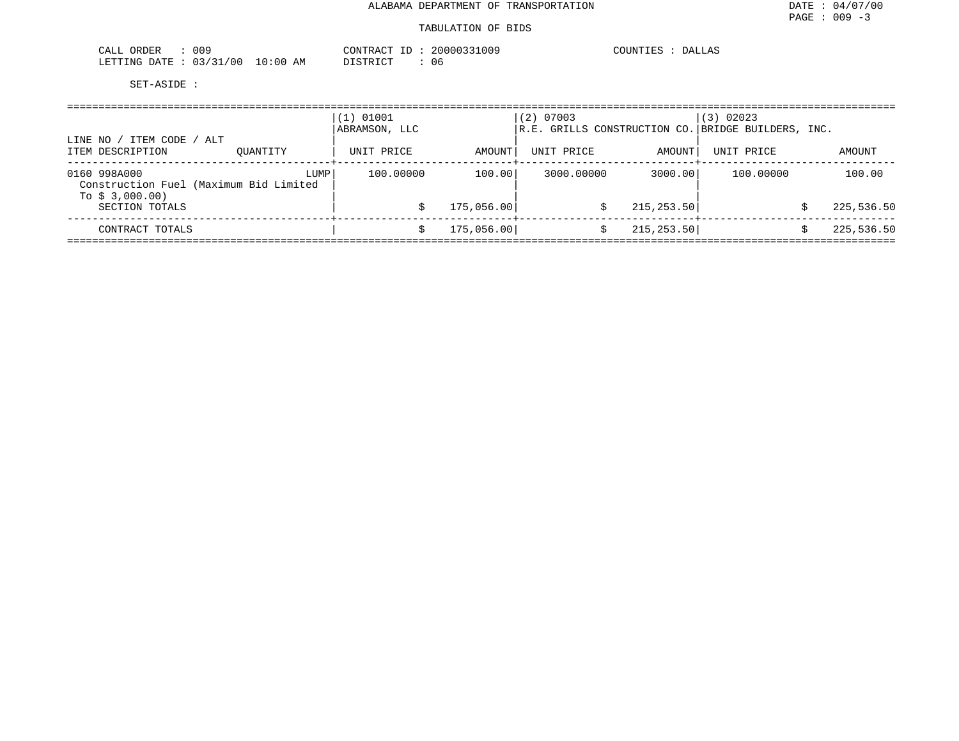| CALL ORDER<br>009               |          | CONTRACT ID: 20000331009 | COUNTIES : DALLAS |
|---------------------------------|----------|--------------------------|-------------------|
| LETTING DATE: 03/31/00 10:00 AM | DISTRICT | 06                       |                   |

| ITEM CODE / ALT<br>LINE NO                                                |          | (1) 01001<br>ABRAMSON, LLC |            | $(2)$ 07003 | R.E. GRILLS CONSTRUCTION CO. BRIDGE BUILDERS, INC. | (3) 02023                         |            |
|---------------------------------------------------------------------------|----------|----------------------------|------------|-------------|----------------------------------------------------|-----------------------------------|------------|
| ITEM DESCRIPTION                                                          | OUANTITY | UNIT PRICE                 | AMOUNT     | UNIT PRICE  | AMOUNT                                             | UNIT PRICE<br>--------+---------- | AMOUNT     |
| 0160 998A000<br>Construction Fuel (Maximum Bid Limited<br>To $$3,000.00)$ | LUMP     | 100,00000                  | 100.00     | 3000.00000  | 3000.00                                            | 100.00000                         | 100.00     |
| SECTION TOTALS                                                            |          |                            | 175,056.00 |             | 215, 253.50                                        |                                   | 225,536.50 |
| CONTRACT TOTALS                                                           |          |                            | 175,056.00 |             | 215, 253.50                                        |                                   | 225,536.50 |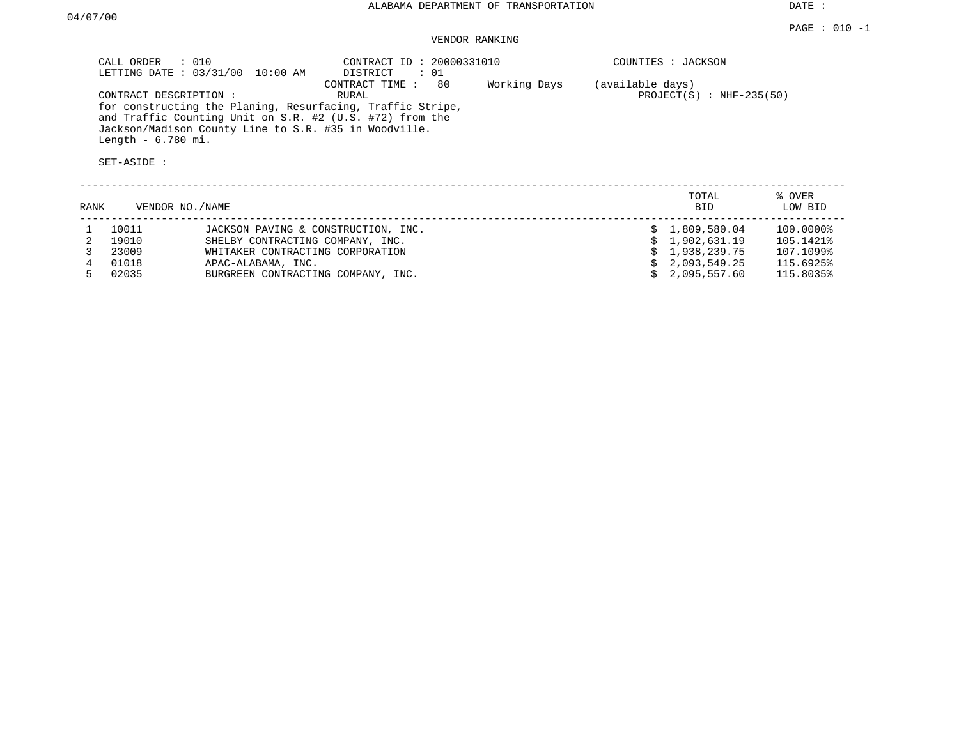# VENDOR RANKING

| $\therefore$ 010<br>CALL ORDER<br>LETTING DATE: 03/31/00<br>10:00 AM                                                                                                                                                            | CONTRACT ID: 20000331010<br>$\colon$ 01<br>DISTRICT |              | COUNTIES : JACKSON |                            |        |
|---------------------------------------------------------------------------------------------------------------------------------------------------------------------------------------------------------------------------------|-----------------------------------------------------|--------------|--------------------|----------------------------|--------|
| CONTRACT DESCRIPTION:<br>for constructing the Planing, Resurfacing, Traffic Stripe,<br>and Traffic Counting Unit on S.R. #2 (U.S. #72) from the<br>Jackson/Madison County Line to S.R. #35 in Woodville.<br>Length $-6.780$ mi. | 80<br>CONTRACT TIME:<br>RURAL                       | Working Days | (available days)   | $PROJECT(S)$ : NHF-235(50) |        |
| SET-ASIDE :                                                                                                                                                                                                                     |                                                     |              |                    |                            |        |
|                                                                                                                                                                                                                                 |                                                     |              |                    | TOTAL                      | % OVER |

| RANK | VENDOR NO./NAME |                                     | -----<br>BID.  | . <u>.</u><br>LOW BID |
|------|-----------------|-------------------------------------|----------------|-----------------------|
|      | 10011           | JACKSON PAVING & CONSTRUCTION, INC. | \$1,809,580.04 | 100.0000%             |
|      | 19010           | SHELBY CONTRACTING COMPANY, INC.    | \$1,902,631.19 | 105.1421%             |
|      | 23009           | WHITAKER CONTRACTING CORPORATION    | \$1,938,239.75 | 107.1099%             |
|      | 01018           | APAC-ALABAMA, INC.                  | \$2,093,549.25 | 115.6925%             |
|      | 02035           | BURGREEN CONTRACTING COMPANY, INC.  | \$2.095.557.60 | 115.8035%             |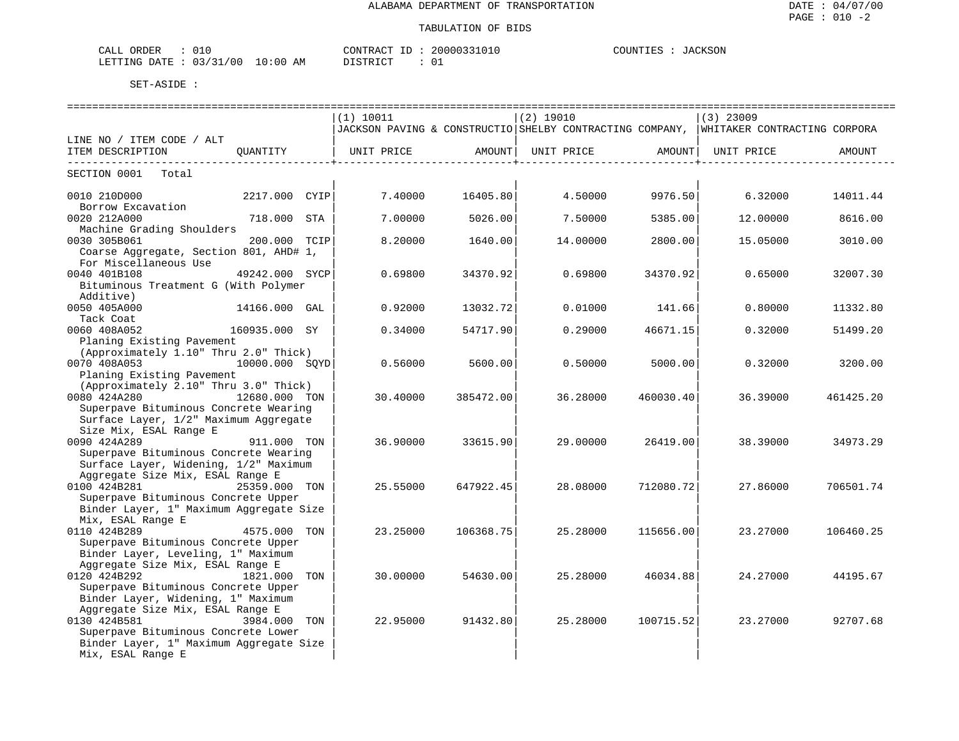| ORDER<br>CALL            |             | CONTRACT<br>20000331010<br>$\mathbf{L}$ | <b>JACKSON</b><br>COUNTIES |
|--------------------------|-------------|-----------------------------------------|----------------------------|
| 03/31/00<br>LETTING DATE | 10:00<br>ΆM | $T$ $C$ $T$ $C$ $T$ $T$ $C$ $T$ $T$     |                            |

|                                         |                  | ----------------------------- |                        | . ==============================                                                       |                       | ==========================                                                             |           |
|-----------------------------------------|------------------|-------------------------------|------------------------|----------------------------------------------------------------------------------------|-----------------------|----------------------------------------------------------------------------------------|-----------|
|                                         |                  | (1) 10011                     |                        | $(2)$ 19010                                                                            |                       | $(3)$ 23009                                                                            |           |
|                                         |                  |                               |                        |                                                                                        |                       | JJACKSON PAVING & CONSTRUCTIO SHELBY CONTRACTING COMPANY, WHITAKER CONTRACTING CORPORA |           |
| LINE NO / ITEM CODE / ALT               |                  |                               |                        |                                                                                        |                       |                                                                                        |           |
| ITEM DESCRIPTION QUANTITY               |                  |                               |                        | UNIT PRICE                  AMOUNT    UNIT PRICE                  AMOUNT    UNIT PRICE |                       |                                                                                        | AMOUNT    |
|                                         |                  |                               | ---------------------+ |                                                                                        | _____________________ |                                                                                        |           |
| SECTION 0001 Total                      |                  |                               |                        |                                                                                        |                       |                                                                                        |           |
|                                         |                  |                               |                        |                                                                                        |                       |                                                                                        |           |
| 0010 210D000 00000                      | 2217.000 CYIP    | 7.40000                       | 16405.80               | 4.50000                                                                                | 9976.50               | 6.32000                                                                                | 14011.44  |
| Borrow Excavation                       |                  |                               |                        |                                                                                        |                       |                                                                                        |           |
| 0020 212A000                            | 718.000 STA      | 7.00000                       | 5026.00                | 7.50000                                                                                | 5385.00               | 12.00000                                                                               | 8616.00   |
| Machine Grading Shoulders               |                  |                               |                        |                                                                                        |                       |                                                                                        |           |
| 0030 305B061                            | 200.000 TCIP     | 8,20000                       | 1640.00                | 14,00000                                                                               | 2800.00               | 15.05000                                                                               | 3010.00   |
| Coarse Aggregate, Section 801, AHD# 1,  |                  |                               |                        |                                                                                        |                       |                                                                                        |           |
| For Miscellaneous Use                   |                  |                               |                        |                                                                                        |                       |                                                                                        |           |
| 0040 401B108                            | 49242.000 SYCP   | 0.69800                       | 34370.92               | 0.69800                                                                                | 34370.92              | 0.65000                                                                                | 32007.30  |
| Bituminous Treatment G (With Polymer    |                  |                               |                        |                                                                                        |                       |                                                                                        |           |
| Additive)                               |                  |                               |                        |                                                                                        |                       |                                                                                        |           |
| 0050 405A000                            | 14166.000 GAL    | 0.92000                       | 13032.72               | 0.01000                                                                                | 141.66                | 0.80000                                                                                | 11332.80  |
| Tack Coat                               |                  |                               |                        |                                                                                        |                       |                                                                                        |           |
| 0060 408A052                            | 160935.000 SY    | 0.34000                       | 54717.90               | 0.29000                                                                                | 46671.15              | 0.32000                                                                                | 51499.20  |
| Planing Existing Pavement               |                  |                               |                        |                                                                                        |                       |                                                                                        |           |
| (Approximately 1.10" Thru 2.0" Thick)   |                  |                               |                        |                                                                                        |                       |                                                                                        |           |
| 0070 408A053                            | $10000.000$ SOYD | 0.56000                       | 5600.00                | 0.50000                                                                                | 5000.00               | 0.32000                                                                                | 3200.00   |
| Planing Existing Pavement               |                  |                               |                        |                                                                                        |                       |                                                                                        |           |
| (Approximately 2.10" Thru 3.0" Thick)   |                  |                               |                        |                                                                                        |                       |                                                                                        |           |
| 0080 424A280                            | 12680.000 TON    | 30.40000                      | 385472.00              | 36.28000                                                                               | 460030.40             | 36.39000                                                                               | 461425.20 |
| Superpave Bituminous Concrete Wearing   |                  |                               |                        |                                                                                        |                       |                                                                                        |           |
| Surface Layer, 1/2" Maximum Aggregate   |                  |                               |                        |                                                                                        |                       |                                                                                        |           |
| Size Mix, ESAL Range E                  |                  |                               |                        |                                                                                        |                       |                                                                                        |           |
| 0090 424A289                            | 911.000 TON      | 36.90000                      | 33615.90               | 29.00000                                                                               | 26419.00              | 38.39000                                                                               | 34973.29  |
| Superpave Bituminous Concrete Wearing   |                  |                               |                        |                                                                                        |                       |                                                                                        |           |
| Surface Layer, Widening, 1/2" Maximum   |                  |                               |                        |                                                                                        |                       |                                                                                        |           |
| Aggregate Size Mix, ESAL Range E        |                  |                               |                        |                                                                                        |                       |                                                                                        |           |
| 0100 424B281                            | 25359.000 TON    | 25.55000                      | 647922.45              | 28.08000                                                                               | 712080.72             | 27.86000                                                                               | 706501.74 |
| Superpave Bituminous Concrete Upper     |                  |                               |                        |                                                                                        |                       |                                                                                        |           |
| Binder Layer, 1" Maximum Aggregate Size |                  |                               |                        |                                                                                        |                       |                                                                                        |           |
| Mix, ESAL Range E                       |                  |                               |                        |                                                                                        |                       |                                                                                        |           |
| 0110 424B289                            | 4575.000 TON     | 23.25000                      | 106368.75              | 25.28000                                                                               | 115656.00             | 23.27000                                                                               | 106460.25 |
| Superpave Bituminous Concrete Upper     |                  |                               |                        |                                                                                        |                       |                                                                                        |           |
| Binder Layer, Leveling, 1" Maximum      |                  |                               |                        |                                                                                        |                       |                                                                                        |           |
| Aggregate Size Mix, ESAL Range E        |                  |                               |                        |                                                                                        |                       |                                                                                        |           |
| 0120 424B292                            | 1821.000 TON     | 30,00000                      | 54630.00               | 25.28000                                                                               | 46034.88              | 24.27000                                                                               | 44195.67  |
| Superpave Bituminous Concrete Upper     |                  |                               |                        |                                                                                        |                       |                                                                                        |           |
| Binder Layer, Widening, 1" Maximum      |                  |                               |                        |                                                                                        |                       |                                                                                        |           |
| Aggregate Size Mix, ESAL Range E        |                  |                               |                        |                                                                                        |                       |                                                                                        |           |
| 0130 424B581                            | 3984.000 TON     | 22.95000                      | 91432.80               | 25.28000                                                                               | 100715.52             | 23.27000                                                                               | 92707.68  |
| Superpave Bituminous Concrete Lower     |                  |                               |                        |                                                                                        |                       |                                                                                        |           |
| Binder Layer, 1" Maximum Aggregate Size |                  |                               |                        |                                                                                        |                       |                                                                                        |           |
| Mix, ESAL Range E                       |                  |                               |                        |                                                                                        |                       |                                                                                        |           |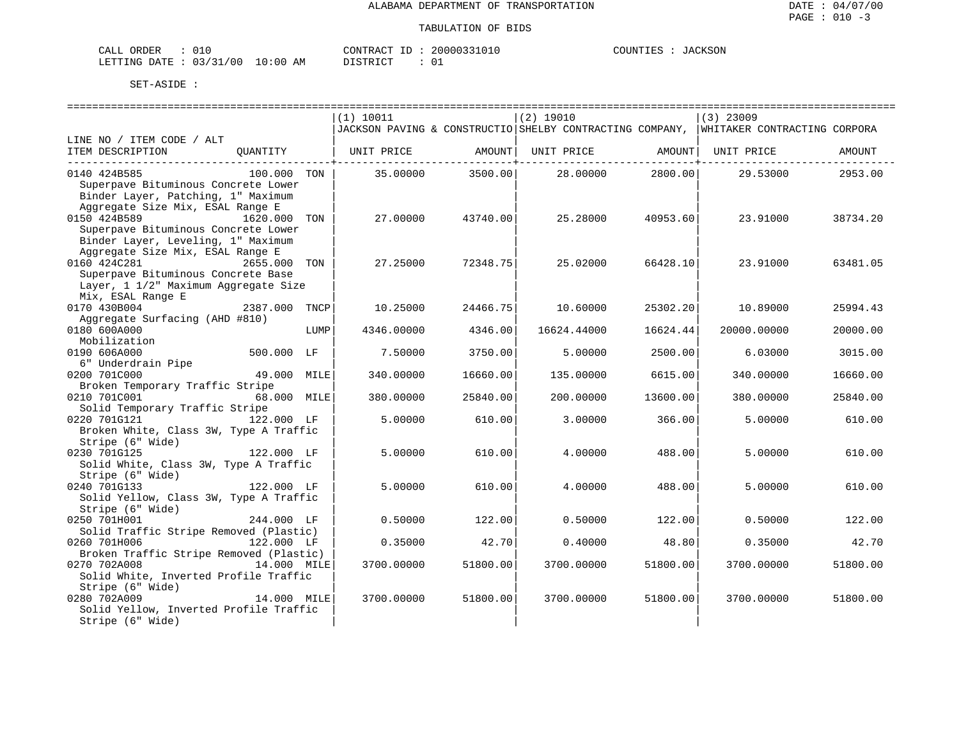| ORDER<br>CALL (                  |  | CONTRACT | - TD | 20000331010 | COUNTIES | JACKSON |
|----------------------------------|--|----------|------|-------------|----------|---------|
| LETTING DATE : 03/31/00 10:00 AM |  | DISTRICT |      |             |          |         |

|                                                                           |               |      | (1) 10011  |                                 | $(2)$ 19010                                                                           |                  | $(3)$ 23009 |          |
|---------------------------------------------------------------------------|---------------|------|------------|---------------------------------|---------------------------------------------------------------------------------------|------------------|-------------|----------|
|                                                                           |               |      |            |                                 | JACKSON PAVING & CONSTRUCTIO SHELBY CONTRACTING COMPANY, WHITAKER CONTRACTING CORPORA |                  |             |          |
| LINE NO / ITEM CODE / ALT                                                 |               |      |            |                                 |                                                                                       |                  |             |          |
| ITEM DESCRIPTION QUANTITY                                                 |               |      |            | ----------- <del>-</del> ------ | UNIT PRICE AMOUNT  UNIT PRICE AMOUNT                                                  | .                | UNIT PRICE  | AMOUNT   |
| 0140 424B585                                                              | 100.000 TON   |      | 35.00000   | 3500.00                         |                                                                                       | 28.00000 2800.00 | 29.53000    | 2953.00  |
| Superpave Bituminous Concrete Lower<br>Binder Layer, Patching, 1" Maximum |               |      |            |                                 |                                                                                       |                  |             |          |
| Aggregate Size Mix, ESAL Range E<br>0150 424B589<br>1620.000 TON          |               |      | 27.00000   | 43740.00                        | 25.28000                                                                              | 40953.60         | 23.91000    | 38734.20 |
| Superpave Bituminous Concrete Lower<br>Binder Layer, Leveling, 1" Maximum |               |      |            |                                 |                                                                                       |                  |             |          |
| Aggregate Size Mix, ESAL Range E                                          |               |      |            |                                 |                                                                                       |                  |             |          |
| 0160 424C281<br>Superpave Bituminous Concrete Base                        | 2655.000 TON  |      | 27.25000   | 72348.75                        | 25.02000                                                                              | 66428.10         | 23.91000    | 63481.05 |
| Layer, 1 1/2" Maximum Aggregate Size                                      |               |      |            |                                 |                                                                                       |                  |             |          |
| Mix, ESAL Range E                                                         |               |      |            |                                 |                                                                                       |                  |             |          |
| 0170 430B004                                                              | 2387.000 TNCP |      | 10.25000   | 24466.75                        | 10.60000                                                                              | 25302.20         | 10.89000    | 25994.43 |
| Aggregate Surfacing (AHD #810)<br>0180 600A000                            |               | LUMP | 4346.00000 | 4346.00                         | 16624.44000                                                                           | 16624.44         | 20000.00000 | 20000.00 |
| Mobilization                                                              |               |      |            |                                 |                                                                                       |                  |             |          |
| 0190 606A000                                                              | 500.000 LF    |      | 7.50000    | 3750.00                         | 5.00000                                                                               | 2500.00          | 6.03000     | 3015.00  |
| 6" Underdrain Pipe                                                        |               |      |            |                                 |                                                                                       |                  |             |          |
| 0200 701C000<br>Broken Temporary Traffic Stripe                           | 49.000 MILE   |      | 340.00000  | 16660.00                        | 135,00000                                                                             | 6615.00          | 340.00000   | 16660.00 |
| 0210 701C001 68.000 MILE                                                  |               |      | 380.00000  | 25840.00                        | 200.00000                                                                             | 13600.00         | 380.00000   | 25840.00 |
| Solid Temporary Traffic Stripe                                            |               |      |            |                                 |                                                                                       |                  |             |          |
| 0220 701G121<br>Broken White, Class 3W, Type A Traffic                    | 122.000 LF    |      | 5.00000    | 610.00                          | 3.00000                                                                               | 366.00           | 5.00000     | 610.00   |
| Stripe (6" Wide)                                                          |               |      |            |                                 |                                                                                       |                  |             |          |
| $122.000$ LF<br>0230 701G125                                              |               |      | 5.00000    | 610.00                          | 4.00000                                                                               | 488.00           | 5.00000     | 610.00   |
| Solid White, Class 3W, Type A Traffic                                     |               |      |            |                                 |                                                                                       |                  |             |          |
| Stripe (6" Wide)<br>0240 701G133                                          | 122.000 LF    |      | 5.00000    | 610.00                          | 4.00000                                                                               | 488.00           | 5.00000     | 610.00   |
| Solid Yellow, Class 3W, Type A Traffic                                    |               |      |            |                                 |                                                                                       |                  |             |          |
| Stripe (6" Wide)                                                          |               |      |            |                                 |                                                                                       |                  |             |          |
| 0250 701H001                                                              | 244.000 LF    |      | 0.50000    | 122.00                          | 0.50000                                                                               | 122.00           | 0.50000     | 122.00   |
| Solid Traffic Stripe Removed (Plastic)                                    |               |      |            |                                 |                                                                                       |                  |             |          |
| 0260 701H006<br>Broken Traffic Stripe Removed (Plastic)                   | 122.000 LF    |      | 0.35000    | 42.70                           | 0.40000                                                                               | 48.80            | 0.35000     | 42.70    |
| 0270 702A008<br>14.000 MILE                                               |               |      | 3700.00000 | 51800.00                        | 3700.00000                                                                            | 51800.00         | 3700.00000  | 51800.00 |
| Solid White, Inverted Profile Traffic                                     |               |      |            |                                 |                                                                                       |                  |             |          |
| Stripe (6" Wide)                                                          |               |      |            |                                 |                                                                                       |                  |             |          |
| 0280 702A009                                                              | 14.000 MILE   |      | 3700.00000 | 51800.00                        | 3700.00000                                                                            | 51800.00         | 3700.00000  | 51800.00 |
| Solid Yellow, Inverted Profile Traffic                                    |               |      |            |                                 |                                                                                       |                  |             |          |
| Stripe (6" Wide)                                                          |               |      |            |                                 |                                                                                       |                  |             |          |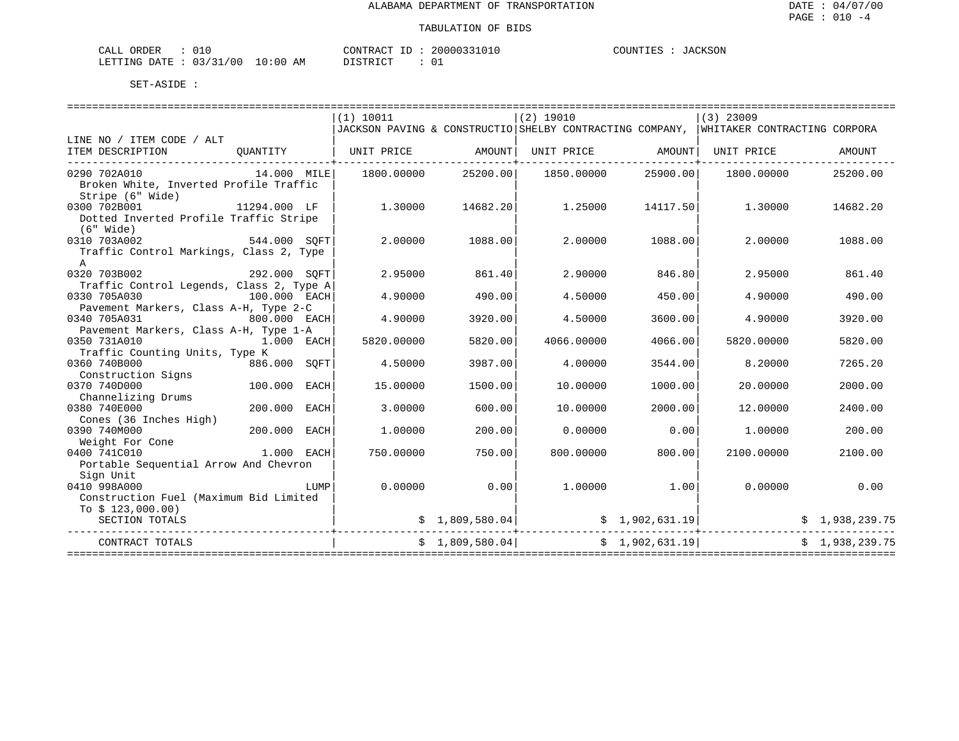| CALL ORDER                      |  | CONTRACT ID                   |  | 20000331010 | COUNTIES | JACKSON |
|---------------------------------|--|-------------------------------|--|-------------|----------|---------|
| LETTING DATE: 03/31/00 10:00 AM |  | DISTRICT<br><b>_______</b> __ |  |             |          |         |

|                                          |              |      | (1) 10011             |                 | $(2)$ 19010                                                |                | $(3)$ 23009                                                                           |                |
|------------------------------------------|--------------|------|-----------------------|-----------------|------------------------------------------------------------|----------------|---------------------------------------------------------------------------------------|----------------|
|                                          |              |      |                       |                 |                                                            |                | JACKSON PAVING & CONSTRUCTIO SHELBY CONTRACTING COMPANY, WHITAKER CONTRACTING CORPORA |                |
| LINE NO / ITEM CODE / ALT                |              |      |                       |                 | UNIT PRICE AMOUNT   UNIT PRICE                             |                |                                                                                       | AMOUNT         |
| ITEM DESCRIPTION                         |              |      | QUANTITY   UNIT PRICE | AMOUNT          |                                                            |                |                                                                                       |                |
| 14.000 MILE<br>0290 702A010              |              |      | 1800.00000            | 25200.00        | 1850.00000                                                 | 25900.00       | 1800.00000                                                                            | 25200.00       |
| Broken White, Inverted Profile Traffic   |              |      |                       |                 |                                                            |                |                                                                                       |                |
| Stripe (6" Wide)                         |              |      |                       |                 |                                                            |                |                                                                                       |                |
| 0300 702B001                             | 11294.000 LF |      | 1,30000               | 14682.20        | 1.25000                                                    | 14117.50       | 1.30000                                                                               | 14682.20       |
| Dotted Inverted Profile Traffic Stripe   |              |      |                       |                 |                                                            |                |                                                                                       |                |
| $(6"$ Wide)                              |              |      |                       |                 |                                                            |                |                                                                                       |                |
| 544.000 SOFT<br>0310 703A002             |              |      | 2,00000               | 1088.00         | 2.00000                                                    | 1088.00        | 2.00000                                                                               | 1088.00        |
| Traffic Control Markings, Class 2, Type  |              |      |                       |                 |                                                            |                |                                                                                       |                |
| $\Delta$                                 |              |      |                       |                 |                                                            |                |                                                                                       |                |
| 292.000 SQFT<br>0320 703B002             |              |      | 2.95000               | 861.40          | 2.90000                                                    | 846.80         | 2.95000                                                                               | 861.40         |
| Traffic Control Legends, Class 2, Type A |              |      |                       |                 |                                                            |                |                                                                                       |                |
| 100.000 EACH<br>0330 705A030             |              |      | 4.90000               | 490.00          | 4.50000                                                    | 450.00         | 4.90000                                                                               | 490.00         |
| Pavement Markers, Class A-H, Type 2-C    |              |      |                       |                 |                                                            |                |                                                                                       |                |
| 0340 705A031<br>800.000 EACH             |              |      | 4.90000               | 3920.00         | 4.50000                                                    | 3600.00        | 4.90000                                                                               | 3920.00        |
| Pavement Markers, Class A-H, Type 1-A    |              |      |                       |                 |                                                            |                |                                                                                       |                |
| 0350 731A010<br>1.000 EACH               |              |      | 5820.00000            | 5820.00         | 4066.00000                                                 | 4066.00        | 5820.00000                                                                            | 5820.00        |
| Traffic Counting Units, Type K           |              |      |                       |                 |                                                            |                |                                                                                       |                |
| 0360 740B000                             | 886.000 SOFT |      | 4.50000               | 3987.00         | 4.00000                                                    | 3544.00        | 8.20000                                                                               | 7265.20        |
| Construction Signs                       |              |      |                       |                 |                                                            |                |                                                                                       |                |
| 0370 740D000                             | 100.000 EACH |      | 15,00000              | 1500.00         | 10.00000                                                   | 1000.00        | 20,00000                                                                              | 2000.00        |
| Channelizing Drums                       |              |      |                       |                 |                                                            |                |                                                                                       |                |
| 0380 740E000                             | 200.000      | EACH | 3.00000               | 600.00          | 10.00000                                                   | 2000.00        | 12,00000                                                                              | 2400.00        |
| Cones (36 Inches High)                   |              |      |                       |                 |                                                            |                |                                                                                       |                |
| 0390 740M000                             | 200.000 EACH |      | 1,00000               | 200.00          | 0.00000                                                    | 0.00           | 1,00000                                                                               | 200.00         |
| Weight For Cone                          |              |      |                       |                 |                                                            |                |                                                                                       |                |
| 0400 741C010<br>1.000 EACH               |              |      | 750.00000             | 750.00          | 800.00000                                                  | 800.00         | 2100.00000                                                                            | 2100.00        |
| Portable Sequential Arrow And Chevron    |              |      |                       |                 |                                                            |                |                                                                                       |                |
| Sign Unit                                |              |      |                       |                 |                                                            |                |                                                                                       |                |
| 0410 998A000                             |              | LUMP | 0.00000               | 0.00            |                                                            | 1.00000 1.00   | 0.00000                                                                               | 0.00           |
| Construction Fuel (Maximum Bid Limited   |              |      |                       |                 |                                                            |                |                                                                                       |                |
| To $$123,000.00)$                        |              |      |                       |                 |                                                            |                |                                                                                       |                |
| SECTION TOTALS                           |              |      |                       |                 | $\sharp$ 1,809,580.04 $\sharp$ 1,902,631.19<br>----------- |                |                                                                                       | \$1,938,239.75 |
| CONTRACT TOTALS                          |              |      |                       | \$1,809,580.04] |                                                            | \$1,902,631.19 |                                                                                       | \$1,938,239.75 |
|                                          |              |      |                       |                 |                                                            |                |                                                                                       |                |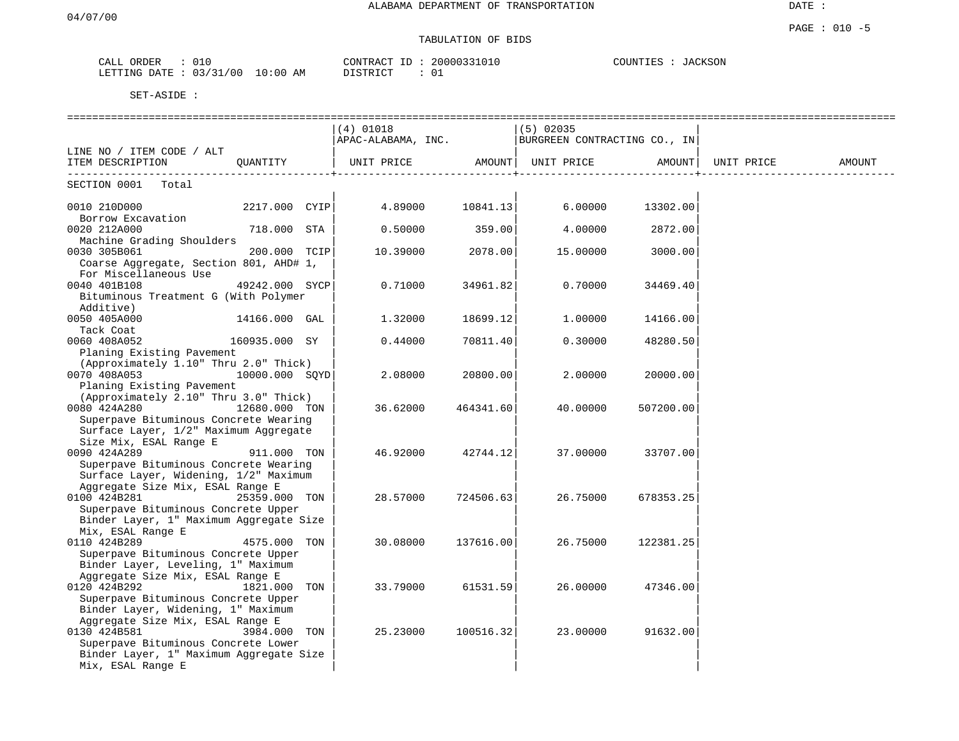DATE :

#### PAGE : 010 -5 TABULATION OF BIDS

| ORDER<br>CALL | 010                            | CONTRACT<br>$-1$ | 20000331010 | COUNTIES<br>JACKSON<br>A( |
|---------------|--------------------------------|------------------|-------------|---------------------------|
| LETTING DATE  | 0.3 / 31<br>/00<br>10:00<br>AΜ | יר איד אידף דר   |             |                           |

|                                                  |                | $(4)$ 01018        |           | $(5)$ 02035                  |           |            |        |
|--------------------------------------------------|----------------|--------------------|-----------|------------------------------|-----------|------------|--------|
|                                                  |                | APAC-ALABAMA, INC. |           | BURGREEN CONTRACTING CO., IN |           |            |        |
| LINE NO / ITEM CODE / ALT                        |                |                    |           |                              |           |            |        |
| ITEM DESCRIPTION                                 | OUANTITY       | UNIT PRICE AMOUNT  |           | UNIT PRICE                   | AMOUNT    | UNIT PRICE | AMOUNT |
| SECTION 0001 Total                               |                |                    |           |                              |           |            |        |
| 0010 210D000                                     | 2217.000 CYIP  | 4.89000            | 10841.13  | 6.00000                      | 13302.00  |            |        |
| Borrow Excavation                                |                |                    |           |                              |           |            |        |
| 0020 212A000                                     | 718.000 STA    | 0.50000            | 359.00    | 4.00000                      | 2872.00   |            |        |
| Machine Grading Shoulders                        |                |                    |           |                              |           |            |        |
| 0030 305B061                                     | 200.000 TCIP   | 10.39000           | 2078.00   | 15.00000                     | 3000.00   |            |        |
| Coarse Aggregate, Section 801, AHD# 1,           |                |                    |           |                              |           |            |        |
| For Miscellaneous Use                            |                |                    |           |                              |           |            |        |
| 0040 401B108                                     | 49242.000 SYCP | 0.71000            | 34961.82  | 0.70000                      | 34469.40  |            |        |
| Bituminous Treatment G (With Polymer             |                |                    |           |                              |           |            |        |
| Additive)                                        |                |                    |           |                              |           |            |        |
| 0050 405A000                                     | 14166.000 GAL  | 1.32000            | 18699.12  | 1,00000                      | 14166.00  |            |        |
| Tack Coat                                        |                |                    |           |                              |           |            |        |
| 0060 408A052                                     | 160935.000 SY  | 0.44000            | 70811.40  | 0.30000                      | 48280.50  |            |        |
| Planing Existing Pavement                        |                |                    |           |                              |           |            |        |
| (Approximately 1.10" Thru 2.0" Thick)            |                |                    |           |                              |           |            |        |
| 0070 408A053                                     | 10000.000 SQYD | 2.08000            | 20800.00  | 2.00000                      | 20000.00  |            |        |
| Planing Existing Pavement                        |                |                    |           |                              |           |            |        |
| (Approximately 2.10" Thru 3.0" Thick)            |                |                    |           |                              |           |            |        |
| 0080 424A280                                     | 12680.000 TON  | 36.62000           | 464341.60 | 40.00000                     | 507200.00 |            |        |
| Superpave Bituminous Concrete Wearing            |                |                    |           |                              |           |            |        |
| Surface Layer, 1/2" Maximum Aggregate            |                |                    |           |                              |           |            |        |
| Size Mix, ESAL Range E                           |                |                    |           |                              |           |            |        |
| 0090 424A289                                     | 911.000 TON    | 46.92000           | 42744.12  | 37.00000                     | 33707.00  |            |        |
| Superpave Bituminous Concrete Wearing            |                |                    |           |                              |           |            |        |
| Surface Layer, Widening, 1/2" Maximum            |                |                    |           |                              |           |            |        |
| Aggregate Size Mix, ESAL Range E                 |                |                    |           |                              |           |            |        |
| 0100 424B281                                     | 25359.000 TON  | 28.57000           | 724506.63 | 26.75000                     | 678353.25 |            |        |
| Superpave Bituminous Concrete Upper              |                |                    |           |                              |           |            |        |
| Binder Layer, 1" Maximum Aggregate Size          |                |                    |           |                              |           |            |        |
| Mix, ESAL Range E                                |                |                    |           |                              |           |            |        |
| 0110 424B289                                     | 4575.000 TON   | 30.08000           | 137616.00 | 26.75000                     | 122381.25 |            |        |
| Superpave Bituminous Concrete Upper              |                |                    |           |                              |           |            |        |
| Binder Layer, Leveling, 1" Maximum               |                |                    |           |                              |           |            |        |
| Aggregate Size Mix, ESAL Range E<br>0120 424B292 | 1821.000 TON   | 33.79000           | 61531.59  | 26.00000                     | 47346.00  |            |        |
| Superpave Bituminous Concrete Upper              |                |                    |           |                              |           |            |        |
| Binder Layer, Widening, 1" Maximum               |                |                    |           |                              |           |            |        |
| Aggregate Size Mix, ESAL Range E                 |                |                    |           |                              |           |            |        |
| 0130 424B581                                     | 3984.000 TON   | 25.23000           | 100516.32 | 23.00000                     | 91632.00  |            |        |
| Superpave Bituminous Concrete Lower              |                |                    |           |                              |           |            |        |
| Binder Layer, 1" Maximum Aggregate Size          |                |                    |           |                              |           |            |        |
| Mix, ESAL Range E                                |                |                    |           |                              |           |            |        |
|                                                  |                |                    |           |                              |           |            |        |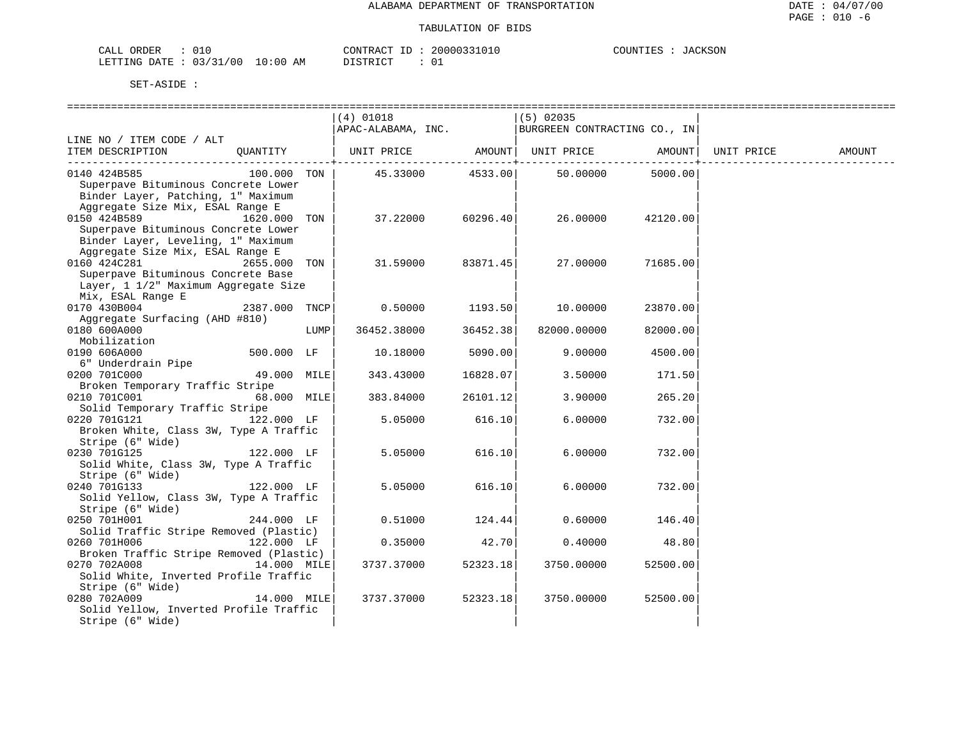| ORDER<br>CALI |            |               | CONTRACT | TD. | 20000331010   | COUNTIES |  | JACKSON |
|---------------|------------|---------------|----------|-----|---------------|----------|--|---------|
| LETTING DATE  | : 03/31/00 | LO : 00<br>AM | TSTRTOT  |     | $\sim$ $\sim$ |          |  |         |

|                                                                                                                              |               |      | (4) 01018<br>APAC-ALABAMA, INC. |          | $(5)$ 02035<br>BURGREEN CONTRACTING CO., IN |          |            |        |
|------------------------------------------------------------------------------------------------------------------------------|---------------|------|---------------------------------|----------|---------------------------------------------|----------|------------|--------|
| LINE NO / ITEM CODE / ALT                                                                                                    |               |      |                                 |          |                                             |          |            |        |
| ITEM DESCRIPTION                                                                                                             | OUANTITY      |      | UNIT PRICE AMOUNT UNIT PRICE    |          |                                             | AMOUNT   | UNIT PRICE | AMOUNT |
| 0140 424B585<br>Superpave Bituminous Concrete Lower<br>Binder Layer, Patching, 1" Maximum                                    | 100.000 TON   |      | 45.33000                        | 4533.00  | 50.00000                                    | 5000.00  |            |        |
| Aggregate Size Mix, ESAL Range E<br>0150 424B589<br>Superpave Bituminous Concrete Lower                                      | 1620.000 TON  |      | 37.22000                        | 60296.40 | 26.00000                                    | 42120.00 |            |        |
| Binder Layer, Leveling, 1" Maximum<br>Aggregate Size Mix, ESAL Range E<br>0160 424C281<br>Superpave Bituminous Concrete Base | 2655.000 TON  |      | 31.59000                        | 83871.45 | 27.00000                                    | 71685.00 |            |        |
| Layer, 1 1/2" Maximum Aggregate Size<br>Mix, ESAL Range E                                                                    |               |      |                                 |          |                                             |          |            |        |
| 0170 430B004                                                                                                                 | 2387.000 TNCP |      | 0.50000                         | 1193.50  | 10.00000                                    | 23870.00 |            |        |
| Aggregate Surfacing (AHD #810)<br>0180 600A000<br>Mobilization                                                               |               | LUMP | 36452.38000                     | 36452.38 | 82000.00000                                 | 82000.00 |            |        |
| 0190 606A000                                                                                                                 | 500.000 LF    |      | 10.18000                        | 5090.00  | 9.00000                                     | 4500.00  |            |        |
| 6" Underdrain Pipe<br>0200 701C000                                                                                           | 49.000 MILE   |      | 343.43000                       | 16828.07 | 3.50000                                     | 171.50   |            |        |
| Broken Temporary Traffic Stripe<br>0210 701C001                                                                              | 68.000 MILE   |      | 383.84000                       | 26101.12 | 3.90000                                     | 265.20   |            |        |
| Solid Temporary Traffic Stripe<br>0220 701G121<br>Broken White, Class 3W, Type A Traffic                                     | 122.000 LF    |      | 5.05000                         | 616.10   | 6.00000                                     | 732.00   |            |        |
| Stripe (6" Wide)<br>0230 701G125<br>Solid White, Class 3W, Type A Traffic                                                    | 122.000 LF    |      | 5.05000                         | 616.10   | 6.00000                                     | 732.00   |            |        |
| Stripe (6" Wide)<br>0240 701G133<br>Solid Yellow, Class 3W, Type A Traffic                                                   | 122.000 LF    |      | 5.05000                         | 616.10   | 6.00000                                     | 732.00   |            |        |
| Stripe (6" Wide)<br>0250 701H001<br>Solid Traffic Stripe Removed (Plastic)                                                   | 244.000 LF    |      | 0.51000                         | 124.44   | 0.60000                                     | 146.40   |            |        |
| 0260 701H006                                                                                                                 | 122.000 LF    |      | 0.35000                         | 42.70    | 0.40000                                     | 48.80    |            |        |
| Broken Traffic Stripe Removed (Plastic)<br>0270 702A008<br>Solid White, Inverted Profile Traffic                             | 14.000 MILE   |      | 3737.37000                      | 52323.18 | 3750.00000                                  | 52500.00 |            |        |
| Stripe (6" Wide)<br>0280 702A009<br>Solid Yellow, Inverted Profile Traffic<br>Stripe (6" Wide)                               | 14.000 MILE   |      | 3737.37000                      | 52323.18 | 3750.00000                                  | 52500.00 |            |        |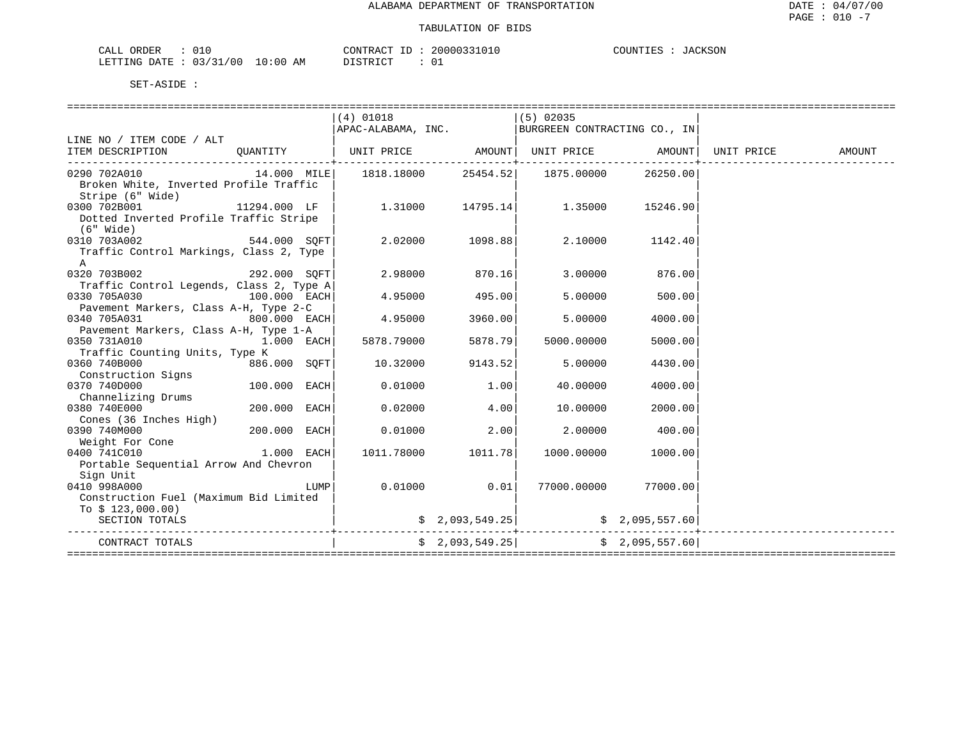**JACKSON** 

| CALL ORDER                      |  | CONTRACT ID                   |  | 20000331010 | COUNTIES | JACKSON |
|---------------------------------|--|-------------------------------|--|-------------|----------|---------|
| LETTING DATE: 03/31/00 10:00 AM |  | DISTRICT<br><b>_______</b> __ |  |             |          |         |

|                                                                              |                |      | $(4)$ 01018                                                                         |                    | $(5)$ 02035                               |                    |        |
|------------------------------------------------------------------------------|----------------|------|-------------------------------------------------------------------------------------|--------------------|-------------------------------------------|--------------------|--------|
|                                                                              |                |      | $\begin{vmatrix} 1 & 0 & 0 \\ 0 & 0 & 0 \end{vmatrix}$ EURGREEN CONTRACTING CO., IN |                    |                                           |                    |        |
| LINE NO / ITEM CODE / ALT                                                    |                |      |                                                                                     |                    |                                           |                    |        |
| ITEM DESCRIPTION OUANTITY   UNIT PRICE AMOUNT  UNIT PRICE AMOUNT  UNIT PRICE |                |      |                                                                                     |                    |                                           |                    | AMOUNT |
|                                                                              |                |      |                                                                                     |                    |                                           | 26250.00           |        |
| Broken White, Inverted Profile Traffic                                       |                |      |                                                                                     |                    |                                           |                    |        |
| Stripe (6" Wide)                                                             |                |      |                                                                                     |                    |                                           |                    |        |
| 0300 702B001<br>$11294.000$ LF                                               |                |      |                                                                                     |                    | $1.31000$ $14795.14$ $1.35000$ $15246.90$ |                    |        |
| Dotted Inverted Profile Traffic Stripe                                       |                |      |                                                                                     |                    |                                           |                    |        |
| (6" Wide)                                                                    |                |      |                                                                                     |                    |                                           |                    |        |
| 544.000 SQFT<br>0310 703A002                                                 |                |      | 2.02000 1098.88                                                                     |                    | 2.10000 1142.40                           |                    |        |
| Traffic Control Markings, Class 2, Type                                      |                |      |                                                                                     |                    |                                           |                    |        |
| $\mathsf{A}$                                                                 |                |      |                                                                                     |                    |                                           |                    |        |
| 0320 703B002 292.000 SOFT                                                    |                |      | 2.98000                                                                             | 870.16             | 3.00000                                   | 876.00             |        |
| Traffic Control Legends, Class 2, Type A                                     |                |      |                                                                                     |                    |                                           |                    |        |
| 0330 705A030<br>$100.000$ EACH                                               |                |      |                                                                                     | $4.95000$ $495.00$ | 5.00000                                   | 500.00             |        |
| Pavement Markers, Class A-H, Type 2-C                                        |                |      |                                                                                     |                    |                                           |                    |        |
|                                                                              |                |      | 4.95000                                                                             | 3960.00            | 5.00000                                   | 4000.00            |        |
| 0340 705A031 800.000 EACH<br>Pavement Markers, Class A-H, Type 1-A           |                |      |                                                                                     |                    |                                           |                    |        |
| 0350 731A010                                                                 |                |      | $1.\overline{0}00$ EACH 5878.79000                                                  | 5878.79            | 5000.00000                                | 5000.00            |        |
| Traffic Counting Units, Type K                                               |                |      |                                                                                     |                    |                                           |                    |        |
| 0360 740B000                                                                 | 886.000 SOFT   |      | 10.32000                                                                            | 9143.52            | 5,00000                                   | 4430.00            |        |
| Construction Signs                                                           |                |      |                                                                                     |                    |                                           |                    |        |
| 0370 740D000                                                                 | $100.000$ EACH |      | 0.01000                                                                             | 1.00               | 40.00000                                  | 4000.00            |        |
| Channelizing Drums                                                           |                |      |                                                                                     |                    |                                           |                    |        |
| 200.000 EACH<br>0380 740E000                                                 |                |      | 0.02000                                                                             | 4.00               | 10.00000                                  | 2000.00            |        |
| Cones (36 Inches High)                                                       |                |      |                                                                                     |                    |                                           |                    |        |
| $200.000$ EACH<br>0390 740M000                                               |                |      | 0.01000                                                                             | 2.00               | 2.00000                                   | 400.00             |        |
| Weight For Cone                                                              |                |      |                                                                                     |                    |                                           |                    |        |
| $1.000$ EACH<br>0400 741C010                                                 |                |      | 1011.78000 1011.78                                                                  |                    |                                           | 1000.00000 1000.00 |        |
| Portable Sequential Arrow And Chevron                                        |                |      |                                                                                     |                    |                                           |                    |        |
| Sign Unit                                                                    |                |      |                                                                                     |                    |                                           |                    |        |
| 0410 998A000                                                                 |                | LUMP | $0.01000$ 0.01                                                                      |                    | 77000.00000 77000.00                      |                    |        |
| Construction Fuel (Maximum Bid Limited                                       |                |      |                                                                                     |                    |                                           |                    |        |
| To $$123,000.00)$                                                            |                |      |                                                                                     |                    |                                           |                    |        |
| SECTION TOTALS                                                               |                |      |                                                                                     | \$2,093,549.25]    |                                           | \$2,095,557.60     |        |
|                                                                              |                |      |                                                                                     |                    |                                           |                    |        |
| CONTRACT TOTALS                                                              |                |      |                                                                                     | \$2,093,549.25]    |                                           | \$2,095,557.60     |        |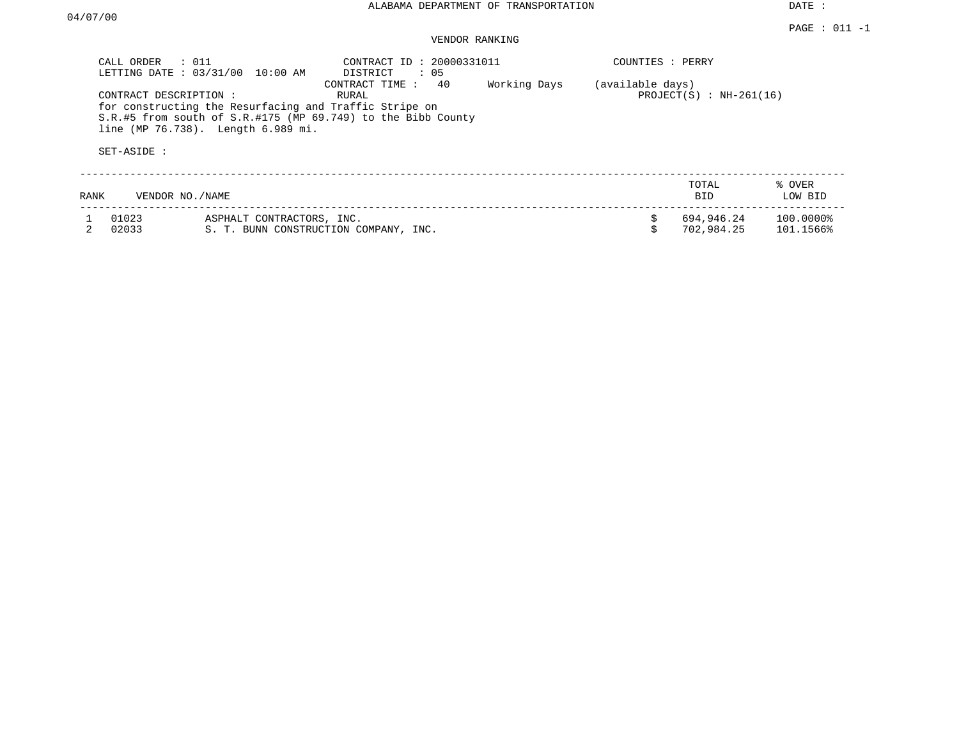DATE :

# VENDOR RANKING

|      | CALL ORDER<br>$\therefore$ 011<br>LETTING DATE: 03/31/00 | 10:00 AM                                                                                     | CONTRACT ID: 20000331011<br>DISTRICT<br>: 05                                                  |              | COUNTIES : PERRY |                               |                        |
|------|----------------------------------------------------------|----------------------------------------------------------------------------------------------|-----------------------------------------------------------------------------------------------|--------------|------------------|-------------------------------|------------------------|
|      | CONTRACT DESCRIPTION :<br>SET-ASIDE :                    | for constructing the Resurfacing and Traffic Stripe on<br>line (MP 76.738). Length 6.989 mi. | 40<br>CONTRACT TIME:<br>RURAL<br>S.R.#5 from south of S.R.#175 (MP 69.749) to the Bibb County | Working Days | (available days) | PROJECT $(S)$ : NH-261 $(16)$ |                        |
| RANK | VENDOR NO./NAME                                          |                                                                                              |                                                                                               |              |                  | TOTAL<br><b>BID</b>           | % OVER<br>LOW BID      |
|      | 01023<br>02033                                           | ASPHALT CONTRACTORS, INC.                                                                    | S. T. BUNN CONSTRUCTION COMPANY, INC.                                                         |              |                  | 694,946.24<br>702,984.25      | 100.0000%<br>101.1566% |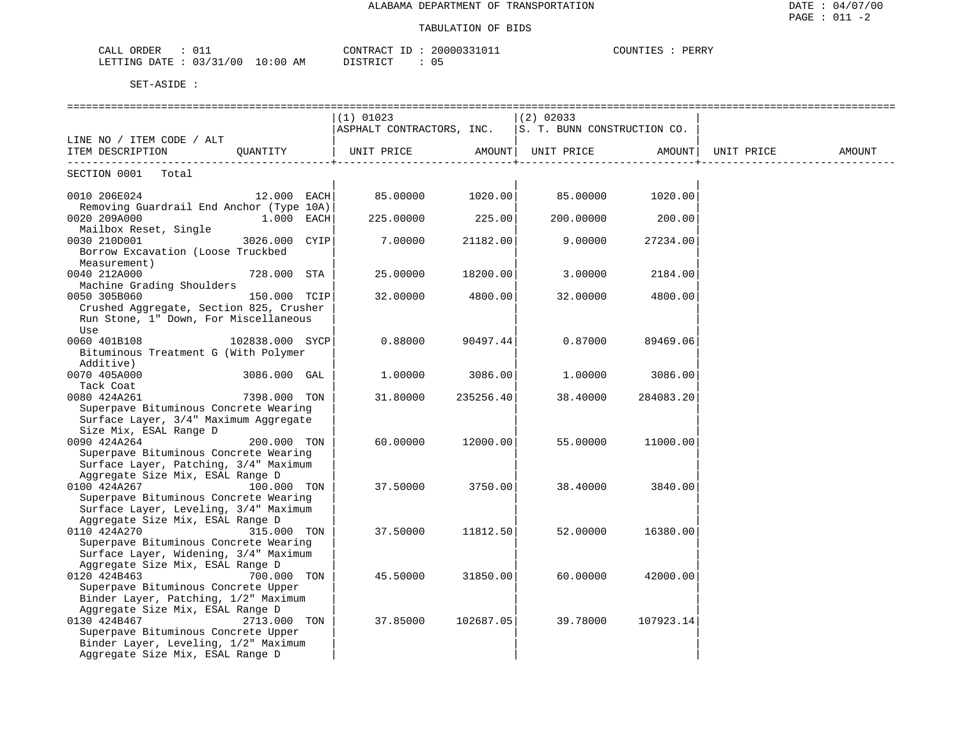| CALL ORDER<br>: 011             | CONTRACT ID: 20000331011 | COUNTIES :<br>PERRY |
|---------------------------------|--------------------------|---------------------|
| LETTING DATE: 03/31/00 10:00 AM | DISTRICT                 |                     |

|                                                                                                                                    |                 | $(1)$ 01023<br>ASPHALT CONTRACTORS, INC. $ s.$ T. BUNN CONSTRUCTION CO. |           | $(2)$ 02033 |                  |        |
|------------------------------------------------------------------------------------------------------------------------------------|-----------------|-------------------------------------------------------------------------|-----------|-------------|------------------|--------|
| LINE NO / ITEM CODE / ALT                                                                                                          |                 |                                                                         |           |             |                  |        |
| ITEM DESCRIPTION QUANTITY   UNIT PRICE AMOUNT  UNIT PRICE AMOUNT  UNIT PRICE                                                       |                 |                                                                         |           |             |                  | AMOUNT |
|                                                                                                                                    |                 |                                                                         |           |             |                  |        |
| SECTION 0001 Total                                                                                                                 |                 |                                                                         |           |             |                  |        |
| 0010 206E024<br>Removing Guardrail End Anchor (Type 10A)                                                                           | 12.000 EACH     |                                                                         |           |             |                  |        |
| 0020 209A000<br>Mailbox Reset, Single                                                                                              | $1.000$ EACH    | 225.00000                                                               | 225.00    |             | 200.00000 200.00 |        |
| 3026.000 CYIP<br>0030 210D001<br>Borrow Excavation (Loose Truckbed<br>Measurement)                                                 |                 | 7.00000                                                                 | 21182.00  | 9.00000     | 27234.00         |        |
| 0040 212A000<br>Machine Grading Shoulders                                                                                          | 728.000 STA     | 25.00000                                                                | 18200.00  | 3.00000     | 2184.00          |        |
| 0050 305B060<br>Crushed Aggregate, Section 825, Crusher<br>Run Stone, 1" Down, For Miscellaneous<br>Use                            | 150.000 TCIP    | 32.00000                                                                | 4800.00   | 32.00000    | 4800.00          |        |
| 0060 401B108<br>Bituminous Treatment G (With Polymer<br>Additive)                                                                  | 102838.000 SYCP | 0.88000                                                                 | 90497.44  | 0.87000     | 89469.06         |        |
| 0070 405A000 3086.000 GAL<br>Tack Coat                                                                                             |                 | 1,00000                                                                 | 3086.00   | 1.00000     | 3086.00          |        |
| 0080 424A261<br>Superpave Bituminous Concrete Wearing<br>Surface Layer, 3/4" Maximum Aggregate<br>Size Mix, ESAL Range D           | 7398.000 TON    | 31.80000                                                                | 235256.40 | 38.40000    | 284083.20        |        |
| 0090 424A264<br>Superpave Bituminous Concrete Wearing<br>Surface Layer, Patching, 3/4" Maximum<br>Aggregate Size Mix, ESAL Range D | 200.000 TON     | 60.00000                                                                | 12000.00  | 55.00000    | 11000.00         |        |
| 0100 424A267<br>Superpave Bituminous Concrete Wearing<br>Surface Layer, Leveling, 3/4" Maximum<br>Aggregate Size Mix, ESAL Range D | 100.000 TON     | 37.50000                                                                | 3750.00   | 38.40000    | 3840.00          |        |
| 0110 424A270<br>Superpave Bituminous Concrete Wearing<br>Surface Layer, Widening, 3/4" Maximum<br>Aggregate Size Mix, ESAL Range D | 315.000 TON     | 37.50000                                                                | 11812.50  | 52.00000    | 16380.00         |        |
| 0120 424B463<br>Superpave Bituminous Concrete Upper<br>Binder Layer, Patching, 1/2" Maximum<br>Aggregate Size Mix, ESAL Range D    | 700.000 TON     | 45.50000                                                                | 31850.00  | 60.00000    | 42000.00         |        |
| 0130 424B467<br>Superpave Bituminous Concrete Upper<br>Binder Layer, Leveling, 1/2" Maximum<br>Aggregate Size Mix, ESAL Range D    | 2713.000 TON    | 37.85000                                                                | 102687.05 | 39.78000    | 107923.14        |        |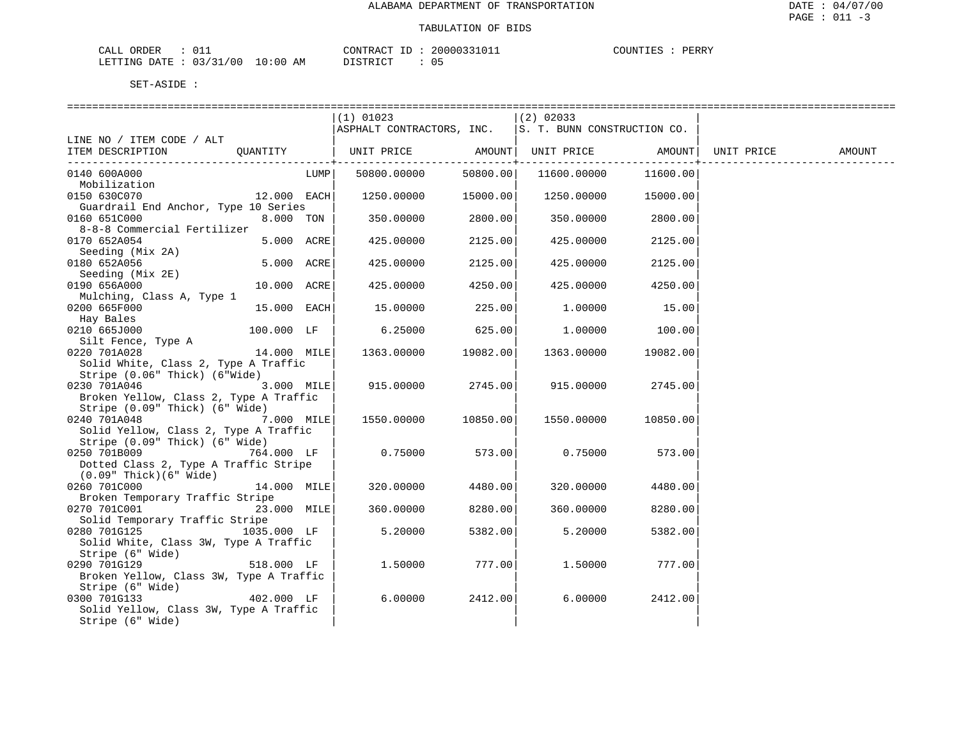| CALL<br>ORDER             |                             | CONTRACT<br>TD | 2000033101 | $\cdot$ of INTT F $\subset$<br>PERRY |
|---------------------------|-----------------------------|----------------|------------|--------------------------------------|
| 03/31<br>DATE.<br>LETTING | .700<br>10:00<br>ΆM<br>____ | חי".<br>חרי    | , .        |                                      |

|                                                                     |      | $(1)$ 01023               |          | (2) 02033                   |          |            |        |
|---------------------------------------------------------------------|------|---------------------------|----------|-----------------------------|----------|------------|--------|
|                                                                     |      | ASPHALT CONTRACTORS, INC. |          | S. T. BUNN CONSTRUCTION CO. |          |            |        |
| LINE NO / ITEM CODE / ALT                                           |      |                           |          |                             |          |            |        |
| ITEM DESCRIPTION<br>OUANTITY                                        |      | UNIT PRICE                |          | AMOUNT  UNIT PRICE          | AMOUNT   | UNIT PRICE | AMOUNT |
|                                                                     |      |                           |          |                             |          |            |        |
| 0140 600A000                                                        | LUMP | 50800.00000               | 50800.00 | 11600.00000                 | 11600.00 |            |        |
| Mobilization                                                        |      |                           |          |                             |          |            |        |
| 0150 630C070<br>$12.000$ EACH                                       |      | 1250.00000                | 15000.00 | 1250.00000                  | 15000.00 |            |        |
| Guardrail End Anchor, Type 10 Series                                |      |                           |          |                             |          |            |        |
| 0160 651C000<br>8.000 TON                                           |      | 350.00000                 | 2800.00  | 350.00000                   | 2800.00  |            |        |
| 8-8-8 Commercial Fertilizer                                         |      |                           |          |                             |          |            |        |
| 5.000 ACRE<br>0170 652A054                                          |      | 425.00000                 | 2125.00  | 425.00000                   | 2125.00  |            |        |
| Seeding (Mix 2A)                                                    |      |                           |          |                             |          |            |        |
| 0180 652A056<br>5.000 ACRE                                          |      | 425.00000                 | 2125.00  | 425.00000                   | 2125.00  |            |        |
| Seeding (Mix 2E)<br>0190 656A000<br>10.000 ACRE                     |      | 425.00000                 | 4250.00  | 425.00000                   | 4250.00  |            |        |
| Mulching, Class A, Type 1                                           |      |                           |          |                             |          |            |        |
| 0200 665F000<br>15.000 EACH                                         |      | 15.00000                  | 225.00   | 1.00000                     | 15.00    |            |        |
| Hay Bales                                                           |      |                           |          |                             |          |            |        |
| 0210 665J000<br>100.000 LF                                          |      | 6.25000                   | 625.00   | 1.00000                     | 100.00   |            |        |
| Silt Fence, Type A                                                  |      |                           |          |                             |          |            |        |
| 0220 701A028<br>14.000 MILE                                         |      | 1363.00000                | 19082.00 | 1363.00000                  | 19082.00 |            |        |
| Solid White, Class 2, Type A Traffic                                |      |                           |          |                             |          |            |        |
| Stripe (0.06" Thick) (6"Wide)                                       |      |                           |          |                             |          |            |        |
| 0230 701A046<br>3.000 MILE                                          |      | 915.00000                 | 2745.00  | 915.00000                   | 2745.00  |            |        |
| Broken Yellow, Class 2, Type A Traffic                              |      |                           |          |                             |          |            |        |
| Stripe (0.09" Thick) (6" Wide)                                      |      |                           |          |                             |          |            |        |
| 0240 701A048<br>7.000 MILE                                          |      | 1550.00000                | 10850.00 | 1550.00000                  | 10850.00 |            |        |
| Solid Yellow, Class 2, Type A Traffic                               |      |                           |          |                             |          |            |        |
| Stripe (0.09" Thick) (6" Wide)                                      |      |                           |          |                             |          |            |        |
| 0250 701B009<br>764.000 LF<br>Dotted Class 2, Type A Traffic Stripe |      | 0.75000                   | 573.00   | 0.75000                     | 573.00   |            |        |
| $(0.09"$ Thick $)(6"$ Wide $)$                                      |      |                           |          |                             |          |            |        |
| 0260 701C000<br>14.000 MILE                                         |      | 320.00000                 | 4480.00  | 320.00000                   | 4480.00  |            |        |
| Broken Temporary Traffic Stripe                                     |      |                           |          |                             |          |            |        |
| 0270 701C001<br>23.000 MILE                                         |      | 360.00000                 | 8280.00  | 360.00000                   | 8280.00  |            |        |
| Solid Temporary Traffic Stripe                                      |      |                           |          |                             |          |            |        |
| 0280 701G125<br>1035.000 LF                                         |      | 5.20000                   | 5382.00  | 5.20000                     | 5382.00  |            |        |
| Solid White, Class 3W, Type A Traffic                               |      |                           |          |                             |          |            |        |
| Stripe (6" Wide)                                                    |      |                           |          |                             |          |            |        |
| 0290 701G129<br>518.000 LF                                          |      | 1,50000                   | 777.00   | 1,50000                     | 777.00   |            |        |
| Broken Yellow, Class 3W, Type A Traffic                             |      |                           |          |                             |          |            |        |
| Stripe (6" Wide)                                                    |      |                           |          |                             |          |            |        |
| 402.000 LF<br>0300 701G133                                          |      | 6.00000                   | 2412.00  | 6.00000                     | 2412.00  |            |        |
| Solid Yellow, Class 3W, Type A Traffic                              |      |                           |          |                             |          |            |        |
| Stripe (6" Wide)                                                    |      |                           |          |                             |          |            |        |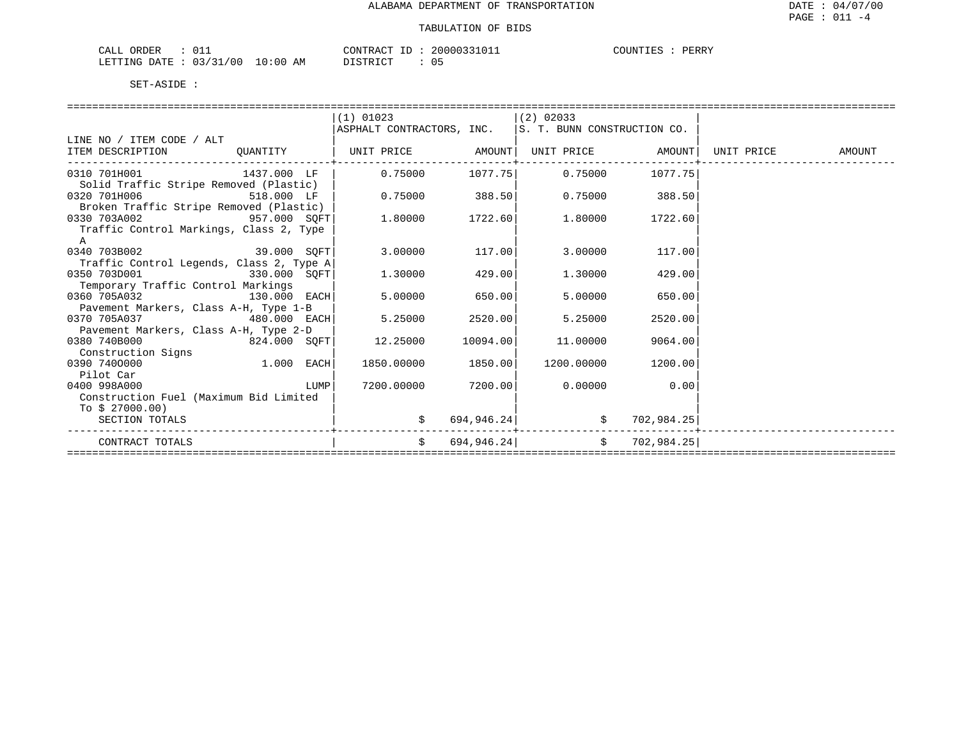| ∩RDER<br>N I A<br>للتلتاب |              |                                                                                                                                | CONTRACT | 2000033101 | TUTTO <sup>r</sup><br><b>EXS</b> | PERRY |
|---------------------------|--------------|--------------------------------------------------------------------------------------------------------------------------------|----------|------------|----------------------------------|-------|
| DATE.<br>AETTIMG          | 03/31<br>/00 | 10:00<br>ΑM<br>the contract of the contract of the contract of the contract of the contract of the contract of the contract of |          |            |                                  |       |

|                                          |              |      | $(1)$ 01023               |            | $(2)$ 02033                 |                   |            |        |
|------------------------------------------|--------------|------|---------------------------|------------|-----------------------------|-------------------|------------|--------|
|                                          |              |      | ASPHALT CONTRACTORS, INC. |            | S. T. BUNN CONSTRUCTION CO. |                   |            |        |
| LINE NO / ITEM CODE / ALT                |              |      |                           |            |                             |                   |            |        |
| ITEM DESCRIPTION                         | QUANTITY     |      | UNIT PRICE AMOUNT         |            |                             | UNIT PRICE AMOUNT | UNIT PRICE | AMOUNT |
| 0310 701H001                             | 1437.000 LF  |      | 0.75000                   | 1077.75    | 0.75000                     | 1077.75           |            |        |
| Solid Traffic Stripe Removed (Plastic)   |              |      |                           |            |                             |                   |            |        |
| 0320 701H006<br>518.000 LF               |              |      | 0.75000                   | 388.50     | 0.75000                     | 388.50            |            |        |
| Broken Traffic Stripe Removed (Plastic)  |              |      |                           |            |                             |                   |            |        |
| 957.000 SOFT<br>0330 703A002             |              |      | 1,80000                   | 1722.60    | 1.80000                     | 1722.60           |            |        |
| Traffic Control Markings, Class 2, Type  |              |      |                           |            |                             |                   |            |        |
| A                                        |              |      |                           |            |                             |                   |            |        |
| 0340 703B002<br>39.000 SOFT              |              |      | 3.00000                   | 117.00     | 3.00000                     | 117.00            |            |        |
| Traffic Control Legends, Class 2, Type A |              |      |                           |            |                             |                   |            |        |
| 0350 703D001<br>330.000 SOFT             |              |      | 1,30000                   | 429.00     | 1,30000                     | 429.00            |            |        |
| Temporary Traffic Control Markings       |              |      |                           |            |                             |                   |            |        |
| 0360 705A032                             | 130.000 EACH |      | 5,00000                   | 650.00     | 5.00000                     | 650.00            |            |        |
| Pavement Markers, Class A-H, Type 1-B    |              |      |                           |            |                             |                   |            |        |
| 0370 705A037<br>480.000 EACH             |              |      | 5.25000                   | 2520.00    | 5.25000                     | 2520.00           |            |        |
| Pavement Markers, Class A-H, Type 2-D    |              |      |                           |            |                             |                   |            |        |
| 0380 740B000<br>824.000 SQFT             |              |      | 12.25000                  | 10094.00   | 11,00000                    | 9064.00           |            |        |
| Construction Signs                       |              |      |                           |            |                             |                   |            |        |
| 0390 7400000                             | $1.000$ EACH |      | 1850.00000                | 1850.00    | 1200.00000                  | 1200.00           |            |        |
| Pilot Car                                |              |      |                           |            |                             |                   |            |        |
| 0400 998A000                             |              | LUMP | 7200.00000                | 7200.00    | 0.00000                     | 0.00              |            |        |
| Construction Fuel (Maximum Bid Limited   |              |      |                           |            |                             |                   |            |        |
| To $$27000.00)$                          |              |      |                           |            |                             |                   |            |        |
| SECTION TOTALS                           |              |      |                           | 694,946.24 |                             | 702,984.25        |            |        |
| CONTRACT TOTALS                          |              |      | Ŝ.                        | 694,946.24 | $\mathsf{S}$                | 702,984.25        |            |        |
|                                          |              |      |                           |            |                             |                   |            |        |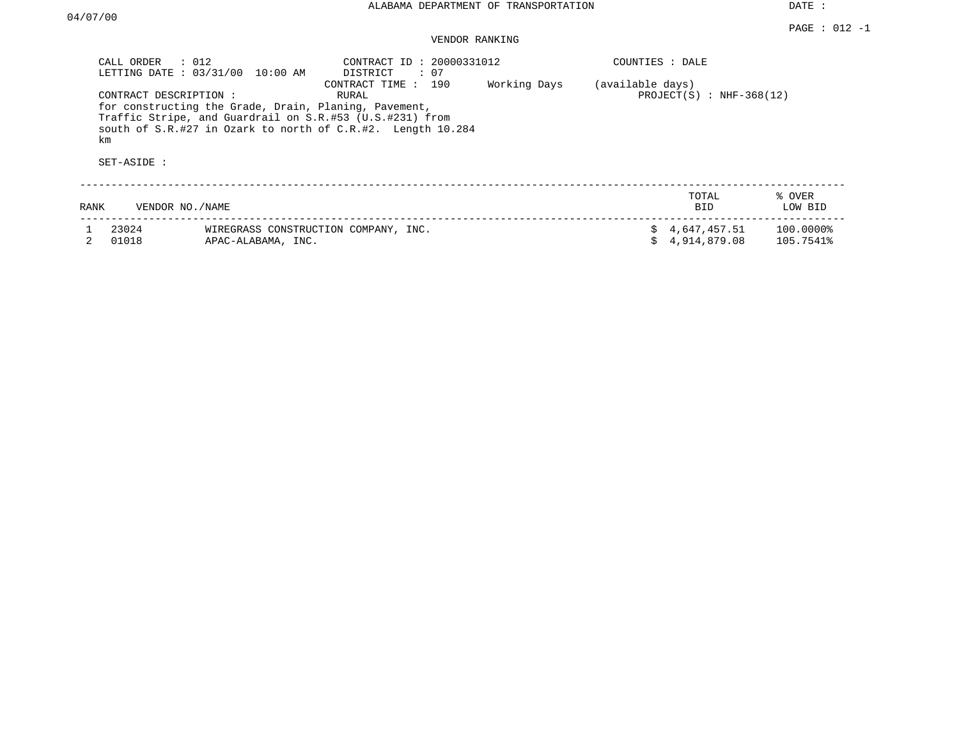DATE :

## VENDOR RANKING

| CALL ORDER                                  | $\therefore$ 012<br>LETTING DATE: 03/31/00<br>10:00 AM                                                            | CONTRACT ID: 20000331012<br>$\colon 07$<br>DISTRICT                                         |              | COUNTIES : DALE  |                                |                        |
|---------------------------------------------|-------------------------------------------------------------------------------------------------------------------|---------------------------------------------------------------------------------------------|--------------|------------------|--------------------------------|------------------------|
| CONTRACT DESCRIPTION :<br>km<br>SET-ASIDE : | for constructing the Grade, Drain, Planing, Pavement,<br>Traffic Stripe, and Guardrail on S.R.#53 (U.S.#231) from | CONTRACT TIME : 190<br>RURAL<br>south of S.R.#27 in Ozark to north of C.R.#2. Length 10.284 | Working Days | (available days) | PROJECT $(S)$ : NHF-368 $(12)$ |                        |
| RANK                                        | VENDOR NO./NAME                                                                                                   |                                                                                             |              |                  | TOTAL<br><b>BID</b>            | % OVER<br>LOW BID      |
| 23024<br>01018                              | WIREGRASS CONSTRUCTION COMPANY, INC.<br>APAC-ALABAMA, INC.                                                        |                                                                                             |              | S.               | 4,647,457.51<br>4,914,879.08   | 100.00008<br>105.7541% |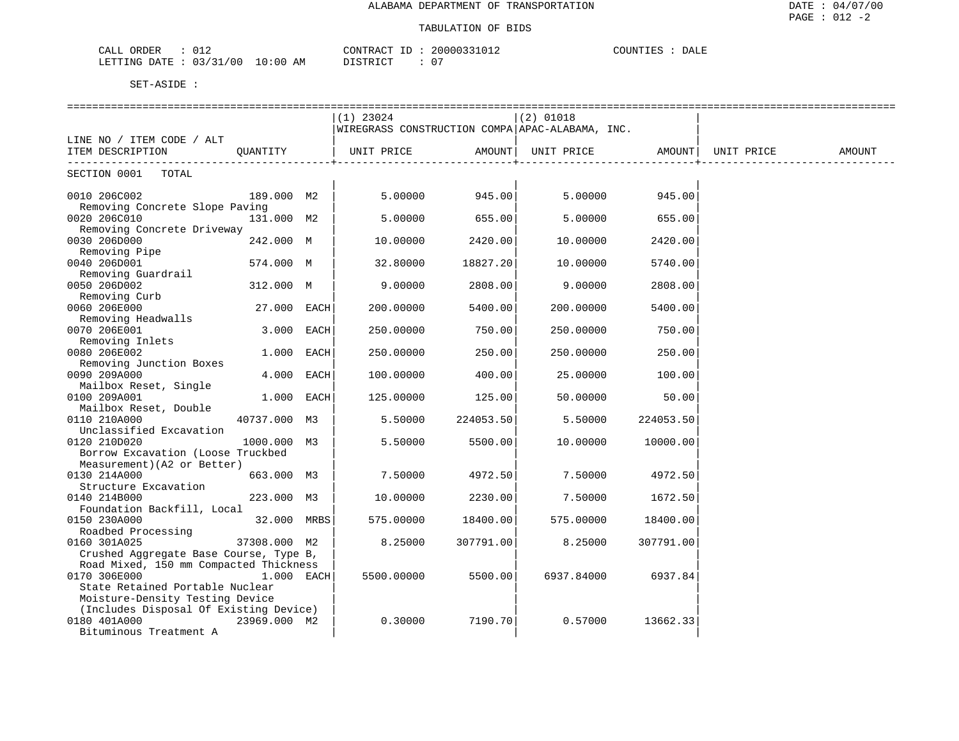| CALL ORDER                 | CONTRACT                      | 20000331012 | COUNTIES<br>DALE |  |
|----------------------------|-------------------------------|-------------|------------------|--|
| : 03/31/00<br>LETTING DATE | $10:00$ AM<br>חי חי חידו פידי | 07          |                  |  |

|                                                 |              | =============<br>$(1)$ 23024<br>WIREGRASS CONSTRUCTION COMPA APAC-ALABAMA, INC. |           | ==============<br>$(2)$ 01018 |           |                     |        |
|-------------------------------------------------|--------------|---------------------------------------------------------------------------------|-----------|-------------------------------|-----------|---------------------|--------|
| LINE NO / ITEM CODE / ALT<br>ITEM DESCRIPTION   | OUANTITY     | UNIT PRICE                                                                      | AMOUNT    | UNIT PRICE                    |           | AMOUNT   UNIT PRICE | AMOUNT |
| TOTAL<br>SECTION 0001                           |              |                                                                                 |           |                               |           |                     |        |
| 0010 206C002                                    | 189.000 M2   | 5.00000                                                                         | 945.00    | 5.00000                       | 945.00    |                     |        |
| Removing Concrete Slope Paving<br>0020 206C010  | 131.000 M2   | 5.00000                                                                         | 655.00    | 5.00000                       | 655.00    |                     |        |
| Removing Concrete Driveway                      |              |                                                                                 |           |                               |           |                     |        |
| 0030 206D000<br>Removing Pipe                   | 242.000 M    | 10.00000                                                                        | 2420.00   | 10.00000                      | 2420.00   |                     |        |
| 0040 206D001<br>Removing Guardrail              | 574.000 M    | 32.80000                                                                        | 18827.20  | 10.00000                      | 5740.00   |                     |        |
| 0050 206D002                                    | 312.000 M    | 9.00000                                                                         | 2808.00   | 9.00000                       | 2808.00   |                     |        |
| Removing Curb                                   |              |                                                                                 |           |                               |           |                     |        |
| 0060 206E000                                    | 27.000 EACH  | 200.00000                                                                       | 5400.00   | 200.00000                     | 5400.00   |                     |        |
| Removing Headwalls                              |              |                                                                                 |           |                               |           |                     |        |
| 0070 206E001                                    | 3.000 EACH   | 250.00000                                                                       | 750.00    | 250.00000                     | 750.00    |                     |        |
| Removing Inlets                                 |              |                                                                                 |           |                               |           |                     |        |
| 0080 206E002<br>Removing Junction Boxes         | 1.000 EACH   | 250.00000                                                                       | 250.00    | 250.00000                     | 250.00    |                     |        |
| 0090 209A000                                    | 4.000 EACH   | 100.00000                                                                       | 400.00    | 25.00000                      | 100.00    |                     |        |
| Mailbox Reset, Single                           |              |                                                                                 |           |                               |           |                     |        |
| 0100 209A001                                    | 1.000 EACH   | 125.00000                                                                       | 125.00    | 50.00000                      | 50.00     |                     |        |
| Mailbox Reset, Double                           |              |                                                                                 |           |                               |           |                     |        |
| 0110 210A000                                    | 40737.000 M3 | 5.50000                                                                         | 224053.50 | 5.50000                       | 224053.50 |                     |        |
| Unclassified Excavation                         |              |                                                                                 |           |                               |           |                     |        |
| 0120 210D020                                    | 1000.000 M3  | 5.50000                                                                         | 5500.00   | 10.00000                      | 10000.00  |                     |        |
| Borrow Excavation (Loose Truckbed               |              |                                                                                 |           |                               |           |                     |        |
| Measurement) (A2 or Better)<br>0130 214A000     | 663.000 M3   | 7.50000                                                                         | 4972.50   | 7.50000                       | 4972.50   |                     |        |
| Structure Excavation                            |              |                                                                                 |           |                               |           |                     |        |
| 0140 214B000                                    | 223.000 M3   | 10.00000                                                                        | 2230.00   | 7.50000                       | 1672.50   |                     |        |
| Foundation Backfill, Local                      |              |                                                                                 |           |                               |           |                     |        |
| 0150 230A000                                    | 32.000 MRBS  | 575.00000                                                                       | 18400.00  | 575.00000                     | 18400.00  |                     |        |
| Roadbed Processing                              |              |                                                                                 |           |                               |           |                     |        |
| 0160 301A025                                    | 37308.000 M2 | 8.25000                                                                         | 307791.00 | 8.25000                       | 307791.00 |                     |        |
| Crushed Aggregate Base Course, Type B,          |              |                                                                                 |           |                               |           |                     |        |
| Road Mixed, 150 mm Compacted Thickness          |              |                                                                                 |           |                               |           |                     |        |
| 0170 306E000<br>State Retained Portable Nuclear | 1.000 EACH   | 5500.00000                                                                      | 5500.00   | 6937.84000                    | 6937.84   |                     |        |
| Moisture-Density Testing Device                 |              |                                                                                 |           |                               |           |                     |        |
| (Includes Disposal Of Existing Device)          |              |                                                                                 |           |                               |           |                     |        |
| 0180 401A000                                    | 23969.000 M2 | 0.30000                                                                         | 7190.70   | 0.57000                       | 13662.33  |                     |        |
| Bituminous Treatment A                          |              |                                                                                 |           |                               |           |                     |        |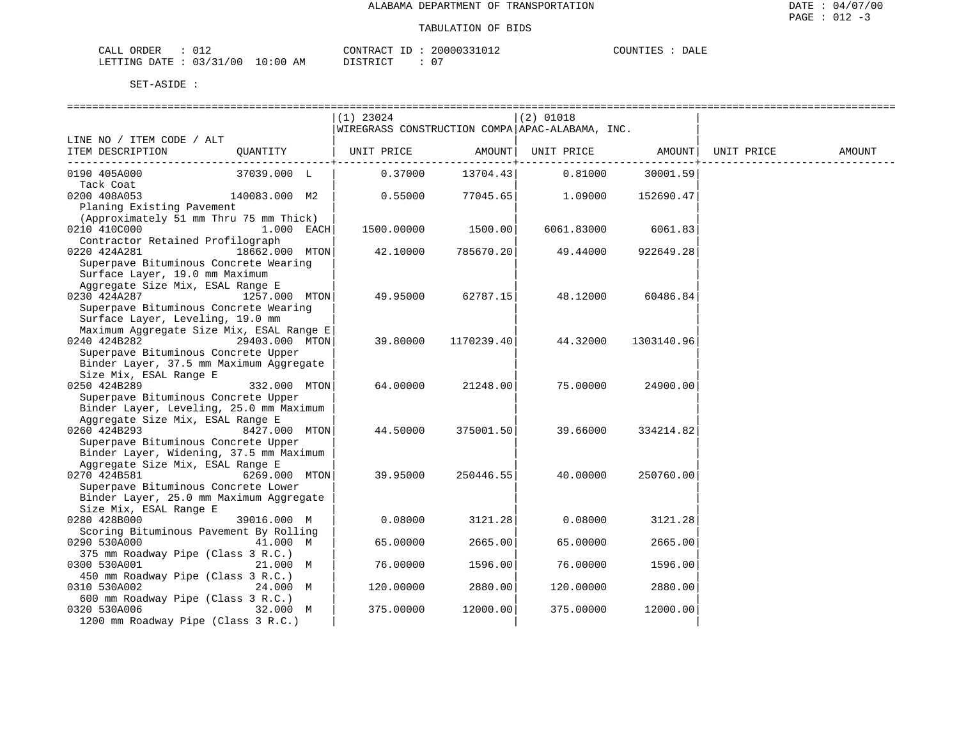| ORDER<br>CALL                    |  |          | CONTRACT ID: 20000331012 | COUNTIES | DALE |
|----------------------------------|--|----------|--------------------------|----------|------|
| LETTING DATE : 03/31/00 10:00 AM |  | DISTRICT | $\cap$                   |          |      |

|                                          |                | $(1)$ 23024                                     |            | $(2)$ 01018 |            |            |        |
|------------------------------------------|----------------|-------------------------------------------------|------------|-------------|------------|------------|--------|
|                                          |                | WIREGRASS CONSTRUCTION COMPA APAC-ALABAMA, INC. |            |             |            |            |        |
| LINE NO / ITEM CODE / ALT                |                |                                                 |            |             |            |            |        |
| ITEM DESCRIPTION                         | QUANTITY       | UNIT PRICE                                      | AMOUNT     | UNIT PRICE  | AMOUNT     | UNIT PRICE | AMOUNT |
|                                          |                |                                                 |            |             |            |            |        |
| 0190 405A000                             | 37039.000 L    | 0.37000                                         | 13704.43   | 0.81000     | 30001.59   |            |        |
| Tack Coat                                |                |                                                 |            |             |            |            |        |
| 0200 408A053                             | 140083.000 M2  | 0.55000                                         | 77045.65   | 1.09000     | 152690.47  |            |        |
| Planing Existing Pavement                |                |                                                 |            |             |            |            |        |
| (Approximately 51 mm Thru 75 mm Thick)   |                |                                                 |            |             |            |            |        |
| 0210 410C000                             | 1.000 EACH     | 1500.00000                                      | 1500.00    | 6061.83000  | 6061.83    |            |        |
| Contractor Retained Profilograph         |                |                                                 |            |             |            |            |        |
| 0220 424A281                             | 18662.000 MTON |                                                 |            |             | 922649.28  |            |        |
|                                          |                | 42.10000                                        | 785670.20  | 49.44000    |            |            |        |
| Superpave Bituminous Concrete Wearing    |                |                                                 |            |             |            |            |        |
| Surface Layer, 19.0 mm Maximum           |                |                                                 |            |             |            |            |        |
| Aggregate Size Mix, ESAL Range E         |                |                                                 |            |             |            |            |        |
| 0230 424A287                             | 1257.000 MTON  | 49.95000                                        | 62787.15   | 48.12000    | 60486.84   |            |        |
| Superpave Bituminous Concrete Wearing    |                |                                                 |            |             |            |            |        |
| Surface Layer, Leveling, 19.0 mm         |                |                                                 |            |             |            |            |        |
| Maximum Aggregate Size Mix, ESAL Range E |                |                                                 |            |             |            |            |        |
| 0240 424B282                             | 29403.000 MTON | 39.80000                                        | 1170239.40 | 44.32000    | 1303140.96 |            |        |
| Superpave Bituminous Concrete Upper      |                |                                                 |            |             |            |            |        |
| Binder Layer, 37.5 mm Maximum Aggregate  |                |                                                 |            |             |            |            |        |
| Size Mix, ESAL Range E                   |                |                                                 |            |             |            |            |        |
| 0250 424B289                             | 332.000 MTON   | 64.00000                                        | 21248.00   | 75.00000    | 24900.00   |            |        |
| Superpave Bituminous Concrete Upper      |                |                                                 |            |             |            |            |        |
| Binder Layer, Leveling, 25.0 mm Maximum  |                |                                                 |            |             |            |            |        |
| Aggregate Size Mix, ESAL Range E         |                |                                                 |            |             |            |            |        |
| 0260 424B293                             | 8427.000 MTON  | 44.50000                                        | 375001.50  | 39.66000    | 334214.82  |            |        |
| Superpave Bituminous Concrete Upper      |                |                                                 |            |             |            |            |        |
| Binder Layer, Widening, 37.5 mm Maximum  |                |                                                 |            |             |            |            |        |
| Aggregate Size Mix, ESAL Range E         |                |                                                 |            |             |            |            |        |
| 0270 424B581                             | 6269.000 MTON  | 39.95000                                        | 250446.55  | 40.00000    | 250760.00  |            |        |
| Superpave Bituminous Concrete Lower      |                |                                                 |            |             |            |            |        |
| Binder Layer, 25.0 mm Maximum Aggregate  |                |                                                 |            |             |            |            |        |
| Size Mix, ESAL Range E                   |                |                                                 |            |             |            |            |        |
| 0280 428B000                             | 39016.000 M    | 0.08000                                         | 3121.28    | 0.08000     | 3121.28    |            |        |
| Scoring Bituminous Pavement By Rolling   |                |                                                 |            |             |            |            |        |
| 0290 530A000                             | 41.000 M       | 65.00000                                        | 2665.00    | 65.00000    | 2665.00    |            |        |
| 375 mm Roadway Pipe (Class 3 R.C.)       |                |                                                 |            |             |            |            |        |
| 0300 530A001                             | 21.000 M       | 76.00000                                        | 1596.00    | 76.00000    | 1596.00    |            |        |
| 450 mm Roadway Pipe (Class 3 R.C.)       |                |                                                 |            |             |            |            |        |
| 0310 530A002                             | 24.000 M       | 120.00000                                       | 2880.00    | 120.00000   | 2880.00    |            |        |
| 600 mm Roadway Pipe (Class 3 R.C.)       |                |                                                 |            |             |            |            |        |
| 0320 530A006                             | 32.000 M       | 375.00000                                       | 12000.00   | 375.00000   | 12000.00   |            |        |
| 1200 mm Roadway Pipe (Class 3 R.C.)      |                |                                                 |            |             |            |            |        |
|                                          |                |                                                 |            |             |            |            |        |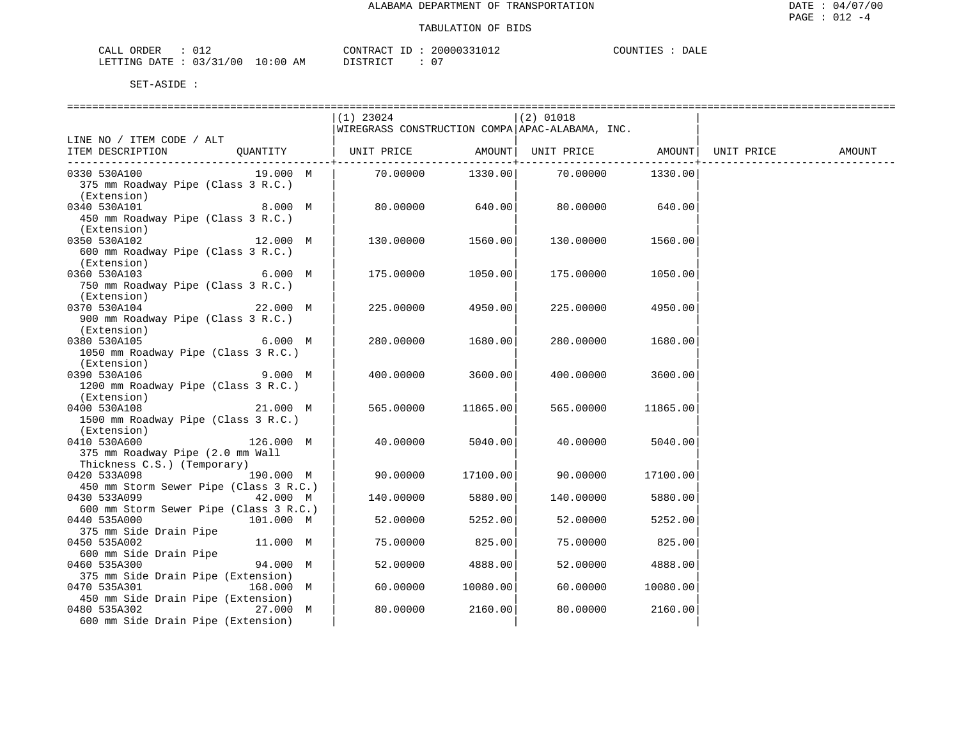| CALL ORDER                       | CONTRACT ID: 20000331012 |  | COUNTIES : | DALE |
|----------------------------------|--------------------------|--|------------|------|
| LETTING DATE : 03/31/00 10:00 AM | DISTRICT                 |  |            |      |

|                                        | $(1)$ 23024 |          | $(2)$ 01018                                     |          |        |
|----------------------------------------|-------------|----------|-------------------------------------------------|----------|--------|
|                                        |             |          | WIREGRASS CONSTRUCTION COMPA APAC-ALABAMA, INC. |          |        |
| LINE NO / ITEM CODE / ALT              |             |          |                                                 |          |        |
| OUANTITY<br>ITEM DESCRIPTION           | UNIT PRICE  |          | AMOUNT   UNIT PRICE   AMOUNT   UNIT PRICE       |          | AMOUNT |
|                                        |             |          |                                                 |          |        |
| 0330 530A100<br>19.000 M               | 70.00000    |          | 1330.00 70.00000                                | 1330.00  |        |
| 375 mm Roadway Pipe (Class 3 R.C.)     |             |          |                                                 |          |        |
| (Extension)                            |             |          |                                                 |          |        |
| 0340 530A101<br>8.000 M                | 80.00000    | 640.00   | 80.00000                                        | 640.00   |        |
| 450 mm Roadway Pipe (Class 3 R.C.)     |             |          |                                                 |          |        |
| (Extension)                            |             |          |                                                 |          |        |
| 0350 530A102<br>12.000 M               | 130.00000   | 1560.00  | 130.00000                                       | 1560.00  |        |
| 600 mm Roadway Pipe (Class 3 R.C.)     |             |          |                                                 |          |        |
| (Extension)                            |             |          |                                                 |          |        |
| 0360 530A103<br>6.000 M                | 175.00000   | 1050.00  | 175.00000                                       | 1050.00  |        |
| 750 mm Roadway Pipe (Class 3 R.C.)     |             |          |                                                 |          |        |
| (Extension)                            |             |          |                                                 |          |        |
| 22.000 M<br>0370 530A104               | 225.00000   | 4950.00  | 225.00000                                       | 4950.00  |        |
| 900 mm Roadway Pipe (Class 3 R.C.)     |             |          |                                                 |          |        |
| (Extension)                            |             |          |                                                 |          |        |
| 0380 530A105<br>6.000 M                | 280.00000   | 1680.00  | 280.00000                                       | 1680.00  |        |
| 1050 mm Roadway Pipe (Class 3 R.C.)    |             |          |                                                 |          |        |
| (Extension)                            |             |          |                                                 |          |        |
| 9.000 M<br>0390 530A106                | 400.00000   | 3600.00  | 400.00000                                       | 3600.00  |        |
| 1200 mm Roadway Pipe (Class 3 R.C.)    |             |          |                                                 |          |        |
| (Extension)                            |             |          |                                                 |          |        |
| 0400 530A108<br>21.000 M               |             | 11865.00 |                                                 |          |        |
|                                        | 565.00000   |          | 565.00000                                       | 11865.00 |        |
| 1500 mm Roadway Pipe (Class 3 R.C.)    |             |          |                                                 |          |        |
| (Extension)                            |             |          |                                                 |          |        |
| 0410 530A600<br>126.000 M              | 40.00000    | 5040.00  | 40.00000                                        | 5040.00  |        |
| 375 mm Roadway Pipe (2.0 mm Wall       |             |          |                                                 |          |        |
| Thickness C.S.) (Temporary)            |             |          |                                                 |          |        |
| 0420 533A098<br>190.000 M              | 90.00000    | 17100.00 | 90.00000                                        | 17100.00 |        |
| 450 mm Storm Sewer Pipe (Class 3 R.C.) |             |          |                                                 |          |        |
| 0430 533A099 42.000 M                  | 140.00000   | 5880.00  | 140.00000                                       | 5880.00  |        |
| 600 mm Storm Sewer Pipe (Class 3 R.C.) |             |          |                                                 |          |        |
| 0440 535A000<br>101.000 M              | 52.00000    | 5252.00  | 52.00000                                        | 5252.00  |        |
| 375 mm Side Drain Pipe                 |             |          |                                                 |          |        |
| 0450 535A002<br>11.000 M               | 75.00000    | 825.00   | 75.00000                                        | 825.00   |        |
| 600 mm Side Drain Pipe                 |             |          |                                                 |          |        |
| 94.000 M<br>0460 535A300               | 52.00000    | 4888.00  | 52.00000                                        | 4888.00  |        |
| 375 mm Side Drain Pipe (Extension)     |             |          |                                                 |          |        |
| 0470 535A301<br>168.000 M              | 60.00000    | 10080.00 | 60.00000                                        | 10080.00 |        |
| 450 mm Side Drain Pipe (Extension)     |             |          |                                                 |          |        |
| 0480 535A302<br>27.000 M               | 80.00000    | 2160.00  | 80.00000                                        | 2160.00  |        |
| 600 mm Side Drain Pipe (Extension)     |             |          |                                                 |          |        |
|                                        |             |          |                                                 |          |        |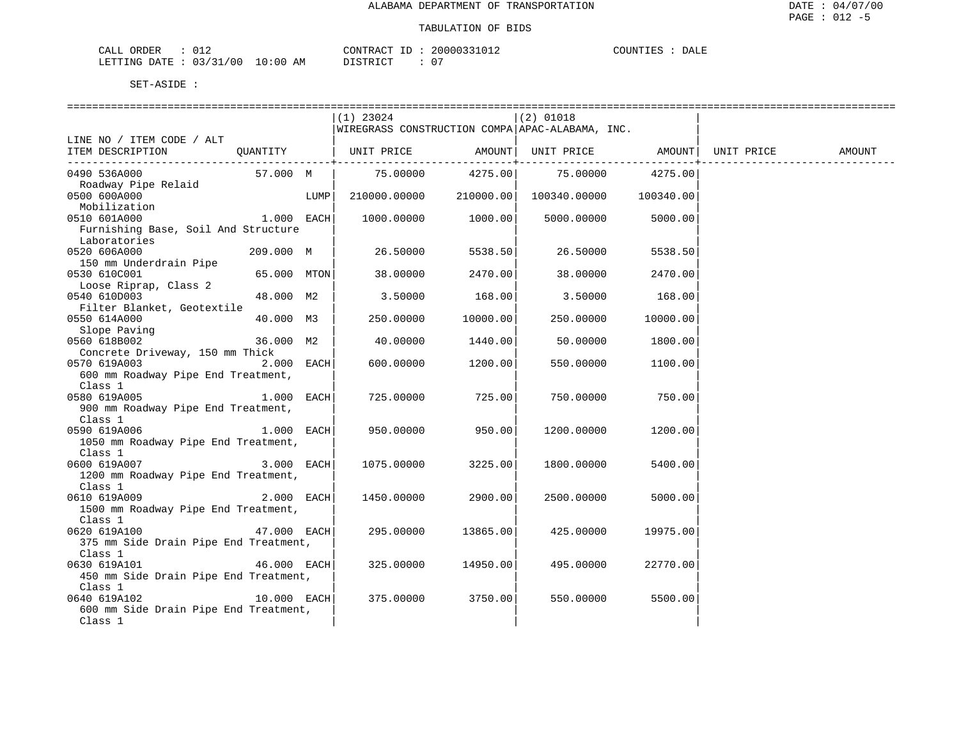| ORDER<br>CALL           | CONTRACT ID            | 20000331012 | COUNTIES<br>DALE |
|-------------------------|------------------------|-------------|------------------|
| LETTING DATE : 03/31/00 | $10:00$ AM<br>DISTRICT | .<br>v      |                  |

|                                                                                       |                |      | (1) 23024                                       |                    | $(2)$ 01018                            |          |            |        |
|---------------------------------------------------------------------------------------|----------------|------|-------------------------------------------------|--------------------|----------------------------------------|----------|------------|--------|
|                                                                                       |                |      | WIREGRASS CONSTRUCTION COMPA APAC-ALABAMA, INC. |                    |                                        |          |            |        |
| LINE NO / ITEM CODE / ALT<br>ITEM DESCRIPTION                                         | OUANTITY       |      | UNIT PRICE                                      | AMOUNT             | UNIT PRICE                             | AMOUNT   | UNIT PRICE | AMOUNT |
| 0490 536A000<br>Roadway Pipe Relaid                                                   | 57.000 M       |      | 75.00000                                        |                    | 4275.00 75.00000 4275.00               |          |            |        |
| 0500 600A000                                                                          |                | LUMP | 210000.00000                                    |                    | $210000.00$ $100340.00000$ $100340.00$ |          |            |        |
| Mobilization<br>Alian dia 2012 000 March 1.000 EACH<br>0510 601A000                   |                |      |                                                 | 1000.00000 1000.00 | 5000.00000                             | 5000.00  |            |        |
| Furnishing Base, Soil And Structure<br>Laboratories                                   |                |      |                                                 |                    |                                        |          |            |        |
| 0520 606A000<br>150 mm Underdrain Pipe                                                | $209.000 \, M$ |      | 26.50000                                        | 5538.50            | 26.50000                               | 5538.50  |            |        |
| 0530 610C001<br>Loose Riprap, Class 2                                                 | 65.000 MTON    |      | 38.00000                                        | 2470.00            | 38.00000                               | 2470.00  |            |        |
| 0540 610D003<br>Filter Blanket, Geotextile                                            | 48.000 M2      |      | 3.50000                                         | 168.00             | 3.50000                                | 168.00   |            |        |
| 0550 614A000<br>Slope Paving                                                          | 40.000 M3      |      | 250.00000                                       | 10000.00           | 250.00000                              | 10000.00 |            |        |
| 0560 618B002                                                                          | 36.000 M2      |      | 40.00000                                        | 1440.00            | 50.00000                               | 1800.00  |            |        |
| Concrete Driveway, 150 mm Thick<br>0570 619A003<br>600 mm Roadway Pipe End Treatment, | $2.000$ EACH   |      | 600.00000                                       | 1200.00            | 550.00000                              | 1100.00  |            |        |
| Class 1<br>$1.000$ EACH<br>0580 619A005<br>900 mm Roadway Pipe End Treatment,         |                |      | 725.00000                                       | 725.00             | 750.00000                              | 750.00   |            |        |
| Class 1<br>0590 619A006<br>1050 mm Roadway Pipe End Treatment,                        | $1.000$ EACH   |      | 950.00000                                       | 950.00             | 1200.00000                             | 1200.00  |            |        |
| Class 1<br>0600 619A007<br>1200 mm Roadway Pipe End Treatment,                        | $3.000$ EACH   |      | 1075.00000                                      | 3225.00            | 1800.00000                             | 5400.00  |            |        |
| Class 1<br>$2.000$ EACH<br>0610 619A009<br>1500 mm Roadway Pipe End Treatment,        |                |      | 1450.00000                                      | 2900.00            | 2500.00000                             | 5000.00  |            |        |
| Class 1<br>0620 619A100<br>375 mm Side Drain Pipe End Treatment,                      | $47.000$ EACH  |      | 295.00000                                       | 13865.00           | 425.00000                              | 19975.00 |            |        |
| Class 1<br>0630 619A101<br>450 mm Side Drain Pipe End Treatment,                      | $46.000$ EACH  |      | 325.00000                                       | 14950.00           | 495.00000                              | 22770.00 |            |        |
| Class 1<br>0640 619A102<br>600 mm Side Drain Pipe End Treatment,<br>Class 1           | $10.000$ EACH  |      | 375.00000                                       | 3750.00            | 550.00000                              | 5500.00  |            |        |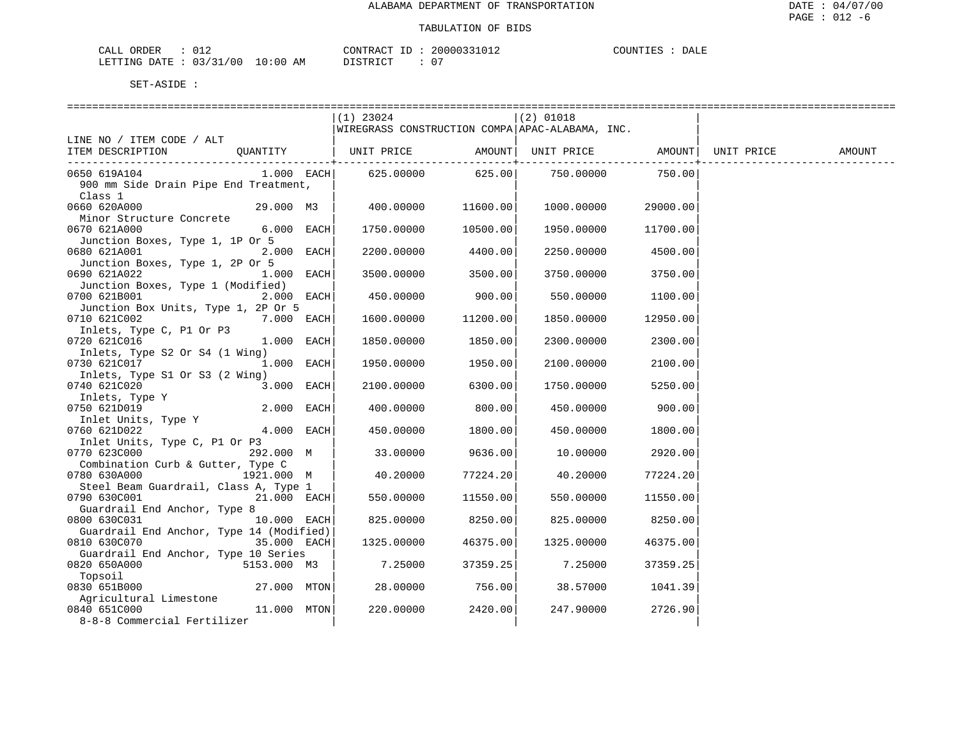| <b>ORDER</b><br>CALI | U 1 2         |                                                                                                                                    | CONTRACT                 | 2000023 | $\gamma$ ottn<br>- 13 C | DALF |
|----------------------|---------------|------------------------------------------------------------------------------------------------------------------------------------|--------------------------|---------|-------------------------|------|
| LETTING<br>DATE.     | 03/31<br>00 / | I N : N N<br>ΑМ<br>the contract of the contract of the contract of the contract of the contract of the contract of the contract of | , סידפ דרי<br>$T \cap T$ |         |                         |      |

|                                                                                                      | $(1)$ 23024<br>WIREGRASS CONSTRUCTION COMPA APAC-ALABAMA, INC. |          | $(2)$ 01018      |           |        |
|------------------------------------------------------------------------------------------------------|----------------------------------------------------------------|----------|------------------|-----------|--------|
| LINE NO / ITEM CODE / ALT                                                                            |                                                                |          |                  |           |        |
| ITEM DESCRIPTION<br>QUANTITY                                                                         | UNIT PRICE AMOUNT  UNIT PRICE AMOUNT  UNIT PRICE               |          |                  |           | AMOUNT |
| $1.000$ EACH<br>0650 619A104<br>900 mm Side Drain Pipe End Treatment,<br>Class 1                     | 625.00000                                                      |          | 625.00 750.00000 | 750.00    |        |
| 0660 620A000<br>Minor Structure Concrete                                                             | 29.000 M3   400.00000                                          | 11600.00 | 1000.00000       | 29000.001 |        |
| 6.000 EACH<br>0670 621A000<br>Junction Boxes, Type 1, 1P Or 5                                        | 1750.00000                                                     | 10500.00 | 1950.00000       | 11700.00  |        |
| 2.000 EACH<br>0680 621A001                                                                           | 2200.00000                                                     | 4400.00  | 2250.00000       | 4500.00   |        |
| Junction Boxes, Type 1, 2P Or 5<br>0690 621A022<br>$1.000$ EACH<br>Junction Boxes, Type 1 (Modified) | 3500.00000                                                     | 3500.00  | 3750.00000       | 3750.00   |        |
| 0700 621B001<br>$2.000$ EACH<br>Junction Box Units, Type 1, 2P Or 5                                  | 450.00000                                                      | 900.001  | 550.00000        | 1100.00   |        |
| 0710 621C002<br>7.000 EACH                                                                           | 1600.00000                                                     | 11200.00 | 1850.00000       | 12950.00  |        |
| Inlets, Type C, P1 Or P3<br>0720 621C016<br>$1.000$ EACH<br>Inlets, Type S2 Or S4 (1 Wing)           | 1850.00000                                                     | 1850.00  | 2300.00000       | 2300.00   |        |
| 1.000 EACH<br>0730 621C017                                                                           | 1950.00000                                                     | 1950.00  | 2100.00000       | 2100.00   |        |
| Inlets, Type S1 Or S3 (2 Wing)<br>3.000 EACH<br>0740 621C020                                         | 2100.00000                                                     | 6300.00  | 1750.00000       | 5250.00   |        |
| Inlets, Type Y<br>0750 621D019<br>2.000 EACH                                                         | 400.00000                                                      | 800.00   | 450.00000        | 900.00    |        |
| Inlet Units, Type Y<br>0760 621D022<br>$4.000$ EACH                                                  | 450.00000                                                      | 1800.00  | 450.00000        | 1800.00   |        |
| Inlet Units, Type C, P1 Or P3<br>0770 623C000 292.000 M<br>Combination Curb & Gutter, Type C         | 33.00000                                                       | 9636.00  | 10.00000         | 2920.00   |        |
| 0780 630A000<br>1921.000 M                                                                           | 40.20000                                                       | 77224.20 | 40.20000         | 77224.20  |        |
| Steel Beam Guardrail, Class A, Type 1<br>0790 630C001<br>21.000 EACH<br>Guardrail End Anchor, Type 8 | 550.00000                                                      | 11550.00 | 550.00000        | 11550.00  |        |
| 10.000 EACH<br>0800 630C031<br>Guardrail End Anchor, Type 14 (Modified)                              | 825.00000                                                      | 8250.00  | 825.00000        | 8250.00   |        |
| 35.000 EACH<br>0810 630C070<br>Guardrail End Anchor, Type 10 Series                                  | 1325.00000                                                     | 46375.00 | 1325,00000       | 46375.00  |        |
| 0820 650A000<br>5153.000 M3<br>Topsoil                                                               | 7.25000                                                        | 37359.25 | 7.25000          | 37359.25  |        |
| 0830 651B000<br>27.000 MTON<br>Agricultural Limestone                                                | 28.00000                                                       | 756.00   | 38.57000         | 1041.39   |        |
| 0840 651C000<br>11.000 MTON<br>8-8-8 Commercial Fertilizer                                           | 220.00000                                                      | 2420.00  | 247.90000        | 2726.90   |        |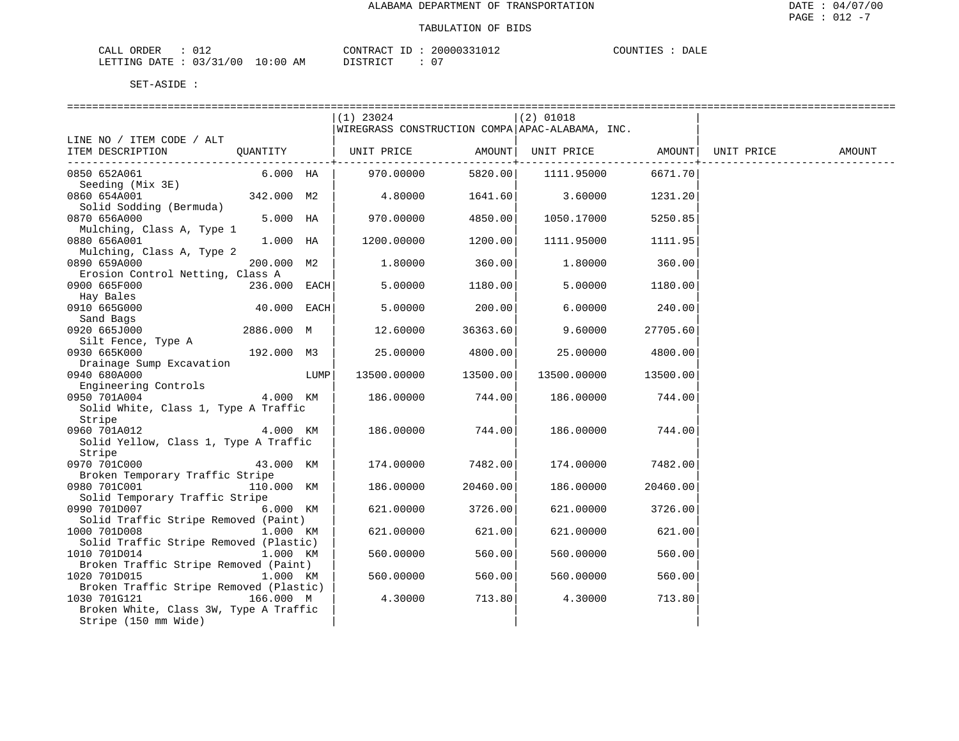| ORDER<br>للبلات<br>∪⊥⊷          |             | CONTRACT<br>$- -$                  | 20000337 | . <del>.</del><br>"OUNTIE.<br>DALE |
|---------------------------------|-------------|------------------------------------|----------|------------------------------------|
| '00<br>03/31<br>DATE<br>LETTING | 10:00<br>AΜ | <b>CTD TOT</b><br><i>┙</i> ┵┙┵┸╲┵╰ |          |                                    |

|                                                        |              |      | $(1)$ 23024                                     |                           | $(2)$ 01018       |          |            |        |
|--------------------------------------------------------|--------------|------|-------------------------------------------------|---------------------------|-------------------|----------|------------|--------|
|                                                        |              |      | WIREGRASS CONSTRUCTION COMPA APAC-ALABAMA, INC. |                           |                   |          |            |        |
| LINE NO / ITEM CODE / ALT                              |              |      |                                                 |                           |                   |          |            |        |
| ITEM DESCRIPTION                                       |              |      | QUANTITY   UNIT PRICE                           | AMOUNT  <br>------------+ | UNIT PRICE AMOUNT | .        | UNIT PRICE | AMOUNT |
| 0850 652A061                                           | 6.000 HA     |      | 970.00000                                       | 5820.00                   | 1111.95000        | 6671.70  |            |        |
| Seeding (Mix 3E)                                       |              |      |                                                 |                           |                   |          |            |        |
| 0860 654A001                                           | 342.000 M2   |      | 4.80000                                         |                           | 1641.60 3.60000   | 1231.20  |            |        |
| Solid Sodding (Bermuda)                                |              |      |                                                 |                           |                   |          |            |        |
| 0870 656A000                                           | 5.000 HA     |      | 970.00000                                       | 4850.00                   | 1050.17000        | 5250.85  |            |        |
| Mulching, Class A, Type 1                              |              |      |                                                 |                           |                   |          |            |        |
| 0880 656A001                                           | $1.000$ HA   |      | 1200.00000                                      | 1200.00                   | 1111.95000        | 1111.95  |            |        |
| Mulching, Class A, Type 2<br>0890 659A000              |              |      |                                                 |                           |                   |          |            |        |
| Erosion Control Netting, Class A                       | 200.000 M2   |      | 1,80000                                         | 360.00                    | 1.80000           | 360.00   |            |        |
| 0900 665F000                                           | 236.000 EACH |      | 5.00000                                         | 1180.00                   | 5.00000           | 1180.00  |            |        |
| Hay Bales                                              |              |      |                                                 |                           |                   |          |            |        |
| 0910 665G000                                           | 40.000 EACH  |      | 5.00000                                         | 200.00                    | 6.00000           | 240.00   |            |        |
| Sand Bags                                              |              |      |                                                 |                           |                   |          |            |        |
| 0920 665J000                                           | 2886.000 M   |      | 12.60000                                        | 36363.60                  | 9.60000           | 27705.60 |            |        |
| Silt Fence, Type A                                     |              |      |                                                 |                           |                   |          |            |        |
| 0930 665K000                                           | 192.000 M3   |      | 25.00000                                        | 4800.00                   | 25.00000          | 4800.00  |            |        |
| Drainage Sump Excavation                               |              |      |                                                 |                           |                   |          |            |        |
| 0940 680A000                                           |              | LUMP | 13500.00000                                     | 13500.00                  | 13500.00000       | 13500.00 |            |        |
| Engineering Controls                                   |              |      |                                                 |                           |                   |          |            |        |
| 0950 701A004<br>Solid White, Class 1, Type A Traffic   | 4.000 KM     |      | 186.00000                                       | 744.00                    | 186.00000         | 744.00   |            |        |
| Stripe                                                 |              |      |                                                 |                           |                   |          |            |        |
| 0960 701A012                                           | 4.000 KM     |      | 186.00000                                       | 744.00                    | 186.00000         | 744.00   |            |        |
| Solid Yellow, Class 1, Type A Traffic                  |              |      |                                                 |                           |                   |          |            |        |
| Stripe                                                 |              |      |                                                 |                           |                   |          |            |        |
| 0970 701C000                                           | 43.000 KM    |      | 174.00000                                       | 7482.00                   | 174.00000         | 7482.00  |            |        |
| Broken Temporary Traffic Stripe                        |              |      |                                                 |                           |                   |          |            |        |
| 0980 701C001                                           | 110.000 KM   |      | 186.00000                                       | 20460.00                  | 186.00000         | 20460.00 |            |        |
| Solid Temporary Traffic Stripe                         |              |      |                                                 |                           |                   |          |            |        |
| 0990 701D007 6.000 KM                                  |              |      | 621,00000                                       | 3726.00                   | 621.00000         | 3726.00  |            |        |
| Solid Traffic Stripe Removed (Paint)                   |              |      |                                                 |                           |                   |          |            |        |
| 1000 701D008<br>Solid Traffic Stripe Removed (Plastic) | 1.000 KM     |      | 621.00000                                       | 621.00                    | 621.00000         | 621.00   |            |        |
| 1010 701D014                                           | 1.000 KM     |      | 560.00000                                       | 560.00                    | 560.00000         | 560.00   |            |        |
| Broken Traffic Stripe Removed (Paint)                  |              |      |                                                 |                           |                   |          |            |        |
| 1020 701D015                                           | 1.000 KM     |      | 560.00000                                       | 560.00                    | 560.00000         | 560.00   |            |        |
| Broken Traffic Stripe Removed (Plastic)                |              |      |                                                 |                           |                   |          |            |        |
| 1030 701G121                                           | 166.000 M    |      | 4.30000                                         | 713.80                    | 4.30000           | 713.80   |            |        |
| Broken White, Class 3W, Type A Traffic                 |              |      |                                                 |                           |                   |          |            |        |
| Stripe (150 mm Wide)                                   |              |      |                                                 |                           |                   |          |            |        |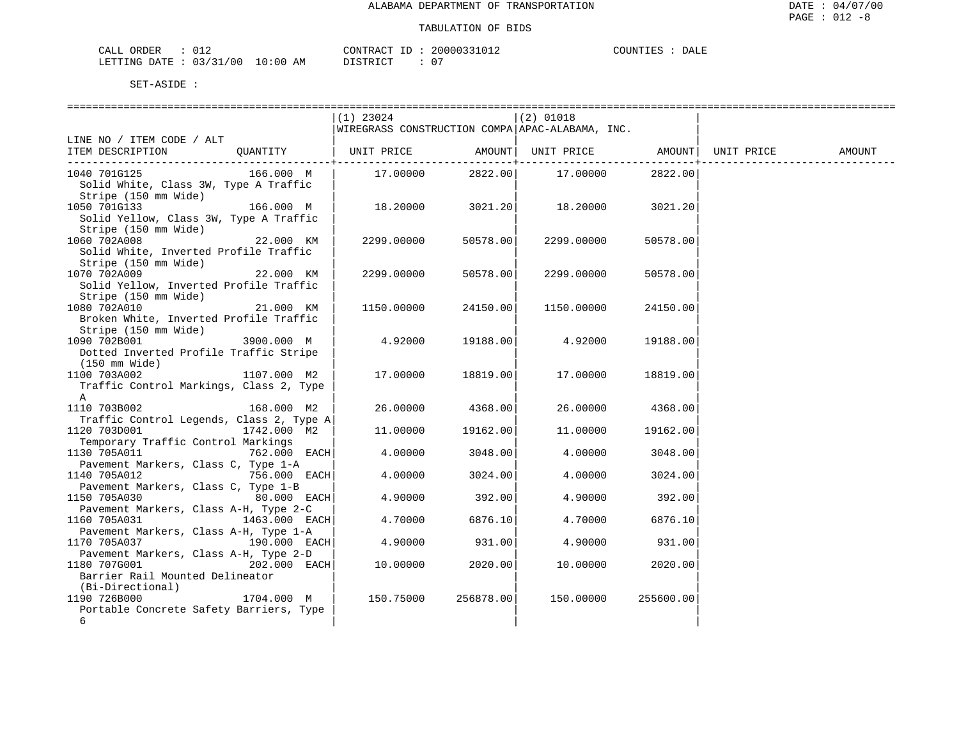| ORDER<br>CALL           |  |            | CONTRACT ID: | 20000331012 | COUNTIES | DALE |
|-------------------------|--|------------|--------------|-------------|----------|------|
| LETTING DATE : 03/31/00 |  | $10:00$ AM | DISTRICT     | $\sim$      |          |      |

|                                                                                                               | (1) 23024                                       |             | $(2)$ 01018               |           |            |        |
|---------------------------------------------------------------------------------------------------------------|-------------------------------------------------|-------------|---------------------------|-----------|------------|--------|
|                                                                                                               | WIREGRASS CONSTRUCTION COMPA APAC-ALABAMA, INC. |             |                           |           |            |        |
| LINE NO / ITEM CODE / ALT                                                                                     |                                                 |             |                           |           |            |        |
| ITEM DESCRIPTION<br>OUANTITY                                                                                  | UNIT PRICE                                      | ---------+- | AMOUNT  UNIT PRICE AMOUNT |           | UNIT PRICE | AMOUNT |
| 1040 701G125<br>166.000 M<br>Solid White, Class 3W, Type A Traffic                                            |                                                 |             | 17.00000 2822.00 17.00000 | 2822.00   |            |        |
| Stripe (150 mm Wide)                                                                                          |                                                 |             |                           |           |            |        |
| 1050 701G133<br>166.000 M<br>Solid Yellow, Class 3W, Type A Traffic<br>Stripe (150 mm Wide)                   | 18.20000                                        |             | 3021.20 18.20000          | 3021.20   |            |        |
| 1060 702A008<br>22.000 KM<br>Solid White, Inverted Profile Traffic<br>Stripe (150 mm Wide)                    | 2299.00000                                      | 50578.00    | 2299.00000                | 50578.00  |            |        |
| 1070 702A009<br>22.000 KM<br>Solid Yellow, Inverted Profile Traffic                                           | 2299.00000                                      | 50578.00    | 2299.00000                | 50578.00  |            |        |
| Stripe (150 mm Wide)<br>1080 702A010<br>21.000 KM                                                             | 1150.00000                                      | 24150.00    | 1150.00000                | 24150.00  |            |        |
| Broken White, Inverted Profile Traffic<br>Stripe (150 mm Wide)<br>1090 702B001<br>3900.000 M                  | 4.92000                                         | 19188.00    | 4.92000                   | 19188.00  |            |        |
| Dotted Inverted Profile Traffic Stripe<br>(150 mm Wide)                                                       |                                                 |             |                           |           |            |        |
| 1100 703A002<br>1107.000 M2<br>Traffic Control Markings, Class 2, Type<br>A                                   | 17.00000                                        | 18819.00    | 17.00000                  | 18819.00  |            |        |
| 1110 703B002<br>168.000 M2                                                                                    | 26.00000                                        | 4368.00     | 26.00000                  | 4368.00   |            |        |
| Traffic Control Legends, Class 2, Type A<br>1120 703D001<br>1742.000 M2<br>Temporary Traffic Control Markings | 11,00000                                        | 19162.00    | 11,00000                  | 19162.00  |            |        |
| 1130 705A011<br>762.000 EACH<br>Pavement Markers, Class C, Type 1-A                                           | 4.00000                                         | 3048.00     | 4.00000                   | 3048.00   |            |        |
| 1140 705A012<br>756.000 EACH<br>Pavement Markers, Class C, Type 1-B                                           | 4.00000                                         | 3024.00     | 4.00000                   | 3024.00   |            |        |
| 1150 705A030<br>80.000 EACH                                                                                   | 4.90000                                         | 392.00      | 4.90000                   | 392.00    |            |        |
| Pavement Markers, Class A-H, Type 2-C<br>1160 705A031<br>1463.000 EACH                                        | 4.70000                                         | 6876.10     | 4.70000                   | 6876.10   |            |        |
| Pavement Markers, Class A-H, Type 1-A<br>1170 705A037<br>190.000 EACH                                         | 4.90000                                         | 931.00      | 4.90000                   | 931.00    |            |        |
| Pavement Markers, Class A-H, Type 2-D<br>$202.000$ EACH<br>1180 707G001                                       | 10.00000                                        | 2020.00     | 10.00000                  | 2020.00   |            |        |
| Barrier Rail Mounted Delineator<br>(Bi-Directional)                                                           |                                                 |             |                           |           |            |        |
| 1190 726B000<br>1704.000 M<br>Portable Concrete Safety Barriers, Type<br>6                                    | 150.75000                                       | 256878.00   | 150.00000                 | 255600.00 |            |        |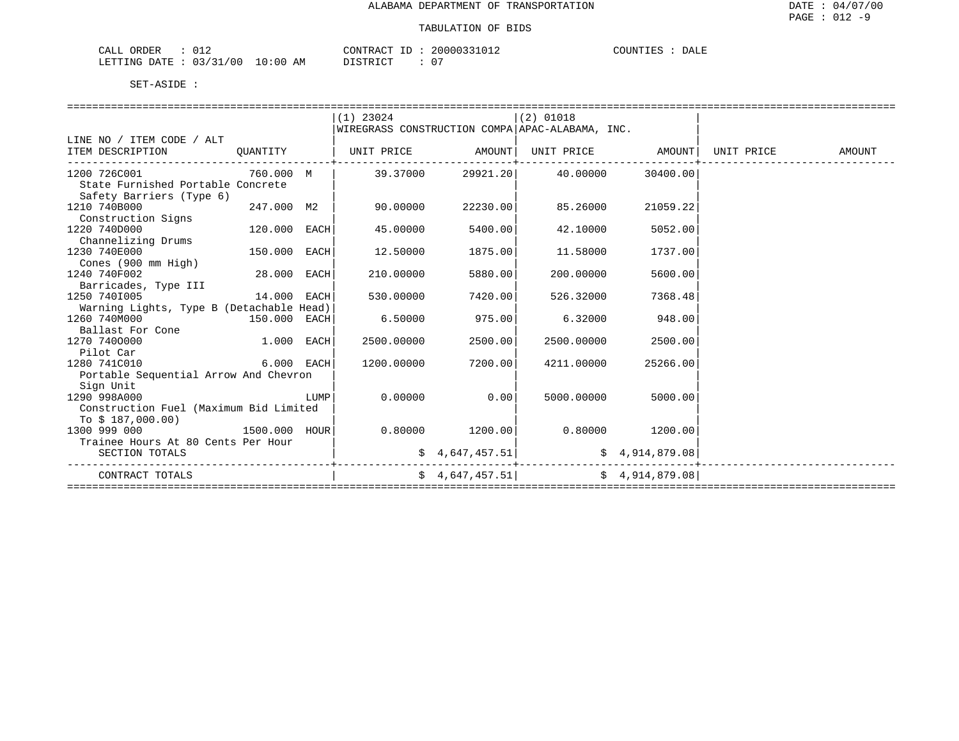| CALL<br>ORDER                                                                                                                                                        | CONTRACT                  | $\sim$ $\cdot$ 20000321.<br>. | COUNT!<br>DALE |
|----------------------------------------------------------------------------------------------------------------------------------------------------------------------|---------------------------|-------------------------------|----------------|
| '00<br>1 N : N N<br>LETTING<br><b>DATE</b><br>n 2<br>the contract of the contract of the contract of the contract of the contract of the contract of the contract of | 570mm TOT<br>AΜ<br>. שיוש | $\sim$<br>$\mathbf{u}$        |                |

|                                                                                         |              |      | $(1)$ 23024       |                 | $(2)$ 01018                                      |                 |               |
|-----------------------------------------------------------------------------------------|--------------|------|-------------------|-----------------|--------------------------------------------------|-----------------|---------------|
|                                                                                         |              |      |                   |                 | WIREGRASS CONSTRUCTION COMPA APAC-ALABAMA, INC.  |                 |               |
| LINE NO / ITEM CODE / ALT                                                               |              |      |                   |                 |                                                  |                 |               |
| ITEM DESCRIPTION                                                                        | QUANTITY     |      |                   |                 | UNIT PRICE AMOUNT  UNIT PRICE AMOUNT  UNIT PRICE |                 | <b>AMOUNT</b> |
| 1200 726C001 760.000 M<br>State Furnished Portable Concrete<br>Safety Barriers (Type 6) |              |      | 39.37000          | 29921.20        | 40.00000                                         | 30400.00        |               |
| 1210 740B000<br>247.000 M2  <br>Construction Signs                                      |              |      | 90.00000          | 22230.00        | 85.26000                                         | 21059.22        |               |
| 1220 740D000<br>Channelizing Drums                                                      | 120.000 EACH |      | 45.00000          | 5400.00         | 42.10000                                         | 5052.00         |               |
| 1230 740E000<br>Cones (900 mm High)                                                     | 150.000 EACH |      | 12.50000          | 1875.00         | 11.58000                                         | 1737.00         |               |
| 1240 740F002                                                                            | 28.000 EACH  |      | 210,00000         | 5880.00         | 200,00000                                        | 5600.00         |               |
| Barricades, Type III<br>14.000 EACH<br>1250 7401005                                     |              |      | 530.00000         | 7420.00         | 526.32000                                        | 7368.48         |               |
| Warning Lights, Type B (Detachable Head)                                                |              |      |                   |                 |                                                  |                 |               |
| 1260 740M000<br>150.000 EACH                                                            |              |      | 6.50000           | 975.00          | 6.32000                                          | 948.00          |               |
| Ballast For Cone<br><b>1.000 EACH</b>                                                   |              |      |                   |                 |                                                  |                 |               |
| 1270 7400000<br>Pilot Car                                                               |              |      | 2500.00000        | 2500.00         | 2500.00000                                       | 2500.00         |               |
| $6.000$ EACH<br>1280 741C010                                                            |              |      | 1200.00000        | 7200.00         | 4211.00000                                       | 25266.00        |               |
| Portable Sequential Arrow And Chevron                                                   |              |      |                   |                 |                                                  |                 |               |
| Sign Unit                                                                               |              |      |                   |                 |                                                  |                 |               |
| 1290 998A000                                                                            |              | LUMP |                   | $0.00000$ 0.00  | 5000.00000                                       | 5000.00         |               |
| Construction Fuel (Maximum Bid Limited                                                  |              |      |                   |                 |                                                  |                 |               |
| To $$187,000.00)$                                                                       |              |      |                   |                 |                                                  |                 |               |
| $1500.000$ HOUR<br>1300 999 000                                                         |              |      | $0.80000$ 1200.00 |                 | $0.80000$ 1200.00                                |                 |               |
| Trainee Hours At 80 Cents Per Hour                                                      |              |      |                   |                 |                                                  |                 |               |
| SECTION TOTALS                                                                          |              |      |                   | \$4,647,457.51  |                                                  | \$4,914,879.08  |               |
| CONTRACT TOTALS                                                                         |              |      |                   | \$4,647,457.51] | ---------                                        | \$4,914,879.08] |               |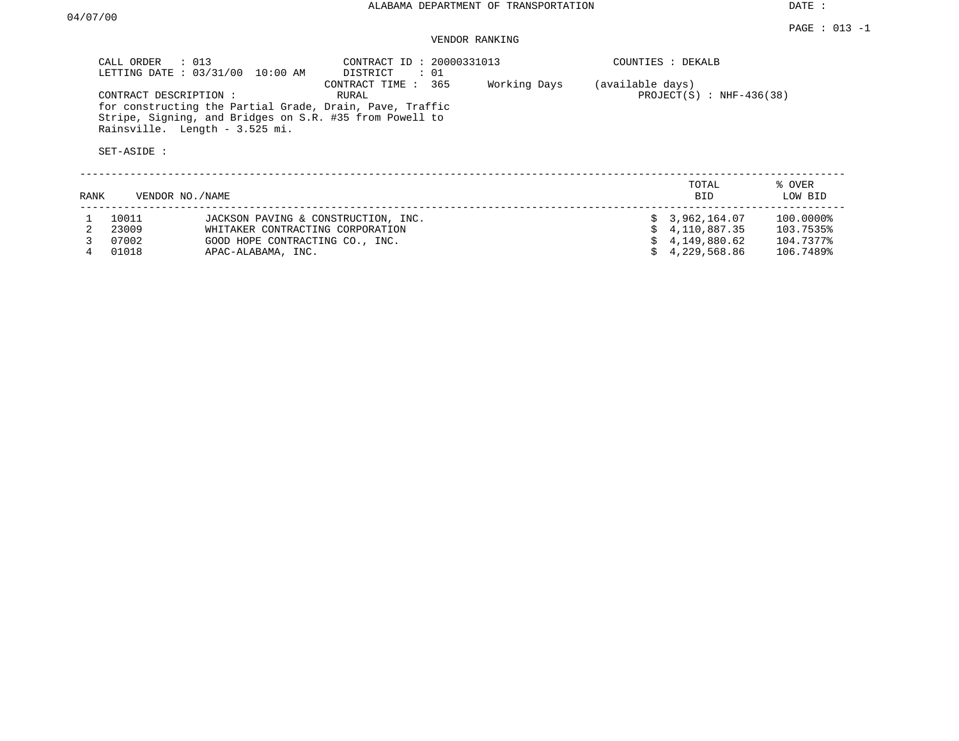DATE :

# VENDOR RANKING

|      | CALL ORDER<br>LETTING DATE: 03/31/00 | $\therefore$ 013<br>10:00 AM        | CONTRACT ID: 20000331013<br>DISTRICT<br>: 01                                                                                                        |              |                  | COUNTIES : DEKALB           |                   |
|------|--------------------------------------|-------------------------------------|-----------------------------------------------------------------------------------------------------------------------------------------------------|--------------|------------------|-----------------------------|-------------------|
|      | CONTRACT DESCRIPTION:<br>SET-ASIDE : | Rainsville. Length - 3.525 mi.      | CONTRACT TIME : 365<br>RURAL<br>for constructing the Partial Grade, Drain, Pave, Traffic<br>Stripe, Signing, and Bridges on S.R. #35 from Powell to | Working Days | (available days) | PROJECT $(S)$ : NHF-436(38) |                   |
| RANK | VENDOR NO./NAME                      |                                     |                                                                                                                                                     |              |                  | TOTAL<br>BID.               | % OVER<br>LOW BID |
|      | 10011                                | JACKSON PAVING & CONSTRUCTION, INC. |                                                                                                                                                     |              |                  | \$3,962,164.07              | 100.0000%         |
|      | 23009                                | WHITAKER CONTRACTING CORPORATION    |                                                                                                                                                     |              |                  | 4,110,887.35                | 103.7535%         |
|      | 07002                                | GOOD HOPE CONTRACTING CO., INC.     |                                                                                                                                                     |              |                  | 4,149,880.62                | 104.7377%         |
|      | 01018                                | APAC-ALABAMA, INC.                  |                                                                                                                                                     |              |                  | 4,229,568.86                | 106.7489%         |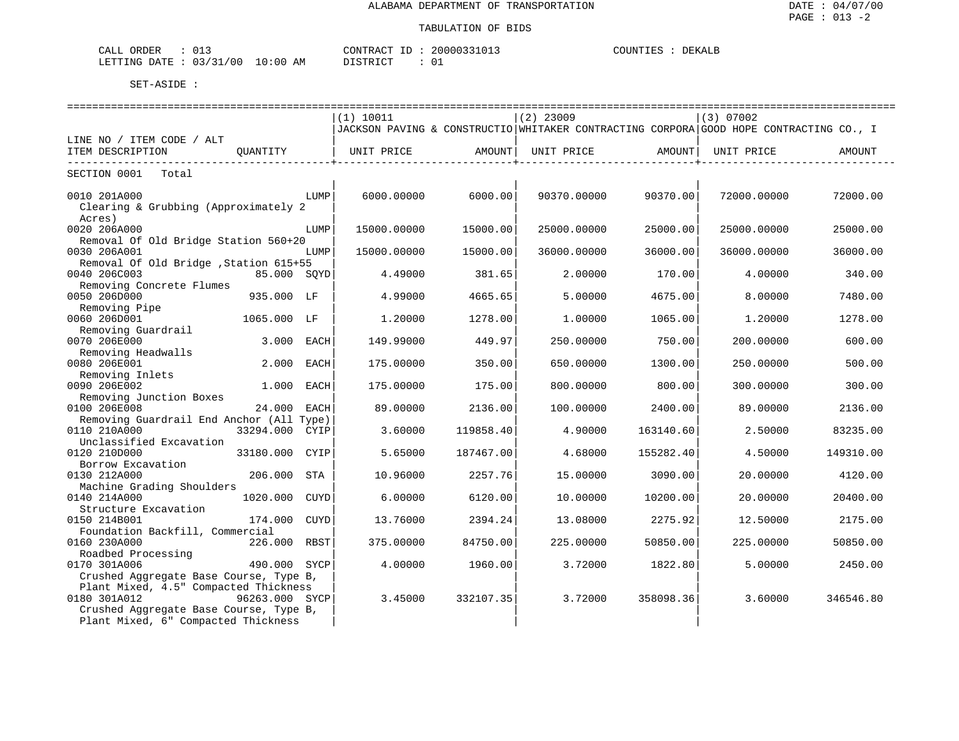| <b>PRDER</b><br>◡⊥◡        |               | $\wedge \wedge \neg \neg$<br>יחד במר | ിറി | DEKALB<br>COTINTTT |
|----------------------------|---------------|--------------------------------------|-----|--------------------|
| ⊤ ⊤۵ת ( ،<br>LETTING<br>00 | LO : 00<br>АM | $ \sim$<br>יחמ                       | ັັ  |                    |

| (1) 10011<br>$(2)$ 23009<br>(3) 07002<br>JACKSON PAVING & CONSTRUCTIO WHITAKER CONTRACTING CORPORA GOOD HOPE CONTRACTING CO., I<br>LINE NO / ITEM CODE / ALT<br>ITEM DESCRIPTION<br>OUANTITY<br>UNIT PRICE<br>AMOUNT  <br>UNIT PRICE<br>AMOUNT<br>UNIT PRICE<br>AMOUNT<br>SECTION 0001<br>Total<br>0010 201A000<br>6000.00000<br>6000.00<br>90370.00000<br>90370.00<br>72000.00<br>LUMP<br>72000.00000<br>Clearing & Grubbing (Approximately 2<br>Acres)<br>0020 206A000<br>15000.00000<br>15000.00<br>25000.00000<br>25000.00<br>25000.00000<br>25000.00<br>LUMP<br>Removal Of Old Bridge Station 560+20<br>0030 206A001<br>15000.00<br>36000.00<br>36000.00<br>15000.00000<br>36000.00000<br>36000.00000<br>LUMP<br>Removal Of Old Bridge , Station 615+55<br>0040 206C003<br>85.000 SOYD<br>4.49000<br>381.65<br>2.00000<br>340.00<br>170.00<br>4.00000<br>Removing Concrete Flumes<br>0050 206D000<br>935.000 LF<br>4.99000<br>4665.65<br>5.00000<br>4675.00<br>8.00000<br>7480.00<br>Removing Pipe<br>0060 206D001<br>1065.000 LF<br>1278.00<br>1,00000<br>1.20000<br>1278.00<br>1,20000<br>1065.00<br>Removing Guardrail<br>0070 206E000<br>3.000<br>149.99000<br>449.97<br>250.00000<br>750.00<br>200.00000<br>600.00<br>EACH |
|--------------------------------------------------------------------------------------------------------------------------------------------------------------------------------------------------------------------------------------------------------------------------------------------------------------------------------------------------------------------------------------------------------------------------------------------------------------------------------------------------------------------------------------------------------------------------------------------------------------------------------------------------------------------------------------------------------------------------------------------------------------------------------------------------------------------------------------------------------------------------------------------------------------------------------------------------------------------------------------------------------------------------------------------------------------------------------------------------------------------------------------------------------------------------------------------------------------------------------------|
|                                                                                                                                                                                                                                                                                                                                                                                                                                                                                                                                                                                                                                                                                                                                                                                                                                                                                                                                                                                                                                                                                                                                                                                                                                      |
|                                                                                                                                                                                                                                                                                                                                                                                                                                                                                                                                                                                                                                                                                                                                                                                                                                                                                                                                                                                                                                                                                                                                                                                                                                      |
|                                                                                                                                                                                                                                                                                                                                                                                                                                                                                                                                                                                                                                                                                                                                                                                                                                                                                                                                                                                                                                                                                                                                                                                                                                      |
|                                                                                                                                                                                                                                                                                                                                                                                                                                                                                                                                                                                                                                                                                                                                                                                                                                                                                                                                                                                                                                                                                                                                                                                                                                      |
|                                                                                                                                                                                                                                                                                                                                                                                                                                                                                                                                                                                                                                                                                                                                                                                                                                                                                                                                                                                                                                                                                                                                                                                                                                      |
|                                                                                                                                                                                                                                                                                                                                                                                                                                                                                                                                                                                                                                                                                                                                                                                                                                                                                                                                                                                                                                                                                                                                                                                                                                      |
|                                                                                                                                                                                                                                                                                                                                                                                                                                                                                                                                                                                                                                                                                                                                                                                                                                                                                                                                                                                                                                                                                                                                                                                                                                      |
|                                                                                                                                                                                                                                                                                                                                                                                                                                                                                                                                                                                                                                                                                                                                                                                                                                                                                                                                                                                                                                                                                                                                                                                                                                      |
|                                                                                                                                                                                                                                                                                                                                                                                                                                                                                                                                                                                                                                                                                                                                                                                                                                                                                                                                                                                                                                                                                                                                                                                                                                      |
|                                                                                                                                                                                                                                                                                                                                                                                                                                                                                                                                                                                                                                                                                                                                                                                                                                                                                                                                                                                                                                                                                                                                                                                                                                      |
|                                                                                                                                                                                                                                                                                                                                                                                                                                                                                                                                                                                                                                                                                                                                                                                                                                                                                                                                                                                                                                                                                                                                                                                                                                      |
|                                                                                                                                                                                                                                                                                                                                                                                                                                                                                                                                                                                                                                                                                                                                                                                                                                                                                                                                                                                                                                                                                                                                                                                                                                      |
|                                                                                                                                                                                                                                                                                                                                                                                                                                                                                                                                                                                                                                                                                                                                                                                                                                                                                                                                                                                                                                                                                                                                                                                                                                      |
|                                                                                                                                                                                                                                                                                                                                                                                                                                                                                                                                                                                                                                                                                                                                                                                                                                                                                                                                                                                                                                                                                                                                                                                                                                      |
|                                                                                                                                                                                                                                                                                                                                                                                                                                                                                                                                                                                                                                                                                                                                                                                                                                                                                                                                                                                                                                                                                                                                                                                                                                      |
|                                                                                                                                                                                                                                                                                                                                                                                                                                                                                                                                                                                                                                                                                                                                                                                                                                                                                                                                                                                                                                                                                                                                                                                                                                      |
|                                                                                                                                                                                                                                                                                                                                                                                                                                                                                                                                                                                                                                                                                                                                                                                                                                                                                                                                                                                                                                                                                                                                                                                                                                      |
|                                                                                                                                                                                                                                                                                                                                                                                                                                                                                                                                                                                                                                                                                                                                                                                                                                                                                                                                                                                                                                                                                                                                                                                                                                      |
|                                                                                                                                                                                                                                                                                                                                                                                                                                                                                                                                                                                                                                                                                                                                                                                                                                                                                                                                                                                                                                                                                                                                                                                                                                      |
|                                                                                                                                                                                                                                                                                                                                                                                                                                                                                                                                                                                                                                                                                                                                                                                                                                                                                                                                                                                                                                                                                                                                                                                                                                      |
|                                                                                                                                                                                                                                                                                                                                                                                                                                                                                                                                                                                                                                                                                                                                                                                                                                                                                                                                                                                                                                                                                                                                                                                                                                      |
| Removing Headwalls                                                                                                                                                                                                                                                                                                                                                                                                                                                                                                                                                                                                                                                                                                                                                                                                                                                                                                                                                                                                                                                                                                                                                                                                                   |
| 0080 206E001<br>2.000 EACH<br>175.00000<br>350.00<br>650.00000<br>1300.00<br>250.00000<br>500.00                                                                                                                                                                                                                                                                                                                                                                                                                                                                                                                                                                                                                                                                                                                                                                                                                                                                                                                                                                                                                                                                                                                                     |
| Removing Inlets                                                                                                                                                                                                                                                                                                                                                                                                                                                                                                                                                                                                                                                                                                                                                                                                                                                                                                                                                                                                                                                                                                                                                                                                                      |
| 0090 206E002<br>1.000<br>175.00000<br>175.00<br>800.00000<br>800.00<br>300.00000<br>300.00<br>EACH                                                                                                                                                                                                                                                                                                                                                                                                                                                                                                                                                                                                                                                                                                                                                                                                                                                                                                                                                                                                                                                                                                                                   |
| Removing Junction Boxes                                                                                                                                                                                                                                                                                                                                                                                                                                                                                                                                                                                                                                                                                                                                                                                                                                                                                                                                                                                                                                                                                                                                                                                                              |
| 0100 206E008<br>24.000<br>89.00000<br>2136.00<br>100.00000<br>2400.00<br>89.00000<br>2136.00<br>EACH                                                                                                                                                                                                                                                                                                                                                                                                                                                                                                                                                                                                                                                                                                                                                                                                                                                                                                                                                                                                                                                                                                                                 |
| Removing Guardrail End Anchor (All Type)                                                                                                                                                                                                                                                                                                                                                                                                                                                                                                                                                                                                                                                                                                                                                                                                                                                                                                                                                                                                                                                                                                                                                                                             |
| 0110 210A000<br>33294.000 CYIP<br>119858.40<br>83235.00<br>3.60000<br>4.90000<br>163140.60<br>2.50000                                                                                                                                                                                                                                                                                                                                                                                                                                                                                                                                                                                                                                                                                                                                                                                                                                                                                                                                                                                                                                                                                                                                |
| Unclassified Excavation                                                                                                                                                                                                                                                                                                                                                                                                                                                                                                                                                                                                                                                                                                                                                                                                                                                                                                                                                                                                                                                                                                                                                                                                              |
| 0120 210D000<br>5.65000<br>33180.000<br>CYIP<br>187467.00<br>4.68000<br>155282.40<br>4.50000<br>149310.00                                                                                                                                                                                                                                                                                                                                                                                                                                                                                                                                                                                                                                                                                                                                                                                                                                                                                                                                                                                                                                                                                                                            |
| Borrow Excavation                                                                                                                                                                                                                                                                                                                                                                                                                                                                                                                                                                                                                                                                                                                                                                                                                                                                                                                                                                                                                                                                                                                                                                                                                    |
| 0130 212A000<br>206,000<br>STA<br>10.96000<br>2257.76<br>15,00000<br>3090.00<br>20.00000<br>4120.00                                                                                                                                                                                                                                                                                                                                                                                                                                                                                                                                                                                                                                                                                                                                                                                                                                                                                                                                                                                                                                                                                                                                  |
| Machine Grading Shoulders                                                                                                                                                                                                                                                                                                                                                                                                                                                                                                                                                                                                                                                                                                                                                                                                                                                                                                                                                                                                                                                                                                                                                                                                            |
| 0140 214A000<br>1020.000<br>6.00000<br>6120.00<br>10.00000<br>10200.00<br>20.00000<br>20400.00<br>CUYD                                                                                                                                                                                                                                                                                                                                                                                                                                                                                                                                                                                                                                                                                                                                                                                                                                                                                                                                                                                                                                                                                                                               |
| Structure Excavation                                                                                                                                                                                                                                                                                                                                                                                                                                                                                                                                                                                                                                                                                                                                                                                                                                                                                                                                                                                                                                                                                                                                                                                                                 |
| 0150 214B001<br>174.000 CUYD<br>13.76000<br>2394.24<br>2275.92<br>2175.00<br>13.08000<br>12.50000                                                                                                                                                                                                                                                                                                                                                                                                                                                                                                                                                                                                                                                                                                                                                                                                                                                                                                                                                                                                                                                                                                                                    |
| Foundation Backfill, Commercial                                                                                                                                                                                                                                                                                                                                                                                                                                                                                                                                                                                                                                                                                                                                                                                                                                                                                                                                                                                                                                                                                                                                                                                                      |
| 0160 230A000<br>226.000 RBST<br>375.00000<br>84750.00<br>225.00000<br>50850.00<br>225.00000<br>50850.00                                                                                                                                                                                                                                                                                                                                                                                                                                                                                                                                                                                                                                                                                                                                                                                                                                                                                                                                                                                                                                                                                                                              |
| Roadbed Processing                                                                                                                                                                                                                                                                                                                                                                                                                                                                                                                                                                                                                                                                                                                                                                                                                                                                                                                                                                                                                                                                                                                                                                                                                   |
| 0170 301A006<br>490.000<br>4.00000<br>1960.00<br>3.72000<br>1822.80<br>5.00000<br>2450.00<br>SYCP                                                                                                                                                                                                                                                                                                                                                                                                                                                                                                                                                                                                                                                                                                                                                                                                                                                                                                                                                                                                                                                                                                                                    |
| Crushed Aggregate Base Course, Type B,                                                                                                                                                                                                                                                                                                                                                                                                                                                                                                                                                                                                                                                                                                                                                                                                                                                                                                                                                                                                                                                                                                                                                                                               |
| Plant Mixed, 4.5" Compacted Thickness                                                                                                                                                                                                                                                                                                                                                                                                                                                                                                                                                                                                                                                                                                                                                                                                                                                                                                                                                                                                                                                                                                                                                                                                |
| 0180 301A012<br>96263.000 SYCP<br>332107.35<br>3.60000<br>3.45000<br>3.72000<br>358098.36<br>346546.80                                                                                                                                                                                                                                                                                                                                                                                                                                                                                                                                                                                                                                                                                                                                                                                                                                                                                                                                                                                                                                                                                                                               |
| Crushed Aggregate Base Course, Type B,                                                                                                                                                                                                                                                                                                                                                                                                                                                                                                                                                                                                                                                                                                                                                                                                                                                                                                                                                                                                                                                                                                                                                                                               |
| Plant Mixed, 6" Compacted Thickness                                                                                                                                                                                                                                                                                                                                                                                                                                                                                                                                                                                                                                                                                                                                                                                                                                                                                                                                                                                                                                                                                                                                                                                                  |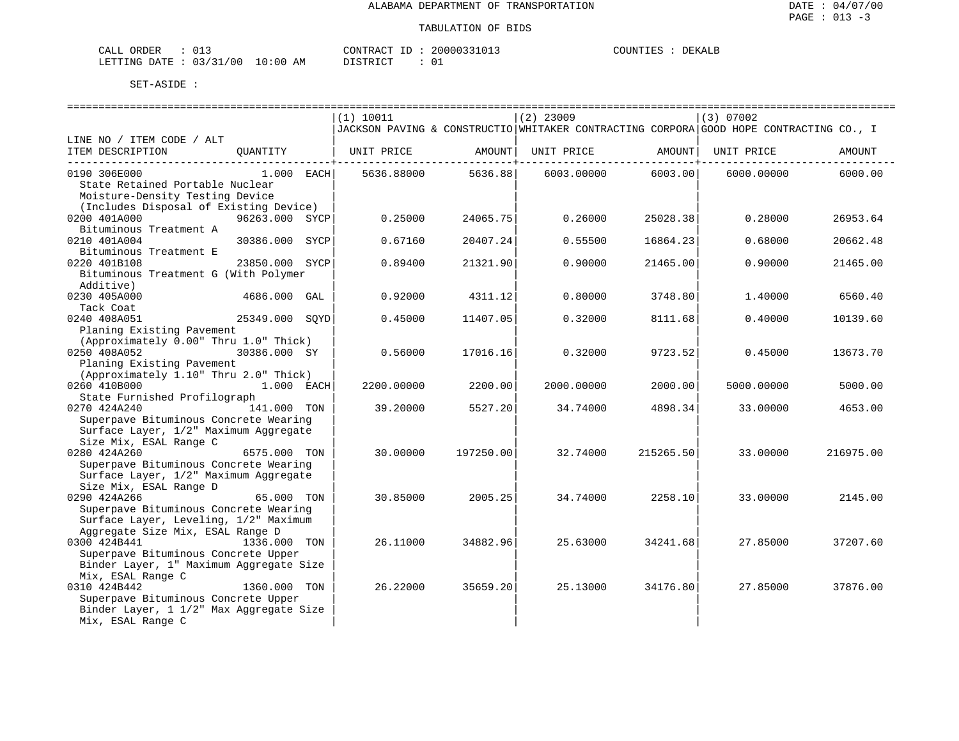| CALL ORDER                      | __ |          | CONTRACT ID: 20000331013 | COUNTIES :<br>DEKALE |
|---------------------------------|----|----------|--------------------------|----------------------|
| LETTING DATE: 03/31/00 10:00 AM |    | DISTRICT |                          |                      |

|                                                                                     | (1) 10011       |                                                  | $(2)$ 23009 |           | (3) 07002                                                                              |           |
|-------------------------------------------------------------------------------------|-----------------|--------------------------------------------------|-------------|-----------|----------------------------------------------------------------------------------------|-----------|
|                                                                                     |                 |                                                  |             |           | JACKSON PAVING & CONSTRUCTIO WHITAKER CONTRACTING CORPORA GOOD HOPE CONTRACTING CO., I |           |
| LINE NO / ITEM CODE / ALT                                                           |                 |                                                  |             |           |                                                                                        |           |
| ITEM DESCRIPTION<br>OUANTITY                                                        | UNIT PRICE      | AMOUNT                                           | UNIT PRICE  | AMOUNT    | UNIT PRICE                                                                             | AMOUNT    |
| 0190 306E000<br>$1.000$ EACH                                                        | 5636.88000      | . _ _ _ _ _ _ _ _ _ + _ _ _ _ _ _ _ _<br>5636.88 | 6003.00000  | 6003.00   | 6000.00000                                                                             | 6000.00   |
| State Retained Portable Nuclear<br>Moisture-Density Testing Device                  |                 |                                                  |             |           |                                                                                        |           |
| (Includes Disposal of Existing Device)                                              |                 |                                                  |             |           |                                                                                        |           |
| 0200 401A000<br>96263.000 SYCP<br>Bituminous Treatment A                            | 0.25000         | 24065.75                                         | 0.26000     | 25028.38  | 0.28000                                                                                | 26953.64  |
| 0210 401A004<br>30386.000                                                           | SYCP<br>0.67160 | 20407.24                                         | 0.55500     | 16864.23  | 0.68000                                                                                | 20662.48  |
| Bituminous Treatment E                                                              |                 |                                                  |             |           |                                                                                        |           |
| 0220 401B108<br>23850.000 SYCP<br>Bituminous Treatment G (With Polymer<br>Additive) | 0.89400         | 21321.90                                         | 0.90000     | 21465.00  | 0.90000                                                                                | 21465.00  |
| 0230 405A000<br>4686.000 GAL                                                        | 0.92000         | 4311.12                                          | 0.80000     | 3748.80   | 1.40000                                                                                | 6560.40   |
| Tack Coat                                                                           |                 |                                                  |             |           |                                                                                        |           |
| 0240 408A051<br>25349.000 SOYD                                                      | 0.45000         | 11407.05                                         | 0.32000     | 8111.68   | 0.40000                                                                                | 10139.60  |
| Planing Existing Pavement                                                           |                 |                                                  |             |           |                                                                                        |           |
| (Approximately 0.00" Thru 1.0" Thick)                                               |                 |                                                  |             |           |                                                                                        |           |
| 0250 408A052<br>30386.000 SY                                                        | 0.56000         | 17016.16                                         | 0.32000     | 9723.52   | 0.45000                                                                                | 13673.70  |
| Planing Existing Pavement<br>(Approximately 1.10" Thru 2.0" Thick)                  |                 |                                                  |             |           |                                                                                        |           |
| 0260 410B000<br>1.000 EACH                                                          | 2200.00000      | 2200.00                                          | 2000.00000  | 2000.00   | 5000.00000                                                                             | 5000.00   |
| State Furnished Profilograph                                                        |                 |                                                  |             |           |                                                                                        |           |
| 141.000 TON<br>0270 424A240                                                         | 39.20000        | 5527.20                                          | 34.74000    | 4898.34   | 33.00000                                                                               | 4653.00   |
| Superpave Bituminous Concrete Wearing                                               |                 |                                                  |             |           |                                                                                        |           |
| Surface Layer, 1/2" Maximum Aggregate                                               |                 |                                                  |             |           |                                                                                        |           |
| Size Mix, ESAL Range C                                                              |                 |                                                  |             |           |                                                                                        |           |
| 0280 424A260<br>6575.000 TON                                                        | 30.00000        | 197250.00                                        | 32.74000    | 215265.50 | 33.00000                                                                               | 216975.00 |
| Superpave Bituminous Concrete Wearing                                               |                 |                                                  |             |           |                                                                                        |           |
| Surface Layer, 1/2" Maximum Aggregate                                               |                 |                                                  |             |           |                                                                                        |           |
| Size Mix, ESAL Range D                                                              |                 |                                                  |             |           |                                                                                        |           |
| 0290 424A266<br>65.000 TON                                                          | 30.85000        | 2005.25                                          | 34.74000    | 2258.10   | 33.00000                                                                               | 2145.00   |
| Superpave Bituminous Concrete Wearing                                               |                 |                                                  |             |           |                                                                                        |           |
| Surface Layer, Leveling, 1/2" Maximum                                               |                 |                                                  |             |           |                                                                                        |           |
| Aggregate Size Mix, ESAL Range D                                                    |                 |                                                  |             |           |                                                                                        |           |
| 0300 424B441<br>1336.000 TON                                                        | 26.11000        | 34882.96                                         | 25.63000    | 34241.68  | 27.85000                                                                               | 37207.60  |
| Superpave Bituminous Concrete Upper                                                 |                 |                                                  |             |           |                                                                                        |           |
| Binder Layer, 1" Maximum Aggregate Size                                             |                 |                                                  |             |           |                                                                                        |           |
| Mix, ESAL Range C                                                                   |                 |                                                  |             |           |                                                                                        |           |
| 0310 424B442<br>1360.000 TON                                                        | 26.22000        | 35659.20                                         | 25.13000    | 34176.80  | 27.85000                                                                               | 37876.00  |
| Superpave Bituminous Concrete Upper                                                 |                 |                                                  |             |           |                                                                                        |           |
| Binder Layer, 1 1/2" Max Aggregate Size                                             |                 |                                                  |             |           |                                                                                        |           |
| Mix, ESAL Range C                                                                   |                 |                                                  |             |           |                                                                                        |           |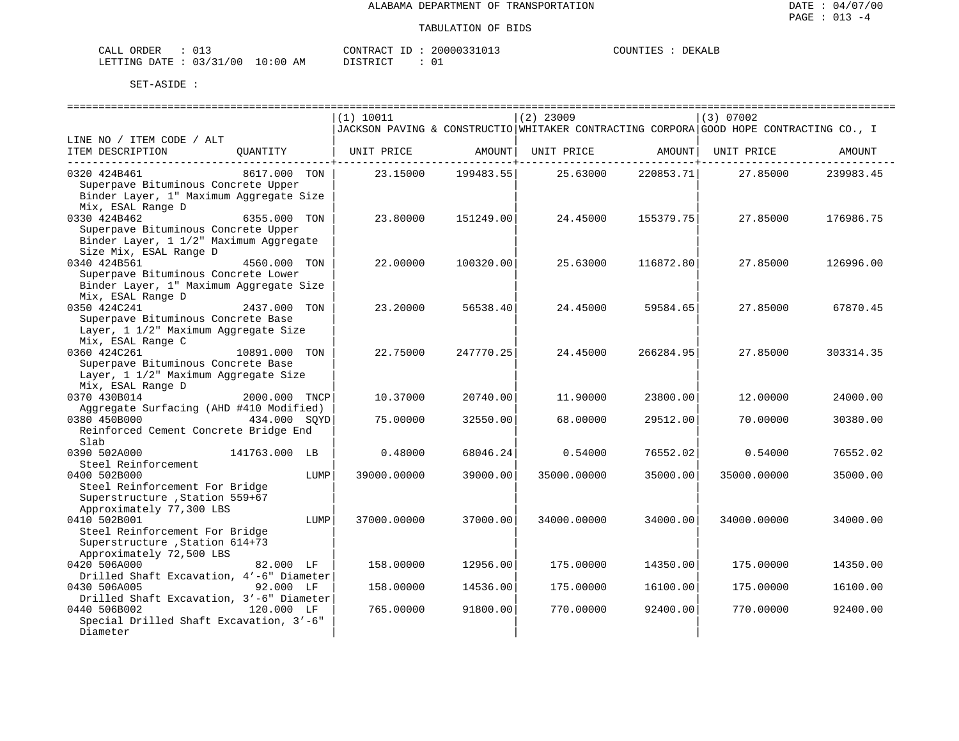| CALL | ORDER |                        |             | CONTRACT | TD : | 2000033101. | COUNTIES | DEKALE |
|------|-------|------------------------|-------------|----------|------|-------------|----------|--------|
|      |       | LETTING DATE: 03/31/00 | 10:00<br>AΜ | DISTRICT |      |             |          |        |

|                                          |               |      | (1) 10011   |           | $(2)$ 23009 |                 | (3) 07002                                                                              |           |
|------------------------------------------|---------------|------|-------------|-----------|-------------|-----------------|----------------------------------------------------------------------------------------|-----------|
|                                          |               |      |             |           |             |                 | JACKSON PAVING & CONSTRUCTIO WHITAKER CONTRACTING CORPORA GOOD HOPE CONTRACTING CO., I |           |
| LINE NO / ITEM CODE / ALT                |               |      |             |           |             |                 |                                                                                        |           |
| ITEM DESCRIPTION                         | QUANTITY      |      | UNIT PRICE  | AMOUNT    | UNIT PRICE  | AMOUNT          | UNIT PRICE                                                                             | AMOUNT    |
|                                          |               |      |             |           |             | --------+------ |                                                                                        |           |
| 0320 424B461                             | 8617.000 TON  |      | 23.15000    | 199483.55 | 25.63000    | 220853.71       | 27.85000                                                                               | 239983.45 |
| Superpave Bituminous Concrete Upper      |               |      |             |           |             |                 |                                                                                        |           |
| Binder Layer, 1" Maximum Aggregate Size  |               |      |             |           |             |                 |                                                                                        |           |
| Mix, ESAL Range D                        |               |      |             |           |             |                 |                                                                                        |           |
| 0330 424B462                             | 6355.000 TON  |      | 23.80000    | 151249.00 | 24.45000    | 155379.75       | 27.85000                                                                               | 176986.75 |
| Superpave Bituminous Concrete Upper      |               |      |             |           |             |                 |                                                                                        |           |
| Binder Layer, 1 1/2" Maximum Aggregate   |               |      |             |           |             |                 |                                                                                        |           |
| Size Mix, ESAL Range D                   |               |      |             |           |             |                 |                                                                                        |           |
| 0340 424B561                             | 4560.000 TON  |      | 22.00000    | 100320.00 | 25.63000    | 116872.80       | 27.85000                                                                               | 126996.00 |
| Superpave Bituminous Concrete Lower      |               |      |             |           |             |                 |                                                                                        |           |
| Binder Layer, 1" Maximum Aggregate Size  |               |      |             |           |             |                 |                                                                                        |           |
| Mix, ESAL Range D                        |               |      |             |           |             |                 |                                                                                        |           |
| 0350 424C241                             | 2437.000 TON  |      | 23.20000    | 56538.40  | 24.45000    | 59584.65        | 27.85000                                                                               | 67870.45  |
| Superpave Bituminous Concrete Base       |               |      |             |           |             |                 |                                                                                        |           |
| Layer, 1 1/2" Maximum Aggregate Size     |               |      |             |           |             |                 |                                                                                        |           |
| Mix, ESAL Range C                        |               |      |             |           |             |                 |                                                                                        |           |
| 0360 424C261                             | 10891.000 TON |      | 22.75000    | 247770.25 | 24.45000    | 266284.95       | 27.85000                                                                               | 303314.35 |
| Superpave Bituminous Concrete Base       |               |      |             |           |             |                 |                                                                                        |           |
| Layer, 1 1/2" Maximum Aggregate Size     |               |      |             |           |             |                 |                                                                                        |           |
| Mix, ESAL Range D                        |               |      |             |           |             |                 |                                                                                        |           |
| 0370 430B014                             | 2000.000 TNCP |      | 10.37000    | 20740.00  | 11,90000    | 23800.00        | 12,00000                                                                               | 24000.00  |
| Aggregate Surfacing (AHD #410 Modified)  |               |      |             |           |             |                 |                                                                                        |           |
| 0380 450B000                             | 434.000 SOYD  |      | 75.00000    | 32550.00  | 68,00000    | 29512.00        | 70.00000                                                                               | 30380.00  |
| Reinforced Cement Concrete Bridge End    |               |      |             |           |             |                 |                                                                                        |           |
| Slab                                     |               |      |             |           |             |                 |                                                                                        |           |
| 0390 502A000                             | 141763.000 LB |      | 0.48000     | 68046.24  | 0.54000     | 76552.02        | 0.54000                                                                                | 76552.02  |
| Steel Reinforcement                      |               |      |             |           |             |                 |                                                                                        |           |
| 0400 502B000                             |               | LUMP | 39000.00000 | 39000.00  | 35000.00000 | 35000.00        | 35000.00000                                                                            | 35000.00  |
| Steel Reinforcement For Bridge           |               |      |             |           |             |                 |                                                                                        |           |
| Superstructure , Station 559+67          |               |      |             |           |             |                 |                                                                                        |           |
| Approximately 77,300 LBS                 |               |      |             |           |             |                 |                                                                                        |           |
| 0410 502B001                             |               | LUMP | 37000.00000 | 37000.00  | 34000.00000 | 34000.00        | 34000.00000                                                                            | 34000.00  |
| Steel Reinforcement For Bridge           |               |      |             |           |             |                 |                                                                                        |           |
| Superstructure , Station 614+73          |               |      |             |           |             |                 |                                                                                        |           |
| Approximately 72,500 LBS                 |               |      |             |           |             |                 |                                                                                        |           |
| 0420 506A000                             | 82.000 LF     |      | 158.00000   | 12956.00  | 175.00000   | 14350.00        | 175.00000                                                                              | 14350.00  |
| Drilled Shaft Excavation, 4'-6" Diameter |               |      |             |           |             |                 |                                                                                        |           |
| 0430 506A005                             | 92.000 LF     |      | 158.00000   | 14536.00  | 175.00000   | 16100.00        | 175.00000                                                                              | 16100.00  |
| Drilled Shaft Excavation, 3'-6" Diameter |               |      |             |           |             |                 |                                                                                        |           |
| 0440 506B002                             | 120.000 LF    |      | 765.00000   | 91800.00  | 770.00000   | 92400.00        | 770.00000                                                                              | 92400.00  |
| Special Drilled Shaft Excavation, 3'-6"  |               |      |             |           |             |                 |                                                                                        |           |
| Diameter                                 |               |      |             |           |             |                 |                                                                                        |           |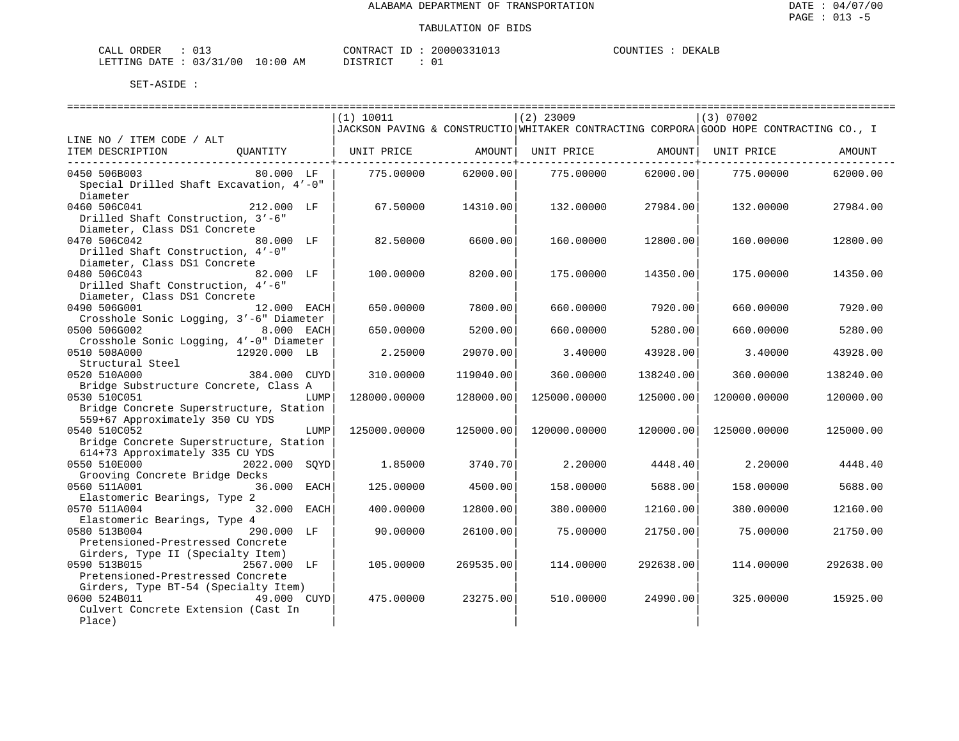| CALL ORDER                       |  |          | CONTRACT ID: 20000331013 | COUNTIES | DEKALE |
|----------------------------------|--|----------|--------------------------|----------|--------|
| LETTING DATE : 03/31/00 10:00 AM |  | DISTRICT |                          |          |        |

|                                                                       | (1) 10011                                                                              |           | $(2)$ 23009  |           | $(3)$ 07002  |           |
|-----------------------------------------------------------------------|----------------------------------------------------------------------------------------|-----------|--------------|-----------|--------------|-----------|
|                                                                       | JACKSON PAVING & CONSTRUCTIO WHITAKER CONTRACTING CORPORA GOOD HOPE CONTRACTING CO., I |           |              |           |              |           |
| LINE NO / ITEM CODE / ALT                                             |                                                                                        |           |              |           |              |           |
| ITEM DESCRIPTION<br>OUANTITY                                          | UNIT PRICE                                                                             | AMOUNT    | UNIT PRICE   | AMOUNT    | UNIT PRICE   | AMOUNT    |
| 0450 506B003<br>80.000 LF                                             | 775.00000                                                                              | 62000.00  | 775.00000    | 62000.00  | 775.00000    | 62000.00  |
| Special Drilled Shaft Excavation, 4'-0"                               |                                                                                        |           |              |           |              |           |
| Diameter                                                              |                                                                                        |           |              |           |              |           |
| 0460 506C041<br>212.000 LF                                            | 67.50000                                                                               | 14310.00  | 132.00000    | 27984.00  | 132,00000    | 27984.00  |
| Drilled Shaft Construction, 3'-6"                                     |                                                                                        |           |              |           |              |           |
| Diameter, Class DS1 Concrete                                          |                                                                                        |           |              |           |              |           |
| 0470 506C042<br>80.000 LF                                             | 82.50000                                                                               | 6600.00   | 160.00000    | 12800.00  | 160.00000    | 12800.00  |
| Drilled Shaft Construction, 4'-0"                                     |                                                                                        |           |              |           |              |           |
| Diameter, Class DS1 Concrete                                          |                                                                                        |           |              |           |              |           |
| 0480 506C043<br>82.000 LF                                             | 100,00000                                                                              | 8200.00   | 175.00000    | 14350.00  | 175,00000    | 14350.00  |
| Drilled Shaft Construction, 4'-6"                                     |                                                                                        |           |              |           |              |           |
| Diameter, Class DS1 Concrete                                          |                                                                                        |           |              |           |              |           |
| 0490 506G001<br>12.000 EACH                                           | 650.00000                                                                              | 7800.00   | 660.00000    | 7920.00   | 660.00000    | 7920.00   |
| Crosshole Sonic Logging, 3'-6" Diameter                               |                                                                                        |           |              |           |              |           |
| 0500 506G002<br>8.000 EACH<br>Crosshole Sonic Logging, 4'-0" Diameter | 650.00000                                                                              | 5200.00   | 660.00000    | 5280.00   | 660,00000    | 5280.00   |
| 0510 508A000<br>12920.000 LB                                          | 2.25000                                                                                | 29070.00  | 3.40000      | 43928.00  | 3.40000      | 43928.00  |
| Structural Steel                                                      |                                                                                        |           |              |           |              |           |
| 0520 510A000<br>384.000 CUYD                                          | 310.00000                                                                              | 119040.00 | 360.00000    | 138240.00 | 360.00000    | 138240.00 |
| Bridge Substructure Concrete, Class A                                 |                                                                                        |           |              |           |              |           |
| 0530 510C051<br>LUMP                                                  | 128000.00000                                                                           | 128000.00 | 125000.00000 | 125000.00 | 120000.00000 | 120000.00 |
| Bridge Concrete Superstructure, Station                               |                                                                                        |           |              |           |              |           |
| 559+67 Approximately 350 CU YDS                                       |                                                                                        |           |              |           |              |           |
| 0540 510C052<br>LUMP                                                  | 125000.00000                                                                           | 125000.00 | 120000.00000 | 120000.00 | 125000.00000 | 125000.00 |
| Bridge Concrete Superstructure, Station                               |                                                                                        |           |              |           |              |           |
| 614+73 Approximately 335 CU YDS                                       |                                                                                        |           |              |           |              |           |
| 0550 510E000<br>2022.000 SOYD                                         | 1.85000                                                                                | 3740.70   | 2,20000      | 4448.40   | 2,20000      | 4448.40   |
| Grooving Concrete Bridge Decks                                        |                                                                                        |           |              |           |              |           |
| 0560 511A001<br>36.000<br>EACH<br>Elastomeric Bearings, Type 2        | 125.00000                                                                              | 4500.00   | 158.00000    | 5688.00   | 158.00000    | 5688.00   |
| 0570 511A004<br>32,000<br>EACH                                        | 400.00000                                                                              | 12800.00  | 380.00000    | 12160.00  | 380.00000    | 12160.00  |
| Elastomeric Bearings, Type 4                                          |                                                                                        |           |              |           |              |           |
| 0580 513B004<br>290.000 LF                                            | 90.00000                                                                               | 26100.00  | 75.00000     | 21750.00  | 75.00000     | 21750.00  |
| Pretensioned-Prestressed Concrete                                     |                                                                                        |           |              |           |              |           |
| Girders, Type II (Specialty Item)                                     |                                                                                        |           |              |           |              |           |
| 0590 513B015<br>2567.000 LF                                           | 105.00000                                                                              | 269535.00 | 114.00000    | 292638.00 | 114,00000    | 292638.00 |
| Pretensioned-Prestressed Concrete                                     |                                                                                        |           |              |           |              |           |
| Girders, Type BT-54 (Specialty Item)                                  |                                                                                        |           |              |           |              |           |
| 0600 524B011<br>49.000 CUYD                                           | 475.00000                                                                              | 23275.00  | 510.00000    | 24990.00  | 325.00000    | 15925.00  |
| Culvert Concrete Extension (Cast In                                   |                                                                                        |           |              |           |              |           |
| Place)                                                                |                                                                                        |           |              |           |              |           |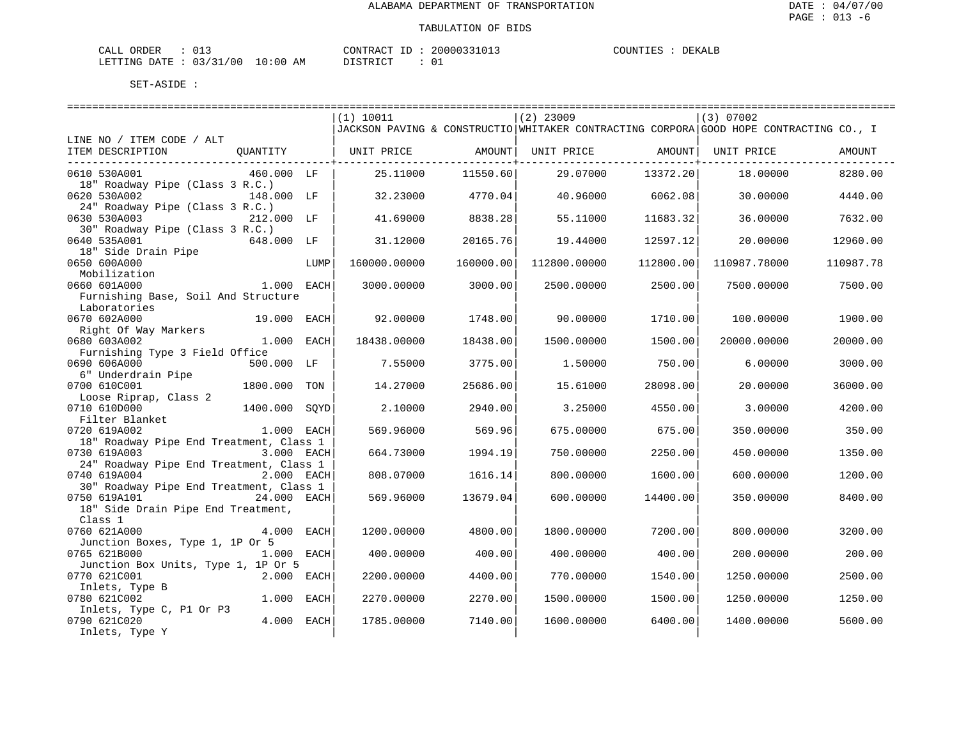| ORDER<br>CALL ( |                               |    | CONTRACT ID: |  | 20000331013 | COUNTIES | DEKALE |
|-----------------|-------------------------------|----|--------------|--|-------------|----------|--------|
|                 | LETTING DATE : 03/31/00 10:00 | AM | PISTRICT     |  |             |          |        |

|                                         |               |      | (1) 10011    |           | $(2)$ 23009  |           | (3) 07002                                                                              |           |
|-----------------------------------------|---------------|------|--------------|-----------|--------------|-----------|----------------------------------------------------------------------------------------|-----------|
|                                         |               |      |              |           |              |           | JACKSON PAVING & CONSTRUCTIO WHITAKER CONTRACTING CORPORA GOOD HOPE CONTRACTING CO., I |           |
| LINE NO / ITEM CODE / ALT               |               |      |              |           |              |           |                                                                                        |           |
| ITEM DESCRIPTION                        | QUANTITY      |      | UNIT PRICE   | AMOUNT    | UNIT PRICE   |           | AMOUNT   UNIT PRICE                                                                    | AMOUNT    |
| -----------------------------------     |               |      |              |           |              |           |                                                                                        |           |
| 0610 530A001                            | 460.000 LF    |      | 25.11000     | 11550.60  | 29.07000     | 13372.20  | 18.00000                                                                               | 8280.00   |
| 18" Roadway Pipe (Class 3 R.C.)         |               |      |              |           |              |           |                                                                                        |           |
| 0620 530A002                            | 148.000 LF    |      | 32.23000     | 4770.04   | 40.96000     | 6062.08   | 30.00000                                                                               | 4440.00   |
| 24" Roadway Pipe (Class 3 R.C.)         |               |      |              |           |              |           |                                                                                        |           |
| 0630 530A003                            | 212.000 LF    |      | 41.69000     | 8838.28   | 55.11000     | 11683.32  | 36.00000                                                                               | 7632.00   |
| 30" Roadway Pipe (Class 3 R.C.)         |               |      |              |           |              |           |                                                                                        |           |
| 0640 535A001                            | 648.000 LF    |      | 31.12000     | 20165.76  | 19,44000     | 12597.12  | 20.00000                                                                               | 12960.00  |
| 18" Side Drain Pipe                     |               |      |              |           |              |           |                                                                                        |           |
| 0650 600A000                            |               | LUMP | 160000.00000 | 160000.00 | 112800.00000 | 112800.00 | 110987.78000                                                                           | 110987.78 |
| Mobilization                            |               |      |              |           |              |           |                                                                                        |           |
| 0660 601A000                            | 1.000 EACH    |      | 3000.00000   | 3000.00   | 2500.00000   | 2500.00   | 7500.00000                                                                             | 7500.00   |
| Furnishing Base, Soil And Structure     |               |      |              |           |              |           |                                                                                        |           |
| Laboratories                            |               |      |              |           |              |           |                                                                                        |           |
| 0670 602A000                            | 19.000 EACH   |      | 92.00000     | 1748.00   | 90.00000     | 1710.00   | 100.00000                                                                              | 1900.00   |
| Right Of Way Markers                    |               |      |              |           |              |           |                                                                                        |           |
| 0680 603A002                            | 1.000 EACH    |      | 18438.00000  | 18438.00  | 1500.00000   | 1500.00   | 20000.00000                                                                            | 20000.00  |
| Furnishing Type 3 Field Office          |               |      |              |           |              |           |                                                                                        |           |
| 0690 606A000                            | 500.000 LF    |      | 7.55000      | 3775.00   | 1.50000      | 750.00    | 6.00000                                                                                | 3000.00   |
| 6" Underdrain Pipe                      |               |      |              |           |              |           |                                                                                        |           |
| 0700 610C001                            | 1800.000      | TON  | 14.27000     | 25686.00  | 15.61000     | 28098.00  | 20.00000                                                                               | 36000.00  |
| Loose Riprap, Class 2                   |               |      |              |           |              |           |                                                                                        |           |
| 0710 610D000                            | 1400.000 SOYD |      | 2.10000      | 2940.00   | 3.25000      | 4550.00   | 3.00000                                                                                | 4200.00   |
| Filter Blanket                          |               |      |              |           |              |           |                                                                                        |           |
| 0720 619A002                            | 1.000 EACH    |      | 569.96000    | 569.96    | 675.00000    | 675.00    | 350.00000                                                                              | 350.00    |
| 18" Roadway Pipe End Treatment, Class 1 |               |      |              |           |              |           |                                                                                        |           |
| 0730 619A003                            | 3.000 EACH    |      | 664.73000    | 1994.19   | 750.00000    | 2250.00   | 450.00000                                                                              | 1350.00   |
| 24" Roadway Pipe End Treatment, Class 1 |               |      |              |           |              |           |                                                                                        |           |
| 0740 619A004                            | 2.000 EACH    |      | 808,07000    | 1616.14   | 800.00000    | 1600.00   | 600.00000                                                                              | 1200.00   |
| 30" Roadway Pipe End Treatment, Class 1 |               |      |              |           |              |           |                                                                                        |           |
| 0750 619A101                            | 24.000 EACH   |      | 569.96000    | 13679.04  | 600.00000    | 14400.00  | 350.00000                                                                              | 8400.00   |
| 18" Side Drain Pipe End Treatment,      |               |      |              |           |              |           |                                                                                        |           |
| Class 1                                 |               |      |              |           |              |           |                                                                                        |           |
| 0760 621A000                            | 4.000 EACH    |      | 1200.00000   | 4800.00   | 1800.00000   | 7200.00   | 800.00000                                                                              | 3200.00   |
| Junction Boxes, Type 1, 1P Or 5         |               |      |              |           |              |           |                                                                                        |           |
| 0765 621B000                            | 1.000 EACH    |      | 400.00000    | 400.00    | 400.00000    | 400.00    | 200.00000                                                                              | 200.00    |
| Junction Box Units, Type 1, 1P Or 5     |               |      |              |           |              |           |                                                                                        |           |
| 0770 621C001                            | 2.000 EACH    |      | 2200.00000   | 4400.00   | 770.00000    | 1540.00   | 1250.00000                                                                             | 2500.00   |
| Inlets, Type B                          |               |      |              |           |              |           |                                                                                        |           |
| 0780 621C002                            | 1.000 EACH    |      | 2270.00000   | 2270.00   | 1500.00000   | 1500.00   | 1250.00000                                                                             | 1250.00   |
| Inlets, Type C, P1 Or P3                |               |      |              |           |              |           |                                                                                        |           |
| 0790 621C020                            | 4.000 EACH    |      | 1785.00000   | 7140.00   | 1600.00000   | 6400.00   | 1400.00000                                                                             | 5600.00   |
| Inlets, Type Y                          |               |      |              |           |              |           |                                                                                        |           |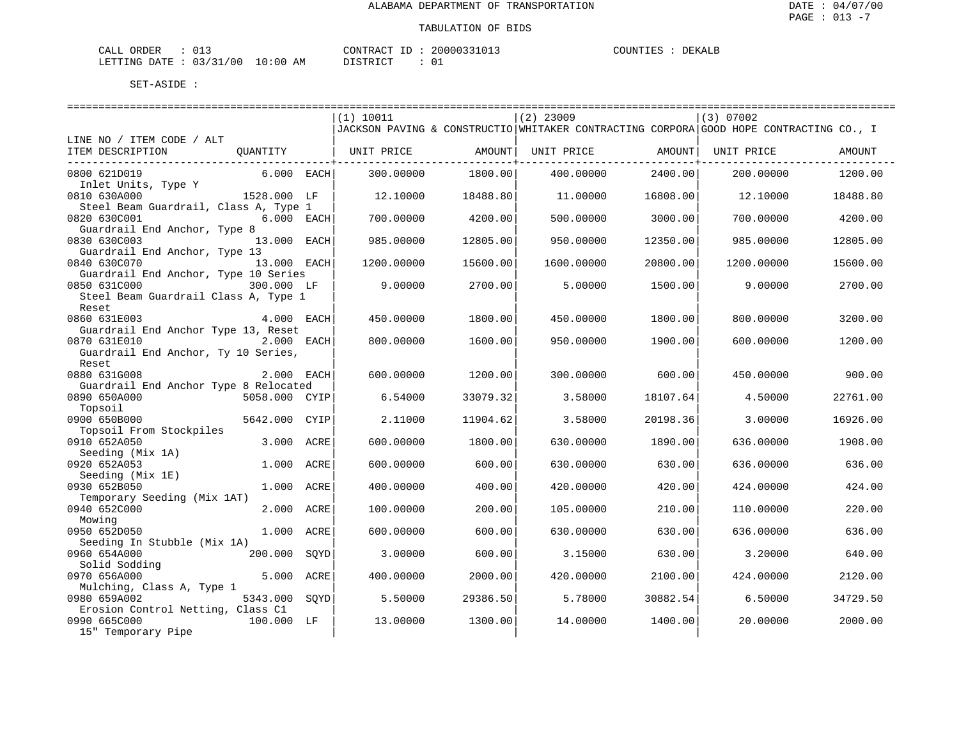| ORDER<br>CALL          |  |             | CONTRACT ID: | 20000331013 | COUNTIES | DEKALE |
|------------------------|--|-------------|--------------|-------------|----------|--------|
| LETTING DATE: 03/31/00 |  | 10:00<br>AΜ | DISTRICT     |             |          |        |

|                                       |               | (1) 10011                                                                              |                                | $(2)$ 23009 |                             | (3) 07002  |          |
|---------------------------------------|---------------|----------------------------------------------------------------------------------------|--------------------------------|-------------|-----------------------------|------------|----------|
|                                       |               | JACKSON PAVING & CONSTRUCTIO WHITAKER CONTRACTING CORPORA GOOD HOPE CONTRACTING CO., I |                                |             |                             |            |          |
| LINE NO / ITEM CODE / ALT             |               |                                                                                        |                                |             |                             |            |          |
| ITEM DESCRIPTION                      |               |                                                                                        |                                |             | UNIT PRICE AMOUNT           | UNIT PRICE | AMOUNT   |
| 0800 621D019                          | 6.000 EACH    | 300,00000                                                                              | --------------+----<br>1800.00 | 400,00000   | ---------------+<br>2400.00 | 200,00000  | 1200.00  |
| Inlet Units, Type Y                   |               |                                                                                        |                                |             |                             |            |          |
| 0810 630A000                          | 1528.000 LF   | 12,10000                                                                               | 18488.80                       | 11,00000    | 16808.00                    | 12.10000   | 18488.80 |
| Steel Beam Guardrail, Class A, Type 1 |               |                                                                                        |                                |             |                             |            |          |
| 0820 630C001                          | 6.000 EACH    | 700.00000                                                                              | 4200.00                        | 500.00000   | 3000.00                     | 700.00000  | 4200.00  |
| Guardrail End Anchor, Type 8          |               |                                                                                        |                                |             |                             |            |          |
| 0830 630C003                          | 13.000 EACH   | 985,00000                                                                              | 12805.00                       | 950.00000   | 12350.00                    | 985.00000  | 12805.00 |
| Guardrail End Anchor, Type 13         |               |                                                                                        |                                |             |                             |            |          |
| 0840 630C070                          | 13.000 EACH   | 1200.00000                                                                             | 15600.00                       | 1600.00000  | 20800.00                    | 1200.00000 | 15600.00 |
| Guardrail End Anchor, Type 10 Series  |               |                                                                                        |                                |             |                             |            |          |
| 0850 631C000                          | 300.000 LF    | 9,00000                                                                                | 2700.00                        | 5.00000     | 1500.00                     | 9.00000    | 2700.00  |
| Steel Beam Guardrail Class A, Type 1  |               |                                                                                        |                                |             |                             |            |          |
| Reset                                 |               |                                                                                        |                                |             |                             |            |          |
| 0860 631E003                          | 4.000 EACH    | 450.00000                                                                              | 1800.00                        | 450.00000   | 1800.00                     | 800,00000  | 3200.00  |
| Guardrail End Anchor Type 13, Reset   |               |                                                                                        |                                |             |                             |            |          |
| 0870 631E010                          | 2.000 EACH    | 800,00000                                                                              | 1600.00                        | 950.00000   | 1900.00                     | 600.00000  | 1200.00  |
| Guardrail End Anchor, Ty 10 Series,   |               |                                                                                        |                                |             |                             |            |          |
| Reset                                 |               |                                                                                        |                                |             |                             |            |          |
| 0880 631G008                          | 2.000 EACH    | 600.00000                                                                              | 1200.00                        | 300.00000   | 600.00                      | 450.00000  | 900.00   |
| Guardrail End Anchor Type 8 Relocated |               |                                                                                        |                                |             |                             |            |          |
| 0890 650A000                          | 5058.000 CYIP | 6.54000                                                                                | 33079.32                       | 3.58000     | 18107.64                    | 4.50000    | 22761.00 |
| Topsoil                               |               |                                                                                        |                                |             |                             |            |          |
| 0900 650B000                          | 5642.000 CYIP | 2.11000                                                                                | 11904.62                       | 3.58000     | 20198.36                    | 3.00000    | 16926.00 |
| Topsoil From Stockpiles               |               |                                                                                        |                                |             |                             |            |          |
| 0910 652A050                          | 3.000 ACRE    | 600,00000                                                                              | 1800.00                        | 630.00000   | 1890.00                     | 636.00000  | 1908.00  |
| Seeding (Mix 1A)                      |               |                                                                                        |                                |             |                             |            |          |
| 0920 652A053                          | 1.000 ACRE    | 600.00000                                                                              | 600.00                         | 630.00000   | 630.00                      | 636.00000  | 636.00   |
| Seeding (Mix 1E)                      |               |                                                                                        |                                |             |                             |            |          |
| 0930 652B050                          | 1.000 ACRE    | 400.00000                                                                              | 400.00                         | 420.00000   | 420.00                      | 424.00000  | 424.00   |
| Temporary Seeding (Mix 1AT)           |               |                                                                                        |                                |             |                             |            |          |
| 0940 652C000                          | 2.000 ACRE    | 100.00000                                                                              | 200.00                         | 105,00000   | 210.00                      | 110.00000  | 220.00   |
| Mowing                                |               |                                                                                        |                                |             |                             |            |          |
| 0950 652D050                          | 1.000 ACRE    | 600.00000                                                                              | 600.00                         | 630.00000   | 630.00                      | 636.00000  | 636.00   |
| Seeding In Stubble (Mix 1A)           |               |                                                                                        |                                |             |                             |            |          |
| 0960 654A000                          | 200.000 SOYD  | 3.00000                                                                                | 600.00                         | 3.15000     | 630.00                      | 3.20000    | 640.00   |
| Solid Sodding                         |               |                                                                                        |                                |             |                             |            |          |
| 0970 656A000                          | 5.000 ACRE    | 400.00000                                                                              | 2000.00                        | 420.00000   | 2100.00                     | 424,00000  | 2120.00  |
| Mulching, Class A, Type 1             |               |                                                                                        |                                |             |                             |            |          |
| 0980 659A002                          | 5343.000 SOYD | 5.50000                                                                                | 29386.50                       | 5.78000     | 30882.54                    | 6.50000    | 34729.50 |
| Erosion Control Netting, Class C1     |               |                                                                                        |                                |             |                             |            |          |
| 0990 665C000                          | 100.000 LF    | 13,00000                                                                               | 1300.00                        | 14,00000    | 1400.00                     | 20.00000   | 2000.00  |
| 15" Temporary Pipe                    |               |                                                                                        |                                |             |                             |            |          |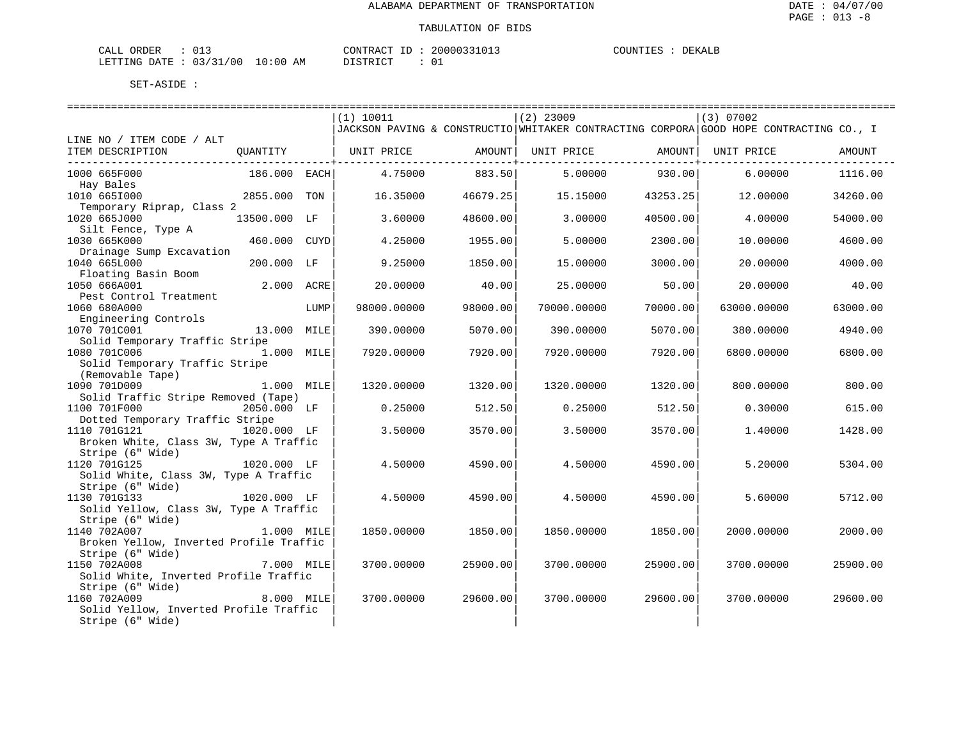| CALL ORDER             |       |    | CONTRACT | 20000331013 | COUNTIES | DEKALB |
|------------------------|-------|----|----------|-------------|----------|--------|
| LETTING DATE: 03/31/00 | 10:00 | AM | DISTRICT |             |          |        |

|                                         |              |      | (1) 10011                                                                              |          | $(2)$ 23009 |          | (3) 07002   |          |
|-----------------------------------------|--------------|------|----------------------------------------------------------------------------------------|----------|-------------|----------|-------------|----------|
|                                         |              |      | JACKSON PAVING & CONSTRUCTIO WHITAKER CONTRACTING CORPORA GOOD HOPE CONTRACTING CO., I |          |             |          |             |          |
| LINE NO / ITEM CODE / ALT               |              |      |                                                                                        |          |             |          |             |          |
| ITEM DESCRIPTION                        | QUANTITY     |      | UNIT PRICE                                                                             | AMOUNT   | UNIT PRICE  | AMOUNT   | UNIT PRICE  | AMOUNT   |
|                                         |              |      |                                                                                        |          |             |          |             |          |
| 1000 665F000                            | 186.000 EACH |      | 4.75000                                                                                | 883.50   | 5,00000     | 930.00   | 6,00000     | 1116.00  |
| Hay Bales                               |              |      |                                                                                        |          |             |          |             |          |
| 1010 6651000                            | 2855.000     | TON  | 16.35000                                                                               | 46679.25 | 15.15000    | 43253.25 | 12.00000    | 34260.00 |
| Temporary Riprap, Class 2               |              |      |                                                                                        |          |             |          |             |          |
| 1020 665J000                            | 13500.000 LF |      | 3.60000                                                                                | 48600.00 | 3.00000     | 40500.00 | 4.00000     | 54000.00 |
| Silt Fence, Type A                      |              |      |                                                                                        |          |             |          |             |          |
| 1030 665K000                            | 460.000      | CUYD | 4.25000                                                                                | 1955.00  | 5.00000     | 2300.00  | 10.00000    | 4600.00  |
| Drainage Sump Excavation                |              |      |                                                                                        |          |             |          |             |          |
| 1040 665L000                            | 200.000 LF   |      | 9.25000                                                                                | 1850.00  | 15.00000    | 3000.00  | 20.00000    | 4000.00  |
| Floating Basin Boom                     |              |      |                                                                                        |          |             |          |             |          |
| 1050 666A001                            | 2.000 ACRE   |      | 20,00000                                                                               | 40.00    | 25.00000    | 50.00    | 20,00000    | 40.00    |
| Pest Control Treatment                  |              |      |                                                                                        |          |             |          |             |          |
| 1060 680A000                            |              | LUMP | 98000.00000                                                                            | 98000.00 | 70000.00000 | 70000.00 | 63000.00000 | 63000.00 |
| Engineering Controls<br>1070 701C001    | 13.000 MILE  |      |                                                                                        | 5070.00  |             | 5070.00  |             |          |
| Solid Temporary Traffic Stripe          |              |      | 390.00000                                                                              |          | 390.00000   |          | 380,00000   | 4940.00  |
| 1080 701C006                            | 1.000 MILE   |      | 7920.00000                                                                             | 7920.00  | 7920.00000  | 7920.00  | 6800.00000  | 6800.00  |
| Solid Temporary Traffic Stripe          |              |      |                                                                                        |          |             |          |             |          |
| (Removable Tape)                        |              |      |                                                                                        |          |             |          |             |          |
| 1090 701D009                            | 1.000 MILE   |      | 1320.00000                                                                             | 1320.00  | 1320.00000  | 1320.00  | 800.00000   | 800.00   |
| Solid Traffic Stripe Removed (Tape)     |              |      |                                                                                        |          |             |          |             |          |
| 1100 701F000                            | 2050.000 LF  |      | 0.25000                                                                                | 512.50   | 0.25000     | 512.50   | 0.30000     | 615.00   |
| Dotted Temporary Traffic Stripe         |              |      |                                                                                        |          |             |          |             |          |
| 1110 701G121                            | 1020.000 LF  |      | 3.50000                                                                                | 3570.00  | 3.50000     | 3570.00  | 1,40000     | 1428.00  |
| Broken White, Class 3W, Type A Traffic  |              |      |                                                                                        |          |             |          |             |          |
| Stripe (6" Wide)                        |              |      |                                                                                        |          |             |          |             |          |
| 1120 701G125                            | 1020.000 LF  |      | 4.50000                                                                                | 4590.00  | 4.50000     | 4590.00  | 5.20000     | 5304.00  |
| Solid White, Class 3W, Type A Traffic   |              |      |                                                                                        |          |             |          |             |          |
| Stripe (6" Wide)                        |              |      |                                                                                        |          |             |          |             |          |
| 1130 701G133                            | 1020.000 LF  |      | 4.50000                                                                                | 4590.00  | 4.50000     | 4590.00  | 5.60000     | 5712.00  |
| Solid Yellow, Class 3W, Type A Traffic  |              |      |                                                                                        |          |             |          |             |          |
| Stripe (6" Wide)                        |              |      |                                                                                        |          |             |          |             |          |
| 1140 702A007                            | 1.000 MILE   |      | 1850.00000                                                                             | 1850.00  | 1850.00000  | 1850.00  | 2000.00000  | 2000.00  |
| Broken Yellow, Inverted Profile Traffic |              |      |                                                                                        |          |             |          |             |          |
| Stripe (6" Wide)                        |              |      |                                                                                        |          |             |          |             |          |
| 1150 702A008                            | 7.000 MILE   |      | 3700.00000                                                                             | 25900.00 | 3700.00000  | 25900.00 | 3700.00000  | 25900.00 |
| Solid White, Inverted Profile Traffic   |              |      |                                                                                        |          |             |          |             |          |
| Stripe (6" Wide)                        |              |      |                                                                                        |          |             |          |             |          |
| 1160 702A009                            | 8.000 MILE   |      | 3700.00000                                                                             | 29600.00 | 3700.00000  | 29600.00 | 3700.00000  | 29600.00 |
| Solid Yellow, Inverted Profile Traffic  |              |      |                                                                                        |          |             |          |             |          |
| Stripe (6" Wide)                        |              |      |                                                                                        |          |             |          |             |          |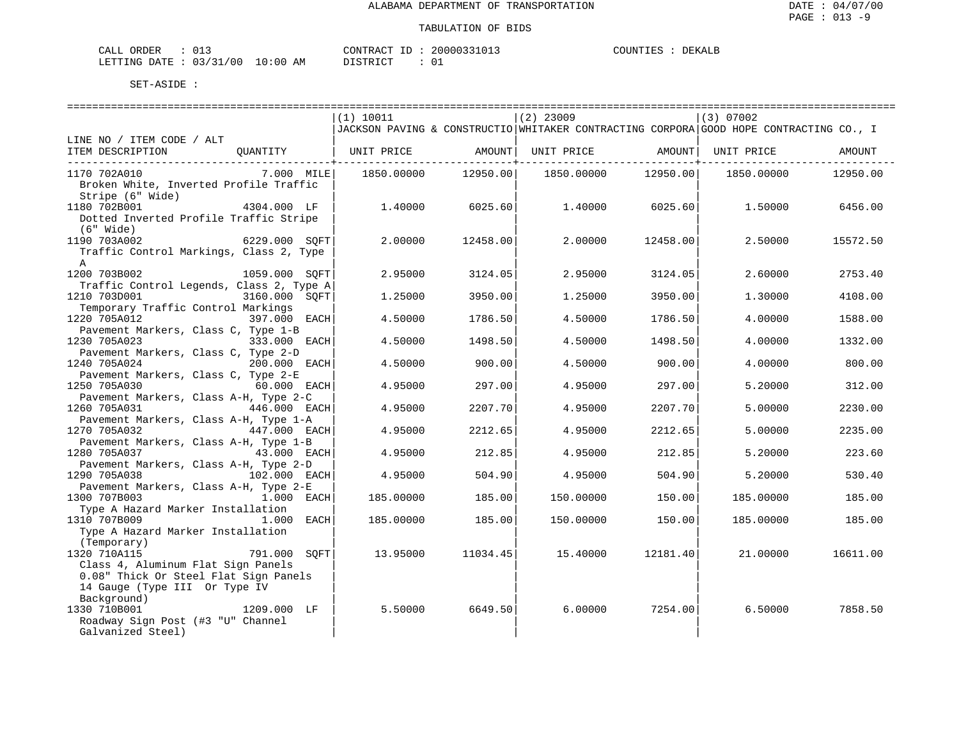| CALL ORDER                      | __ |          | CONTRACT ID: 20000331013 | COUNTIES : | DEKALE |
|---------------------------------|----|----------|--------------------------|------------|--------|
| LETTING DATE: 03/31/00 10:00 AM |    | DISTRICT |                          |            |        |

|                                                                  | (1) 10011  |                     | $(2)$ 23009                                                                            |                     | (3) 07002  |          |
|------------------------------------------------------------------|------------|---------------------|----------------------------------------------------------------------------------------|---------------------|------------|----------|
|                                                                  |            |                     | JACKSON PAVING & CONSTRUCTIO WHITAKER CONTRACTING CORPORA GOOD HOPE CONTRACTING CO., I |                     |            |          |
| LINE NO / ITEM CODE / ALT                                        |            |                     |                                                                                        |                     |            |          |
| ITEM DESCRIPTION<br>OUANTITY                                     | UNIT PRICE |                     | AMOUNT   UNIT PRICE   AMOUNT   UNIT PRICE                                              |                     |            | AMOUNT   |
|                                                                  |            |                     | ---------+---------                                                                    | -----------+------- |            |          |
| 1170 702A010<br>7.000 MILE                                       |            | 1850.00000 12950.00 | 1850.00000                                                                             | 12950.00            | 1850.00000 | 12950.00 |
| Broken White, Inverted Profile Traffic                           |            |                     |                                                                                        |                     |            |          |
| Stripe (6" Wide)                                                 |            |                     |                                                                                        |                     |            |          |
| 1180 702B001<br>4304.000 LF                                      | 1.40000    | 6025.60             | 1.40000                                                                                | 6025.60             | 1.50000    | 6456.00  |
| Dotted Inverted Profile Traffic Stripe                           |            |                     |                                                                                        |                     |            |          |
| $(6"$ Wide)<br>1190 703A002<br>6229.000 SOFT                     | 2,00000    | 12458.00            | 2,00000                                                                                | 12458.00            | 2.50000    | 15572.50 |
|                                                                  |            |                     |                                                                                        |                     |            |          |
| Traffic Control Markings, Class 2, Type<br>$\mathsf{A}$          |            |                     |                                                                                        |                     |            |          |
| 1200 703B002<br>1059.000 SOFT                                    | 2.95000    | 3124.05             | 2.95000                                                                                | 3124.05             | 2.60000    | 2753.40  |
| Traffic Control Legends, Class 2, Type A                         |            |                     |                                                                                        |                     |            |          |
| 1210 703D001<br>3160.000 SOFT                                    | 1.25000    | 3950.00             | 1,25000                                                                                | 3950.00             | 1,30000    | 4108.00  |
| Temporary Traffic Control Markings                               |            |                     |                                                                                        |                     |            |          |
| 1220 705A012<br>397.000 EACH                                     | 4.50000    | 1786.50             | 4.50000                                                                                | 1786.50             | 4,00000    | 1588.00  |
| Pavement Markers, Class C, Type 1-B                              |            |                     |                                                                                        |                     |            |          |
| 1230 705A023<br>333.000 EACH                                     | 4.50000    | 1498.50             | 4.50000                                                                                | 1498.50             | 4.00000    | 1332.00  |
| Pavement Markers, Class C, Type 2-D                              |            |                     |                                                                                        |                     |            |          |
| 1240 705A024<br>200.000 EACH                                     | 4.50000    | 900.00              | 4.50000                                                                                | 900.00              | 4.00000    | 800.00   |
| Pavement Markers, Class C, Type 2-E                              |            |                     |                                                                                        |                     |            |          |
| 60.000 EACH<br>1250 705A030                                      | 4.95000    | 297.00              | 4.95000                                                                                | 297.00              | 5.20000    | 312.00   |
| Pavement Markers, Class A-H, Type 2-C                            |            |                     |                                                                                        |                     |            |          |
| 1260 705A031<br>446.000 EACH                                     | 4.95000    | 2207.70             | 4.95000                                                                                | 2207.70             | 5.00000    | 2230.00  |
| Pavement Markers, Class A-H, Type 1-A                            |            |                     |                                                                                        |                     |            |          |
| 1270 705A032<br>$447.000$ EACH                                   | 4.95000    | 2212.65             | 4.95000                                                                                | 2212.65             | 5.00000    | 2235.00  |
| Pavement Markers, Class A-H, Type 1-B                            |            |                     |                                                                                        |                     |            |          |
| 1280 705A037<br>43.000 EACH                                      | 4.95000    | 212.85              | 4.95000                                                                                | 212.85              | 5.20000    | 223.60   |
| Pavement Markers, Class A-H, Type 2-D                            |            |                     |                                                                                        |                     |            |          |
| 1290 705A038<br>102.000 EACH                                     | 4.95000    | 504.90              | 4.95000                                                                                | 504.90              | 5.20000    | 530.40   |
| Pavement Markers, Class A-H, Type 2-E                            |            |                     |                                                                                        |                     |            |          |
| 1.000 EACH<br>1300 707B003                                       | 185.00000  | 185.00              | 150.00000                                                                              | 150.00              | 185.00000  | 185.00   |
| Type A Hazard Marker Installation                                |            |                     |                                                                                        |                     |            |          |
| 1310 707B009<br>1.000 EACH                                       | 185.00000  | 185.00              | 150.00000                                                                              | 150.00              | 185.00000  | 185.00   |
| Type A Hazard Marker Installation                                |            |                     |                                                                                        |                     |            |          |
| (Temporary)                                                      |            |                     |                                                                                        |                     |            |          |
| 791.000 SOFT<br>1320 710A115                                     | 13.95000   | 11034.45            | 15.40000                                                                               | 12181.40            | 21.00000   | 16611.00 |
| Class 4, Aluminum Flat Sign Panels                               |            |                     |                                                                                        |                     |            |          |
| 0.08" Thick Or Steel Flat Sign Panels                            |            |                     |                                                                                        |                     |            |          |
| 14 Gauge (Type III Or Type IV                                    |            |                     |                                                                                        |                     |            |          |
| Background)                                                      |            |                     |                                                                                        |                     |            |          |
| 1330 710B001<br>1209.000 LF<br>Roadway Sign Post (#3 "U" Channel | 5.50000    | 6649.50             | 6.00000                                                                                | 7254.00             | 6.50000    | 7858.50  |
| Galvanized Steel)                                                |            |                     |                                                                                        |                     |            |          |
|                                                                  |            |                     |                                                                                        |                     |            |          |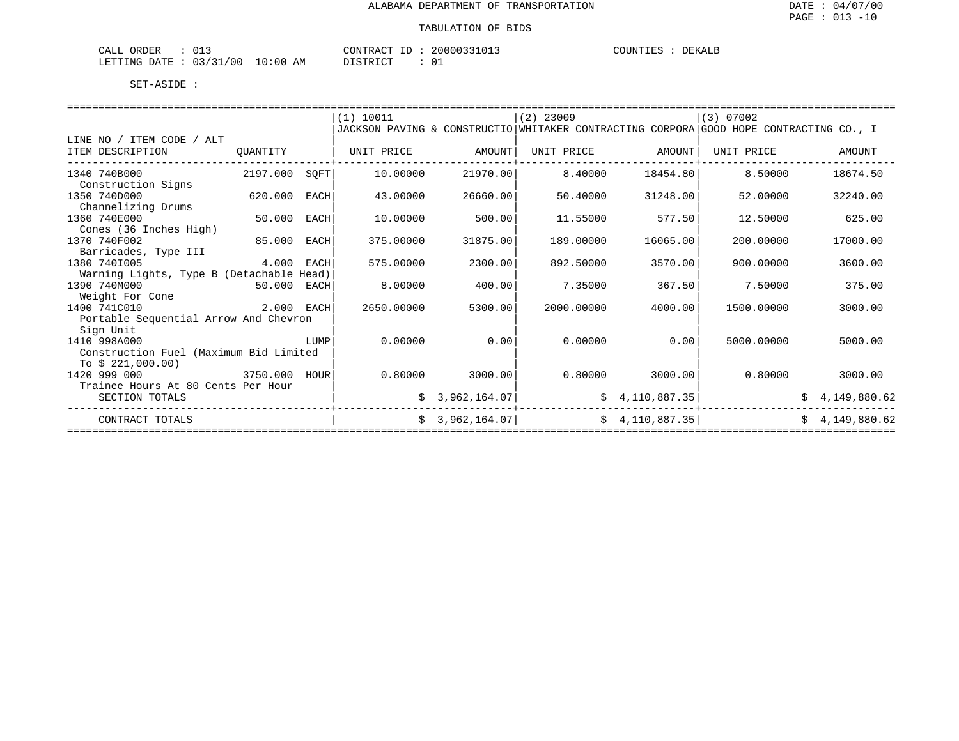| ORDER<br>CALL<br>∪⊥.               | CONTRACT                       | __<br>п. | 20000331013 | C<br>E JELIN<br>그러 그 그 그 그 | DEKALB |
|------------------------------------|--------------------------------|----------|-------------|----------------------------|--------|
| 03/31/00<br>LETTING<br><b>DATE</b> | 10:00<br>ידי איד פידי פר<br>AΜ |          | 0⊥          |                            |        |

|                                          |            |             | (1) 10011                                                                              |                | $(2)$ 23009 |                 | (3) 07002  |                |
|------------------------------------------|------------|-------------|----------------------------------------------------------------------------------------|----------------|-------------|-----------------|------------|----------------|
|                                          |            |             | JACKSON PAVING & CONSTRUCTIO WHITAKER CONTRACTING CORPORA GOOD HOPE CONTRACTING CO., I |                |             |                 |            |                |
| LINE NO / ITEM CODE / ALT                |            |             |                                                                                        |                |             |                 |            |                |
| ITEM DESCRIPTION                         | OUANTITY   |             | UNIT PRICE                                                                             | AMOUNT         | UNIT PRICE  | AMOUNT          | UNIT PRICE | AMOUNT         |
| 1340 740B000                             | 2197.000   | SOFT        | 10,00000                                                                               | 21970.00       | 8.40000     | 18454.80        | 8.50000    | 18674.50       |
| Construction Signs                       |            |             |                                                                                        |                |             |                 |            |                |
| 1350 740D000                             | 620.000    | <b>EACH</b> | 43.00000                                                                               | 26660.00       | 50.40000    | 31248.00        | 52.00000   | 32240.00       |
| Channelizing Drums                       |            |             |                                                                                        |                |             |                 |            |                |
| 1360 740E000                             | 50.000     | EACH        | 10.00000                                                                               | 500.00         | 11.55000    | 577.50          | 12.50000   | 625.00         |
| Cones (36 Inches High)                   |            |             |                                                                                        |                |             |                 |            |                |
| 1370 740F002                             | 85,000     | EACH        | 375.00000                                                                              | 31875.00       | 189.00000   | 16065.00        | 200.00000  | 17000.00       |
| Barricades, Type III                     |            |             |                                                                                        |                |             |                 |            |                |
| 1380 7401005                             | 4.000      | EACH        | 575.00000                                                                              | 2300.00        | 892.50000   | 3570.00         | 900.00000  | 3600.00        |
| Warning Lights, Type B (Detachable Head) |            |             |                                                                                        |                |             |                 |            |                |
| 1390 740M000                             | 50.000     | EACH        | 8,00000                                                                                | 400.00         | 7.35000     | 367.50          | 7.50000    | 375.00         |
| Weight For Cone                          |            |             |                                                                                        |                |             |                 |            |                |
| 1400 741C010                             | 2.000 EACH |             | 2650.00000                                                                             | 5300.00        | 2000.00000  | 4000.00         | 1500.00000 | 3000.00        |
| Portable Sequential Arrow And Chevron    |            |             |                                                                                        |                |             |                 |            |                |
| Sign Unit                                |            |             |                                                                                        |                |             |                 |            |                |
| 1410 998A000                             |            | LUMP        | 0.00000                                                                                | 0.00           | 0.00000     | 0.00            | 5000.00000 | 5000.00        |
| Construction Fuel (Maximum Bid Limited   |            |             |                                                                                        |                |             |                 |            |                |
| To $$221,000.00)$                        |            |             |                                                                                        |                |             |                 |            |                |
| 1420 999 000                             | 3750.000   | HOUR        | 0.80000                                                                                | 3000.00        | 0.80000     | 3000.00         | 0.80000    | 3000.00        |
| Trainee Hours At 80 Cents Per Hour       |            |             |                                                                                        |                |             |                 |            |                |
| SECTION TOTALS                           |            |             |                                                                                        | 3,962,164.07   |             | \$4,110,887.35  |            | 4,149,880.62   |
| CONTRACT TOTALS                          |            |             |                                                                                        | \$3,962,164.07 |             | \$4,110,887.35] |            | \$4,149,880.62 |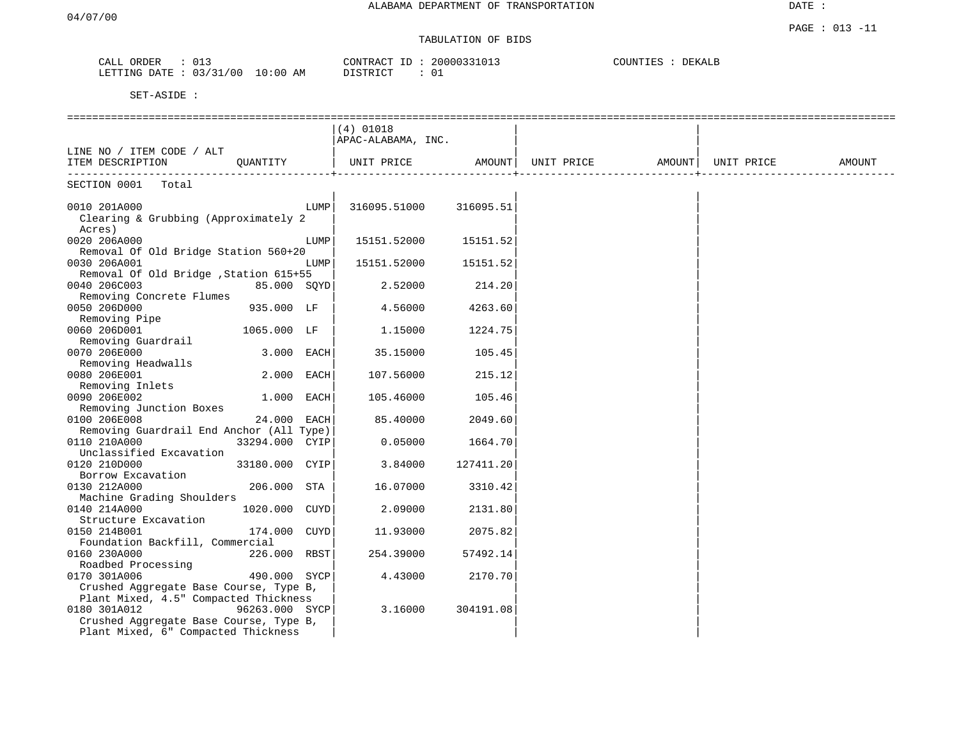# TABULATION OF BIDS

| JRDER<br>ື      | n 1 1<br>∪⊥J                |                  | $\bigcap \bigwedge \mathsf{T} \sqcup \sqcap \sqcap$<br>, uuuu<br>$\sim$<br>$\cdots$ | TUINT<br>) F.K<br>$\lambda$ |
|-----------------|-----------------------------|------------------|-------------------------------------------------------------------------------------|-----------------------------|
| LETTING<br>ገ∆ጥቩ | $\sim$ $\sim$ $\sim$<br>00' | $\div$ 0.0<br>AM | TAT<br>חידים:<br>ັບ⊥                                                                |                             |

|                                                                                                                                                          |      | $(4)$ 01018        |           |                                |  |        |
|----------------------------------------------------------------------------------------------------------------------------------------------------------|------|--------------------|-----------|--------------------------------|--|--------|
|                                                                                                                                                          |      | APAC-ALABAMA, INC. |           |                                |  |        |
| LINE NO / ITEM CODE / ALT                                                                                                                                |      |                    |           |                                |  |        |
| ITEM DESCRIPTION<br>OUANTITY                                                                                                                             |      | UNIT PRICE         | AMOUNT    | UNIT PRICE AMOUNT   UNIT PRICE |  | AMOUNT |
| SECTION 0001 Total                                                                                                                                       |      |                    |           |                                |  |        |
|                                                                                                                                                          |      |                    |           |                                |  |        |
| 0010 201A000<br>Clearing & Grubbing (Approximately 2<br>Acres)                                                                                           | LUMP | 316095.51000       | 316095.51 |                                |  |        |
| 0020 206A000<br>Removal Of Old Bridge Station 560+20                                                                                                     | LUMP | 15151.52000        | 15151.52  |                                |  |        |
| 0030 206A001<br>Removal Of Old Bridge , Station 615+55                                                                                                   | LUMP | 15151.52000        | 15151.52  |                                |  |        |
| 0040 206C003<br>85.000 SOYD<br>Removing Concrete Flumes                                                                                                  |      | 2.52000            | 214.20    |                                |  |        |
| 0050 206D000<br>935.000 LF<br>Removing Pipe                                                                                                              |      | 4.56000            | 4263.60   |                                |  |        |
| 0060 206D001<br>1065.000 LF<br>Removing Guardrail                                                                                                        |      | 1.15000            | 1224.75   |                                |  |        |
| 0070 206E000<br>3.000 EACH<br>Removing Headwalls                                                                                                         |      | 35.15000           | 105.45    |                                |  |        |
| 0080 206E001<br>2.000 EACH                                                                                                                               |      | 107.56000          | 215.12    |                                |  |        |
| Removing Inlets<br>0090 206E002<br>1.000 EACH                                                                                                            |      | 105.46000          | 105.46    |                                |  |        |
| Removing Junction Boxes<br>0100 206E008<br>24.000 EACH                                                                                                   |      | 85.40000           | 2049.60   |                                |  |        |
| Removing Guardrail End Anchor (All Type)<br>0110 210A000<br>33294.000 CYIP                                                                               |      | 0.05000            | 1664.70   |                                |  |        |
| Unclassified Excavation<br>0120 210D000<br>33180.000 CYIP                                                                                                |      | 3.84000            | 127411.20 |                                |  |        |
| Borrow Excavation<br>0130 212A000<br>206.000 STA                                                                                                         |      | 16.07000           | 3310.42   |                                |  |        |
| Machine Grading Shoulders<br>0140 214A000<br>1020.000 CUYD<br>Structure Excavation                                                                       |      | 2.09000            | 2131.80   |                                |  |        |
| 174.000 CUYD<br>0150 214B001<br>Foundation Backfill, Commercial                                                                                          |      | 11.93000           | 2075.82   |                                |  |        |
| 0160 230A000<br>226.000 RBST<br>Roadbed Processing                                                                                                       |      | 254.39000          | 57492.14  |                                |  |        |
| 490.000 SYCP<br>0170 301A006<br>Crushed Aggregate Base Course, Type B,                                                                                   |      | 4.43000            | 2170.70   |                                |  |        |
| Plant Mixed, 4.5" Compacted Thickness<br>0180 301A012<br>96263.000 SYCP<br>Crushed Aggregate Base Course, Type B,<br>Plant Mixed, 6" Compacted Thickness |      | 3.16000            | 304191.08 |                                |  |        |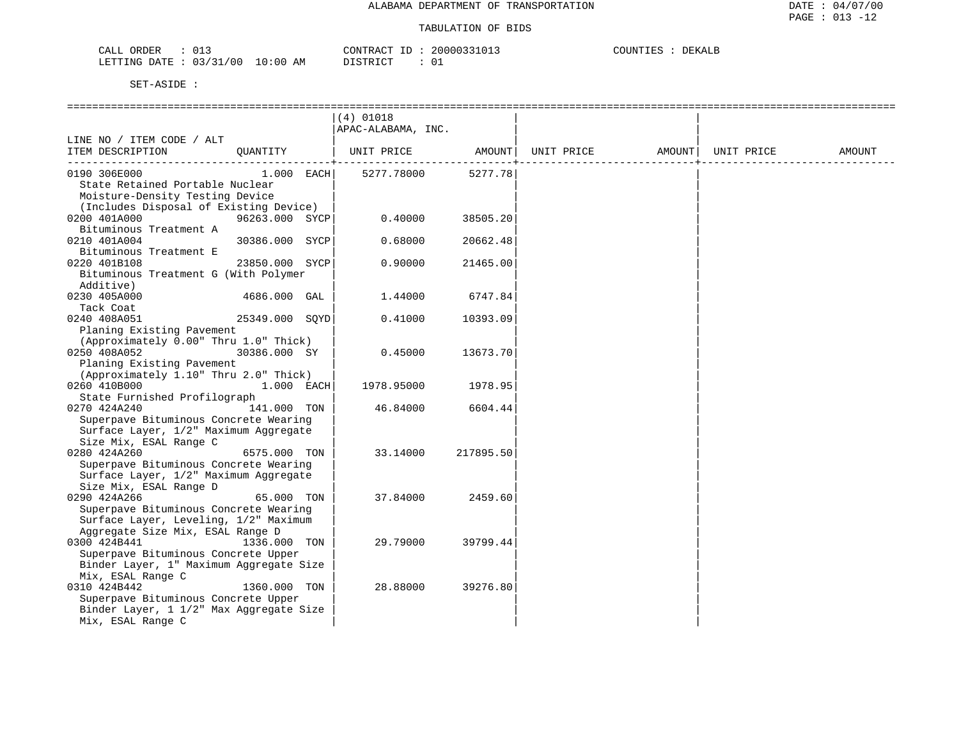| 012<br>ORDER<br>CALL<br>∪⊥∶                |             | CONTRACT<br>$-1$           | 20000331013 | COUNTIES<br><b>DEKALB</b> |
|--------------------------------------------|-------------|----------------------------|-------------|---------------------------|
| /00<br>0.3 / 31<br>'ETTING<br>DATE<br>ັບ ⊥ | 10:00<br>AΜ | די הדי אידי את<br>$\cdots$ | ັບ⊥         |                           |

|                                                                                                                                    |                | $(4)$ 01018<br>APAC-ALABAMA, INC. |           |            |        |            |        |
|------------------------------------------------------------------------------------------------------------------------------------|----------------|-----------------------------------|-----------|------------|--------|------------|--------|
| LINE NO / ITEM CODE / ALT<br>ITEM DESCRIPTION                                                                                      | QUANTITY       | UNIT PRICE                        | AMOUNT    | UNIT PRICE | AMOUNT | UNIT PRICE | AMOUNT |
| 0190 306E000<br>State Retained Portable Nuclear<br>Moisture-Density Testing Device<br>(Includes Disposal of Existing Device)       | $1.000$ EACH   | 5277.78000                        | 5277.78   |            |        |            |        |
| 0200 401A000<br>Bituminous Treatment A                                                                                             | 96263.000 SYCP | 0.40000                           | 38505.20  |            |        |            |        |
| 0210 401A004<br>Bituminous Treatment E                                                                                             | 30386.000 SYCP | 0.68000                           | 20662.48  |            |        |            |        |
| 0220 401B108<br>Bituminous Treatment G (With Polymer<br>Additive)                                                                  | 23850.000 SYCP | 0.90000                           | 21465.00  |            |        |            |        |
| 0230 405A000<br>Tack Coat                                                                                                          | 4686.000 GAL   | 1.44000                           | 6747.84   |            |        |            |        |
| 0240 408A051<br>Planing Existing Pavement<br>(Approximately 0.00" Thru 1.0" Thick)                                                 | 25349.000 SOYD | 0.41000                           | 10393.09  |            |        |            |        |
| 0250 408A052<br>Planing Existing Pavement<br>(Approximately 1.10" Thru 2.0" Thick)                                                 | 30386.000 SY   | 0.45000                           | 13673.70  |            |        |            |        |
| 0260 410B000<br>State Furnished Profilograph                                                                                       | $1.000$ EACH   | 1978.95000                        | 1978.95   |            |        |            |        |
| 0270 424A240<br>Superpave Bituminous Concrete Wearing<br>Surface Layer, 1/2" Maximum Aggregate<br>Size Mix, ESAL Range C           | 141.000 TON    | 46.84000                          | 6604.44   |            |        |            |        |
| 0280 424A260<br>Superpave Bituminous Concrete Wearing<br>Surface Layer, 1/2" Maximum Aggregate<br>Size Mix, ESAL Range D           | 6575.000 TON   | 33.14000                          | 217895.50 |            |        |            |        |
| 0290 424A266<br>Superpave Bituminous Concrete Wearing<br>Surface Layer, Leveling, 1/2" Maximum<br>Aggregate Size Mix, ESAL Range D | 65.000 TON     | 37.84000                          | 2459.60   |            |        |            |        |
| 0300 424B441<br>Superpave Bituminous Concrete Upper<br>Binder Layer, 1" Maximum Aggregate Size<br>Mix, ESAL Range C                | 1336.000 TON   | 29.79000                          | 39799.44  |            |        |            |        |
| 0310 424B442<br>Superpave Bituminous Concrete Upper<br>Binder Layer, 1 1/2" Max Aggregate Size<br>Mix, ESAL Range C                | 1360.000 TON   | 28.88000                          | 39276.80  |            |        |            |        |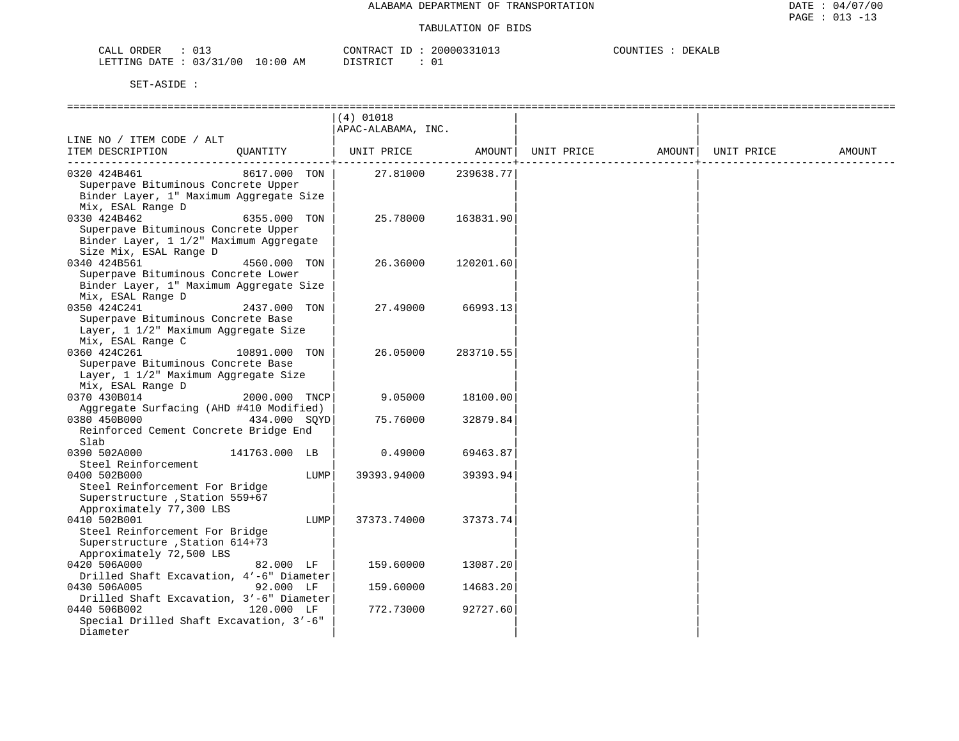| ORDER<br>CALL<br>∪⊥ اب   |             | CONTRACT<br>. .          | 20000331013 | COUNTIES<br><b>DEKALB</b> |
|--------------------------|-------------|--------------------------|-------------|---------------------------|
| 03/31/00<br>LETTING DATE | 10:00<br>ΆM | דת סידים דת<br>--------- |             |                           |

|                                                                                                                         |                               | (4) 01018<br>APAC-ALABAMA, INC. |                      |            |        |            |        |
|-------------------------------------------------------------------------------------------------------------------------|-------------------------------|---------------------------------|----------------------|------------|--------|------------|--------|
| LINE NO / ITEM CODE / ALT<br>ITEM DESCRIPTION                                                                           | QUANTITY                      | UNIT PRICE                      | AMOUNT               | UNIT PRICE | AMOUNT | UNIT PRICE | AMOUNT |
| 0320 424B461<br>Superpave Bituminous Concrete Upper<br>Binder Layer, 1" Maximum Aggregate Size<br>Mix, ESAL Range D     | 8617.000 TON                  | 27.81000                        | 239638.77            |            |        |            |        |
| 0330 424B462<br>Superpave Bituminous Concrete Upper<br>Binder Layer, 1 1/2" Maximum Aggregate<br>Size Mix, ESAL Range D | 6355.000 TON                  | 25.78000                        | 163831.90            |            |        |            |        |
| 0340 424B561<br>Superpave Bituminous Concrete Lower<br>Binder Layer, 1" Maximum Aggregate Size<br>Mix, ESAL Range D     | 4560.000 TON                  | 26.36000                        | 120201.60            |            |        |            |        |
| 0350 424C241<br>Superpave Bituminous Concrete Base<br>Layer, 1 1/2" Maximum Aggregate Size<br>Mix, ESAL Range C         | 2437.000 TON                  | 27.49000                        | 66993.13             |            |        |            |        |
| 0360 424C261<br>Superpave Bituminous Concrete Base<br>Layer, 1 1/2" Maximum Aggregate Size<br>Mix, ESAL Range D         | 10891.000 TON                 | 26.05000                        | 283710.55            |            |        |            |        |
| 0370 430B014<br>Aggregate Surfacing (AHD #410 Modified)<br>0380 450B000                                                 | 2000.000 TNCP<br>434.000 SOYD | 9.05000<br>75.76000             | 18100.00<br>32879.84 |            |        |            |        |
| Reinforced Cement Concrete Bridge End<br>Slab                                                                           |                               |                                 |                      |            |        |            |        |
| 0390 502A000<br>Steel Reinforcement<br>0400 502B000                                                                     | 141763.000 LB<br>LUMP         | 0.49000<br>39393.94000          | 69463.87<br>39393.94 |            |        |            |        |
| Steel Reinforcement For Bridge<br>Superstructure , Station 559+67<br>Approximately 77,300 LBS                           |                               |                                 |                      |            |        |            |        |
| 0410 502B001<br>Steel Reinforcement For Bridge<br>Superstructure , Station 614+73<br>Approximately 72,500 LBS           | LUMP                          | 37373.74000                     | 37373.74             |            |        |            |        |
| 0420 506A000<br>Drilled Shaft Excavation, 4'-6" Diameter                                                                | 82.000 LF                     | 159.60000                       | 13087.20             |            |        |            |        |
| 0430 506A005<br>Drilled Shaft Excavation, 3'-6" Diameter<br>0440 506B002                                                | 92.000 LF<br>120.000 LF       | 159.60000<br>772.73000          | 14683.20<br>92727.60 |            |        |            |        |
| Special Drilled Shaft Excavation, 3'-6"<br>Diameter                                                                     |                               |                                 |                      |            |        |            |        |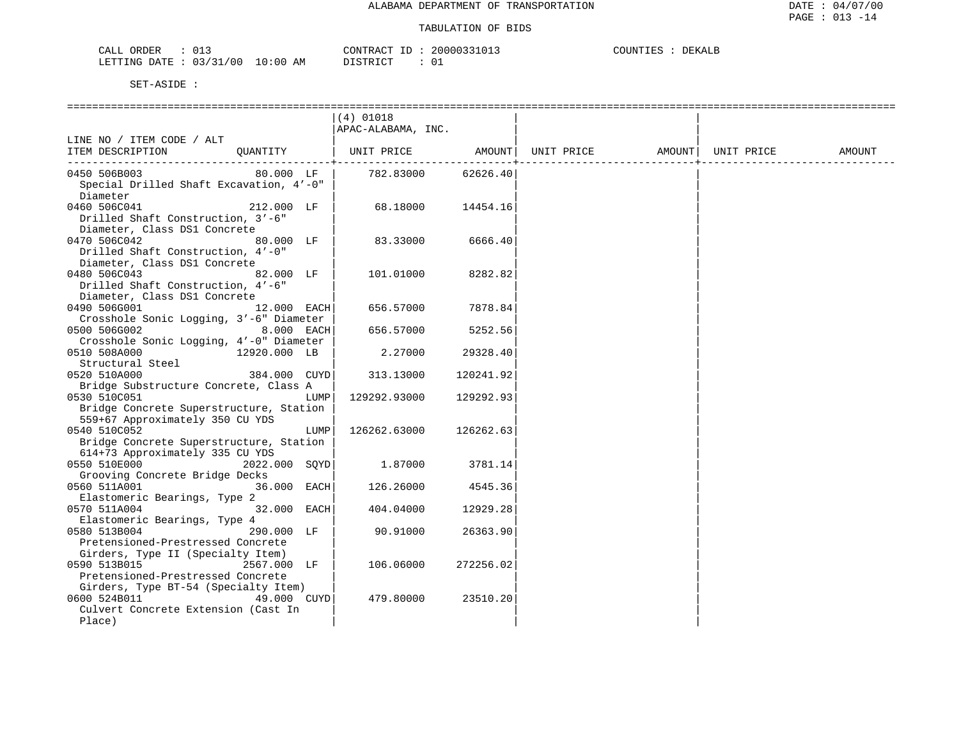### TABULATION OF BIDS

| ORDER<br>CALL ( |                               |    | CONTRACT ID: |  | 20000331013 | COUNTIES | DEKALE |
|-----------------|-------------------------------|----|--------------|--|-------------|----------|--------|
|                 | LETTING DATE : 03/31/00 10:00 | AM | PISTRICT     |  |             |          |        |

|                                         |               |      | (4) 01018          |           |                   |            |        |
|-----------------------------------------|---------------|------|--------------------|-----------|-------------------|------------|--------|
|                                         |               |      | APAC-ALABAMA, INC. |           |                   |            |        |
| LINE NO / ITEM CODE / ALT               |               |      |                    |           |                   |            |        |
| ITEM DESCRIPTION                        | QUANTITY      |      | UNIT PRICE         | AMOUNT    | UNIT PRICE AMOUNT | UNIT PRICE | AMOUNT |
|                                         |               |      |                    |           |                   |            |        |
| 0450 506B003                            | 80.000 LF     |      | 782.83000          | 62626.40  |                   |            |        |
| Special Drilled Shaft Excavation, 4'-0" |               |      |                    |           |                   |            |        |
| Diameter                                |               |      |                    |           |                   |            |        |
| 0460 506C041                            | 212.000 LF    |      | 68.18000           | 14454.16  |                   |            |        |
| Drilled Shaft Construction, 3'-6"       |               |      |                    |           |                   |            |        |
|                                         |               |      |                    |           |                   |            |        |
| Diameter, Class DS1 Concrete            |               |      |                    |           |                   |            |        |
| 0470 506C042                            | 80.000 LF     |      | 83.33000           | 6666.40   |                   |            |        |
| Drilled Shaft Construction, 4'-0"       |               |      |                    |           |                   |            |        |
| Diameter, Class DS1 Concrete            |               |      |                    |           |                   |            |        |
| 0480 506C043                            | 82.000 LF     |      | 101.01000          | 8282.82   |                   |            |        |
| Drilled Shaft Construction, 4'-6"       |               |      |                    |           |                   |            |        |
| Diameter, Class DS1 Concrete            |               |      |                    |           |                   |            |        |
| 0490 506G001                            | 12.000 EACH   |      | 656.57000          | 7878.84   |                   |            |        |
| Crosshole Sonic Logging, 3'-6" Diameter |               |      |                    |           |                   |            |        |
| 0500 506G002                            | 8.000 EACH    |      | 656.57000          | 5252.56   |                   |            |        |
| Crosshole Sonic Logging, 4'-0" Diameter |               |      |                    |           |                   |            |        |
| 0510 508A000                            | 12920.000 LB  |      | 2,27000            | 29328.40  |                   |            |        |
| Structural Steel                        |               |      |                    |           |                   |            |        |
| 0520 510A000                            | 384.000 CUYD  |      | 313.13000          | 120241.92 |                   |            |        |
| Bridge Substructure Concrete, Class A   |               |      |                    |           |                   |            |        |
| 0530 510C051                            |               | LUMP | 129292.93000       | 129292.93 |                   |            |        |
| Bridge Concrete Superstructure, Station |               |      |                    |           |                   |            |        |
| 559+67 Approximately 350 CU YDS         |               |      |                    |           |                   |            |        |
| 0540 510C052                            |               | LUMP | 126262.63000       | 126262.63 |                   |            |        |
| Bridge Concrete Superstructure, Station |               |      |                    |           |                   |            |        |
| 614+73 Approximately 335 CU YDS         |               |      |                    |           |                   |            |        |
| 0550 510E000                            | 2022.000 SOYD |      | 1.87000            | 3781.14   |                   |            |        |
| Grooving Concrete Bridge Decks          |               |      |                    |           |                   |            |        |
| 0560 511A001                            | 36.000 EACH   |      | 126.26000          | 4545.36   |                   |            |        |
| Elastomeric Bearings, Type 2            |               |      |                    |           |                   |            |        |
|                                         |               |      |                    |           |                   |            |        |
| 0570 511A004                            | 32.000 EACH   |      | 404.04000          | 12929.28  |                   |            |        |
| Elastomeric Bearings, Type 4            |               |      |                    |           |                   |            |        |
| 0580 513B004                            | 290.000 LF    |      | 90.91000           | 26363.90  |                   |            |        |
| Pretensioned-Prestressed Concrete       |               |      |                    |           |                   |            |        |
| Girders, Type II (Specialty Item)       |               |      |                    |           |                   |            |        |
| 0590 513B015                            | 2567.000 LF   |      | 106.06000          | 272256.02 |                   |            |        |
| Pretensioned-Prestressed Concrete       |               |      |                    |           |                   |            |        |
| Girders, Type BT-54 (Specialty Item)    |               |      |                    |           |                   |            |        |
| 0600 524B011                            | 49.000 CUYD   |      | 479.80000          | 23510.20  |                   |            |        |
| Culvert Concrete Extension (Cast In     |               |      |                    |           |                   |            |        |
| Place)                                  |               |      |                    |           |                   |            |        |
|                                         |               |      |                    |           |                   |            |        |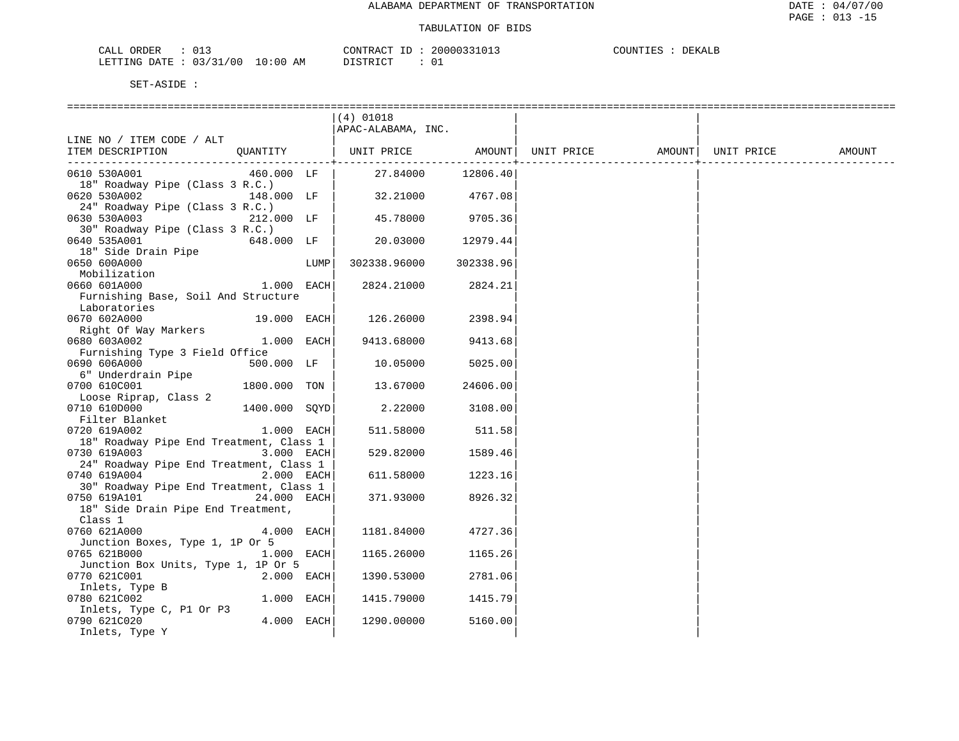### TABULATION OF BIDS

| <b>CRDER</b><br>しエン                  |                   | $\sim$<br>™™F<br>$\cdots$ | DEKALE<br>ּר האדזרי<br>,,,,,,,,,,, |
|--------------------------------------|-------------------|---------------------------|------------------------------------|
| ππ ∆ו.<br>' 0 C<br>LETTING<br>$\sim$ | AM<br>ា៖0៤<br>⊥ ∪ | $ \sim$                   |                                    |

|                                         |               |      | $(4)$ 01018                  |                       |                                |  |        |
|-----------------------------------------|---------------|------|------------------------------|-----------------------|--------------------------------|--|--------|
|                                         |               |      | APAC-ALABAMA, INC.           |                       |                                |  |        |
| LINE NO / ITEM CODE / ALT               |               |      |                              |                       |                                |  |        |
| ITEM DESCRIPTION                        |               |      | QUANTITY   UNIT PRICE AMOUNT |                       | UNIT PRICE AMOUNT   UNIT PRICE |  | AMOUNT |
|                                         |               |      |                              | --------------------- |                                |  |        |
| 0610 530A001                            | 460.000 LF    |      | 27.84000                     | 12806.40              |                                |  |        |
| 18" Roadway Pipe (Class 3 R.C.)         |               |      |                              |                       |                                |  |        |
| 0620 530A002                            | 148.000 LF    |      | 32.21000                     | 4767.08               |                                |  |        |
| 24" Roadway Pipe (Class 3 R.C.)         |               |      |                              |                       |                                |  |        |
| 0630 530A003                            | 212.000 LF    |      | 45.78000                     | 9705.36               |                                |  |        |
| 30" Roadway Pipe (Class 3 R.C.)         |               |      |                              |                       |                                |  |        |
| 0640 535A001                            | 648.000 LF    |      | 20.03000                     | 12979.44              |                                |  |        |
| 18" Side Drain Pipe                     |               |      |                              |                       |                                |  |        |
| 0650 600A000                            |               | LUMP | 302338.96000                 | 302338.96             |                                |  |        |
| Mobilization                            |               |      |                              |                       |                                |  |        |
| 0660 601A000                            | 1.000 EACH    |      | 2824.21000                   | 2824.21               |                                |  |        |
| Furnishing Base, Soil And Structure     |               |      |                              |                       |                                |  |        |
| Laboratories                            |               |      |                              |                       |                                |  |        |
| 0670 602A000                            | 19.000 EACH   |      | 126.26000                    | 2398.94               |                                |  |        |
| Right Of Way Markers                    |               |      |                              |                       |                                |  |        |
| 0680 603A002                            | 1.000 EACH    |      | 9413.68000                   | 9413.68               |                                |  |        |
| Furnishing Type 3 Field Office          |               |      |                              |                       |                                |  |        |
| 0690 606A000                            | 500.000 LF    |      | 10.05000                     | 5025.00               |                                |  |        |
| 6" Underdrain Pipe                      |               |      |                              |                       |                                |  |        |
| 0700 610C001                            | 1800.000 TON  |      | 13.67000                     | 24606.00              |                                |  |        |
| Loose Riprap, Class 2                   |               |      |                              |                       |                                |  |        |
| 0710 610D000                            | 1400.000 SOYD |      | 2.22000                      | 3108.00               |                                |  |        |
| Filter Blanket                          |               |      |                              |                       |                                |  |        |
| 0720 619A002                            | 1.000 EACH    |      | 511.58000                    | 511.58                |                                |  |        |
| 18" Roadway Pipe End Treatment, Class 1 |               |      |                              |                       |                                |  |        |
| 0730 619A003                            | 3.000 EACH    |      | 529.82000                    | 1589.46               |                                |  |        |
| 24" Roadway Pipe End Treatment, Class 1 |               |      |                              |                       |                                |  |        |
| 0740 619A004                            | $2.000$ EACH  |      | 611.58000                    | 1223.16               |                                |  |        |
| 30" Roadway Pipe End Treatment, Class 1 |               |      |                              |                       |                                |  |        |
| 0750 619A101                            | 24.000 EACH   |      | 371.93000                    | 8926.32               |                                |  |        |
| 18" Side Drain Pipe End Treatment,      |               |      |                              |                       |                                |  |        |
| Class 1                                 |               |      |                              |                       |                                |  |        |
| 0760 621A000                            | 4.000 EACH    |      | 1181.84000                   | 4727.36               |                                |  |        |
| Junction Boxes, Type 1, 1P Or 5         |               |      |                              |                       |                                |  |        |
| 0765 621B000                            | $1.000$ EACH  |      | 1165.26000                   | 1165.26               |                                |  |        |
| Junction Box Units, Type 1, 1P Or 5     |               |      |                              |                       |                                |  |        |
| 0770 621C001                            | 2.000 EACH    |      | 1390.53000                   | 2781.06               |                                |  |        |
| Inlets, Type B                          |               |      |                              |                       |                                |  |        |
| 0780 621C002                            | $1.000$ EACH  |      | 1415.79000                   | 1415.79               |                                |  |        |
| Inlets, Type C, P1 Or P3                | 4.000 EACH    |      |                              |                       |                                |  |        |
| 0790 621C020                            |               |      | 1290.00000                   | 5160.00               |                                |  |        |
| Inlets, Type Y                          |               |      |                              |                       |                                |  |        |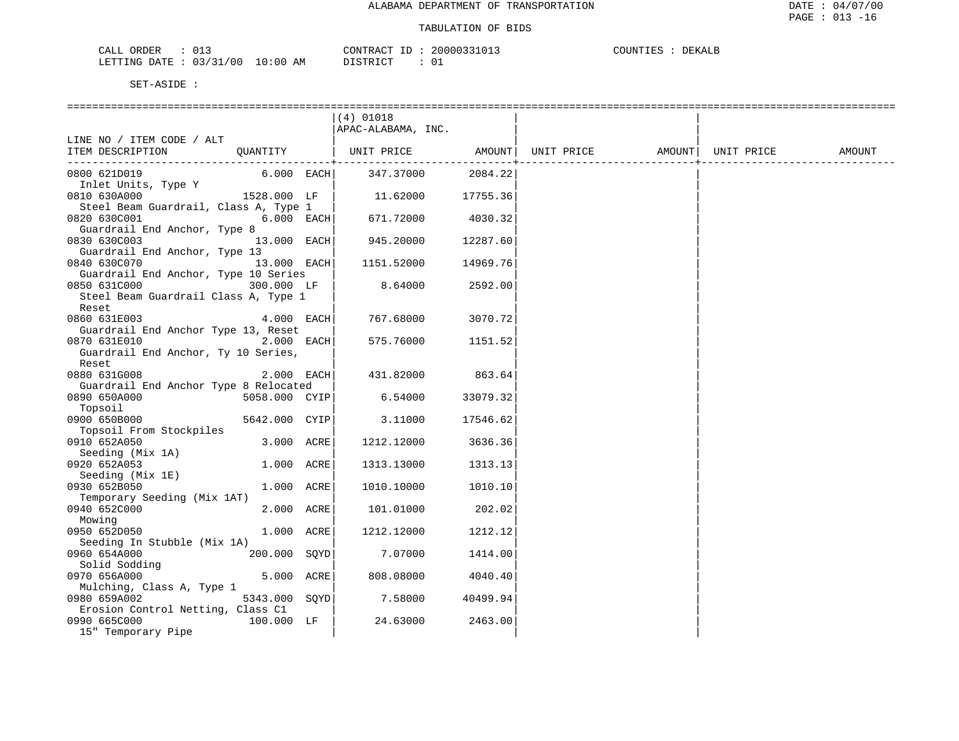| ORDER<br>CALL          |  |             | TD.<br>CONTRACT | 20000331013 | COUNTIES | DEKALE |
|------------------------|--|-------------|-----------------|-------------|----------|--------|
| LETTING DATE: 03/31/00 |  | 10:00<br>AΜ | חים דמים דת     |             |          |        |

|                                       |               | $(4)$ 01018        |          |                   |            |        |
|---------------------------------------|---------------|--------------------|----------|-------------------|------------|--------|
|                                       |               | APAC-ALABAMA, INC. |          |                   |            |        |
| LINE NO / ITEM CODE / ALT             |               |                    |          |                   |            |        |
| ITEM DESCRIPTION                      | QUANTITY      | UNIT PRICE AMOUNT  |          | UNIT PRICE AMOUNT | UNIT PRICE | AMOUNT |
|                                       |               |                    |          |                   |            |        |
| 0800 621D019                          | $6.000$ EACH  | 347.37000          | 2084.22  |                   |            |        |
| Inlet Units, Type Y                   |               |                    |          |                   |            |        |
| 0810 630A000                          | $1528.000$ LF | 11.62000           | 17755.36 |                   |            |        |
| Steel Beam Guardrail, Class A, Type 1 |               |                    |          |                   |            |        |
| 0820 630C001                          | $6.000$ EACH  | 671.72000          | 4030.32  |                   |            |        |
| Guardrail End Anchor, Type 8          |               |                    |          |                   |            |        |
| 0830 630C003                          | 13.000 EACH   | 945.20000          | 12287.60 |                   |            |        |
| Guardrail End Anchor, Type 13         |               |                    |          |                   |            |        |
| 0840 630C070                          | 13.000 EACH   | 1151.52000         | 14969.76 |                   |            |        |
| Guardrail End Anchor, Type 10 Series  |               |                    |          |                   |            |        |
| 0850 631C000                          | 300.000 LF    | 8.64000            | 2592.00  |                   |            |        |
| Steel Beam Guardrail Class A, Type 1  |               |                    |          |                   |            |        |
| Reset                                 |               |                    |          |                   |            |        |
| 0860 631E003                          | $4.000$ EACH  | 767.68000          | 3070.72  |                   |            |        |
| Guardrail End Anchor Type 13, Reset   |               |                    |          |                   |            |        |
| 0870 631E010                          | 2.000 EACH    | 575.76000          | 1151.52  |                   |            |        |
| Guardrail End Anchor, Ty 10 Series,   |               |                    |          |                   |            |        |
| Reset                                 |               |                    |          |                   |            |        |
| 0880 631G008                          | 2.000 EACH    | 431.82000          | 863.64   |                   |            |        |
| Guardrail End Anchor Type 8 Relocated |               |                    |          |                   |            |        |
| 0890 650A000                          | 5058.000 CYIP | 6.54000            | 33079.32 |                   |            |        |
| Topsoil                               |               |                    |          |                   |            |        |
| 0900 650B000                          | 5642.000 CYIP | 3.11000            | 17546.62 |                   |            |        |
| Topsoil From Stockpiles               |               |                    |          |                   |            |        |
| 0910 652A050                          | 3.000 ACRE    | 1212.12000         | 3636.36  |                   |            |        |
| Seeding (Mix 1A)                      |               |                    |          |                   |            |        |
| 0920 652A053                          | 1.000 ACRE    | 1313.13000         | 1313.13  |                   |            |        |
| Seeding (Mix 1E)                      |               |                    |          |                   |            |        |
| 0930 652B050                          | 1.000 ACRE    | 1010.10000         | 1010.10  |                   |            |        |
| Temporary Seeding (Mix 1AT)           |               |                    |          |                   |            |        |
| 0940 652C000                          | 2.000 ACRE    | 101.01000          | 202.02   |                   |            |        |
| Mowing                                |               |                    |          |                   |            |        |
| 0950 652D050                          | 1.000 ACRE    | 1212.12000         | 1212.12  |                   |            |        |
| Seeding In Stubble (Mix 1A)           |               |                    |          |                   |            |        |
| 0960 654A000                          | 200.000 SOYD  | 7.07000            | 1414.00  |                   |            |        |
| Solid Sodding                         |               |                    |          |                   |            |        |
| 0970 656A000                          | 5.000 ACRE    | 808.08000          | 4040.40  |                   |            |        |
| Mulching, Class A, Type 1             |               |                    |          |                   |            |        |
| 0980 659A002                          | 5343.000 SOYD | 7.58000            | 40499.94 |                   |            |        |
| Erosion Control Netting, Class C1     |               |                    |          |                   |            |        |
| 0990 665C000                          | 100.000 LF    | 24.63000           | 2463.00  |                   |            |        |
| 15" Temporary Pipe                    |               |                    |          |                   |            |        |
|                                       |               |                    |          |                   |            |        |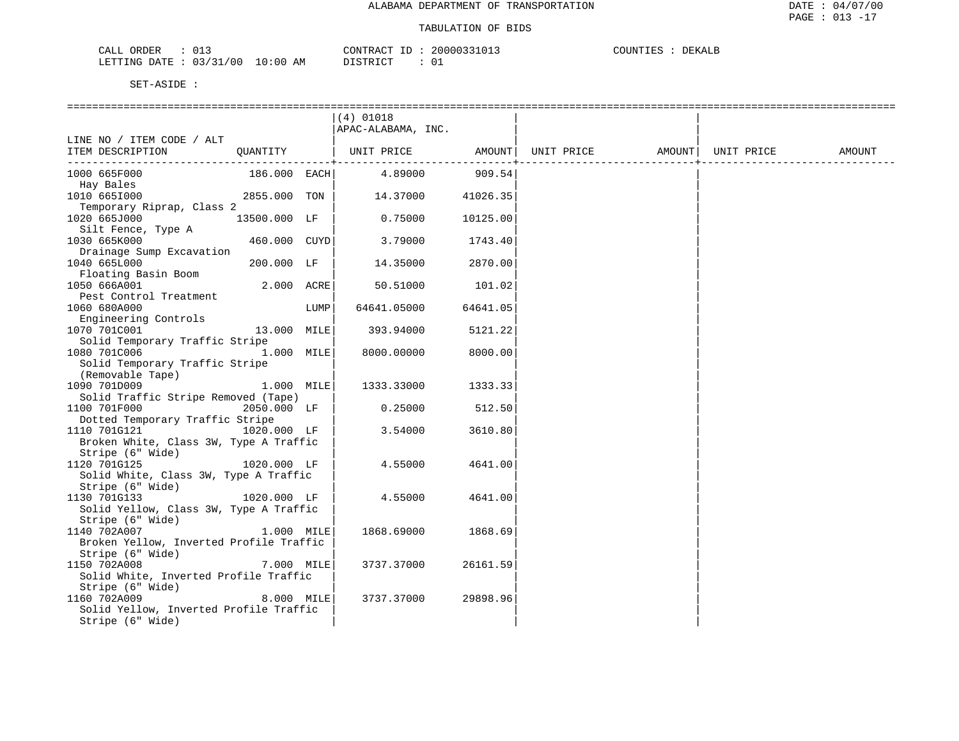| CALL                                                                                                                                                       | 2000033101                                                                                                                                                                                                                                                                                                                       | COUNTIL         |
|------------------------------------------------------------------------------------------------------------------------------------------------------------|----------------------------------------------------------------------------------------------------------------------------------------------------------------------------------------------------------------------------------------------------------------------------------------------------------------------------------|-----------------|
| ORDER                                                                                                                                                      | CONTF                                                                                                                                                                                                                                                                                                                            | DEKALE          |
| . U 1 -                                                                                                                                                    | $\ldots$ $\mathbb{R}$ $\mathbb{C}$ $\mathbb{C}$ $\mathbb{C}$ $\mathbb{C}$ $\mathbb{C}$ $\mathbb{C}$ $\mathbb{C}$ $\mathbb{C}$ $\mathbb{C}$ $\mathbb{C}$ $\mathbb{C}$ $\mathbb{C}$ $\mathbb{C}$ $\mathbb{C}$ $\mathbb{C}$ $\mathbb{C}$ $\mathbb{C}$ $\mathbb{C}$ $\mathbb{C}$ $\mathbb{C}$ $\mathbb{C}$ $\mathbb{C}$ $\mathbb{C}$ | -JUUN 1 1 1 1 1 |
|                                                                                                                                                            |                                                                                                                                                                                                                                                                                                                                  |                 |
|                                                                                                                                                            |                                                                                                                                                                                                                                                                                                                                  |                 |
| /00<br>10:00<br>LETTING<br>חים מ∩<br>าว<br>the contract of the contract of the contract of the contract of the contract of the contract of the contract of | ידי הדי אידי איר<br>AΜ<br>◡∸<br>.                                                                                                                                                                                                                                                                                                |                 |

|                                                                       |              |      | $(4)$ 01018        |          |            |                    |        |
|-----------------------------------------------------------------------|--------------|------|--------------------|----------|------------|--------------------|--------|
|                                                                       |              |      | APAC-ALABAMA, INC. |          |            |                    |        |
| LINE NO / ITEM CODE / ALT                                             |              |      |                    |          |            |                    |        |
| ITEM DESCRIPTION                                                      | QUANTITY     |      | UNIT PRICE AMOUNT  |          | UNIT PRICE | AMOUNT  UNIT PRICE | AMOUNT |
| 1000 665F000                                                          | 186.000 EACH |      | 4.89000            | 909.54   |            |                    |        |
| Hay Bales                                                             |              |      |                    |          |            |                    |        |
| 1010 6651000                                                          | 2855.000 TON |      | 14.37000           | 41026.35 |            |                    |        |
| Temporary Riprap, Class 2                                             |              |      |                    |          |            |                    |        |
| 1020 665J000                                                          | 13500.000 LF |      | 0.75000            | 10125.00 |            |                    |        |
| Silt Fence, Type A                                                    |              |      |                    |          |            |                    |        |
| 1030 665K000                                                          | 460.000 CUYD |      | 3.79000            | 1743.40  |            |                    |        |
| Drainage Sump Excavation                                              |              |      |                    |          |            |                    |        |
| 1040 665L000                                                          | 200.000 LF   |      | 14.35000           | 2870.00  |            |                    |        |
| Floating Basin Boom                                                   |              |      |                    |          |            |                    |        |
| 1050 666A001                                                          | $2.000$ ACRE |      | 50.51000           | 101.02   |            |                    |        |
| Pest Control Treatment                                                |              |      |                    |          |            |                    |        |
| 1060 680A000                                                          |              | LUMP | 64641.05000        | 64641.05 |            |                    |        |
| Engineering Controls                                                  |              |      |                    |          |            |                    |        |
| 1070 701C001                                                          | 13.000 MILE  |      | 393.94000          | 5121.22  |            |                    |        |
| Solid Temporary Traffic Stripe                                        |              |      |                    |          |            |                    |        |
| 1080 701C006                                                          | 1.000 MILE   |      | 8000.00000         | 8000.00  |            |                    |        |
| Solid Temporary Traffic Stripe                                        |              |      |                    |          |            |                    |        |
| (Removable Tape)                                                      |              |      |                    |          |            |                    |        |
| 1090 701D009                                                          | 1.000 MILE   |      | 1333.33000         | 1333.33  |            |                    |        |
| Solid Traffic Stripe Removed (Tape)                                   |              |      |                    |          |            |                    |        |
| 1100 701F000                                                          | 2050.000 LF  |      | 0.25000            | 512.50   |            |                    |        |
| Dotted Temporary Traffic Stripe                                       |              |      |                    |          |            |                    |        |
| 1110 701G121                                                          | 1020.000 LF  |      | 3.54000            | 3610.80  |            |                    |        |
| Broken White, Class 3W, Type A Traffic                                |              |      |                    |          |            |                    |        |
| Stripe (6" Wide)                                                      |              |      |                    |          |            |                    |        |
| 1120 701G125                                                          | 1020.000 LF  |      | 4.55000            | 4641.00  |            |                    |        |
| Solid White, Class 3W, Type A Traffic                                 |              |      |                    |          |            |                    |        |
| Stripe (6" Wide)                                                      |              |      |                    |          |            |                    |        |
| 1130 701G133<br>1020.000 LF<br>Solid Yellow, Class 3W, Type A Traffic |              |      | 4.55000            | 4641.00  |            |                    |        |
| Stripe (6" Wide)                                                      |              |      |                    |          |            |                    |        |
| 1140 702A007                                                          | 1.000 MILE   |      | 1868.69000         | 1868.69  |            |                    |        |
| Broken Yellow, Inverted Profile Traffic                               |              |      |                    |          |            |                    |        |
| Stripe (6" Wide)                                                      |              |      |                    |          |            |                    |        |
| 1150 702A008                                                          | 7.000 MILE   |      | 3737.37000         | 26161.59 |            |                    |        |
| Solid White, Inverted Profile Traffic                                 |              |      |                    |          |            |                    |        |
| Stripe (6" Wide)                                                      |              |      |                    |          |            |                    |        |
| 1160 702A009                                                          | 8.000 MILE   |      | 3737.37000         | 29898.96 |            |                    |        |
| Solid Yellow, Inverted Profile Traffic                                |              |      |                    |          |            |                    |        |
| Stripe (6" Wide)                                                      |              |      |                    |          |            |                    |        |
|                                                                       |              |      |                    |          |            |                    |        |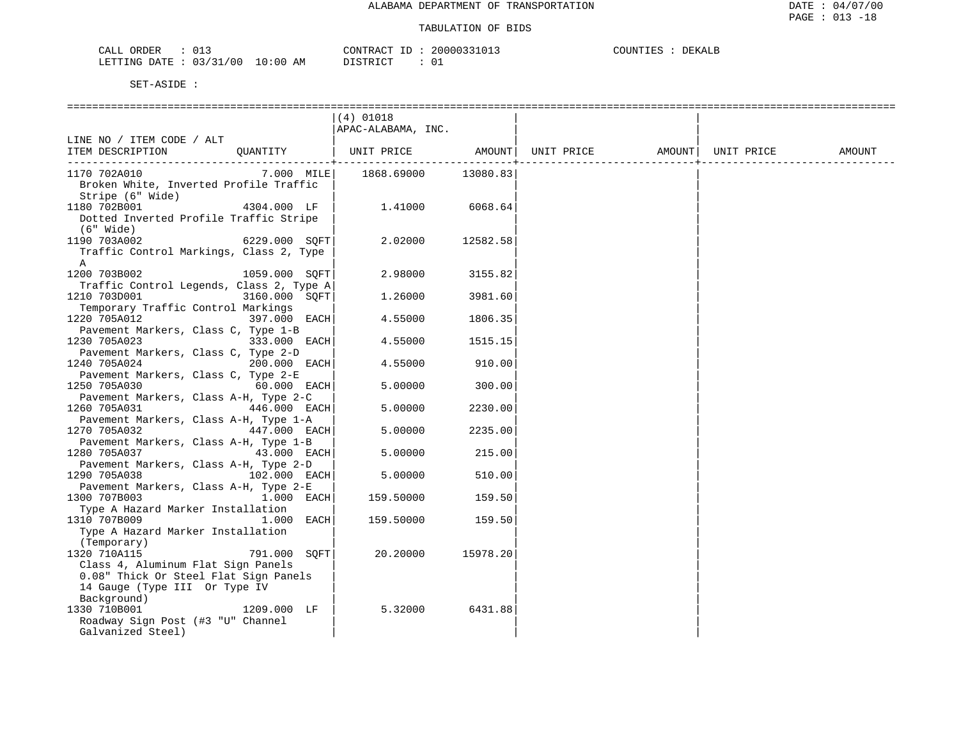| ORDER<br>CALL   | 01.                                 |             | CONTRACT<br>$ -$            | 20000331013 | COUNTIES<br>DEKALB |
|-----------------|-------------------------------------|-------------|-----------------------------|-------------|--------------------|
| DATE<br>LETTING | /00<br>0 2 / 2 1<br>ັ<br><u>ے ب</u> | 10:00<br>AM | DISTRICT<br><b>DIDINICI</b> | 01          |                    |

|                                                                                                                                                             | $(4)$ 01018<br>APAC-ALABAMA, INC. |                     |                                                    |  |        |
|-------------------------------------------------------------------------------------------------------------------------------------------------------------|-----------------------------------|---------------------|----------------------------------------------------|--|--------|
| LINE NO / ITEM CODE / ALT<br>ITEM DESCRIPTION<br>OUANTITY                                                                                                   |                                   | ------------------- | UNIT PRICE AMOUNT   UNIT PRICE AMOUNT   UNIT PRICE |  | AMOUNT |
| 1170 702A010<br>$7.000$ MILE<br>Broken White, Inverted Profile Traffic<br>Stripe (6" Wide)                                                                  | 1868.69000 13080.83               |                     |                                                    |  |        |
| 4304.000 LF<br>1180 702B001<br>Dotted Inverted Profile Traffic Stripe<br>$(6"$ Wide)                                                                        | 1.41000                           | 6068.64             |                                                    |  |        |
| 6229.000 SOFT<br>1190 703A002<br>Traffic Control Markings, Class 2, Type<br>A                                                                               | 2.02000                           | 12582.58            |                                                    |  |        |
| 1200 703B002<br>1059.000 SOFT<br>Traffic Control Legends, Class 2, Type A                                                                                   | 2.98000                           | 3155.82             |                                                    |  |        |
| 1210 703D001<br>3160.000 SOFT<br>Temporary Traffic Control Markings                                                                                         | 1,26000                           | 3981.60             |                                                    |  |        |
| 1220 705A012<br>397.000 EACH<br>Pavement Markers, Class C, Type 1-B                                                                                         | 4.55000                           | 1806.35             |                                                    |  |        |
| 1230 705A023<br>333.000 EACH<br>Pavement Markers, Class C, Type 2-D                                                                                         | 4.55000                           | 1515.15             |                                                    |  |        |
| 1240 705A024<br>200.000 EACH<br>Pavement Markers, Class C, Type 2-E                                                                                         | 4.55000                           | 910.00              |                                                    |  |        |
| 1250 705A030<br>$60.000$ EACH<br>Pavement Markers, Class A-H, Type 2-C<br>1260 705A031<br>446.000 EACH                                                      | 5.00000<br>5.00000                | 300.00<br>2230.00   |                                                    |  |        |
| Pavement Markers, Class A-H, Type 1-A<br>1270 705A032<br>447.000 EACH                                                                                       | 5.00000                           | 2235.00             |                                                    |  |        |
| Pavement Markers, Class A-H, Type 1-B<br>1280 705A037<br>43.000 EACH                                                                                        | 5.00000                           | 215.00              |                                                    |  |        |
| Pavement Markers, Class A-H, Type 2-D<br>1290 705A038<br>102.000 EACH                                                                                       | 5.00000                           | 510.00              |                                                    |  |        |
| Pavement Markers, Class A-H, Type 2-E<br>1300 707B003<br>1.000 EACH<br>Type A Hazard Marker Installation                                                    | 159.50000                         | 159.50              |                                                    |  |        |
| 1310 707B009<br>1.000 EACH<br>Type A Hazard Marker Installation<br>(Temporary)                                                                              | 159.50000                         | 159.50              |                                                    |  |        |
| 791.000 SOFT<br>1320 710A115<br>Class 4, Aluminum Flat Sign Panels<br>0.08" Thick Or Steel Flat Sign Panels<br>14 Gauge (Type III Or Type IV<br>Background) | 20.20000                          | 15978.20            |                                                    |  |        |
| 1330 710B001<br>1209.000 LF<br>Roadway Sign Post (#3 "U" Channel<br>Galvanized Steel)                                                                       | 5.32000                           | 6431.88             |                                                    |  |        |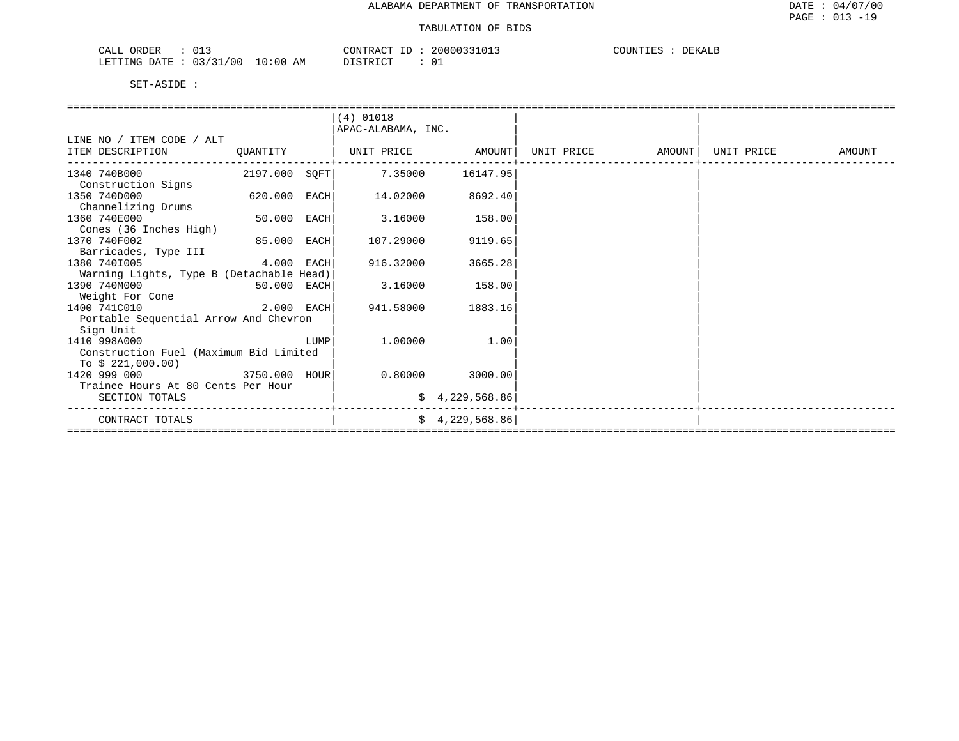| RDER<br>' ' A ' I<br>. .<br>لمسلمات<br>--                    | .013<br>20000333<br>$\sim$ $\sim$ $\sim$<br>∩NTT ∩<br>، ∆ ب∙ | DEKALP<br>COUNT.<br>ᄔᄔᄗ |
|--------------------------------------------------------------|--------------------------------------------------------------|-------------------------|
| 00 /<br>:0C<br>LETTING<br>$\sim$ $\sim$ $\sim$<br>DATE<br>AΜ | $ \sim$ $-$<br>$\cap$ m $\cap$<br><sup>()</sup><br>ັັ        |                         |

|                                                                                                                                |                              |      | $(4)$ 01018        |                 |                   |            |        |
|--------------------------------------------------------------------------------------------------------------------------------|------------------------------|------|--------------------|-----------------|-------------------|------------|--------|
|                                                                                                                                |                              |      | APAC-ALABAMA, INC. |                 |                   |            |        |
| LINE NO / ITEM CODE / ALT                                                                                                      |                              |      |                    |                 |                   |            |        |
| ITEM DESCRIPTION                                                                                                               | QUANTITY                     |      | UNIT PRICE AMOUNT  |                 | UNIT PRICE AMOUNT | UNIT PRICE | AMOUNT |
| 1340 740B000                                                                                                                   | 2197.000 SQFT                |      | 7.35000            | 16147.95        |                   |            |        |
| Construction Signs                                                                                                             |                              |      |                    |                 |                   |            |        |
| 1350 740D000                                                                                                                   | 620.000 EACH                 |      | 14.02000           | 8692.40         |                   |            |        |
| Channelizing Drums                                                                                                             |                              |      |                    |                 |                   |            |        |
| 1360 740E000                                                                                                                   | 50.000 EACH                  |      | 3.16000            | 158.00          |                   |            |        |
| Cones (36 Inches High)                                                                                                         |                              |      |                    |                 |                   |            |        |
| 1370 740F002                                                                                                                   | 85.000 EACH                  |      | 107.29000          | 9119.65         |                   |            |        |
| Barricades, Type III                                                                                                           |                              |      |                    |                 |                   |            |        |
| $4.000$ EACH<br>1380 7401005                                                                                                   |                              |      | 916.32000          | 3665.28         |                   |            |        |
| Warning Lights, Type B (Detachable Head)                                                                                       |                              |      |                    |                 |                   |            |        |
| 1390 740M000                                                                                                                   | 50.000 EACH                  |      | 3.16000            | 158.00          |                   |            |        |
| Weight For Cone                                                                                                                |                              |      |                    |                 |                   |            |        |
| ли пространите и 2.000 г. п.н.е. на 1940 г. п.н.е. 1940 г. п.н.е. 1940 г. п.н.е. 1940 г. п.н.е. 1940 г. п.н.е.<br>1400 741C010 |                              |      | 941.58000          | 1883.16         |                   |            |        |
| Portable Sequential Arrow And Chevron                                                                                          |                              |      |                    |                 |                   |            |        |
| Sign Unit                                                                                                                      |                              |      |                    |                 |                   |            |        |
| 1410 998A000                                                                                                                   |                              | LUMP | 1,00000            | 1.00            |                   |            |        |
| Construction Fuel (Maximum Bid Limited                                                                                         |                              |      |                    |                 |                   |            |        |
| To $$221,000.00)$                                                                                                              |                              |      |                    |                 |                   |            |        |
| 3750.000 HOUR<br>1420 999 000                                                                                                  |                              |      | 0.80000            | 3000.00         |                   |            |        |
| Trainee Hours At 80 Cents Per Hour                                                                                             |                              |      |                    |                 |                   |            |        |
| SECTION TOTALS                                                                                                                 |                              |      |                    | \$4,229,568.86  |                   |            |        |
| CONTRACT TOTALS                                                                                                                |                              |      |                    | \$4,229,568.86] |                   |            |        |
|                                                                                                                                | ============================ |      |                    |                 |                   |            |        |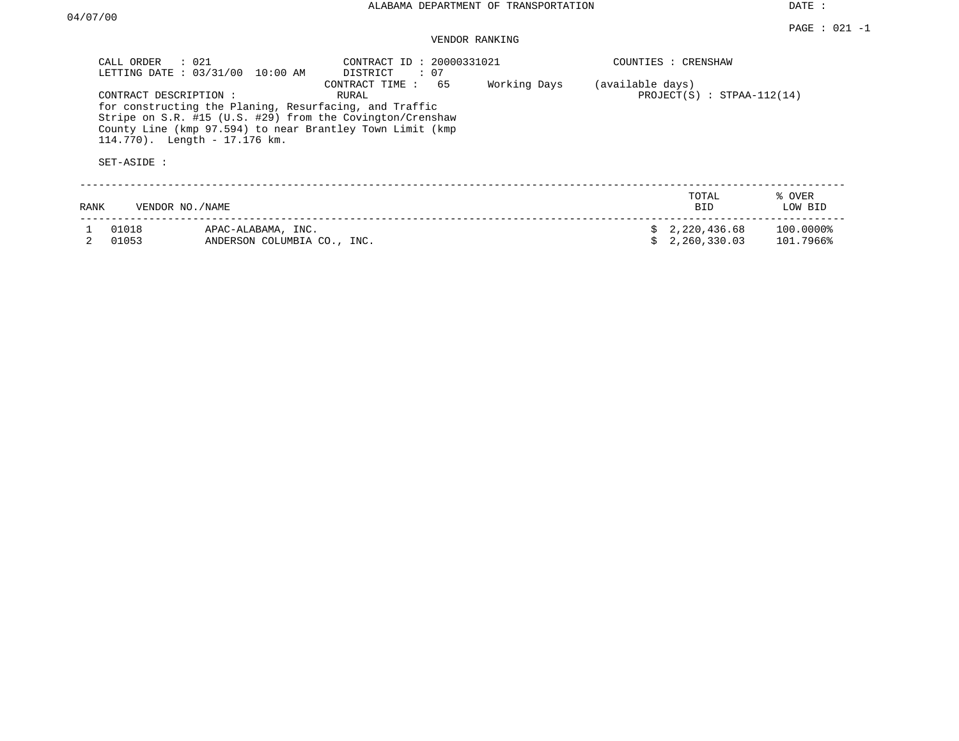## VENDOR RANKING

| CALL ORDER : 021<br>CONTRACT DESCRIPTION : | LETTING DATE : 03/31/00 10:00 AM<br>for constructing the Planing, Resurfacing, and Traffic<br>Stripe on S.R. #15 (U.S. #29) from the Covington/Crenshaw<br>County Line (kmp 97.594) to near Brantley Town Limit (kmp)<br>114.770). Length - 17.176 km. | CONTRACT ID: 20000331021<br>DISTRICT<br>: 07<br>CONTRACT TIME : 65<br>RURAL | Working Days | (available days) | COUNTIES : CRENSHAW<br>$PROJECT(S) : STPAA-112(14)$ |                        |
|--------------------------------------------|--------------------------------------------------------------------------------------------------------------------------------------------------------------------------------------------------------------------------------------------------------|-----------------------------------------------------------------------------|--------------|------------------|-----------------------------------------------------|------------------------|
| SET-ASIDE :                                |                                                                                                                                                                                                                                                        |                                                                             |              |                  |                                                     |                        |
| RANK                                       | VENDOR NO./NAME                                                                                                                                                                                                                                        |                                                                             |              |                  | TOTAL<br><b>BID</b>                                 | % OVER<br>LOW BID      |
| 01018<br>01053                             | APAC-ALABAMA, INC.<br>ANDERSON COLUMBIA CO., INC.                                                                                                                                                                                                      |                                                                             |              |                  | \$2,220,436.68<br>2,260,330.03                      | 100.0000%<br>101.7966% |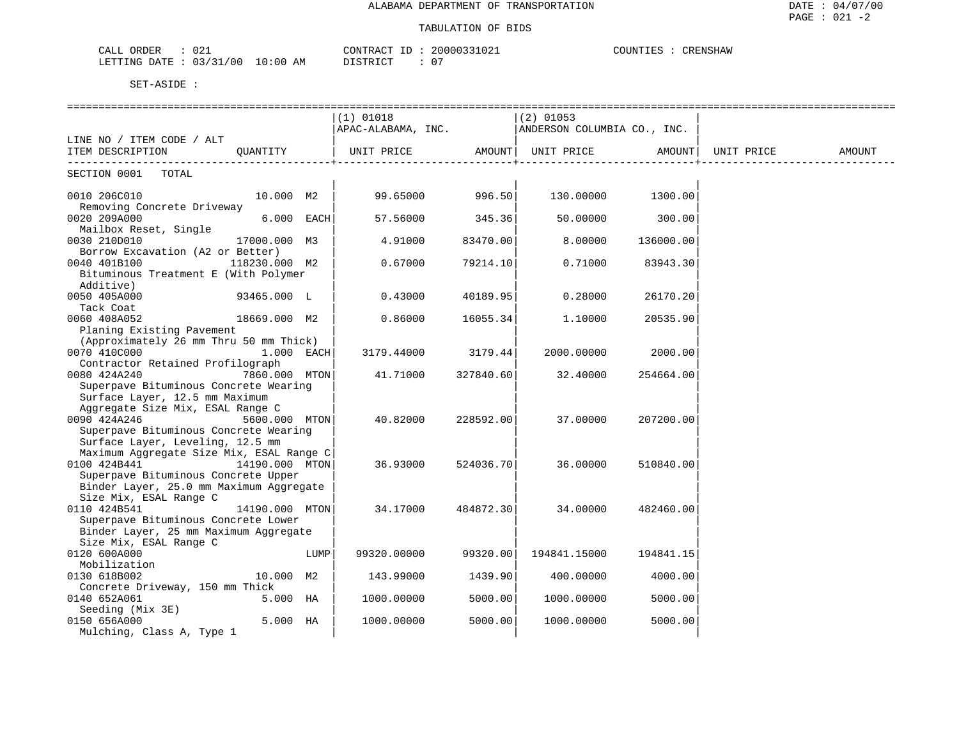| $\sim$<br>$\sim$ $\sim$ $\sim$ $\sim$<br>ORDER<br>.<br>74.<br>سسدت | 20000331021<br>CONTRACT    | COUNTIES<br>CRENSHAW |
|--------------------------------------------------------------------|----------------------------|----------------------|
| : 03/31/00<br>10:00<br>LETTING DATE<br>AM                          | $\bigcap$<br>DISTRICT<br>U |                      |

|                                                                              |                |      | ===========================<br>$(1)$ 01018<br>APAC-ALABAMA, INC. ANDERSON COLUMBIA CO., INC. |           | =============<br>$(2)$ 01053 |           |                    |        |
|------------------------------------------------------------------------------|----------------|------|----------------------------------------------------------------------------------------------|-----------|------------------------------|-----------|--------------------|--------|
| LINE NO / ITEM CODE / ALT                                                    |                |      |                                                                                              |           |                              |           |                    |        |
| ITEM DESCRIPTION                                                             | OUANTITY       |      | UNIT PRICE AMOUNT UNIT PRICE<br>________________________                                     |           | ---------------------------  |           | AMOUNT  UNIT PRICE | AMOUNT |
| SECTION 0001 TOTAL                                                           |                |      |                                                                                              |           |                              |           |                    |        |
| 0010 206C010<br>Removing Concrete Driveway                                   | 10.000 M2      |      | 99.65000                                                                                     | 996.50    | 130.00000                    | 1300.00   |                    |        |
| 0020 209A000                                                                 | $6.000$ EACH   |      | 57.56000                                                                                     | 345.36    | 50.00000                     | 300.00    |                    |        |
| Mailbox Reset, Single<br>0030 210D010<br>Borrow Excavation (A2 or Better)    | 17000.000 M3   |      | 4.91000                                                                                      | 83470.00  | 8.00000                      | 136000.00 |                    |        |
| 0040 401B100<br>Bituminous Treatment E (With Polymer                         | 118230.000 M2  |      | 0.67000                                                                                      | 79214.10  | 0.71000                      | 83943.30  |                    |        |
| Additive)                                                                    |                |      |                                                                                              |           |                              |           |                    |        |
| 0050 405A000                                                                 | 93465.000 L    |      | 0.43000                                                                                      | 40189.95  | 0.28000                      | 26170.20  |                    |        |
| Tack Coat<br>0060 408A052                                                    | 18669.000 M2   |      | 0.86000                                                                                      | 16055.34  | 1,10000                      | 20535.90  |                    |        |
| Planing Existing Pavement                                                    |                |      |                                                                                              |           |                              |           |                    |        |
| (Approximately 26 mm Thru 50 mm Thick)                                       |                |      |                                                                                              |           |                              |           |                    |        |
| 0070 410C000                                                                 | $1.000$ EACH   |      | 3179.44000                                                                                   | 3179.44   | 2000.00000                   | 2000.00   |                    |        |
| Contractor Retained Profilograph                                             |                |      |                                                                                              |           |                              |           |                    |        |
| 0080 424A240                                                                 | 7860.000 MTON  |      | 41.71000                                                                                     | 327840.60 | 32.40000                     | 254664.00 |                    |        |
| Superpave Bituminous Concrete Wearing                                        |                |      |                                                                                              |           |                              |           |                    |        |
| Surface Layer, 12.5 mm Maximum                                               |                |      |                                                                                              |           |                              |           |                    |        |
| Aggregate Size Mix, ESAL Range C<br>0090 424A246                             | 5600.000 MTON  |      | 40.82000                                                                                     | 228592.00 | 37,00000                     | 207200.00 |                    |        |
| Superpave Bituminous Concrete Wearing                                        |                |      |                                                                                              |           |                              |           |                    |        |
| Surface Layer, Leveling, 12.5 mm                                             |                |      |                                                                                              |           |                              |           |                    |        |
| Maximum Aggregate Size Mix, ESAL Range C                                     |                |      |                                                                                              |           |                              |           |                    |        |
| 0100 424B441                                                                 | 14190.000 MTON |      | 36.93000                                                                                     | 524036.70 | 36.00000                     | 510840.00 |                    |        |
| Superpave Bituminous Concrete Upper                                          |                |      |                                                                                              |           |                              |           |                    |        |
| Binder Layer, 25.0 mm Maximum Aggregate                                      |                |      |                                                                                              |           |                              |           |                    |        |
| Size Mix, ESAL Range C                                                       |                |      |                                                                                              |           |                              |           |                    |        |
| 0110 424B541                                                                 | 14190.000 MTON |      | 34.17000                                                                                     | 484872.30 | 34.00000                     | 482460.00 |                    |        |
| Superpave Bituminous Concrete Lower<br>Binder Layer, 25 mm Maximum Aggregate |                |      |                                                                                              |           |                              |           |                    |        |
| Size Mix, ESAL Range C                                                       |                |      |                                                                                              |           |                              |           |                    |        |
| 0120 600A000                                                                 |                | LUMP | 99320.00000                                                                                  | 99320.00  | 194841.15000                 | 194841.15 |                    |        |
| Mobilization                                                                 |                |      |                                                                                              |           |                              |           |                    |        |
| 0130 618B002                                                                 | 10.000 M2      |      | 143.99000                                                                                    | 1439.90   | 400.00000                    | 4000.00   |                    |        |
| Concrete Driveway, 150 mm Thick                                              |                |      |                                                                                              |           |                              |           |                    |        |
| 0140 652A061                                                                 | 5.000 HA       |      | 1000.00000                                                                                   | 5000.00   | 1000.00000                   | 5000.00   |                    |        |
| Seeding (Mix 3E)                                                             |                |      |                                                                                              |           |                              |           |                    |        |
| 0150 656A000                                                                 | 5.000 HA       |      | 1000.00000                                                                                   | 5000.00   | 1000.00000                   | 5000.00   |                    |        |
| Mulching, Class A, Type 1                                                    |                |      |                                                                                              |           |                              |           |                    |        |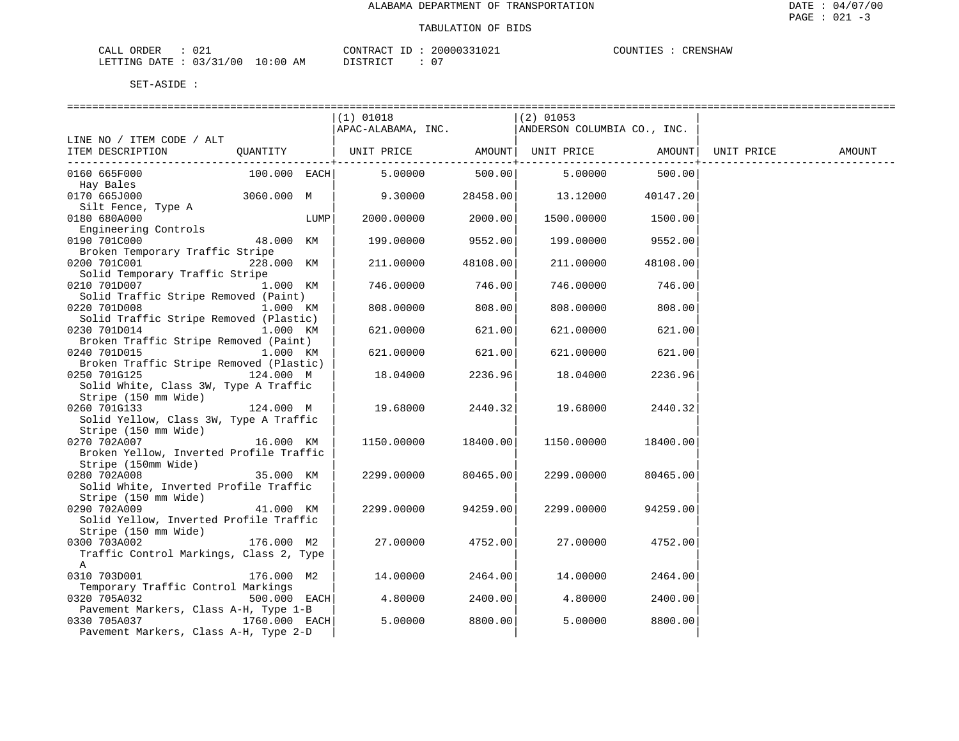| ORDER<br>CALI | U 4 -    |       |    | CONTRACT                    |  | 20000331021 | COUNTIES | CRENSHAW |
|---------------|----------|-------|----|-----------------------------|--|-------------|----------|----------|
| LETTING DATE  | 03/31/00 | 10:00 | AM | <b>DISTRICT</b><br>-------- |  | - 0         |          |          |

| SET-ASIDE |
|-----------|
|           |

|                                                      |              |      |                                                      |          | ================= |          |            |        |
|------------------------------------------------------|--------------|------|------------------------------------------------------|----------|-------------------|----------|------------|--------|
|                                                      |              |      | $(1)$ 01018                                          |          | $(2)$ 01053       |          |            |        |
|                                                      |              |      | APAC-ALABAMA, INC. ANDERSON COLUMBIA CO., INC.       |          |                   |          |            |        |
| LINE NO / ITEM CODE / ALT                            |              |      |                                                      |          |                   |          |            |        |
| ITEM DESCRIPTION                                     | QUANTITY     |      | UNIT PRICE         AMOUNT  UNIT PRICE         AMOUNT |          |                   |          | UNIT PRICE | AMOUNT |
| 0160 665F000                                         |              |      | 100.000 EACH 5.00000                                 |          | 500.00 5.00000    | 500.00   |            |        |
| Hay Bales                                            |              |      |                                                      |          |                   |          |            |        |
| 0170 665J000                                         | 3060.000 M   |      | $9.30000$ $28458.00$ $13.12000$ $40147.20$           |          |                   |          |            |        |
| Silt Fence, Type A                                   |              |      |                                                      |          |                   |          |            |        |
| 0180 680A000                                         |              | LUMP | 2000.00000                                           | 2000.00  | 1500.00000        | 1500.00  |            |        |
| Engineering Controls                                 |              |      |                                                      |          |                   |          |            |        |
| 0190 701C000                                         | 48.000 KM    |      | 199.00000                                            | 9552.00  | 199.00000         | 9552.00  |            |        |
| Broken Temporary Traffic Stripe                      |              |      |                                                      |          |                   |          |            |        |
| 0200 701C001                                         | 228.000 KM   |      | 211.00000                                            | 48108.00 | 211.00000         | 48108.00 |            |        |
| Solid Temporary Traffic Stripe                       |              |      |                                                      | 746.00   |                   |          |            |        |
| 0210 701D007<br>Solid Traffic Stripe Removed (Paint) | 1.000 KM     |      | 746.00000                                            |          | 746.00000         | 746.00   |            |        |
| 0220 701D008                                         | 1.000 KM     |      | 808.00000                                            | 808.00   | 808,00000         | 808.00   |            |        |
| Solid Traffic Stripe Removed (Plastic)               |              |      |                                                      |          |                   |          |            |        |
| 0230 701D014                                         | 1.000 KM     |      | 621.00000                                            | 621.00   | 621.00000         | 621.00   |            |        |
| Broken Traffic Stripe Removed (Paint)                |              |      |                                                      |          |                   |          |            |        |
| 0240 701D015                                         | 1.000 KM     |      | 621.00000                                            | 621.00   | 621.00000         | 621.00   |            |        |
| Broken Traffic Stripe Removed (Plastic)              |              |      |                                                      |          |                   |          |            |        |
| 0250 701G125<br>124.000 M                            |              |      | 18.04000                                             | 2236.96  | 18.04000          | 2236.96  |            |        |
| Solid White, Class 3W, Type A Traffic                |              |      |                                                      |          |                   |          |            |        |
| Stripe (150 mm Wide)                                 |              |      |                                                      |          |                   |          |            |        |
| 124.000 M<br>0260 701G133                            |              |      | 19.68000                                             | 2440.32  | 19.68000          | 2440.32  |            |        |
| Solid Yellow, Class 3W, Type A Traffic               |              |      |                                                      |          |                   |          |            |        |
| Stripe (150 mm Wide)                                 |              |      |                                                      |          |                   |          |            |        |
| 0270 702A007                                         | 16.000 KM    |      | 1150.00000                                           | 18400.00 | 1150.00000        | 18400.00 |            |        |
| Broken Yellow, Inverted Profile Traffic              |              |      |                                                      |          |                   |          |            |        |
| Stripe (150mm Wide)<br>0280 702A008                  | 35.000 KM    |      | 2299.00000                                           | 80465.00 | 2299.00000        | 80465.00 |            |        |
| Solid White, Inverted Profile Traffic                |              |      |                                                      |          |                   |          |            |        |
| Stripe (150 mm Wide)                                 |              |      |                                                      |          |                   |          |            |        |
| 0290 702A009                                         | 41.000 KM    |      | 2299.00000                                           | 94259.00 | 2299.00000        | 94259.00 |            |        |
| Solid Yellow, Inverted Profile Traffic               |              |      |                                                      |          |                   |          |            |        |
| Stripe (150 mm Wide)                                 |              |      |                                                      |          |                   |          |            |        |
| 0300 703A002                                         | 176.000 M2   |      | 27.00000                                             | 4752.00  | 27.00000          | 4752.00  |            |        |
| Traffic Control Markings, Class 2, Type              |              |      |                                                      |          |                   |          |            |        |
| A                                                    |              |      |                                                      |          |                   |          |            |        |
| 0310 703D001                                         | 176.000 M2   |      | 14.00000                                             | 2464.00  | 14.00000          | 2464.00  |            |        |
| Temporary Traffic Control Markings                   |              |      |                                                      |          |                   |          |            |        |
| 0320 705A032                                         | 500.000 EACH |      | 4.80000                                              | 2400.00  | 4.80000           | 2400.00  |            |        |
| Pavement Markers, Class A-H, Type 1-B                |              |      |                                                      |          |                   |          |            |        |
| $1760.000$ EACH<br>0330 705A037                      |              |      | 5.00000                                              | 8800.00  | 5.00000           | 8800.00  |            |        |
| Pavement Markers, Class A-H, Type 2-D                |              |      |                                                      |          |                   |          |            |        |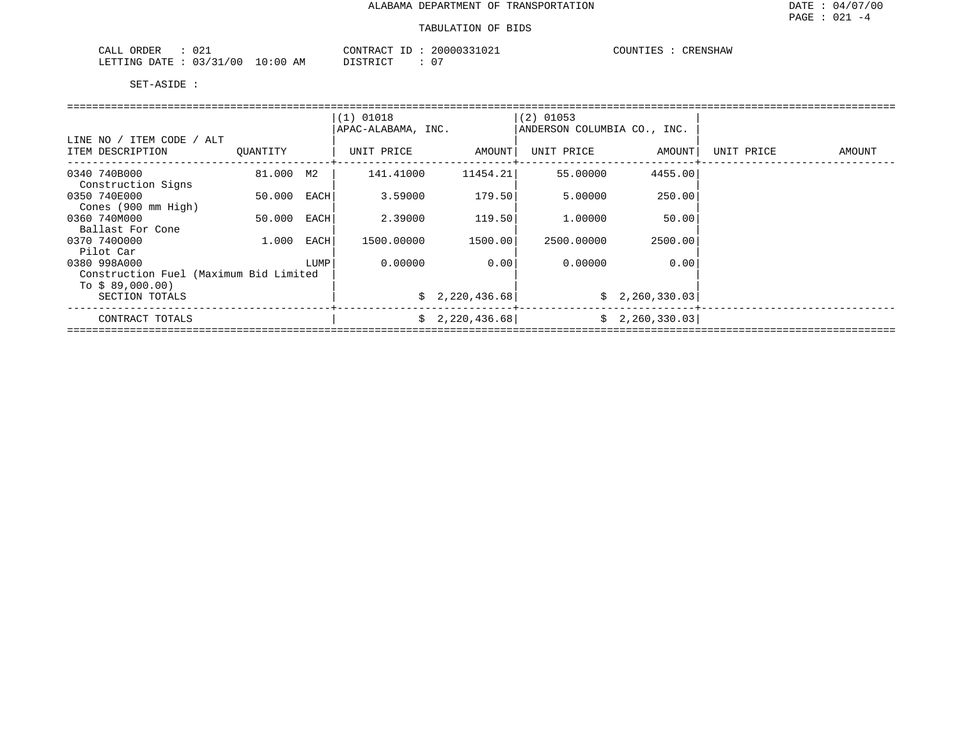| $\cap$ $\cap$<br>ORDER<br>CALL<br>. U 4 + |             | CONTRACT<br>$-1$ | 20000331021   | COUNTIES<br>CRENSHAW |
|-------------------------------------------|-------------|------------------|---------------|----------------------|
| /00<br>0.3 / 31<br>'ETTING<br>DATE        | 10:00<br>AΜ | DI STR TOT       | $\sim$ $\sim$ |                      |

|                                               |          |      | $(1)$ 01018<br>APAC-ALABAMA, INC. |                 | $(2)$ 01053<br>ANDERSON COLUMBIA CO., INC. |                |            |        |  |  |  |  |
|-----------------------------------------------|----------|------|-----------------------------------|-----------------|--------------------------------------------|----------------|------------|--------|--|--|--|--|
| LINE NO / ITEM CODE / ALT<br>ITEM DESCRIPTION | OUANTITY |      | UNIT PRICE                        | AMOUNT          | UNIT PRICE                                 | AMOUNT         | UNIT PRICE | AMOUNT |  |  |  |  |
|                                               |          |      |                                   |                 |                                            |                |            |        |  |  |  |  |
| 0340 740B000                                  | 81.000   | M2   | 141.41000                         | 11454.21        | 55.00000                                   | 4455.00        |            |        |  |  |  |  |
| Construction Signs                            |          |      |                                   |                 |                                            |                |            |        |  |  |  |  |
| 0350 740E000                                  | 50.000   | EACH | 3.59000                           | 179.50          | 5.00000                                    | 250.00         |            |        |  |  |  |  |
| Cones (900 mm High)                           |          |      |                                   |                 |                                            |                |            |        |  |  |  |  |
| 0360 740M000                                  | 50.000   | EACH | 2.39000                           | 119.50          | 1,00000                                    | 50.00          |            |        |  |  |  |  |
| Ballast For Cone                              |          |      |                                   |                 |                                            |                |            |        |  |  |  |  |
| 0370 7400000                                  | 1.000    | EACH | 1500.00000                        | 1500.00         | 2500.00000                                 | 2500.00        |            |        |  |  |  |  |
| Pilot Car                                     |          |      |                                   |                 |                                            |                |            |        |  |  |  |  |
| 0380 998A000                                  |          | LUMP | 0.00000                           | 0.001           | 0.00000                                    | 0.00           |            |        |  |  |  |  |
| Construction Fuel (Maximum Bid Limited        |          |      |                                   |                 |                                            |                |            |        |  |  |  |  |
| To $$89,000.00)$                              |          |      |                                   |                 |                                            |                |            |        |  |  |  |  |
| SECTION TOTALS                                |          |      |                                   | \$2,220,436.68] |                                            | \$2,260,330.03 |            |        |  |  |  |  |
| CONTRACT TOTALS                               |          |      |                                   | \$2,220,436.68] |                                            | \$2,260,330.03 |            |        |  |  |  |  |
|                                               |          |      |                                   |                 |                                            |                |            |        |  |  |  |  |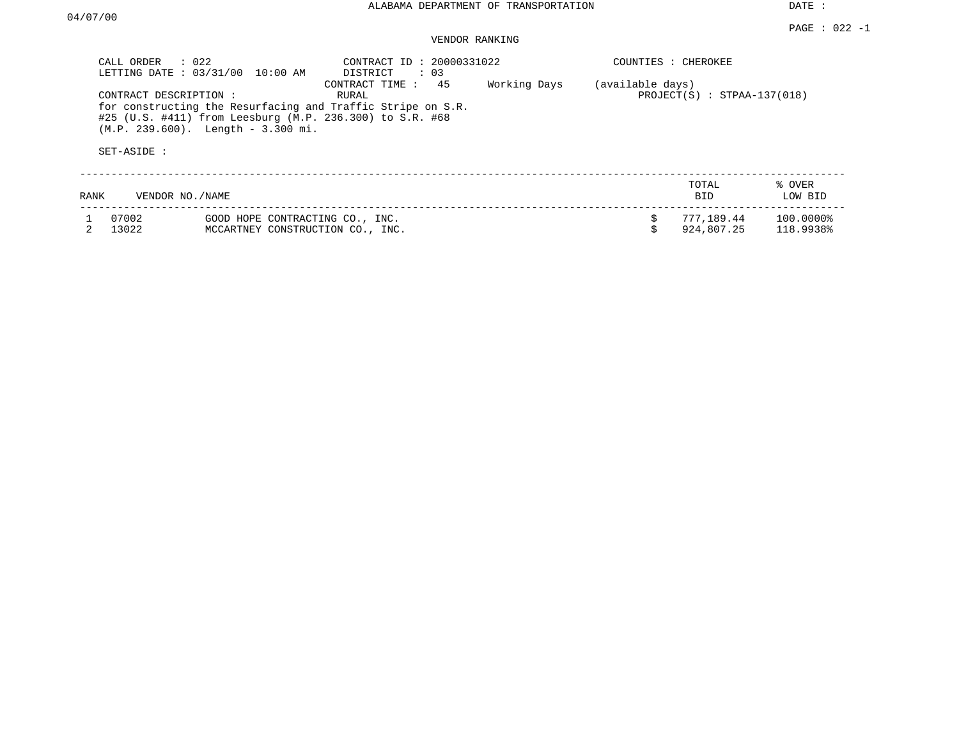### VENDOR RANKING

|      | $\therefore$ 022<br>CALL ORDER<br>LETTING DATE: 03/31/00                       | 10:00 AM                                                            | CONTRACT ID: 20000331022<br>DISTRICT<br>: 03                                                                                                             |              | COUNTIES : CHEROKEE |                               |                        |
|------|--------------------------------------------------------------------------------|---------------------------------------------------------------------|----------------------------------------------------------------------------------------------------------------------------------------------------------|--------------|---------------------|-------------------------------|------------------------|
|      | CONTRACT DESCRIPTION :<br>$(M.P. 239.600)$ . Length - 3.300 mi.<br>SET-ASIDE : |                                                                     | 45<br>CONTRACT TIME:<br>RURAL<br>for constructing the Resurfacing and Traffic Stripe on S.R.<br>#25 (U.S. #411) from Leesburg (M.P. 236.300) to S.R. #68 | Working Days | (available days)    | $PROJECT(S) : STPAA-137(018)$ |                        |
| RANK | VENDOR NO./NAME                                                                |                                                                     |                                                                                                                                                          |              |                     | TOTAL<br><b>BID</b>           | % OVER<br>LOW BID      |
|      | 07002<br>13022                                                                 | GOOD HOPE CONTRACTING CO., INC.<br>MCCARTNEY CONSTRUCTION CO., INC. |                                                                                                                                                          |              |                     | 777,189.44<br>924,807.25      | 100.0000%<br>118.9938% |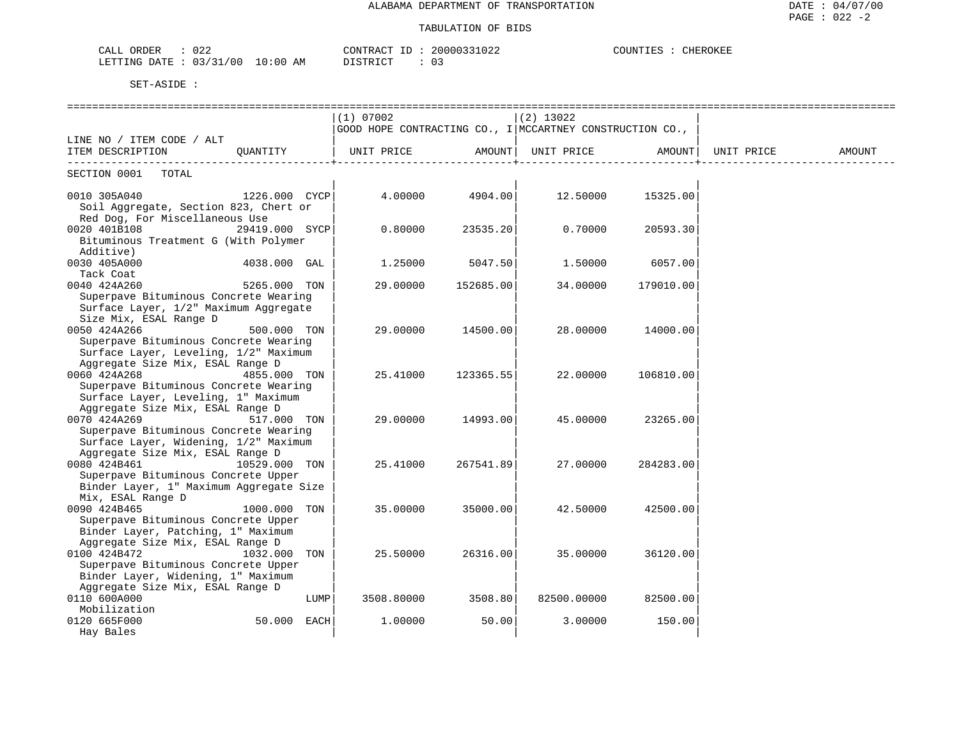| 022<br>ORDER<br>CALL     |             | TD.<br>CONTRACT | 20000331022 | COUNTIES | CHEROKEE |
|--------------------------|-------------|-----------------|-------------|----------|----------|
| 03/31/00<br>LETTING DATE | 10:00<br>ΆM | DISTRICT        |             |          |          |

|                                                  |                |      | (1) 07002                                                |                 | $(2)$ 13022       |           |            |        |
|--------------------------------------------------|----------------|------|----------------------------------------------------------|-----------------|-------------------|-----------|------------|--------|
|                                                  |                |      | GOOD HOPE CONTRACTING CO., I MCCARTNEY CONSTRUCTION CO., |                 |                   |           |            |        |
| LINE NO / ITEM CODE / ALT                        |                |      |                                                          |                 |                   |           |            |        |
| ITEM DESCRIPTION                                 | QUANTITY       |      | UNIT PRICE                                               | AMOUNT          | UNIT PRICE AMOUNT |           | UNIT PRICE | AMOUNT |
| SECTION 0001 TOTAL                               |                |      |                                                          |                 |                   |           |            |        |
| 0010 305A040                                     | 1226.000 CYCP  |      |                                                          | 4.00000 4904.00 | 12.50000          | 15325.00  |            |        |
| Soil Aggregate, Section 823, Chert or            |                |      |                                                          |                 |                   |           |            |        |
| Red Dog, For Miscellaneous Use                   |                |      |                                                          |                 |                   |           |            |        |
| 0020 401B108                                     | 29419.000 SYCP |      | 0.80000                                                  | 23535.20        | 0.70000           | 20593.30  |            |        |
| Bituminous Treatment G (With Polymer             |                |      |                                                          |                 |                   |           |            |        |
| Additive)                                        |                |      |                                                          |                 |                   |           |            |        |
| 0030 405A000                                     | 4038.000 GAL   |      | 1.25000                                                  | 5047.50         | 1.50000           | 6057.00   |            |        |
| Tack Coat                                        |                |      |                                                          |                 |                   |           |            |        |
| 0040 424A260                                     | 5265.000 TON   |      | 29.00000                                                 | 152685.00       | 34,00000          | 179010.00 |            |        |
| Superpave Bituminous Concrete Wearing            |                |      |                                                          |                 |                   |           |            |        |
| Surface Layer, 1/2" Maximum Aggregate            |                |      |                                                          |                 |                   |           |            |        |
| Size Mix, ESAL Range D                           |                |      |                                                          |                 |                   |           |            |        |
| 0050 424A266                                     | 500.000 TON    |      | 29,00000                                                 | 14500.00        | 28.00000          | 14000.00  |            |        |
| Superpave Bituminous Concrete Wearing            |                |      |                                                          |                 |                   |           |            |        |
| Surface Layer, Leveling, 1/2" Maximum            |                |      |                                                          |                 |                   |           |            |        |
| Aggregate Size Mix, ESAL Range D                 |                |      |                                                          |                 |                   |           |            |        |
| 0060 424A268                                     | 4855.000 TON   |      | 25.41000                                                 | 123365.55       | 22,00000          | 106810.00 |            |        |
| Superpave Bituminous Concrete Wearing            |                |      |                                                          |                 |                   |           |            |        |
| Surface Layer, Leveling, 1" Maximum              |                |      |                                                          |                 |                   |           |            |        |
| Aggregate Size Mix, ESAL Range D                 |                |      |                                                          |                 |                   |           |            |        |
| 0070 424A269                                     | 517.000 TON    |      | 29,00000                                                 | 14993.00        | 45.00000          | 23265.00  |            |        |
| Superpave Bituminous Concrete Wearing            |                |      |                                                          |                 |                   |           |            |        |
| Surface Layer, Widening, 1/2" Maximum            |                |      |                                                          |                 |                   |           |            |        |
| Aggregate Size Mix, ESAL Range D<br>0080 424B461 | 10529.000 TON  |      | 25.41000                                                 | 267541.89       | 27.00000          | 284283.00 |            |        |
| Superpave Bituminous Concrete Upper              |                |      |                                                          |                 |                   |           |            |        |
| Binder Layer, 1" Maximum Aggregate Size          |                |      |                                                          |                 |                   |           |            |        |
| Mix, ESAL Range D                                |                |      |                                                          |                 |                   |           |            |        |
| 0090 424B465                                     | 1000.000 TON   |      | 35.00000                                                 | 35000.00        | 42.50000          | 42500.00  |            |        |
| Superpave Bituminous Concrete Upper              |                |      |                                                          |                 |                   |           |            |        |
| Binder Layer, Patching, 1" Maximum               |                |      |                                                          |                 |                   |           |            |        |
| Aggregate Size Mix, ESAL Range D                 |                |      |                                                          |                 |                   |           |            |        |
| 0100 424B472                                     | 1032.000 TON   |      | 25.50000                                                 | 26316.00        | 35.00000          | 36120.00  |            |        |
| Superpave Bituminous Concrete Upper              |                |      |                                                          |                 |                   |           |            |        |
| Binder Layer, Widening, 1" Maximum               |                |      |                                                          |                 |                   |           |            |        |
| Aggregate Size Mix, ESAL Range D                 |                |      |                                                          |                 |                   |           |            |        |
| 0110 600A000                                     |                | LUMP | 3508.80000                                               | 3508.80         | 82500.00000       | 82500.00  |            |        |
| Mobilization                                     |                |      |                                                          |                 |                   |           |            |        |
| 0120 665F000                                     | 50.000 EACH    |      | 1,00000                                                  | 50.00           | 3.00000           | 150.00    |            |        |
| Hay Bales                                        |                |      |                                                          |                 |                   |           |            |        |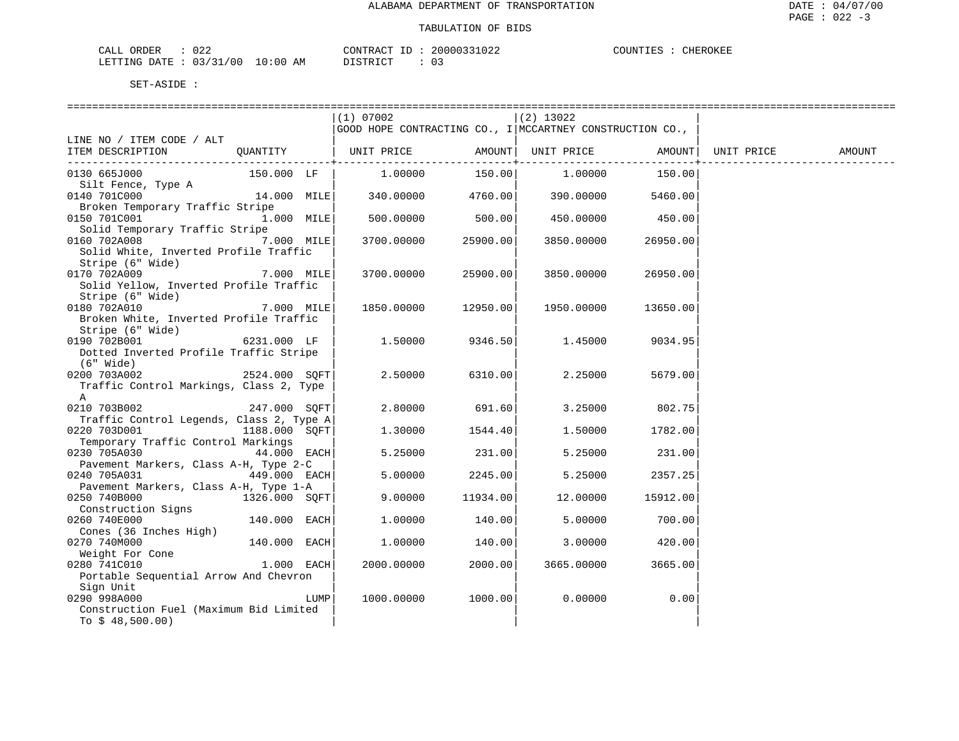| CALL ORDER                      | 022 |          |  | CONTRACT ID: 20000331022 | COUNTIES : Q | CHEROKEE |
|---------------------------------|-----|----------|--|--------------------------|--------------|----------|
| LETTING DATE: 03/31/00 10:00 AM |     | DISTRICT |  | 0 G                      |              |          |

|                                                         |               |      | (1) 07002                                                        |          | (2) 13022           |          |                    |        |
|---------------------------------------------------------|---------------|------|------------------------------------------------------------------|----------|---------------------|----------|--------------------|--------|
|                                                         |               |      | $ $ GOOD HOPE CONTRACTING CO., I $ $ MCCARTNEY CONSTRUCTION CO., |          |                     |          |                    |        |
| LINE NO / ITEM CODE / ALT                               |               |      |                                                                  |          |                     |          |                    |        |
| ITEM DESCRIPTION                                        |               |      | QUANTITY   UNIT PRICE                                            |          | AMOUNT   UNIT PRICE |          | AMOUNT  UNIT PRICE | AMOUNT |
| 0130 665J000                                            | 150.000 LF    |      | 1.00000                                                          | 150.00   | 1.00000             | 150.00   |                    |        |
| Silt Fence, Type A                                      |               |      |                                                                  |          |                     |          |                    |        |
| 0140 701C000                                            | 14.000 MILE   |      | 340.00000 4760.00                                                |          | 390.00000           | 5460.00  |                    |        |
| Broken Temporary Traffic Stripe                         |               |      |                                                                  |          |                     |          |                    |        |
| 0150 701C001                                            | 1.000 MILE    |      | 500.00000                                                        | 500.00   | 450.00000           | 450.00   |                    |        |
| Solid Temporary Traffic Stripe<br>0160 702A008          | 7.000 MILE    |      | 3700.00000                                                       | 25900.00 | 3850.00000          | 26950.00 |                    |        |
| Solid White, Inverted Profile Traffic                   |               |      |                                                                  |          |                     |          |                    |        |
| Stripe (6" Wide)                                        |               |      |                                                                  |          |                     |          |                    |        |
| 0170 702A009                                            | 7.000 MILE    |      | 3700.00000                                                       | 25900.00 | 3850.00000          | 26950.00 |                    |        |
| Solid Yellow, Inverted Profile Traffic                  |               |      |                                                                  |          |                     |          |                    |        |
| Stripe (6" Wide)<br>0180 702A010                        | 7.000 MILE    |      | 1850.00000                                                       | 12950.00 | 1950.00000          | 13650.00 |                    |        |
| Broken White, Inverted Profile Traffic                  |               |      |                                                                  |          |                     |          |                    |        |
| Stripe (6" Wide)                                        |               |      |                                                                  |          |                     |          |                    |        |
| 6231.000 LF<br>0190 702B001                             |               |      | 1,50000                                                          | 9346.50  | 1.45000             | 9034.95  |                    |        |
| Dotted Inverted Profile Traffic Stripe                  |               |      |                                                                  |          |                     |          |                    |        |
| $(6"$ Wide)                                             | 2524.000 SOFT |      | 2.50000                                                          | 6310.00  | 2.25000             | 5679.00  |                    |        |
| 0200 703A002<br>Traffic Control Markings, Class 2, Type |               |      |                                                                  |          |                     |          |                    |        |
| A                                                       |               |      |                                                                  |          |                     |          |                    |        |
| 0210 703B002                                            | 247.000 SQFT  |      | 2.80000                                                          | 691.60   | 3.25000             | 802.75   |                    |        |
| Traffic Control Legends, Class 2, Type A                |               |      |                                                                  |          |                     |          |                    |        |
| 0220 703D001                                            | 1188.000 SOFT |      | 1,30000                                                          | 1544.40  | 1,50000             | 1782.00  |                    |        |
| Temporary Traffic Control Markings<br>0230 705A030      | 44.000 EACH   |      | 5.25000                                                          | 231.00   | 5.25000             | 231.00   |                    |        |
| Pavement Markers, Class A-H, Type 2-C                   |               |      |                                                                  |          |                     |          |                    |        |
| 0240 705A031                                            | 449.000 EACH  |      | 5.00000                                                          | 2245.00  | 5.25000             | 2357.25  |                    |        |
| Pavement Markers, Class A-H, Type 1-A                   |               |      |                                                                  |          |                     |          |                    |        |
| 0250 740B000                                            | 1326.000 SOFT |      | 9.00000                                                          | 11934.00 | 12.00000            | 15912.00 |                    |        |
| Construction Signs<br>0260 740E000                      | 140.000 EACH  |      | 1,00000                                                          | 140.00   | 5,00000             | 700.00   |                    |        |
| Cones (36 Inches High)                                  |               |      |                                                                  |          |                     |          |                    |        |
| 0270 740M000                                            | 140.000 EACH  |      | 1,00000                                                          | 140.00   | 3.00000             | 420.00   |                    |        |
| Weight For Cone                                         |               |      |                                                                  |          |                     |          |                    |        |
| 0280 741C010                                            | $1.000$ EACH  |      | 2000.00000                                                       | 2000.00  | 3665.00000          | 3665.00  |                    |        |
| Portable Sequential Arrow And Chevron                   |               |      |                                                                  |          |                     |          |                    |        |
| Sign Unit<br>0290 998A000                               |               | LUMP | 1000.00000                                                       | 1000.00  | 0.00000             | 0.00     |                    |        |
| Construction Fuel (Maximum Bid Limited                  |               |      |                                                                  |          |                     |          |                    |        |
| To $$48,500.00)$                                        |               |      |                                                                  |          |                     |          |                    |        |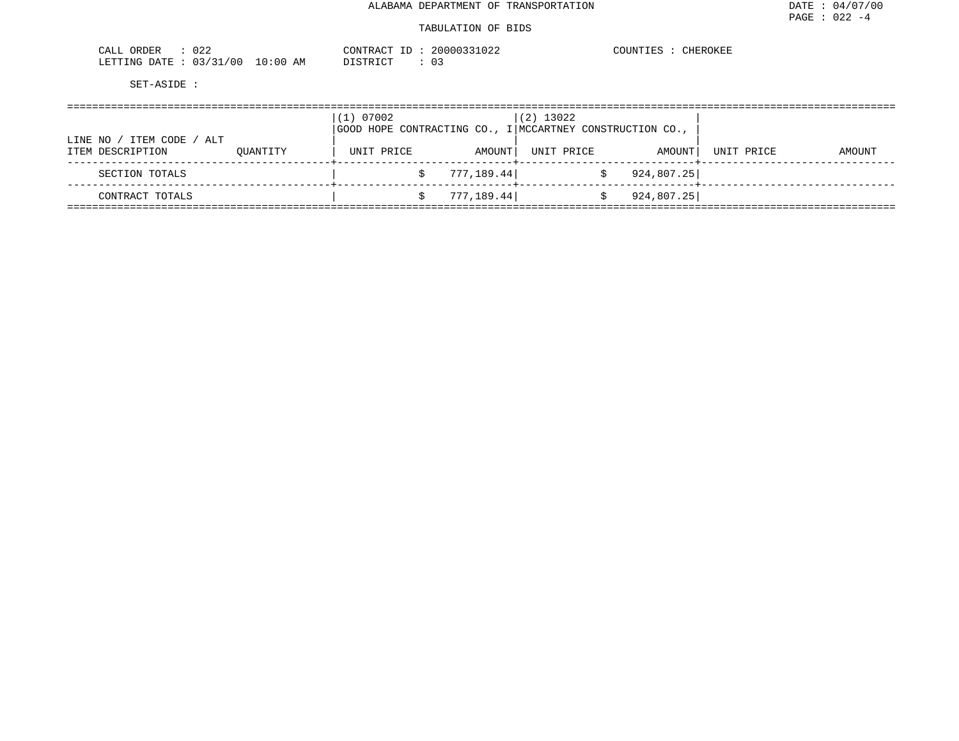#### TABULATION OF BIDS

| 022<br>ORDER<br>۰Δ.<br>للسماح                                                     | חים ג מידינים                  |     | n n n n n<br>$\sim$ | CHEROKEF |
|-----------------------------------------------------------------------------------|--------------------------------|-----|---------------------|----------|
| /31/00<br>LETTING<br>∏תמח<br>737<br>______<br>the contract of the contract of the | 0:00<br><b>STOMBITOM</b><br>AΜ | ◡ ◡ |                     |          |

|                                                   |          | (1) 07002<br>$ $ GOOD HOPE CONTRACTING CO., I $ $ MCCARTNEY CONSTRUCTION CO., |             | $(2)$ 13022 |             |            |        |
|---------------------------------------------------|----------|-------------------------------------------------------------------------------|-------------|-------------|-------------|------------|--------|
| ITEM CODE<br>/ ALT<br>LINE NO<br>ITEM DESCRIPTION | OUANTITY | UNIT PRICE                                                                    | AMOUNT      | UNIT PRICE  | AMOUNT      | UNIT PRICE | AMOUNT |
| SECTION TOTALS                                    |          |                                                                               | 777, 189.44 |             | 924, 807.25 |            |        |
| CONTRACT TOTALS                                   |          |                                                                               | 777, 189.44 |             | 924, 807.25 |            |        |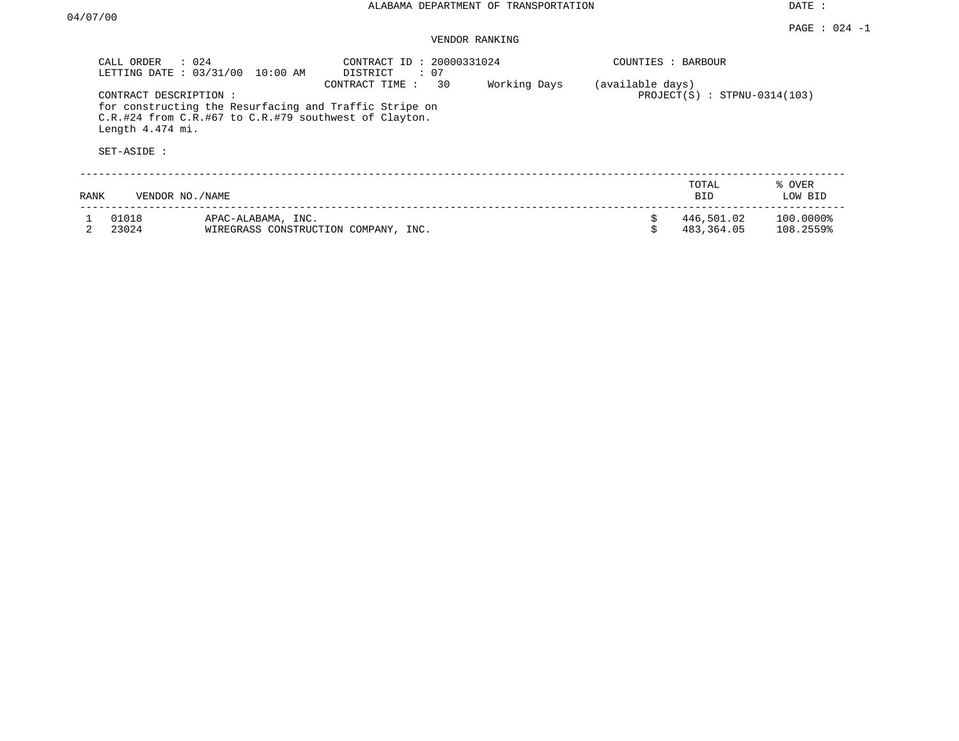#### PAGE : 024 -1 VENDOR RANKING

|      | : 024<br>CALL ORDER<br>LETTING DATE: 03/31/00 | $10:00$ AM                                            | CONTRACT ID: 20000331024<br>DISTRICT<br>: 07                                   |              | COUNTIES : BARBOUR |                                |                        |
|------|-----------------------------------------------|-------------------------------------------------------|--------------------------------------------------------------------------------|--------------|--------------------|--------------------------------|------------------------|
|      | CONTRACT DESCRIPTION :<br>Length 4.474 mi.    | C.R.#24 from C.R.#67 to C.R.#79 southwest of Clayton. | 30<br>CONTRACT TIME:<br>for constructing the Resurfacing and Traffic Stripe on | Working Days | (available days)   | $PROJECT(S)$ : STPNU-0314(103) |                        |
|      | SET-ASIDE:                                    |                                                       |                                                                                |              |                    |                                |                        |
| RANK | VENDOR NO. / NAME                             |                                                       |                                                                                |              |                    | TOTAL<br>BID.                  | % OVER<br>LOW BID      |
|      | 01018<br>23024                                | APAC-ALABAMA, INC.                                    | WIREGRASS CONSTRUCTION COMPANY, INC.                                           |              | \$                 | 446,501.02<br>483,364.05       | 100.0000%<br>108.2559% |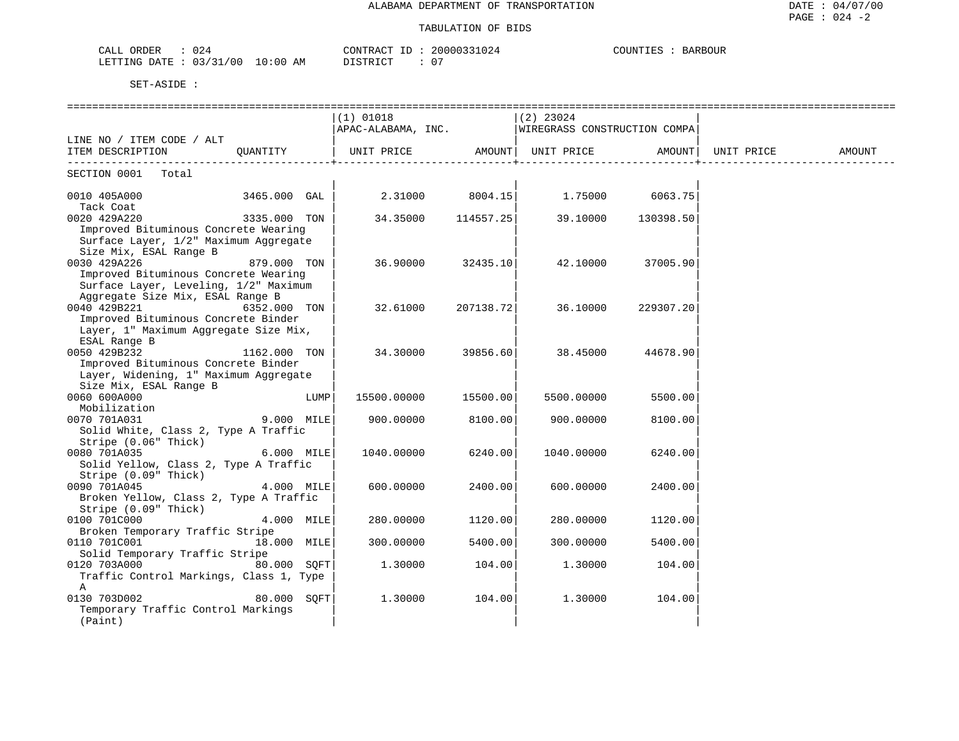### TABULATION OF BIDS

| 024<br>CALL<br>ORDER                |             | CONTRACT    | 20000331024        | BOUR<br>BARBO |
|-------------------------------------|-------------|-------------|--------------------|---------------|
| 03/31<br>/ 0.0<br>LETTING<br>. DATE | 10:00<br>AΜ | TAT<br>ו אי | $\sim$ $\sim$<br>u |               |

|                                                  |              |      | $(1)$ 01018                                     |           | $(2)$ 23024                           |           |            |        |
|--------------------------------------------------|--------------|------|-------------------------------------------------|-----------|---------------------------------------|-----------|------------|--------|
|                                                  |              |      | APAC-ALABAMA, INC. WIREGRASS CONSTRUCTION COMPA |           |                                       |           |            |        |
| LINE NO / ITEM CODE / ALT                        |              |      |                                                 |           |                                       |           |            |        |
| ITEM DESCRIPTION                                 | OUANTITY     |      | UNIT PRICE       AMOUNT  UNIT PRICE     AMOUNT  |           |                                       |           | UNIT PRICE | AMOUNT |
| SECTION 0001<br>Total                            |              |      |                                                 |           |                                       |           |            |        |
|                                                  |              |      |                                                 |           |                                       |           |            |        |
| 0010 405A000                                     | 3465.000 GAL |      |                                                 |           | $2.31000$ $8004.15$ $1.75000$ 6063.75 |           |            |        |
| Tack Coat                                        |              |      |                                                 |           |                                       |           |            |        |
| 3335.000 TON<br>0020 429A220                     |              |      | 34.35000                                        | 114557.25 | 39.10000                              | 130398.50 |            |        |
| Improved Bituminous Concrete Wearing             |              |      |                                                 |           |                                       |           |            |        |
| Surface Layer, 1/2" Maximum Aggregate            |              |      |                                                 |           |                                       |           |            |        |
| Size Mix, ESAL Range B                           |              |      |                                                 |           |                                       |           |            |        |
| 0030 429A226                                     | 879.000 TON  |      | 36.90000                                        | 32435.10  | 42.10000                              | 37005.90  |            |        |
| Improved Bituminous Concrete Wearing             |              |      |                                                 |           |                                       |           |            |        |
| Surface Layer, Leveling, 1/2" Maximum            |              |      |                                                 |           |                                       |           |            |        |
| Aggregate Size Mix, ESAL Range B<br>0040 429B221 | 6352.000 TON |      | 32.61000                                        | 207138.72 | 36.10000                              | 229307.20 |            |        |
| Improved Bituminous Concrete Binder              |              |      |                                                 |           |                                       |           |            |        |
| Layer, 1" Maximum Aggregate Size Mix,            |              |      |                                                 |           |                                       |           |            |        |
| ESAL Range B                                     |              |      |                                                 |           |                                       |           |            |        |
| 0050 429B232                                     | 1162.000 TON |      | 34.30000                                        | 39856.60  | 38.45000                              | 44678.90  |            |        |
| Improved Bituminous Concrete Binder              |              |      |                                                 |           |                                       |           |            |        |
| Layer, Widening, 1" Maximum Aggregate            |              |      |                                                 |           |                                       |           |            |        |
| Size Mix, ESAL Range B                           |              |      |                                                 |           |                                       |           |            |        |
| 0060 600A000                                     |              | LUMP | 15500.00000                                     | 15500.00  | 5500.00000                            | 5500.00   |            |        |
| Mobilization                                     |              |      |                                                 |           |                                       |           |            |        |
| 0070 701A031                                     | 9.000 MILE   |      | 900.00000                                       | 8100.00   | 900.00000                             | 8100.00   |            |        |
| Solid White, Class 2, Type A Traffic             |              |      |                                                 |           |                                       |           |            |        |
| Stripe (0.06" Thick)                             |              |      |                                                 |           |                                       |           |            |        |
| 0080 701A035                                     | 6.000 MILE   |      | 1040.00000                                      | 6240.00   | 1040.00000                            | 6240.00   |            |        |
| Solid Yellow, Class 2, Type A Traffic            |              |      |                                                 |           |                                       |           |            |        |
| Stripe (0.09" Thick)                             |              |      |                                                 |           |                                       |           |            |        |
| 0090 701A045                                     | 4.000 MILE   |      | 600,00000                                       | 2400.00   | 600,00000                             | 2400.00   |            |        |
| Broken Yellow, Class 2, Type A Traffic           |              |      |                                                 |           |                                       |           |            |        |
| Stripe (0.09" Thick)<br>0100 701C000             | 4.000 MILE   |      | 280.00000                                       | 1120.00   | 280.00000                             | 1120.00   |            |        |
| Broken Temporary Traffic Stripe                  |              |      |                                                 |           |                                       |           |            |        |
| 0110 701C001                                     | 18.000 MILE  |      | 300.00000                                       | 5400.00   | 300.00000                             | 5400.00   |            |        |
| Solid Temporary Traffic Stripe                   |              |      |                                                 |           |                                       |           |            |        |
| 0120 703A000 80.000 SOFT                         |              |      | 1.30000                                         | 104.00    | 1.30000                               | 104.00    |            |        |
| Traffic Control Markings, Class 1, Type          |              |      |                                                 |           |                                       |           |            |        |
| A                                                |              |      |                                                 |           |                                       |           |            |        |
| 0130 703D002                                     | 80.000 SOFT  |      | 1,30000                                         | 104.00    | 1,30000                               | 104.00    |            |        |
| Temporary Traffic Control Markings               |              |      |                                                 |           |                                       |           |            |        |
| (Paint)                                          |              |      |                                                 |           |                                       |           |            |        |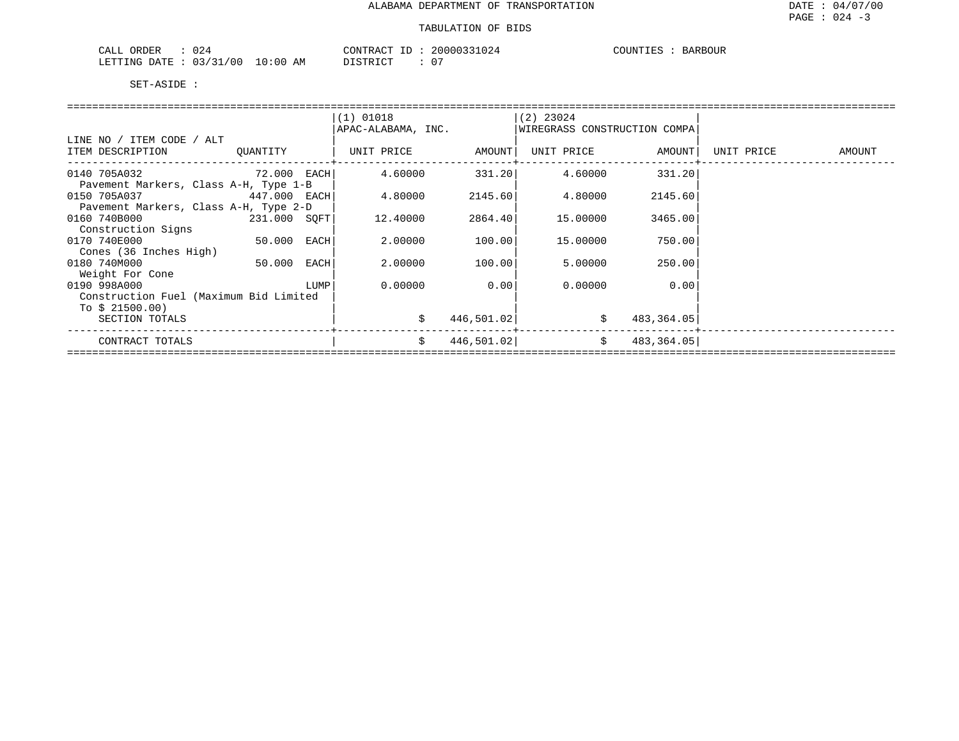| 024<br>ORDER<br>CALL        | CONTRACT<br>$-1$                     | 20000331024          | BARBOUR<br>COUNTIES |
|-----------------------------|--------------------------------------|----------------------|---------------------|
| 03/31/00<br>LETTING<br>DATE | $10:00$ AM<br>חי חים דת<br>--------- | $\sim$ $\sim$<br>. U |                     |

|                                                                             |  |      | $(1)$ 01018<br>APAC-ALABAMA, INC. |            | $(2)$ 23024<br>WIREGRASS CONSTRUCTION COMPA |               |            |        |  |  |  |
|-----------------------------------------------------------------------------|--|------|-----------------------------------|------------|---------------------------------------------|---------------|------------|--------|--|--|--|
| LINE NO / ITEM CODE / ALT                                                   |  |      |                                   |            |                                             |               |            |        |  |  |  |
| ITEM DESCRIPTION QUANTITY                                                   |  |      | UNIT PRICE AMOUNT                 |            | UNIT PRICE AMOUNT                           |               | UNIT PRICE | AMOUNT |  |  |  |
| <b>72.000 EACH</b><br>0140 705A032<br>Pavement Markers, Class A-H, Type 1-B |  |      | 4.60000                           |            | $331.20$ 4.60000                            | 331.20        |            |        |  |  |  |
| 0150 705A037 447.000 EACH                                                   |  |      | 4.80000                           | 2145.60    | 4.80000                                     | 2145.60       |            |        |  |  |  |
| Pavement Markers, Class A-H, Type 2-D<br>0160 740B000<br>231.000 SOFT       |  |      | 12.40000                          | 2864.40    | 15.00000                                    | 3465.00       |            |        |  |  |  |
| Construction Signs<br>50.000 EACH<br>0170 740E000                           |  |      | 2.00000                           | 100.00     | 15.00000                                    | 750.00        |            |        |  |  |  |
| Cones (36 Inches High)                                                      |  |      |                                   |            |                                             |               |            |        |  |  |  |
| 0180 740M000<br>$50.000$ EACH<br>Weight For Cone                            |  |      | 2.00000                           | 100.00     | 5.00000                                     | 250.00        |            |        |  |  |  |
| 0190 998A000                                                                |  | LUMP | 0.00000                           | 0.00       | 0.00000                                     | 0.00          |            |        |  |  |  |
| Construction Fuel (Maximum Bid Limited                                      |  |      |                                   |            |                                             |               |            |        |  |  |  |
| To $$21500.00)$<br>SECTION TOTALS                                           |  |      | \$                                | 446,501.02 | \$                                          | 483,364.05    |            |        |  |  |  |
| CONTRACT TOTALS                                                             |  |      | \$                                | 446,501.02 |                                             | \$ 483,364.05 |            |        |  |  |  |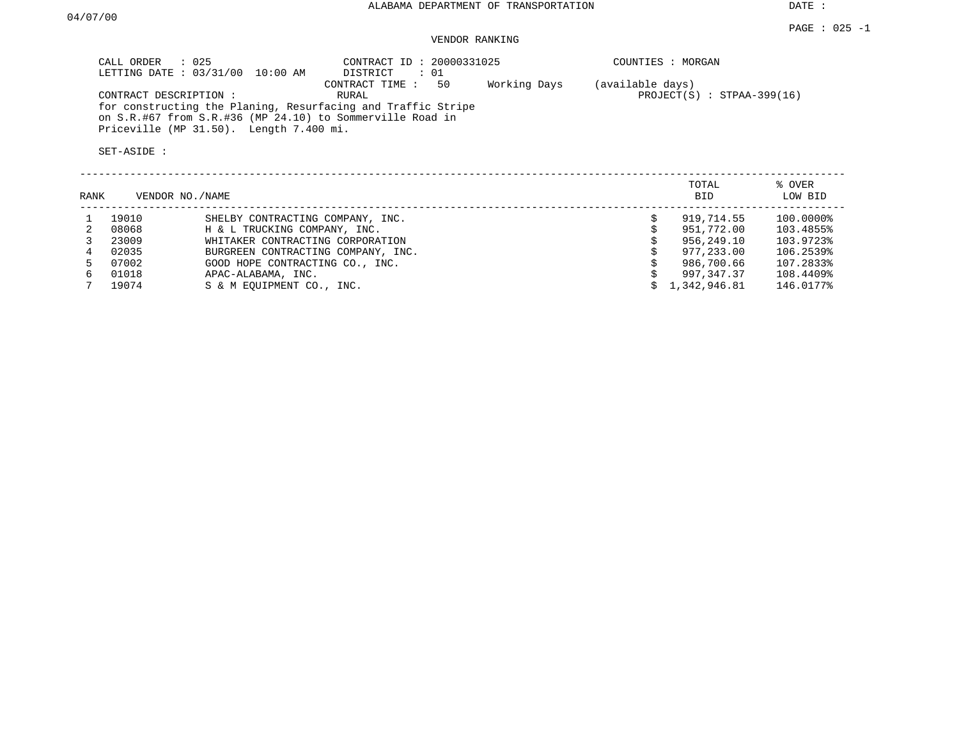## VENDOR RANKING

| CALL ORDER : 025<br>LETTING DATE : 03/31/00 10:00 AM                                                                      | CONTRACT ID: 20000331025<br>: 01<br>DISTRICT |              | COUNTIES : MORGAN                                |
|---------------------------------------------------------------------------------------------------------------------------|----------------------------------------------|--------------|--------------------------------------------------|
| CONTRACT DESCRIPTION :                                                                                                    | 50<br>CONTRACT TIME :<br>RURAL               | Working Days | (available days)<br>$PROJECT(S)$ : STPAA-399(16) |
| for constructing the Planing, Resurfacing and Traffic Stripe<br>on S.R.#67 from S.R.#36 (MP 24.10) to Sommerville Road in |                                              |              |                                                  |
| Priceville (MP 31.50). Length 7.400 mi.                                                                                   |                                              |              |                                                  |
| SET-ASIDE:                                                                                                                |                                              |              |                                                  |
|                                                                                                                           |                                              |              |                                                  |

| RANK |       | VENDOR NO./NAME                    | TOTAL<br><b>BID</b> | % OVER<br>LOW BID |
|------|-------|------------------------------------|---------------------|-------------------|
|      | 19010 | SHELBY CONTRACTING COMPANY, INC.   | 919,714.55          | 100.0000%         |
|      | 08068 | H & L TRUCKING COMPANY, INC.       | 951,772.00          | 103.4855%         |
|      | 23009 | WHITAKER CONTRACTING CORPORATION   | 956,249.10          | 103.9723%         |
|      | 02035 | BURGREEN CONTRACTING COMPANY, INC. | 977,233.00          | 106.2539%         |
|      | 07002 | GOOD HOPE CONTRACTING CO., INC.    | 986,700.66          | 107.2833%         |
| 6.   | 01018 | APAC-ALABAMA, INC.                 | 997,347.37          | 108.4409%         |
|      | 19074 | S & M EOUIPMENT CO., INC.          | 1,342,946.81        | 146.0177%         |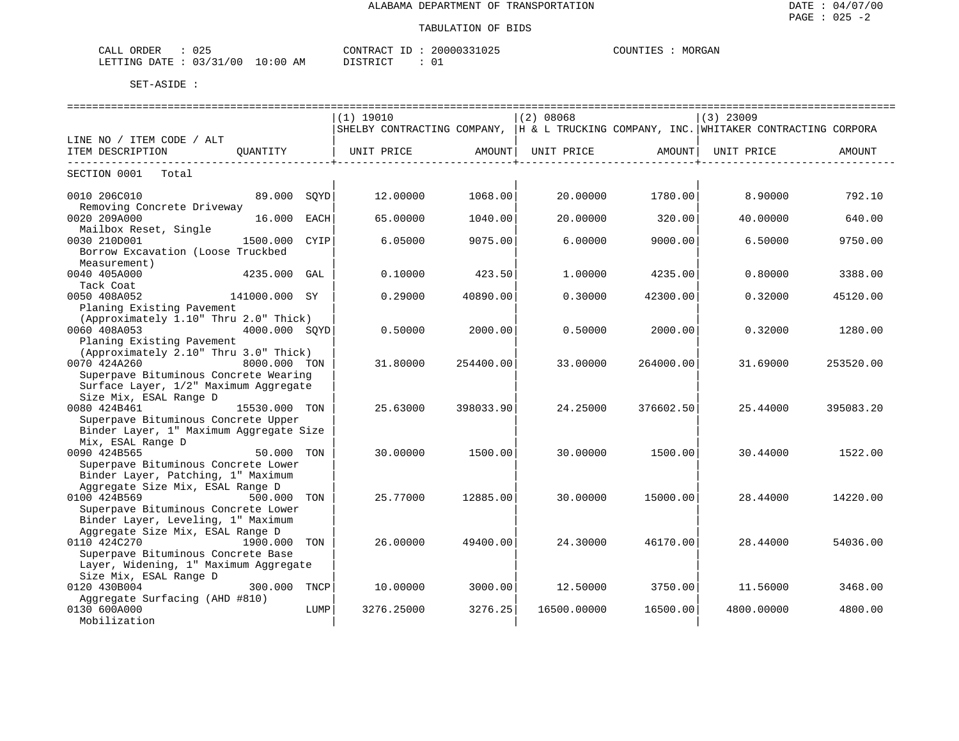| $\sim$ $\sim$ $\sim$<br>ORDER<br>CALL<br>025 |             | ידיר ב פידיזורי | 2000033<br>UZ. | MORGAN<br>MOINTT F |
|----------------------------------------------|-------------|-----------------|----------------|--------------------|
| , 2.7<br>131<br>LETTING<br>00 /<br>DATE      | 10:00<br>AΜ | די קידי את ה    | ັັ             |                    |

|                                                  |               |      | $(1)$ 19010                                                                            |           | $(2)$ 08068 |           | $(3)$ 23009 |           |
|--------------------------------------------------|---------------|------|----------------------------------------------------------------------------------------|-----------|-------------|-----------|-------------|-----------|
|                                                  |               |      | SHELBY CONTRACTING COMPANY, IH & L TRUCKING COMPANY, INC. WHITAKER CONTRACTING CORPORA |           |             |           |             |           |
| LINE NO / ITEM CODE / ALT                        |               |      |                                                                                        |           |             |           |             |           |
| ITEM DESCRIPTION                                 | OUANTITY      |      | UNIT PRICE                                                                             | AMOUNT    | UNIT PRICE  | AMOUNT    | UNIT PRICE  | AMOUNT    |
|                                                  |               |      |                                                                                        |           |             |           |             |           |
| SECTION 0001<br>Total                            |               |      |                                                                                        |           |             |           |             |           |
|                                                  |               |      |                                                                                        |           |             |           |             |           |
| 0010 206C010<br>Removing Concrete Driveway       | 89.000 SOYD   |      | 12.00000                                                                               | 1068.00   | 20.00000    | 1780.00   | 8.90000     | 792.10    |
| 0020 209A000                                     | 16.000        | EACH | 65.00000                                                                               | 1040.00   | 20,00000    | 320.00    | 40.00000    | 640.00    |
| Mailbox Reset, Single                            |               |      |                                                                                        |           |             |           |             |           |
| 0030 210D001                                     | 1500.000      | CYIP | 6.05000                                                                                | 9075.00   | 6.00000     | 9000.00   | 6.50000     | 9750.00   |
| Borrow Excavation (Loose Truckbed                |               |      |                                                                                        |           |             |           |             |           |
| Measurement)                                     |               |      |                                                                                        |           |             |           |             |           |
| 0040 405A000                                     | 4235.000      | GAL  | 0.10000                                                                                | 423.50    | 1,00000     | 4235.00   | 0.80000     | 3388.00   |
| Tack Coat                                        |               |      |                                                                                        |           |             |           |             |           |
| 0050 408A052                                     | 141000.000 SY |      | 0.29000                                                                                | 40890.00  | 0.30000     | 42300.00  | 0.32000     | 45120.00  |
| Planing Existing Pavement                        |               |      |                                                                                        |           |             |           |             |           |
| (Approximately 1.10" Thru 2.0" Thick)            |               |      |                                                                                        |           |             |           |             |           |
| 0060 408A053                                     | 4000.000 SOYD |      | 0.50000                                                                                | 2000.00   | 0.50000     | 2000.00   | 0.32000     | 1280.00   |
| Planing Existing Pavement                        |               |      |                                                                                        |           |             |           |             |           |
| (Approximately 2.10" Thru 3.0" Thick)            |               |      |                                                                                        |           |             |           |             |           |
| 0070 424A260                                     | 8000.000 TON  |      | 31.80000                                                                               | 254400.00 | 33.00000    | 264000.00 | 31.69000    | 253520.00 |
| Superpave Bituminous Concrete Wearing            |               |      |                                                                                        |           |             |           |             |           |
| Surface Layer, 1/2" Maximum Aggregate            |               |      |                                                                                        |           |             |           |             |           |
| Size Mix, ESAL Range D                           |               |      |                                                                                        |           |             |           |             |           |
| 0080 424B461                                     | 15530.000 TON |      | 25.63000                                                                               | 398033.90 | 24.25000    | 376602.50 | 25.44000    | 395083.20 |
| Superpave Bituminous Concrete Upper              |               |      |                                                                                        |           |             |           |             |           |
| Binder Layer, 1" Maximum Aggregate Size          |               |      |                                                                                        |           |             |           |             |           |
| Mix, ESAL Range D                                |               |      |                                                                                        |           |             |           |             |           |
| 0090 424B565                                     | 50.000 TON    |      | 30,00000                                                                               | 1500.00   | 30,00000    | 1500.00   | 30.44000    | 1522.00   |
| Superpave Bituminous Concrete Lower              |               |      |                                                                                        |           |             |           |             |           |
| Binder Layer, Patching, 1" Maximum               |               |      |                                                                                        |           |             |           |             |           |
| Aggregate Size Mix, ESAL Range D<br>0100 424B569 | 500.000 TON   |      | 25.77000                                                                               | 12885.00  | 30.00000    | 15000.00  | 28.44000    | 14220.00  |
| Superpave Bituminous Concrete Lower              |               |      |                                                                                        |           |             |           |             |           |
| Binder Layer, Leveling, 1" Maximum               |               |      |                                                                                        |           |             |           |             |           |
| Aggregate Size Mix, ESAL Range D                 |               |      |                                                                                        |           |             |           |             |           |
| 0110 424C270                                     | 1900.000      | TON  | 26,00000                                                                               | 49400.00  | 24.30000    | 46170.00  | 28,44000    | 54036.00  |
| Superpave Bituminous Concrete Base               |               |      |                                                                                        |           |             |           |             |           |
| Layer, Widening, 1" Maximum Aggregate            |               |      |                                                                                        |           |             |           |             |           |
| Size Mix, ESAL Range D                           |               |      |                                                                                        |           |             |           |             |           |
| 0120 430B004                                     | 300.000       | TNCP | 10.00000                                                                               | 3000.00   | 12.50000    | 3750.00   | 11.56000    | 3468.00   |
| Aggregate Surfacing (AHD #810)                   |               |      |                                                                                        |           |             |           |             |           |
| 0130 600A000                                     |               | LUMP | 3276.25000                                                                             | 3276.25   | 16500.00000 | 16500.00  | 4800.00000  | 4800.00   |
| Mobilization                                     |               |      |                                                                                        |           |             |           |             |           |
|                                                  |               |      |                                                                                        |           |             |           |             |           |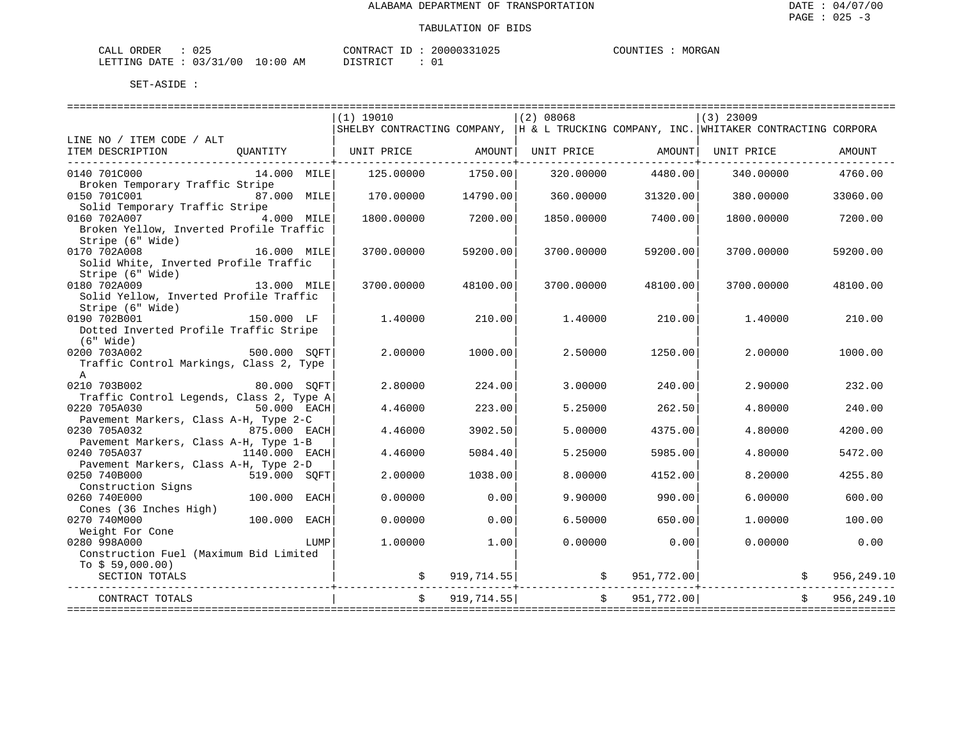| ORDER<br>CALL | $\sim$ $\sim$ $\sim$<br>∪∠⊃ |             | CONTRACT<br>$-1$ | 20000331025 | COUNTIES | MORGAN |
|---------------|-----------------------------|-------------|------------------|-------------|----------|--------|
| LETTING DATE  | : 03/31/00                  | 10:00<br>ΑM | חימת סידים דרי   |             |          |        |

| $(1)$ 19010<br>(2) 08068<br>$(3)$ 23009<br>SHELBY CONTRACTING COMPANY,  H & L TRUCKING COMPANY, INC. WHITAKER CONTRACTING CORPORA<br>LINE NO / ITEM CODE / ALT<br>  UNIT PRICE AMOUNT  UNIT PRICE AMOUNT  UNIT PRICE<br>ITEM DESCRIPTION<br>OUANTITY<br>AMOUNT |
|----------------------------------------------------------------------------------------------------------------------------------------------------------------------------------------------------------------------------------------------------------------|
|                                                                                                                                                                                                                                                                |
|                                                                                                                                                                                                                                                                |
|                                                                                                                                                                                                                                                                |
|                                                                                                                                                                                                                                                                |
|                                                                                                                                                                                                                                                                |
| 0140 701C000<br>14.000 MILE<br>1750.00<br>4480.00<br>4760.00<br>125.00000<br>320.00000<br>340.00000<br>Broken Temporary Traffic Stripe                                                                                                                         |
| 0150 701C001<br>87.000 MILE<br>170.00000<br>14790.00<br>360.00000<br>31320.00<br>380.00000<br>33060.00                                                                                                                                                         |
| Solid Temporary Traffic Stripe                                                                                                                                                                                                                                 |
| 0160 702A007<br>4.000 MILE<br>7200.00<br>1800.00000<br>1850.00000<br>7400.00<br>1800.00000<br>7200.00                                                                                                                                                          |
| Broken Yellow, Inverted Profile Traffic                                                                                                                                                                                                                        |
| Stripe (6" Wide)                                                                                                                                                                                                                                               |
| 0170 702A008<br>16.000 MILE<br>3700.00000<br>59200.00<br>3700.00000<br>59200.00<br>3700.00000<br>59200.00                                                                                                                                                      |
| Solid White, Inverted Profile Traffic                                                                                                                                                                                                                          |
| Stripe (6" Wide)                                                                                                                                                                                                                                               |
| 0180 702A009<br>13.000 MILE<br>3700.00000<br>48100.00<br>3700.00000<br>48100.00<br>3700.00000<br>48100.00                                                                                                                                                      |
| Solid Yellow, Inverted Profile Traffic                                                                                                                                                                                                                         |
| Stripe (6" Wide)                                                                                                                                                                                                                                               |
| 0190 702B001<br>150.000 LF<br>1,40000<br>210.00<br>1.40000<br>210.00<br>1,40000<br>210.00                                                                                                                                                                      |
| Dotted Inverted Profile Traffic Stripe                                                                                                                                                                                                                         |
| (6" Wide)                                                                                                                                                                                                                                                      |
| 500.000 SQFT<br>0200 703A002<br>2,00000<br>1000.00<br>2.50000<br>1250.00<br>2,00000<br>1000.00                                                                                                                                                                 |
| Traffic Control Markings, Class 2, Type                                                                                                                                                                                                                        |
| $\mathbf{A}$                                                                                                                                                                                                                                                   |
| 0210 703B002<br>2.80000<br>80.000 SOFT<br>224.00<br>3.00000<br>240.00<br>2.90000<br>232.00                                                                                                                                                                     |
| Traffic Control Legends, Class 2, Type A<br>0220 705A030<br>223.00<br>50.000 EACH<br>4.46000<br>5.25000<br>262.50<br>4.80000<br>240.00                                                                                                                         |
| Pavement Markers, Class A-H, Type 2-C                                                                                                                                                                                                                          |
| 875.000 EACH<br>4.46000<br>3902.50<br>4375.00<br>0230 705A032<br>5.00000<br>4.80000<br>4200.00                                                                                                                                                                 |
| Pavement Markers, Class A-H, Type 1-B                                                                                                                                                                                                                          |
| 0240 705A037<br>1140.000 EACH<br>4.46000<br>5084.40<br>5.25000<br>5985.00<br>4.80000<br>5472.00                                                                                                                                                                |
| Pavement Markers, Class A-H, Type 2-D                                                                                                                                                                                                                          |
| 1038.00<br>0250 740B000<br>519.000 SOFT<br>2.00000<br>8,00000<br>4152.00<br>8.20000<br>4255.80                                                                                                                                                                 |
| Construction Signs                                                                                                                                                                                                                                             |
| 0.00<br>0260 740E000<br>100.000 EACH<br>0.00000<br>9.90000<br>990.00<br>6.00000<br>600.00                                                                                                                                                                      |
| Cones (36 Inches High)                                                                                                                                                                                                                                         |
| 100.000 EACH<br>0270 740M000<br>0.00000<br>0.00<br>6.50000<br>650.00<br>1,00000<br>100.00                                                                                                                                                                      |
| Weight For Cone                                                                                                                                                                                                                                                |
| 0280 998A000<br>1,00000<br>1.00<br>0.00000<br>0.00<br>0.00000<br>0.00<br>LUMP                                                                                                                                                                                  |
| Construction Fuel (Maximum Bid Limited                                                                                                                                                                                                                         |
| To $$59,000.00)$                                                                                                                                                                                                                                               |
| $\sharp$ 919,714.55 $\sharp$ 951,772.00<br>956,249.10<br>SECTION TOTALS                                                                                                                                                                                        |
| 919,714.55<br>\$951,772.00]<br>956,249.10<br>CONTRACT TOTALS                                                                                                                                                                                                   |
|                                                                                                                                                                                                                                                                |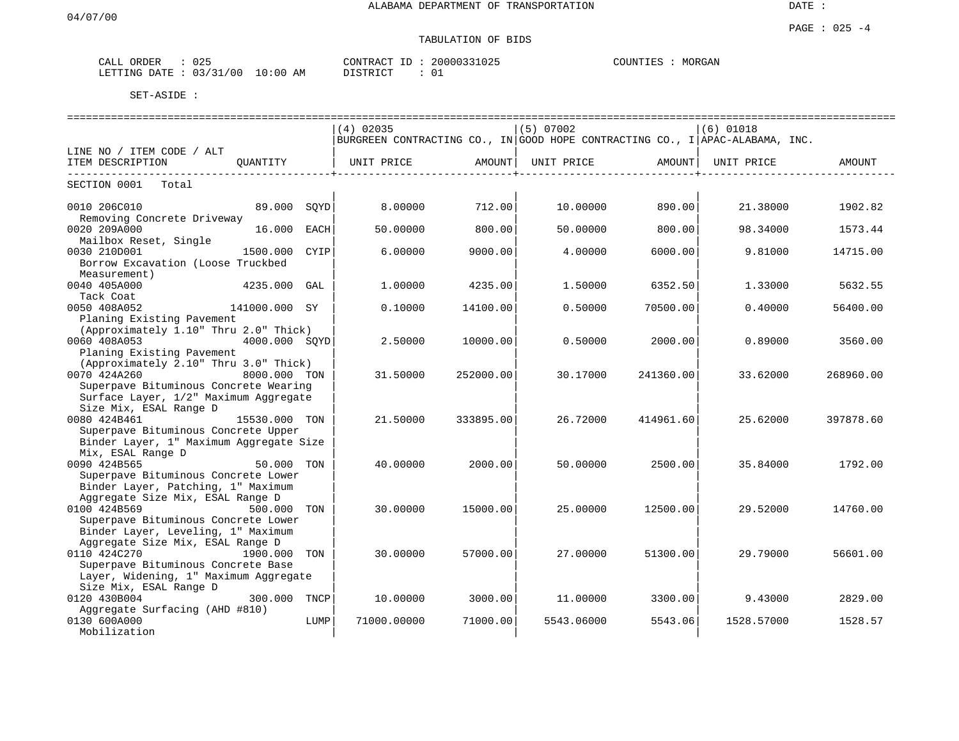### TABULATION OF BIDS

| ORDER<br>-----<br>$\cdot$ $\wedge$<br>ىلىلل | 025                                             | <b>CONTRACT</b><br>$-1$<br>CUNTINUT | 20000331025<br>1.025 | MORGAN<br>COUNTIES |
|---------------------------------------------|-------------------------------------------------|-------------------------------------|----------------------|--------------------|
| LETTING<br>DATE                             | 121<br>700<br>n 2<br>10:00<br>AМ<br>-21<br>U. 3 | DICTO ICT                           | ັບ⊥                  |                    |

|                                                                                |      | $(4)$ 02035                                                                  |           | (5) 07002  |           | $(6)$ 01018 |           |  |  |  |  |
|--------------------------------------------------------------------------------|------|------------------------------------------------------------------------------|-----------|------------|-----------|-------------|-----------|--|--|--|--|
|                                                                                |      | BURGREEN CONTRACTING CO., IN GOOD HOPE CONTRACTING CO., I APAC-ALABAMA, INC. |           |            |           |             |           |  |  |  |  |
| LINE NO / ITEM CODE / ALT                                                      |      |                                                                              |           |            |           |             |           |  |  |  |  |
| ITEM DESCRIPTION<br>OUANTITY                                                   |      | UNIT PRICE                                                                   | AMOUNT    | UNIT PRICE | AMOUNT    | UNIT PRICE  | AMOUNT    |  |  |  |  |
| SECTION 0001 Total                                                             |      |                                                                              |           |            |           |             |           |  |  |  |  |
| 0010 206C010<br>89.000 SQYD<br>Removing Concrete Driveway                      |      | 8,00000                                                                      | 712.00    | 10.00000   | 890.00    | 21.38000    | 1902.82   |  |  |  |  |
| 0020 209A000<br>16.000<br>Mailbox Reset, Single                                | EACH | 50.00000                                                                     | 800.00    | 50.00000   | 800.00    | 98.34000    | 1573.44   |  |  |  |  |
| 0030 210D001<br>1500.000 CYIP                                                  |      | 6,00000                                                                      | 9000.00   | 4.00000    | 6000.001  | 9.81000     | 14715.00  |  |  |  |  |
| Borrow Excavation (Loose Truckbed<br>Measurement)                              |      |                                                                              |           |            |           |             |           |  |  |  |  |
| 0040 405A000<br>$4235.000$ GAL                                                 |      | 1,00000                                                                      | 4235.00   | 1.50000    | 6352.50   | 1.33000     | 5632.55   |  |  |  |  |
| Tack Coat<br>0050 408A052<br>141000.000 SY                                     |      | 0.10000                                                                      | 14100.00  | 0.50000    | 70500.00  | 0.40000     | 56400.00  |  |  |  |  |
| Planing Existing Pavement<br>(Approximately 1.10" Thru 2.0" Thick)             |      |                                                                              |           |            |           |             |           |  |  |  |  |
| 0060 408A053<br>4000.000 SOYD                                                  |      | 2.50000                                                                      | 10000.00  | 0.50000    | 2000.00   | 0.89000     | 3560.00   |  |  |  |  |
| Planing Existing Pavement<br>(Approximately 2.10" Thru 3.0" Thick)             |      |                                                                              |           |            |           |             |           |  |  |  |  |
| 0070 424A260<br>8000.000 TON                                                   |      | 31.50000                                                                     | 252000.00 | 30.17000   | 241360.00 | 33.62000    | 268960.00 |  |  |  |  |
| Superpave Bituminous Concrete Wearing<br>Surface Layer, 1/2" Maximum Aggregate |      |                                                                              |           |            |           |             |           |  |  |  |  |
| Size Mix, ESAL Range D<br>0080 424B461<br>15530.000 TON                        |      | 21.50000                                                                     | 333895.00 | 26.72000   | 414961.60 | 25.62000    | 397878.60 |  |  |  |  |
| Superpave Bituminous Concrete Upper<br>Binder Layer, 1" Maximum Aggregate Size |      |                                                                              |           |            |           |             |           |  |  |  |  |
| Mix, ESAL Range D                                                              |      |                                                                              |           |            |           |             |           |  |  |  |  |
| 0090 424B565<br>50.000 TON                                                     |      | 40.00000                                                                     | 2000.00   | 50.00000   | 2500.00   | 35.84000    | 1792.00   |  |  |  |  |
| Superpave Bituminous Concrete Lower<br>Binder Layer, Patching, 1" Maximum      |      |                                                                              |           |            |           |             |           |  |  |  |  |
| Aggregate Size Mix, ESAL Range D<br>0100 424B569<br>500.000 TON                |      | 30.00000                                                                     | 15000.00  | 25.00000   | 12500.00  | 29.52000    | 14760.00  |  |  |  |  |
| Superpave Bituminous Concrete Lower                                            |      |                                                                              |           |            |           |             |           |  |  |  |  |
| Binder Layer, Leveling, 1" Maximum                                             |      |                                                                              |           |            |           |             |           |  |  |  |  |
| Aggregate Size Mix, ESAL Range D<br>0110 424C270<br>1900.000                   | TON  | 30,00000                                                                     | 57000.00  | 27.00000   | 51300.00  | 29.79000    | 56601.00  |  |  |  |  |
| Superpave Bituminous Concrete Base                                             |      |                                                                              |           |            |           |             |           |  |  |  |  |
| Layer, Widening, 1" Maximum Aggregate                                          |      |                                                                              |           |            |           |             |           |  |  |  |  |
| Size Mix, ESAL Range D                                                         |      |                                                                              |           |            |           |             |           |  |  |  |  |
| 0120 430B004<br>300.000 TNCP<br>Aggregate Surfacing (AHD #810)                 |      | 10.00000                                                                     | 3000.00   | 11,00000   | 3300.00   | 9.43000     | 2829.00   |  |  |  |  |
| 0130 600A000                                                                   | LUMP | 71000.00000                                                                  | 71000.00  | 5543.06000 | 5543.06   | 1528.57000  | 1528.57   |  |  |  |  |
| Mobilization                                                                   |      |                                                                              |           |            |           |             |           |  |  |  |  |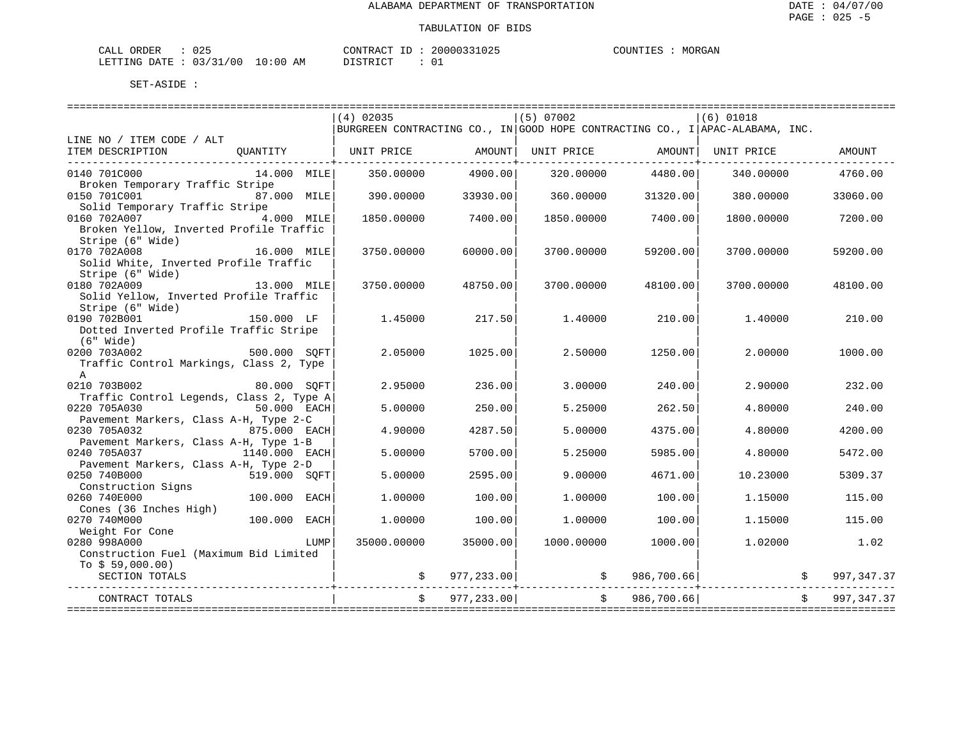| ORDER<br>CALL (               | 025 |    | CONTRACT ID  | 20000331025 | COUNTIES | MORGAN |
|-------------------------------|-----|----|--------------|-------------|----------|--------|
| LETTING DATE : 03/31/00 10:00 |     | AΜ | דת T STR דרי |             |          |        |

|                                                                       |                |      | $(4)$ 02035                                                                  |               | $(5)$ 07002                             |               | $(6)$ 01018 |                    |             |
|-----------------------------------------------------------------------|----------------|------|------------------------------------------------------------------------------|---------------|-----------------------------------------|---------------|-------------|--------------------|-------------|
|                                                                       |                |      | BURGREEN CONTRACTING CO., IN GOOD HOPE CONTRACTING CO., I APAC-ALABAMA, INC. |               |                                         |               |             |                    |             |
| LINE NO / ITEM CODE / ALT                                             |                |      |                                                                              |               |                                         |               |             |                    |             |
| ITEM DESCRIPTION                                                      |                |      | QUANTITY $\vert$ UNIT PRICE AMOUNT UNIT PRICE AMOUNT AMOUNT UNIT PRICE       |               |                                         |               |             |                    | AMOUNT      |
|                                                                       |                |      |                                                                              |               |                                         |               |             |                    |             |
| 0140 701C000                                                          | 14.000 MILE    |      | 350.00000                                                                    | 4900.00       | 320.00000                               | 4480.00       | 340.00000   |                    | 4760.00     |
| Broken Temporary Traffic Stripe<br>0150 701C001 87.000 MILE           |                |      |                                                                              |               |                                         |               |             |                    |             |
| Solid Temporary Traffic Stripe                                        |                |      | 390.00000                                                                    | 33930.00      | 360.00000                               | 31320.00      | 380.00000   |                    | 33060.00    |
| 0160 702A007                                                          | 4.000 MILE     |      | 1850.00000                                                                   | 7400.00       | 1850.00000                              | 7400.00       | 1800.00000  |                    | 7200.00     |
| Broken Yellow, Inverted Profile Traffic                               |                |      |                                                                              |               |                                         |               |             |                    |             |
| Stripe (6" Wide)                                                      |                |      |                                                                              |               |                                         |               |             |                    |             |
| 16.000 MILE<br>0170 702A008                                           |                |      | 3750.00000                                                                   | 60000.00      | 3700.00000                              | 59200.00      | 3700.00000  |                    | 59200.00    |
| Solid White, Inverted Profile Traffic                                 |                |      |                                                                              |               |                                         |               |             |                    |             |
| Stripe (6" Wide)                                                      |                |      |                                                                              |               |                                         |               |             |                    |             |
| 0180 702A009                                                          | 13.000 MILE    |      | 3750.00000                                                                   | 48750.00      | 3700.00000                              | 48100.00      | 3700.00000  |                    | 48100.00    |
| Solid Yellow, Inverted Profile Traffic                                |                |      |                                                                              |               |                                         |               |             |                    |             |
| Stripe (6" Wide)                                                      |                |      |                                                                              |               |                                         |               |             |                    |             |
| 0190 702B001                                                          | 150.000 LF     |      | 1.45000                                                                      | 217.50        | 1.40000                                 | 210.00        | 1,40000     |                    | 210.00      |
| Dotted Inverted Profile Traffic Stripe                                |                |      |                                                                              |               |                                         |               |             |                    |             |
| $(6"$ Wide)                                                           |                |      |                                                                              |               |                                         |               |             |                    |             |
| $500.000$ SQFT<br>0200 703A002                                        |                |      | 2.05000                                                                      | 1025.00       | 2.50000                                 | 1250.00       | 2,00000     |                    | 1000.00     |
| Traffic Control Markings, Class 2, Type                               |                |      |                                                                              |               |                                         |               |             |                    |             |
| $\mathsf{A}$                                                          |                |      |                                                                              |               |                                         |               |             |                    |             |
| 0210 703B002                                                          | 80.000 SOFT    |      | 2.95000                                                                      | 236.00        | 3,00000                                 | 240.00        | 2.90000     |                    | 232.00      |
| Traffic Control Legends, Class 2, Type A                              |                |      |                                                                              |               |                                         |               |             |                    |             |
| 0220 705A030                                                          | $50.000$ EACH  |      | 5.00000                                                                      | 250.00        | 5.25000                                 | 262.50        | 4.80000     |                    | 240.00      |
| Pavement Markers, Class A-H, Type 2-C<br>875.000 EACH<br>0230 705A032 |                |      | 4.90000                                                                      | 4287.50       | 5.00000                                 | 4375.00       | 4.80000     |                    | 4200.00     |
| Pavement Markers, Class A-H, Type 1-B                                 |                |      |                                                                              |               |                                         |               |             |                    |             |
| 0240 705A037                                                          | 1140.000 EACH  |      | 5,00000                                                                      | 5700.00       | 5.25000                                 | 5985.00       | 4.80000     |                    | 5472.00     |
| Pavement Markers, Class A-H, Type 2-D                                 |                |      |                                                                              |               |                                         |               |             |                    |             |
| 0250 740B000                                                          | 519.000 SOFT   |      | 5,00000                                                                      | 2595.00       | 9,00000                                 | 4671.00       | 10.23000    |                    | 5309.37     |
| Construction Signs                                                    |                |      |                                                                              |               |                                         |               |             |                    |             |
| 0260 740E000                                                          | $100.000$ EACH |      | 1,00000                                                                      | 100.00        | 1,00000                                 | 100.00        | 1.15000     |                    | 115.00      |
| Cones (36 Inches High)                                                |                |      |                                                                              |               |                                         |               |             |                    |             |
| 0270 740M000                                                          | 100.000 EACH   |      | 1,00000                                                                      | 100.00        | 1,00000                                 | 100.00        | 1.15000     |                    | 115.00      |
| Weight For Cone<br>200 002000                                         |                |      |                                                                              |               |                                         |               |             |                    |             |
| 0280 998A000                                                          |                | LUMP | 35000.00000                                                                  | 35000.00      | 1000.00000                              | 1000.00       | 1.02000     |                    | 1.02        |
| Construction Fuel (Maximum Bid Limited                                |                |      |                                                                              |               |                                         |               |             |                    |             |
| To $$59,000.00)$                                                      |                |      |                                                                              |               |                                         |               |             |                    |             |
| SECTION TOTALS                                                        |                |      |                                                                              |               | $\sharp$ 977,233.00 $\sharp$ 986,700.66 |               |             | $\ddot{s}$         | 997, 347.37 |
|                                                                       |                |      |                                                                              | \$977, 233.00 |                                         | \$986,700.66] |             | $\dot{\mathbf{S}}$ | 997, 347.37 |
| CONTRACT TOTALS                                                       |                |      |                                                                              |               |                                         |               |             |                    |             |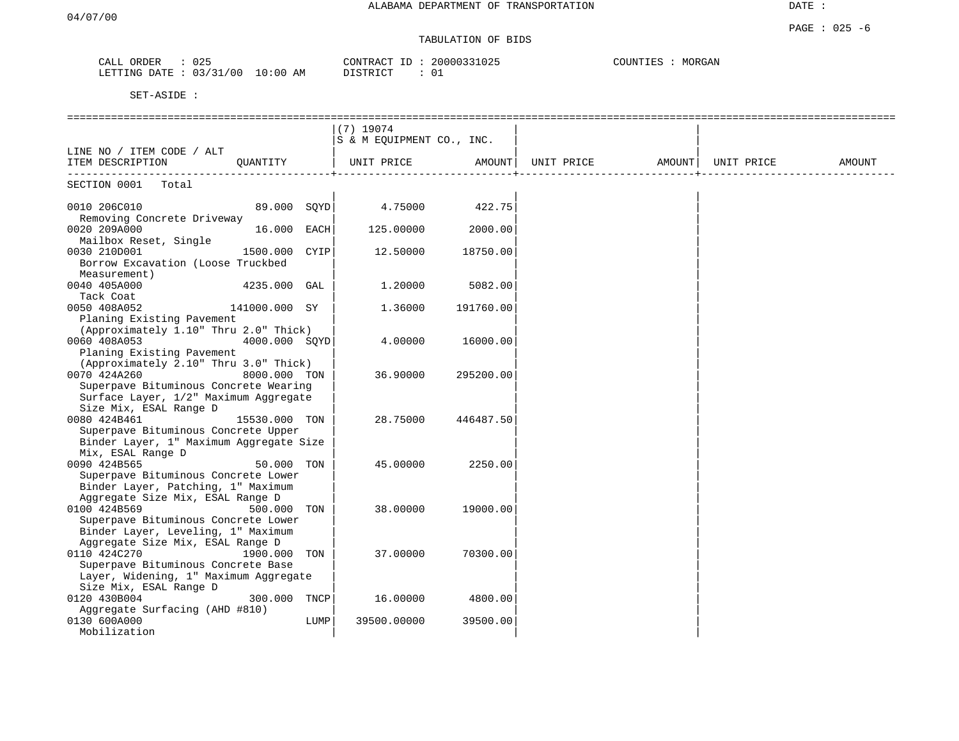## TABULATION OF BIDS

| ORDER<br>CALL  | 025        |            | CONTRACT ID: | 20000331025 | MORGAN<br>COUNTIES |
|----------------|------------|------------|--------------|-------------|--------------------|
| LETTING DATE : | : 03/31/00 | $10:00$ AM | DISTRICT     | 01          |                    |

|                                                                                |               |      | $(7)$ 19074<br>S & M EQUIPMENT CO., INC. |           |                                |  |        |
|--------------------------------------------------------------------------------|---------------|------|------------------------------------------|-----------|--------------------------------|--|--------|
| LINE NO / ITEM CODE / ALT                                                      |               |      |                                          |           |                                |  |        |
| ITEM DESCRIPTION                                                               | OUANTITY      |      | UNIT PRICE                               | AMOUNT    | UNIT PRICE AMOUNT   UNIT PRICE |  | AMOUNT |
| SECTION 0001<br>Total                                                          |               |      |                                          |           |                                |  |        |
| 0010 206C010<br>Removing Concrete Driveway                                     | 89.000 SOYD   |      | 4.75000                                  | 422.75    |                                |  |        |
| 0020 209A000<br>Mailbox Reset, Single                                          | 16.000 EACH   |      | 125.00000                                | 2000.00   |                                |  |        |
| 0030 210D001                                                                   | 1500.000      | CYIP | 12.50000                                 | 18750.00  |                                |  |        |
| Borrow Excavation (Loose Truckbed<br>Measurement)                              |               |      |                                          |           |                                |  |        |
| 0040 405A000                                                                   | 4235.000 GAL  |      | 1,20000                                  | 5082.00   |                                |  |        |
| Tack Coat<br>0050 408A052                                                      | 141000.000 SY |      | 1.36000                                  | 191760.00 |                                |  |        |
| Planing Existing Pavement                                                      |               |      |                                          |           |                                |  |        |
| (Approximately 1.10" Thru 2.0" Thick)<br>0060 408A053                          | 4000.000 SOYD |      | 4.00000                                  | 16000.00  |                                |  |        |
| Planing Existing Pavement                                                      |               |      |                                          |           |                                |  |        |
| (Approximately 2.10" Thru 3.0" Thick)<br>0070 424A260                          | 8000.000 TON  |      | 36.90000                                 | 295200.00 |                                |  |        |
| Superpave Bituminous Concrete Wearing<br>Surface Layer, 1/2" Maximum Aggregate |               |      |                                          |           |                                |  |        |
| Size Mix, ESAL Range D                                                         |               |      |                                          |           |                                |  |        |
| 0080 424B461                                                                   | 15530.000 TON |      | 28.75000                                 | 446487.50 |                                |  |        |
| Superpave Bituminous Concrete Upper                                            |               |      |                                          |           |                                |  |        |
| Binder Layer, 1" Maximum Aggregate Size<br>Mix, ESAL Range D                   |               |      |                                          |           |                                |  |        |
| 0090 424B565                                                                   | 50.000 TON    |      | 45.00000                                 | 2250.00   |                                |  |        |
| Superpave Bituminous Concrete Lower                                            |               |      |                                          |           |                                |  |        |
| Binder Layer, Patching, 1" Maximum<br>Aggregate Size Mix, ESAL Range D         |               |      |                                          |           |                                |  |        |
| 0100 424B569                                                                   | 500.000       | TON  | 38.00000                                 | 19000.00  |                                |  |        |
| Superpave Bituminous Concrete Lower                                            |               |      |                                          |           |                                |  |        |
| Binder Layer, Leveling, 1" Maximum<br>Aggregate Size Mix, ESAL Range D         |               |      |                                          |           |                                |  |        |
| 0110 424C270                                                                   | 1900.000      | TON  | 37.00000                                 | 70300.00  |                                |  |        |
| Superpave Bituminous Concrete Base                                             |               |      |                                          |           |                                |  |        |
| Layer, Widening, 1" Maximum Aggregate                                          |               |      |                                          |           |                                |  |        |
| Size Mix, ESAL Range D<br>0120 430B004                                         | 300.000       | TNCP | 16.00000                                 | 4800.00   |                                |  |        |
| Aggregate Surfacing (AHD #810)                                                 |               |      |                                          |           |                                |  |        |
| 0130 600A000                                                                   |               | LUMP | 39500.00000                              | 39500.00  |                                |  |        |
| Mobilization                                                                   |               |      |                                          |           |                                |  |        |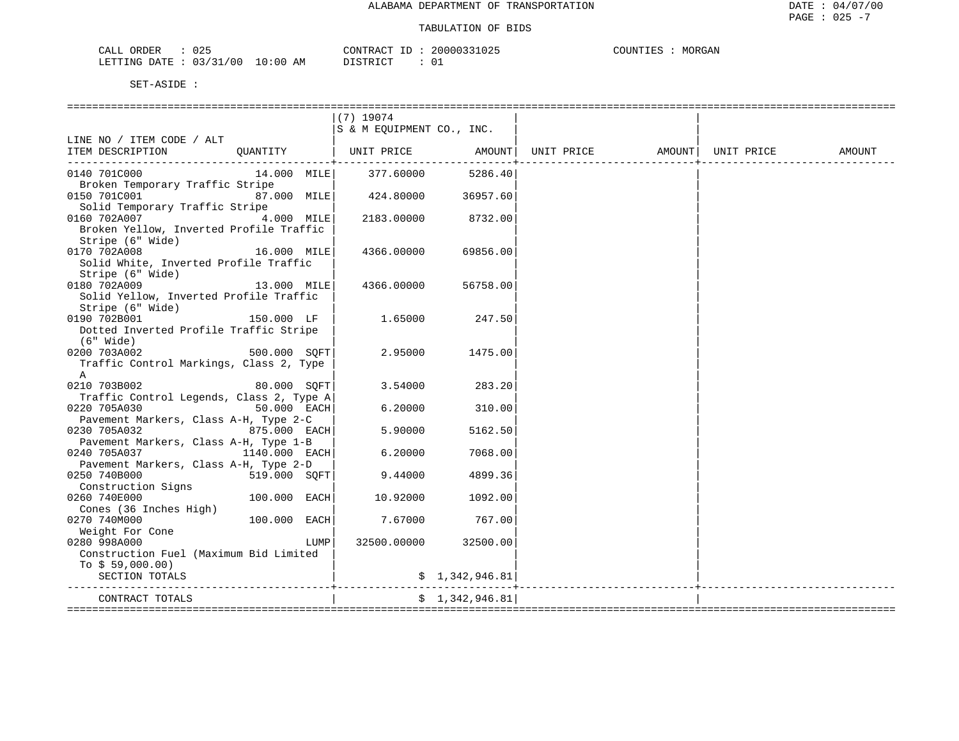| CALL ORDER<br>025                |          | CONTRACT ID: 20000331025 | MORGAN<br>COUNTIES |
|----------------------------------|----------|--------------------------|--------------------|
| LETTING DATE : 03/31/00 10:00 AM | DISTRICT |                          |                    |

|                                                                              |                 |      | $(7)$ 19074                       |                      |  |        |
|------------------------------------------------------------------------------|-----------------|------|-----------------------------------|----------------------|--|--------|
|                                                                              |                 |      | S & M EOUIPMENT CO., INC.         |                      |  |        |
| LINE NO / ITEM CODE / ALT                                                    |                 |      |                                   |                      |  |        |
| ITEM DESCRIPTION QUANTITY   UNIT PRICE AMOUNT  UNIT PRICE AMOUNT  UNIT PRICE |                 |      |                                   |                      |  | AMOUNT |
|                                                                              |                 |      |                                   |                      |  |        |
| 0140 701C000<br>Broken Temporary Traffic Stripe                              |                 |      | 14.000 MILE 377.60000             | 5286.40              |  |        |
| 0150 701C001                                                                 | 87.000 MILE     |      | 424.80000 36957.60                |                      |  |        |
| Solid Temporary Traffic Stripe                                               |                 |      |                                   |                      |  |        |
| 0160 702A007                                                                 | 4.000 MILE      |      |                                   | 2183.00000 8732.00   |  |        |
| Broken Yellow, Inverted Profile Traffic                                      |                 |      |                                   |                      |  |        |
| Stripe (6" Wide)                                                             |                 |      |                                   |                      |  |        |
| 0170 702A008                                                                 | 16.000 MILE     |      | 4366.00000                        | 69856.00             |  |        |
| Solid White, Inverted Profile Traffic                                        |                 |      |                                   |                      |  |        |
| Stripe (6" Wide)                                                             |                 |      |                                   |                      |  |        |
| 0180 702A009                                                                 | 13.000 MILE     |      | 4366.00000                        | 56758.00             |  |        |
| Solid Yellow, Inverted Profile Traffic                                       |                 |      |                                   |                      |  |        |
| Stripe (6" Wide)                                                             |                 |      |                                   |                      |  |        |
| 0190 702B001                                                                 | 150.000 LF      |      | 1.65000                           | 247.50               |  |        |
| Dotted Inverted Profile Traffic Stripe                                       |                 |      |                                   |                      |  |        |
| (6" Wide)                                                                    |                 |      |                                   |                      |  |        |
| 0200 703A002                                                                 | $500.000$ SQFT  |      | 2.95000                           | 1475.00              |  |        |
| Traffic Control Markings, Class 2, Type                                      |                 |      |                                   |                      |  |        |
| $\mathbb A$                                                                  |                 |      |                                   |                      |  |        |
| 0210 703B002                                                                 | 80.000 SOFT     |      | 3.54000                           | 283.20               |  |        |
| Traffic Control Legends, Class 2, Type A                                     |                 |      |                                   |                      |  |        |
| 0220 705A030                                                                 | $50.000$ EACH   |      | 6.20000                           | 310.00               |  |        |
| Pavement Markers, Class A-H, Type 2-C                                        |                 |      |                                   |                      |  |        |
| $875.000$ EACH<br>0230 705A032                                               |                 |      | 5.90000                           | 5162.50              |  |        |
| Pavement Markers, Class A-H, Type 1-B                                        |                 |      |                                   |                      |  |        |
| 0240 705A037<br>Pavement Markers, Class A-H, Type 2-D                        | $1140.000$ EACH |      | 6.20000                           | 7068.00              |  |        |
| 0250 740B000                                                                 | 519.000 SQFT    |      | 9.44000                           | 4899.36              |  |        |
| Construction Signs                                                           |                 |      |                                   |                      |  |        |
| 0260 740E000                                                                 | $100.000$ EACH  |      | 10.92000                          | 1092.00              |  |        |
| Cones (36 Inches High)                                                       |                 |      |                                   |                      |  |        |
| 0270 740M000                                                                 | $100.000$ EACH  |      | 7.67000                           | 767.001              |  |        |
| Weight For Cone<br>200 0000000                                               |                 |      |                                   |                      |  |        |
| 0280 998A000                                                                 |                 | LUMP |                                   | 32500.00000 32500.00 |  |        |
| Construction Fuel (Maximum Bid Limited                                       |                 |      |                                   |                      |  |        |
| To $$59,000.00)$                                                             |                 |      |                                   |                      |  |        |
| SECTION TOTALS                                                               |                 |      |                                   | \$1,342,946.81       |  |        |
|                                                                              |                 |      | -------------------+------------- |                      |  |        |
| CONTRACT TOTALS                                                              |                 |      |                                   | \$1,342,946.81]      |  |        |
|                                                                              |                 |      |                                   |                      |  |        |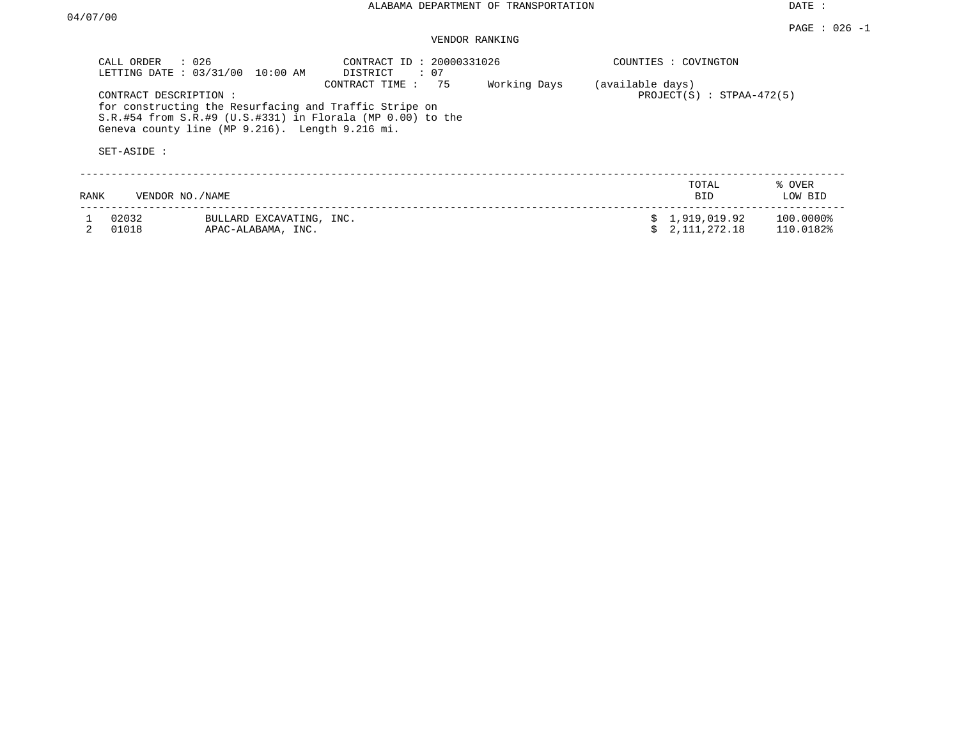## VENDOR RANKING

|      | CALL ORDER<br>$\therefore$ 026<br>LETTING DATE: 03/31/00 | 10:00 AM                                                                                                  | CONTRACT ID: 20000331026<br>DISTRICT<br>: 07                                             |              |                  | COUNTIES : COVINGTON           |                        |
|------|----------------------------------------------------------|-----------------------------------------------------------------------------------------------------------|------------------------------------------------------------------------------------------|--------------|------------------|--------------------------------|------------------------|
|      | CONTRACT DESCRIPTION:<br>SET-ASIDE :                     | for constructing the Resurfacing and Traffic Stripe on<br>Geneva county line (MP 9.216). Length 9.216 mi. | CONTRACT TIME:<br>75<br>$S.R.$ #54 from $S.R.$ #9 (U.S.#331) in Florala (MP 0.00) to the | Working Days | (available days) | $PROJECT(S)$ : STPAA-472(5)    |                        |
| RANK | VENDOR NO./NAME                                          |                                                                                                           |                                                                                          |              |                  | TOTAL<br><b>BID</b>            | % OVER<br>LOW BID      |
|      | 02032<br>01018                                           | BULLARD EXCAVATING, INC.<br>APAC-ALABAMA, INC.                                                            |                                                                                          |              |                  | \$1,919,019.92<br>2,111,272.18 | 100.0000%<br>110.0182% |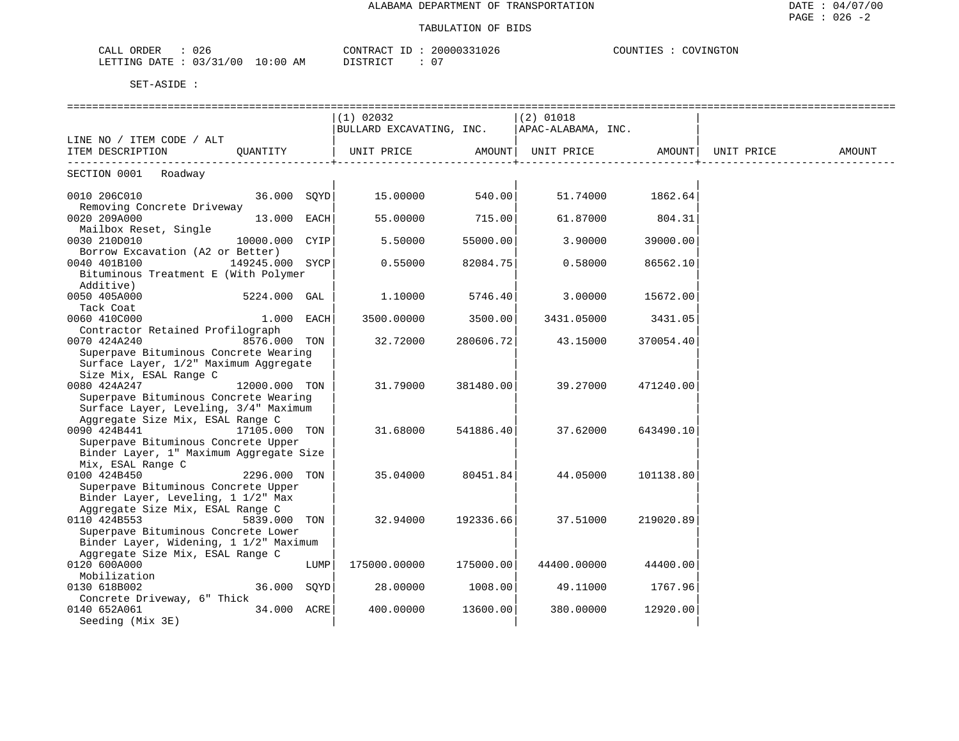### TABULATION OF BIDS

| $\sim$ $\sim$<br>CALL<br>JRDER<br>026      |               | CONTRACT              | CONNAS CO<br>$U \angle 5$ | <b>NGTON</b><br>COTINTTT<br>∍רר<br>. 1157<br>∸∽∽ |
|--------------------------------------------|---------------|-----------------------|---------------------------|--------------------------------------------------|
| /31/00<br>LETTING<br>ר πיר ב<br>(137)<br>ັ | LO : 00<br>ΆM | $T$ $C1$<br>. סידפ דח | . 0                       |                                                  |

|                                         |                 |      | $(1)$ 02032                                                                 |           | $(2)$ 01018 |           |            |        |
|-----------------------------------------|-----------------|------|-----------------------------------------------------------------------------|-----------|-------------|-----------|------------|--------|
|                                         |                 |      | BULLARD EXCAVATING, INC.   APAC-ALABAMA, INC.                               |           |             |           |            |        |
| LINE NO / ITEM CODE / ALT               |                 |      |                                                                             |           |             |           |            |        |
| ITEM DESCRIPTION                        | OUANTITY        |      | UNIT PRICE                  AMOUNT     UNIT PRICE                    AMOUNT |           |             |           | UNIT PRICE | AMOUNT |
|                                         |                 |      |                                                                             |           |             |           |            |        |
| SECTION 0001 Roadway                    |                 |      |                                                                             |           |             |           |            |        |
| 0010 206C010                            | 36.000 SOYD     |      | 15.00000                                                                    | 540.00    | 51.74000    | 1862.64   |            |        |
| Removing Concrete Driveway              |                 |      |                                                                             |           |             |           |            |        |
| 0020 209A000                            | 13.000 EACH     |      | 55.00000                                                                    | 715.00    | 61.87000    | 804.31    |            |        |
| Mailbox Reset, Single                   |                 |      |                                                                             |           |             |           |            |        |
| 0030 210D010                            | 10000.000 CYIP  |      | 5.50000                                                                     | 55000.00  | 3.90000     | 39000.00  |            |        |
| Borrow Excavation (A2 or Better)        |                 |      |                                                                             |           |             |           |            |        |
| 0040 401B100                            | 149245.000 SYCP |      | 0.55000                                                                     | 82084.75  | 0.58000     | 86562.10  |            |        |
| Bituminous Treatment E (With Polymer    |                 |      |                                                                             |           |             |           |            |        |
| Additive)                               |                 |      |                                                                             |           |             |           |            |        |
| 0050 405A000                            | 5224.000 GAL    |      | 1,10000                                                                     | 5746.40   | 3.00000     | 15672.00  |            |        |
| Tack Coat                               |                 |      |                                                                             |           |             |           |            |        |
| 0060 410C000                            | $1.000$ EACH    |      | 3500.00000                                                                  | 3500.00   | 3431.05000  | 3431.05   |            |        |
| Contractor Retained Profilograph        |                 |      |                                                                             |           |             |           |            |        |
| 0070 424A240                            | 8576.000 TON    |      | 32.72000                                                                    | 280606.72 | 43.15000    | 370054.40 |            |        |
| Superpave Bituminous Concrete Wearing   |                 |      |                                                                             |           |             |           |            |        |
| Surface Layer, 1/2" Maximum Aggregate   |                 |      |                                                                             |           |             |           |            |        |
| Size Mix, ESAL Range C                  |                 |      |                                                                             |           |             |           |            |        |
| 0080 424A247                            | 12000.000 TON   |      | 31.79000                                                                    | 381480.00 | 39.27000    | 471240.00 |            |        |
| Superpave Bituminous Concrete Wearing   |                 |      |                                                                             |           |             |           |            |        |
| Surface Layer, Leveling, 3/4" Maximum   |                 |      |                                                                             |           |             |           |            |        |
| Aggregate Size Mix, ESAL Range C        |                 |      |                                                                             |           |             |           |            |        |
| 0090 424B441                            | 17105.000 TON   |      | 31.68000                                                                    | 541886.40 | 37.62000    | 643490.10 |            |        |
| Superpave Bituminous Concrete Upper     |                 |      |                                                                             |           |             |           |            |        |
| Binder Layer, 1" Maximum Aggregate Size |                 |      |                                                                             |           |             |           |            |        |
| Mix, ESAL Range C                       |                 |      |                                                                             |           |             |           |            |        |
| 0100 424B450                            | 2296.000 TON    |      | 35.04000                                                                    | 80451.84  | 44.05000    | 101138.80 |            |        |
| Superpave Bituminous Concrete Upper     |                 |      |                                                                             |           |             |           |            |        |
| Binder Layer, Leveling, 1 1/2" Max      |                 |      |                                                                             |           |             |           |            |        |
| Aggregate Size Mix, ESAL Range C        |                 |      |                                                                             |           |             |           |            |        |
| 0110 424B553                            | 5839.000 TON    |      | 32.94000                                                                    | 192336.66 | 37.51000    | 219020.89 |            |        |
| Superpave Bituminous Concrete Lower     |                 |      |                                                                             |           |             |           |            |        |
| Binder Layer, Widening, 1 1/2" Maximum  |                 |      |                                                                             |           |             |           |            |        |
| Aggregate Size Mix, ESAL Range C        |                 |      |                                                                             |           |             |           |            |        |
| 0120 600A000                            |                 | LUMP | 175000.00000                                                                | 175000.00 | 44400.00000 | 44400.00  |            |        |
| Mobilization                            |                 |      |                                                                             |           |             |           |            |        |
| 0130 618B002                            | 36.000 SQYD     |      | 28.00000                                                                    | 1008.00   | 49.11000    | 1767.96   |            |        |
| Concrete Driveway, 6" Thick             |                 |      |                                                                             |           |             |           |            |        |
| 0140 652A061                            | 34.000 ACRE     |      | 400.00000                                                                   | 13600.00  | 380.00000   | 12920.00  |            |        |
| Seeding (Mix 3E)                        |                 |      |                                                                             |           |             |           |            |        |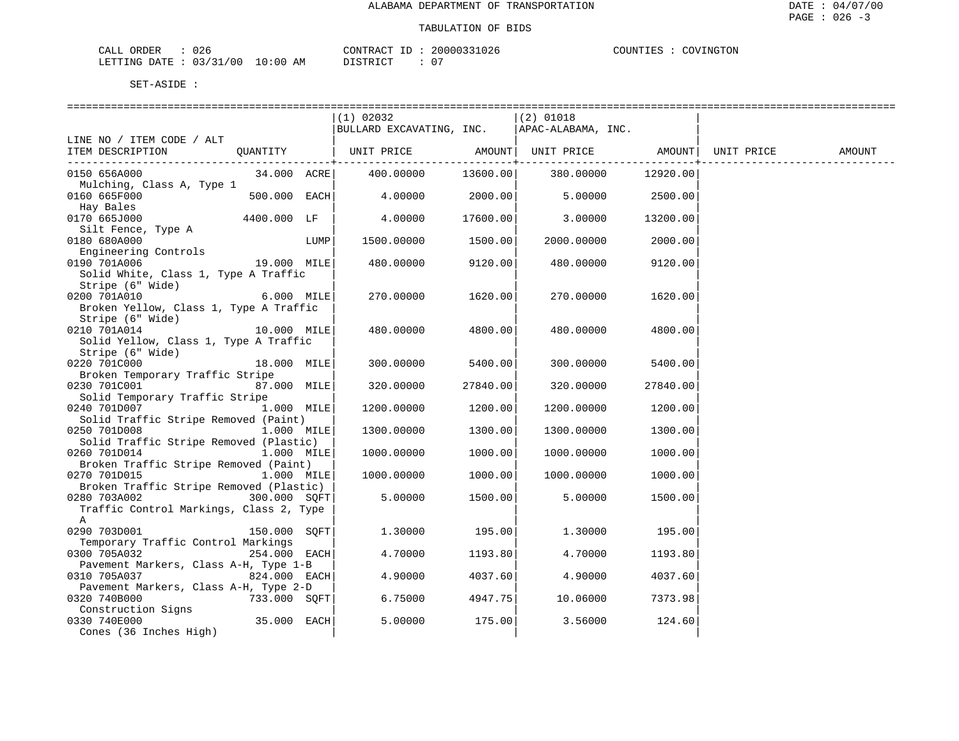| ORDER<br>CALL (<br>026         |          | CONTRACT<br>ID | 20000331026 | COVINGTON<br>COUNTIES |
|--------------------------------|----------|----------------|-------------|-----------------------|
| : 03/31/00<br>LETTING DATE : 7 | 10:00 AM | TSTRICT<br>.   |             |                       |

|                                                                             | $(1)$ 02032<br>BULLARD EXCAVATING, INC. |          | $(2)$ 01018<br>APAC-ALABAMA, INC. |                                         |            |        |
|-----------------------------------------------------------------------------|-----------------------------------------|----------|-----------------------------------|-----------------------------------------|------------|--------|
| LINE NO / ITEM CODE / ALT                                                   |                                         |          |                                   |                                         |            |        |
| OUANTITY<br>ITEM DESCRIPTION                                                | UNIT PRICE                              |          | AMOUNT UNIT PRICE                 | AMOUNT  <br>. _ _ _ _ _ _ _ _ _ _ _ _ _ | UNIT PRICE | AMOUNT |
| 34.000 ACRE<br>0150 656A000<br>Mulching, Class A, Type 1                    | 400.00000                               | 13600.00 | 380.00000                         | 12920.00                                |            |        |
| $500.000$ EACH<br>0160 665F000                                              | 4.00000                                 | 2000.00  | 5.00000                           | 2500.00                                 |            |        |
| Hay Bales<br>0170 665J000<br>4400.000 LF                                    | 4.00000                                 | 17600.00 | 3,00000                           | 13200.00                                |            |        |
| Silt Fence, Type A<br>0180 680A000<br>LUMP                                  | 1500.00000                              | 1500.00  | 2000.00000                        | 2000.00                                 |            |        |
| Engineering Controls<br>0190 701A006<br>19.000 MILE                         | 480.00000                               | 9120.00  | 480.00000                         | 9120.00                                 |            |        |
| Solid White, Class 1, Type A Traffic<br>Stripe (6" Wide)                    |                                         |          |                                   |                                         |            |        |
| 0200 701A010<br>6.000 MILE<br>Broken Yellow, Class 1, Type A Traffic        | 270.00000                               | 1620.00  | 270.00000                         | 1620.00                                 |            |        |
| Stripe (6" Wide)<br>0210 701A014<br>10.000 MILE                             | 480.00000                               | 4800.00  | 480.00000                         | 4800.00                                 |            |        |
| Solid Yellow, Class 1, Type A Traffic<br>Stripe (6" Wide)                   |                                         |          |                                   |                                         |            |        |
| 0220 701C000<br>18.000 MILE                                                 | 300.00000                               | 5400.00  | 300.00000                         | 5400.00                                 |            |        |
| Broken Temporary Traffic Stripe<br>0230 701C001<br>87.000 MILE              | 320.00000                               | 27840.00 | 320.00000                         | 27840.00                                |            |        |
| Solid Temporary Traffic Stripe<br>0240 701D007<br>$1.000$ MILE              | 1200.00000                              | 1200.00  | 1200.00000                        | 1200.00                                 |            |        |
| Solid Traffic Stripe Removed (Paint)<br>0250 701D008<br>$1.000$ MILE        | 1300.00000                              | 1300.00  | 1300.00000                        | 1300.00                                 |            |        |
| Solid Traffic Stripe Removed (Plastic)<br>0260 701D014<br>$1.000$ MILE      | 1000.00000                              | 1000.00  | 1000.00000                        | 1000.00                                 |            |        |
| Broken Traffic Stripe Removed (Paint)<br>0270 701D015<br>$1.000$ MILE       | 1000.00000                              | 1000.00  | 1000.00000                        | 1000.00                                 |            |        |
| Broken Traffic Stripe Removed (Plastic)<br>0280 703A002<br>300.000 SQFT     | 5.00000                                 | 1500.00  | 5.00000                           | 1500.00                                 |            |        |
| Traffic Control Markings, Class 2, Type<br>Α                                |                                         |          |                                   |                                         |            |        |
| 0290 703D001<br>150.000 SOFT                                                | 1.30000                                 | 195.00   | 1,30000                           | 195.00                                  |            |        |
| Temporary Traffic Control Markings<br>0300 705A032<br>254.000 EACH          | 4.70000                                 | 1193.80  | 4.70000                           | 1193.80                                 |            |        |
| Pavement Markers, Class A-H, Type 1-B<br>$824.000$ EACH<br>0310 705A037     | 4.90000                                 | 4037.60  | 4.90000                           | 4037.60                                 |            |        |
| Pavement Markers, Class A-H, Type 2-D<br>0320 740B000<br>733.000 SOFT       | 6.75000                                 | 4947.75  | 10.06000                          | 7373.98                                 |            |        |
| Construction Signs<br>35.000 EACH<br>0330 740E000<br>Cones (36 Inches High) | 5.00000                                 | 175.00   | 3.56000                           | 124.60                                  |            |        |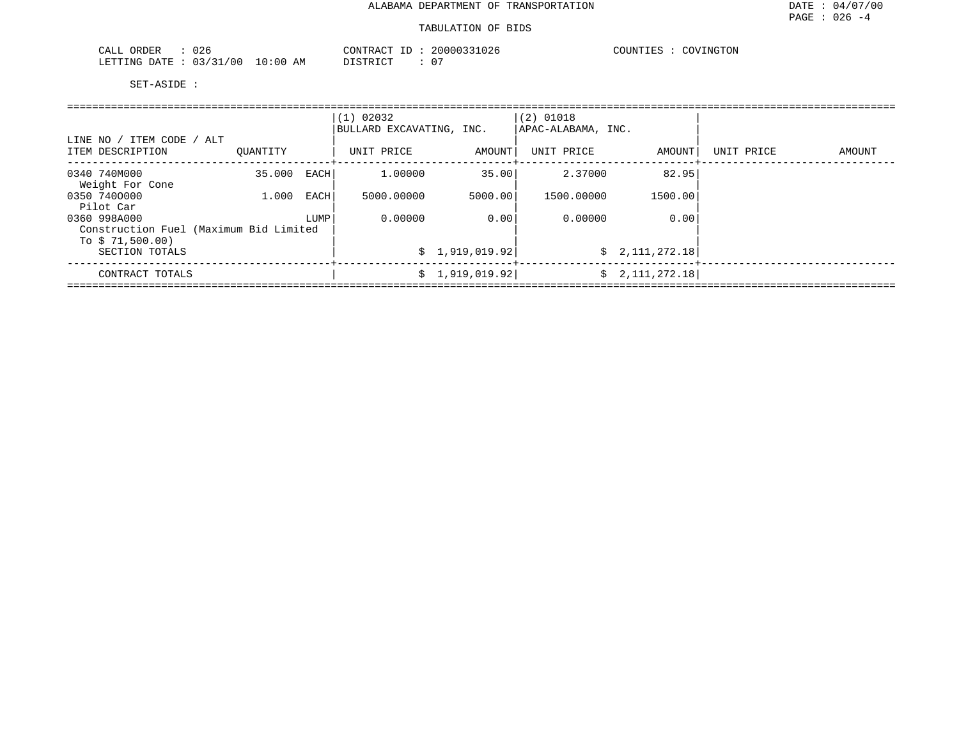| $\cap$<br>ORDER<br>CALL<br>UZ6         |                          | CONTRACT<br>$-1$ | 026<br>2000033<br>. | COVINGTON<br>$\mathsf{A}\cap$<br>COUNTIES : |
|----------------------------------------|--------------------------|------------------|---------------------|---------------------------------------------|
| 03.<br>00 '<br>מתדיחים<br>RATE.<br>-21 | 10:00<br>AΜ<br><b>UU</b> | DI STR TOT       | $\sim$ $\sim$<br>ັບ |                                             |

|                                                            |          |      | $(1)$ 02032<br>BULLARD EXCAVATING, INC. |                 | $(2)$ 01018<br>APAC-ALABAMA, INC. |                 |            |        |
|------------------------------------------------------------|----------|------|-----------------------------------------|-----------------|-----------------------------------|-----------------|------------|--------|
| LINE NO / ITEM CODE / ALT<br>ITEM DESCRIPTION              | OUANTITY |      | UNIT PRICE                              | AMOUNT          | UNIT PRICE                        | AMOUNT          | UNIT PRICE | AMOUNT |
| 0340 740M000<br>Weight For Cone                            | 35.000   | EACH | 1,00000                                 | 35.00           | 2.37000                           | 82.95           |            |        |
| 0350 7400000<br>Pilot Car                                  | 1,000    | EACH | 5000.00000                              | 5000.00         | 1500.00000                        | 1500.00         |            |        |
| 0360 998A000                                               |          | LUMP | 0.00000                                 | 0.00            | 0.00000                           | 0.00            |            |        |
| Construction Fuel (Maximum Bid Limited<br>To $$71,500.00)$ |          |      |                                         |                 |                                   |                 |            |        |
| SECTION TOTALS                                             |          |      |                                         | \$1,919,019.92] |                                   | \$2,111,272.18] |            |        |
| CONTRACT TOTALS                                            |          |      |                                         | \$1,919,019.92] |                                   | \$2,111,272.18] |            |        |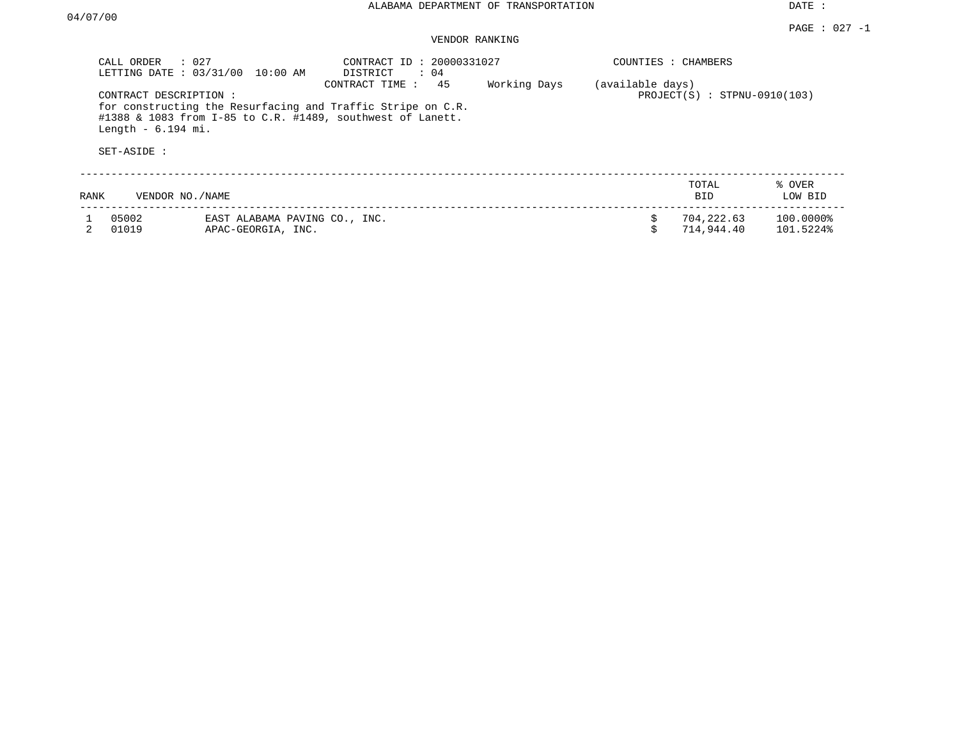| CALL ORDER                                                                                                                                                                                                                       | : 027<br>LETTING DATE: 03/31/00<br>10:00 AM         | CONTRACT ID: 20000331027<br>DISTRICT<br>$\therefore$ 04 |  | COUNTIES : CHAMBERS |                                                    |                        |  |
|----------------------------------------------------------------------------------------------------------------------------------------------------------------------------------------------------------------------------------|-----------------------------------------------------|---------------------------------------------------------|--|---------------------|----------------------------------------------------|------------------------|--|
| 45<br>Working Days<br>CONTRACT TIME:<br>CONTRACT DESCRIPTION:<br>for constructing the Resurfacing and Traffic Stripe on C.R.<br>#1388 & 1083 from I-85 to C.R. #1489, southwest of Lanett.<br>Length $-6.194$ mi.<br>SET-ASIDE : |                                                     |                                                         |  |                     | (available days)<br>$PROJECT(S)$ : STPNU-0910(103) |                        |  |
| RANK                                                                                                                                                                                                                             | VENDOR NO./NAME                                     |                                                         |  |                     | TOTAL<br><b>BID</b>                                | % OVER<br>LOW BID      |  |
| 05002<br>01019                                                                                                                                                                                                                   | EAST ALABAMA PAVING CO., INC.<br>APAC-GEORGIA, INC. |                                                         |  | \$                  | 704,222.63<br>714,944.40                           | 100.0000%<br>101.5224% |  |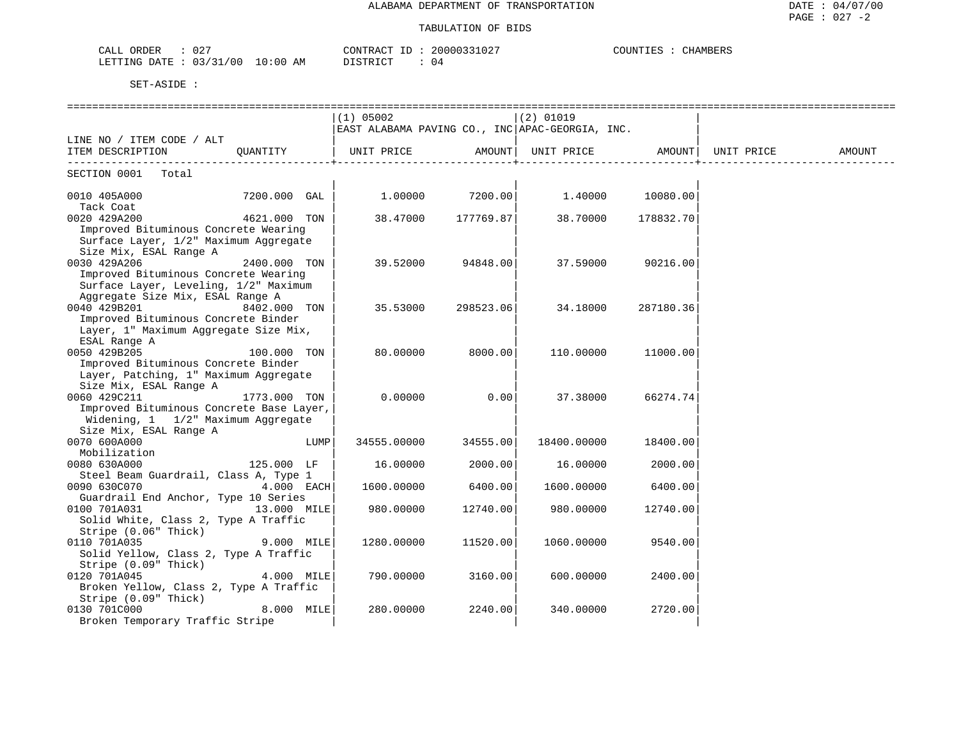### TABULATION OF BIDS

| $\cap$ $\cap$<br>ORDER<br>$\sim$ $\sim$ $\sim$ $\sim$<br>ىلىلەت<br>UZ. |            | CONTRACT                  | 20000331027 | CHAMBERS<br>COUNTIES |
|------------------------------------------------------------------------|------------|---------------------------|-------------|----------------------|
| 03/31/00<br>LETTING DATE                                               | $10:00$ AM | חימ דפידי או<br>--------- | U 4         |                      |

|                                          |              |      | $(1)$ 05002                                     |           | $(2)$ 01019 |           |        |
|------------------------------------------|--------------|------|-------------------------------------------------|-----------|-------------|-----------|--------|
|                                          |              |      | EAST ALABAMA PAVING CO., INC APAC-GEORGIA, INC. |           |             |           |        |
| LINE NO / ITEM CODE / ALT                |              |      |                                                 |           |             |           |        |
| ITEM DESCRIPTION OUANTITY                |              |      |                                                 |           |             |           | AMOUNT |
| SECTION 0001<br>Total                    |              |      |                                                 |           |             |           |        |
|                                          |              |      |                                                 |           |             |           |        |
| 0010 405A000                             | 7200.000 GAL |      | 1,00000                                         | 7200.00   | 1.40000     | 10080.00  |        |
| Tack Coat<br>0020 429A200                | 4621.000 TON |      | 38.47000                                        | 177769.87 | 38.70000    | 178832.70 |        |
| Improved Bituminous Concrete Wearing     |              |      |                                                 |           |             |           |        |
| Surface Layer, 1/2" Maximum Aggregate    |              |      |                                                 |           |             |           |        |
| Size Mix, ESAL Range A                   |              |      |                                                 |           |             |           |        |
| 0030 429A206                             | 2400.000 TON |      | 39.52000                                        | 94848.00  | 37.59000    | 90216.00  |        |
| Improved Bituminous Concrete Wearing     |              |      |                                                 |           |             |           |        |
| Surface Layer, Leveling, 1/2" Maximum    |              |      |                                                 |           |             |           |        |
| Aggregate Size Mix, ESAL Range A         |              |      |                                                 |           |             |           |        |
| 0040 429B201                             | 8402.000 TON |      | 35.53000                                        | 298523.06 | 34.18000    | 287180.36 |        |
| Improved Bituminous Concrete Binder      |              |      |                                                 |           |             |           |        |
| Layer, 1" Maximum Aggregate Size Mix,    |              |      |                                                 |           |             |           |        |
| ESAL Range A                             |              |      |                                                 |           |             |           |        |
| 0050 429B205                             | 100.000 TON  |      | 80.00000                                        | 8000.00   | 110.00000   | 11000.00  |        |
| Improved Bituminous Concrete Binder      |              |      |                                                 |           |             |           |        |
| Layer, Patching, 1" Maximum Aggregate    |              |      |                                                 |           |             |           |        |
| Size Mix, ESAL Range A                   |              |      |                                                 |           |             |           |        |
| 0060 429C211                             | 1773.000 TON |      | 0.00000                                         | 0.00      | 37.38000    | 66274.74  |        |
| Improved Bituminous Concrete Base Layer, |              |      |                                                 |           |             |           |        |
| Widening, 1 1/2" Maximum Aggregate       |              |      |                                                 |           |             |           |        |
| Size Mix, ESAL Range A                   |              |      |                                                 |           |             |           |        |
| 0070 600A000                             |              | LUMP | 34555.00000                                     | 34555.00  | 18400.00000 | 18400.00  |        |
| Mobilization<br>0080 630A000             | 125.000 LF   |      | 16.00000                                        | 2000.00   | 16.00000    | 2000.00   |        |
| Steel Beam Guardrail, Class A, Type 1    |              |      |                                                 |           |             |           |        |
| 0090 630C070                             | 4.000 EACH   |      | 1600.00000                                      | 6400.00   | 1600.00000  | 6400.00   |        |
| Guardrail End Anchor, Type 10 Series     |              |      |                                                 |           |             |           |        |
| 0100 701A031                             | 13.000 MILE  |      | 980.00000                                       | 12740.00  | 980.00000   | 12740.00  |        |
| Solid White, Class 2, Type A Traffic     |              |      |                                                 |           |             |           |        |
| Stripe (0.06" Thick)                     |              |      |                                                 |           |             |           |        |
| 0110 701A035                             | 9.000 MILE   |      | 1280.00000                                      | 11520.00  | 1060.00000  | 9540.00   |        |
| Solid Yellow, Class 2, Type A Traffic    |              |      |                                                 |           |             |           |        |
| Stripe (0.09" Thick)                     |              |      |                                                 |           |             |           |        |
| 0120 701A045                             | 4.000 MILE   |      | 790.00000                                       | 3160.00   | 600.00000   | 2400.00   |        |
| Broken Yellow, Class 2, Type A Traffic   |              |      |                                                 |           |             |           |        |
| Stripe (0.09" Thick)                     |              |      |                                                 |           |             |           |        |
| 0130 701C000                             | 8.000 MILE   |      | 280.00000                                       | 2240.00   | 340.00000   | 2720.00   |        |
| Broken Temporary Traffic Stripe          |              |      |                                                 |           |             |           |        |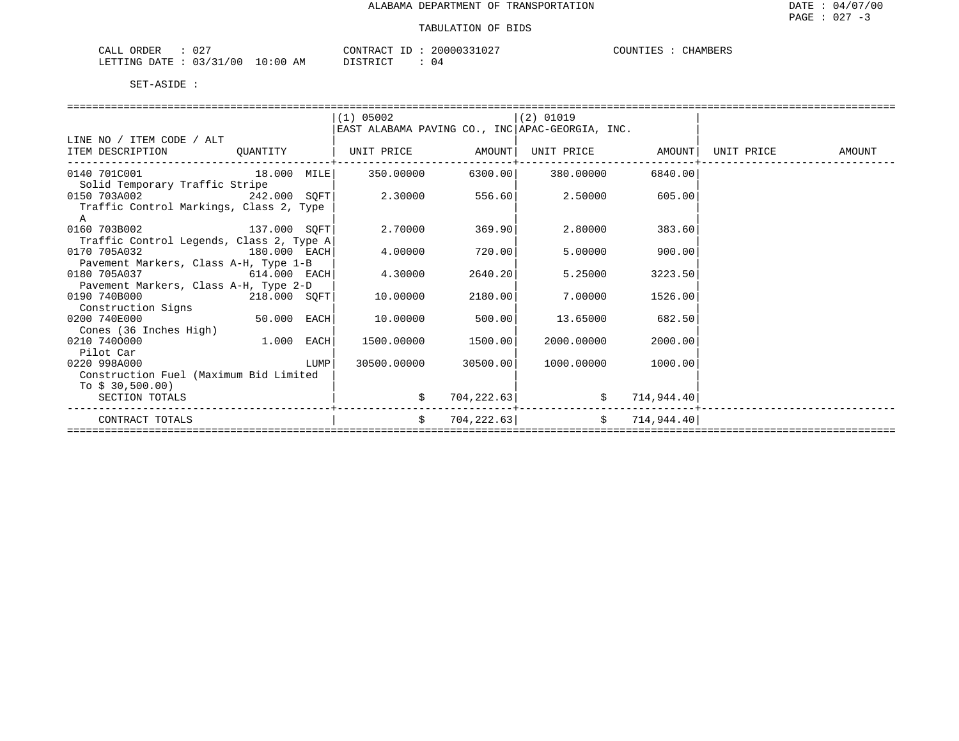| $\cap$ $\cap$ $\cap$<br>ORDER<br>$\neg$ $\neg$ $\neg$<br>∪∠<br>لمستدعات |                | ANTRACT<br>$- -$ | חמי.<br>UZ | $\sim$<br>JI INE<br>BLK. |
|-------------------------------------------------------------------------|----------------|------------------|------------|--------------------------|
| <b>ATTTING</b><br>י דידי ∆ו<br>' 0 (<br>$\prec$                         | ΆM<br>$\cdots$ | amp<br>'⊬ ≀      | υ4         |                          |

| $(1)$ 05002<br>$(2)$ 01019<br>EAST ALABAMA PAVING CO., INC APAC-GEORGIA, INC.<br>LINE NO / ITEM CODE / ALT<br>QUANTITY   UNIT PRICE       AMOUNT  UNIT PRICE       AMOUNT <br>ITEM DESCRIPTION<br>UNIT PRICE AMOUNT<br>0140 701C001 18.000 MILE 350.00000<br>6300.00 380.00000<br>6840.00<br>Solid Temporary Traffic Stripe<br>$0.150$ 703A002 $242.000$ SQFT 2.30000 556.60<br>2.50000 605.00<br>Traffic Control Markings, Class 2, Type |  |  |  |  |
|-------------------------------------------------------------------------------------------------------------------------------------------------------------------------------------------------------------------------------------------------------------------------------------------------------------------------------------------------------------------------------------------------------------------------------------------|--|--|--|--|
|                                                                                                                                                                                                                                                                                                                                                                                                                                           |  |  |  |  |
|                                                                                                                                                                                                                                                                                                                                                                                                                                           |  |  |  |  |
|                                                                                                                                                                                                                                                                                                                                                                                                                                           |  |  |  |  |
|                                                                                                                                                                                                                                                                                                                                                                                                                                           |  |  |  |  |
|                                                                                                                                                                                                                                                                                                                                                                                                                                           |  |  |  |  |
|                                                                                                                                                                                                                                                                                                                                                                                                                                           |  |  |  |  |
|                                                                                                                                                                                                                                                                                                                                                                                                                                           |  |  |  |  |
|                                                                                                                                                                                                                                                                                                                                                                                                                                           |  |  |  |  |
| A                                                                                                                                                                                                                                                                                                                                                                                                                                         |  |  |  |  |
| 137.000 SQFT<br>0160 703B002<br>2.70000<br>369.90<br>2.80000<br>383.60                                                                                                                                                                                                                                                                                                                                                                    |  |  |  |  |
| Traffic Control Legends, Class 2, Type A                                                                                                                                                                                                                                                                                                                                                                                                  |  |  |  |  |
| 720.00<br>0170 705A032<br>180.000 EACH<br>4.00000<br>5.00000<br>900.00                                                                                                                                                                                                                                                                                                                                                                    |  |  |  |  |
| Pavement Markers, Class A-H, Type 1-B                                                                                                                                                                                                                                                                                                                                                                                                     |  |  |  |  |
| $614.000$ EACH<br>0180 705A037<br>2640.20<br>4.30000<br>5.25000<br>3223.50                                                                                                                                                                                                                                                                                                                                                                |  |  |  |  |
| Pavement Markers, Class A-H, Type 2-D                                                                                                                                                                                                                                                                                                                                                                                                     |  |  |  |  |
| 2180.00<br>0190 740B000<br>$218.000$ SQFT<br>10.00000<br>7.00000<br>1526.00                                                                                                                                                                                                                                                                                                                                                               |  |  |  |  |
| Construction Signs                                                                                                                                                                                                                                                                                                                                                                                                                        |  |  |  |  |
| $50.000$ EACH<br>0200 740E000<br>10.00000<br>500.001<br>13.65000<br>682.50                                                                                                                                                                                                                                                                                                                                                                |  |  |  |  |
| Cones (36 Inches High)                                                                                                                                                                                                                                                                                                                                                                                                                    |  |  |  |  |
| <b>1.000 EACH</b><br>1500.00<br>0210 7400000<br>1500.00000<br>2000.00000<br>2000.00                                                                                                                                                                                                                                                                                                                                                       |  |  |  |  |
| Pilot Car                                                                                                                                                                                                                                                                                                                                                                                                                                 |  |  |  |  |
| 0220 998A000<br><b>EXECUTE IN THE EXECUTIVE IN THE EXECUTIVE IN THE EXECUTIVE IN THE EXECUTIVE IN THE EXECUTIVE IN THE EXECUTIVE</b><br>30500.00000 30500.00<br>1000.00000<br>1000.00                                                                                                                                                                                                                                                     |  |  |  |  |
| Construction Fuel (Maximum Bid Limited                                                                                                                                                                                                                                                                                                                                                                                                    |  |  |  |  |
| To $$30,500.00$                                                                                                                                                                                                                                                                                                                                                                                                                           |  |  |  |  |
| 704, 222.63<br>714,944.40<br>SECTION TOTALS                                                                                                                                                                                                                                                                                                                                                                                               |  |  |  |  |
| $704, 222.63$ $\frac{1}{204}$ $\frac{1}{204}$ $\frac{1}{204}$<br>Ŝ.<br>CONTRACT TOTALS                                                                                                                                                                                                                                                                                                                                                    |  |  |  |  |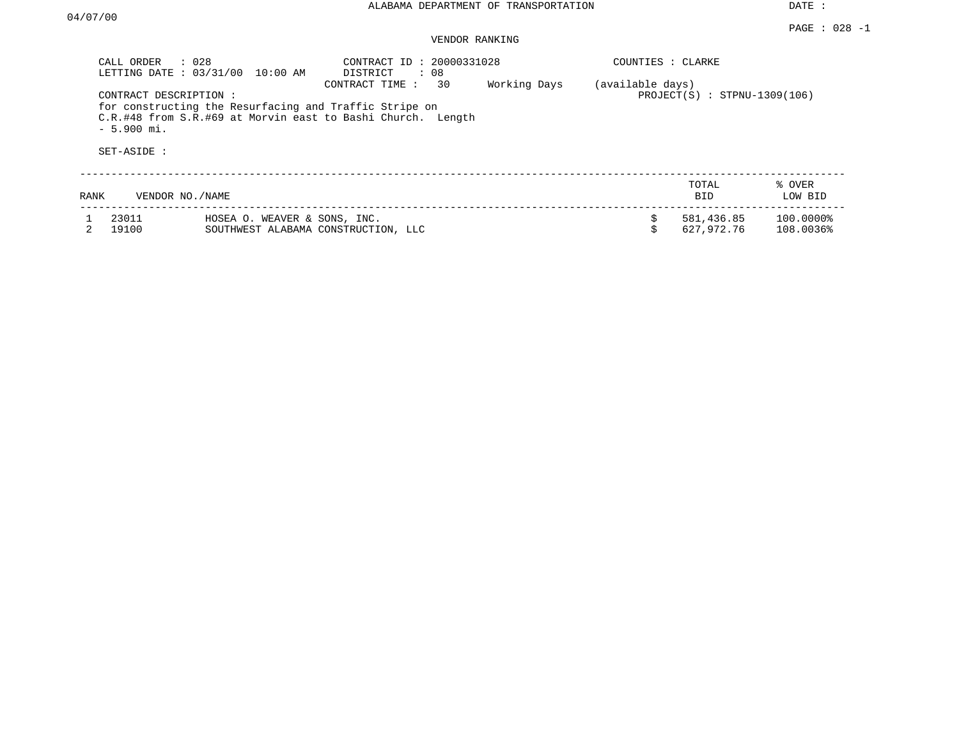#### PAGE : 028 -1 VENDOR RANKING

| CALL ORDER     | : 028<br>LETTING DATE: 03/31/00<br>$10:00$ AM                                                                                                  | CONTRACT ID: 20000331028<br>: 08<br>DISTRICT |              | COUNTIES : CLARKE |                                |                        |
|----------------|------------------------------------------------------------------------------------------------------------------------------------------------|----------------------------------------------|--------------|-------------------|--------------------------------|------------------------|
| $-5.900$ mi.   | CONTRACT DESCRIPTION:<br>for constructing the Resurfacing and Traffic Stripe on<br>C.R.#48 from S.R.#69 at Morvin east to Bashi Church. Length | 30<br>CONTRACT TIME:                         | Working Days | (available days)  | $PROJECT(S) : STPNU-1309(106)$ |                        |
| SET-ASIDE :    |                                                                                                                                                |                                              |              |                   |                                |                        |
| RANK           | VENDOR NO./NAME                                                                                                                                |                                              |              |                   | TOTAL<br><b>BID</b>            | % OVER<br>LOW BID      |
| 23011<br>19100 | HOSEA O. WEAVER & SONS, INC.                                                                                                                   | SOUTHWEST ALABAMA CONSTRUCTION, LLC          |              |                   | 581,436.85<br>627,972.76       | 100.0000%<br>108.0036% |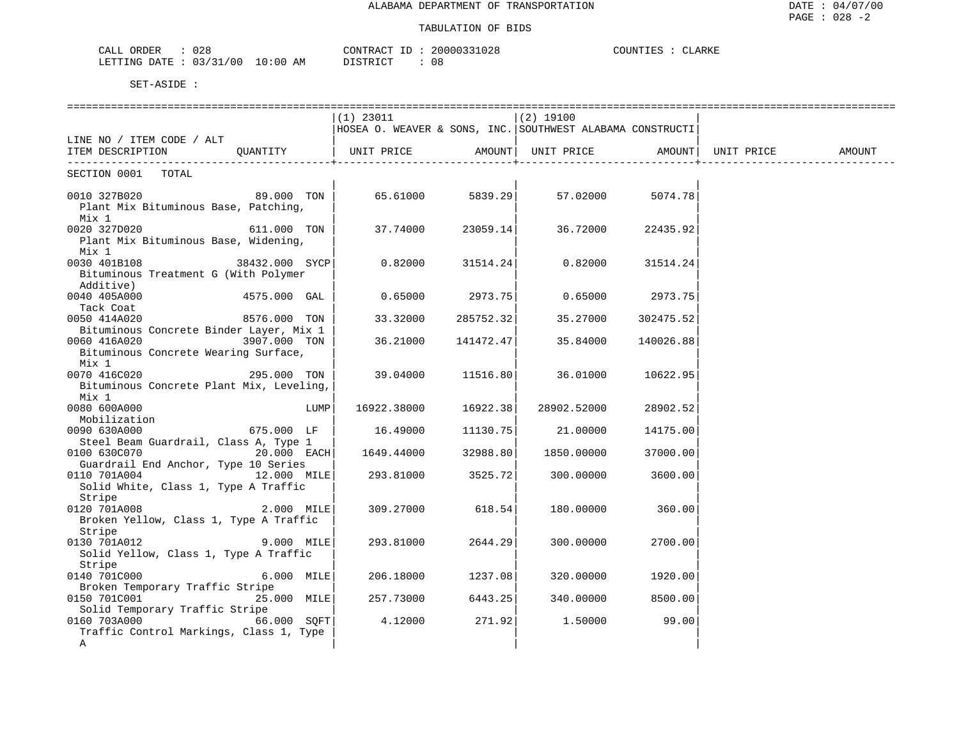### TABULATION OF BIDS

| CALL ORDER<br>028                | CONTRACT ID: 20000331028 | COUNTIES : CLARKE |
|----------------------------------|--------------------------|-------------------|
| LETTING DATE : 03/31/00 10:00 AM | DISTRICT<br>- 08         |                   |

|                                                                                                                                 |      | $(1)$ 23011 |           | $(2)$ 19100                                               |                   |            |        |
|---------------------------------------------------------------------------------------------------------------------------------|------|-------------|-----------|-----------------------------------------------------------|-------------------|------------|--------|
|                                                                                                                                 |      |             |           | HOSEA O. WEAVER & SONS, INC. SOUTHWEST ALABAMA CONSTRUCTI |                   |            |        |
| LINE NO / ITEM CODE / ALT                                                                                                       |      |             |           |                                                           |                   |            |        |
| OUANTITY<br>ITEM DESCRIPTION                                                                                                    |      | UNIT PRICE  | AMOUNT    | UNIT PRICE AMOUNT                                         |                   | UNIT PRICE | AMOUNT |
| SECTION 0001 TOTAL                                                                                                              |      |             |           |                                                           |                   |            |        |
| 89.000 TON<br>0010 327B020                                                                                                      |      |             |           |                                                           |                   |            |        |
| Plant Mix Bituminous Base, Patching,                                                                                            |      |             |           |                                                           |                   |            |        |
| Mix 1                                                                                                                           |      |             |           |                                                           |                   |            |        |
| 0020 327D020<br>611.000 TON                                                                                                     |      | 37.74000    | 23059.14  | 36.72000                                                  | 22435.92          |            |        |
| Plant Mix Bituminous Base, Widening,                                                                                            |      |             |           |                                                           |                   |            |        |
| Mix 1                                                                                                                           |      |             |           |                                                           |                   |            |        |
| 0030 401B108<br>38432.000 SYCP                                                                                                  |      | 0.82000     | 31514.24  | 0.82000                                                   | 31514.24          |            |        |
| Bituminous Treatment G (With Polymer                                                                                            |      |             |           |                                                           |                   |            |        |
| Additive)                                                                                                                       |      |             |           |                                                           |                   |            |        |
| 0040 405A000 and the state of the state of the state of the state of the state of the state of the state of the<br>4575.000 GAL |      | 0.65000     |           | 2973.75 0.65000 2973.75                                   |                   |            |        |
| Tack Coat                                                                                                                       |      |             |           |                                                           |                   |            |        |
| 0050 414A020<br>8576.000 TON                                                                                                    |      | 33.32000    | 285752.32 | 35.27000                                                  | 302475.52         |            |        |
| Bituminous Concrete Binder Layer, Mix 1                                                                                         |      |             |           |                                                           |                   |            |        |
| 0060 416A020<br>3907.000 TON                                                                                                    |      | 36.21000    | 141472.47 | 35.84000                                                  | 140026.88         |            |        |
| Bituminous Concrete Wearing Surface,                                                                                            |      |             |           |                                                           |                   |            |        |
| Mix 1<br>0070 416C020<br>295.000 TON                                                                                            |      | 39.04000    | 11516.80  | 36.01000                                                  | 10622.95          |            |        |
| Bituminous Concrete Plant Mix, Leveling,                                                                                        |      |             |           |                                                           |                   |            |        |
| Mix 1                                                                                                                           |      |             |           |                                                           |                   |            |        |
| 0080 600A000                                                                                                                    | LUMP | 16922.38000 | 16922.38  | 28902.52000                                               | 28902.52          |            |        |
| Mobilization                                                                                                                    |      |             |           |                                                           |                   |            |        |
| 0090 630A000<br>675.000 LF                                                                                                      |      | 16.49000    |           | 11130.75 21.00000                                         | 14175.00          |            |        |
| Steel Beam Guardrail, Class A, Type 1                                                                                           |      |             |           |                                                           |                   |            |        |
| $20.000$ EACH<br>0100 630C070                                                                                                   |      | 1649.44000  | 32988.80  | 1850.00000                                                | 37000.00          |            |        |
| Guardrail End Anchor, Type 10 Series                                                                                            |      |             |           |                                                           |                   |            |        |
| 12.000 MILE<br>0110 701A004                                                                                                     |      | 293.81000   | 3525.72   | 300.00000                                                 | 3600.00           |            |        |
| Solid White, Class 1, Type A Traffic                                                                                            |      |             |           |                                                           |                   |            |        |
| Stripe                                                                                                                          |      |             |           |                                                           |                   |            |        |
| 0120 701A008<br>$2.000$ MILE                                                                                                    |      | 309.27000   | 618.54    | 180.00000                                                 | 360.00            |            |        |
| Broken Yellow, Class 1, Type A Traffic                                                                                          |      |             |           |                                                           |                   |            |        |
| Stripe                                                                                                                          |      |             |           |                                                           |                   |            |        |
| 0130 701A012<br>$9.000$ MILE<br>Solid Yellow, Class 1, Type A Traffic                                                           |      | 293.81000   | 2644.29   | 300.00000                                                 | 2700.00           |            |        |
| Stripe                                                                                                                          |      |             |           |                                                           |                   |            |        |
| 0140 701C000<br>6.000 MILE                                                                                                      |      | 206.18000   | 1237.08   | 320.00000                                                 | 1920.00           |            |        |
| Broken Temporary Traffic Stripe                                                                                                 |      |             |           |                                                           |                   |            |        |
| 0150 701C001<br>25.000 MILE                                                                                                     |      | 257.73000   | 6443.25   |                                                           | 340.00000 8500.00 |            |        |
| Solid Temporary Traffic Stripe                                                                                                  |      |             |           |                                                           |                   |            |        |
| 66.000 SQFT<br>0160 703A000                                                                                                     |      | 4.12000     | 271.92    | 1.50000                                                   | 99.00             |            |        |
| Traffic Control Markings, Class 1, Type                                                                                         |      |             |           |                                                           |                   |            |        |
| $\mathbb A$                                                                                                                     |      |             |           |                                                           |                   |            |        |
|                                                                                                                                 |      |             |           |                                                           |                   |            |        |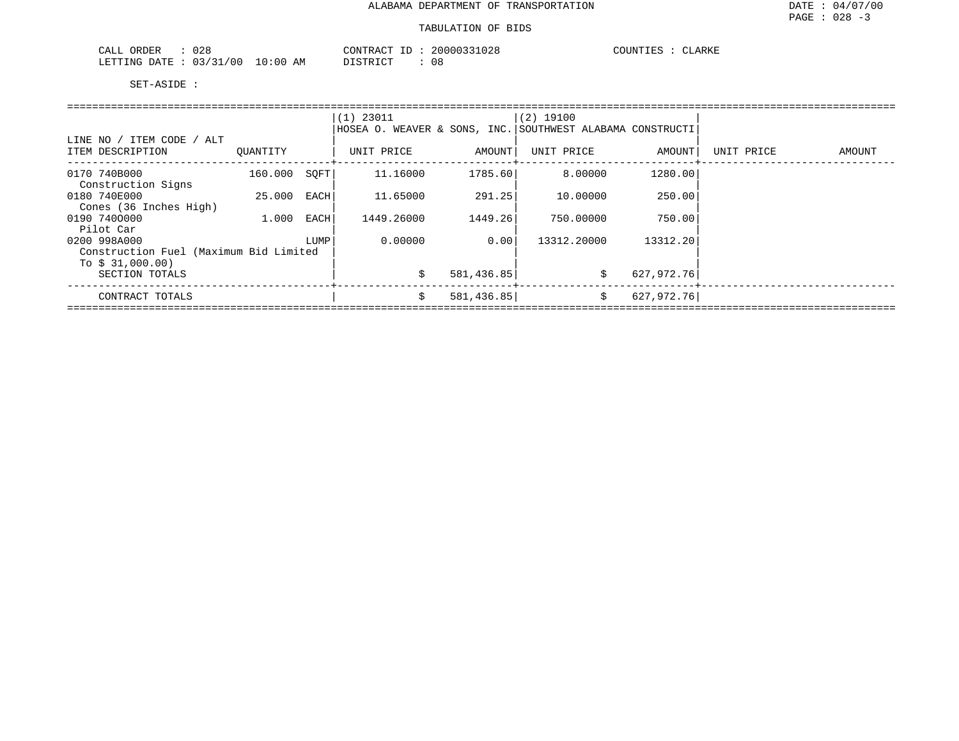| $\cap$ $\cap$ $\subset$<br>ORDER<br>CALL<br>∪∠c | CONTRACT                             | 20000331028<br>ID | COUNTIES<br>CLARKE |
|-------------------------------------------------|--------------------------------------|-------------------|--------------------|
| 03/31/00<br>LETTING<br>DATE                     | 10:00<br>דת לידי את ה<br>AΜ<br>----- | 08                |                    |

|                                        |          |      | $(1)$ 23011                                               |            | $(2)$ 19100 |            |            |        |
|----------------------------------------|----------|------|-----------------------------------------------------------|------------|-------------|------------|------------|--------|
|                                        |          |      | HOSEA O. WEAVER & SONS, INC. SOUTHWEST ALABAMA CONSTRUCTI |            |             |            |            |        |
| LINE NO / ITEM CODE / ALT              |          |      |                                                           |            |             |            |            |        |
| ITEM DESCRIPTION                       | OUANTITY |      | UNIT PRICE                                                | AMOUNT     | UNIT PRICE  | AMOUNT     | UNIT PRICE | AMOUNT |
| 0170 740B000                           | 160.000  | SOFT | 11.16000                                                  | 1785.60    | 8.00000     | 1280.00    |            |        |
| Construction Signs                     |          |      |                                                           |            |             |            |            |        |
| 0180 740E000                           | 25.000   | EACH | 11.65000                                                  | 291.25     | 10.00000    | 250.00     |            |        |
| Cones (36 Inches High)                 |          |      |                                                           |            |             |            |            |        |
| 0190 7400000                           | 1.000    | EACH | 1449.26000                                                | 1449.26    | 750.00000   | 750.00     |            |        |
| Pilot Car                              |          |      |                                                           |            |             |            |            |        |
| 0200 998A000                           |          | LUMP | 0.00000                                                   | 0.00       | 13312.20000 | 13312.20   |            |        |
| Construction Fuel (Maximum Bid Limited |          |      |                                                           |            |             |            |            |        |
| To $$31,000.00)$                       |          |      |                                                           |            |             |            |            |        |
| SECTION TOTALS                         |          |      | Ŝ.                                                        | 581,436.85 | \$          | 627,972.76 |            |        |
| CONTRACT TOTALS                        |          |      | Ŝ.                                                        | 581,436.85 | \$          | 627,972.76 |            |        |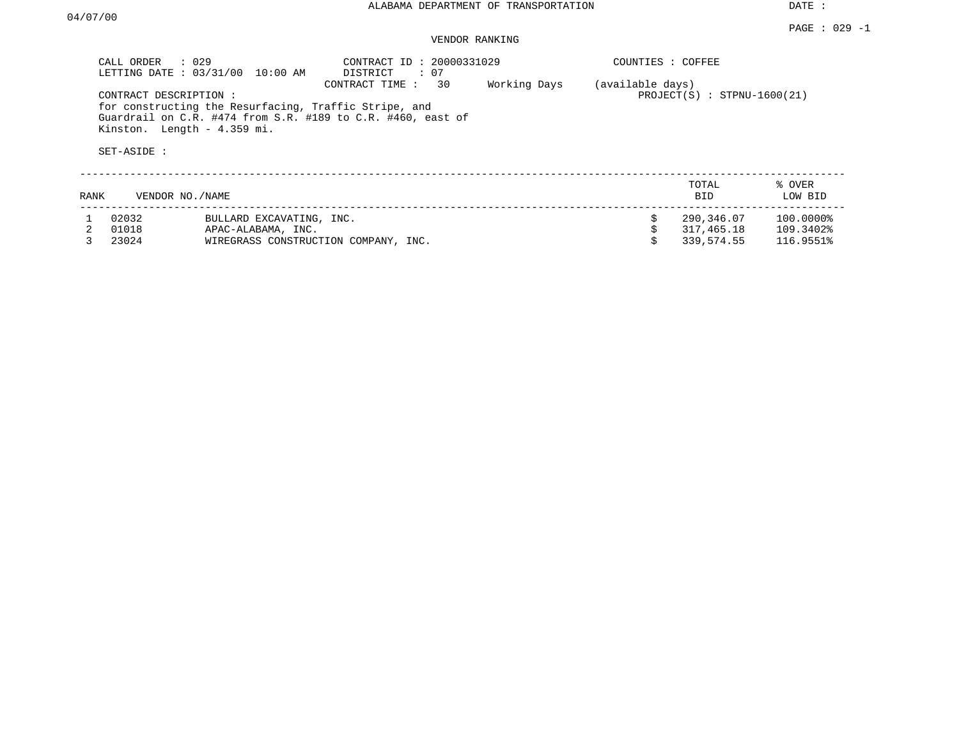|      | CALL ORDER<br>LETTING DATE: 03/31/00 | $\therefore$ 029<br>10:00 AM                                                         | CONTRACT ID: 20000331029<br>DISTRICT<br>: 07                                        |              | COUNTIES : COFFEE |                               |                   |
|------|--------------------------------------|--------------------------------------------------------------------------------------|-------------------------------------------------------------------------------------|--------------|-------------------|-------------------------------|-------------------|
|      | CONTRACT DESCRIPTION:<br>SET-ASIDE : | for constructing the Resurfacing, Traffic Stripe, and<br>Kinston. Length - 4.359 mi. | 30<br>CONTRACT TIME:<br>Guardrail on C.R. #474 from S.R. #189 to C.R. #460, east of | Working Days | (available days)  | $PROJECT(S) : STPNU-1600(21)$ |                   |
| RANK | VENDOR NO./NAME                      |                                                                                      |                                                                                     |              |                   | TOTAL<br><b>BID</b>           | % OVER<br>LOW BID |
|      | 02032                                | BULLARD EXCAVATING, INC.                                                             |                                                                                     |              | \$                | 290,346.07                    | 100.0000%         |
|      | 01018                                | APAC-ALABAMA, INC.                                                                   |                                                                                     |              |                   | 317,465.18                    | 109.3402%         |
|      | 23024                                | WIREGRASS CONSTRUCTION COMPANY, INC.                                                 |                                                                                     |              |                   | 339,574.55                    | 116.9551%         |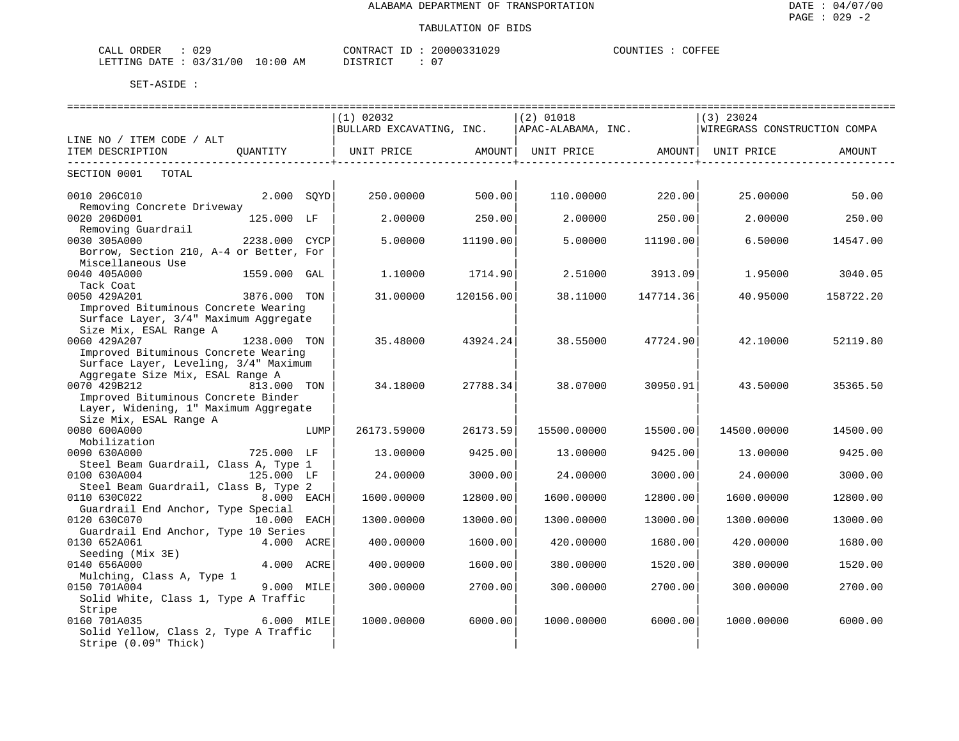| CALL ORDER                      | CONTRACT ID | 20000331029 | COUNTIES | COFFEE |  |
|---------------------------------|-------------|-------------|----------|--------|--|
| LETTING DATE: 03/31/00 10:00 AM | DISTRICT    | . 0         |          |        |  |

|                                         |                 |      | (1) 02032                                                                |           | $(2)$ 01018 |           | $(3)$ 23024       |           |
|-----------------------------------------|-----------------|------|--------------------------------------------------------------------------|-----------|-------------|-----------|-------------------|-----------|
|                                         |                 |      | BULLARD EXCAVATING, INC. APAC-ALABAMA, INC. WIREGRASS CONSTRUCTION COMPA |           |             |           |                   |           |
| LINE NO / ITEM CODE / ALT               |                 |      |                                                                          |           |             |           |                   |           |
| ITEM DESCRIPTION QUANTITY               |                 |      |                                                                          |           |             |           |                   |           |
|                                         |                 |      |                                                                          |           |             |           | _________________ |           |
| SECTION 0001 TOTAL                      |                 |      |                                                                          |           |             |           |                   |           |
|                                         |                 |      |                                                                          |           |             |           |                   |           |
| 2.000 SOYD<br>0010 206C010              |                 |      | 250.00000                                                                | 500.00    | 110.00000   | 220.00    | 25.00000          | 50.00     |
| Removing Concrete Driveway              |                 |      |                                                                          |           |             |           |                   |           |
| 0020 206D001                            | 125.000 LF      |      | 2,00000                                                                  | 250.00    | 2,00000     | 250.00    | 2,00000           | 250.00    |
| Removing Guardrail                      |                 |      |                                                                          |           |             |           |                   |           |
| 0030 305A000                            | $2238.000$ CYCP |      | 5.00000                                                                  | 11190.00  | 5.00000     | 11190.00  | 6.50000           | 14547.00  |
| Borrow, Section 210, A-4 or Better, For |                 |      |                                                                          |           |             |           |                   |           |
| Miscellaneous Use                       |                 |      |                                                                          |           |             |           |                   |           |
| 0040 405A000                            | 1559.000 GAL    |      | 1,10000                                                                  | 1714.90   | 2.51000     | 3913.09   | 1.95000           | 3040.05   |
| Tack Coat                               |                 |      |                                                                          |           |             |           |                   |           |
| 3876.000 TON<br>0050 429A201            |                 |      | 31,00000                                                                 | 120156.00 | 38.11000    | 147714.36 | 40.95000          | 158722.20 |
| Improved Bituminous Concrete Wearing    |                 |      |                                                                          |           |             |           |                   |           |
| Surface Layer, 3/4" Maximum Aggregate   |                 |      |                                                                          |           |             |           |                   |           |
| Size Mix, ESAL Range A                  |                 |      |                                                                          |           |             |           |                   |           |
| 0060 429A207<br>1238.000 TON            |                 |      | 35.48000                                                                 | 43924.24  | 38.55000    | 47724.90  | 42.10000          | 52119.80  |
| Improved Bituminous Concrete Wearing    |                 |      |                                                                          |           |             |           |                   |           |
| Surface Layer, Leveling, 3/4" Maximum   |                 |      |                                                                          |           |             |           |                   |           |
| Aggregate Size Mix, ESAL Range A        |                 |      |                                                                          |           |             |           |                   |           |
| 0070 429B212<br>813.000 TON             |                 |      | 34.18000                                                                 | 27788.34  | 38.07000    | 30950.91  | 43.50000          | 35365.50  |
| Improved Bituminous Concrete Binder     |                 |      |                                                                          |           |             |           |                   |           |
| Layer, Widening, 1" Maximum Aggregate   |                 |      |                                                                          |           |             |           |                   |           |
| Size Mix, ESAL Range A                  |                 |      |                                                                          |           |             |           |                   |           |
| 0080 600A000                            |                 | LUMP | 26173.59000                                                              | 26173.59  | 15500.00000 | 15500.00  | 14500.00000       | 14500.00  |
| Mobilization                            |                 |      |                                                                          |           |             |           |                   |           |
| 0090 630A000                            | 725.000 LF      |      | 13.00000                                                                 | 9425.00   | 13.00000    | 9425.00   | 13.00000          | 9425.00   |
| Steel Beam Guardrail, Class A, Type 1   |                 |      |                                                                          |           |             |           |                   |           |
| 0100 630A004                            | 125.000 LF      |      | 24.00000                                                                 | 3000.00   | 24.00000    | 3000.00   | 24.00000          | 3000.00   |
| Steel Beam Guardrail, Class B, Type 2   |                 |      |                                                                          |           |             |           |                   |           |
| 8.000 EACH<br>0110 630C022              |                 |      | 1600.00000                                                               | 12800.00  | 1600.00000  | 12800.00  | 1600.00000        | 12800.00  |
| Guardrail End Anchor, Type Special      |                 |      |                                                                          |           |             |           |                   |           |
| 0120 630C070                            | 10.000 EACH     |      | 1300.00000                                                               | 13000.00  | 1300.00000  | 13000.00  | 1300.00000        | 13000.00  |
| Guardrail End Anchor, Type 10 Series    |                 |      |                                                                          |           |             |           |                   |           |
| 0130 652A061                            | 4.000 ACRE      |      | 400.00000                                                                | 1600.00   | 420.00000   | 1680.00   | 420.00000         | 1680.00   |
| Seeding (Mix 3E)                        |                 |      |                                                                          |           |             |           |                   |           |
| 0140 656A000                            | 4.000 ACRE      |      | 400.00000                                                                | 1600.00   | 380,00000   | 1520.00   | 380.00000         | 1520.00   |
| Mulching, Class A, Type 1               |                 |      |                                                                          |           |             |           |                   |           |
| 0150 701A004                            | 9.000 MILE      |      | 300.00000                                                                | 2700.00   | 300.00000   | 2700.00   | 300.00000         | 2700.00   |
| Solid White, Class 1, Type A Traffic    |                 |      |                                                                          |           |             |           |                   |           |
| Stripe                                  |                 |      |                                                                          |           |             |           |                   |           |
| 0160 701A035                            | 6.000 MILE      |      | 1000.00000                                                               | 6000.00   | 1000.00000  | 6000.00   | 1000.00000        | 6000.00   |
| Solid Yellow, Class 2, Type A Traffic   |                 |      |                                                                          |           |             |           |                   |           |
| Stripe (0.09" Thick)                    |                 |      |                                                                          |           |             |           |                   |           |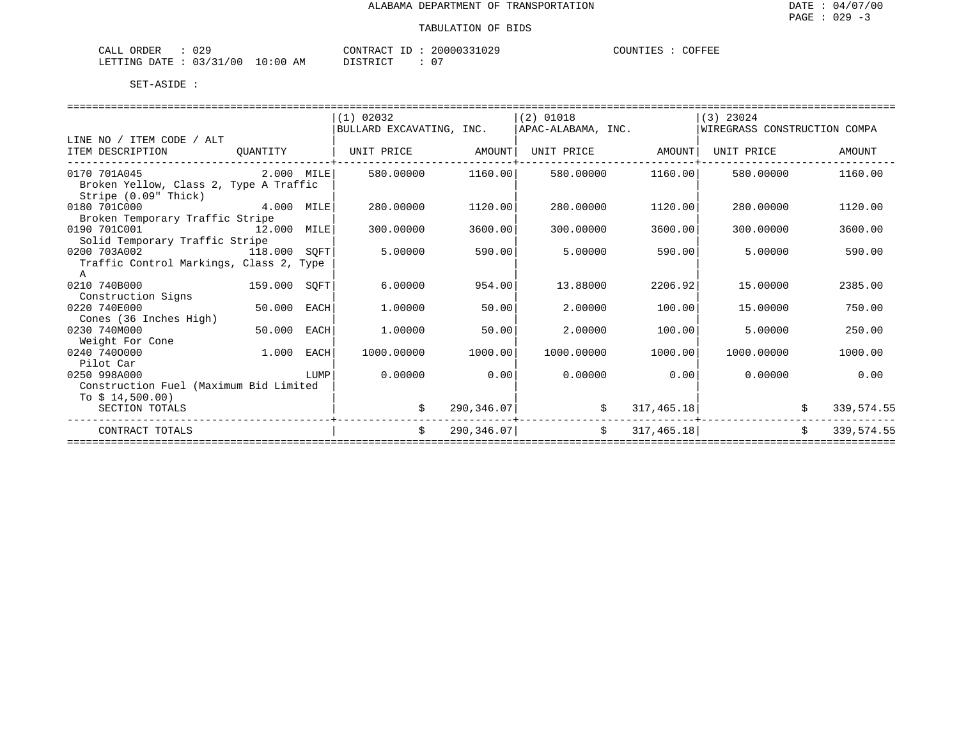| ח רו<br>ORDER<br>$\sim$ $ -$<br>لىلط<br>ぃ∠                           |               | <b>TONTR</b><br>$-1$<br>$\sim$<br>א שי | 'UZ-         | 'FEE<br>. יידאדזו<br>تعتلانا |
|----------------------------------------------------------------------|---------------|----------------------------------------|--------------|------------------------------|
| $\sim$ $\sim$<br>$\cap$<br><b>LETTING</b><br>DATF<br>$\sim$<br>, , , | -   111<br>AM | $\sim$ $\sim$<br>תיחים.                | $\mathbf{U}$ |                              |

| (1) 02032<br>$(2)$ 01018<br> (3) 23024<br>WIREGRASS CONSTRUCTION COMPA<br>BULLARD EXCAVATING, INC.<br>APAC-ALABAMA, INC.<br>LINE NO / ITEM CODE / ALT<br>ITEM DESCRIPTION<br>UNIT PRICE<br>AMOUNT<br>UNIT PRICE<br>AMOUNT<br>UNIT PRICE<br>OUANTITY | AMOUNT<br>1160.00 |
|-----------------------------------------------------------------------------------------------------------------------------------------------------------------------------------------------------------------------------------------------------|-------------------|
|                                                                                                                                                                                                                                                     |                   |
|                                                                                                                                                                                                                                                     |                   |
|                                                                                                                                                                                                                                                     |                   |
|                                                                                                                                                                                                                                                     |                   |
| $2.000$ MILE<br>0170 701A045<br>580,00000<br>1160.00<br>580,00000<br>1160.00<br>580.00000                                                                                                                                                           |                   |
| Broken Yellow, Class 2, Type A Traffic                                                                                                                                                                                                              |                   |
| Stripe (0.09" Thick)                                                                                                                                                                                                                                |                   |
| 0180 701C000<br>4.000<br>1120.00<br>1120.00<br>280.00000<br>MILE<br>280,00000<br>280,00000                                                                                                                                                          | 1120.00           |
| Broken Temporary Traffic Stripe                                                                                                                                                                                                                     |                   |
| 0190 701C001<br>12.000<br>300.00000<br>3600.00<br>300.00000<br>3600.00<br>300,00000<br>MILE                                                                                                                                                         | 3600.00           |
| Solid Temporary Traffic Stripe                                                                                                                                                                                                                      |                   |
| 0200 703A002<br>118.000<br>5.00000<br>590.00<br>5.00000<br>590.00<br>5,00000<br>SOFT                                                                                                                                                                | 590.00            |
| Traffic Control Markings, Class 2, Type                                                                                                                                                                                                             |                   |
| Α                                                                                                                                                                                                                                                   |                   |
| 0210 740B000<br>159.000<br>6.00000<br>954.00<br>13.88000<br>2206.92<br>15.00000<br>SOFT                                                                                                                                                             | 2385.00           |
| Construction Signs                                                                                                                                                                                                                                  |                   |
| 0220 740E000<br>50.000<br>1,00000<br>50.00<br>2.00000<br>100.00<br>15,00000<br>EACH                                                                                                                                                                 | 750.00            |
| Cones (36 Inches High)                                                                                                                                                                                                                              |                   |
| 0230 740M000<br>50.000<br>2.00000<br>5.00000<br>EACH<br>1,00000<br>50.00<br>100.00                                                                                                                                                                  | 250.00            |
| Weight For Cone                                                                                                                                                                                                                                     |                   |
| 0240 7400000<br>1,000<br>1000.00000<br>1000.00<br>1000.00000<br>1000.00<br>1000.00000<br>EACH                                                                                                                                                       | 1000.00           |
| Pilot Car                                                                                                                                                                                                                                           |                   |
| 0.00000<br>0.00<br>0.00000<br>0.00<br>0.00000<br>0250 998A000<br>LUMP                                                                                                                                                                               | 0.00              |
| Construction Fuel (Maximum Bid Limited                                                                                                                                                                                                              |                   |
| To $$14,500.00)$                                                                                                                                                                                                                                    |                   |
| 290,346.07<br>SECTION TOTALS<br>317,465.18                                                                                                                                                                                                          | 339,574.55        |
| Ŝ.<br>Ŝ.<br>290,346.07<br>317,465.18<br>Ŝ.<br>CONTRACT TOTALS                                                                                                                                                                                       | 339, 574.55       |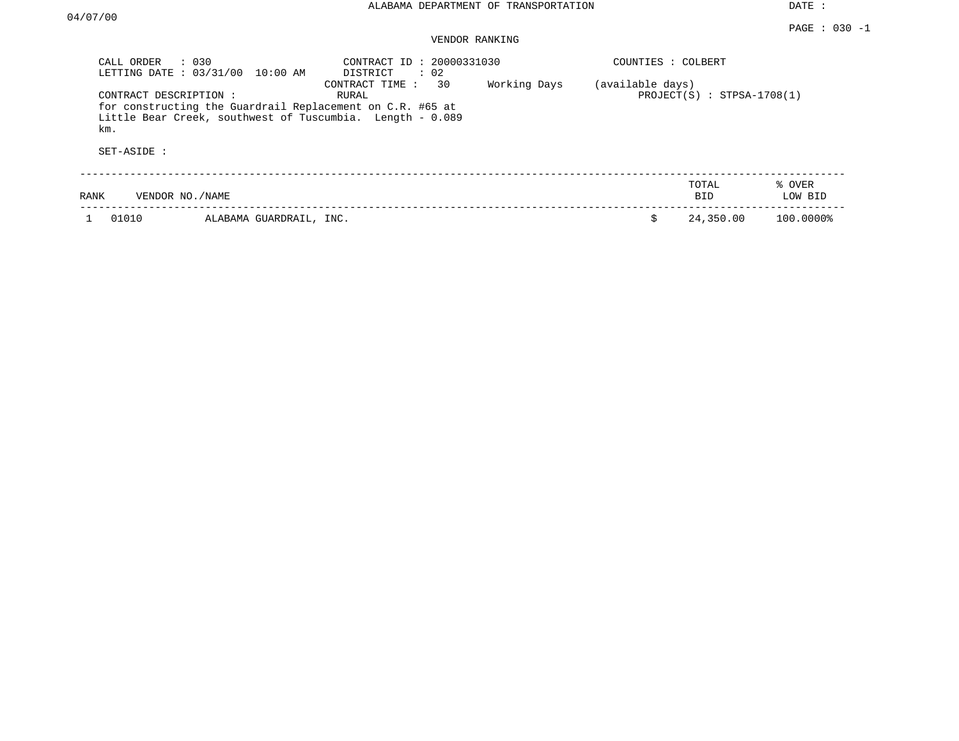#### PAGE : 030 -1 VENDOR RANKING

| CALL ORDER : 030<br>LETTING DATE : 03/31/00 10:00 AM |                         | CONTRACT ID: 20000331030<br>$\therefore$ 02<br>DISTRICT                                                                                               |              | COUNTIES : COLBERT |                              |                   |
|------------------------------------------------------|-------------------------|-------------------------------------------------------------------------------------------------------------------------------------------------------|--------------|--------------------|------------------------------|-------------------|
| CONTRACT DESCRIPTION:<br>km.<br>SET-ASIDE :          |                         | CONTRACT TIME : 30<br>RURAL<br>for constructing the Guardrail Replacement on C.R. #65 at<br>Little Bear Creek, southwest of Tuscumbia. Length - 0.089 | Working Days | (available days)   | $PROJECT(S)$ : STPSA-1708(1) |                   |
| VENDOR NO./NAME<br>RANK                              |                         |                                                                                                                                                       |              |                    | TOTAL<br><b>BID</b>          | % OVER<br>LOW BID |
| 01010                                                | ALABAMA GUARDRAIL, INC. |                                                                                                                                                       |              | Ŝ                  | 24,350.00                    | 100.0000%         |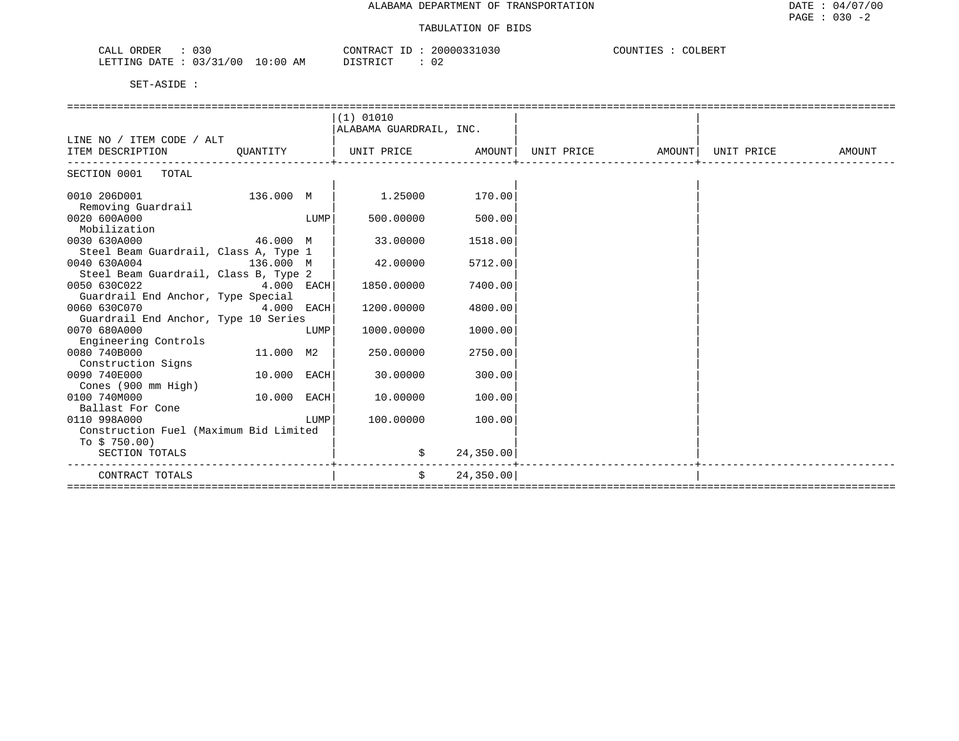| <b>ART</b><br>ORDEE<br>J30.<br>سسدت<br>◡▴◟◡∸                                                                                                                                                | $\sim$ 20000321<br>'R ∆ ( | $\sim$<br>COUNTIES<br>'OLBERT |
|---------------------------------------------------------------------------------------------------------------------------------------------------------------------------------------------|---------------------------|-------------------------------|
| ′∩∩<br>LETTING<br>$\sim$ $\sim$<br><b>A T</b><br>DATE<br>10:00<br>$\sim$<br>the contract of the contract of the contract of the contract of the contract of the contract of the contract of | $T^{\sim}$<br>◡▵<br>.     |                               |

|                                        |             |      | (1) 01010               |            |                    |        |            |        |
|----------------------------------------|-------------|------|-------------------------|------------|--------------------|--------|------------|--------|
|                                        |             |      | ALABAMA GUARDRAIL, INC. |            |                    |        |            |        |
| LINE NO / ITEM CODE / ALT              |             |      |                         |            |                    |        |            |        |
| ITEM DESCRIPTION                       | QUANTITY    |      | UNIT PRICE              |            | AMOUNT  UNIT PRICE | AMOUNT | UNIT PRICE | AMOUNT |
|                                        |             |      |                         |            |                    |        |            |        |
| SECTION 0001 TOTAL                     |             |      |                         |            |                    |        |            |        |
|                                        |             |      |                         |            |                    |        |            |        |
| 0010 206D001                           | 136.000 M   |      | 1,25000                 | 170.00     |                    |        |            |        |
| Removing Guardrail                     |             |      |                         |            |                    |        |            |        |
| 0020 600A000                           |             | LUMP | 500,00000               | 500.00     |                    |        |            |        |
| Mobilization                           |             |      |                         |            |                    |        |            |        |
| 0030 630A000                           | 46.000 M    |      | 33.00000                | 1518.00    |                    |        |            |        |
| Steel Beam Guardrail, Class A, Type 1  |             |      |                         |            |                    |        |            |        |
| 0040 630A004                           | 136.000 M   |      | 42.00000                | 5712.00    |                    |        |            |        |
| Steel Beam Guardrail, Class B, Type 2  |             |      |                         |            |                    |        |            |        |
| 0050 630C022                           | 4.000 EACH  |      | 1850.00000              | 7400.00    |                    |        |            |        |
| Guardrail End Anchor, Type Special     |             |      |                         |            |                    |        |            |        |
| 0060 630C070                           | 4.000 EACH  |      | 1200.00000              | 4800.00    |                    |        |            |        |
| Guardrail End Anchor, Type 10 Series   |             |      |                         |            |                    |        |            |        |
| 0070 680A000                           |             | LUMP | 1000.00000              | 1000.00    |                    |        |            |        |
| Engineering Controls                   |             |      |                         |            |                    |        |            |        |
| 0080 740B000                           | 11.000 M2   |      | 250.00000               | 2750.00    |                    |        |            |        |
| Construction Signs                     |             |      |                         |            |                    |        |            |        |
| 0090 740E000                           | 10.000 EACH |      | 30.00000                | 300.00     |                    |        |            |        |
| Cones (900 mm High)                    |             |      |                         |            |                    |        |            |        |
| 0100 740M000                           | 10.000 EACH |      | 10.00000                | 100.00     |                    |        |            |        |
| Ballast For Cone                       |             |      |                         |            |                    |        |            |        |
| 0110 998A000                           |             | LUMP | 100.00000               | 100.00     |                    |        |            |        |
| Construction Fuel (Maximum Bid Limited |             |      |                         |            |                    |        |            |        |
| To $$750.00$ )                         |             |      |                         |            |                    |        |            |        |
| SECTION TOTALS                         |             |      | \$                      | 24,350.00  |                    |        |            |        |
| CONTRACT TOTALS                        |             |      | \$                      | 24, 350.00 |                    |        |            |        |
|                                        |             |      |                         |            |                    |        |            |        |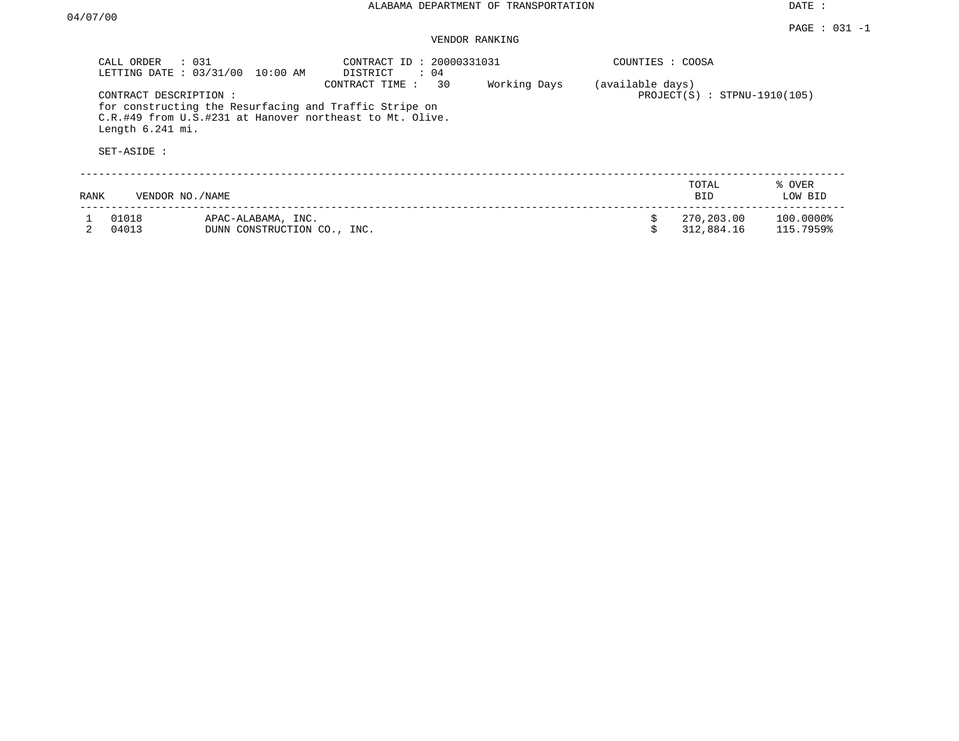|      | CALL ORDER<br>$\therefore$ 031<br>LETTING DATE: 03/31/00 | 10:00 AM                                          | CONTRACT ID: 20000331031<br>DISTRICT<br>$\therefore$ 04                                                                              |    |              | COUNTIES : COOSA |                                |                        |
|------|----------------------------------------------------------|---------------------------------------------------|--------------------------------------------------------------------------------------------------------------------------------------|----|--------------|------------------|--------------------------------|------------------------|
|      | CONTRACT DESCRIPTION:<br>Length 6.241 mi.<br>SET-ASIDE : |                                                   | CONTRACT TIME:<br>for constructing the Resurfacing and Traffic Stripe on<br>C.R.#49 from U.S.#231 at Hanover northeast to Mt. Olive. | 30 | Working Days | (available days) | $PROJECT(S)$ : STPNU-1910(105) |                        |
| RANK | VENDOR NO. / NAME                                        |                                                   |                                                                                                                                      |    |              |                  | TOTAL<br>BID.                  | % OVER<br>LOW BID      |
|      | 01018<br>04013                                           | APAC-ALABAMA, INC.<br>DUNN CONSTRUCTION CO., INC. |                                                                                                                                      |    |              |                  | 270,203.00<br>312,884.16       | 100.0000%<br>115.7959% |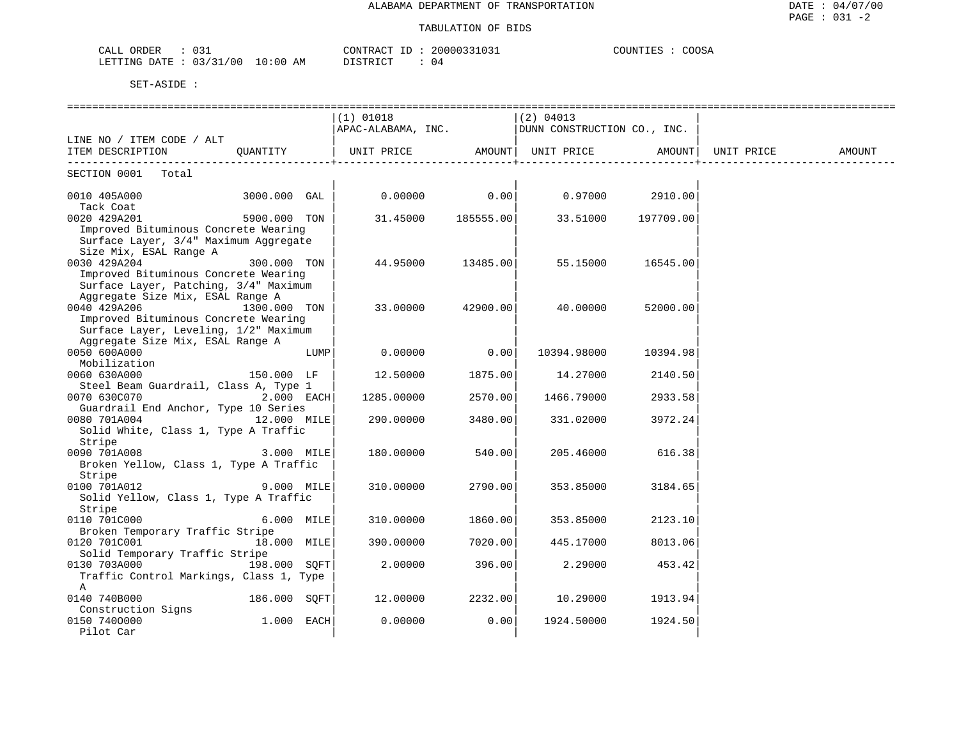| $\sim$<br>ORDER<br>$\sim$ $ -$<br>لىلط<br>◡◡∸                |                    | אידע∩י<br>$\sim$ $\sim$ $\sim$ $\sim$ $\sim$ | 0.007<br>$\Lambda$ $\Lambda$ $\Lambda$<br>ے جو س<br>. P.C |
|--------------------------------------------------------------|--------------------|----------------------------------------------|-----------------------------------------------------------|
| $\sim$ $\sim$<br>$\cap$<br><b>ETTING</b><br><b>DATE</b><br>. | $\sim$ 0.000<br>AM | $\sim$<br>תיחים:                             |                                                           |

|                                         |              |            | $(1)$ 01018                                        |           | $(2)$ 04013 |                   |        |
|-----------------------------------------|--------------|------------|----------------------------------------------------|-----------|-------------|-------------------|--------|
|                                         |              |            | APAC-ALABAMA, INC.   DUNN CONSTRUCTION CO., INC.   |           |             |                   |        |
| LINE NO / ITEM CODE / ALT               |              |            |                                                    |           |             |                   |        |
| ITEM DESCRIPTION QUANTITY               |              |            | UNIT PRICE AMOUNT   UNIT PRICE AMOUNT   UNIT PRICE |           |             |                   | AMOUNT |
| -------------------------               |              |            |                                                    |           |             |                   |        |
| SECTION 0001 Total                      |              |            |                                                    |           |             |                   |        |
|                                         |              |            |                                                    |           |             |                   |        |
| 0010 405A000                            | 3000.000 GAL |            | $0.00000$ 0.00                                     |           |             | $0.97000$ 2910.00 |        |
| Tack Coat                               |              |            |                                                    |           |             |                   |        |
| 0020 429A201                            | 5900.000 TON |            | 31.45000                                           | 185555.00 | 33.51000    | 197709.00         |        |
| Improved Bituminous Concrete Wearing    |              |            |                                                    |           |             |                   |        |
| Surface Layer, 3/4" Maximum Aggregate   |              |            |                                                    |           |             |                   |        |
| Size Mix, ESAL Range A                  |              |            |                                                    |           |             |                   |        |
| 0030 429A204                            | 300.000 TON  |            | 44.95000                                           | 13485.00  | 55.15000    | 16545.00          |        |
| Improved Bituminous Concrete Wearing    |              |            |                                                    |           |             |                   |        |
| Surface Layer, Patching, 3/4" Maximum   |              |            |                                                    |           |             |                   |        |
| Aggregate Size Mix, ESAL Range A        |              |            |                                                    |           |             |                   |        |
| 0040 429A206                            | 1300.000 TON |            | 33.00000                                           | 42900.00  | 40.00000    | 52000.00          |        |
| Improved Bituminous Concrete Wearing    |              |            |                                                    |           |             |                   |        |
| Surface Layer, Leveling, 1/2" Maximum   |              |            |                                                    |           |             |                   |        |
| Aggregate Size Mix, ESAL Range A        |              |            |                                                    |           |             |                   |        |
| 0050 600A000                            |              | LUMP       | 0.00000                                            | 0.00      | 10394.98000 | 10394.98          |        |
| Mobilization                            |              |            |                                                    |           |             |                   |        |
| 0060 630A000                            | 150.000 LF   |            | 12.50000                                           | 1875.00   |             |                   |        |
|                                         |              |            |                                                    |           | 14.27000    | 2140.50           |        |
| Steel Beam Guardrail, Class A, Type 1   |              |            |                                                    |           |             | 2933.58           |        |
| 0070 630C070                            |              | 2.000 EACH | 1285.00000                                         | 2570.00   | 1466.79000  |                   |        |
| Guardrail End Anchor, Type 10 Series    |              |            |                                                    |           |             |                   |        |
| 0080 701A004                            | 12.000 MILE  |            | 290.00000                                          | 3480.00   | 331.02000   | 3972.24           |        |
| Solid White, Class 1, Type A Traffic    |              |            |                                                    |           |             |                   |        |
| Stripe                                  |              |            |                                                    |           |             |                   |        |
| 0090 701A008                            |              | 3.000 MILE | 180.00000                                          | 540.00    | 205.46000   | 616.38            |        |
| Broken Yellow, Class 1, Type A Traffic  |              |            |                                                    |           |             |                   |        |
| Stripe                                  |              |            |                                                    |           |             |                   |        |
| 0100 701A012                            |              | 9.000 MILE | 310.00000                                          | 2790.00   | 353.85000   | 3184.65           |        |
| Solid Yellow, Class 1, Type A Traffic   |              |            |                                                    |           |             |                   |        |
| Stripe                                  |              |            |                                                    |           |             |                   |        |
| 0110 701C000                            |              | 6.000 MILE | 310.00000                                          | 1860.00   | 353.85000   | 2123.10           |        |
| Broken Temporary Traffic Stripe         |              |            |                                                    |           |             |                   |        |
| 0120 701C001                            | 18.000 MILE  |            | 390.00000                                          | 7020.00   | 445.17000   | 8013.06           |        |
| Solid Temporary Traffic Stripe          |              |            |                                                    |           |             |                   |        |
| 0130 703A000                            | 198.000 SOFT |            | 2,00000                                            | 396.00    | 2.29000     | 453.42            |        |
| Traffic Control Markings, Class 1, Type |              |            |                                                    |           |             |                   |        |
| A                                       |              |            |                                                    |           |             |                   |        |
| 0140 740B000                            | 186.000 SOFT |            | 12.00000                                           | 2232.00   | 10.29000    | 1913.94           |        |
| Construction Signs                      |              |            |                                                    |           |             |                   |        |
| 0150 7400000                            | 1.000 EACH   |            | 0.00000                                            | 0.00      | 1924.50000  | 1924.50           |        |
| Pilot Car                               |              |            |                                                    |           |             |                   |        |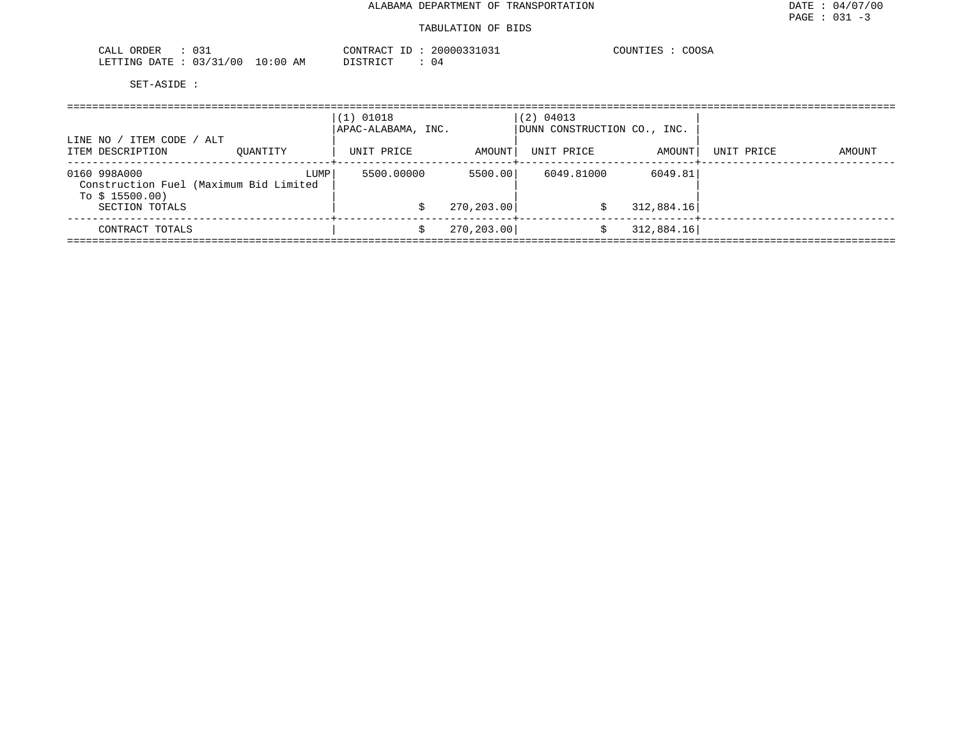| ORDER<br>$\sim$<br><u>- C C</u>                       | $  -$<br>.00000<br>CONTRA<br>$\sim$<br>⊥∪⊃⊥ | $\Lambda$<br>$\sim$ $\sim$ $\sim$ $\sim$<br>COOSA |
|-------------------------------------------------------|---------------------------------------------|---------------------------------------------------|
| /00<br>LETTING<br>10:00<br>הדרד גר<br>AΜ<br>1 - 4 - 1 | DISTRIC.<br>U 4                             |                                                   |

| / ITEM CODE / ALT<br>LINE NO /                                            |          | $(1)$ 01018<br>APAC-ALABAMA, INC. |             | (2) 04013<br>DUNN CONSTRUCTION CO., INC. |                             |            |        |  |  |
|---------------------------------------------------------------------------|----------|-----------------------------------|-------------|------------------------------------------|-----------------------------|------------|--------|--|--|
| ITEM DESCRIPTION                                                          | OUANTITY | UNIT PRICE                        | AMOUNT      | UNIT PRICE                               | AMOUNT  <br>-------+------- | UNIT PRICE | AMOUNT |  |  |
| 0160 998A000<br>Construction Fuel (Maximum Bid Limited<br>To $$15500.00)$ | LUMP     | 5500.00000                        | 5500.00     | 6049.81000                               | 6049.81                     |            |        |  |  |
| SECTION TOTALS                                                            |          |                                   | 270, 203.00 | S                                        | 312,884.16                  |            |        |  |  |
| CONTRACT TOTALS                                                           |          |                                   | 270, 203.00 | S                                        | 312,884.16                  |            |        |  |  |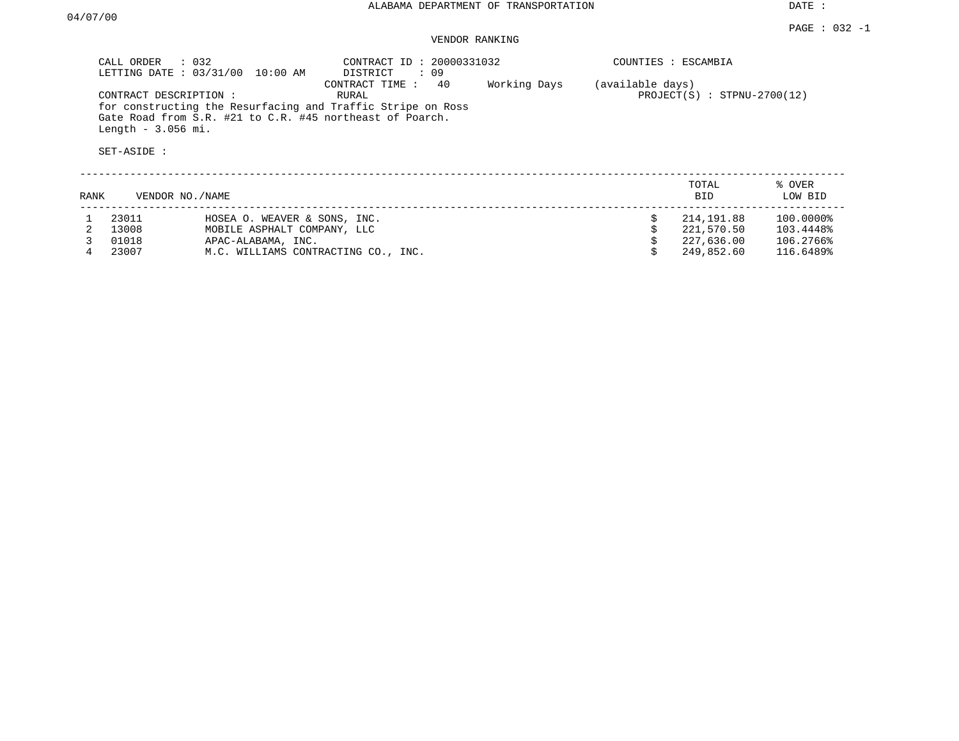|      | CALL ORDER<br>$\therefore$ 032                                                                                                                                                                                                           | LETTING DATE : 03/31/00 10:00 AM    | CONTRACT ID: 20000331032<br>DISTRICT : 09 |  |   | COUNTIES : ESCAMBIA                               |                   |  |
|------|------------------------------------------------------------------------------------------------------------------------------------------------------------------------------------------------------------------------------------------|-------------------------------------|-------------------------------------------|--|---|---------------------------------------------------|-------------------|--|
|      | 40<br>Working Days<br>CONTRACT TIME :<br>CONTRACT DESCRIPTION:<br>RURAL<br>for constructing the Resurfacing and Traffic Stripe on Ross<br>Gate Road from S.R. #21 to C.R. #45 northeast of Poarch.<br>Length $-3.056$ mi.<br>SET-ASIDE : |                                     |                                           |  |   | (available days)<br>$PROJECT(S)$ : STPNU-2700(12) |                   |  |
| RANK | VENDOR NO./NAME                                                                                                                                                                                                                          |                                     |                                           |  |   | TOTAL<br><b>BID</b>                               | % OVER<br>LOW BID |  |
|      | 23011                                                                                                                                                                                                                                    | HOSEA O. WEAVER & SONS, INC.        |                                           |  | S | 214,191.88                                        | 100.0000%         |  |
|      | 13008                                                                                                                                                                                                                                    | MOBILE ASPHALT COMPANY, LLC         |                                           |  |   | 221,570.50                                        | 103.4448%         |  |
|      | 01018                                                                                                                                                                                                                                    | APAC-ALABAMA, INC.                  |                                           |  |   | 227,636.00                                        | 106.2766%         |  |
|      | 23007                                                                                                                                                                                                                                    | M.C. WILLIAMS CONTRACTING CO., INC. |                                           |  |   | 249,852.60                                        | 116.6489%         |  |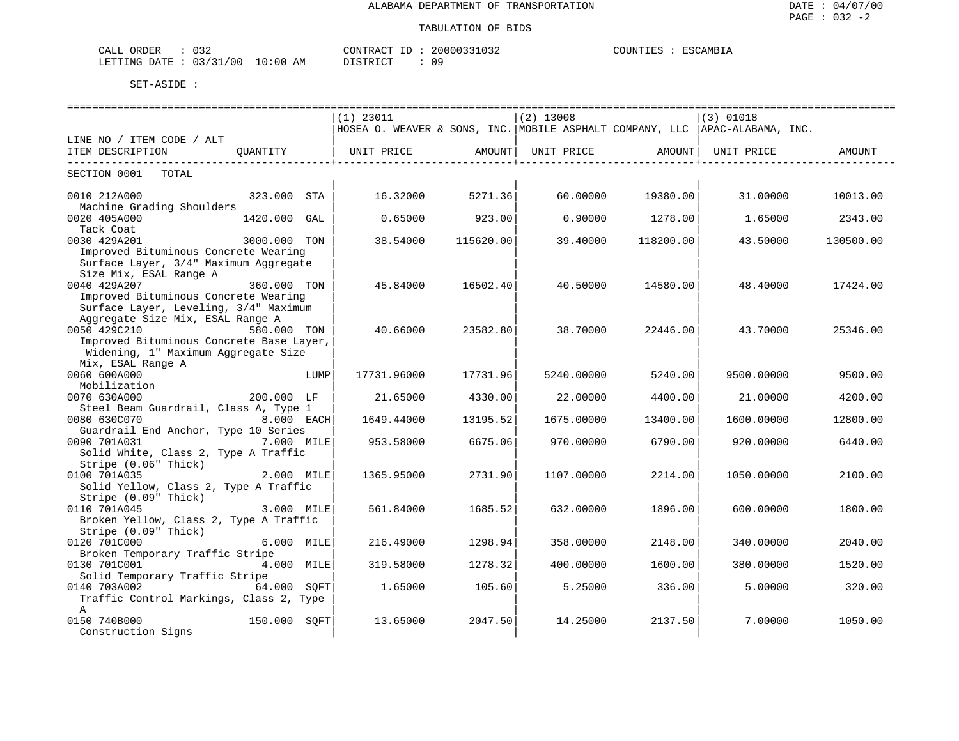| $\cap$ $\cap$ $\cap$<br>ORDER<br>CALL<br>ັບລົ                    |             | CONTRACT<br>$- -$ | 20000331<br>''331032 | COUNTIES<br><b>ESCAMBIL</b> |
|------------------------------------------------------------------|-------------|-------------------|----------------------|-----------------------------|
| 03/<br>00 /<br>$\sim$ $\sim$ $\sim$<br>LETTING<br>R ברובת<br>-27 | 10:06<br>ΑM | T CTR T CT        | nΩ                   |                             |

|                                          | $(1)$ 23011                                                                  |           | $(2)$ 13008 |           | (3) 01018  |           |  |  |
|------------------------------------------|------------------------------------------------------------------------------|-----------|-------------|-----------|------------|-----------|--|--|
|                                          | HOSEA O. WEAVER & SONS, INC. MOBILE ASPHALT COMPANY, LLC  APAC-ALABAMA, INC. |           |             |           |            |           |  |  |
| LINE NO / ITEM CODE / ALT                |                                                                              |           |             |           |            |           |  |  |
| ITEM DESCRIPTION<br>OUANTITY             | UNIT PRICE                                                                   | AMOUNT    | UNIT PRICE  | AMOUNT    | UNIT PRICE | AMOUNT    |  |  |
|                                          |                                                                              |           |             |           |            |           |  |  |
| SECTION 0001<br>TOTAL                    |                                                                              |           |             |           |            |           |  |  |
|                                          |                                                                              |           |             |           |            |           |  |  |
| 0010 212A000<br>323.000 STA              | 16.32000                                                                     | 5271.36   | 60.00000    | 19380.00  | 31.00000   | 10013.00  |  |  |
| Machine Grading Shoulders                |                                                                              |           |             |           |            |           |  |  |
| 0020 405A000<br>1420.000<br>GAL          | 0.65000                                                                      | 923.00    | 0.90000     | 1278.00   | 1.65000    | 2343.00   |  |  |
| Tack Coat                                |                                                                              |           |             |           |            |           |  |  |
| 0030 429A201<br>3000.000 TON             | 38.54000                                                                     | 115620.00 | 39.40000    | 118200.00 | 43.50000   | 130500.00 |  |  |
| Improved Bituminous Concrete Wearing     |                                                                              |           |             |           |            |           |  |  |
| Surface Layer, 3/4" Maximum Aggregate    |                                                                              |           |             |           |            |           |  |  |
| Size Mix, ESAL Range A                   |                                                                              |           |             |           |            |           |  |  |
| 0040 429A207<br>360.000 TON              | 45.84000                                                                     | 16502.40  | 40.50000    | 14580.00  | 48.40000   | 17424.00  |  |  |
| Improved Bituminous Concrete Wearing     |                                                                              |           |             |           |            |           |  |  |
| Surface Layer, Leveling, 3/4" Maximum    |                                                                              |           |             |           |            |           |  |  |
| Aggregate Size Mix, ESAL Range A         |                                                                              |           |             |           |            |           |  |  |
| 0050 429C210<br>580.000 TON              | 40.66000                                                                     | 23582.80  | 38.70000    | 22446.00  | 43.70000   | 25346.00  |  |  |
| Improved Bituminous Concrete Base Layer, |                                                                              |           |             |           |            |           |  |  |
| Widening, 1" Maximum Aggregate Size      |                                                                              |           |             |           |            |           |  |  |
| Mix, ESAL Range A                        |                                                                              |           |             |           |            |           |  |  |
| 0060 600A000<br>LUMP                     | 17731.96000                                                                  | 17731.96  | 5240.00000  | 5240.00   | 9500.00000 | 9500.00   |  |  |
| Mobilization                             |                                                                              |           |             |           |            |           |  |  |
| 0070 630A000<br>200.000 LF               | 21.65000                                                                     | 4330.00   | 22.00000    | 4400.00   | 21.00000   | 4200.00   |  |  |
| Steel Beam Guardrail, Class A, Type 1    |                                                                              |           |             |           |            |           |  |  |
| 0080 630C070<br>8.000 EACH               | 1649.44000                                                                   | 13195.52  | 1675.00000  | 13400.00  | 1600.00000 | 12800.00  |  |  |
| Guardrail End Anchor, Type 10 Series     |                                                                              |           |             |           |            |           |  |  |
| 0090 701A031<br>7.000 MILE               | 953.58000                                                                    | 6675.06   | 970.00000   | 6790.00   | 920.00000  | 6440.00   |  |  |
| Solid White, Class 2, Type A Traffic     |                                                                              |           |             |           |            |           |  |  |
| Stripe (0.06" Thick)                     |                                                                              |           |             |           |            |           |  |  |
| 0100 701A035<br>2.000 MILE               | 1365.95000                                                                   | 2731.90   | 1107.00000  | 2214.00   | 1050.00000 | 2100.00   |  |  |
| Solid Yellow, Class 2, Type A Traffic    |                                                                              |           |             |           |            |           |  |  |
| Stripe (0.09" Thick)                     |                                                                              |           |             |           |            |           |  |  |
| 0110 701A045<br>3.000 MILE               | 561.84000                                                                    | 1685.52   | 632.00000   | 1896.00   | 600.00000  | 1800.00   |  |  |
| Broken Yellow, Class 2, Type A Traffic   |                                                                              |           |             |           |            |           |  |  |
| Stripe (0.09" Thick)                     |                                                                              |           |             |           |            |           |  |  |
| 0120 701C000<br>6.000 MILE               | 216.49000                                                                    | 1298.94   | 358.00000   | 2148.00   | 340.00000  | 2040.00   |  |  |
| Broken Temporary Traffic Stripe          |                                                                              |           |             |           |            |           |  |  |
| 0130 701C001<br>4.000 MILE               | 319.58000                                                                    | 1278.32   | 400.00000   | 1600.00   | 380.00000  | 1520.00   |  |  |
| Solid Temporary Traffic Stripe           |                                                                              |           |             |           |            |           |  |  |
| 0140 703A002<br>64.000 SOFT              | 1.65000                                                                      | 105.60    | 5.25000     | 336.00    | 5.00000    | 320.00    |  |  |
| Traffic Control Markings, Class 2, Type  |                                                                              |           |             |           |            |           |  |  |
| $\mathbb{A}$                             |                                                                              |           |             |           |            |           |  |  |
| 0150 740B000<br>150.000 SOFT             | 13.65000                                                                     | 2047.50   | 14.25000    | 2137.50   | 7.00000    | 1050.00   |  |  |
| Construction Signs                       |                                                                              |           |             |           |            |           |  |  |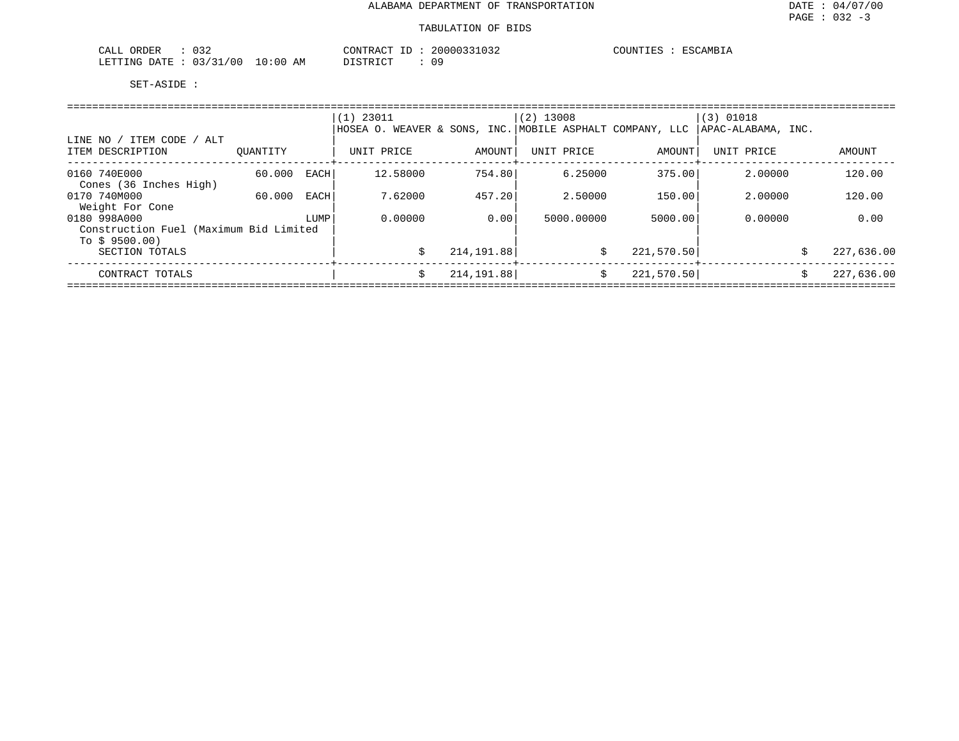| $\sim$ $\sim$ $\sim$<br>$\bigcap \mathcal{R}$<br>ORDER<br>ىلىل<br>◡◡▵ | CONTRACT<br>20000<br>$ -$<br>⊥       | COUNTIES<br><b>TSCAMBIA</b> |
|-----------------------------------------------------------------------|--------------------------------------|-----------------------------|
| /31/00<br>LO : 00<br>LETTING<br>DATE.<br>11/7<br>ັບ                   | 09<br>חדר<br>ΆM<br>סידי דרו<br>11.11 |                             |

|                                                          |          |      | $(1)$ 23011                                              |             | $(2)$ 13008 |            | (3) 01018          |    |            |
|----------------------------------------------------------|----------|------|----------------------------------------------------------|-------------|-------------|------------|--------------------|----|------------|
| LINE NO / ITEM CODE / ALT                                |          |      | HOSEA O. WEAVER & SONS, INC. MOBILE ASPHALT COMPANY, LLC |             |             |            | APAC-ALABAMA, INC. |    |            |
| ITEM DESCRIPTION                                         | OUANTITY |      | UNIT PRICE                                               | AMOUNT      | UNIT PRICE  | AMOUNT     | UNIT PRICE         |    | AMOUNT     |
| 0160 740E000<br>Cones (36 Inches High)                   | 60.000   | EACH | 12.58000                                                 | 754.80      | 6.25000     | 375.00     | 2,00000            |    | 120.00     |
| 0170 740M000<br>Weight For Cone                          | 60.000   | EACH | 7.62000                                                  | 457.20      | 2.50000     | 150.00     | 2.00000            |    | 120.00     |
| 0180 998A000                                             |          | LUMP | 0.00000                                                  | 0.00        | 5000.00000  | 5000.00    | 0.00000            |    | 0.00       |
| Construction Fuel (Maximum Bid Limited<br>To $$9500.00)$ |          |      |                                                          |             |             |            |                    |    |            |
| SECTION TOTALS                                           |          |      |                                                          | 214, 191.88 | \$          | 221,570.50 |                    | Ŝ. | 227,636.00 |
| CONTRACT TOTALS                                          |          |      | Ŝ                                                        | 214,191.88  | Ŝ.          | 221,570.50 |                    | Ŝ. | 227,636.00 |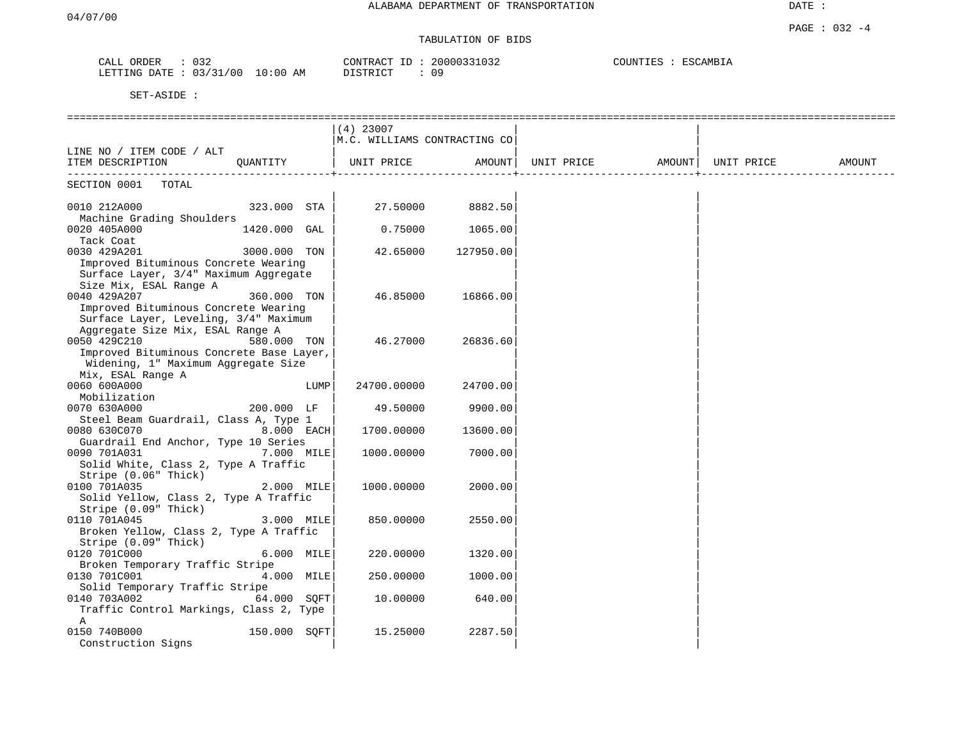# TABULATION OF BIDS

| ORDER<br>CALL     | $\cap$<br>U32 |             | CONTRACT        | $-1$ | 20000331032 | COUNTIES | <b>"AMBIA</b><br>BCA<br>5۷، |
|-------------------|---------------|-------------|-----------------|------|-------------|----------|-----------------------------|
| ' ETTING<br>חת מח | 03/31/00      | 10:00<br>ΑM | חי היה דגודו בת |      | 09          |          |                             |

|                                                          |              |      | $(4)$ 23007                  |           |            |        |            |        |
|----------------------------------------------------------|--------------|------|------------------------------|-----------|------------|--------|------------|--------|
|                                                          |              |      | M.C. WILLIAMS CONTRACTING CO |           |            |        |            |        |
| LINE NO / ITEM CODE / ALT                                |              |      |                              |           |            |        |            |        |
| ITEM DESCRIPTION                                         | OUANTITY     |      | UNIT PRICE                   | AMOUNT    | UNIT PRICE | AMOUNT | UNIT PRICE | AMOUNT |
| SECTION 0001<br>TOTAL                                    |              |      |                              |           |            |        |            |        |
| 0010 212A000<br>Machine Grading Shoulders                | 323.000 STA  |      | 27.50000                     | 8882.50   |            |        |            |        |
| 0020 405A000<br>Tack Coat                                | 1420.000 GAL |      | 0.75000                      | 1065.00   |            |        |            |        |
| 0030 429A201                                             | 3000.000 TON |      | 42.65000                     | 127950.00 |            |        |            |        |
| Improved Bituminous Concrete Wearing                     |              |      |                              |           |            |        |            |        |
| Surface Layer, 3/4" Maximum Aggregate                    |              |      |                              |           |            |        |            |        |
| Size Mix, ESAL Range A                                   |              |      |                              |           |            |        |            |        |
| 0040 429A207                                             | 360.000 TON  |      | 46.85000                     | 16866.00  |            |        |            |        |
| Improved Bituminous Concrete Wearing                     |              |      |                              |           |            |        |            |        |
| Surface Layer, Leveling, 3/4" Maximum                    |              |      |                              |           |            |        |            |        |
| Aggregate Size Mix, ESAL Range A                         |              |      |                              |           |            |        |            |        |
| 0050 429C210<br>Improved Bituminous Concrete Base Layer, | 580.000 TON  |      | 46.27000                     | 26836.60  |            |        |            |        |
| Widening, 1" Maximum Aggregate Size                      |              |      |                              |           |            |        |            |        |
| Mix, ESAL Range A                                        |              |      |                              |           |            |        |            |        |
| 0060 600A000                                             |              | LUMP | 24700.00000                  | 24700.00  |            |        |            |        |
| Mobilization                                             |              |      |                              |           |            |        |            |        |
| 0070 630A000                                             | 200.000 LF   |      | 49.50000                     | 9900.00   |            |        |            |        |
| Steel Beam Guardrail, Class A, Type 1                    |              |      |                              |           |            |        |            |        |
| 0080 630C070                                             | 8.000 EACH   |      | 1700.00000                   | 13600.00  |            |        |            |        |
| Guardrail End Anchor, Type 10 Series                     |              |      |                              |           |            |        |            |        |
| 0090 701A031                                             | 7.000 MILE   |      | 1000.00000                   | 7000.00   |            |        |            |        |
| Solid White, Class 2, Type A Traffic                     |              |      |                              |           |            |        |            |        |
| Stripe (0.06" Thick)                                     |              |      |                              |           |            |        |            |        |
| 0100 701A035<br>Solid Yellow, Class 2, Type A Traffic    | 2.000 MILE   |      | 1000.00000                   | 2000.00   |            |        |            |        |
| Stripe $(0.09"$ Thick)                                   |              |      |                              |           |            |        |            |        |
| 0110 701A045                                             | 3.000 MILE   |      | 850.00000                    | 2550.00   |            |        |            |        |
| Broken Yellow, Class 2, Type A Traffic                   |              |      |                              |           |            |        |            |        |
| Stripe (0.09" Thick)                                     |              |      |                              |           |            |        |            |        |
| 0120 701C000                                             | 6.000 MILE   |      | 220.00000                    | 1320.00   |            |        |            |        |
| Broken Temporary Traffic Stripe                          |              |      |                              |           |            |        |            |        |
| 0130 701C001                                             | 4.000 MILE   |      | 250.00000                    | 1000.00   |            |        |            |        |
| Solid Temporary Traffic Stripe                           |              |      |                              |           |            |        |            |        |
| 0140 703A002                                             | 64.000 SQFT  |      | 10.00000                     | 640.00    |            |        |            |        |
| Traffic Control Markings, Class 2, Type                  |              |      |                              |           |            |        |            |        |
| Α<br>0150 740B000                                        | 150.000 SQFT |      | 15.25000                     | 2287.50   |            |        |            |        |
| Construction Signs                                       |              |      |                              |           |            |        |            |        |
|                                                          |              |      |                              |           |            |        |            |        |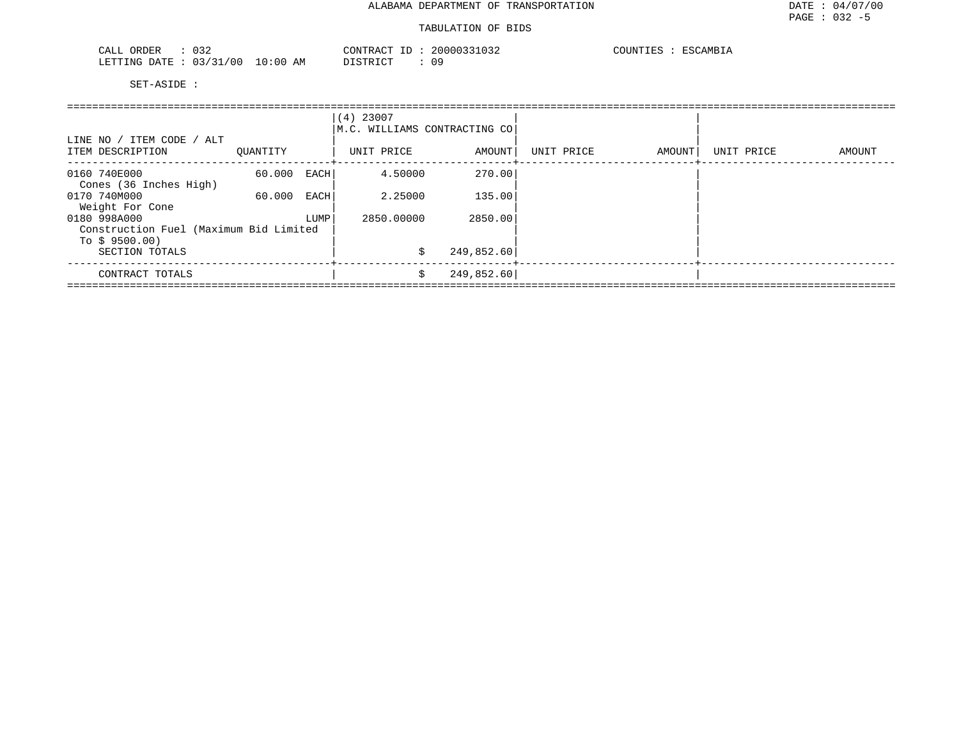| $\cap$ $\cap$<br>ORDER<br>CALL<br>∪≾⊿ |            | CONTRACT ID | 20000331032 | COUNTIES | ESCAMBIA |
|---------------------------------------|------------|-------------|-------------|----------|----------|
| 03/31/00<br>LETTING DATE              | $10:00$ AM | DISTRICT    | Ωq          |          |          |

| LINE NO / ITEM CODE / ALT<br>ITEM DESCRIPTION<br>OUANTITY |        |      | $(4)$ 23007<br>M.C. WILLIAMS CONTRACTING CO<br>UNIT PRICE<br>AMOUNT |            | UNIT PRICE | AMOUNT | UNIT PRICE | AMOUNT |
|-----------------------------------------------------------|--------|------|---------------------------------------------------------------------|------------|------------|--------|------------|--------|
|                                                           |        |      |                                                                     |            |            |        |            |        |
| 0160 740E000                                              | 60.000 | EACH | 4.50000                                                             | 270.00     |            |        |            |        |
| Cones (36 Inches High)                                    |        |      |                                                                     |            |            |        |            |        |
| 0170 740M000                                              | 60.000 | EACH | 2.25000                                                             | 135.00     |            |        |            |        |
| Weight For Cone                                           |        |      |                                                                     |            |            |        |            |        |
| 0180 998A000                                              |        | LUMP | 2850.00000                                                          | 2850.00    |            |        |            |        |
| Construction Fuel (Maximum Bid Limited                    |        |      |                                                                     |            |            |        |            |        |
| To $$9500.00)$                                            |        |      |                                                                     |            |            |        |            |        |
| SECTION TOTALS                                            |        |      | \$                                                                  | 249,852.60 |            |        |            |        |
| CONTRACT TOTALS                                           |        |      | \$                                                                  | 249,852.60 |            |        |            |        |
|                                                           |        |      |                                                                     |            |            |        |            |        |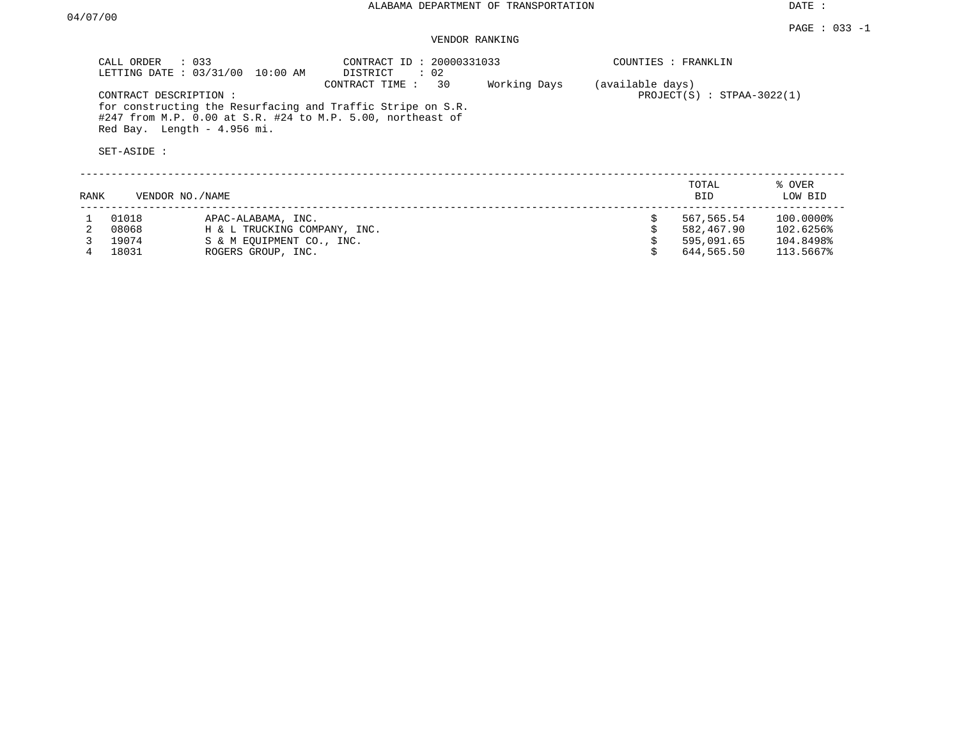|      | CALL ORDER<br>LETTING DATE: 03/31/00<br>CONTRACT DESCRIPTION: | $\therefore$ 033<br>10:00 AM<br>for constructing the Resurfacing and Traffic Stripe on S.R.<br>#247 from M.P. 0.00 at S.R. #24 to M.P. 5.00, northeast of<br>Red Bay. Length - 4.956 mi. | COUNTIES : FRANKLIN<br>(available days)<br>$PROJECT(S)$ : STPAA-3022(1) |  |                     |                   |
|------|---------------------------------------------------------------|------------------------------------------------------------------------------------------------------------------------------------------------------------------------------------------|-------------------------------------------------------------------------|--|---------------------|-------------------|
|      | SET-ASIDE :                                                   |                                                                                                                                                                                          |                                                                         |  |                     |                   |
| RANK |                                                               | VENDOR NO./NAME                                                                                                                                                                          |                                                                         |  | TOTAL<br><b>BID</b> | % OVER<br>LOW BID |
|      | 01018                                                         | APAC-ALABAMA, INC.                                                                                                                                                                       |                                                                         |  | 567,565.54          | 100.0000%         |
|      | 08068                                                         | H & L TRUCKING COMPANY, INC.                                                                                                                                                             |                                                                         |  | 582,467.90          | 102.6256%         |
|      | 19074                                                         | S & M EOUIPMENT CO., INC.                                                                                                                                                                |                                                                         |  | 595,091.65          | 104.8498%         |
|      | 18031                                                         | ROGERS GROUP, INC.                                                                                                                                                                       |                                                                         |  | 644,565.50          | 113.5667%         |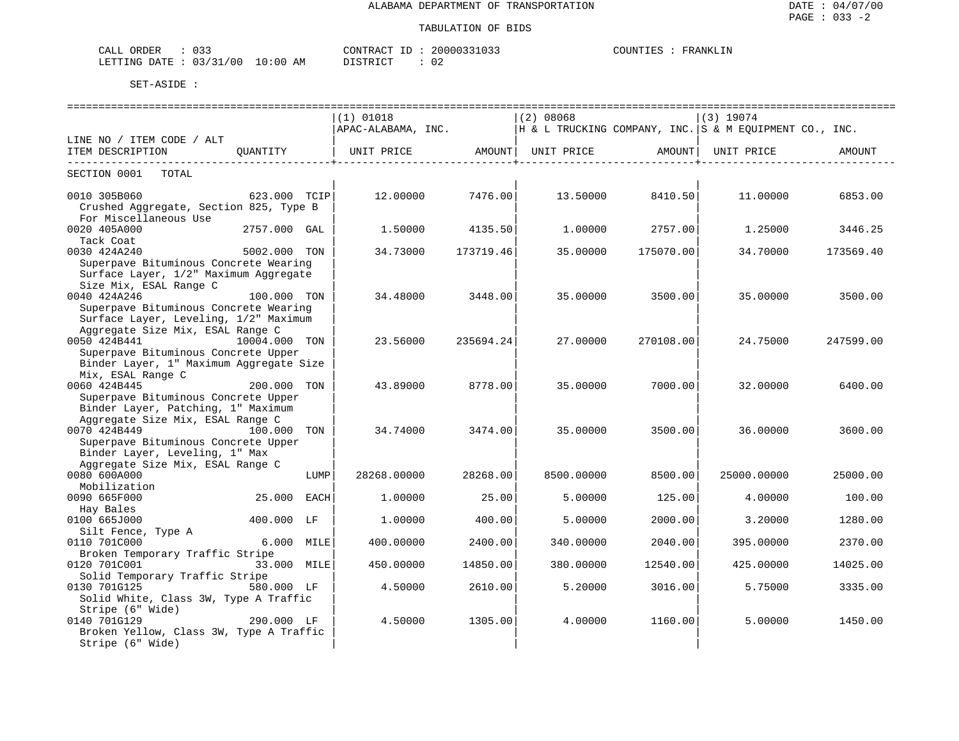| ORDER<br>$\sim$<br>۰ΔΙ.<br>للطلاب<br>◡ ◡ ◡ |         | TUO"            |    | J'R ANK ™<br>תדדר<br>⊥N |
|--------------------------------------------|---------|-----------------|----|-------------------------|
| 00<br>Amp.<br>mmm<br>$\Delta$<br>N         | AM<br>. | $T \cap T$<br>. | ◡∠ |                         |

|                                         |                |      |                                                                                           |           |            |                  | =================================== |           |
|-----------------------------------------|----------------|------|-------------------------------------------------------------------------------------------|-----------|------------|------------------|-------------------------------------|-----------|
|                                         |                |      | $(1)$ 01018                                                                               |           | (2) 08068  |                  | (3) 19074                           |           |
|                                         |                |      | $\vert$ APAC-ALABAMA, INC. $\vert$ H & L TRUCKING COMPANY, INC. S & M EQUIPMENT CO., INC. |           |            |                  |                                     |           |
| LINE NO / ITEM CODE / ALT               |                |      |                                                                                           |           |            |                  |                                     |           |
| ITEM DESCRIPTION QUANTITY               |                |      |                                                                                           |           |            |                  |                                     |           |
|                                         |                |      |                                                                                           |           |            |                  |                                     |           |
| SECTION 0001 TOTAL                      |                |      |                                                                                           |           |            |                  |                                     |           |
|                                         |                |      |                                                                                           |           |            |                  |                                     |           |
| 0010 305B060                            | $623.000$ TCIP |      | 12.00000 7476.00                                                                          |           |            |                  | $13.50000$ $8410.50$ $11.00000$     | 6853.00   |
| Crushed Aggregate, Section 825, Type B  |                |      |                                                                                           |           |            |                  |                                     |           |
| For Miscellaneous Use                   |                |      |                                                                                           |           |            |                  |                                     |           |
| 0020 405A000                            | 2757.000 GAL   |      | 1.50000                                                                                   | 4135.50   | 1.00000    | 2757.00          | 1.25000                             | 3446.25   |
| Tack Coat                               |                |      |                                                                                           |           |            |                  |                                     |           |
| 5002.000 TON<br>0030 424A240            |                |      | 34.73000                                                                                  | 173719.46 | 35.00000   | 175070.00        | 34.70000                            | 173569.40 |
| Superpave Bituminous Concrete Wearing   |                |      |                                                                                           |           |            |                  |                                     |           |
| Surface Layer, 1/2" Maximum Aggregate   |                |      |                                                                                           |           |            |                  |                                     |           |
| Size Mix, ESAL Range C                  |                |      |                                                                                           |           |            |                  |                                     |           |
| 0040 424A246                            | 100.000 TON    |      | 34.48000 3448.00                                                                          |           |            | 35.00000 3500.00 | 35.00000                            | 3500.00   |
| Superpave Bituminous Concrete Wearing   |                |      |                                                                                           |           |            |                  |                                     |           |
| Surface Layer, Leveling, 1/2" Maximum   |                |      |                                                                                           |           |            |                  |                                     |           |
| Aggregate Size Mix, ESAL Range C        |                |      |                                                                                           |           |            |                  |                                     |           |
| 0050 424B441<br>10004.000 TON           |                |      | 23.56000 235694.24                                                                        |           | 27.00000   | 270108.00        | 24.75000                            | 247599.00 |
| Superpave Bituminous Concrete Upper     |                |      |                                                                                           |           |            |                  |                                     |           |
| Binder Layer, 1" Maximum Aggregate Size |                |      |                                                                                           |           |            |                  |                                     |           |
| Mix, ESAL Range C                       |                |      |                                                                                           |           |            |                  |                                     |           |
| 0060 424B445                            | $200.000$ TON  |      | 43.89000                                                                                  | 8778.00   | 35.00000   | 7000.001         | 32.00000                            | 6400.00   |
| Superpave Bituminous Concrete Upper     |                |      |                                                                                           |           |            |                  |                                     |           |
| Binder Layer, Patching, 1" Maximum      |                |      |                                                                                           |           |            |                  |                                     |           |
| Aggregate Size Mix, ESAL Range C        |                |      |                                                                                           |           |            |                  |                                     |           |
| 0070 424B449                            | 100.000 TON    |      | 34.74000                                                                                  | 3474.00   | 35.00000   | 3500.00          | 36.00000                            | 3600.00   |
| Superpave Bituminous Concrete Upper     |                |      |                                                                                           |           |            |                  |                                     |           |
| Binder Layer, Leveling, 1" Max          |                |      |                                                                                           |           |            |                  |                                     |           |
| Aggregate Size Mix, ESAL Range C        |                |      |                                                                                           |           |            |                  |                                     |           |
| 0080 600A000                            |                | LUMP | 28268.00000                                                                               | 28268.00  | 8500.00000 | 8500.00          | 25000.00000                         | 25000.00  |
| Mobilization                            |                |      |                                                                                           |           |            |                  |                                     |           |
| 0090 665F000                            | 25.000 EACH    |      | 1,00000                                                                                   | 25.00     | 5.00000    | 125.00           | 4.00000                             | 100.00    |
| Hay Bales                               |                |      |                                                                                           |           |            |                  |                                     |           |
| 0100 665J000                            | 400.000 LF     |      | 1,00000                                                                                   | 400.00    | 5.00000    | 2000.00          | 3.20000                             | 1280.00   |
|                                         |                |      |                                                                                           |           |            |                  |                                     |           |
| 0110 701C000                            |                |      | 400.00000                                                                                 | 2400.00   | 340.00000  | 2040.00          | 395.00000                           | 2370.00   |
| Broken Temporary Traffic Stripe         |                |      |                                                                                           |           |            |                  |                                     |           |
| 0120 701C001                            | 33.000 MILE    |      | 450.00000                                                                                 | 14850.00  | 380.00000  | 12540.00         | 425.00000                           | 14025.00  |
| Solid Temporary Traffic Stripe          |                |      |                                                                                           |           |            |                  |                                     |           |
| 0130 701G125<br>580.000 LF              |                |      | 4.50000                                                                                   | 2610.00   | 5.20000    | 3016.00          | 5.75000                             | 3335.00   |
| Solid White, Class 3W, Type A Traffic   |                |      |                                                                                           |           |            |                  |                                     |           |
| Stripe (6" Wide)                        |                |      |                                                                                           |           |            |                  |                                     |           |
| 0140 701G129                            | 290.000 LF     |      | 4.50000                                                                                   | 1305.00   | 4.00000    | 1160.00          | 5.00000                             | 1450.00   |
| Broken Yellow, Class 3W, Type A Traffic |                |      |                                                                                           |           |            |                  |                                     |           |
| Stripe (6" Wide)                        |                |      |                                                                                           |           |            |                  |                                     |           |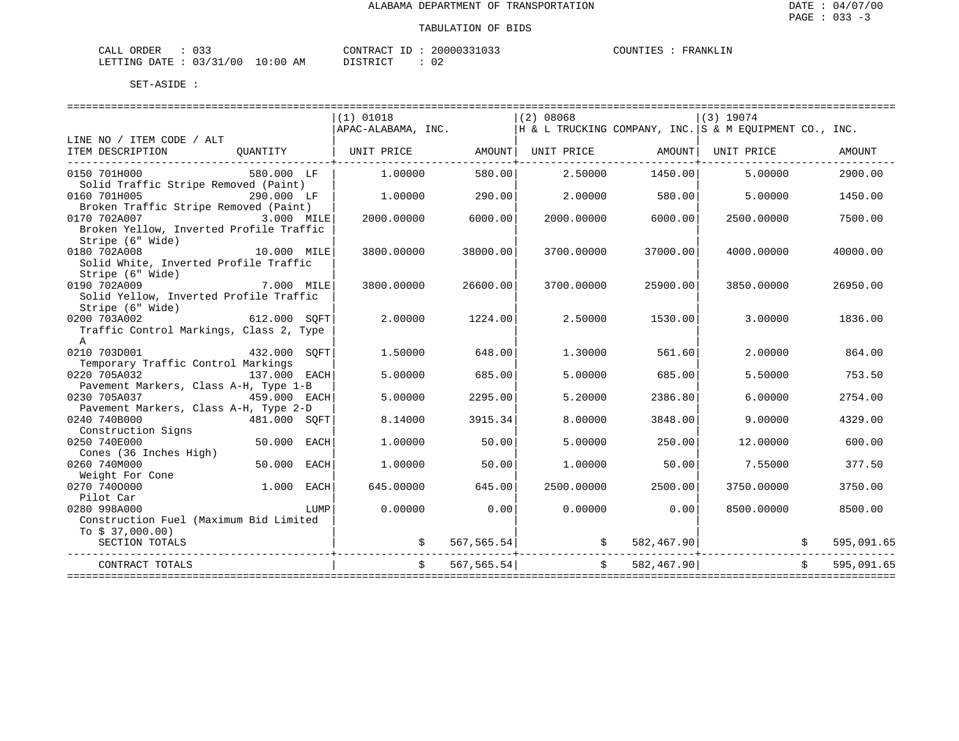| , ORDER<br>CALL                 |  |  | CONTRACT ID |  | 20000331033 | COUNTIES | FRANKLIN |
|---------------------------------|--|--|-------------|--|-------------|----------|----------|
| LETTING DATE: 03/31/00 10:00 AM |  |  | DISTRICT    |  | 02          |          |          |

|                                                        |              |      | $(1)$ 01018<br>$APAC-ALABAMA$ , INC. $ H \& L$ TRUCKING COMPANY, INC. S & M EQUIPMENT CO., INC. |             | (2) 08068                             |               | (3) 19074  |            |
|--------------------------------------------------------|--------------|------|-------------------------------------------------------------------------------------------------|-------------|---------------------------------------|---------------|------------|------------|
| LINE NO / ITEM CODE / ALT                              |              |      |                                                                                                 |             |                                       |               |            |            |
| ITEM DESCRIPTION                                       | OUANTITY     |      | UNIT PRICE   AMOUNT  UNIT PRICE   AMOUNT  UNIT PRICE                                            |             |                                       |               |            | AMOUNT     |
| 0150 701H000                                           | 580.000 LF   |      | 1,00000                                                                                         | 580.00      | 2.50000                               | 1450.00       | 5,00000    | 2900.00    |
| Solid Traffic Stripe Removed (Paint)                   |              |      |                                                                                                 |             |                                       |               |            |            |
| 0160 701H005                                           | 290.000 LF   |      | 1,00000                                                                                         | 290.00      | 2.00000                               | 580.00        | 5.00000    | 1450.00    |
| Broken Traffic Stripe Removed (Paint)                  |              |      |                                                                                                 |             |                                       |               |            |            |
| 0170 702A007<br>3.000 MILE                             |              |      | 2000.00000                                                                                      | 6000.00     | 2000.00000                            | 6000.00       | 2500.00000 | 7500.00    |
| Broken Yellow, Inverted Profile Traffic                |              |      |                                                                                                 |             |                                       |               |            |            |
| Stripe (6" Wide)                                       |              |      |                                                                                                 |             |                                       |               |            |            |
| 0180 702A008                                           | 10.000 MILE  |      | 3800.00000                                                                                      | 38000.00    | 3700.00000                            | 37000.00      | 4000.00000 | 40000.00   |
| Solid White, Inverted Profile Traffic                  |              |      |                                                                                                 |             |                                       |               |            |            |
| Stripe (6" Wide)                                       |              |      |                                                                                                 |             |                                       |               |            |            |
| 7.000 MILE<br>0190 702A009                             |              |      | 3800.00000                                                                                      | 26600.00    | 3700.00000                            | 25900.00      | 3850,00000 | 26950.00   |
| Solid Yellow, Inverted Profile Traffic                 |              |      |                                                                                                 |             |                                       |               |            |            |
| Stripe (6" Wide)                                       |              |      |                                                                                                 |             |                                       |               |            |            |
| 0200 703A002                                           | 612.000 SOFT |      | 2.00000                                                                                         | 1224.00     | 2.50000                               | 1530.00       | 3.00000    | 1836.00    |
| Traffic Control Markings, Class 2, Type                |              |      |                                                                                                 |             |                                       |               |            |            |
| A                                                      |              |      |                                                                                                 |             |                                       |               |            |            |
| 0210 703D001                                           | 432.000 SOFT |      | 1,50000                                                                                         | 648.00      | 1,30000                               | 561.60        | 2,00000    | 864.00     |
| Temporary Traffic Control Markings                     |              |      |                                                                                                 |             |                                       |               |            |            |
| 0220 705A032                                           | 137.000 EACH |      | 5.00000                                                                                         | 685.00      | 5.00000                               | 685.00        | 5.50000    | 753.50     |
| Pavement Markers, Class A-H, Type 1-B                  |              |      |                                                                                                 |             |                                       |               |            |            |
| 0230 705A037<br>459.000 EACH                           |              |      | 5.00000                                                                                         | 2295.00     | 5.20000                               | 2386.80       | 6.00000    | 2754.00    |
| Pavement Markers, Class A-H, Type 2-D                  |              |      |                                                                                                 |             |                                       |               |            |            |
| 0240 740B000                                           | 481.000 SOFT |      | 8.14000                                                                                         | 3915.34     | 8,00000                               | 3848.00       | 9,00000    | 4329.00    |
| Construction Signs                                     |              |      |                                                                                                 |             |                                       |               |            |            |
| 0250 740E000                                           | 50.000 EACH  |      | 1,00000                                                                                         | 50.00       | 5.00000                               | 250.00        | 12.00000   | 600.00     |
| Cones (36 Inches High)                                 |              |      |                                                                                                 |             |                                       |               |            |            |
| 0260 740M000                                           | 50.000 EACH  |      | 1,00000                                                                                         | 50.00       | 1,00000                               | 50.00         | 7.55000    | 377.50     |
| Weight For Cone<br>0270 7400000                        |              |      |                                                                                                 |             |                                       |               |            |            |
|                                                        | 1.000 EACH   |      | 645.00000                                                                                       | 645.00      | 2500.00000                            | 2500.00       | 3750.00000 | 3750.00    |
| Pilot Car                                              |              |      |                                                                                                 | 0.00        |                                       |               |            |            |
| 0280 998A000<br>Construction Fuel (Maximum Bid Limited |              | LUMP | 0.00000                                                                                         |             | 0.00000                               | 0.00          | 8500.00000 | 8500.00    |
| To $$37,000.00)$                                       |              |      |                                                                                                 |             |                                       |               |            |            |
| SECTION TOTALS                                         |              |      |                                                                                                 |             | $\zeta$ 567,565.54 $\zeta$ 582,467.90 |               |            | 595,091.65 |
|                                                        |              |      |                                                                                                 |             |                                       |               |            |            |
| CONTRACT TOTALS                                        |              |      |                                                                                                 | 567, 565.54 |                                       | \$582,467.90] |            | 595,091.65 |
|                                                        |              |      |                                                                                                 |             |                                       |               |            |            |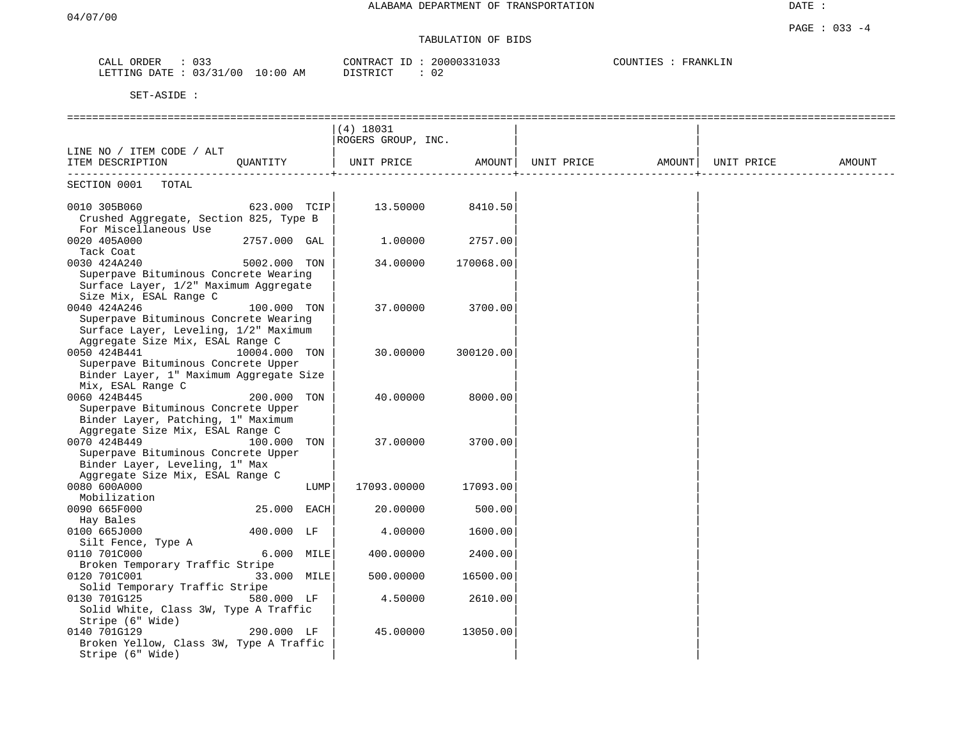# TABULATION OF BIDS

| CALL<br>ORDER | 033                     | 20000331033<br>CONTRACT J <sup>r</sup> | COUNTIES<br>FRANKLIN |
|---------------|-------------------------|----------------------------------------|----------------------|
| LETTING DATE  | 03/31/00<br>10:00<br>AM | DISTRICT<br>02                         |                      |

|                                                       |               |      | $(4)$ 18031        |           |                                       |                     |        |
|-------------------------------------------------------|---------------|------|--------------------|-----------|---------------------------------------|---------------------|--------|
| LINE NO / ITEM CODE / ALT                             |               |      | ROGERS GROUP, INC. |           |                                       |                     |        |
| ITEM DESCRIPTION QUANTITY                             |               |      | UNIT PRICE         |           | AMOUNT  UNIT PRICE AMOUNT  UNIT PRICE |                     | AMOUNT |
|                                                       |               |      |                    |           |                                       | -----------------+- |        |
| SECTION 0001 TOTAL                                    |               |      |                    |           |                                       |                     |        |
| $623.000$ TCIP<br>0010 305B060                        |               |      | 13.50000 8410.50   |           |                                       |                     |        |
| Crushed Aggregate, Section 825, Type B                |               |      |                    |           |                                       |                     |        |
| For Miscellaneous Use                                 |               |      |                    |           |                                       |                     |        |
| 0020 405A000                                          | 2757.000 GAL  |      | 1.00000            | 2757.00   |                                       |                     |        |
| Tack Coat                                             |               |      |                    |           |                                       |                     |        |
| 0030 424A240                                          | 5002.000 TON  |      | 34.00000           | 170068.00 |                                       |                     |        |
| Superpave Bituminous Concrete Wearing                 |               |      |                    |           |                                       |                     |        |
| Surface Layer, 1/2" Maximum Aggregate                 |               |      |                    |           |                                       |                     |        |
| Size Mix, ESAL Range C                                |               |      |                    |           |                                       |                     |        |
| 0040 424A246                                          | 100.000 TON   |      | 37.00000           | 3700.00   |                                       |                     |        |
| Superpave Bituminous Concrete Wearing                 |               |      |                    |           |                                       |                     |        |
| Surface Layer, Leveling, 1/2" Maximum                 |               |      |                    |           |                                       |                     |        |
| Aggregate Size Mix, ESAL Range C                      |               |      |                    |           |                                       |                     |        |
| 0050 424B441                                          | 10004.000 TON |      | 30.00000           | 300120.00 |                                       |                     |        |
| Superpave Bituminous Concrete Upper                   |               |      |                    |           |                                       |                     |        |
| Binder Layer, 1" Maximum Aggregate Size               |               |      |                    |           |                                       |                     |        |
| Mix, ESAL Range C                                     |               |      |                    |           |                                       |                     |        |
| 0060 424B445                                          | 200.000 TON   |      | 40.00000           | 8000.00   |                                       |                     |        |
| Superpave Bituminous Concrete Upper                   |               |      |                    |           |                                       |                     |        |
| Binder Layer, Patching, 1" Maximum                    |               |      |                    |           |                                       |                     |        |
| Aggregate Size Mix, ESAL Range C                      |               |      |                    |           |                                       |                     |        |
| 0070 424B449                                          | 100.000 TON   |      | 37.00000           | 3700.00   |                                       |                     |        |
| Superpave Bituminous Concrete Upper                   |               |      |                    |           |                                       |                     |        |
| Binder Layer, Leveling, 1" Max                        |               |      |                    |           |                                       |                     |        |
| Aggregate Size Mix, ESAL Range C                      |               |      |                    |           |                                       |                     |        |
| 0080 600A000                                          |               | LUMP | 17093.00000        | 17093.00  |                                       |                     |        |
| Mobilization                                          |               |      |                    |           |                                       |                     |        |
| 0090 665F000                                          | 25.000 EACH   |      | 20.00000           | 500.00    |                                       |                     |        |
| Hay Bales                                             |               |      |                    |           |                                       |                     |        |
| 0100 665J000                                          | 400.000 LF    |      | 4.00000            | 1600.00   |                                       |                     |        |
| Silt Fence, Type A                                    |               |      |                    |           |                                       |                     |        |
| 0110 701C000                                          | 6.000 MILE    |      | 400.00000          | 2400.00   |                                       |                     |        |
| Broken Temporary Traffic Stripe                       |               |      |                    |           |                                       |                     |        |
| 0120 701C001<br>Solid Temporary Traffic Stripe        | 33.000 MILE   |      | 500.00000          | 16500.00  |                                       |                     |        |
|                                                       |               |      |                    |           |                                       |                     |        |
| 0130 701G125<br>Solid White, Class 3W, Type A Traffic | 580.000 LF    |      | 4.50000            | 2610.00   |                                       |                     |        |
|                                                       |               |      |                    |           |                                       |                     |        |
| Stripe (6" Wide)<br>0140 701G129                      | 290.000 LF    |      | 45.00000           | 13050.00  |                                       |                     |        |
| Broken Yellow, Class 3W, Type A Traffic               |               |      |                    |           |                                       |                     |        |
| Stripe (6" Wide)                                      |               |      |                    |           |                                       |                     |        |
|                                                       |               |      |                    |           |                                       |                     |        |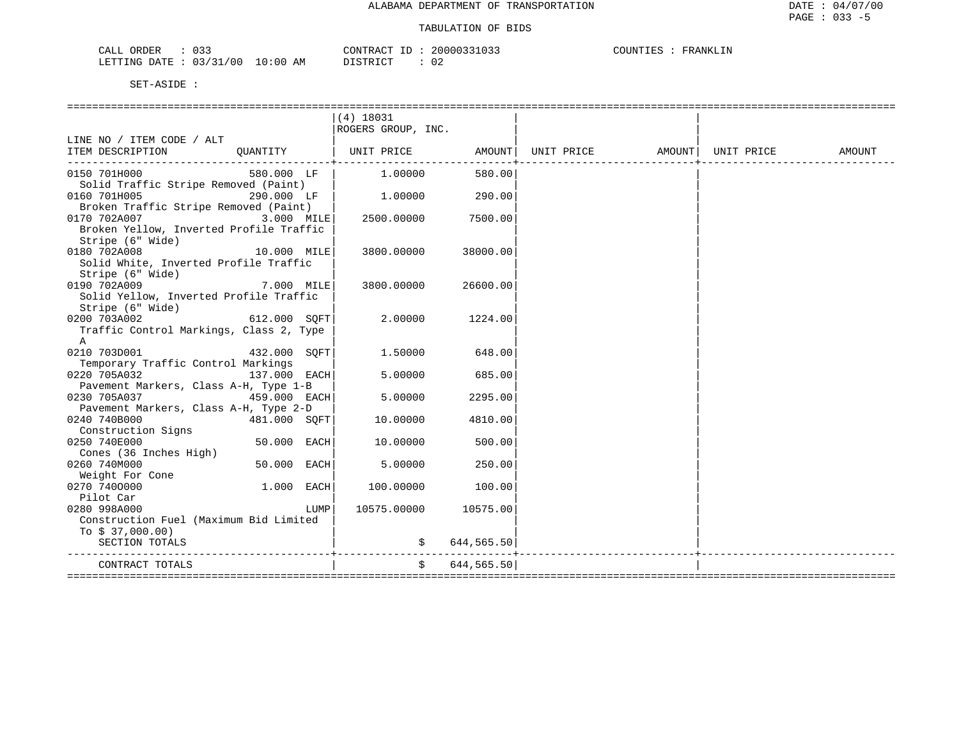| CALL ORDER                      |  | CONTRACT ID |  | 20000331033 | COUNTIES | FRANKLIN |
|---------------------------------|--|-------------|--|-------------|----------|----------|
| LETTING DATE: 03/31/00 10:00 AM |  | DISTRICT    |  | 02          |          |          |

|                                         |               |      | $(4)$ 18031          |               |  |        |
|-----------------------------------------|---------------|------|----------------------|---------------|--|--------|
|                                         |               |      | ROGERS GROUP, INC.   |               |  |        |
| LINE NO / ITEM CODE / ALT               |               |      |                      |               |  |        |
| ITEM DESCRIPTION                        |               |      |                      |               |  | AMOUNT |
|                                         |               |      |                      |               |  |        |
| 0150 701H000                            | 580.000 LF    |      | $1.00000$ 580.00     |               |  |        |
| Solid Traffic Stripe Removed (Paint)    |               |      |                      |               |  |        |
| 290.000 LF  <br>0160 701H005            |               |      | 1.00000              | 290.00        |  |        |
| Broken Traffic Stripe Removed (Paint)   |               |      |                      |               |  |        |
| 3.000 MILE<br>0170 702A007              |               |      | 2500.00000           | 7500.00       |  |        |
| Broken Yellow, Inverted Profile Traffic |               |      |                      |               |  |        |
| Stripe (6" Wide)                        |               |      |                      |               |  |        |
| 0180 702A008<br>10.000 MILE             |               |      | 3800.00000           | 38000.00      |  |        |
| Solid White, Inverted Profile Traffic   |               |      |                      |               |  |        |
| Stripe (6" Wide)                        |               |      |                      |               |  |        |
| 0190 702A009                            | 7.000 MILE    |      | 3800.00000           | 26600.001     |  |        |
| Solid Yellow, Inverted Profile Traffic  |               |      |                      |               |  |        |
| Stripe (6" Wide)                        |               |      |                      |               |  |        |
| $612.000$ SQFT<br>0200 703A002          |               |      | 2.00000              | 1224.00       |  |        |
| Traffic Control Markings, Class 2, Type |               |      |                      |               |  |        |
| $\mathbb{A}$                            |               |      |                      |               |  |        |
| 0210 703D001<br>432.000 SOFT            |               |      | $1.50000$ 648.00     |               |  |        |
| Temporary Traffic Control Markings      |               |      |                      |               |  |        |
| 0220 705A032<br>$137.000$ EACH          |               |      | 5.00000              | 685.00        |  |        |
| Pavement Markers, Class A-H, Type 1-B   |               |      |                      |               |  |        |
| 0230 705A037<br>$459.000$ EACH          |               |      | 5.00000              | 2295.00       |  |        |
| Pavement Markers, Class A-H, Type 2-D   |               |      |                      |               |  |        |
| 0240 740B000                            | 481.000 SOFT  |      | 10.00000             | 4810.00       |  |        |
| Construction Signs                      |               |      |                      |               |  |        |
| 0250 740E000                            | $50.000$ EACH |      | 10.00000             | 500.00        |  |        |
| Cones (36 Inches High)                  |               |      |                      |               |  |        |
| 0260 740M000                            | $50.000$ EACH |      | 5.00000              | 250.00        |  |        |
| Weight For Cone                         |               |      |                      |               |  |        |
| 0270 7400000                            | $1.000$ EACH  |      | 100.00000            | 100.00        |  |        |
| Pilot Car                               |               |      |                      |               |  |        |
| 0280 998A000                            |               | LUMP | 10575.00000 10575.00 |               |  |        |
| Construction Fuel (Maximum Bid Limited  |               |      |                      |               |  |        |
| To $$37,000.00)$                        |               |      |                      |               |  |        |
| SECTION TOTALS                          |               |      |                      | \$644,565.50] |  |        |
|                                         |               |      |                      |               |  |        |
| CONTRACT TOTALS<br>=================    |               |      |                      | \$644,565.50  |  |        |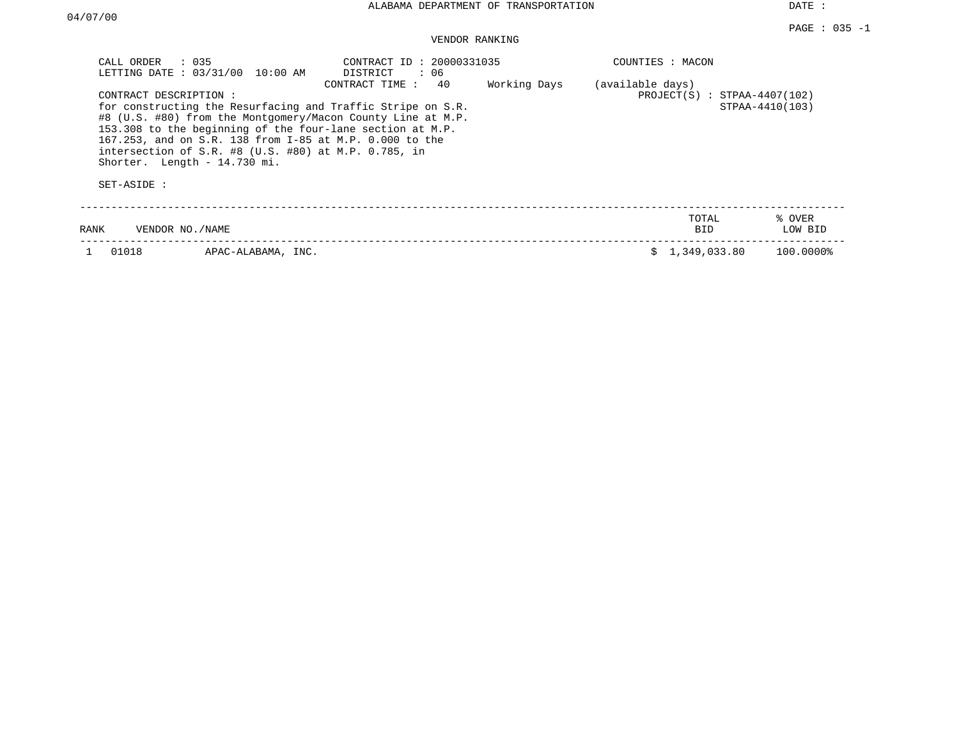| : 035<br>CALL ORDER<br>LETTING DATE: 03/31/00<br>10:00 AM                                                                                                                                                                                                                                                                                                                | CONTRACT ID: 20000331035<br>DISTRICT<br>: 06<br>40<br>Working Days<br>CONTRACT TIME: | COUNTIES : MACON<br>(available days) |                   |
|--------------------------------------------------------------------------------------------------------------------------------------------------------------------------------------------------------------------------------------------------------------------------------------------------------------------------------------------------------------------------|--------------------------------------------------------------------------------------|--------------------------------------|-------------------|
| CONTRACT DESCRIPTION:<br>for constructing the Resurfacing and Traffic Stripe on S.R.<br>#8 (U.S. #80) from the Montgomery/Macon County Line at M.P.<br>153.308 to the beginning of the four-lane section at M.P.<br>167.253, and on S.R. 138 from I-85 at M.P. 0.000 to the<br>intersection of S.R. $#8$ (U.S. $#80$ ) at M.P. 0.785, in<br>Shorter. Length - 14.730 mi. | $PROJECT(S) : STPAA-4407(102)$                                                       | STPAA-4410(103)                      |                   |
| SET-ASIDE :                                                                                                                                                                                                                                                                                                                                                              |                                                                                      |                                      |                   |
| VENDOR NO./NAME<br>RANK                                                                                                                                                                                                                                                                                                                                                  |                                                                                      | TOTAL<br>BID.                        | % OVER<br>LOW BID |
| 01018<br>APAC-ALABAMA, INC.                                                                                                                                                                                                                                                                                                                                              |                                                                                      | 1,349,033.80                         | 100.0000%         |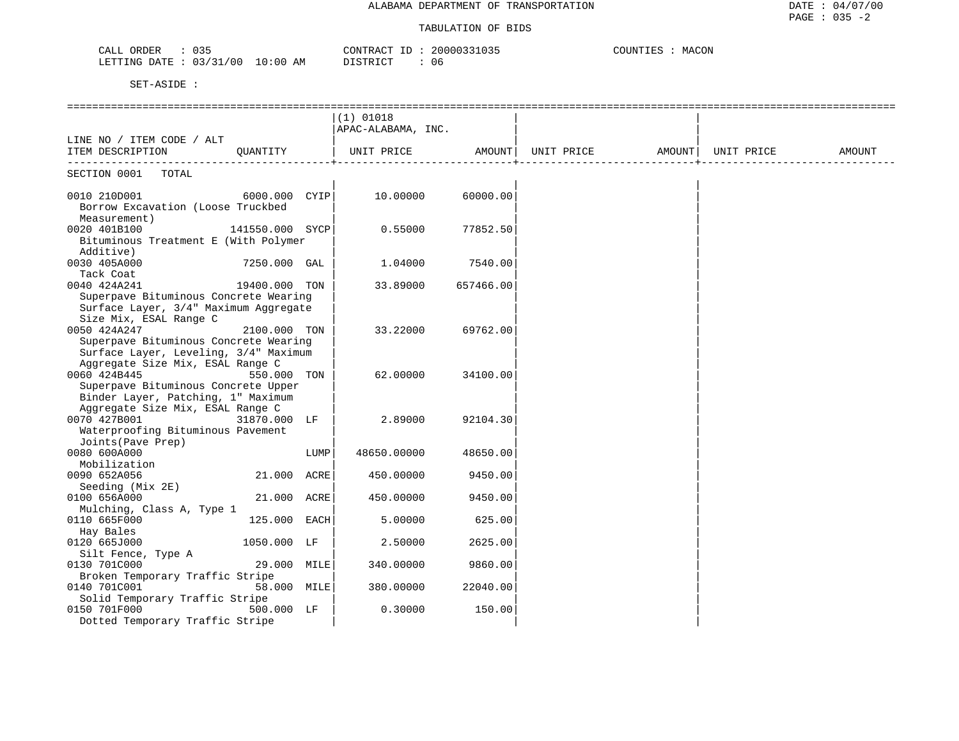| 035<br>CALL<br>ORDER                                                                                                                                                       | 20000331035<br>CONTRACT | COUNTIES<br>MACON |
|----------------------------------------------------------------------------------------------------------------------------------------------------------------------------|-------------------------|-------------------|
| . 03/27<br>/00<br><b>ETTING</b><br>10:00<br>RATE:<br>ΑM<br>the contract of the contract of the contract of the contract of the contract of the contract of the contract of | DISTRICT<br>06          |                   |

|                                                                                                                                    |                 |      | $(1)$ 01018<br>APAC-ALABAMA, INC. |           |                                |  |        |
|------------------------------------------------------------------------------------------------------------------------------------|-----------------|------|-----------------------------------|-----------|--------------------------------|--|--------|
| LINE NO / ITEM CODE / ALT<br>ITEM DESCRIPTION                                                                                      | QUANTITY        |      | UNIT PRICE AMOUNT                 |           | UNIT PRICE AMOUNT   UNIT PRICE |  | AMOUNT |
| SECTION 0001<br>TOTAL                                                                                                              |                 |      |                                   |           |                                |  |        |
| 0010 210D001<br>Borrow Excavation (Loose Truckbed<br>Measurement)                                                                  | 6000.000 CYIP   |      | 10.00000                          | 60000.00  |                                |  |        |
| 0020 401B100<br>Bituminous Treatment E (With Polymer<br>Additive)                                                                  | 141550.000 SYCP |      | 0.55000                           | 77852.50  |                                |  |        |
| 0030 405A000<br>Tack Coat                                                                                                          | 7250.000 GAL    |      | 1,04000                           | 7540.00   |                                |  |        |
| 0040 424A241<br>Superpave Bituminous Concrete Wearing<br>Surface Layer, 3/4" Maximum Aggregate<br>Size Mix, ESAL Range C           | 19400.000 TON   |      | 33.89000                          | 657466.00 |                                |  |        |
| 0050 424A247<br>Superpave Bituminous Concrete Wearing<br>Surface Layer, Leveling, 3/4" Maximum<br>Aggregate Size Mix, ESAL Range C | 2100.000 TON    |      | 33.22000                          | 69762.00  |                                |  |        |
| 0060 424B445<br>Superpave Bituminous Concrete Upper<br>Binder Layer, Patching, 1" Maximum<br>Aggregate Size Mix, ESAL Range C      | 550.000 TON     |      | 62.00000                          | 34100.00  |                                |  |        |
| 0070 427B001<br>Waterproofing Bituminous Pavement<br>Joints (Pave Prep)                                                            | 31870.000 LF    |      | 2.89000                           | 92104.30  |                                |  |        |
| 0080 600A000<br>Mobilization                                                                                                       |                 | LUMP | 48650.00000                       | 48650.00  |                                |  |        |
| 0090 652A056<br>Seeding (Mix 2E)                                                                                                   | 21.000 ACRE     |      | 450.00000                         | 9450.00   |                                |  |        |
| 0100 656A000<br>Mulching, Class A, Type 1                                                                                          | 21.000 ACRE     |      | 450.00000                         | 9450.00   |                                |  |        |
| 0110 665F000                                                                                                                       | 125.000 EACH    |      | 5.00000                           | 625.00    |                                |  |        |
| Hay Bales<br>0120 665J000                                                                                                          | 1050.000 LF     |      | 2.50000                           | 2625.00   |                                |  |        |
| Silt Fence, Type A<br>0130 701C000                                                                                                 | 29.000 MILE     |      | 340.00000                         | 9860.00   |                                |  |        |
| Broken Temporary Traffic Stripe<br>0140 701C001                                                                                    | 58.000 MILE     |      | 380.00000                         | 22040.00  |                                |  |        |
| Solid Temporary Traffic Stripe<br>0150 701F000<br>Dotted Temporary Traffic Stripe                                                  | 500.000 LF      |      | 0.30000                           | 150.00    |                                |  |        |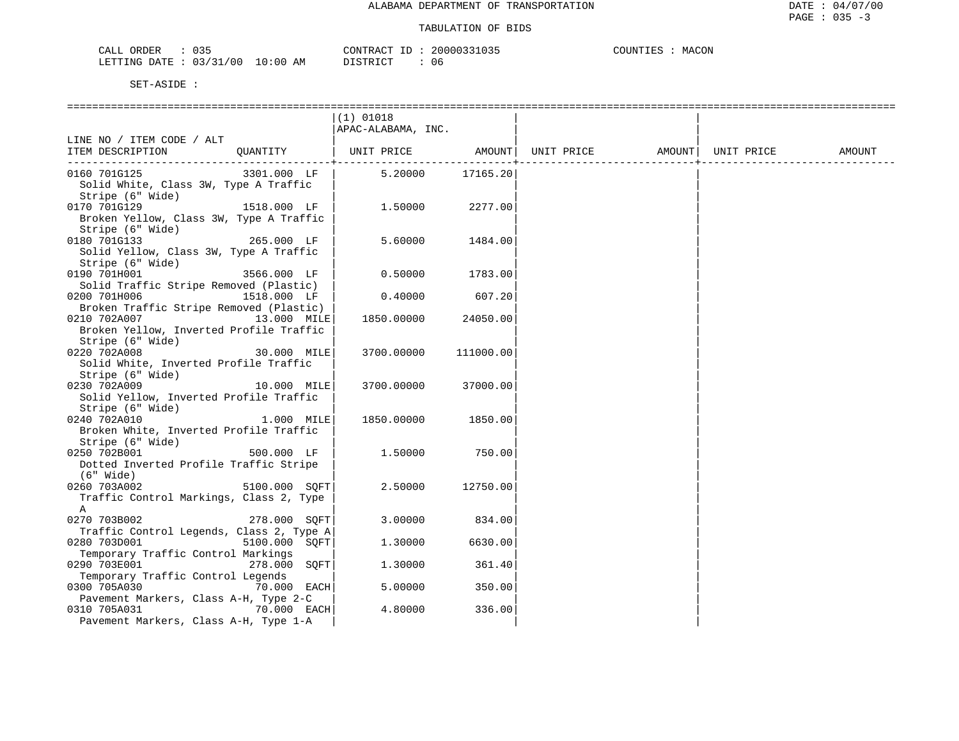| ORDER<br>CALL          | $\sim$ $\sim$ $\sim$ |            | CONTRACT ID | 20000331035 | COUNTIES | MACON |  |
|------------------------|----------------------|------------|-------------|-------------|----------|-------|--|
| LETTING DATE: 03/31/00 |                      | $10:00$ AM | DISTRICT    | 06          |          |       |  |

|                                          |               | $(1)$ 01018                  |           |                   |            |        |
|------------------------------------------|---------------|------------------------------|-----------|-------------------|------------|--------|
|                                          |               | APAC-ALABAMA, INC.           |           |                   |            |        |
| LINE NO / ITEM CODE / ALT                |               |                              |           |                   |            |        |
| ITEM DESCRIPTION                         |               | QUANTITY   UNIT PRICE AMOUNT |           | UNIT PRICE AMOUNT | UNIT PRICE | AMOUNT |
|                                          |               |                              |           |                   |            |        |
| 0160 701G125                             | 3301.000 LF   | 5.20000                      | 17165.20  |                   |            |        |
| Solid White, Class 3W, Type A Traffic    |               |                              |           |                   |            |        |
| Stripe (6" Wide)                         |               |                              |           |                   |            |        |
| 0170 701G129                             | 1518.000 LF   | 1.50000                      | 2277.00   |                   |            |        |
| Broken Yellow, Class 3W, Type A Traffic  |               |                              |           |                   |            |        |
| Stripe (6" Wide)                         |               |                              |           |                   |            |        |
| 0180 701G133                             | 265.000 LF    | 5.60000                      | 1484.00   |                   |            |        |
| Solid Yellow, Class 3W, Type A Traffic   |               |                              |           |                   |            |        |
| Stripe (6" Wide)                         |               |                              |           |                   |            |        |
| 0190 701H001                             | 3566.000 LF   | 0.50000                      | 1783.00   |                   |            |        |
| Solid Traffic Stripe Removed (Plastic)   |               |                              |           |                   |            |        |
| 0200 701H006                             | 1518.000 LF   | 0.40000                      | 607.20    |                   |            |        |
| Broken Traffic Stripe Removed (Plastic)  |               |                              |           |                   |            |        |
| 0210 702A007                             | 13.000 MILE   | 1850.00000                   | 24050.00  |                   |            |        |
|                                          |               |                              |           |                   |            |        |
| Broken Yellow, Inverted Profile Traffic  |               |                              |           |                   |            |        |
| Stripe (6" Wide)                         |               |                              |           |                   |            |        |
| 0220 702A008                             | 30.000 MILE   | 3700.00000                   | 111000.00 |                   |            |        |
| Solid White, Inverted Profile Traffic    |               |                              |           |                   |            |        |
| Stripe (6" Wide)                         |               |                              |           |                   |            |        |
| 0230 702A009                             | 10.000 MILE   | 3700.00000                   | 37000.00  |                   |            |        |
| Solid Yellow, Inverted Profile Traffic   |               |                              |           |                   |            |        |
| Stripe (6" Wide)                         |               |                              |           |                   |            |        |
| 0240 702A010                             | 1.000 MILE    | 1850.00000                   | 1850.00   |                   |            |        |
| Broken White, Inverted Profile Traffic   |               |                              |           |                   |            |        |
| Stripe (6" Wide)                         |               |                              |           |                   |            |        |
| 0250 702B001                             | 500.000 LF    | 1.50000                      | 750.00    |                   |            |        |
| Dotted Inverted Profile Traffic Stripe   |               |                              |           |                   |            |        |
| (6" Wide)                                |               |                              |           |                   |            |        |
| 0260 703A002                             | 5100.000 SOFT | 2.50000                      | 12750.00  |                   |            |        |
| Traffic Control Markings, Class 2, Type  |               |                              |           |                   |            |        |
| A                                        |               |                              |           |                   |            |        |
| 0270 703B002                             | 278.000 SOFT  | 3.00000                      | 834.00    |                   |            |        |
| Traffic Control Legends, Class 2, Type A |               |                              |           |                   |            |        |
| 0280 703D001                             | 5100.000 SOFT | 1,30000                      | 6630.00   |                   |            |        |
| Temporary Traffic Control Markings       |               |                              |           |                   |            |        |
| 0290 703E001                             | 278.000 SOFT  | 1,30000                      | 361.40    |                   |            |        |
| Temporary Traffic Control Legends        |               |                              |           |                   |            |        |
| 0300 705A030                             | 70.000 EACH   | 5.00000                      | 350.00    |                   |            |        |
| Pavement Markers, Class A-H, Type 2-C    |               |                              |           |                   |            |        |
| 0310 705A031                             | 70.000 EACH   | 4.80000                      | 336.00    |                   |            |        |
| Pavement Markers, Class A-H, Type 1-A    |               |                              |           |                   |            |        |
|                                          |               |                              |           |                   |            |        |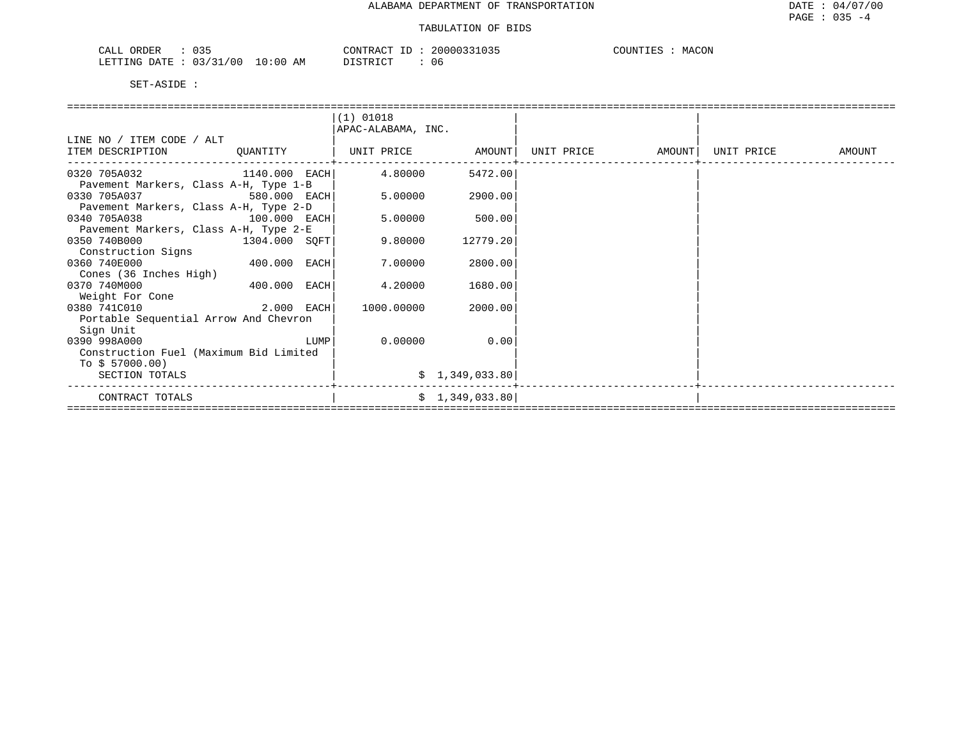| $\sim$ $\sim$ $\sim$<br>ORDER<br>ىلىك<br>ັບວະ | 20000331035<br>$\gamma$ NTRA $\sim$<br>___<br>.U35 | COUNT <sup>T</sup><br>MACON |
|-----------------------------------------------|----------------------------------------------------|-----------------------------|
| /31/00<br>0:00<br>LETTING<br>DATE.            | די היה דרי<br>AΜ<br>U6                             |                             |

|                                        |                | $(1)$ 01018        |                |  |                   |            |        |  |  |  |
|----------------------------------------|----------------|--------------------|----------------|--|-------------------|------------|--------|--|--|--|
|                                        |                | APAC-ALABAMA, INC. |                |  |                   |            |        |  |  |  |
| LINE NO / ITEM CODE / ALT              |                |                    |                |  |                   |            |        |  |  |  |
| ITEM DESCRIPTION                       | QUANTITY       | UNIT PRICE AMOUNT  |                |  | UNIT PRICE AMOUNT | UNIT PRICE | AMOUNT |  |  |  |
| 0320 705A032 1140.000 EACH             |                | 4.80000            | 5472.00        |  |                   |            |        |  |  |  |
| Pavement Markers, Class A-H, Type 1-B  |                |                    |                |  |                   |            |        |  |  |  |
| 0330 705A037                           | 580.000 EACH   | 5.00000            | 2900.00        |  |                   |            |        |  |  |  |
| Pavement Markers, Class A-H, Type 2-D  |                |                    |                |  |                   |            |        |  |  |  |
| 0340 705A038                           | $100.000$ EACH | 5.00000            | 500.00         |  |                   |            |        |  |  |  |
| Pavement Markers, Class A-H, Type 2-E  |                |                    |                |  |                   |            |        |  |  |  |
| 0350 740B000                           | 1304.000 SQFT  | 9.80000            | 12779.20       |  |                   |            |        |  |  |  |
| Construction Signs                     |                |                    |                |  |                   |            |        |  |  |  |
| 0360 740E000                           | 400.000 EACH   | 7.00000            | 2800.00        |  |                   |            |        |  |  |  |
| Cones (36 Inches High)                 |                |                    |                |  |                   |            |        |  |  |  |
| 0370 740M000                           | 400.000 EACH   | 4.20000            | 1680.00        |  |                   |            |        |  |  |  |
| Weight For Cone                        |                |                    |                |  |                   |            |        |  |  |  |
| 0380 741C010                           | 2.000 EACH     | 1000.00000         | 2000.00        |  |                   |            |        |  |  |  |
| Portable Sequential Arrow And Chevron  |                |                    |                |  |                   |            |        |  |  |  |
| Sign Unit                              |                |                    |                |  |                   |            |        |  |  |  |
| 0390 998A000                           | LUMP           | 0.00000            | 0.00           |  |                   |            |        |  |  |  |
| Construction Fuel (Maximum Bid Limited |                |                    |                |  |                   |            |        |  |  |  |
| To $$57000.00)$                        |                |                    |                |  |                   |            |        |  |  |  |
| SECTION TOTALS                         |                |                    | \$1,349,033.80 |  |                   |            |        |  |  |  |
| CONTRACT TOTALS                        |                |                    | \$1,349,033.80 |  |                   |            |        |  |  |  |
|                                        |                |                    |                |  |                   |            |        |  |  |  |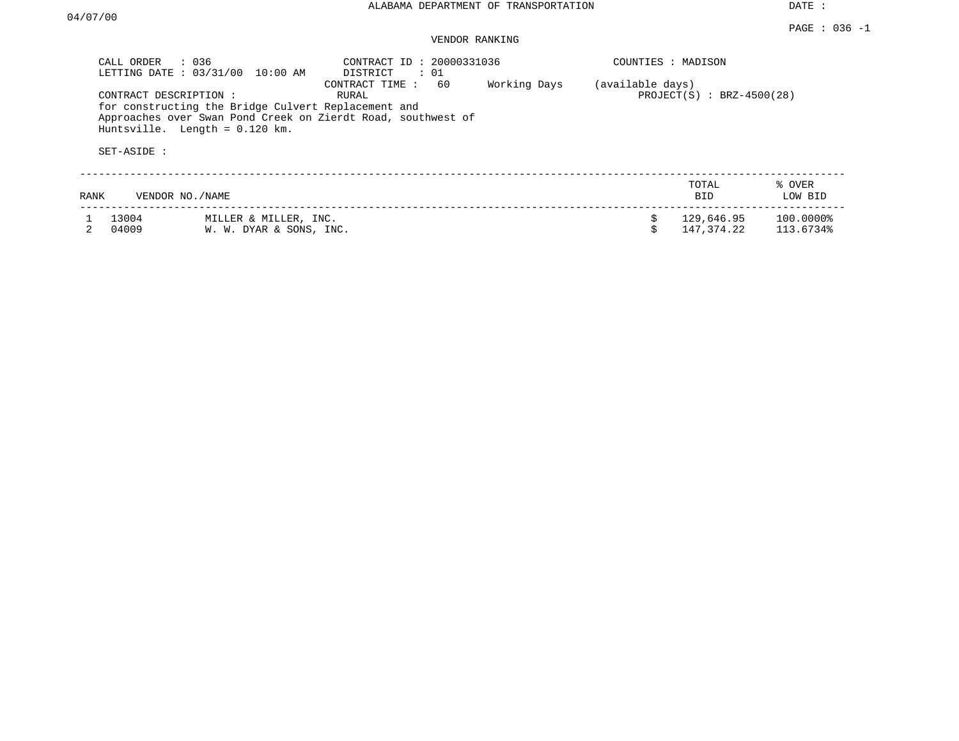| CALL ORDER : 036 | LETTING DATE: 03/31/00<br>10:00 AM                                                                               | CONTRACT ID: 20000331036<br>DISTRICT : 01                                                     |              | COUNTIES : MADISON |                              |                        |
|------------------|------------------------------------------------------------------------------------------------------------------|-----------------------------------------------------------------------------------------------|--------------|--------------------|------------------------------|------------------------|
| SET-ASIDE :      | CONTRACT DESCRIPTION:<br>for constructing the Bridge Culvert Replacement and<br>Huntsville. Length = $0.120$ km. | 60<br>CONTRACT TIME:<br>RURAL<br>Approaches over Swan Pond Creek on Zierdt Road, southwest of | Working Days | (available days)   | PROJECT $(S)$ : BRZ-4500(28) |                        |
| RANK             | VENDOR NO./NAME                                                                                                  |                                                                                               |              |                    | TOTAL<br><b>BID</b>          | % OVER<br>LOW BID      |
| 13004<br>04009   | MILLER & MILLER, INC.<br>W. W. DYAR & SONS, INC.                                                                 |                                                                                               |              | \$                 | 129,646.95<br>147,374.22     | 100.0000%<br>113.6734% |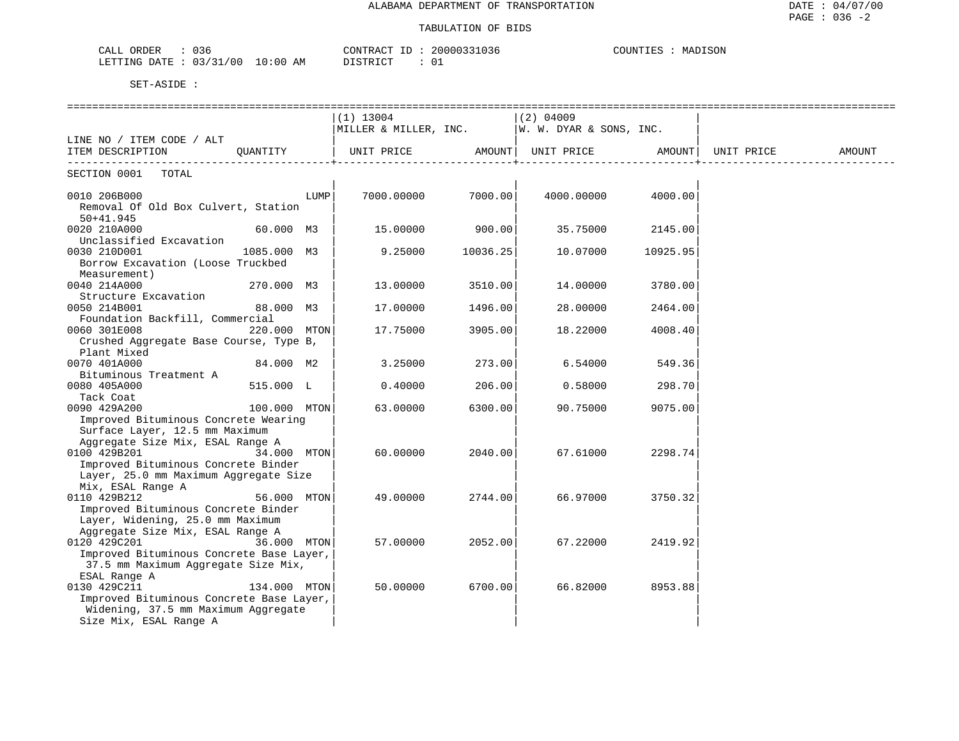| CALL ORDER<br>: 036             | CONTRACT ID: 20000331036 | COUNTIES : MADISON |
|---------------------------------|--------------------------|--------------------|
| LETTING DATE: 03/31/00 10:00 AM | DISTRICT<br>- 01         |                    |

|                                          |              |      | (1) 13004                                          |          | (2) 04009 |                    |        |
|------------------------------------------|--------------|------|----------------------------------------------------|----------|-----------|--------------------|--------|
|                                          |              |      | MILLER & MILLER, INC. $ W. W. DYAR & SONS, INC.$   |          |           |                    |        |
| LINE NO / ITEM CODE / ALT                |              |      |                                                    |          |           |                    |        |
| ITEM DESCRIPTION QUANTITY                |              |      | UNIT PRICE AMOUNT   UNIT PRICE AMOUNT   UNIT PRICE |          |           |                    | AMOUNT |
|                                          |              |      |                                                    |          |           |                    |        |
| SECTION 0001 TOTAL                       |              |      |                                                    |          |           |                    |        |
| 0010 206B000                             |              | LUMP | 7000.00000 7000.00                                 |          |           | 4000.00000 4000.00 |        |
| Removal Of Old Box Culvert, Station      |              |      |                                                    |          |           |                    |        |
| $50+41.945$                              |              |      |                                                    |          |           |                    |        |
| 0020 210A000                             | 60.000 M3    |      | 15.00000                                           | 900.00   | 35.75000  | 2145.00            |        |
| Unclassified Excavation                  |              |      |                                                    |          |           |                    |        |
| 0030 210D001                             | 1085.000 M3  |      | 9.25000                                            | 10036.25 | 10.07000  | 10925.95           |        |
|                                          |              |      |                                                    |          |           |                    |        |
| Borrow Excavation (Loose Truckbed        |              |      |                                                    |          |           |                    |        |
| Measurement)                             |              |      |                                                    |          |           |                    |        |
| 0040 214A000                             | 270.000 M3   |      | 13.00000                                           | 3510.00  | 14.00000  | 3780.00            |        |
| Structure Excavation                     |              |      |                                                    |          |           |                    |        |
| 0050 214B001                             | 88.000 M3    |      | 17.00000                                           | 1496.00  | 28.00000  | 2464.00            |        |
| Foundation Backfill, Commercial          |              |      |                                                    |          |           |                    |        |
| 0060 301E008                             | 220.000 MTON |      | 17.75000                                           | 3905.00  | 18.22000  | 4008.40            |        |
| Crushed Aggregate Base Course, Type B,   |              |      |                                                    |          |           |                    |        |
| Plant Mixed                              |              |      |                                                    |          |           |                    |        |
| 0070 401A000                             | 84.000 M2    |      | 3.25000                                            | 273.00   | 6.54000   | 549.36             |        |
| Bituminous Treatment A                   |              |      |                                                    |          |           |                    |        |
| 0080 405A000                             | 515.000 L    |      | 0.40000                                            | 206.00   | 0.58000   | 298.70             |        |
| Tack Coat                                |              |      |                                                    |          |           |                    |        |
| 0090 429A200                             | 100.000 MTON |      | 63.00000                                           | 6300.00  | 90.75000  | 9075.00            |        |
| Improved Bituminous Concrete Wearing     |              |      |                                                    |          |           |                    |        |
| Surface Layer, 12.5 mm Maximum           |              |      |                                                    |          |           |                    |        |
| Aggregate Size Mix, ESAL Range A         |              |      |                                                    |          |           |                    |        |
| 0100 429B201                             | 34.000 MTON  |      | 60.00000                                           | 2040.00  | 67.61000  | 2298.74            |        |
| Improved Bituminous Concrete Binder      |              |      |                                                    |          |           |                    |        |
| Layer, 25.0 mm Maximum Aggregate Size    |              |      |                                                    |          |           |                    |        |
| Mix, ESAL Range A                        |              |      |                                                    |          |           |                    |        |
| 0110 429B212                             | 56.000 MTON  |      | 49.00000                                           | 2744.00  | 66.97000  | 3750.32            |        |
| Improved Bituminous Concrete Binder      |              |      |                                                    |          |           |                    |        |
| Layer, Widening, 25.0 mm Maximum         |              |      |                                                    |          |           |                    |        |
| Aggregate Size Mix, ESAL Range A         |              |      |                                                    |          |           |                    |        |
| 0120 429C201                             | 36.000 MTON  |      | 57.00000                                           | 2052.00  | 67.22000  | 2419.92            |        |
| Improved Bituminous Concrete Base Layer, |              |      |                                                    |          |           |                    |        |
| 37.5 mm Maximum Aggregate Size Mix,      |              |      |                                                    |          |           |                    |        |
| ESAL Range A                             |              |      |                                                    |          |           |                    |        |
| 0130 429C211                             | 134.000 MTON |      | 50.00000                                           | 6700.00  | 66.82000  | 8953.88            |        |
| Improved Bituminous Concrete Base Layer, |              |      |                                                    |          |           |                    |        |
| Widening, 37.5 mm Maximum Aggregate      |              |      |                                                    |          |           |                    |        |
| Size Mix, ESAL Range A                   |              |      |                                                    |          |           |                    |        |
|                                          |              |      |                                                    |          |           |                    |        |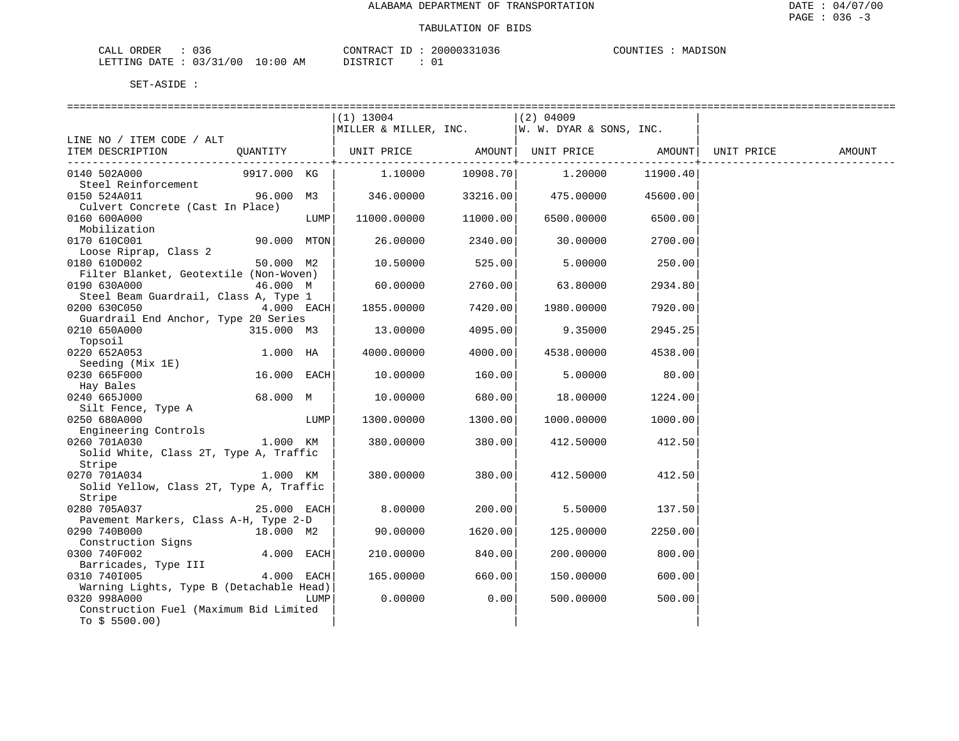### TABULATION OF BIDS

| ORDER<br>CALI | Jsr      |               | CONTRACT   | TГ | 20000331036 | COUNTIES | MADISON |
|---------------|----------|---------------|------------|----|-------------|----------|---------|
| LETTING DATE  | 03/31/00 | LO : 00<br>ΑM | DI STR TOT |    |             |          |         |

|                                                          |               |      | $(1)$ 13004           |          | $(2)$ 04009                                      |          |        |
|----------------------------------------------------------|---------------|------|-----------------------|----------|--------------------------------------------------|----------|--------|
|                                                          |               |      | MILLER & MILLER, INC. |          | W. W. DYAR & SONS, INC.                          |          |        |
| LINE NO / ITEM CODE / ALT                                |               |      |                       |          |                                                  |          |        |
| ITEM DESCRIPTION                                         | QUANTITY      |      |                       |          | UNIT PRICE AMOUNT  UNIT PRICE AMOUNT  UNIT PRICE |          | AMOUNT |
| 0140 502A000                                             | 9917.000 KG   |      | 1,10000               | 10908.70 | 1,20000                                          | 11900.40 |        |
| Steel Reinforcement                                      |               |      |                       |          |                                                  |          |        |
| 0150 524A011                                             | 96.000 M3     |      | 346.00000             | 33216.00 | 475.00000                                        | 45600.00 |        |
| Culvert Concrete (Cast In Place)<br>0160 600A000         |               | LUMP | 11000.00000           | 11000.00 | 6500.00000                                       | 6500.00  |        |
| Mobilization                                             |               |      |                       |          |                                                  |          |        |
| 0170 610C001                                             | 90.000 MTON   |      | 26.00000              | 2340.00  | 30.00000                                         | 2700.00  |        |
| Loose Riprap, Class 2<br>0180 610D002                    | 50.000 M2     |      | 10.50000              | 525.00   | 5,00000                                          | 250.00   |        |
| Filter Blanket, Geotextile (Non-Woven)                   |               |      |                       |          |                                                  |          |        |
| 0190 630A000                                             | 46.000 M      |      | 60.00000              | 2760.00  | 63.80000                                         | 2934.80  |        |
| Steel Beam Guardrail, Class A, Type 1<br>0200 630C050    | $4.000$ EACH  |      | 1855.00000            | 7420.00  | 1980.00000                                       | 7920.00  |        |
| Guardrail End Anchor, Type 20 Series                     |               |      |                       |          |                                                  |          |        |
| 0210 650A000<br>Topsoil                                  | 315.000 M3    |      | 13.00000              | 4095.00  | 9.35000                                          | 2945.25  |        |
| 0220 652A053                                             | 1.000 HA      |      | 4000.00000            | 4000.00  | 4538.00000                                       | 4538.00  |        |
| Seeding (Mix 1E)                                         |               |      |                       |          |                                                  |          |        |
| 0230 665F000                                             | 16.000 EACH   |      | 10.00000              | 160.00   | 5.00000                                          | 80.00    |        |
| Hay Bales<br>0240 665J000                                | 68.000 M      |      | 10.00000              | 680.00   | 18.00000                                         | 1224.00  |        |
| Silt Fence, Type A                                       |               |      |                       |          |                                                  |          |        |
| 0250 680A000                                             |               | LUMP | 1300.00000            | 1300.00  | 1000.00000                                       | 1000.00  |        |
| Engineering Controls                                     |               |      |                       |          |                                                  |          |        |
| 0260 701A030                                             | 1.000 KM      |      | 380.00000             | 380.00   | 412.50000                                        | 412.50   |        |
| Solid White, Class 2T, Type A, Traffic                   |               |      |                       |          |                                                  |          |        |
| Stripe                                                   |               |      |                       |          |                                                  |          |        |
| 0270 701A034                                             | 1.000 KM      |      | 380.00000             | 380.00   | 412.50000                                        | 412.50   |        |
| Solid Yellow, Class 2T, Type A, Traffic                  |               |      |                       |          |                                                  |          |        |
| Stripe<br>0280 705A037                                   | $25.000$ EACH |      | 8.00000               | 200.00   | 5.50000                                          | 137.50   |        |
| Pavement Markers, Class A-H, Type 2-D                    |               |      |                       |          |                                                  |          |        |
| 0290 740B000                                             | 18.000 M2     |      | 90.00000              | 1620.00  | 125.00000                                        | 2250.00  |        |
| Construction Signs                                       |               |      |                       |          |                                                  |          |        |
| 0300 740F002                                             | $4.000$ EACH  |      | 210.00000             | 840.00   | 200.00000                                        | 800.00   |        |
| Barricades, Type III                                     |               |      |                       |          |                                                  |          |        |
| 0310 7401005                                             | 4.000 EACH    |      | 165.00000             | 660.00   | 150.00000                                        | 600.00   |        |
| Warning Lights, Type B (Detachable Head)<br>0320 998A000 |               | LUMP | 0.00000               | 0.00     | 500.00000                                        | 500.00   |        |
| Construction Fuel (Maximum Bid Limited                   |               |      |                       |          |                                                  |          |        |
| To $$5500.00)$                                           |               |      |                       |          |                                                  |          |        |
|                                                          |               |      |                       |          |                                                  |          |        |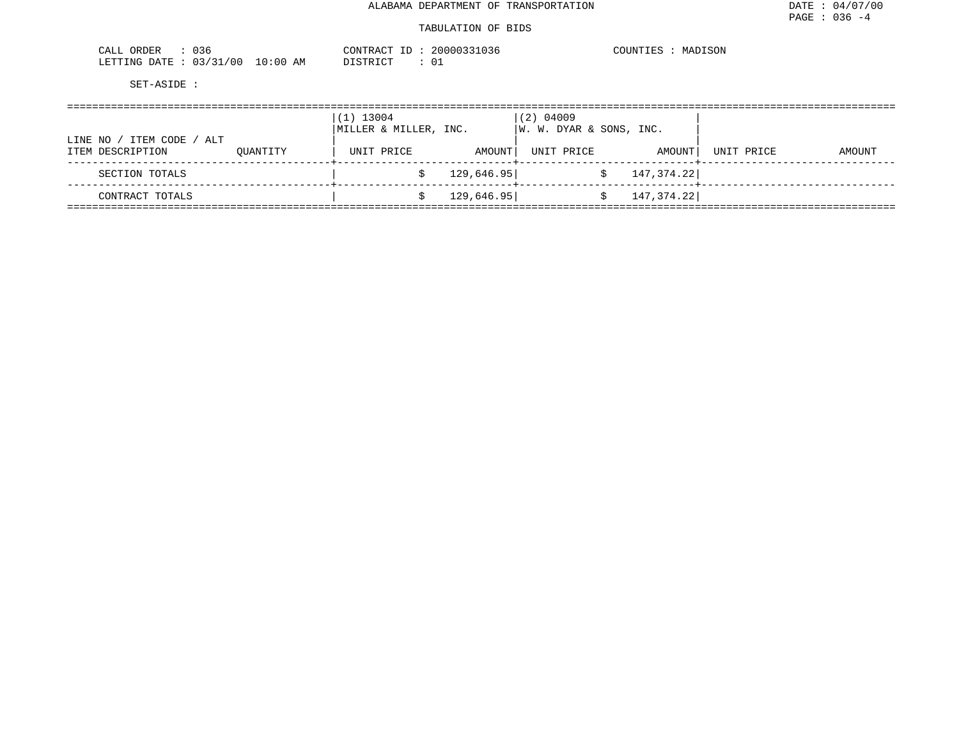| $\sim$ $\sim$ $\sim$<br>CALL<br>ORDER<br>U36 | CONTRACT                | 20000331036<br>T <sub>D</sub><br>⊥ப | COUNTIES<br>MADISON |
|----------------------------------------------|-------------------------|-------------------------------------|---------------------|
| 03/31/00<br>LETTING DATE                     | 10:00<br>DISTRICT<br>AΜ | 01                                  |                     |

|                                                   |          | $(1)$ 13004<br>MILLER & MILLER, INC. |            | $(2)$ 04009<br> W. W. DYAR & SONS, INC. |              |            |        |
|---------------------------------------------------|----------|--------------------------------------|------------|-----------------------------------------|--------------|------------|--------|
| ITEM CODE<br>LINE NO<br>/ ALT<br>ITEM DESCRIPTION | OUANTITY | UNIT PRICE                           | AMOUNT     | UNIT PRICE                              | AMOUNT       | UNIT PRICE | AMOUNT |
| SECTION TOTALS                                    |          |                                      | 129,646.95 |                                         | 147,374.22   |            |        |
| CONTRACT TOTALS                                   |          |                                      | 129,646.95 |                                         | 147, 374. 22 |            |        |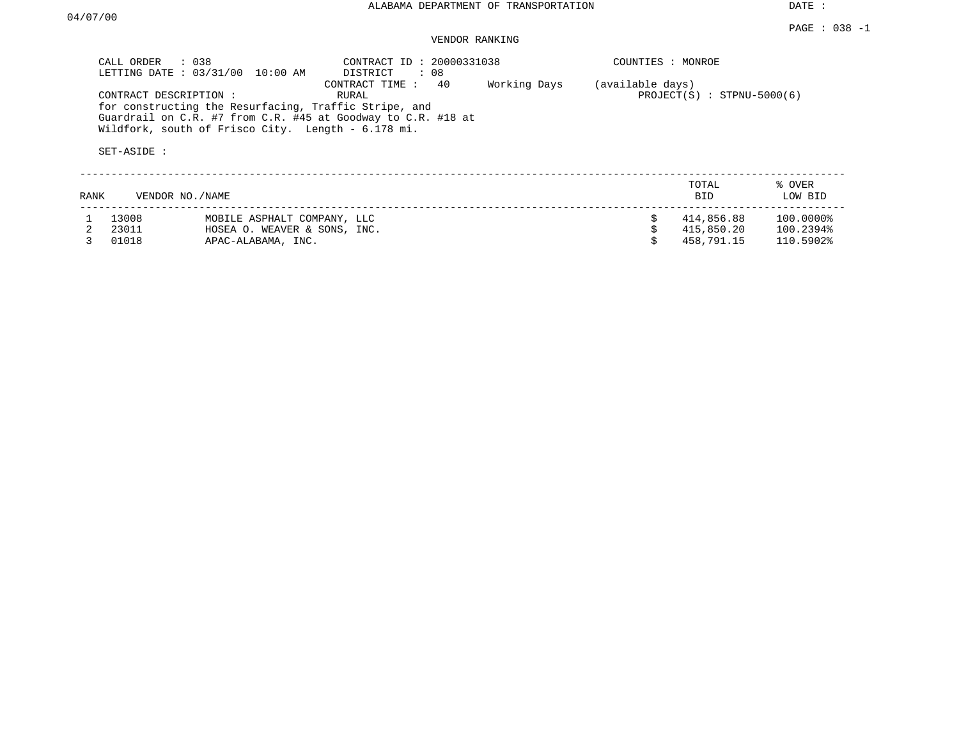|      | CALL ORDER                           | $\therefore$ 0.38<br>LETTING DATE : 03/31/00 10:00 AM                                                                                                                       | CONTRACT ID: 20000331038<br>DISTRICT<br>: 08 |              | COUNTIES : MONROE |                              |                   |
|------|--------------------------------------|-----------------------------------------------------------------------------------------------------------------------------------------------------------------------------|----------------------------------------------|--------------|-------------------|------------------------------|-------------------|
|      | CONTRACT DESCRIPTION:<br>SET-ASIDE : | for constructing the Resurfacing, Traffic Stripe, and<br>Guardrail on C.R. #7 from C.R. #45 at Goodway to C.R. #18 at<br>Wildfork, south of Frisco City. Length - 6.178 mi. | 40<br>CONTRACT TIME:<br>RURAL                | Working Days | (available days)  | $PROJECT(S)$ : STPNU-5000(6) |                   |
| RANK |                                      | VENDOR NO. / NAME                                                                                                                                                           |                                              |              |                   | TOTAL<br><b>BID</b>          | % OVER<br>LOW BID |
|      | 13008                                | MOBILE ASPHALT COMPANY, LLC                                                                                                                                                 |                                              |              |                   | 414,856.88                   | 100.0000%         |
|      | 23011                                | HOSEA O. WEAVER & SONS, INC.                                                                                                                                                |                                              |              |                   | 415,850.20                   | 100.2394%         |
|      | 01018                                | APAC-ALABAMA, INC.                                                                                                                                                          |                                              |              |                   | 458,791.15                   | 110.5902%         |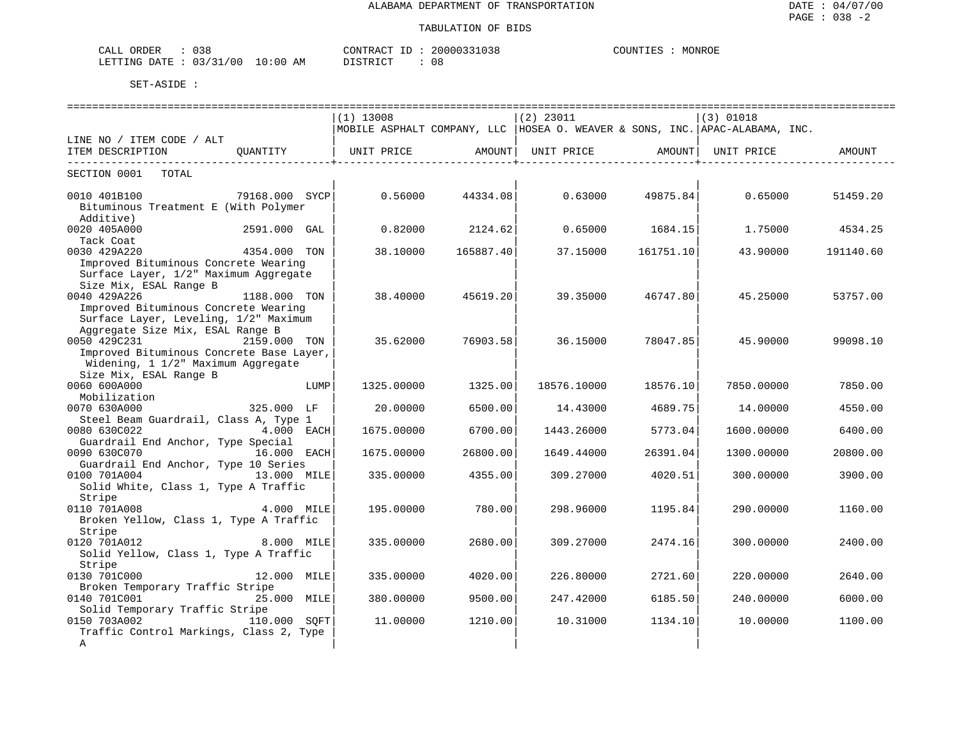| CALL ORDER : 038                 |          | CONTRACT ID: 20000331038 | COUNTIES : MONROE |
|----------------------------------|----------|--------------------------|-------------------|
| LETTING DATE : 03/31/00 10:00 AM | DISTRICT | . 08                     |                   |

|                                                                                                                       |                |      | $(1)$ 13008 |                                                 | $(2)$ 23011 |                     | $(3)$ 01018                                                                     |           |
|-----------------------------------------------------------------------------------------------------------------------|----------------|------|-------------|-------------------------------------------------|-------------|---------------------|---------------------------------------------------------------------------------|-----------|
|                                                                                                                       |                |      |             |                                                 |             |                     | MOBILE ASPHALT COMPANY, LLC   HOSEA O. WEAVER & SONS, INC.   APAC-ALABAMA, INC. |           |
| LINE NO / ITEM CODE / ALT                                                                                             |                |      |             |                                                 |             |                     |                                                                                 |           |
| ITEM DESCRIPTION QUANTITY   UNIT PRICE AMOUNT  UNIT PRICE AMOUNT   UNIT PRICE AMOUNT<br>----------------------------- |                |      | . <b>.</b>  | . _ _ _ _ _ _ _ _ _ _ _ _ _ _ _ _ + _ _ _ _ _ _ |             | ------------------- |                                                                                 |           |
| SECTION 0001 TOTAL                                                                                                    |                |      |             |                                                 |             |                     |                                                                                 |           |
| 0010 401B100                                                                                                          | 79168.000 SYCP |      | 0.56000     | 44334.08                                        | 0.63000     | 49875.84            | 0.65000                                                                         | 51459.20  |
| Bituminous Treatment E (With Polymer                                                                                  |                |      |             |                                                 |             |                     |                                                                                 |           |
| Additive)                                                                                                             |                |      |             |                                                 |             |                     |                                                                                 |           |
| 0020 405A000                                                                                                          | 2591.000 GAL   |      | 0.82000     | 2124.62                                         | 0.65000     | 1684.15             | 1.75000                                                                         | 4534.25   |
| Tack Coat                                                                                                             |                |      |             |                                                 |             |                     |                                                                                 |           |
| 0030 429A220                                                                                                          | 4354.000 TON   |      | 38.10000    | 165887.40                                       | 37.15000    | 161751.10           | 43.90000                                                                        | 191140.60 |
| Improved Bituminous Concrete Wearing                                                                                  |                |      |             |                                                 |             |                     |                                                                                 |           |
| Surface Layer, 1/2" Maximum Aggregate                                                                                 |                |      |             |                                                 |             |                     |                                                                                 |           |
| Size Mix, ESAL Range B                                                                                                |                |      |             |                                                 |             |                     |                                                                                 |           |
| 0040 429A226                                                                                                          | 1188.000 TON   |      | 38.40000    | 45619.20                                        | 39.35000    | 46747.80            | 45.25000                                                                        | 53757.00  |
| Improved Bituminous Concrete Wearing                                                                                  |                |      |             |                                                 |             |                     |                                                                                 |           |
| Surface Layer, Leveling, 1/2" Maximum                                                                                 |                |      |             |                                                 |             |                     |                                                                                 |           |
| Aggregate Size Mix, ESAL Range B                                                                                      |                |      |             |                                                 |             |                     |                                                                                 |           |
| 0050 429C231                                                                                                          | 2159.000 TON   |      | 35.62000    | 76903.58                                        | 36.15000    | 78047.85            | 45.90000                                                                        | 99098.10  |
| Improved Bituminous Concrete Base Layer,                                                                              |                |      |             |                                                 |             |                     |                                                                                 |           |
| Widening, 1 1/2" Maximum Aggregate                                                                                    |                |      |             |                                                 |             |                     |                                                                                 |           |
| Size Mix, ESAL Range B<br>0060 600A000                                                                                |                | LUMP | 1325,00000  | 1325.00                                         | 18576.10000 | 18576.10            | 7850,00000                                                                      | 7850.00   |
| Mobilization                                                                                                          |                |      |             |                                                 |             |                     |                                                                                 |           |
| 0070 630A000                                                                                                          | 325.000 LF     |      | 20,00000    | 6500.00                                         | 14.43000    | 4689.75             | 14,00000                                                                        | 4550.00   |
| Steel Beam Guardrail, Class A, Type 1                                                                                 |                |      |             |                                                 |             |                     |                                                                                 |           |
| 0080 630C022                                                                                                          | $4.000$ EACH   |      | 1675.00000  | 6700.00                                         | 1443.26000  | 5773.04             | 1600.00000                                                                      | 6400.00   |
| Guardrail End Anchor, Type Special                                                                                    |                |      |             |                                                 |             |                     |                                                                                 |           |
| 0090 630C070 16.000 EACH                                                                                              |                |      | 1675.00000  | 26800.00                                        | 1649.44000  | 26391.04            | 1300.00000                                                                      | 20800.00  |
| Guardrail End Anchor, Type 10 Series                                                                                  |                |      |             |                                                 |             |                     |                                                                                 |           |
| 0100 701A004                                                                                                          | 13.000 MILE    |      | 335.00000   | 4355.00                                         | 309.27000   | 4020.51             | 300.00000                                                                       | 3900.00   |
| Solid White, Class 1, Type A Traffic                                                                                  |                |      |             |                                                 |             |                     |                                                                                 |           |
| Stripe                                                                                                                |                |      |             |                                                 |             |                     |                                                                                 |           |
| 0110 701A008                                                                                                          | 4.000 MILE     |      | 195.00000   | 780.00                                          | 298.96000   | 1195.84             | 290.00000                                                                       | 1160.00   |
| Broken Yellow, Class 1, Type A Traffic                                                                                |                |      |             |                                                 |             |                     |                                                                                 |           |
| Stripe                                                                                                                |                |      |             |                                                 |             |                     |                                                                                 |           |
| 0120 701A012                                                                                                          | 8.000 MILE     |      | 335.00000   | 2680.00                                         | 309.27000   | 2474.16             | 300.00000                                                                       | 2400.00   |
| Solid Yellow, Class 1, Type A Traffic                                                                                 |                |      |             |                                                 |             |                     |                                                                                 |           |
| Stripe                                                                                                                |                |      |             |                                                 |             |                     |                                                                                 |           |
| 0130 701C000                                                                                                          | 12.000 MILE    |      | 335.00000   | 4020.00                                         | 226.80000   | 2721.60             | 220.00000                                                                       | 2640.00   |
| Broken Temporary Traffic Stripe                                                                                       |                |      |             |                                                 |             |                     |                                                                                 |           |
| 0140 701C001                                                                                                          | 25.000 MILE    |      | 380.00000   | 9500.00                                         | 247.42000   | 6185.50             | 240.00000                                                                       | 6000.00   |
| Solid Temporary Traffic Stripe                                                                                        |                |      |             |                                                 |             |                     |                                                                                 |           |
| 0150 703A002                                                                                                          | 110.000 SOFT   |      | 11,00000    | 1210.00                                         | 10.31000    | 1134.10             | 10.00000                                                                        | 1100.00   |
| Traffic Control Markings, Class 2, Type                                                                               |                |      |             |                                                 |             |                     |                                                                                 |           |
| A                                                                                                                     |                |      |             |                                                 |             |                     |                                                                                 |           |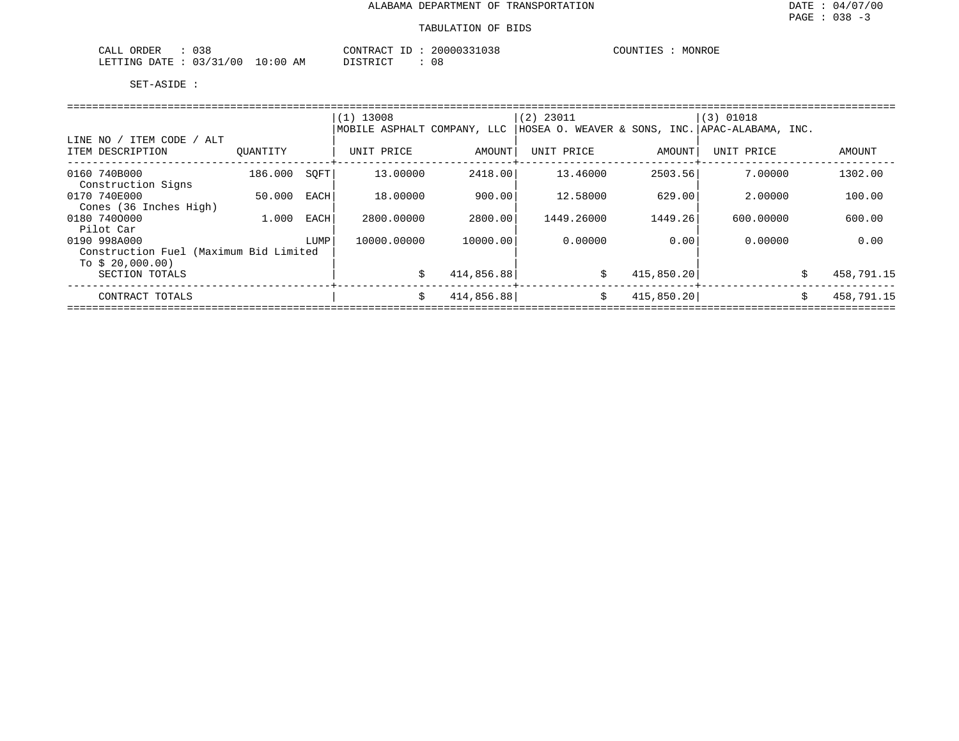| 038<br>CAT<br>ORDER<br>ىلىمى                                     | 20000:<br>CONTR<br>'К A<br>.U.S.8 | COUNTIES<br>MONROE |
|------------------------------------------------------------------|-----------------------------------|--------------------|
| /00<br>LETTING<br>:00<br>D 7 TH<br>03<br>$\mathsf{I} \mathsf{A}$ | חי חים דרו<br>AM<br>08<br>.       |                    |

|                                        |          |      | $(1)$ 13008                 |            | $(2)$ 23011                                     |            | $(3)$ 01018 |    |            |  |  |
|----------------------------------------|----------|------|-----------------------------|------------|-------------------------------------------------|------------|-------------|----|------------|--|--|
|                                        |          |      | MOBILE ASPHALT COMPANY, LLC |            | HOSEA O. WEAVER & SONS, INC. APAC-ALABAMA, INC. |            |             |    |            |  |  |
| LINE NO / ITEM CODE / ALT              |          |      |                             |            |                                                 |            |             |    |            |  |  |
| ITEM DESCRIPTION                       | OUANTITY |      | UNIT PRICE                  | AMOUNT     | UNIT PRICE                                      | AMOUNT     | UNIT PRICE  |    | AMOUNT     |  |  |
| 0160 740B000                           | 186.000  | SOFT | 13,00000                    | 2418.00    | 13.46000                                        | 2503.56    | 7.00000     |    | 1302.00    |  |  |
| Construction Signs                     |          |      |                             |            |                                                 |            |             |    |            |  |  |
| 0170 740E000                           | 50.000   | EACH | 18,00000                    | 900.00     | 12.58000                                        | 629.00     | 2,00000     |    | 100.00     |  |  |
| Cones (36 Inches High)                 |          |      |                             |            |                                                 |            |             |    |            |  |  |
| 0180 7400000                           | 1.000    | EACH | 2800.00000                  | 2800.00    | 1449.26000                                      | 1449.261   | 600,00000   |    | 600.00     |  |  |
| Pilot Car                              |          |      |                             |            |                                                 |            |             |    |            |  |  |
| 0190 998A000                           |          | LUMP | 10000.00000                 | 10000.00   | 0.00000                                         | 0.00       | 0.00000     |    | 0.00       |  |  |
| Construction Fuel (Maximum Bid Limited |          |      |                             |            |                                                 |            |             |    |            |  |  |
| To $$20,000.00)$                       |          |      |                             |            |                                                 |            |             |    |            |  |  |
| SECTION TOTALS                         |          |      | Ŝ.                          | 414,856.88 | \$                                              | 415,850.20 |             | Ŝ. | 458,791.15 |  |  |
| CONTRACT TOTALS                        |          |      | Ŝ.                          | 414,856.88 | \$                                              | 415,850.20 |             | Ŝ. | 458,791.15 |  |  |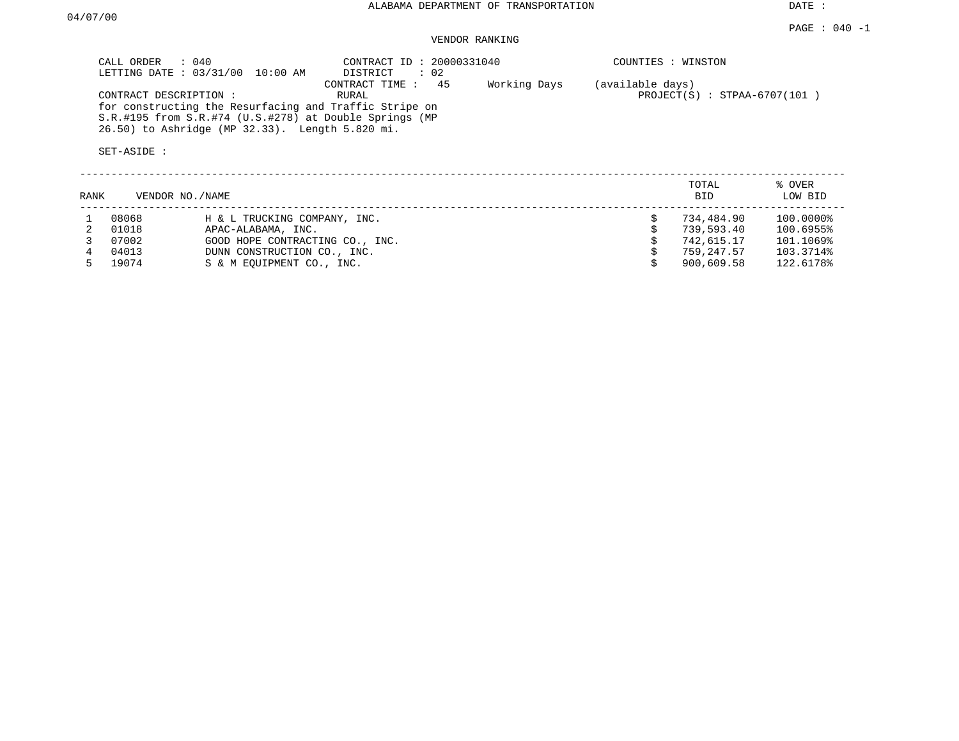DATE :

## VENDOR RANKING

| $\therefore$ 040<br>CALL ORDER<br>LETTING DATE : 03/31/00 10:00 AM                                                                                                                                          | CONTRACT ID: 20000331040<br>$\therefore$ 02<br>DISTRICT |              | COUNTIES : WINSTON                                 |        |
|-------------------------------------------------------------------------------------------------------------------------------------------------------------------------------------------------------------|---------------------------------------------------------|--------------|----------------------------------------------------|--------|
| CONTRACT DESCRIPTION:<br>for constructing the Resurfacing and Traffic Stripe on<br>S.R.#195 from S.R.#74 (U.S.#278) at Double Springs (MP<br>26.50) to Ashridge (MP 32.33). Length 5.820 mi.<br>SET-ASIDE : | -45<br>CONTRACT TIME:<br>RURAL                          | Working Days | (available days)<br>$PROJECT(S)$ : STPAA-6707(101) |        |
|                                                                                                                                                                                                             |                                                         |              | TOTAL                                              | % OVER |

| RANK | VENDOR NO./NAME |                                 | <b>BID</b> | LOW BID   |
|------|-----------------|---------------------------------|------------|-----------|
|      | 08068           | H & L TRUCKING COMPANY, INC.    | 734,484.90 | 100.0000% |
|      | 01018           | APAC-ALABAMA, INC.              | 739,593.40 | 100.6955% |
|      | 07002           | GOOD HOPE CONTRACTING CO., INC. | 742,615.17 | 101.1069% |
|      | 04013           | DUNN CONSTRUCTION CO., INC.     | 759,247.57 | 103.3714% |
|      | 19074           | S & M EOUIPMENT CO., INC.       | 900,609.58 | 122.6178% |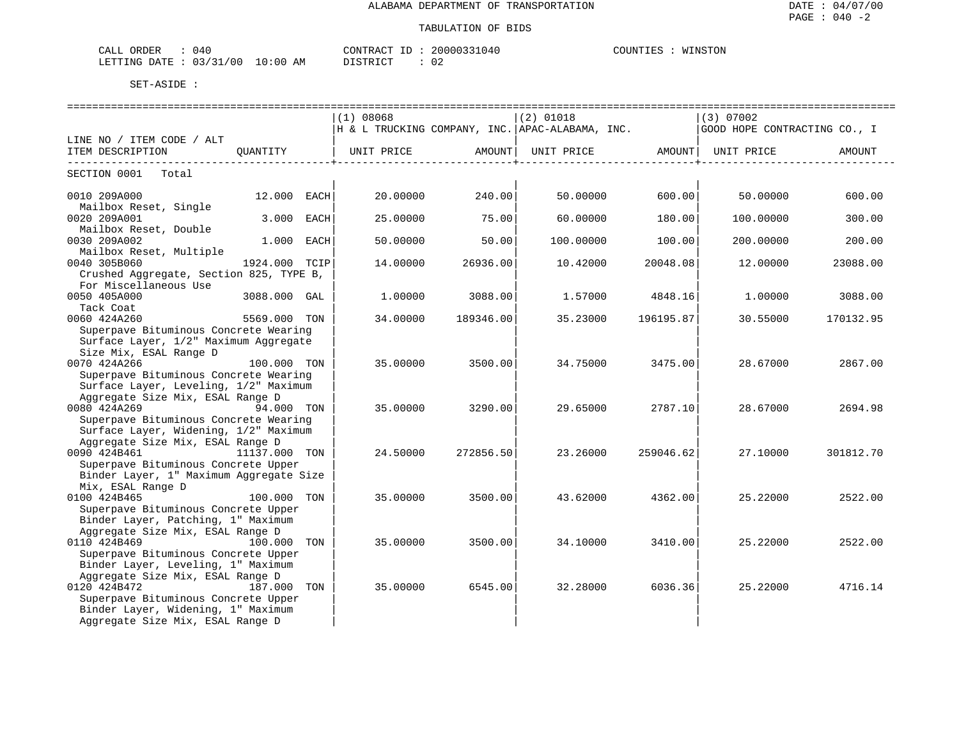| CALL ORDER<br>: 040             |          | CONTRACT ID: 20000331040 | WINSTON<br>COUNTIES : |
|---------------------------------|----------|--------------------------|-----------------------|
| LETTING DATE: 03/31/00 10:00 AM | DISTRICT |                          |                       |

|                                                                  |               |      | (1) 08068                                       |                         | $(2)$ 01018 |                                                          | (3) 07002                    |           |  |  |  |
|------------------------------------------------------------------|---------------|------|-------------------------------------------------|-------------------------|-------------|----------------------------------------------------------|------------------------------|-----------|--|--|--|
|                                                                  |               |      | H & L TRUCKING COMPANY, INC. APAC-ALABAMA, INC. |                         |             |                                                          | GOOD HOPE CONTRACTING CO., I |           |  |  |  |
| LINE NO / ITEM CODE / ALT                                        |               |      |                                                 |                         |             |                                                          |                              |           |  |  |  |
| ITEM DESCRIPTION                                                 | OUANTITY      |      | UNIT PRICE AMOUNT                               | -----------------+----- |             | UNIT PRICE AMOUNT UNIT PRICE<br>------------------------ |                              | AMOUNT    |  |  |  |
| SECTION 0001<br>Total                                            |               |      |                                                 |                         |             |                                                          |                              |           |  |  |  |
| 0010 209A000                                                     | 12.000 EACH   |      | 20.00000                                        | 240.00                  | 50.00000    | 600.00                                                   | 50.00000                     | 600.00    |  |  |  |
| Mailbox Reset, Single                                            |               |      |                                                 |                         |             |                                                          |                              |           |  |  |  |
| 0020 209A001<br>Mailbox Reset, Double                            | 3.000         | EACH | 25,00000                                        | 75.00                   | 60.00000    | 180.00                                                   | 100.00000                    | 300.00    |  |  |  |
| 0030 209A002                                                     | 1.000         | EACH | 50.00000                                        | 50.00                   | 100.00000   | 100.00                                                   | 200,00000                    | 200.00    |  |  |  |
| Mailbox Reset, Multiple<br>0040 305B060                          | 1924.000 TCIP |      | 14.00000                                        | 26936.00                | 10.42000    | 20048.08                                                 | 12.00000                     | 23088.00  |  |  |  |
| Crushed Aggregate, Section 825, TYPE B,<br>For Miscellaneous Use |               |      |                                                 |                         |             |                                                          |                              |           |  |  |  |
| 0050 405A000                                                     | 3088.000 GAL  |      | 1,00000                                         | 3088.00                 | 1.57000     | 4848.16                                                  | 1,00000                      | 3088.00   |  |  |  |
| Tack Coat<br>0060 424A260                                        | 5569.000 TON  |      | 34.00000                                        | 189346.00               | 35.23000    | 196195.87                                                | 30.55000                     | 170132.95 |  |  |  |
| Superpave Bituminous Concrete Wearing                            |               |      |                                                 |                         |             |                                                          |                              |           |  |  |  |
| Surface Layer, 1/2" Maximum Aggregate                            |               |      |                                                 |                         |             |                                                          |                              |           |  |  |  |
| Size Mix, ESAL Range D                                           |               |      |                                                 |                         |             |                                                          |                              |           |  |  |  |
| 0070 424A266                                                     | 100.000 TON   |      | 35.00000                                        | 3500.00                 | 34.75000    | 3475.00                                                  | 28.67000                     | 2867.00   |  |  |  |
| Superpave Bituminous Concrete Wearing                            |               |      |                                                 |                         |             |                                                          |                              |           |  |  |  |
| Surface Layer, Leveling, 1/2" Maximum                            |               |      |                                                 |                         |             |                                                          |                              |           |  |  |  |
| Aggregate Size Mix, ESAL Range D<br>0080 424A269                 | 94.000 TON    |      |                                                 |                         |             |                                                          |                              |           |  |  |  |
| Superpave Bituminous Concrete Wearing                            |               |      | 35.00000                                        | 3290.00                 | 29.65000    | 2787.10                                                  | 28.67000                     | 2694.98   |  |  |  |
| Surface Layer, Widening, 1/2" Maximum                            |               |      |                                                 |                         |             |                                                          |                              |           |  |  |  |
| Aggregate Size Mix, ESAL Range D                                 |               |      |                                                 |                         |             |                                                          |                              |           |  |  |  |
| 0090 424B461<br>11137.000 TON                                    |               |      | 24.50000                                        | 272856.50               | 23.26000    | 259046.62                                                | 27.10000                     | 301812.70 |  |  |  |
| Superpave Bituminous Concrete Upper                              |               |      |                                                 |                         |             |                                                          |                              |           |  |  |  |
| Binder Layer, 1" Maximum Aggregate Size                          |               |      |                                                 |                         |             |                                                          |                              |           |  |  |  |
| Mix, ESAL Range D                                                |               |      |                                                 |                         |             |                                                          |                              |           |  |  |  |
| 0100 424B465                                                     | 100.000 TON   |      | 35.00000                                        | 3500.00                 | 43.62000    | 4362.00                                                  | 25.22000                     | 2522.00   |  |  |  |
| Superpave Bituminous Concrete Upper                              |               |      |                                                 |                         |             |                                                          |                              |           |  |  |  |
| Binder Layer, Patching, 1" Maximum                               |               |      |                                                 |                         |             |                                                          |                              |           |  |  |  |
| Aggregate Size Mix, ESAL Range D                                 |               |      |                                                 |                         |             |                                                          |                              |           |  |  |  |
| 0110 424B469                                                     | 100.000 TON   |      | 35.00000                                        | 3500.00                 | 34.10000    | 3410.00                                                  | 25.22000                     | 2522.00   |  |  |  |
| Superpave Bituminous Concrete Upper                              |               |      |                                                 |                         |             |                                                          |                              |           |  |  |  |
| Binder Layer, Leveling, 1" Maximum                               |               |      |                                                 |                         |             |                                                          |                              |           |  |  |  |
| Aggregate Size Mix, ESAL Range D                                 |               |      |                                                 |                         |             |                                                          |                              |           |  |  |  |
| 0120 424B472                                                     | 187.000 TON   |      | 35.00000                                        | 6545.00                 | 32.28000    | 6036.36                                                  | 25.22000                     | 4716.14   |  |  |  |
| Superpave Bituminous Concrete Upper                              |               |      |                                                 |                         |             |                                                          |                              |           |  |  |  |
| Binder Layer, Widening, 1" Maximum                               |               |      |                                                 |                         |             |                                                          |                              |           |  |  |  |
| Aggregate Size Mix, ESAL Range D                                 |               |      |                                                 |                         |             |                                                          |                              |           |  |  |  |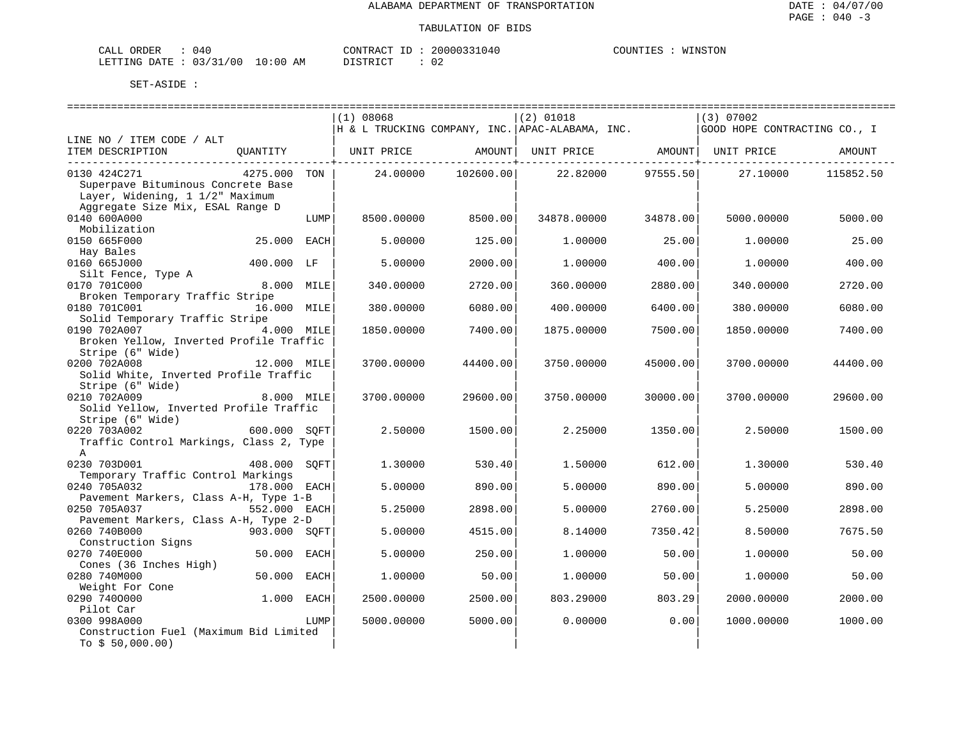| CALL ORDER | 040 |                                 |          |  | CONTRACT ID: 20000331040 | COUNTIES | WINSTON |
|------------|-----|---------------------------------|----------|--|--------------------------|----------|---------|
|            |     | LETTING DATE: 03/31/00 10:00 AM | DISTRICT |  | J Z                      |          |         |

|                                                        |              |      | (1) 08068  |           | $(2)$ 01018                                     |                     | $(3)$ 07002                  |           |
|--------------------------------------------------------|--------------|------|------------|-----------|-------------------------------------------------|---------------------|------------------------------|-----------|
|                                                        |              |      |            |           | H & L TRUCKING COMPANY, INC. APAC-ALABAMA, INC. |                     | GOOD HOPE CONTRACTING CO., I |           |
| LINE NO / ITEM CODE / ALT                              |              |      |            |           |                                                 |                     |                              |           |
| ITEM DESCRIPTION                                       |              |      |            |           |                                                 |                     |                              | AMOUNT    |
|                                                        |              |      |            |           |                                                 | --------------+---- |                              |           |
| 0130 424C271                                           | 4275.000 TON |      | 24.00000   | 102600.00 | 22.82000                                        | 97555.50            | 27.10000                     | 115852.50 |
| Superpave Bituminous Concrete Base                     |              |      |            |           |                                                 |                     |                              |           |
| Layer, Widening, 1 1/2" Maximum                        |              |      |            |           |                                                 |                     |                              |           |
| Aggregate Size Mix, ESAL Range D                       |              |      |            |           |                                                 |                     |                              |           |
| 0140 600A000                                           |              | LUMP | 8500.00000 | 8500.00   | 34878.00000                                     | 34878.00            | 5000.00000                   | 5000.00   |
| Mobilization                                           |              |      |            |           |                                                 |                     |                              |           |
| 0150 665F000                                           | 25.000 EACH  |      | 5.00000    | 125.00    | 1,00000                                         | 25.00               | 1,00000                      | 25.00     |
| Hay Bales                                              |              |      |            |           |                                                 |                     |                              |           |
| 0160 665J000                                           | 400.000 LF   |      | 5.00000    | 2000.00   | 1,00000                                         | 400.00              | 1,00000                      | 400.00    |
| Silt Fence, Type A                                     |              |      |            |           |                                                 |                     |                              |           |
| 0170 701C000                                           | 8.000 MILE   |      | 340.00000  | 2720.00   | 360.00000                                       | 2880.00             | 340.00000                    | 2720.00   |
| Broken Temporary Traffic Stripe                        |              |      |            |           |                                                 |                     |                              |           |
| 0180 701C001                                           | 16.000 MILE  |      | 380.00000  | 6080.00   | 400.00000                                       | 6400.00             | 380.00000                    | 6080.00   |
| Solid Temporary Traffic Stripe                         |              |      |            |           |                                                 |                     |                              |           |
| 0190 702A007                                           | 4.000 MILE   |      | 1850.00000 | 7400.00   | 1875.00000                                      | 7500.00             | 1850.00000                   | 7400.00   |
| Broken Yellow, Inverted Profile Traffic                |              |      |            |           |                                                 |                     |                              |           |
| Stripe (6" Wide)                                       |              |      |            |           |                                                 |                     |                              |           |
| 0200 702A008                                           | 12.000 MILE  |      | 3700.00000 | 44400.00  | 3750.00000                                      | 45000.00            | 3700.00000                   | 44400.00  |
| Solid White, Inverted Profile Traffic                  |              |      |            |           |                                                 |                     |                              |           |
| Stripe (6" Wide)                                       |              |      |            |           |                                                 |                     |                              |           |
| 0210 702A009                                           | 8.000 MILE   |      | 3700.00000 | 29600.00  | 3750.00000                                      | 30000.00            | 3700.00000                   | 29600.00  |
| Solid Yellow, Inverted Profile Traffic                 |              |      |            |           |                                                 |                     |                              |           |
| Stripe (6" Wide)                                       |              |      |            |           |                                                 |                     |                              |           |
| 0220 703A002                                           | 600.000 SOFT |      | 2.50000    | 1500.00   | 2.25000                                         | 1350.00             | 2.50000                      | 1500.00   |
| Traffic Control Markings, Class 2, Type                |              |      |            |           |                                                 |                     |                              |           |
| A                                                      |              |      |            |           |                                                 |                     |                              |           |
| 0230 703D001                                           | 408.000 SOFT |      | 1,30000    | 530.40    | 1,50000                                         | 612.00              | 1,30000                      | 530.40    |
| Temporary Traffic Control Markings                     |              |      |            |           |                                                 |                     |                              |           |
| 0240 705A032                                           | 178.000 EACH |      | 5.00000    | 890.00    | 5.00000                                         | 890.00              | 5.00000                      | 890.00    |
| Pavement Markers, Class A-H, Type 1-B                  |              |      |            |           |                                                 |                     |                              |           |
| 0250 705A037                                           | 552.000 EACH |      | 5.25000    | 2898.00   | 5.00000                                         | 2760.00             | 5.25000                      | 2898.00   |
| Pavement Markers, Class A-H, Type 2-D                  |              |      |            |           |                                                 |                     |                              |           |
| 0260 740B000                                           | 903.000 SOFT |      | 5.00000    | 4515.00   | 8.14000                                         | 7350.42             | 8.50000                      | 7675.50   |
| Construction Signs                                     |              |      |            |           |                                                 |                     |                              |           |
| 0270 740E000                                           | 50.000 EACH  |      | 5.00000    | 250.00    | 1,00000                                         | 50.00               | 1,00000                      | 50.00     |
| Cones (36 Inches High)                                 |              |      |            |           |                                                 |                     |                              |           |
| 0280 740M000                                           | 50.000 EACH  |      | 1,00000    | 50.00     | 1,00000                                         | 50.00               | 1,00000                      | 50.00     |
|                                                        |              |      |            |           |                                                 |                     |                              |           |
| Weight For Cone<br>0290 7400000                        | $1.000$ EACH |      |            | 2500.00   |                                                 | 803.29              |                              |           |
| Pilot Car                                              |              |      | 2500.00000 |           | 803.29000                                       |                     | 2000.00000                   | 2000.00   |
|                                                        |              |      |            |           |                                                 | 0.00                |                              |           |
| 0300 998A000<br>Construction Fuel (Maximum Bid Limited |              | LUMP | 5000.00000 | 5000.00   | 0.00000                                         |                     | 1000.00000                   | 1000.00   |
|                                                        |              |      |            |           |                                                 |                     |                              |           |
| To $$50,000.00)$                                       |              |      |            |           |                                                 |                     |                              |           |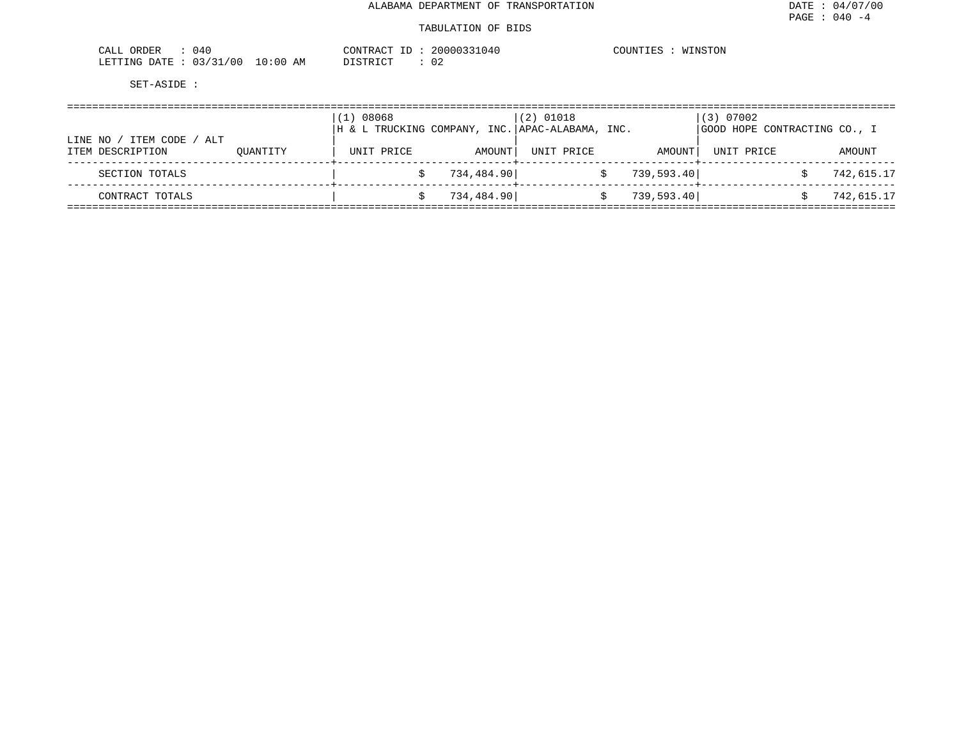| 040<br>ORDER<br>CALL     |          | CONTRACT ID | 20000331040 | COUNTIES<br>WINSTON |
|--------------------------|----------|-------------|-------------|---------------------|
| 03/31/00<br>LETTING DATE | 10:00 AM | DISTRICT    | 02          |                     |

| ITEM CODE<br>LINE NO<br>/ ALT |          | 08068<br>$\perp$ )<br> H & L TRUCKING COMPANY, INC. APAC-ALABAMA, INC. |            | $(2)$ 01018 |            | (3) 07002<br>GOOD HOPE CONTRACTING CO., I |            |
|-------------------------------|----------|------------------------------------------------------------------------|------------|-------------|------------|-------------------------------------------|------------|
| ITEM DESCRIPTION              | OUANTITY | UNIT PRICE                                                             | AMOUNT     | UNIT PRICE  | AMOUNT     | UNIT PRICE                                | AMOUNT     |
| SECTION TOTALS                |          |                                                                        | 734,484.90 |             | 739,593.40 |                                           | 742,615.17 |
| CONTRACT TOTALS               |          |                                                                        | 734,484.90 |             | 739,593.40 |                                           | 742,615.17 |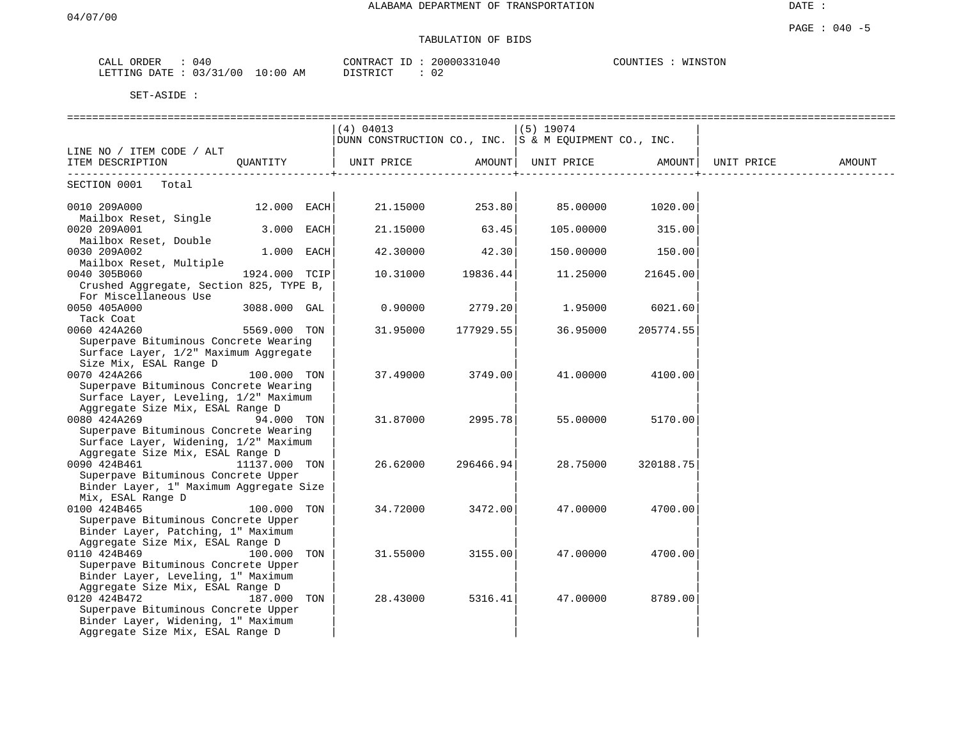### PAGE : 040 -5 TABULATION OF BIDS

| ORDER<br>$C\Lambda T$<br>∪A⊔⊔ | 040                               | CONTRACT<br>ID       | 1331040<br>2000033 | WINSTON<br>COUNTIES |
|-------------------------------|-----------------------------------|----------------------|--------------------|---------------------|
| LETTING DATE                  | 121<br>0.3/<br>00/<br>10:00<br>AΜ | חי חים דת<br>------- | $\cap$<br>∪∠       |                     |

|                                                                 |               |     | (4) 04013                                             |           | $(5)$ 19074 |           |            |        |
|-----------------------------------------------------------------|---------------|-----|-------------------------------------------------------|-----------|-------------|-----------|------------|--------|
|                                                                 |               |     | DUNN CONSTRUCTION CO., INC. S & M EOUIPMENT CO., INC. |           |             |           |            |        |
| LINE NO / ITEM CODE / ALT                                       |               |     |                                                       |           |             |           |            |        |
| ITEM DESCRIPTION                                                | OUANTITY      |     | UNIT PRICE                                            | AMOUNT    | UNIT PRICE  | AMOUNT    | UNIT PRICE | AMOUNT |
| SECTION 0001<br>Total                                           |               |     |                                                       |           |             |           |            |        |
|                                                                 |               |     |                                                       |           |             |           |            |        |
| 0010 209A000                                                    | 12.000 EACH   |     | 21.15000                                              | 253.80    | 85.00000    | 1020.00   |            |        |
| Mailbox Reset, Single                                           |               |     |                                                       |           |             |           |            |        |
| 0020 209A001                                                    | 3.000 EACH    |     | 21.15000                                              | 63.45     | 105.00000   | 315.00    |            |        |
| Mailbox Reset, Double                                           |               |     |                                                       |           |             |           |            |        |
| 0030 209A002                                                    | 1.000 EACH    |     | 42.30000                                              | 42.30     | 150.00000   | 150.00    |            |        |
| Mailbox Reset, Multiple                                         |               |     |                                                       |           |             |           |            |        |
| 0040 305B060                                                    | 1924.000 TCIP |     | 10.31000                                              | 19836.44  | 11.25000    | 21645.00  |            |        |
| Crushed Aggregate, Section 825, TYPE B,                         |               |     |                                                       |           |             |           |            |        |
| For Miscellaneous Use                                           |               |     |                                                       |           |             |           |            |        |
| 0050 405A000                                                    | 3088.000 GAL  |     | 0.90000                                               | 2779.20   | 1.95000     | 6021.60   |            |        |
| Tack Coat                                                       |               |     |                                                       |           |             |           |            |        |
| 0060 424A260                                                    | 5569.000 TON  |     | 31.95000                                              | 177929.55 | 36.95000    | 205774.55 |            |        |
| Superpave Bituminous Concrete Wearing                           |               |     |                                                       |           |             |           |            |        |
| Surface Layer, 1/2" Maximum Aggregate<br>Size Mix, ESAL Range D |               |     |                                                       |           |             |           |            |        |
| 0070 424A266                                                    | 100.000 TON   |     | 37.49000                                              | 3749.00   | 41.00000    | 4100.00   |            |        |
| Superpave Bituminous Concrete Wearing                           |               |     |                                                       |           |             |           |            |        |
| Surface Layer, Leveling, 1/2" Maximum                           |               |     |                                                       |           |             |           |            |        |
| Aggregate Size Mix, ESAL Range D                                |               |     |                                                       |           |             |           |            |        |
| 0080 424A269                                                    | 94.000 TON    |     | 31.87000                                              | 2995.78   | 55.00000    | 5170.00   |            |        |
| Superpave Bituminous Concrete Wearing                           |               |     |                                                       |           |             |           |            |        |
| Surface Layer, Widening, 1/2" Maximum                           |               |     |                                                       |           |             |           |            |        |
| Aggregate Size Mix, ESAL Range D                                |               |     |                                                       |           |             |           |            |        |
| 0090 424B461                                                    | 11137.000 TON |     | 26.62000                                              | 296466.94 | 28.75000    | 320188.75 |            |        |
| Superpave Bituminous Concrete Upper                             |               |     |                                                       |           |             |           |            |        |
| Binder Layer, 1" Maximum Aggregate Size                         |               |     |                                                       |           |             |           |            |        |
| Mix, ESAL Range D                                               |               |     |                                                       |           |             |           |            |        |
| 0100 424B465                                                    | 100.000 TON   |     | 34.72000                                              | 3472.00   | 47.00000    | 4700.00   |            |        |
| Superpave Bituminous Concrete Upper                             |               |     |                                                       |           |             |           |            |        |
| Binder Layer, Patching, 1" Maximum                              |               |     |                                                       |           |             |           |            |        |
| Aggregate Size Mix, ESAL Range D                                |               |     |                                                       |           |             |           |            |        |
| 0110 424B469                                                    | 100.000 TON   |     | 31.55000                                              | 3155.00   | 47.00000    | 4700.00   |            |        |
| Superpave Bituminous Concrete Upper                             |               |     |                                                       |           |             |           |            |        |
| Binder Layer, Leveling, 1" Maximum                              |               |     |                                                       |           |             |           |            |        |
| Aggregate Size Mix, ESAL Range D<br>0120 424B472                |               | TON | 28.43000                                              | 5316.41   | 47.00000    | 8789.00   |            |        |
| Superpave Bituminous Concrete Upper                             | 187.000       |     |                                                       |           |             |           |            |        |
| Binder Layer, Widening, 1" Maximum                              |               |     |                                                       |           |             |           |            |        |
| Aggregate Size Mix, ESAL Range D                                |               |     |                                                       |           |             |           |            |        |
|                                                                 |               |     |                                                       |           |             |           |            |        |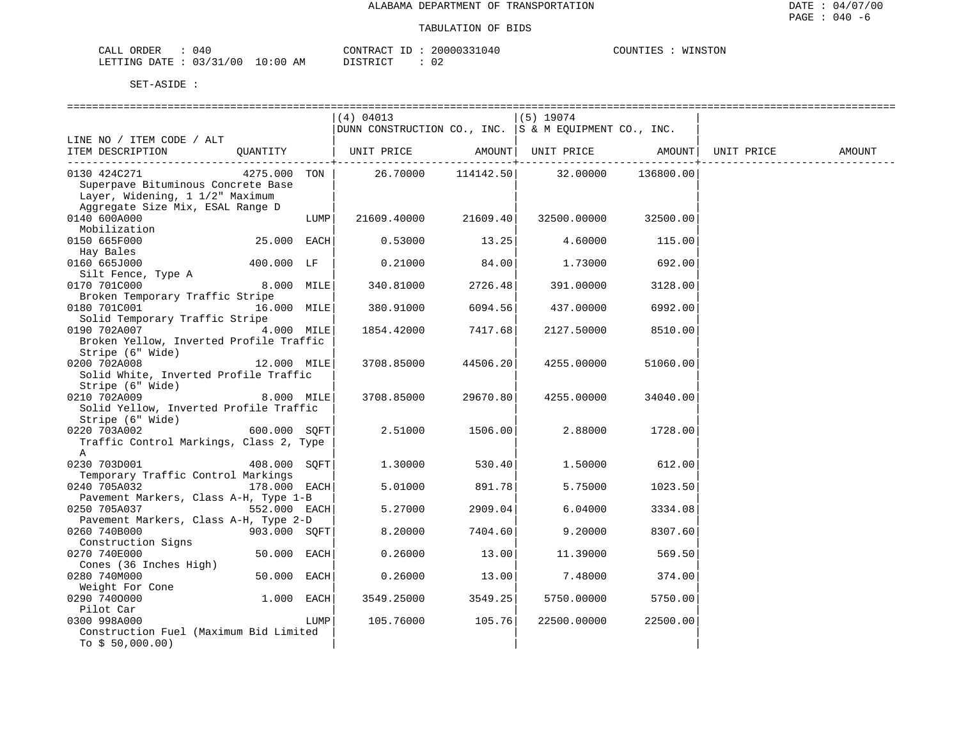| CALL ORDER                       | 040 | CONTRACT ID : . |  | 20000331040 | COUNTIES : | WINSTON |
|----------------------------------|-----|-----------------|--|-------------|------------|---------|
| LETTING DATE : 03/31/00 10:00 AM |     | DISTRICT        |  |             |            |         |

|                                         |              |            | (4) 04013                                                 |             | $(5)$ 19074                 |           |            |        |
|-----------------------------------------|--------------|------------|-----------------------------------------------------------|-------------|-----------------------------|-----------|------------|--------|
|                                         |              |            | DUNN CONSTRUCTION CO., INC. $ S \& M$ EQUIPMENT CO., INC. |             |                             |           |            |        |
| LINE NO / ITEM CODE / ALT               |              |            |                                                           |             |                             |           |            |        |
| ITEM DESCRIPTION                        | QUANTITY     |            | UNIT PRICE                                                |             | AMOUNT   UNIT PRICE AMOUNT  |           | UNIT PRICE | AMOUNT |
| 0130 424C271                            | 4275.000     | TON        |                                                           | ---------+- | 26.70000 114142.50 32.00000 | 136800.00 |            |        |
| Superpave Bituminous Concrete Base      |              |            |                                                           |             |                             |           |            |        |
| Layer, Widening, 1 1/2" Maximum         |              |            |                                                           |             |                             |           |            |        |
| Aggregate Size Mix, ESAL Range D        |              |            |                                                           |             |                             |           |            |        |
| 0140 600A000                            |              | LUMP       | 21609.40000                                               | 21609.40    | 32500.00000                 | 32500.00  |            |        |
| Mobilization                            |              |            |                                                           |             |                             |           |            |        |
| 0150 665F000                            | 25.000 EACH  |            | 0.53000                                                   | 13.25       | 4.60000                     | 115.00    |            |        |
| Hay Bales                               |              |            |                                                           |             |                             |           |            |        |
| 0160 665J000                            | 400.000 LF   |            | 0.21000                                                   | 84.00       | 1,73000                     | 692.00    |            |        |
| Silt Fence, Type A                      |              |            |                                                           |             |                             |           |            |        |
| 0170 701C000                            |              | 8.000 MILE | 340.81000                                                 | 2726.48     | 391.00000                   | 3128.00   |            |        |
| Broken Temporary Traffic Stripe         |              |            |                                                           |             |                             |           |            |        |
| 0180 701C001<br>16.000 MILE             |              |            | 380.91000                                                 | 6094.56     | 437.00000                   | 6992.00   |            |        |
| Solid Temporary Traffic Stripe          |              |            |                                                           |             |                             |           |            |        |
| 0190 702A007                            |              | 4.000 MILE | 1854.42000                                                | 7417.68     | 2127.50000                  | 8510.00   |            |        |
| Broken Yellow, Inverted Profile Traffic |              |            |                                                           |             |                             |           |            |        |
| Stripe (6" Wide)                        |              |            |                                                           |             |                             |           |            |        |
| 0200 702A008                            | 12.000 MILE  |            | 3708.85000                                                | 44506.20    | 4255.00000                  | 51060.00  |            |        |
| Solid White, Inverted Profile Traffic   |              |            |                                                           |             |                             |           |            |        |
| Stripe (6" Wide)                        |              |            |                                                           |             |                             |           |            |        |
| 0210 702A009                            |              | 8.000 MILE | 3708.85000                                                | 29670.80    | 4255.00000                  | 34040.00  |            |        |
| Solid Yellow, Inverted Profile Traffic  |              |            |                                                           |             |                             |           |            |        |
| Stripe (6" Wide)                        |              |            |                                                           |             |                             |           |            |        |
| 0220 703A002                            | 600.000 SOFT |            | 2.51000                                                   | 1506.00     | 2.88000                     | 1728.00   |            |        |
| Traffic Control Markings, Class 2, Type |              |            |                                                           |             |                             |           |            |        |
| $\mathbb{A}$                            |              |            |                                                           |             |                             |           |            |        |
| 0230 703D001                            | 408.000 SOFT |            | 1.30000                                                   | 530.40      | 1.50000                     | 612.00    |            |        |
| Temporary Traffic Control Markings      |              |            |                                                           |             |                             |           |            |        |
| 0240 705A032                            | 178.000 EACH |            | 5.01000                                                   | 891.78      | 5.75000                     | 1023.50   |            |        |
| Pavement Markers, Class A-H, Type 1-B   |              |            |                                                           |             |                             |           |            |        |
| 0250 705A037                            | 552.000 EACH |            | 5.27000                                                   | 2909.04     | 6.04000                     | 3334.08   |            |        |
| Pavement Markers, Class A-H, Type 2-D   |              |            |                                                           |             |                             |           |            |        |
| 0260 740B000<br>Construction Signs      | 903.000 SOFT |            | 8.20000                                                   | 7404.60     | 9.20000                     | 8307.60   |            |        |
| 0270 740E000                            | 50.000 EACH  |            | 0.26000                                                   | 13.00       | 11.39000                    | 569.50    |            |        |
| Cones (36 Inches High)                  |              |            |                                                           |             |                             |           |            |        |
| 0280 740M000                            | 50.000 EACH  |            | 0.26000                                                   | 13.00       | 7.48000                     | 374.00    |            |        |
| Weight For Cone                         |              |            |                                                           |             |                             |           |            |        |
| 0290 7400000                            | $1.000$ EACH |            | 3549.25000                                                | 3549.25     | 5750.00000                  | 5750.00   |            |        |
| Pilot Car                               |              |            |                                                           |             |                             |           |            |        |
| 0300 998A000                            |              | LUMP       | 105.76000                                                 | 105.76      | 22500.00000                 | 22500.00  |            |        |
| Construction Fuel (Maximum Bid Limited  |              |            |                                                           |             |                             |           |            |        |
| To $$50,000.00)$                        |              |            |                                                           |             |                             |           |            |        |
|                                         |              |            |                                                           |             |                             |           |            |        |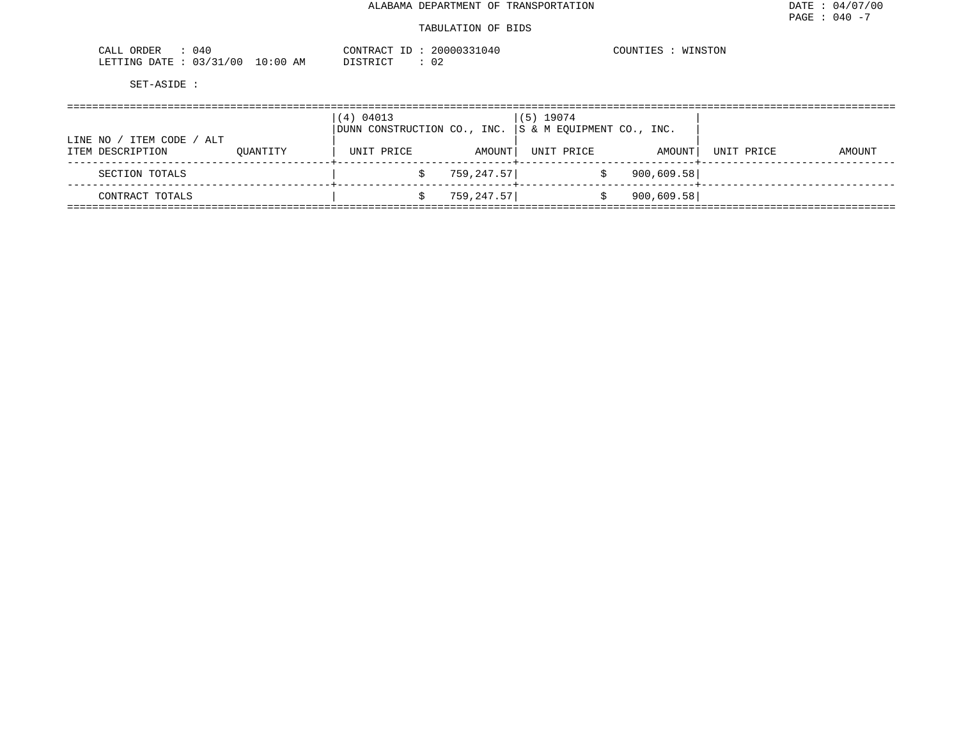#### TABULATION OF BIDS

| ORDER<br>CALL<br>04 L                       | CONTRACT<br>ID   | 20000331040 | COUNTIES<br>WINSTON<br>T OTA |
|---------------------------------------------|------------------|-------------|------------------------------|
| : 03/31/00<br>10:00<br>LETTING DATE<br>____ | DI STR TOT<br>AΜ |             |                              |

|                                                  |          | (4) 04013<br>DUNN CONSTRUCTION CO., INC. |            | $(5)$ 19074<br>S & M EQUIPMENT CO., INC. |            |            |        |
|--------------------------------------------------|----------|------------------------------------------|------------|------------------------------------------|------------|------------|--------|
| ITEM CODE / ALT<br>LINE NO /<br>ITEM DESCRIPTION | OUANTITY | UNIT PRICE                               | AMOUNT     | UNIT PRICE                               | AMOUNT     | UNIT PRICE | AMOUNT |
| SECTION TOTALS                                   |          |                                          | 759,247.57 |                                          | 900,609.58 |            |        |
| CONTRACT TOTALS                                  |          |                                          | 759,247.57 |                                          | 900,609.58 |            |        |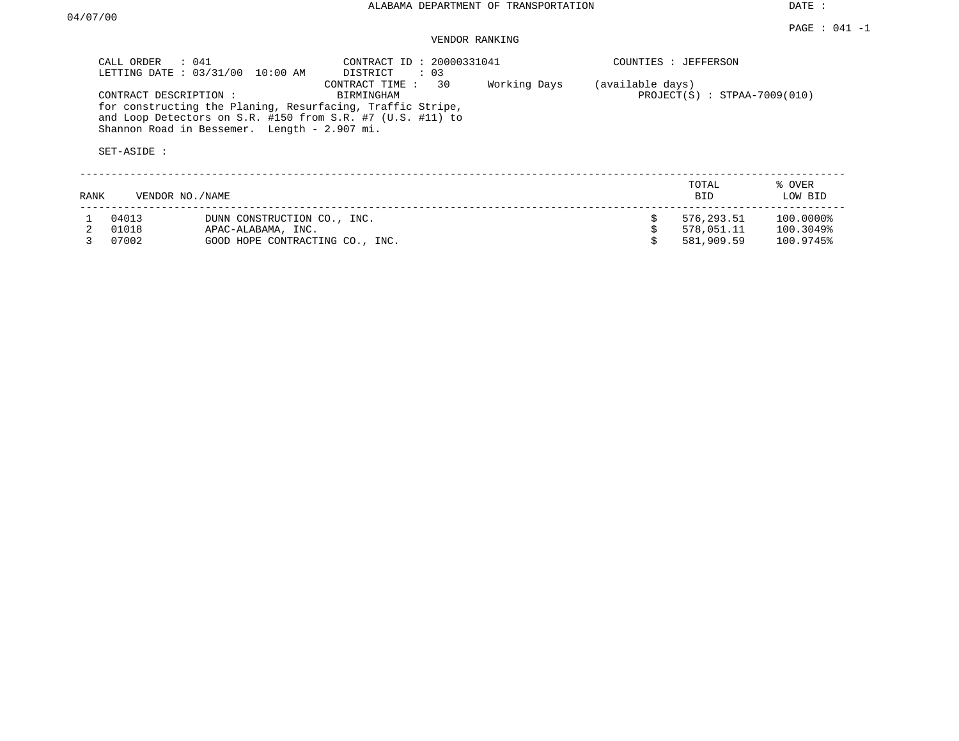DATE :

## VENDOR RANKING

|      | CALL ORDER<br>$\therefore$ 041<br>LETTING DATE: 03/31/00 | 10:00 AM                                          | CONTRACT ID: 20000331041<br>DISTRICT<br>$\therefore$ 03                                                                                                         |              |                  | COUNTIES : JEFFERSON           |                        |
|------|----------------------------------------------------------|---------------------------------------------------|-----------------------------------------------------------------------------------------------------------------------------------------------------------------|--------------|------------------|--------------------------------|------------------------|
|      | CONTRACT DESCRIPTION:<br>SET-ASIDE :                     | Shannon Road in Bessemer. Length - 2.907 mi.      | 30<br>CONTRACT TIME :<br>BIRMINGHAM<br>for constructing the Planing, Resurfacing, Traffic Stripe,<br>and Loop Detectors on S.R. #150 from S.R. #7 (U.S. #11) to | Working Days | (available days) | $PROJECT(S) : STPAA-7009(010)$ |                        |
| RANK | VENDOR NO./NAME                                          |                                                   |                                                                                                                                                                 |              |                  | TOTAL<br>BID.                  | % OVER<br>LOW BID      |
|      | 04013<br>01018                                           | DUNN CONSTRUCTION CO., INC.<br>APAC-ALABAMA, INC. |                                                                                                                                                                 |              | S                | 576,293.51<br>578,051.11       | 100.0000%<br>100.3049% |
|      | 07002                                                    | GOOD HOPE CONTRACTING CO., INC.                   |                                                                                                                                                                 |              |                  | 581,909.59                     | 100.9745%              |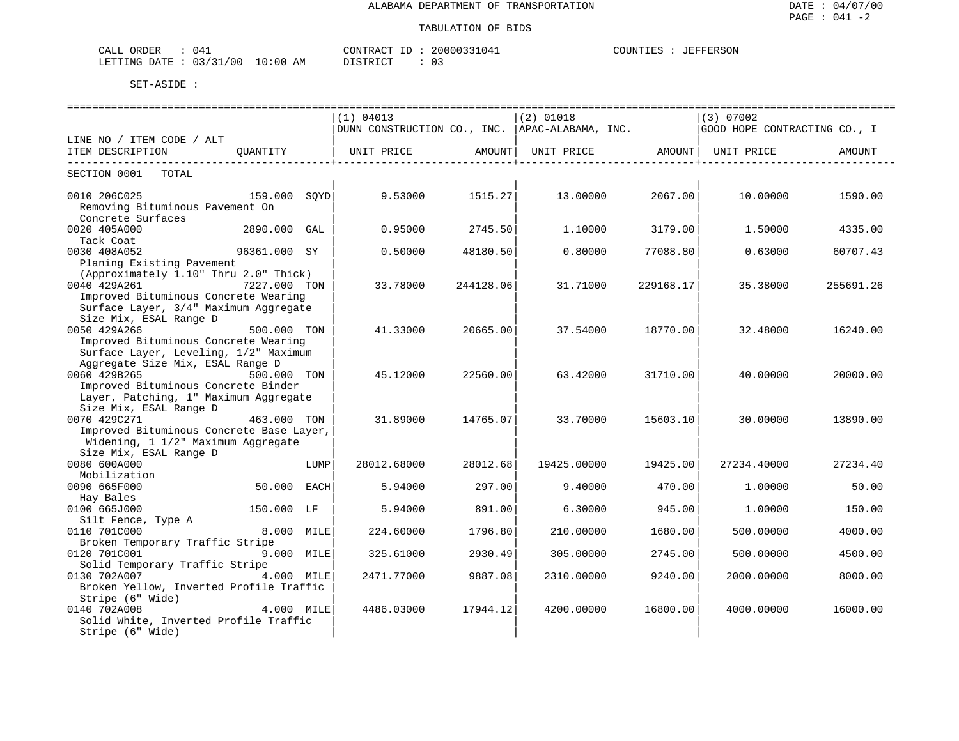| CALL ORDER                       |  |          | CONTRACT ID: 20000331041 | COUNTIES | : JEFFERSON |
|----------------------------------|--|----------|--------------------------|----------|-------------|
| LETTING DATE : 03/31/00 10:00 AM |  | DISTRICT |                          |          |             |

|                                          | (1) 04013   |           | $(2)$ 01018                                            |           | $(3)$ 07002                  |           |
|------------------------------------------|-------------|-----------|--------------------------------------------------------|-----------|------------------------------|-----------|
|                                          |             |           | $ $ DUNN CONSTRUCTION CO., INC. $ $ APAC-ALABAMA, INC. |           | GOOD HOPE CONTRACTING CO., I |           |
| LINE NO / ITEM CODE / ALT                |             |           |                                                        |           |                              |           |
| ITEM DESCRIPTION<br>OUANTITY             | UNIT PRICE  | AMOUNT    | UNIT PRICE                                             | AMOUNT    | UNIT PRICE                   | AMOUNT    |
| SECTION 0001<br>TOTAL                    |             |           |                                                        |           |                              |           |
| 0010 206C025<br>159.000 SOYD             | 9.53000     | 1515.27   | 13.00000                                               | 2067.00   | 10.00000                     | 1590.00   |
| Removing Bituminous Pavement On          |             |           |                                                        |           |                              |           |
| Concrete Surfaces                        |             |           |                                                        |           |                              |           |
| 0020 405A000<br>2890.000 GAL             | 0.95000     | 2745.50   | 1,10000                                                | 3179.00   | 1,50000                      | 4335.00   |
| Tack Coat                                |             |           |                                                        |           |                              |           |
| 96361.000 SY<br>0030 408A052             | 0.50000     | 48180.50  | 0.80000                                                | 77088.80  | 0.63000                      | 60707.43  |
| Planing Existing Pavement                |             |           |                                                        |           |                              |           |
| (Approximately 1.10" Thru 2.0" Thick)    |             |           |                                                        |           |                              |           |
| 0040 429A261<br>7227.000 TON             | 33.78000    | 244128.06 | 31.71000                                               | 229168.17 | 35.38000                     | 255691.26 |
| Improved Bituminous Concrete Wearing     |             |           |                                                        |           |                              |           |
| Surface Layer, 3/4" Maximum Aggregate    |             |           |                                                        |           |                              |           |
| Size Mix, ESAL Range D                   |             |           |                                                        |           |                              |           |
| 0050 429A266<br>500.000 TON              | 41.33000    | 20665.00  | 37.54000                                               | 18770.00  | 32.48000                     | 16240.00  |
| Improved Bituminous Concrete Wearing     |             |           |                                                        |           |                              |           |
| Surface Layer, Leveling, 1/2" Maximum    |             |           |                                                        |           |                              |           |
| Aggregate Size Mix, ESAL Range D         |             |           |                                                        |           |                              |           |
| 0060 429B265<br>500.000 TON              | 45.12000    | 22560.00  | 63.42000                                               | 31710.00  | 40.00000                     | 20000.00  |
| Improved Bituminous Concrete Binder      |             |           |                                                        |           |                              |           |
| Layer, Patching, 1" Maximum Aggregate    |             |           |                                                        |           |                              |           |
| Size Mix, ESAL Range D                   |             |           |                                                        |           |                              |           |
| 0070 429C271<br>463.000 TON              | 31.89000    | 14765.07  | 33.70000                                               | 15603.10  | 30.00000                     | 13890.00  |
| Improved Bituminous Concrete Base Layer, |             |           |                                                        |           |                              |           |
| Widening, 1 1/2" Maximum Aggregate       |             |           |                                                        |           |                              |           |
| Size Mix, ESAL Range D                   |             |           |                                                        |           |                              |           |
| 0080 600A000<br>LUMP                     | 28012.68000 | 28012.68  | 19425.00000                                            | 19425.00  | 27234.40000                  | 27234.40  |
| Mobilization                             |             |           |                                                        |           |                              |           |
| 0090 665F000<br>50.000 EACH              | 5.94000     | 297.00    | 9,40000                                                | 470.00    | 1,00000                      | 50.00     |
| Hay Bales                                |             |           |                                                        |           |                              |           |
| 0100 665J000<br>150.000 LF               | 5.94000     | 891.00    | 6.30000                                                | 945.00    | 1.00000                      | 150.00    |
| Silt Fence, Type A                       |             |           |                                                        |           |                              |           |
| 0110 701C000<br>8.000 MILE               | 224.60000   | 1796.80   | 210.00000                                              | 1680.00   | 500.00000                    | 4000.00   |
| Broken Temporary Traffic Stripe          |             |           |                                                        |           |                              |           |
| 0120 701C001<br>9.000 MILE               | 325.61000   | 2930.49   | 305,00000                                              | 2745.00   | 500.00000                    | 4500.00   |
| Solid Temporary Traffic Stripe           |             |           |                                                        |           |                              |           |
| 0130 702A007<br>4.000 MILE               | 2471.77000  | 9887.08   | 2310.00000                                             | 9240.00   | 2000.00000                   | 8000.00   |
| Broken Yellow, Inverted Profile Traffic  |             |           |                                                        |           |                              |           |
| Stripe (6" Wide)                         |             |           |                                                        |           |                              |           |
| 0140 702A008<br>4.000 MILE               | 4486.03000  | 17944.12  | 4200.00000                                             | 16800.00  | 4000.00000                   | 16000.00  |
| Solid White, Inverted Profile Traffic    |             |           |                                                        |           |                              |           |
| Stripe (6" Wide)                         |             |           |                                                        |           |                              |           |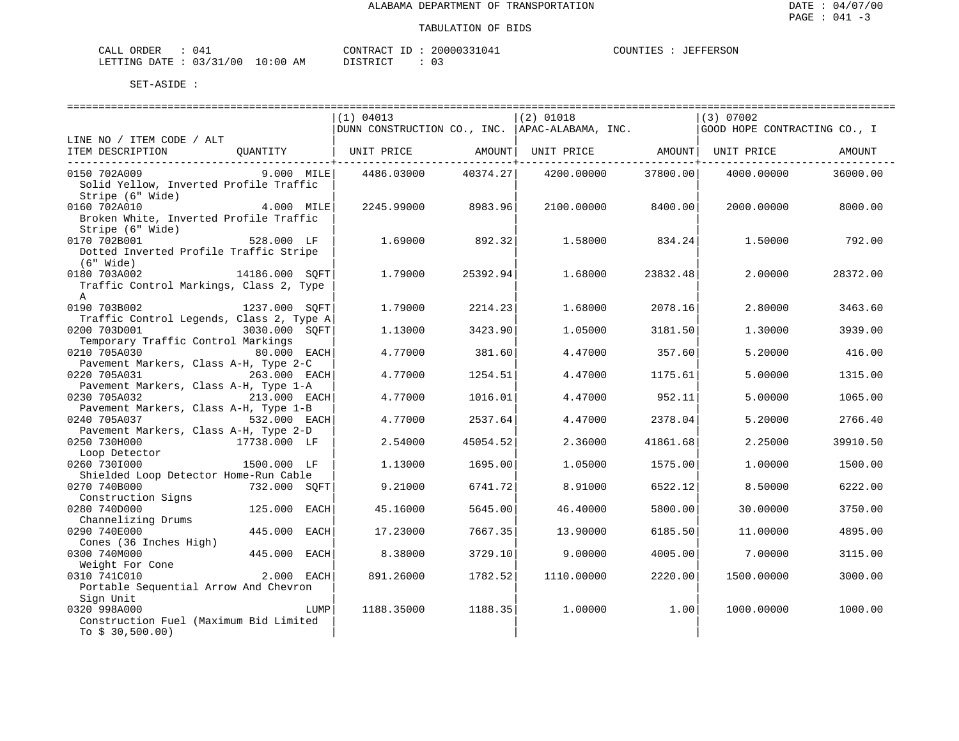| CALI<br>ORDER   | ۱4<br>.      |             | $\gamma$ חים אחדות היי | 20000331047 | ANTINTI ES<br>FFERSON<br>- F.O |
|-----------------|--------------|-------------|------------------------|-------------|--------------------------------|
| LETTING<br>DATE | 2.2<br>/ 0.0 | 10:00<br>AM | חומת החימידים<br>.     | ັ           |                                |

|                                          |                |      | (1) 04013  |                                  | $(2)$ 01018                                            |          | $(3)$ 07002                  |          |
|------------------------------------------|----------------|------|------------|----------------------------------|--------------------------------------------------------|----------|------------------------------|----------|
|                                          |                |      |            |                                  | $ $ DUNN CONSTRUCTION CO., INC. $ $ APAC-ALABAMA, INC. |          | GOOD HOPE CONTRACTING CO., I |          |
| LINE NO / ITEM CODE / ALT                |                |      |            |                                  |                                                        |          |                              |          |
| ITEM DESCRIPTION                         | QUANTITY       |      |            |                                  | UNIT PRICE AMOUNT   UNIT PRICE AMOUNT   UNIT PRICE     |          |                              | AMOUNT   |
| 0150 702A009                             | 9.000 MILE     |      |            | ------------+-------<br>40374.27 | 4200.00000                                             | 37800.00 | 4000.00000                   | 36000.00 |
| Solid Yellow, Inverted Profile Traffic   |                |      | 4486.03000 |                                  |                                                        |          |                              |          |
|                                          |                |      |            |                                  |                                                        |          |                              |          |
| Stripe (6" Wide)                         |                |      |            |                                  |                                                        |          |                              |          |
| 0160 702A010                             | 4.000 MILE     |      | 2245.99000 | 8983.96                          | 2100.00000                                             | 8400.00  | 2000.00000                   | 8000.00  |
| Broken White, Inverted Profile Traffic   |                |      |            |                                  |                                                        |          |                              |          |
| Stripe (6" Wide)                         |                |      |            |                                  |                                                        |          |                              |          |
| 0170 702B001                             | 528.000 LF     |      | 1.69000    | 892.32                           | 1.58000                                                | 834.24   | 1,50000                      | 792.00   |
| Dotted Inverted Profile Traffic Stripe   |                |      |            |                                  |                                                        |          |                              |          |
| $(6"$ Wide)                              |                |      |            |                                  |                                                        |          |                              |          |
| 0180 703A002                             | 14186.000 SOFT |      | 1.79000    | 25392.94                         | 1.68000                                                | 23832.48 | 2.00000                      | 28372.00 |
| Traffic Control Markings, Class 2, Type  |                |      |            |                                  |                                                        |          |                              |          |
| A                                        |                |      |            |                                  |                                                        |          |                              |          |
| 0190 703B002                             | 1237.000 SOFT  |      | 1,79000    | 2214.23                          | 1.68000                                                | 2078.16  | 2.80000                      | 3463.60  |
| Traffic Control Legends, Class 2, Type A |                |      |            |                                  |                                                        |          |                              |          |
| 0200 703D001                             | 3030.000 SOFT  |      | 1.13000    | 3423.90                          | 1.05000                                                | 3181.50  | 1.30000                      | 3939.00  |
| Temporary Traffic Control Markings       |                |      |            |                                  |                                                        |          |                              |          |
| 0210 705A030                             | 80.000 EACH    |      | 4.77000    | 381.60                           | 4.47000                                                | 357.60   | 5.20000                      | 416.00   |
| Pavement Markers, Class A-H, Type 2-C    |                |      |            |                                  |                                                        |          |                              |          |
| 0220 705A031                             | 263.000 EACH   |      | 4.77000    | 1254.51                          | 4.47000                                                | 1175.61  | 5.00000                      | 1315.00  |
| Pavement Markers, Class A-H, Type 1-A    |                |      |            |                                  |                                                        |          |                              |          |
| 0230 705A032                             | 213.000 EACH   |      | 4.77000    | 1016.01                          | 4.47000                                                | 952.11   | 5.00000                      | 1065.00  |
| Pavement Markers, Class A-H, Type 1-B    |                |      |            |                                  |                                                        |          |                              |          |
| 0240 705A037                             | 532.000 EACH   |      | 4.77000    | 2537.64                          | 4.47000                                                | 2378.04  | 5.20000                      | 2766.40  |
| Pavement Markers, Class A-H, Type 2-D    |                |      |            |                                  |                                                        |          |                              |          |
| 0250 730H000                             | 17738.000 LF   |      | 2.54000    | 45054.52                         | 2.36000                                                | 41861.68 |                              | 39910.50 |
| 150 / Junior<br>Loop Detector            |                |      |            |                                  |                                                        |          | 2.25000                      |          |
|                                          |                |      |            |                                  |                                                        |          |                              |          |
| 0260 7301000                             | 1500.000 LF    |      | 1.13000    | 1695.00                          | 1.05000                                                | 1575.00  | 1,00000                      | 1500.00  |
| Shielded Loop Detector Home-Run Cable    |                |      |            |                                  |                                                        |          |                              |          |
| 0270 740B000                             | 732.000 SQFT   |      | 9.21000    | 6741.72                          | 8.91000                                                | 6522.12  | 8.50000                      | 6222.00  |
| Construction Signs                       |                |      |            |                                  |                                                        |          |                              |          |
| 0280 740D000                             | 125.000 EACH   |      | 45.16000   | 5645.00                          | 46.40000                                               | 5800.00  | 30.00000                     | 3750.00  |
| Channelizing Drums                       |                |      |            |                                  |                                                        |          |                              |          |
| 0290 740E000                             | 445.000        | EACH | 17.23000   | 7667.35                          | 13.90000                                               | 6185.50  | 11.00000                     | 4895.00  |
| Cones (36 Inches High)                   |                |      |            |                                  |                                                        |          |                              |          |
| 0300 740M000                             | 445.000 EACH   |      | 8.38000    | 3729.10                          | 9,00000                                                | 4005.00  | 7.00000                      | 3115.00  |
| Weight For Cone                          |                |      |            |                                  |                                                        |          |                              |          |
| 0310 741C010                             | 2.000 EACH     |      | 891.26000  | 1782.52                          | 1110.00000                                             | 2220.00  | 1500.00000                   | 3000.00  |
| Portable Sequential Arrow And Chevron    |                |      |            |                                  |                                                        |          |                              |          |
| Sign Unit                                |                |      |            |                                  |                                                        |          |                              |          |
| 0320 998A000                             |                | LUMP | 1188.35000 | 1188.35                          | 1,00000                                                | 1.00     | 1000.00000                   | 1000.00  |
| Construction Fuel (Maximum Bid Limited   |                |      |            |                                  |                                                        |          |                              |          |
| To $$30,500.00)$                         |                |      |            |                                  |                                                        |          |                              |          |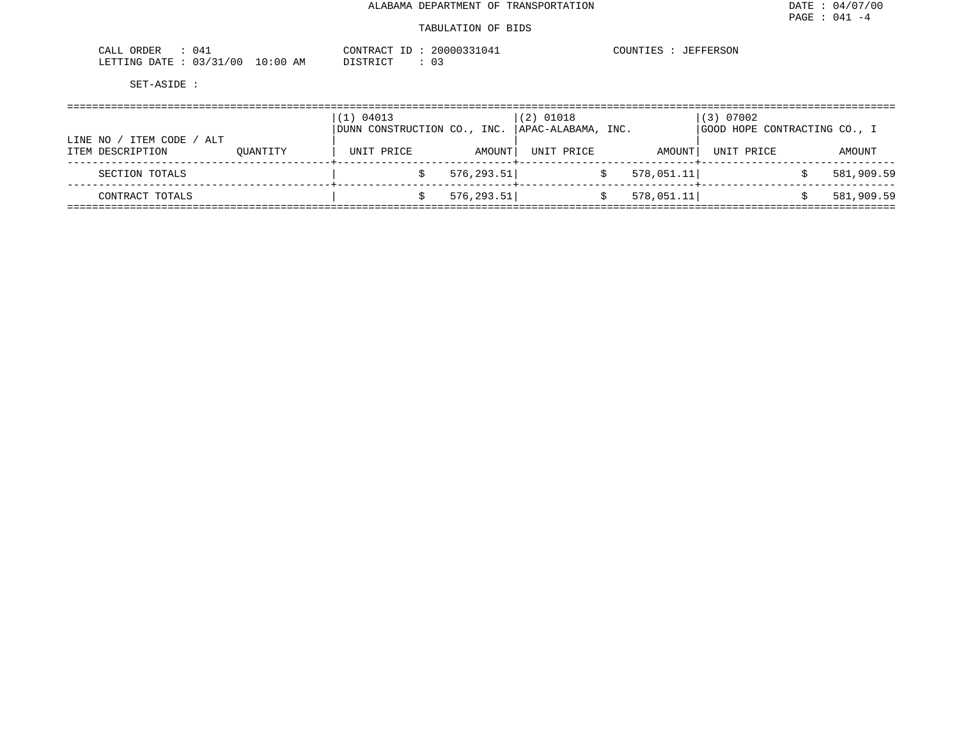| 041<br>ORDER<br>CALL     |            | CONTRACT | 20000331041 | COUNTIES<br>JEFFERSON |
|--------------------------|------------|----------|-------------|-----------------------|
| 03/31/00<br>LETTING DATE | $10:00$ AM | DISTRICT | 03          |                       |

| LINE NO | ITEM CODE<br>ALT |          | 04013<br>1)<br>DUNN CONSTRUCTION CO., INC. |             | $(2)$ 01018<br>APAC-ALABAMA, INC. |            | (3) 07002<br>GOOD HOPE CONTRACTING CO., I |            |
|---------|------------------|----------|--------------------------------------------|-------------|-----------------------------------|------------|-------------------------------------------|------------|
|         | ITEM DESCRIPTION | OUANTITY | UNIT PRICE                                 | AMOUNT      | UNIT PRICE                        | AMOUNT     | UNIT PRICE                                | AMOUNT     |
|         | SECTION TOTALS   |          |                                            | 576, 293.51 |                                   | 578,051.11 |                                           | 581,909.59 |
|         | CONTRACT TOTALS  |          |                                            | 576, 293.51 |                                   | 578,051.11 |                                           | 581,909.59 |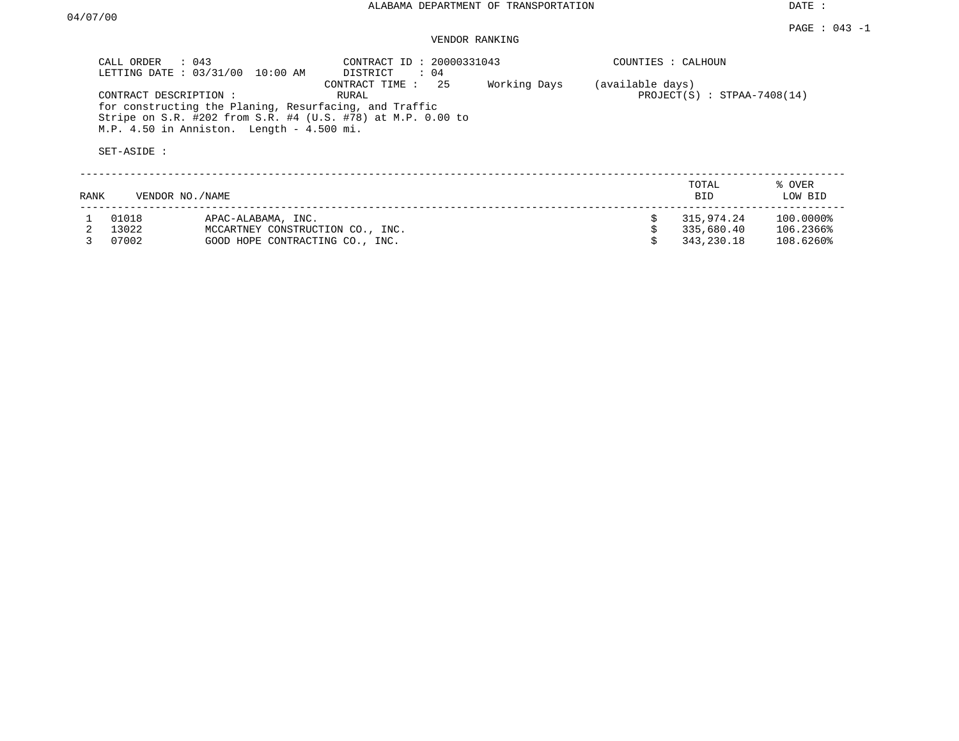DATE :

### PAGE : 043 -1 VENDOR RANKING

| CALL ORDER : 043                     | LETTING DATE : 03/31/00 10:00 AM                                                                    | CONTRACT ID: 20000331043<br>DISTRICT : 04                                                  |              | COUNTIES : CALHOUN |                               |                   |
|--------------------------------------|-----------------------------------------------------------------------------------------------------|--------------------------------------------------------------------------------------------|--------------|--------------------|-------------------------------|-------------------|
| CONTRACT DESCRIPTION:<br>SET-ASIDE : | for constructing the Planing, Resurfacing, and Traffic<br>M.P. 4.50 in Anniston. Length - 4.500 mi. | CONTRACT TIME : 25<br>RURAL<br>Stripe on S.R. #202 from S.R. #4 (U.S. #78) at M.P. 0.00 to | Working Days | (available days)   | $PROJECT(S)$ : STPAA-7408(14) |                   |
| RANK                                 | VENDOR NO./NAME                                                                                     |                                                                                            |              |                    | TOTAL<br><b>BID</b>           | % OVER<br>LOW BID |
| 01018                                | APAC-ALABAMA, INC.                                                                                  |                                                                                            |              | Ŝ.                 | 315,974.24                    | $100.0000\%$      |

|         | $111112$ $1111111111$            |              | --------- |
|---------|----------------------------------|--------------|-----------|
| 2 13022 | MCCARTNEY CONSTRUCTION CO., INC. | \$335.680.40 | 106.2366% |
| 3 07002 | GOOD HOPE CONTRACTING CO., INC.  | \$343.230.18 | 108.6260% |
|         |                                  |              |           |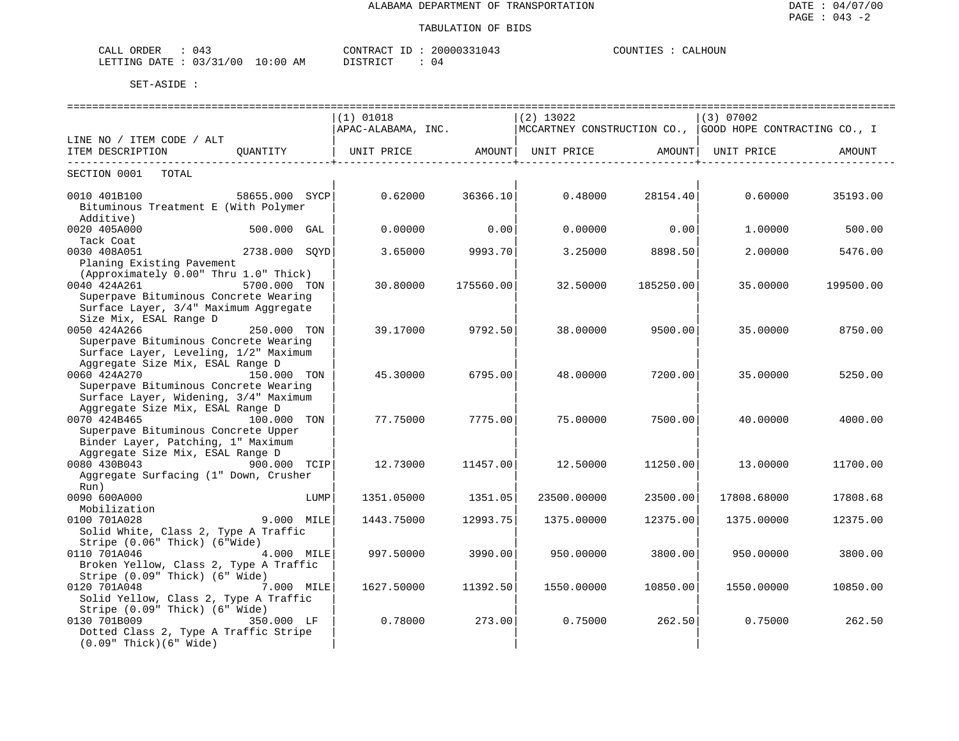| CALL ORDER<br>$\therefore$ 043  | CONTRACT ID: 20000331043 | COUNTIES : CALHOUN |
|---------------------------------|--------------------------|--------------------|
| LETTING DATE: 03/31/00 10:00 AM | DISTRICT                 |                    |

| $(1)$ 01018<br>$(2)$ 13022<br> (3) 07002<br>APAC-ALABAMA, INC. MCCARTNEY CONSTRUCTION CO., GOOD HOPE CONTRACTING CO., I<br>LINE NO / ITEM CODE / ALT<br>UNIT PRICE               AMOUNT    UNIT PRICE                AMOUNT    UNIT PRICE<br>ITEM DESCRIPTION<br>OUANTITY<br>AMOUNT<br>SECTION 0001 TOTAL<br>0010 401B100<br>$58655.000$ SYCP<br>$0.62000$ 36366.10<br>0.48000<br>28154.40<br>0.60000 35193.00<br>Bituminous Treatment E (With Polymer<br>Additive)<br>0.00<br>0020 405A000<br>500.000 GAL<br>0.00000<br>0.00000<br>0.00<br>1.00000<br>500.00<br>Tack Coat<br>2738.000 SQYD<br>0030 408A051<br>9993.70<br>3.25000 8898.50<br>2.00000<br>5476.00<br>3.65000<br>Planing Existing Pavement<br>(Approximately 0.00" Thru 1.0" Thick)<br>0040 424A261<br>5700.000 TON<br>30.80000<br>175560.00<br>32.50000<br>185250.00<br>35.00000<br>199500.00<br>Superpave Bituminous Concrete Wearing<br>Surface Layer, 3/4" Maximum Aggregate<br>Size Mix, ESAL Range D<br>0050 424A266<br>250.000 TON<br>39.17000<br>9792.50<br>38.00000<br>9500.00<br>35.00000<br>8750.00<br>Superpave Bituminous Concrete Wearing<br>Surface Layer, Leveling, 1/2" Maximum<br>Aggregate Size Mix, ESAL Range D<br>0060 424A270<br>150.000 TON<br>45.30000<br>6795.00<br>48.00000<br>7200.00<br>35.00000<br>5250.00<br>Superpave Bituminous Concrete Wearing<br>Surface Layer, Widening, 3/4" Maximum<br>Aggregate Size Mix, ESAL Range D<br>0070 424B465<br>100.000 TON<br>75.00000<br>7500.00<br>77.75000<br>7775.00<br>40.00000<br>4000.00<br>Superpave Bituminous Concrete Upper<br>Binder Layer, Patching, 1" Maximum<br>Aggregate Size Mix, ESAL Range D<br>900.000 TCIP<br>0080 430B043<br>12.73000<br>11457.00<br>12.50000<br>11250.00<br>13.00000<br>11700.00<br>Aggregate Surfacing (1" Down, Crusher<br>Run)<br>0090 600A000<br>LUMP<br>1351.05000<br>1351.05<br>23500.00000<br>23500.00<br>17808.68000<br>17808.68<br>Mobilization<br>9.000 MILE<br>0100 701A028<br>1443.75000<br>12993.75<br>1375.00000<br>12375.00<br>1375,00000<br>12375.00<br>Solid White, Class 2, Type A Traffic<br>Stripe (0.06" Thick) (6"Wide)<br>0110 701A046 4.000 MILE<br>997.50000<br>3990.00<br>950.00000<br>3800.00<br>950.00000<br>3800.00<br>Broken Yellow, Class 2, Type A Traffic<br>Stripe (0.09" Thick) (6" Wide)<br>0120 701A048<br>7.000 MILE<br>11392.50<br>10850.00<br>1627.50000<br>1550.00000<br>10850.00<br>1550.00000<br>Solid Yellow, Class 2, Type A Traffic<br>Stripe (0.09" Thick) (6" Wide)<br>0130 701B009<br>350.000 LF<br>0.78000<br>273.00<br>262.50<br>0.75000<br>0.75000<br>262.50<br>Dotted Class 2, Type A Traffic Stripe |                                |  | ============================= | ----------------------------- |  |  |
|-----------------------------------------------------------------------------------------------------------------------------------------------------------------------------------------------------------------------------------------------------------------------------------------------------------------------------------------------------------------------------------------------------------------------------------------------------------------------------------------------------------------------------------------------------------------------------------------------------------------------------------------------------------------------------------------------------------------------------------------------------------------------------------------------------------------------------------------------------------------------------------------------------------------------------------------------------------------------------------------------------------------------------------------------------------------------------------------------------------------------------------------------------------------------------------------------------------------------------------------------------------------------------------------------------------------------------------------------------------------------------------------------------------------------------------------------------------------------------------------------------------------------------------------------------------------------------------------------------------------------------------------------------------------------------------------------------------------------------------------------------------------------------------------------------------------------------------------------------------------------------------------------------------------------------------------------------------------------------------------------------------------------------------------------------------------------------------------------------------------------------------------------------------------------------------------------------------------------------------------------------------------------------------------------------------------------------------------------------------------------------------------------------------------------------------------------------------------------------------------------------------------------------------------------------------------------------------------------------------------------------------|--------------------------------|--|-------------------------------|-------------------------------|--|--|
|                                                                                                                                                                                                                                                                                                                                                                                                                                                                                                                                                                                                                                                                                                                                                                                                                                                                                                                                                                                                                                                                                                                                                                                                                                                                                                                                                                                                                                                                                                                                                                                                                                                                                                                                                                                                                                                                                                                                                                                                                                                                                                                                                                                                                                                                                                                                                                                                                                                                                                                                                                                                                                   |                                |  |                               |                               |  |  |
|                                                                                                                                                                                                                                                                                                                                                                                                                                                                                                                                                                                                                                                                                                                                                                                                                                                                                                                                                                                                                                                                                                                                                                                                                                                                                                                                                                                                                                                                                                                                                                                                                                                                                                                                                                                                                                                                                                                                                                                                                                                                                                                                                                                                                                                                                                                                                                                                                                                                                                                                                                                                                                   |                                |  |                               |                               |  |  |
|                                                                                                                                                                                                                                                                                                                                                                                                                                                                                                                                                                                                                                                                                                                                                                                                                                                                                                                                                                                                                                                                                                                                                                                                                                                                                                                                                                                                                                                                                                                                                                                                                                                                                                                                                                                                                                                                                                                                                                                                                                                                                                                                                                                                                                                                                                                                                                                                                                                                                                                                                                                                                                   |                                |  |                               |                               |  |  |
|                                                                                                                                                                                                                                                                                                                                                                                                                                                                                                                                                                                                                                                                                                                                                                                                                                                                                                                                                                                                                                                                                                                                                                                                                                                                                                                                                                                                                                                                                                                                                                                                                                                                                                                                                                                                                                                                                                                                                                                                                                                                                                                                                                                                                                                                                                                                                                                                                                                                                                                                                                                                                                   |                                |  |                               |                               |  |  |
|                                                                                                                                                                                                                                                                                                                                                                                                                                                                                                                                                                                                                                                                                                                                                                                                                                                                                                                                                                                                                                                                                                                                                                                                                                                                                                                                                                                                                                                                                                                                                                                                                                                                                                                                                                                                                                                                                                                                                                                                                                                                                                                                                                                                                                                                                                                                                                                                                                                                                                                                                                                                                                   |                                |  |                               |                               |  |  |
|                                                                                                                                                                                                                                                                                                                                                                                                                                                                                                                                                                                                                                                                                                                                                                                                                                                                                                                                                                                                                                                                                                                                                                                                                                                                                                                                                                                                                                                                                                                                                                                                                                                                                                                                                                                                                                                                                                                                                                                                                                                                                                                                                                                                                                                                                                                                                                                                                                                                                                                                                                                                                                   |                                |  |                               |                               |  |  |
|                                                                                                                                                                                                                                                                                                                                                                                                                                                                                                                                                                                                                                                                                                                                                                                                                                                                                                                                                                                                                                                                                                                                                                                                                                                                                                                                                                                                                                                                                                                                                                                                                                                                                                                                                                                                                                                                                                                                                                                                                                                                                                                                                                                                                                                                                                                                                                                                                                                                                                                                                                                                                                   |                                |  |                               |                               |  |  |
|                                                                                                                                                                                                                                                                                                                                                                                                                                                                                                                                                                                                                                                                                                                                                                                                                                                                                                                                                                                                                                                                                                                                                                                                                                                                                                                                                                                                                                                                                                                                                                                                                                                                                                                                                                                                                                                                                                                                                                                                                                                                                                                                                                                                                                                                                                                                                                                                                                                                                                                                                                                                                                   |                                |  |                               |                               |  |  |
|                                                                                                                                                                                                                                                                                                                                                                                                                                                                                                                                                                                                                                                                                                                                                                                                                                                                                                                                                                                                                                                                                                                                                                                                                                                                                                                                                                                                                                                                                                                                                                                                                                                                                                                                                                                                                                                                                                                                                                                                                                                                                                                                                                                                                                                                                                                                                                                                                                                                                                                                                                                                                                   |                                |  |                               |                               |  |  |
|                                                                                                                                                                                                                                                                                                                                                                                                                                                                                                                                                                                                                                                                                                                                                                                                                                                                                                                                                                                                                                                                                                                                                                                                                                                                                                                                                                                                                                                                                                                                                                                                                                                                                                                                                                                                                                                                                                                                                                                                                                                                                                                                                                                                                                                                                                                                                                                                                                                                                                                                                                                                                                   |                                |  |                               |                               |  |  |
|                                                                                                                                                                                                                                                                                                                                                                                                                                                                                                                                                                                                                                                                                                                                                                                                                                                                                                                                                                                                                                                                                                                                                                                                                                                                                                                                                                                                                                                                                                                                                                                                                                                                                                                                                                                                                                                                                                                                                                                                                                                                                                                                                                                                                                                                                                                                                                                                                                                                                                                                                                                                                                   |                                |  |                               |                               |  |  |
|                                                                                                                                                                                                                                                                                                                                                                                                                                                                                                                                                                                                                                                                                                                                                                                                                                                                                                                                                                                                                                                                                                                                                                                                                                                                                                                                                                                                                                                                                                                                                                                                                                                                                                                                                                                                                                                                                                                                                                                                                                                                                                                                                                                                                                                                                                                                                                                                                                                                                                                                                                                                                                   |                                |  |                               |                               |  |  |
|                                                                                                                                                                                                                                                                                                                                                                                                                                                                                                                                                                                                                                                                                                                                                                                                                                                                                                                                                                                                                                                                                                                                                                                                                                                                                                                                                                                                                                                                                                                                                                                                                                                                                                                                                                                                                                                                                                                                                                                                                                                                                                                                                                                                                                                                                                                                                                                                                                                                                                                                                                                                                                   |                                |  |                               |                               |  |  |
|                                                                                                                                                                                                                                                                                                                                                                                                                                                                                                                                                                                                                                                                                                                                                                                                                                                                                                                                                                                                                                                                                                                                                                                                                                                                                                                                                                                                                                                                                                                                                                                                                                                                                                                                                                                                                                                                                                                                                                                                                                                                                                                                                                                                                                                                                                                                                                                                                                                                                                                                                                                                                                   |                                |  |                               |                               |  |  |
|                                                                                                                                                                                                                                                                                                                                                                                                                                                                                                                                                                                                                                                                                                                                                                                                                                                                                                                                                                                                                                                                                                                                                                                                                                                                                                                                                                                                                                                                                                                                                                                                                                                                                                                                                                                                                                                                                                                                                                                                                                                                                                                                                                                                                                                                                                                                                                                                                                                                                                                                                                                                                                   |                                |  |                               |                               |  |  |
|                                                                                                                                                                                                                                                                                                                                                                                                                                                                                                                                                                                                                                                                                                                                                                                                                                                                                                                                                                                                                                                                                                                                                                                                                                                                                                                                                                                                                                                                                                                                                                                                                                                                                                                                                                                                                                                                                                                                                                                                                                                                                                                                                                                                                                                                                                                                                                                                                                                                                                                                                                                                                                   |                                |  |                               |                               |  |  |
|                                                                                                                                                                                                                                                                                                                                                                                                                                                                                                                                                                                                                                                                                                                                                                                                                                                                                                                                                                                                                                                                                                                                                                                                                                                                                                                                                                                                                                                                                                                                                                                                                                                                                                                                                                                                                                                                                                                                                                                                                                                                                                                                                                                                                                                                                                                                                                                                                                                                                                                                                                                                                                   |                                |  |                               |                               |  |  |
|                                                                                                                                                                                                                                                                                                                                                                                                                                                                                                                                                                                                                                                                                                                                                                                                                                                                                                                                                                                                                                                                                                                                                                                                                                                                                                                                                                                                                                                                                                                                                                                                                                                                                                                                                                                                                                                                                                                                                                                                                                                                                                                                                                                                                                                                                                                                                                                                                                                                                                                                                                                                                                   |                                |  |                               |                               |  |  |
|                                                                                                                                                                                                                                                                                                                                                                                                                                                                                                                                                                                                                                                                                                                                                                                                                                                                                                                                                                                                                                                                                                                                                                                                                                                                                                                                                                                                                                                                                                                                                                                                                                                                                                                                                                                                                                                                                                                                                                                                                                                                                                                                                                                                                                                                                                                                                                                                                                                                                                                                                                                                                                   |                                |  |                               |                               |  |  |
|                                                                                                                                                                                                                                                                                                                                                                                                                                                                                                                                                                                                                                                                                                                                                                                                                                                                                                                                                                                                                                                                                                                                                                                                                                                                                                                                                                                                                                                                                                                                                                                                                                                                                                                                                                                                                                                                                                                                                                                                                                                                                                                                                                                                                                                                                                                                                                                                                                                                                                                                                                                                                                   |                                |  |                               |                               |  |  |
|                                                                                                                                                                                                                                                                                                                                                                                                                                                                                                                                                                                                                                                                                                                                                                                                                                                                                                                                                                                                                                                                                                                                                                                                                                                                                                                                                                                                                                                                                                                                                                                                                                                                                                                                                                                                                                                                                                                                                                                                                                                                                                                                                                                                                                                                                                                                                                                                                                                                                                                                                                                                                                   |                                |  |                               |                               |  |  |
|                                                                                                                                                                                                                                                                                                                                                                                                                                                                                                                                                                                                                                                                                                                                                                                                                                                                                                                                                                                                                                                                                                                                                                                                                                                                                                                                                                                                                                                                                                                                                                                                                                                                                                                                                                                                                                                                                                                                                                                                                                                                                                                                                                                                                                                                                                                                                                                                                                                                                                                                                                                                                                   |                                |  |                               |                               |  |  |
|                                                                                                                                                                                                                                                                                                                                                                                                                                                                                                                                                                                                                                                                                                                                                                                                                                                                                                                                                                                                                                                                                                                                                                                                                                                                                                                                                                                                                                                                                                                                                                                                                                                                                                                                                                                                                                                                                                                                                                                                                                                                                                                                                                                                                                                                                                                                                                                                                                                                                                                                                                                                                                   |                                |  |                               |                               |  |  |
|                                                                                                                                                                                                                                                                                                                                                                                                                                                                                                                                                                                                                                                                                                                                                                                                                                                                                                                                                                                                                                                                                                                                                                                                                                                                                                                                                                                                                                                                                                                                                                                                                                                                                                                                                                                                                                                                                                                                                                                                                                                                                                                                                                                                                                                                                                                                                                                                                                                                                                                                                                                                                                   |                                |  |                               |                               |  |  |
|                                                                                                                                                                                                                                                                                                                                                                                                                                                                                                                                                                                                                                                                                                                                                                                                                                                                                                                                                                                                                                                                                                                                                                                                                                                                                                                                                                                                                                                                                                                                                                                                                                                                                                                                                                                                                                                                                                                                                                                                                                                                                                                                                                                                                                                                                                                                                                                                                                                                                                                                                                                                                                   |                                |  |                               |                               |  |  |
|                                                                                                                                                                                                                                                                                                                                                                                                                                                                                                                                                                                                                                                                                                                                                                                                                                                                                                                                                                                                                                                                                                                                                                                                                                                                                                                                                                                                                                                                                                                                                                                                                                                                                                                                                                                                                                                                                                                                                                                                                                                                                                                                                                                                                                                                                                                                                                                                                                                                                                                                                                                                                                   |                                |  |                               |                               |  |  |
|                                                                                                                                                                                                                                                                                                                                                                                                                                                                                                                                                                                                                                                                                                                                                                                                                                                                                                                                                                                                                                                                                                                                                                                                                                                                                                                                                                                                                                                                                                                                                                                                                                                                                                                                                                                                                                                                                                                                                                                                                                                                                                                                                                                                                                                                                                                                                                                                                                                                                                                                                                                                                                   |                                |  |                               |                               |  |  |
|                                                                                                                                                                                                                                                                                                                                                                                                                                                                                                                                                                                                                                                                                                                                                                                                                                                                                                                                                                                                                                                                                                                                                                                                                                                                                                                                                                                                                                                                                                                                                                                                                                                                                                                                                                                                                                                                                                                                                                                                                                                                                                                                                                                                                                                                                                                                                                                                                                                                                                                                                                                                                                   |                                |  |                               |                               |  |  |
|                                                                                                                                                                                                                                                                                                                                                                                                                                                                                                                                                                                                                                                                                                                                                                                                                                                                                                                                                                                                                                                                                                                                                                                                                                                                                                                                                                                                                                                                                                                                                                                                                                                                                                                                                                                                                                                                                                                                                                                                                                                                                                                                                                                                                                                                                                                                                                                                                                                                                                                                                                                                                                   |                                |  |                               |                               |  |  |
|                                                                                                                                                                                                                                                                                                                                                                                                                                                                                                                                                                                                                                                                                                                                                                                                                                                                                                                                                                                                                                                                                                                                                                                                                                                                                                                                                                                                                                                                                                                                                                                                                                                                                                                                                                                                                                                                                                                                                                                                                                                                                                                                                                                                                                                                                                                                                                                                                                                                                                                                                                                                                                   |                                |  |                               |                               |  |  |
|                                                                                                                                                                                                                                                                                                                                                                                                                                                                                                                                                                                                                                                                                                                                                                                                                                                                                                                                                                                                                                                                                                                                                                                                                                                                                                                                                                                                                                                                                                                                                                                                                                                                                                                                                                                                                                                                                                                                                                                                                                                                                                                                                                                                                                                                                                                                                                                                                                                                                                                                                                                                                                   |                                |  |                               |                               |  |  |
|                                                                                                                                                                                                                                                                                                                                                                                                                                                                                                                                                                                                                                                                                                                                                                                                                                                                                                                                                                                                                                                                                                                                                                                                                                                                                                                                                                                                                                                                                                                                                                                                                                                                                                                                                                                                                                                                                                                                                                                                                                                                                                                                                                                                                                                                                                                                                                                                                                                                                                                                                                                                                                   |                                |  |                               |                               |  |  |
|                                                                                                                                                                                                                                                                                                                                                                                                                                                                                                                                                                                                                                                                                                                                                                                                                                                                                                                                                                                                                                                                                                                                                                                                                                                                                                                                                                                                                                                                                                                                                                                                                                                                                                                                                                                                                                                                                                                                                                                                                                                                                                                                                                                                                                                                                                                                                                                                                                                                                                                                                                                                                                   |                                |  |                               |                               |  |  |
|                                                                                                                                                                                                                                                                                                                                                                                                                                                                                                                                                                                                                                                                                                                                                                                                                                                                                                                                                                                                                                                                                                                                                                                                                                                                                                                                                                                                                                                                                                                                                                                                                                                                                                                                                                                                                                                                                                                                                                                                                                                                                                                                                                                                                                                                                                                                                                                                                                                                                                                                                                                                                                   |                                |  |                               |                               |  |  |
|                                                                                                                                                                                                                                                                                                                                                                                                                                                                                                                                                                                                                                                                                                                                                                                                                                                                                                                                                                                                                                                                                                                                                                                                                                                                                                                                                                                                                                                                                                                                                                                                                                                                                                                                                                                                                                                                                                                                                                                                                                                                                                                                                                                                                                                                                                                                                                                                                                                                                                                                                                                                                                   |                                |  |                               |                               |  |  |
|                                                                                                                                                                                                                                                                                                                                                                                                                                                                                                                                                                                                                                                                                                                                                                                                                                                                                                                                                                                                                                                                                                                                                                                                                                                                                                                                                                                                                                                                                                                                                                                                                                                                                                                                                                                                                                                                                                                                                                                                                                                                                                                                                                                                                                                                                                                                                                                                                                                                                                                                                                                                                                   |                                |  |                               |                               |  |  |
|                                                                                                                                                                                                                                                                                                                                                                                                                                                                                                                                                                                                                                                                                                                                                                                                                                                                                                                                                                                                                                                                                                                                                                                                                                                                                                                                                                                                                                                                                                                                                                                                                                                                                                                                                                                                                                                                                                                                                                                                                                                                                                                                                                                                                                                                                                                                                                                                                                                                                                                                                                                                                                   |                                |  |                               |                               |  |  |
|                                                                                                                                                                                                                                                                                                                                                                                                                                                                                                                                                                                                                                                                                                                                                                                                                                                                                                                                                                                                                                                                                                                                                                                                                                                                                                                                                                                                                                                                                                                                                                                                                                                                                                                                                                                                                                                                                                                                                                                                                                                                                                                                                                                                                                                                                                                                                                                                                                                                                                                                                                                                                                   |                                |  |                               |                               |  |  |
|                                                                                                                                                                                                                                                                                                                                                                                                                                                                                                                                                                                                                                                                                                                                                                                                                                                                                                                                                                                                                                                                                                                                                                                                                                                                                                                                                                                                                                                                                                                                                                                                                                                                                                                                                                                                                                                                                                                                                                                                                                                                                                                                                                                                                                                                                                                                                                                                                                                                                                                                                                                                                                   |                                |  |                               |                               |  |  |
|                                                                                                                                                                                                                                                                                                                                                                                                                                                                                                                                                                                                                                                                                                                                                                                                                                                                                                                                                                                                                                                                                                                                                                                                                                                                                                                                                                                                                                                                                                                                                                                                                                                                                                                                                                                                                                                                                                                                                                                                                                                                                                                                                                                                                                                                                                                                                                                                                                                                                                                                                                                                                                   |                                |  |                               |                               |  |  |
|                                                                                                                                                                                                                                                                                                                                                                                                                                                                                                                                                                                                                                                                                                                                                                                                                                                                                                                                                                                                                                                                                                                                                                                                                                                                                                                                                                                                                                                                                                                                                                                                                                                                                                                                                                                                                                                                                                                                                                                                                                                                                                                                                                                                                                                                                                                                                                                                                                                                                                                                                                                                                                   |                                |  |                               |                               |  |  |
|                                                                                                                                                                                                                                                                                                                                                                                                                                                                                                                                                                                                                                                                                                                                                                                                                                                                                                                                                                                                                                                                                                                                                                                                                                                                                                                                                                                                                                                                                                                                                                                                                                                                                                                                                                                                                                                                                                                                                                                                                                                                                                                                                                                                                                                                                                                                                                                                                                                                                                                                                                                                                                   |                                |  |                               |                               |  |  |
|                                                                                                                                                                                                                                                                                                                                                                                                                                                                                                                                                                                                                                                                                                                                                                                                                                                                                                                                                                                                                                                                                                                                                                                                                                                                                                                                                                                                                                                                                                                                                                                                                                                                                                                                                                                                                                                                                                                                                                                                                                                                                                                                                                                                                                                                                                                                                                                                                                                                                                                                                                                                                                   |                                |  |                               |                               |  |  |
|                                                                                                                                                                                                                                                                                                                                                                                                                                                                                                                                                                                                                                                                                                                                                                                                                                                                                                                                                                                                                                                                                                                                                                                                                                                                                                                                                                                                                                                                                                                                                                                                                                                                                                                                                                                                                                                                                                                                                                                                                                                                                                                                                                                                                                                                                                                                                                                                                                                                                                                                                                                                                                   |                                |  |                               |                               |  |  |
|                                                                                                                                                                                                                                                                                                                                                                                                                                                                                                                                                                                                                                                                                                                                                                                                                                                                                                                                                                                                                                                                                                                                                                                                                                                                                                                                                                                                                                                                                                                                                                                                                                                                                                                                                                                                                                                                                                                                                                                                                                                                                                                                                                                                                                                                                                                                                                                                                                                                                                                                                                                                                                   | $(0.09"$ Thick $)(6"$ Wide $)$ |  |                               |                               |  |  |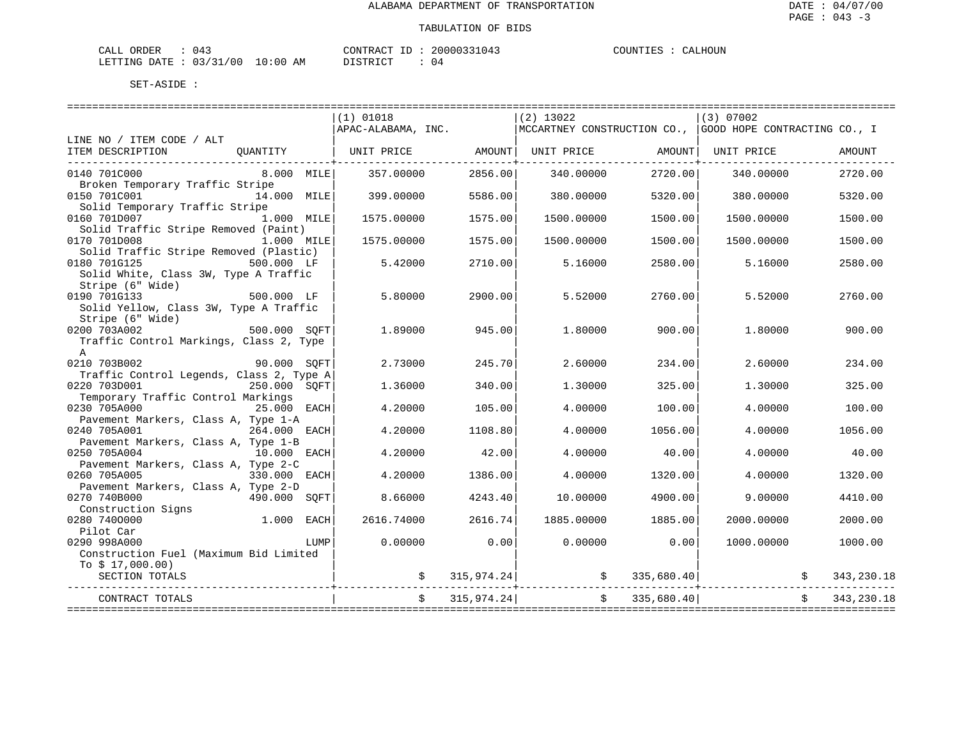| CALL ORDER                       | 04. | CONTRACT<br>חד ' | 20000331043 | COUNTIES | CALHOUN |
|----------------------------------|-----|------------------|-------------|----------|---------|
| LETTING DATE : 03/31/00 10:00 AM |     | DISTRICT         | 04          |          |         |

|                                                                                                 |              | $(1)$ 01018<br>APAC-ALABAMA, INC. |            | $(2)$ 13022                                      |               | (3) 07002<br>  MCCARTNEY CONSTRUCTION CO.,   GOOD HOPE CONTRACTING CO., I |              |
|-------------------------------------------------------------------------------------------------|--------------|-----------------------------------|------------|--------------------------------------------------|---------------|---------------------------------------------------------------------------|--------------|
| LINE NO / ITEM CODE / ALT                                                                       |              |                                   |            |                                                  |               |                                                                           |              |
| ITEM DESCRIPTION QUANTITY   UNIT PRICE AMOUNT   UNIT PRICE AMOUNT UNIT PRICE                    |              |                                   |            |                                                  |               |                                                                           | AMOUNT       |
| 0140 701C000<br>Broken Temporary Traffic Stripe                                                 | 8.000 MILE   | 357.00000                         | 2856.00    | 340.00000                                        | 2720.00       | 340.00000                                                                 | 2720.00      |
| 0150 701C001                                                                                    | 14.000 MILE  | 399.00000                         | 5586.00    | 380.00000                                        | 5320.00       | 380.00000                                                                 | 5320.00      |
| Solid Temporary Traffic Stripe<br>1.000 MILE<br>0160 701D007                                    |              | 1575.00000                        | 1575.00    | 1500.00000                                       | 1500.00       | 1500.00000                                                                | 1500.00      |
| Solid Traffic Stripe Removed (Paint)<br>0170 701D008                                            | 1.000 MILE   | 1575.00000                        | 1575.00    | 1500.00000                                       | 1500.00       | 1500.00000                                                                | 1500.00      |
| Solid Traffic Stripe Removed (Plastic)<br>0180 701G125<br>Solid White, Class 3W, Type A Traffic | 500.000 LF   | 5.42000                           | 2710.00    | 5.16000                                          | 2580.00       | 5.16000                                                                   | 2580.00      |
| Stripe (6" Wide)<br>$500.000$ LF<br>0190 701G133<br>Solid Yellow, Class 3W, Type A Traffic      |              | 5.80000                           | 2900.00    | 5.52000                                          | 2760.00       | 5.52000                                                                   | 2760.00      |
| Stripe (6" Wide)<br>0200 703A002<br>Traffic Control Markings, Class 2, Type                     | 500.000 SOFT | 1.89000                           | 945.00     | 1,80000                                          | 900.00        | 1,80000                                                                   | 900.00       |
| $\mathbb{A}$<br>0210 703B002<br>Traffic Control Legends, Class 2, Type A                        | 90.000 SQFT  | 2.73000                           | 245.70     | 2.60000                                          | 234.00        | 2.60000                                                                   | 234.00       |
| 0220 703D001<br>Temporary Traffic Control Markings                                              | 250.000 SOFT | 1.36000                           | 340.00     | 1,30000                                          | 325.00        | 1,30000                                                                   | 325.00       |
| 0230 705A000<br>Pavement Markers, Class A, Type 1-A                                             | 25.000 EACH  | 4.20000                           | 105.00     | 4,00000                                          | 100.00        | 4.00000                                                                   | 100.00       |
| 264.000 EACH<br>0240 705A001<br>Pavement Markers, Class A, Type 1-B                             |              | 4.20000                           | 1108.80    | 4.00000                                          | 1056.00       | 4.00000                                                                   | 1056.00      |
| 0250 705A004<br>Pavement Markers, Class A, Type 2-C                                             | 10.000 EACH  | 4.20000                           | 42.00      | 4.00000                                          | 40.00         | 4.00000                                                                   | 40.00        |
| 0260 705A005<br>Pavement Markers, Class A, Type 2-D                                             | 330.000 EACH | 4.20000                           | 1386.00    | 4.00000                                          | 1320.00       | 4.00000                                                                   | 1320.00      |
| 0270 740B000<br>Construction Signs                                                              | 490.000 SOFT | 8.66000                           | 4243.40    | 10.00000                                         | 4900.00       | 9.00000                                                                   | 4410.00      |
| 0280 7400000<br>Pilot Car                                                                       | 1.000 EACH   | 2616.74000                        | 2616.74    | 1885.00000                                       | 1885.00       | 2000.00000                                                                | 2000.00      |
| 0290 998A000<br>Construction Fuel (Maximum Bid Limited                                          | LUMP         | 0.00000                           | 0.00       | 0.00000                                          | 0.00          | 1000.00000                                                                | 1000.00      |
| To $$17,000.00)$<br>SECTION TOTALS                                                              |              |                                   |            | $\sharp$ 315,974.24 $\sharp$ $\sharp$ 335,680.40 |               |                                                                           | 343,230.18   |
| CONTRACT TOTALS                                                                                 |              | \$                                | 315,974.24 |                                                  | \$335,680.40] |                                                                           | 343, 230. 18 |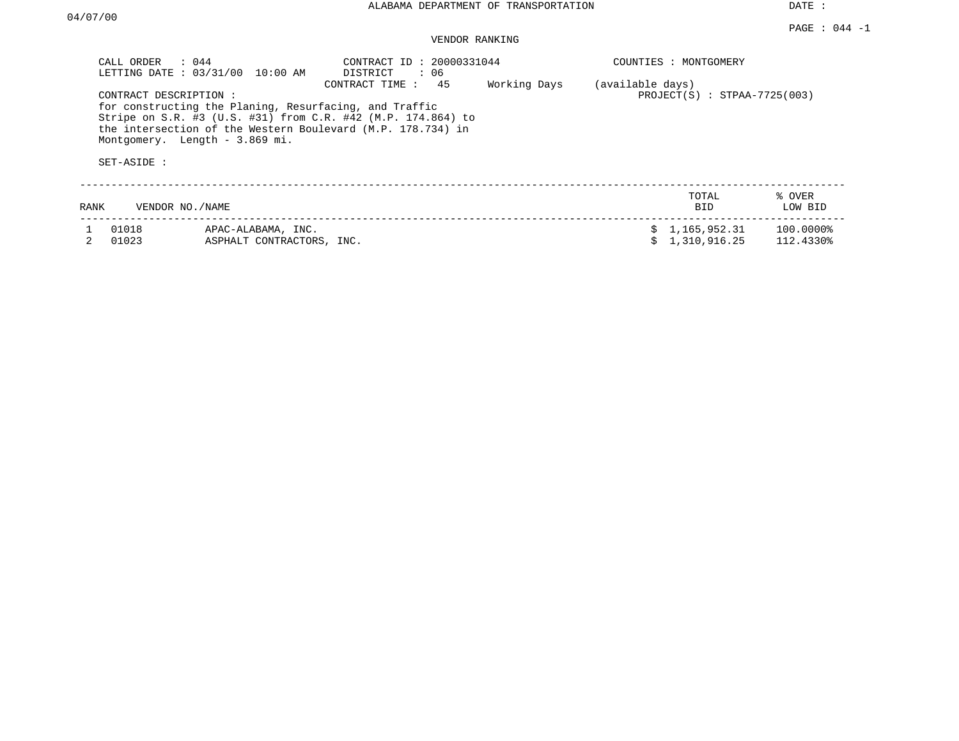DATE :

## VENDOR RANKING

| CALL ORDER<br>SET-ASIDE : | $\therefore$ 044<br>LETTING DATE: 03/31/00<br>10:00 AM<br>CONTRACT DESCRIPTION:<br>for constructing the Planing, Resurfacing, and Traffic<br>Stripe on S.R. #3 (U.S. #31) from C.R. #42 (M.P. 174.864) to<br>the intersection of the Western Boulevard (M.P. 178.734) in<br>Montgomery. Length - 3.869 mi. | CONTRACT ID: 20000331044<br>DISTRICT<br>: 06<br>CONTRACT TIME:<br>45 | Working Days | COUNTIES : MONTGOMERY<br>(available days) | $PROJECT(S)$ : STPAA-7725(003) |                           |
|---------------------------|------------------------------------------------------------------------------------------------------------------------------------------------------------------------------------------------------------------------------------------------------------------------------------------------------------|----------------------------------------------------------------------|--------------|-------------------------------------------|--------------------------------|---------------------------|
| RANK                      | VENDOR NO./NAME                                                                                                                                                                                                                                                                                            |                                                                      |              |                                           | TOTAL<br><b>BID</b>            | % OVER<br>LOW BID         |
| 01018<br>01023            | APAC-ALABAMA, INC.<br>ASPHALT CONTRACTORS, INC.                                                                                                                                                                                                                                                            |                                                                      |              |                                           | \$1,165,952.31<br>1,310,916.25 | $100.0000\%$<br>112.4330% |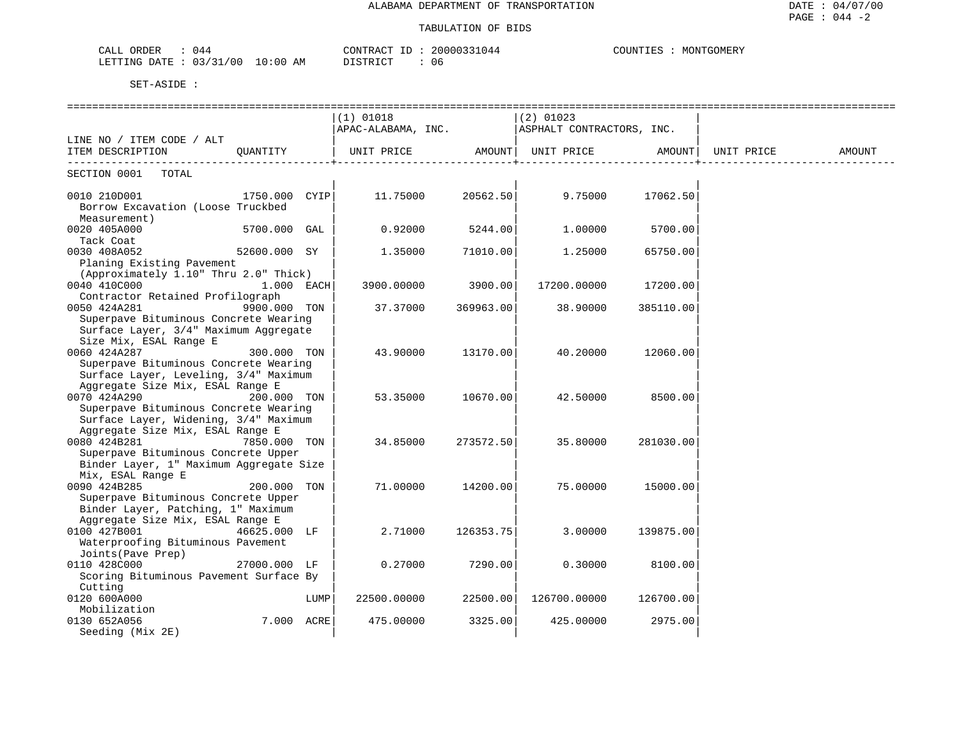| ORDER<br>CALL | 044      |            | CONTRACT<br>⊥D –   | 20000331044 | COUNTIES | MONTGOMERY |
|---------------|----------|------------|--------------------|-------------|----------|------------|
| LETTING DATE  | 03/31/00 | $10:00$ AM | ידי אידי אידי אידי | 06          |          |            |

|                                                                   |               |      | $(1)$ 01018<br>$ $ APAC-ALABAMA, INC. $ $ ASPHALT CONTRACTORS, INC. |           | $(2)$ 01023       |           |            |        |
|-------------------------------------------------------------------|---------------|------|---------------------------------------------------------------------|-----------|-------------------|-----------|------------|--------|
| LINE NO / ITEM CODE / ALT                                         |               |      |                                                                     |           |                   |           |            |        |
| ITEM DESCRIPTION                                                  | OUANTITY      |      | UNIT PRICE AMOUNT<br>_______________________                        |           | UNIT PRICE AMOUNT |           | UNIT PRICE | AMOUNT |
| SECTION 0001 TOTAL                                                |               |      |                                                                     |           |                   |           |            |        |
| 0010 210D001<br>Borrow Excavation (Loose Truckbed<br>Measurement) | 1750.000 CYIP |      | 11.75000                                                            | 20562.50  | 9.75000           | 17062.50  |            |        |
| 0020 405A000<br>Tack Coat                                         | 5700.000 GAL  |      | 0.92000                                                             | 5244.00   | 1,00000           | 5700.00   |            |        |
| 0030 408A052<br>Planing Existing Pavement                         | 52600.000 SY  |      | 1.35000                                                             | 71010.001 | 1.25000           | 65750.00  |            |        |
| (Approximately 1.10" Thru 2.0" Thick)                             |               |      |                                                                     |           |                   |           |            |        |
| 0040 410C000                                                      | $1.000$ EACH  |      | 3900.00000                                                          | 3900.00   | 17200.00000       | 17200.00  |            |        |
| Contractor Retained Profilograph                                  |               |      |                                                                     |           |                   |           |            |        |
| 0050 424A281                                                      | 9900.000 TON  |      | 37.37000                                                            | 369963.00 | 38.90000          | 385110.00 |            |        |
| Superpave Bituminous Concrete Wearing                             |               |      |                                                                     |           |                   |           |            |        |
| Surface Layer, 3/4" Maximum Aggregate                             |               |      |                                                                     |           |                   |           |            |        |
| Size Mix, ESAL Range E                                            |               |      |                                                                     |           |                   |           |            |        |
| 0060 424A287<br>Superpave Bituminous Concrete Wearing             | 300.000 TON   |      | 43.90000                                                            | 13170.00  | 40.20000          | 12060.00  |            |        |
| Surface Layer, Leveling, 3/4" Maximum                             |               |      |                                                                     |           |                   |           |            |        |
| Aggregate Size Mix, ESAL Range E                                  |               |      |                                                                     |           |                   |           |            |        |
| 0070 424A290                                                      | 200.000 TON   |      | 53.35000                                                            | 10670.00  | 42.50000          | 8500.00   |            |        |
| Superpave Bituminous Concrete Wearing                             |               |      |                                                                     |           |                   |           |            |        |
| Surface Layer, Widening, 3/4" Maximum                             |               |      |                                                                     |           |                   |           |            |        |
| Aggregate Size Mix, ESAL Range E                                  |               |      |                                                                     |           |                   |           |            |        |
| 0080 424B281                                                      | 7850.000 TON  |      | 34.85000                                                            | 273572.50 | 35.80000          | 281030.00 |            |        |
| Superpave Bituminous Concrete Upper                               |               |      |                                                                     |           |                   |           |            |        |
| Binder Layer, 1" Maximum Aggregate Size                           |               |      |                                                                     |           |                   |           |            |        |
| Mix, ESAL Range E                                                 |               |      |                                                                     |           |                   |           |            |        |
| 0090 424B285                                                      | 200.000 TON   |      | 71,00000                                                            | 14200.00  | 75.00000          | 15000.00  |            |        |
| Superpave Bituminous Concrete Upper                               |               |      |                                                                     |           |                   |           |            |        |
| Binder Layer, Patching, 1" Maximum                                |               |      |                                                                     |           |                   |           |            |        |
| Aggregate Size Mix, ESAL Range E<br>0100 427B001                  | 46625.000 LF  |      | 2.71000                                                             | 126353.75 | 3,00000           | 139875.00 |            |        |
| Waterproofing Bituminous Pavement                                 |               |      |                                                                     |           |                   |           |            |        |
| Joints (Pave Prep)                                                |               |      |                                                                     |           |                   |           |            |        |
| 0110 428C000                                                      | 27000.000 LF  |      | 0.27000                                                             | 7290.00   | 0.30000           | 8100.00   |            |        |
| Scoring Bituminous Pavement Surface By                            |               |      |                                                                     |           |                   |           |            |        |
| Cutting                                                           |               |      |                                                                     |           |                   |           |            |        |
| 0120 600A000                                                      |               | LUMP | 22500.00000                                                         | 22500.00  | 126700.00000      | 126700.00 |            |        |
| Mobilization                                                      |               |      |                                                                     |           |                   |           |            |        |
| 0130 652A056                                                      | 7.000 ACRE    |      | 475.00000                                                           | 3325.00   | 425.00000         | 2975.00   |            |        |
| Seeding (Mix 2E)                                                  |               |      |                                                                     |           |                   |           |            |        |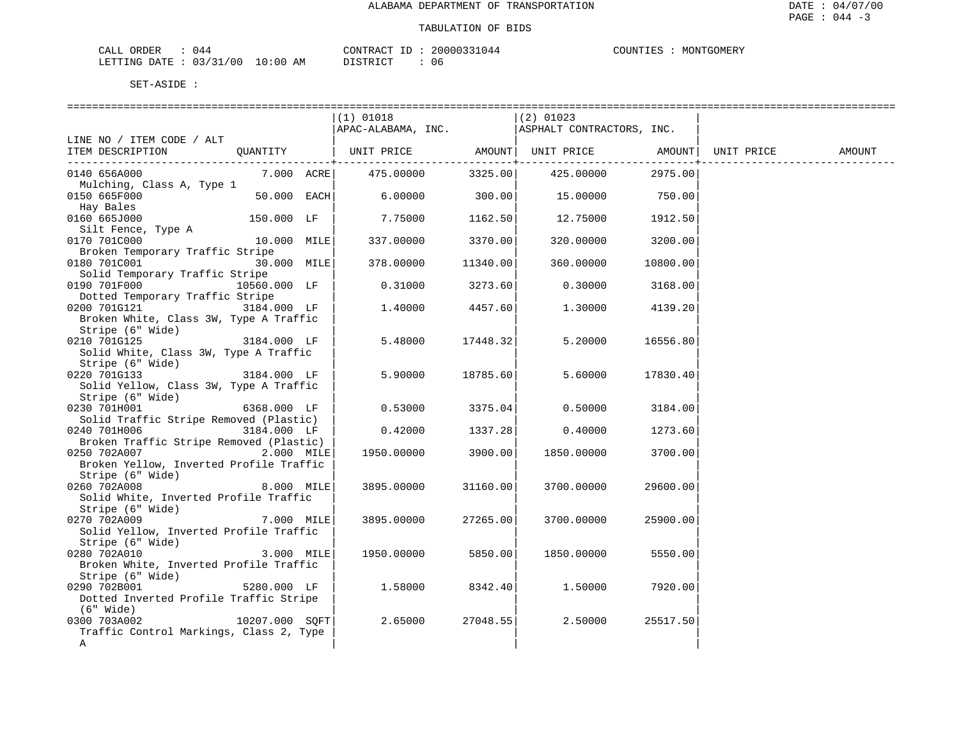| ORDER<br>77T<br>للسلطات<br>UN. | $J +$                               |                       | CONTRACT<br>$- -$ | ່ໄໄ4 4             | . ידוחדו | TTGOMER.<br>MON' |
|--------------------------------|-------------------------------------|-----------------------|-------------------|--------------------|----------|------------------|
| DATE.<br>LETTING<br>.          | $\sim$ $\sim$<br>/00<br>121<br>- 21 | LO:00<br>ΆM<br>$\sim$ | דת דפידי את       | 1 I F<br><b>UU</b> |          |                  |

|                                                                                     |                  | $(1)$ 01018                                  |          | $ (2)$ 01023            |            |  |
|-------------------------------------------------------------------------------------|------------------|----------------------------------------------|----------|-------------------------|------------|--|
|                                                                                     |                  | APAC-ALABAMA, INC. ASPHALT CONTRACTORS, INC. |          |                         |            |  |
| LINE NO / ITEM CODE / ALT                                                           |                  |                                              |          |                         |            |  |
| ITEM DESCRIPTION QUANTITY   UNIT PRICE AMOUNT  UNIT PRICE AMOUNT  UNIT PRICE AMOUNT |                  |                                              |          |                         |            |  |
|                                                                                     |                  |                                              |          | -------------+--------- | . <u>.</u> |  |
| 0140 656A000                                                                        |                  | 7.000 ACRE 475.00000                         |          | 3325.00 425.00000       | 2975.00    |  |
| Mulching, Class A, Type 1                                                           |                  |                                              |          |                         |            |  |
| 0150 665F000                                                                        | $50.000$ EACH    | $6.00000$ $300.00$ $15.00000$ $750.00$       |          |                         |            |  |
| Hay Bales<br>0160 665J000                                                           |                  |                                              |          |                         |            |  |
|                                                                                     | 150.000 LF       | $7.75000$ 1162.50                            |          | 12.75000 1912.50        |            |  |
| Silt Fence, Type A<br>0170 701C000                                                  | 10.000 MILE      | 337.00000                                    | 3370.00  | 320.00000 3200.00       |            |  |
| Broken Temporary Traffic Stripe                                                     |                  |                                              |          |                         |            |  |
| 0180 701C001                                                                        | 30.000 MILE      | 378.00000                                    | 11340.00 | 360.00000               | 10800.00   |  |
| Solid Temporary Traffic Stripe                                                      |                  |                                              |          |                         |            |  |
| 0190 701F000                                                                        | 10560.000 LF     | $0.31000$ 3273.60                            |          | $0.30000$ 3168.00       |            |  |
| Dotted Temporary Traffic Stripe                                                     |                  |                                              |          |                         |            |  |
| 0200 701G121 3184.000 LF                                                            |                  | 1,40000                                      | 4457.60  | 1.30000 4139.20         |            |  |
| Broken White, Class 3W, Type A Traffic                                              |                  |                                              |          |                         |            |  |
| Stripe (6" Wide)                                                                    |                  |                                              |          |                         |            |  |
| $3184.000$ LF<br>0210 701G125                                                       |                  | 5.48000                                      | 17448.32 | 5.20000                 | 16556.80   |  |
| Solid White, Class 3W, Type A Traffic                                               |                  |                                              |          |                         |            |  |
| Stripe (6" Wide)                                                                    |                  |                                              |          |                         |            |  |
| 0220 701G133                                                                        | $3184.000$ LF    | 5.90000 18785.60                             |          | 5.60000                 | 17830.40   |  |
| Solid Yellow, Class 3W, Type A Traffic                                              |                  |                                              |          |                         |            |  |
| Stripe (6" Wide)                                                                    |                  |                                              |          |                         |            |  |
| 0230 701H001                                                                        | 6368.000 LF      | $0.53000$ 3375.04                            |          | 0.50000                 | 3184.00    |  |
| Solid Traffic Stripe Removed (Plastic)                                              |                  |                                              |          |                         |            |  |
| 0240 701H006                                                                        | 3184.000 LF      | $0.42000$ 1337.28                            |          | 0.40000 1273.60         |            |  |
| Broken Traffic Stripe Removed (Plastic)                                             |                  |                                              |          |                         |            |  |
| 0250 702A007 2.000 MILE                                                             |                  | 1950.00000                                   | 3900.00  | 1850.00000              | 3700.00    |  |
| Broken Yellow, Inverted Profile Traffic                                             |                  |                                              |          |                         |            |  |
| Stripe (6" Wide)<br>260 702A008                                                     |                  |                                              |          |                         |            |  |
| 0260 702A008                                                                        | $8.000$ MILE     | 3895.00000                                   | 31160.00 | 3700.00000              | 29600.00   |  |
| Solid White, Inverted Profile Traffic                                               |                  |                                              |          |                         |            |  |
| Stripe (6" Wide)                                                                    |                  |                                              |          |                         |            |  |
| 0270 702A009                                                                        | $7.000$ MILE     | 3895.00000                                   | 27265.00 | 3700.00000              | 25900.00   |  |
| Solid Yellow, Inverted Profile Traffic                                              |                  |                                              |          |                         |            |  |
| Stripe (6" Wide)<br>0280 702A010                                                    |                  |                                              |          |                         |            |  |
|                                                                                     | 3.000 MILE       | 1950.00000 5850.00                           |          | 1850.00000              | 5550.00    |  |
| Broken White, Inverted Profile Traffic                                              |                  |                                              |          |                         |            |  |
| Stripe (6" Wide)<br>$5280.000$ LF<br>0290 702B001                                   |                  | 1.58000                                      | 8342.40  | 1.50000                 | 7920.00    |  |
| Dotted Inverted Profile Traffic Stripe                                              |                  |                                              |          |                         |            |  |
| (6" Wide)                                                                           |                  |                                              |          |                         |            |  |
| 0300 703A002                                                                        | $10207.000$ SQFT | 2.65000                                      | 27048.55 | 2.50000                 | 25517.50   |  |
| Traffic Control Markings, Class 2, Type                                             |                  |                                              |          |                         |            |  |
| Α                                                                                   |                  |                                              |          |                         |            |  |
|                                                                                     |                  |                                              |          |                         |            |  |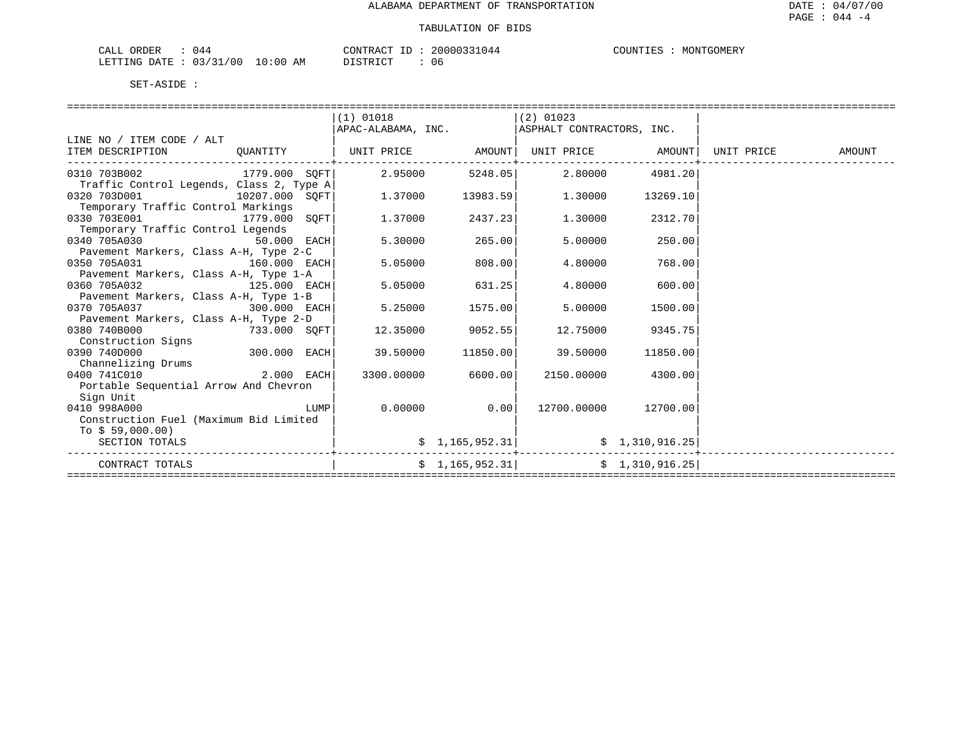| $\sim$ $ -$<br>'DER<br>ד בי<br>$\overline{\phantom{0}}$ | . .                                |             | <b>PONTRAL</b><br>$- -$ | ່ໄໄ4 4 | . TINT. | MON'<br>:OMER |
|---------------------------------------------------------|------------------------------------|-------------|-------------------------|--------|---------|---------------|
| LETTING<br>DATE.                                        | $\sim$ $\sim$<br>/00<br>121<br>-21 | LO:00<br>ΆM | דים דפידי פורו          | U6     |         |               |

|                                                                        |                  | $(1)$ 01018                                                                         |                 | $(2)$ 01023                                                            |                      |        |
|------------------------------------------------------------------------|------------------|-------------------------------------------------------------------------------------|-----------------|------------------------------------------------------------------------|----------------------|--------|
|                                                                        |                  | APAC-ALABAMA, INC.    ASPHALT CONTRACTORS, INC.                                     |                 |                                                                        |                      |        |
| LINE NO / ITEM CODE / ALT                                              |                  |                                                                                     |                 |                                                                        |                      |        |
| ITEM DESCRIPTION                                                       | OUANTITY         | UNIT PRICE                AMOUNT    UNIT PRICE                 AMOUNT    UNIT PRICE |                 |                                                                        |                      | AMOUNT |
|                                                                        |                  |                                                                                     |                 |                                                                        |                      |        |
| $0310$ 703B002 $1779.000$ SOFT $2.95000$ $5248.05$ $2.80000$ $4981.20$ |                  |                                                                                     |                 |                                                                        |                      |        |
| Traffic Control Legends, Class 2, Type A                               |                  |                                                                                     |                 |                                                                        |                      |        |
| 0320 703D001                                                           | $10207.000$ SQFT |                                                                                     |                 | $1.37000$ $13983.59$ $1.30000$                                         | 13269.10             |        |
| Temporary Traffic Control Markings                                     |                  |                                                                                     |                 |                                                                        |                      |        |
| 0330 703E001                                                           | 1779.000 SOFT    | 1.37000                                                                             | 2437.23         | 1.30000                                                                | 2312.70              |        |
| Temporary Traffic Control Legends                                      |                  |                                                                                     |                 |                                                                        |                      |        |
| 0340 705A030 30                                                        | $50.000$ EACH    | 5.30000                                                                             | 265.00          | 5.00000                                                                | 250.00               |        |
| Pavement Markers, Class A-H, Type 2-C                                  |                  |                                                                                     |                 |                                                                        |                      |        |
| 0350 705A031 160.000 EACH                                              |                  | 5.05000                                                                             | 808.00          | 4.80000                                                                | 768.00               |        |
| Pavement Markers, Class A-H, Type 1-A                                  |                  |                                                                                     |                 |                                                                        |                      |        |
| 0360 705A032                                                           | $125.000$ EACH   | 5.05000                                                                             | 631.25          | 4.80000                                                                | 600.00               |        |
| Pavement Markers, Class A-H, Type 1-B                                  |                  |                                                                                     |                 |                                                                        |                      |        |
| 0370 705A037                                                           | $300.000$ $EACH$ | 5.25000                                                                             | 1575.00         | 5.00000                                                                | 1500.00              |        |
| Pavement Markers, Class A-H, Type 2-D                                  |                  |                                                                                     |                 |                                                                        |                      |        |
| 0380 740B000                                                           | $733.000$ SQFT   | 12.35000                                                                            | 9052.55         | 12.75000                                                               | 9345.75              |        |
| Construction Signs                                                     |                  |                                                                                     |                 |                                                                        |                      |        |
| 0390 740D000 300.000 EACH                                              |                  | 39.50000                                                                            | 11850.00        | 39.50000                                                               | 11850.00             |        |
| Channelizing Drums                                                     |                  |                                                                                     |                 |                                                                        |                      |        |
| 0400 741C010                                                           | $2.000$ EACH     | 3300.00000                                                                          | 6600.00         | 2150.00000                                                             | 4300.00              |        |
| Portable Sequential Arrow And Chevron                                  |                  |                                                                                     |                 |                                                                        |                      |        |
| Sign Unit                                                              |                  |                                                                                     |                 |                                                                        |                      |        |
| 0410 998A000                                                           | LUMP             | $0.00000$ 0.00                                                                      |                 |                                                                        | 12700.00000 12700.00 |        |
| Construction Fuel (Maximum Bid Limited                                 |                  |                                                                                     |                 |                                                                        |                      |        |
| To $$59,000.00)$                                                       |                  |                                                                                     |                 |                                                                        |                      |        |
| SECTION TOTALS                                                         |                  |                                                                                     | \$1,165,952.31] |                                                                        | \$1,310,916.25       |        |
| CONTRACT TOTALS                                                        |                  |                                                                                     |                 | $\frac{1}{25}$ , 1, 165, 952.31 $\frac{1}{2}$ $\frac{1}{310}$ , 916.25 |                      |        |
|                                                                        |                  |                                                                                     |                 |                                                                        |                      |        |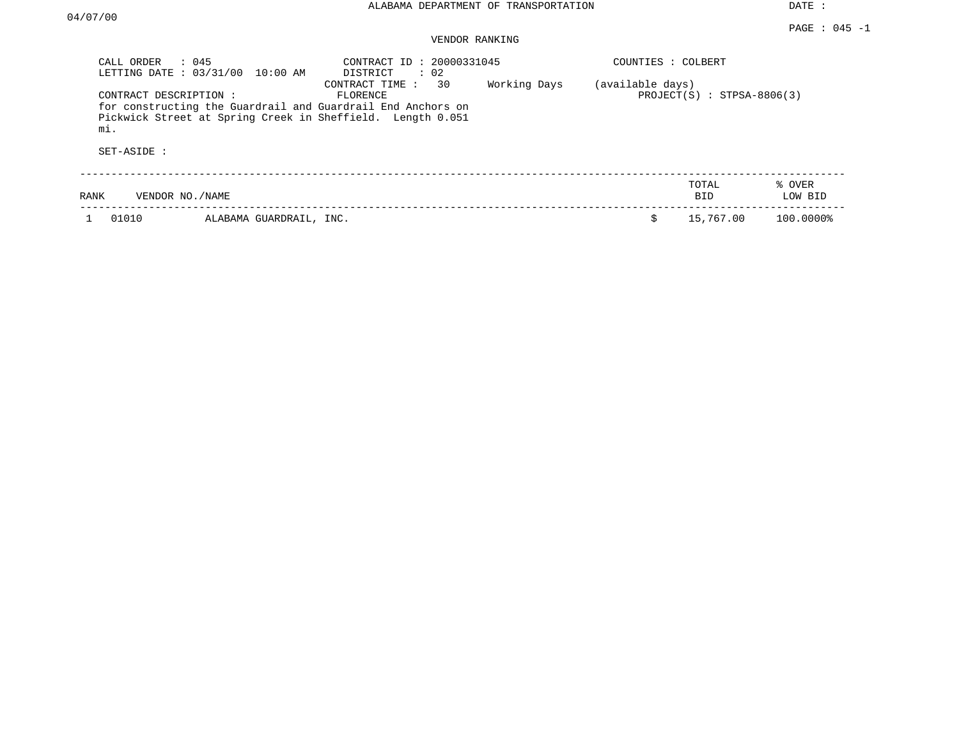DATE :

### PAGE : 045 -1 VENDOR RANKING

| CALL ORDER : 045<br>LETTING DATE : 03/31/00 10:00 AM | CONTRACT ID: 20000331045<br>$\therefore$ 02<br>DISTRICT                                                                                                                     | COUNTIES : COLBERT                               |  |
|------------------------------------------------------|-----------------------------------------------------------------------------------------------------------------------------------------------------------------------------|--------------------------------------------------|--|
| CONTRACT DESCRIPTION:<br>mi.                         | CONTRACT TIME : 30<br>Working Days<br>FLORENCE<br>for constructing the Guardrail and Guardrail End Anchors on<br>Pickwick Street at Spring Creek in Sheffield. Length 0.051 | (available days)<br>$PROJECT(S)$ : STPSA-8806(3) |  |
| SET-ASIDE :                                          |                                                                                                                                                                             |                                                  |  |
| RANK<br>VENDOR NO./NAME                              |                                                                                                                                                                             | TOTAL<br>% OVER<br>LOW BID<br><b>BID</b>         |  |
| 01010                                                | ALABAMA GUARDRAIL, INC.                                                                                                                                                     | 15,767.00<br>Ŝ.<br>100.0000%                     |  |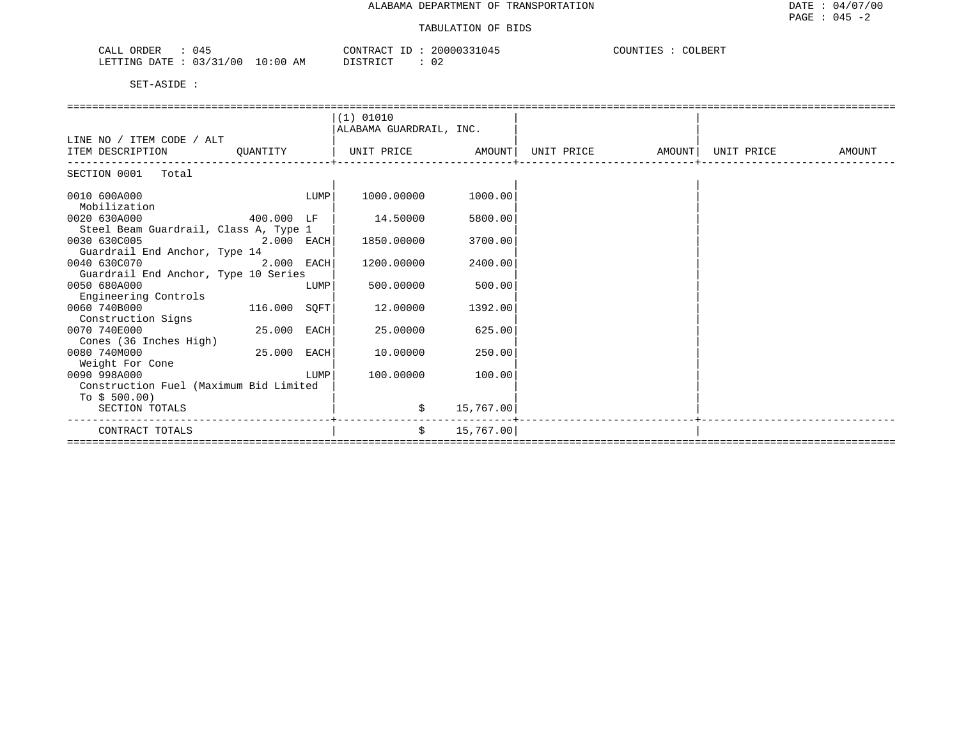| . .<br>$\bigcap$ $\bigcap$ $\bigcap$<br>ORDER<br>U4.<br>لىلەپ                                  | ∩∩N™D<br>20000<br>חר י<br>'R ∆r<br>.<br>$\sim$ | LBERT<br>COUNTILES |
|------------------------------------------------------------------------------------------------|------------------------------------------------|--------------------|
| ′ N C<br>LETTING<br>$\sim$ $\sim$<br>7.M<br>חבמח<br>$\left( \right)$<br>$\epsilon$<br>.<br>AP. | TAT<br>. ו פרחי<br>$\cdots$<br>.               |                    |

|                                                          |              |      | (1) 01010               |           |            |        |            |        |
|----------------------------------------------------------|--------------|------|-------------------------|-----------|------------|--------|------------|--------|
|                                                          |              |      | ALABAMA GUARDRAIL, INC. |           |            |        |            |        |
| LINE NO / ITEM CODE / ALT                                |              |      |                         |           |            |        |            |        |
| ITEM DESCRIPTION                                         | QUANTITY     |      | UNIT PRICE              | AMOUNT    | UNIT PRICE | AMOUNT | UNIT PRICE | AMOUNT |
| SECTION 0001 Total                                       |              |      |                         |           |            |        |            |        |
| 0010 600A000                                             |              | LUMP | 1000.00000              | 1000.00   |            |        |            |        |
| Mobilization                                             |              |      |                         |           |            |        |            |        |
| 0020 630A000                                             | 400.000 LF   |      | 14.50000                | 5800.00   |            |        |            |        |
| Steel Beam Guardrail, Class A, Type 1                    |              |      |                         |           |            |        |            |        |
| 0030 630C005                                             | 2.000 EACH   |      | 1850.00000              | 3700.00   |            |        |            |        |
| Guardrail End Anchor, Type 14<br>0040 630C070            | 2.000 EACH   |      | 1200.00000              | 2400.00   |            |        |            |        |
| Guardrail End Anchor, Type 10 Series                     |              |      |                         |           |            |        |            |        |
| 0050 680A000                                             |              | LUMP | 500.00000               | 500.00    |            |        |            |        |
| Engineering Controls                                     |              |      |                         |           |            |        |            |        |
| 0060 740B000                                             | 116.000 SOFT |      | 12.00000                | 1392.00   |            |        |            |        |
| Construction Signs                                       |              |      |                         |           |            |        |            |        |
| 0070 740E000                                             | 25.000       | EACH | 25.00000                | 625.00    |            |        |            |        |
| Cones (36 Inches High)                                   |              |      |                         |           |            |        |            |        |
| 0080 740M000                                             | 25,000       | EACH | 10.00000                | 250.00    |            |        |            |        |
| Weight For Cone                                          |              |      |                         |           |            |        |            |        |
| 0090 998A000                                             |              | LUMP | 100.00000               | 100.00    |            |        |            |        |
| Construction Fuel (Maximum Bid Limited<br>To $$500.00$ ) |              |      |                         |           |            |        |            |        |
| SECTION TOTALS                                           |              |      | \$                      | 15,767.00 |            |        |            |        |
|                                                          |              |      |                         |           |            |        |            |        |
| CONTRACT TOTALS                                          |              |      | \$                      | 15,767.00 |            |        |            |        |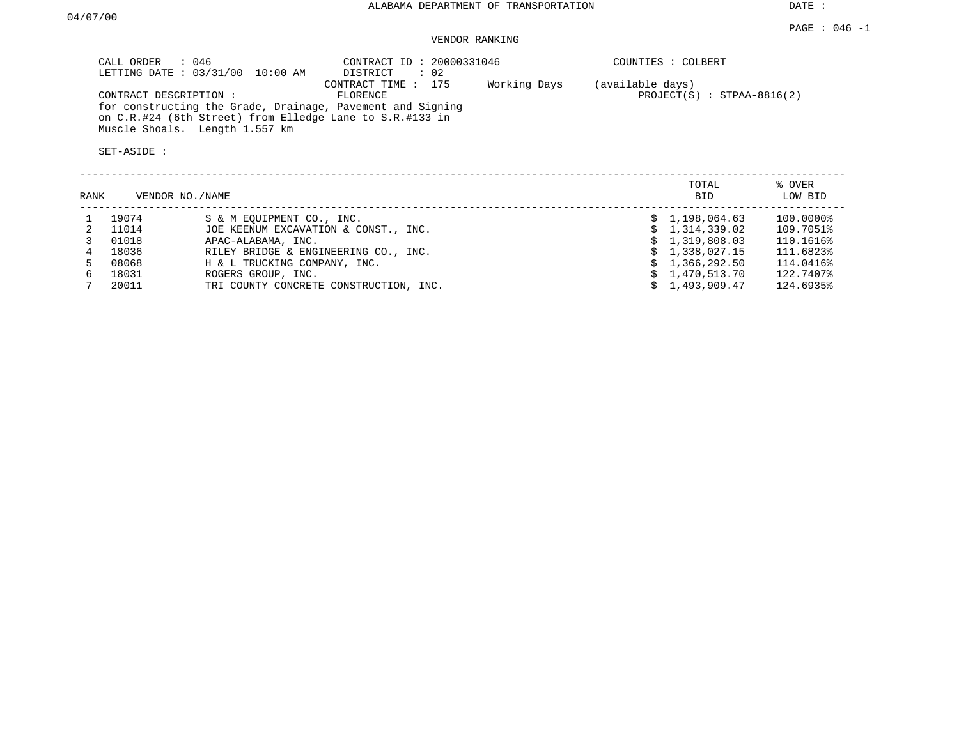DATE :

## VENDOR RANKING

| CALL ORDER : 046<br>LETTING DATE: 03/31/00<br>10:00 AM                                                                                                                            | CONTRACT ID: 20000331046<br>$\therefore$ 02<br>DISTRICT | COUNTIES : COLBERT                               |         |
|-----------------------------------------------------------------------------------------------------------------------------------------------------------------------------------|---------------------------------------------------------|--------------------------------------------------|---------|
| CONTRACT DESCRIPTION:<br>for constructing the Grade, Drainage, Pavement and Signing<br>on C.R.#24 (6th Street) from Elledge Lane to S.R.#133 in<br>Muscle Shoals. Length 1.557 km | CONTRACT TIME : 175<br>Working Days<br>FLORENCE         | (available days)<br>$PROJECT(S)$ : STPAA-8816(2) |         |
| SET-ASIDE:                                                                                                                                                                        |                                                         | TOTAL                                            | % OVER  |
| RANK<br>VENDOR NO. / NAME                                                                                                                                                         |                                                         | <b>BID</b>                                       | LOW BID |

| 19074 | S & M EOUIPMENT CO., INC.              | \$1,198,064.63 | 100.0000% |
|-------|----------------------------------------|----------------|-----------|
| 11014 | JOE KEENUM EXCAVATION & CONST., INC.   | \$1,314,339.02 | 109.7051% |
| 01018 | APAC-ALABAMA, INC.                     | \$1,319,808.03 | 110.1616% |
| 18036 | RILEY BRIDGE & ENGINEERING CO., INC.   | \$1,338,027.15 | 111.6823% |
| 08068 | H & L TRUCKING COMPANY, INC.           | \$1,366,292.50 | 114.0416% |
| 18031 | ROGERS GROUP, INC.                     | \$1,470,513.70 | 122.7407% |
| 20011 | TRI COUNTY CONCRETE CONSTRUCTION, INC. | \$1,493,909.47 | 124.6935% |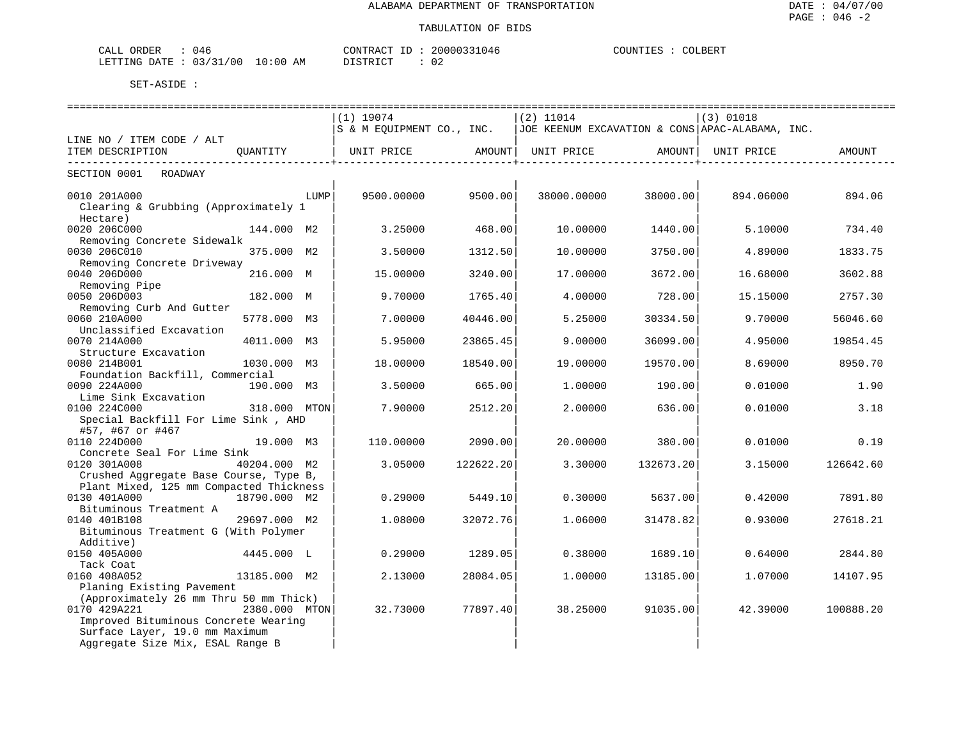| 046<br>ORDER<br>ىلىلەت            |             | CONTRACT              | .nuuus<br>114r. | COUNTIES<br>COLBERT |
|-----------------------------------|-------------|-----------------------|-----------------|---------------------|
| /00<br>03/31<br>LETTING DATE<br>ັ | 10:00<br>ΆM | TAT<br>c.<br>-------- |                 |                     |

|                                         |               |      | $(1)$ 19074                                                                |           | $(2)$ 11014 |                 | $(3)$ 01018 |           |  |  |
|-----------------------------------------|---------------|------|----------------------------------------------------------------------------|-----------|-------------|-----------------|-------------|-----------|--|--|
|                                         |               |      | S & M EQUIPMENT CO., INC.  JOE KEENUM EXCAVATION & CONS APAC-ALABAMA, INC. |           |             |                 |             |           |  |  |
| LINE NO / ITEM CODE / ALT               |               |      |                                                                            |           |             |                 |             |           |  |  |
| ITEM DESCRIPTION                        | OUANTITY      |      | UNIT PRICE                                                                 | AMOUNT    | UNIT PRICE  | AMOUNT          | UNIT PRICE  | AMOUNT    |  |  |
| SECTION 0001 ROADWAY                    |               |      |                                                                            |           |             | --------------- |             |           |  |  |
|                                         |               |      |                                                                            |           |             |                 |             |           |  |  |
| 0010 201A000                            |               | LUMP | 9500.00000                                                                 | 9500.00   | 38000.00000 | 38000.00        | 894.06000   | 894.06    |  |  |
| Clearing & Grubbing (Approximately 1    |               |      |                                                                            |           |             |                 |             |           |  |  |
| Hectare)                                |               |      |                                                                            |           |             |                 |             |           |  |  |
| 0020 206C000                            | 144.000 M2    |      | 3.25000                                                                    | 468.00    | 10.00000    | 1440.001        | 5.10000     | 734.40    |  |  |
| Removing Concrete Sidewalk              |               |      |                                                                            |           |             |                 |             |           |  |  |
| 0030 206C010                            | 375.000 M2    |      | 3.50000                                                                    | 1312.50   | 10.00000    | 3750.00         | 4.89000     | 1833.75   |  |  |
| Removing Concrete Driveway              |               |      |                                                                            |           |             |                 |             |           |  |  |
| 0040 206D000                            | 216.000 M     |      | 15.00000                                                                   | 3240.00   | 17.00000    | 3672.00         | 16.68000    | 3602.88   |  |  |
| Removing Pipe                           |               |      |                                                                            |           |             |                 |             |           |  |  |
| 0050 206D003                            | 182.000 M     |      | 9.70000                                                                    | 1765.40   | 4.00000     | 728.00          | 15.15000    | 2757.30   |  |  |
| Removing Curb And Gutter                |               |      |                                                                            |           |             |                 |             |           |  |  |
| 0060 210A000                            | 5778.000 M3   |      | 7.00000                                                                    | 40446.00  | 5.25000     | 30334.50        | 9.70000     | 56046.60  |  |  |
| Unclassified Excavation                 |               |      |                                                                            |           |             |                 |             |           |  |  |
| 0070 214A000                            | 4011.000 M3   |      | 5.95000                                                                    | 23865.45  | 9.00000     | 36099.00        | 4.95000     | 19854.45  |  |  |
| Structure Excavation                    |               |      |                                                                            |           |             |                 |             |           |  |  |
| 0080 214B001                            | 1030.000 M3   |      | 18.00000                                                                   | 18540.00  | 19.00000    | 19570.00        | 8.69000     | 8950.70   |  |  |
| Foundation Backfill, Commercial         |               |      |                                                                            |           |             |                 |             |           |  |  |
| 0090 224A000                            | 190.000 M3    |      | 3.50000                                                                    | 665.00    | 1,00000     | 190.00          | 0.01000     | 1.90      |  |  |
| Lime Sink Excavation                    |               |      |                                                                            |           |             |                 |             |           |  |  |
| 0100 224C000                            | 318,000 MTON  |      | 7.90000                                                                    | 2512.20   | 2.00000     | 636.00          | 0.01000     | 3.18      |  |  |
| Special Backfill For Lime Sink, AHD     |               |      |                                                                            |           |             |                 |             |           |  |  |
| #57, #67 or #467                        |               |      |                                                                            |           |             |                 |             |           |  |  |
| 0110 224D000                            | 19.000 M3     |      | 110.00000                                                                  | 2090.00   | 20,00000    | 380.00          | 0.01000     | 0.19      |  |  |
| Concrete Seal For Lime Sink             |               |      |                                                                            |           |             |                 |             |           |  |  |
| 0120 301A008                            | 40204.000 M2  |      | 3.05000                                                                    | 122622.20 | 3.30000     | 132673.20       | 3.15000     | 126642.60 |  |  |
| Crushed Aggregate Base Course, Type B,  |               |      |                                                                            |           |             |                 |             |           |  |  |
| Plant Mixed, 125 mm Compacted Thickness |               |      |                                                                            |           |             |                 |             |           |  |  |
| 0130 401A000                            | 18790.000 M2  |      | 0.29000                                                                    | 5449.10   | 0.30000     | 5637.00         | 0.42000     | 7891.80   |  |  |
| Bituminous Treatment A                  |               |      |                                                                            |           |             |                 |             |           |  |  |
| 0140 401B108                            | 29697.000 M2  |      | 1,08000                                                                    | 32072.76  | 1.06000     | 31478.82        | 0.93000     | 27618.21  |  |  |
| Bituminous Treatment G (With Polymer    |               |      |                                                                            |           |             |                 |             |           |  |  |
| Additive)                               |               |      |                                                                            |           |             |                 |             |           |  |  |
| 0150 405A000                            | 4445.000 L    |      | 0.29000                                                                    | 1289.05   | 0.38000     | 1689.10         | 0.64000     | 2844.80   |  |  |
| Tack Coat                               |               |      |                                                                            |           |             |                 |             |           |  |  |
| 0160 408A052                            | 13185.000 M2  |      | 2.13000                                                                    | 28084.05  | 1,00000     | 13185.00        | 1,07000     | 14107.95  |  |  |
| Planing Existing Pavement               |               |      |                                                                            |           |             |                 |             |           |  |  |
| (Approximately 26 mm Thru 50 mm Thick)  |               |      |                                                                            |           |             |                 |             |           |  |  |
| 0170 429A221                            | 2380.000 MTON |      | 32.73000                                                                   | 77897.40  | 38.25000    | 91035.00        | 42.39000    | 100888.20 |  |  |
| Improved Bituminous Concrete Wearing    |               |      |                                                                            |           |             |                 |             |           |  |  |
| Surface Layer, 19.0 mm Maximum          |               |      |                                                                            |           |             |                 |             |           |  |  |
| Aggregate Size Mix, ESAL Range B        |               |      |                                                                            |           |             |                 |             |           |  |  |
|                                         |               |      |                                                                            |           |             |                 |             |           |  |  |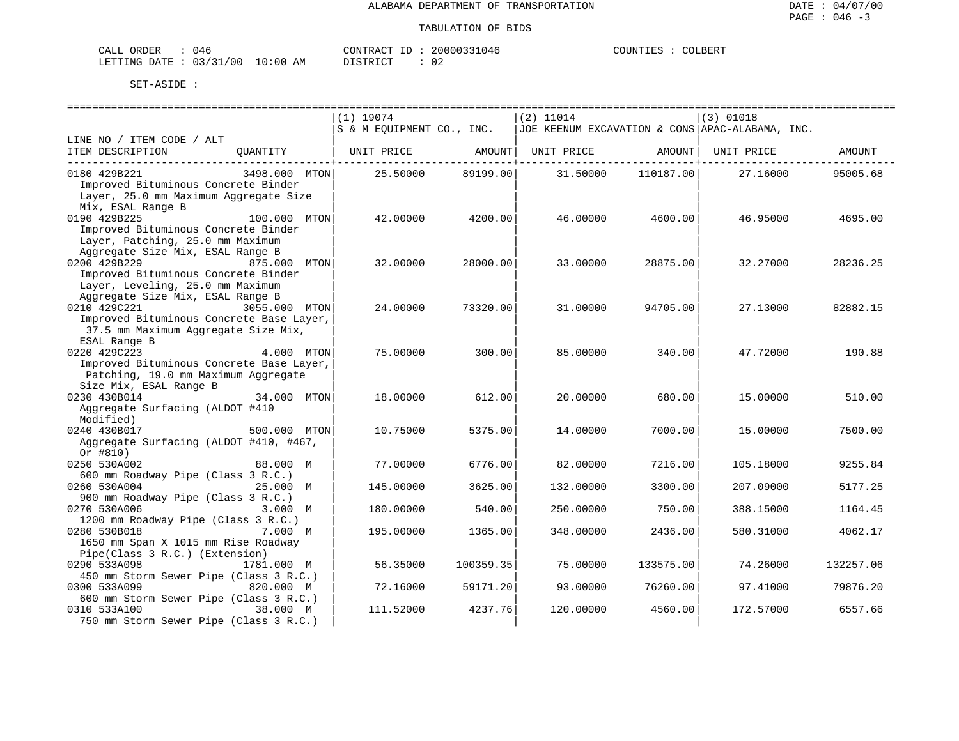| CALL ORDER                      | () 4 F | CONTRACT<br>ID            | 20000331046 | COUNTIES | COLBERT |
|---------------------------------|--------|---------------------------|-------------|----------|---------|
| LETTING DATE: 03/31/00 10:00 AM |        | ነT STR T CT<br>---------- | 02          |          |         |

|                                           | $(1)$ 19074               |           | $(2)$ 11014 |           | (3) 01018                                         |           |
|-------------------------------------------|---------------------------|-----------|-------------|-----------|---------------------------------------------------|-----------|
|                                           | S & M EQUIPMENT CO., INC. |           |             |           | $JOE$ KEENUM EXCAVATION & CONS APAC-ALABAMA, INC. |           |
| LINE NO / ITEM CODE / ALT                 |                           |           |             |           |                                                   |           |
| ITEM DESCRIPTION<br>OUANTITY              | UNIT PRICE                | AMOUNT    | UNIT PRICE  | AMOUNT    | UNIT PRICE                                        | AMOUNT    |
| 3498.000 MTON<br>0180 429B221             | 25.50000                  | 89199.00  | 31.50000    | 110187.00 | 27.16000                                          | 95005.68  |
| Improved Bituminous Concrete Binder       |                           |           |             |           |                                                   |           |
| Layer, 25.0 mm Maximum Aggregate Size     |                           |           |             |           |                                                   |           |
| Mix, ESAL Range B                         |                           |           |             |           |                                                   |           |
| 0190 429B225<br>100.000 MTON              | 42.00000                  | 4200.00   | 46.00000    | 4600.00   | 46.95000                                          | 4695.00   |
| Improved Bituminous Concrete Binder       |                           |           |             |           |                                                   |           |
| Layer, Patching, 25.0 mm Maximum          |                           |           |             |           |                                                   |           |
| Aggregate Size Mix, ESAL Range B          |                           |           |             |           |                                                   |           |
| 0200 429B229<br>875.000 MTON              | 32.00000                  | 28000.00  | 33.00000    | 28875.00  | 32.27000                                          | 28236.25  |
| Improved Bituminous Concrete Binder       |                           |           |             |           |                                                   |           |
| Layer, Leveling, 25.0 mm Maximum          |                           |           |             |           |                                                   |           |
| Aggregate Size Mix, ESAL Range B          |                           |           |             |           |                                                   |           |
| 0210 429C221<br>3055.000 MTON             | 24.00000                  | 73320.00  | 31.00000    | 94705.00  | 27.13000                                          | 82882.15  |
| Improved Bituminous Concrete Base Layer,  |                           |           |             |           |                                                   |           |
| 37.5 mm Maximum Aggregate Size Mix,       |                           |           |             |           |                                                   |           |
| ESAL Range B                              |                           |           |             |           |                                                   |           |
| 0220 429C223<br>4.000 MTON                | 75,00000                  | 300.00    | 85.00000    | 340.00    | 47.72000                                          | 190.88    |
| Improved Bituminous Concrete Base Layer,  |                           |           |             |           |                                                   |           |
| Patching, 19.0 mm Maximum Aggregate       |                           |           |             |           |                                                   |           |
| Size Mix, ESAL Range B                    |                           |           |             |           |                                                   |           |
| 0230 430B014<br>34.000 MTON               | 18.00000                  | 612.00    | 20.00000    | 680.00    | 15.00000                                          | 510.00    |
| Aggregate Surfacing (ALDOT #410           |                           |           |             |           |                                                   |           |
| Modified)<br>0240 430B017<br>500.000 MTON | 10.75000                  | 5375.00   | 14,00000    | 7000.00   | 15,00000                                          | 7500.00   |
| Aggregate Surfacing (ALDOT #410, #467,    |                           |           |             |           |                                                   |           |
| Or $#810)$                                |                           |           |             |           |                                                   |           |
| 0250 530A002<br>88.000 M                  | 77.00000                  | 6776.00   | 82.00000    | 7216.00   | 105.18000                                         | 9255.84   |
| 600 mm Roadway Pipe (Class 3 R.C.)        |                           |           |             |           |                                                   |           |
| 0260 530A004<br>25.000 M                  | 145.00000                 | 3625.00   | 132.00000   | 3300.00   | 207.09000                                         | 5177.25   |
| 900 mm Roadway Pipe (Class 3 R.C.)        |                           |           |             |           |                                                   |           |
| 0270 530A006<br>3.000 M                   | 180.00000                 | 540.00    | 250.00000   | 750.00    | 388.15000                                         | 1164.45   |
| 1200 mm Roadway Pipe (Class 3 R.C.)       |                           |           |             |           |                                                   |           |
| 0280 530B018<br>7.000 M                   | 195.00000                 | 1365.00   | 348.00000   | 2436.00   | 580.31000                                         | 4062.17   |
| 1650 mm Span X 1015 mm Rise Roadway       |                           |           |             |           |                                                   |           |
| Pipe(Class 3 R.C.) (Extension)            |                           |           |             |           |                                                   |           |
| 0290 533A098<br>1781.000 M                | 56.35000                  | 100359.35 | 75.00000    | 133575.00 | 74.26000                                          | 132257.06 |
| 450 mm Storm Sewer Pipe (Class 3 R.C.)    |                           |           |             |           |                                                   |           |
| 0300 533A099<br>820.000 M                 | 72.16000                  | 59171.20  | 93.00000    | 76260.00  | 97.41000                                          | 79876.20  |
| 600 mm Storm Sewer Pipe (Class 3 R.C.)    |                           |           |             |           |                                                   |           |
| 0310 533A100<br>38.000 M                  | 111.52000                 | 4237.76   | 120.00000   | 4560.00   | 172.57000                                         | 6557.66   |
| 750 mm Storm Sewer Pipe (Class 3 R.C.)    |                           |           |             |           |                                                   |           |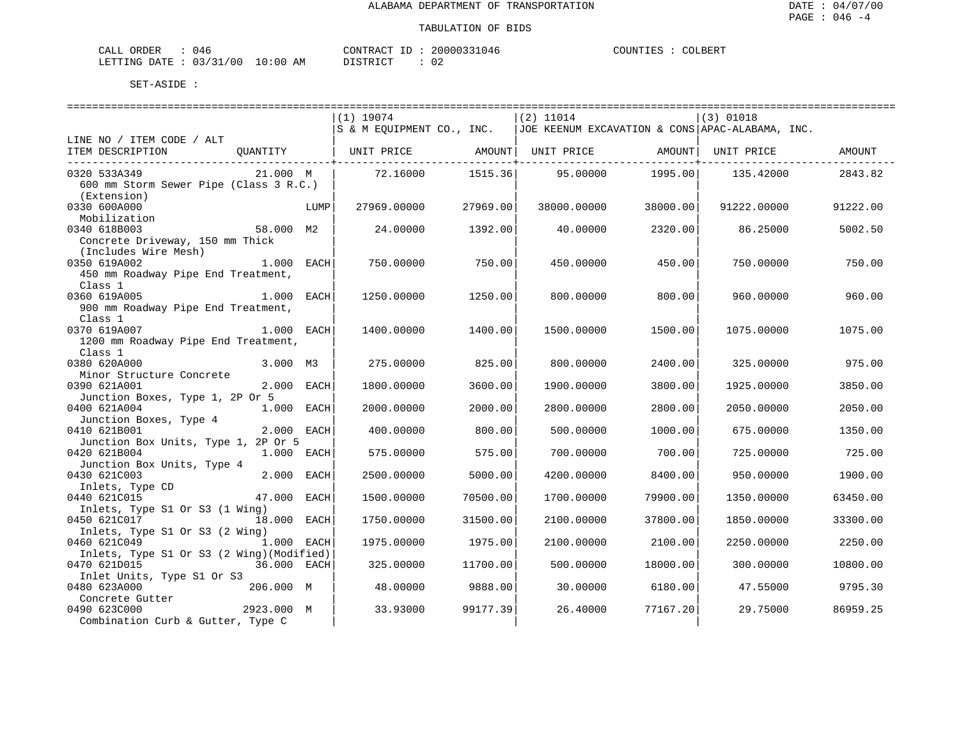| ORDER<br>CALL<br>() 4 f    |             | ID<br>CONTRACT     | 20000331046 | COLBERT<br>COUNTIES |
|----------------------------|-------------|--------------------|-------------|---------------------|
| : 03/31/00<br>LETTING DATE | 10:00<br>AΜ | $11.5$ TSTRT $0.7$ |             |                     |

|                                           |              |      | $(1)$ 19074                                                                      |          | $(2)$ 11014 |          | $(3)$ 01018 |          |
|-------------------------------------------|--------------|------|----------------------------------------------------------------------------------|----------|-------------|----------|-------------|----------|
|                                           |              |      | $ S \& M$ EQUIPMENT CO., INC. $ JOE$ KEENUM EXCAVATION & CONS APAC-ALABAMA, INC. |          |             |          |             |          |
| LINE NO / ITEM CODE / ALT                 |              |      |                                                                                  |          |             |          |             |          |
| ITEM DESCRIPTION                          |              |      | QUANTITY   UNIT PRICE         AMOUNT  UNIT PRICE           AMOUNT  UNIT PRICE    |          |             |          |             | AMOUNT   |
|                                           |              |      |                                                                                  |          |             |          |             |          |
| 0320 533A349                              | 21.000 M     |      | 72.16000                                                                         | 1515.36  | 95.00000    | 1995.00  | 135.42000   | 2843.82  |
|                                           |              |      |                                                                                  |          |             |          |             |          |
| 600 mm Storm Sewer Pipe (Class 3 R.C.)    |              |      |                                                                                  |          |             |          |             |          |
| (Extension)                               |              |      |                                                                                  |          |             |          |             |          |
| 0330 600A000                              |              | LUMP | 27969.00000                                                                      | 27969.00 | 38000.00000 | 38000.00 | 91222.00000 | 91222.00 |
| Mobilization                              |              |      |                                                                                  |          |             |          |             |          |
| 0340 618B003                              | 58.000 M2    |      | 24.00000                                                                         | 1392.00  | 40.00000    | 2320.00  | 86.25000    | 5002.50  |
| Concrete Driveway, 150 mm Thick           |              |      |                                                                                  |          |             |          |             |          |
| (Includes Wire Mesh)                      |              |      |                                                                                  |          |             |          |             |          |
| 0350 619A002                              | $1.000$ EACH |      | 750.00000                                                                        | 750.00   | 450.00000   | 450.00   | 750.00000   | 750.00   |
| 450 mm Roadway Pipe End Treatment,        |              |      |                                                                                  |          |             |          |             |          |
|                                           |              |      |                                                                                  |          |             |          |             |          |
| Class 1                                   |              |      |                                                                                  |          |             |          |             |          |
| 0360 619A005                              | 1.000 EACH   |      | 1250.00000                                                                       | 1250.00  | 800,00000   | 800.00   | 960,00000   | 960.00   |
| 900 mm Roadway Pipe End Treatment,        |              |      |                                                                                  |          |             |          |             |          |
| Class 1                                   |              |      |                                                                                  |          |             |          |             |          |
| 0370 619A007<br>1.000 EACH                |              |      | 1400.00000                                                                       | 1400.00  | 1500.00000  | 1500.00  | 1075,00000  | 1075.00  |
| 1200 mm Roadway Pipe End Treatment,       |              |      |                                                                                  |          |             |          |             |          |
| Class 1                                   |              |      |                                                                                  |          |             |          |             |          |
| 0380 620A000                              | 3.000 M3     |      | 275.00000                                                                        | 825.00   | 800,00000   | 2400.00  | 325.00000   | 975.00   |
| Minor Structure Concrete                  |              |      |                                                                                  |          |             |          |             |          |
| 0390 621A001                              | 2.000 EACH   |      |                                                                                  |          |             |          |             |          |
|                                           |              |      | 1800.00000                                                                       | 3600.00  | 1900.00000  | 3800.00  | 1925.00000  | 3850.00  |
| Junction Boxes, Type 1, 2P Or 5           |              |      |                                                                                  |          |             |          |             |          |
| 0400 621A004                              | 1.000 EACH   |      | 2000.00000                                                                       | 2000.00  | 2800.00000  | 2800.00  | 2050.00000  | 2050.00  |
| Junction Boxes, Type 4                    |              |      |                                                                                  |          |             |          |             |          |
| 0410 621B001                              | 2.000 EACH   |      | 400.00000                                                                        | 800.00   | 500.00000   | 1000.00  | 675,00000   | 1350.00  |
| Junction Box Units, Type 1, 2P Or 5       |              |      |                                                                                  |          |             |          |             |          |
| 0420 621B004                              | 1.000 EACH   |      | 575.00000                                                                        | 575.00   | 700.00000   | 700.00   | 725.00000   | 725.00   |
| Junction Box Units, Type 4                |              |      |                                                                                  |          |             |          |             |          |
| 0430 621C003                              | 2.000 EACH   |      | 2500.00000                                                                       | 5000.00  | 4200.00000  | 8400.00  | 950.00000   | 1900.00  |
| Inlets, Type CD                           |              |      |                                                                                  |          |             |          |             |          |
| 0440 621C015                              | 47.000 EACH  |      | 1500.00000                                                                       | 70500.00 | 1700.00000  | 79900.00 | 1350.00000  | 63450.00 |
|                                           |              |      |                                                                                  |          |             |          |             |          |
| Inlets, Type S1 Or S3 (1 Wing)            |              |      |                                                                                  |          |             |          |             |          |
| 0450 621C017                              | 18.000 EACH  |      | 1750.00000                                                                       | 31500.00 | 2100.00000  | 37800.00 | 1850.00000  | 33300.00 |
| Inlets, Type S1 Or S3 (2 Wing)            |              |      |                                                                                  |          |             |          |             |          |
| 0460 621C049                              | $1.000$ EACH |      | 1975.00000                                                                       | 1975.001 | 2100.00000  | 2100.00  | 2250.00000  | 2250.00  |
| Inlets, Type S1 Or S3 (2 Wing) (Modified) |              |      |                                                                                  |          |             |          |             |          |
| 0470 621D015                              | 36.000 EACH  |      | 325.00000                                                                        | 11700.00 | 500.00000   | 18000.00 | 300.00000   | 10800.00 |
| Inlet Units, Type S1 Or S3                |              |      |                                                                                  |          |             |          |             |          |
| 0480 623A000                              | 206.000 M    |      | 48.00000                                                                         | 9888.001 | 30,00000    | 6180.00  | 47.55000    | 9795.30  |
| Concrete Gutter                           |              |      |                                                                                  |          |             |          |             |          |
| 0490 623C000                              | 2923.000 M   |      | 33.93000                                                                         | 99177.39 | 26.40000    | 77167.20 | 29.75000    | 86959.25 |
|                                           |              |      |                                                                                  |          |             |          |             |          |
| Combination Curb & Gutter, Type C         |              |      |                                                                                  |          |             |          |             |          |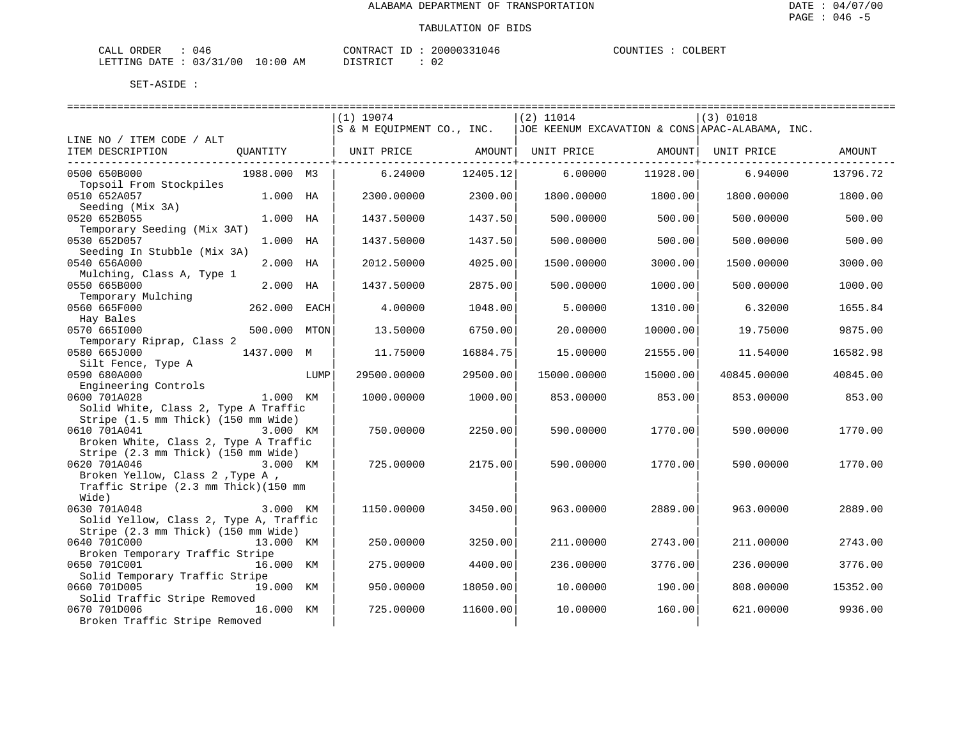: COLBERT

| CALI<br>ORDER | 14'        |             | CONTRACT<br>ΙD                       | 20000331046  | COUNTIES | COLBERT |
|---------------|------------|-------------|--------------------------------------|--------------|----------|---------|
| LETTING DATE  | : 03/31/00 | 10:00<br>AМ | <sub>ו</sub> ד קידי > ־<br>- - - - - | 02<br>$\sim$ |          |         |

|                                                                             |              |      | ============================= |          | ==============================                                             |          | ================================= |          |
|-----------------------------------------------------------------------------|--------------|------|-------------------------------|----------|----------------------------------------------------------------------------|----------|-----------------------------------|----------|
|                                                                             |              |      | $(1)$ 19074                   |          | $(2)$ 11014                                                                |          | $(3)$ 01018                       |          |
|                                                                             |              |      |                               |          | S & M EQUIPMENT CO., INC.  JOE KEENUM EXCAVATION & CONS APAC-ALABAMA, INC. |          |                                   |          |
| LINE NO / ITEM CODE / ALT                                                   |              |      |                               |          |                                                                            |          |                                   |          |
| ITEM DESCRIPTION                                                            | QUANTITY     |      |                               |          |                                                                            |          |                                   |          |
| 0500 650B000                                                                | 1988.000 M3  |      | 6.24000                       | 12405.12 | 6.00000                                                                    | 11928.00 | 6.94000                           | 13796.72 |
| Topsoil From Stockpiles                                                     |              |      |                               |          |                                                                            |          |                                   |          |
| 0510 652A057                                                                | 1.000 HA     |      | 2300.00000                    | 2300.00  | 1800.00000                                                                 | 1800.00  | 1800.00000                        | 1800.00  |
| Seeding (Mix 3A)<br>0520 652B055                                            | 1.000 HA     |      | 1437.50000                    | 1437.50  | 500,00000                                                                  | 500.00   | 500,00000                         | 500.00   |
| Temporary Seeding (Mix 3AT)                                                 |              |      |                               |          |                                                                            |          |                                   |          |
| 0530 652D057                                                                | 1.000 HA     |      | 1437.50000                    | 1437.50  | 500.00000                                                                  | 500.00   | 500.00000                         | 500.00   |
| Seeding In Stubble (Mix 3A)                                                 |              |      |                               |          |                                                                            |          |                                   |          |
| 0540 656A000                                                                | 2.000 HA     |      | 2012.50000                    | 4025.00  | 1500.00000                                                                 | 3000.00  | 1500.00000                        | 3000.00  |
| Mulching, Class A, Type 1<br>0550 665B000                                   | 2.000 HA     |      | 1437.50000                    | 2875.00  | 500.00000                                                                  | 1000.00  | 500.00000                         | 1000.00  |
| Temporary Mulching                                                          |              |      |                               |          |                                                                            |          |                                   |          |
| 0560 665F000                                                                | 262.000 EACH |      | 4.00000                       | 1048.00  | 5.00000                                                                    | 1310.00  | 6.32000                           | 1655.84  |
| Hay Bales                                                                   |              |      |                               |          |                                                                            |          |                                   |          |
| 0570 6651000                                                                | 500.000 MTON |      | 13.50000                      | 6750.00  | 20.00000                                                                   | 10000.00 | 19.75000                          | 9875.00  |
| Temporary Riprap, Class 2<br>0580 665J000                                   | 1437.000 M   |      | 11.75000                      | 16884.75 | 15.00000                                                                   | 21555.00 | 11.54000                          | 16582.98 |
| Silt Fence, Type A                                                          |              |      |                               |          |                                                                            |          |                                   |          |
| 0590 680A000                                                                |              | LUMP | 29500.00000                   | 29500.00 | 15000.00000                                                                | 15000.00 | 40845.00000                       | 40845.00 |
| Engineering Controls                                                        |              |      |                               |          |                                                                            |          |                                   |          |
| 0600 701A028<br>1.000 KM                                                    |              |      | 1000.00000                    | 1000.00  | 853.00000                                                                  | 853.00   | 853.00000                         | 853.00   |
| Solid White, Class 2, Type A Traffic<br>Stripe (1.5 mm Thick) (150 mm Wide) |              |      |                               |          |                                                                            |          |                                   |          |
| 0610 701A041                                                                | 3.000 KM     |      | 750.00000                     | 2250.00  | 590.00000                                                                  | 1770.00  | 590.00000                         | 1770.00  |
| Broken White, Class 2, Type A Traffic                                       |              |      |                               |          |                                                                            |          |                                   |          |
| Stripe (2.3 mm Thick) (150 mm Wide)                                         |              |      |                               |          |                                                                            |          |                                   |          |
| 0620 701A046                                                                | 3.000 KM     |      | 725.00000                     | 2175.00  | 590.00000                                                                  | 1770.00  | 590.00000                         | 1770.00  |
| Broken Yellow, Class 2 , Type A ,                                           |              |      |                               |          |                                                                            |          |                                   |          |
| Traffic Stripe (2.3 mm Thick) (150 mm                                       |              |      |                               |          |                                                                            |          |                                   |          |
| Wide)<br>0630 701A048                                                       | 3.000 KM     |      |                               |          |                                                                            |          |                                   |          |
| Solid Yellow, Class 2, Type A, Traffic                                      |              |      | 1150.00000                    | 3450.00  | 963.00000                                                                  | 2889.00  | 963.00000                         | 2889.00  |
| Stripe (2.3 mm Thick) (150 mm Wide)                                         |              |      |                               |          |                                                                            |          |                                   |          |
| 0640 701C000                                                                | 13.000 KM    |      | 250.00000                     | 3250.00  | 211,00000                                                                  | 2743.00  | 211.00000                         | 2743.00  |
| Broken Temporary Traffic Stripe                                             |              |      |                               |          |                                                                            |          |                                   |          |
| 0650 701C001                                                                | 16.000 KM    |      | 275.00000                     | 4400.00  | 236.00000                                                                  | 3776.00  | 236.00000                         | 3776.00  |
| Solid Temporary Traffic Stripe                                              |              |      |                               |          |                                                                            |          |                                   |          |
| 0660 701D005                                                                | 19.000 KM    |      | 950.00000                     | 18050.00 | 10.00000                                                                   | 190.00   | 808,00000                         | 15352.00 |
| Solid Traffic Stripe Removed                                                |              |      |                               |          |                                                                            |          |                                   |          |
| 0670 701D006<br>Broken Traffic Stripe Removed                               | 16.000 KM    |      | 725.00000                     | 11600.00 | 10.00000                                                                   | 160.00   | 621.00000                         | 9936.00  |
|                                                                             |              |      |                               |          |                                                                            |          |                                   |          |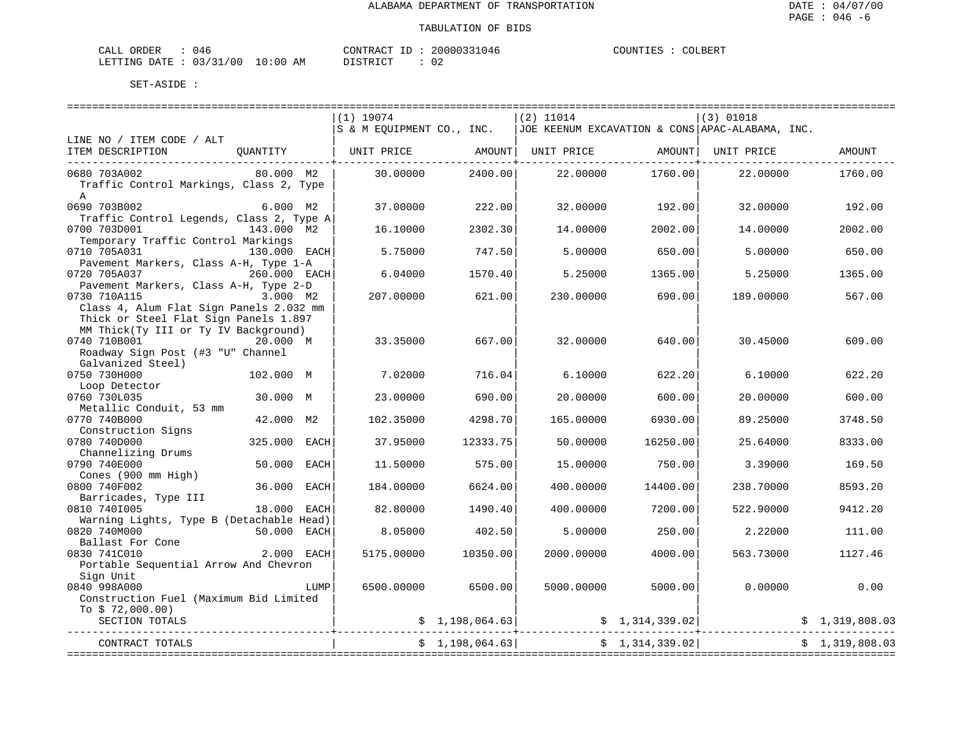| ORDER<br>CALI          | 141<br>. .         |       |    | CONTRACT           | TГ | 20000331046 | COUNTIES | COLBERT |
|------------------------|--------------------|-------|----|--------------------|----|-------------|----------|---------|
| <b>DATE</b><br>LETTING | 0.3/31<br>/00<br>. | LO:00 | АM | יחים דמידים "<br>. |    | 02          |          |         |

|                                                                                                                                                                                           | $(1)$ 19074<br>S & M EQUIPMENT CO., INC. |                 | $(2)$ 11014 |                 | $(3)$ 01018<br>JOE KEENUM EXCAVATION & CONS APAC-ALABAMA, INC. |                |
|-------------------------------------------------------------------------------------------------------------------------------------------------------------------------------------------|------------------------------------------|-----------------|-------------|-----------------|----------------------------------------------------------------|----------------|
| LINE NO / ITEM CODE / ALT                                                                                                                                                                 |                                          |                 |             |                 |                                                                |                |
| ITEM DESCRIPTION<br>OUANTITY                                                                                                                                                              | UNIT PRICE                               | AMOUNT          | UNIT PRICE  | AMOUNT          | UNIT PRICE                                                     | AMOUNT         |
| 0680 703A002<br>80.000 M2<br>Traffic Control Markings, Class 2, Type<br>$\mathsf{A}$                                                                                                      | 30,00000                                 | 2400.00         | 22,00000    | 1760.00         | 22,00000                                                       | 1760.00        |
| 0690 703B002<br>$6.000$ M2<br>Traffic Control Legends, Class 2, Type A                                                                                                                    | 37.00000                                 | 222.00          | 32.00000    | 192.00          | 32.00000                                                       | 192.00         |
| 0700 703D001<br>143.000 M2                                                                                                                                                                | 16.10000                                 | 2302.30         | 14.00000    | 2002.00         | 14.00000                                                       | 2002.00        |
| Temporary Traffic Control Markings<br>0710 705A031<br>130.000 EACH                                                                                                                        | 5.75000                                  | 747.50          | 5.00000     | 650.00          | 5.00000                                                        | 650.00         |
| Pavement Markers, Class A-H, Type 1-A<br>0720 705A037<br>260.000 EACH                                                                                                                     | 6.04000                                  | 1570.40         | 5.25000     | 1365.00         | 5.25000                                                        | 1365.00        |
| Pavement Markers, Class A-H, Type 2-D<br>3.000 M2<br>0730 710A115                                                                                                                         | 207.00000                                | 621.00          | 230.00000   | 690.00          | 189.00000                                                      | 567.00         |
| Class 4, Alum Flat Sign Panels 2.032 mm<br>Thick or Steel Flat Sign Panels 1.897<br>MM Thick(Ty III or Ty IV Background)<br>0740 710B001<br>20.000 M<br>Roadway Sign Post (#3 "U" Channel | 33.35000                                 | 667.00          | 32.00000    | 640.00          | 30.45000                                                       | 609.00         |
| Galvanized Steel)<br>0750 730H000<br>102.000 M                                                                                                                                            | 7.02000                                  | 716.04          | 6.10000     | 622.20          | 6.10000                                                        | 622.20         |
| Loop Detector<br>0760 730L035<br>30.000 M                                                                                                                                                 | 23.00000                                 | 690.00          | 20.00000    | 600.00          | 20.00000                                                       | 600.00         |
| Metallic Conduit, 53 mm<br>0770 740B000<br>42.000 M2                                                                                                                                      | 102.35000                                | 4298.70         | 165,00000   | 6930.00         | 89.25000                                                       | 3748.50        |
| Construction Signs<br>0780 740D000<br>325.000 EACH                                                                                                                                        | 37.95000                                 | 12333.75        | 50.00000    | 16250.00        | 25.64000                                                       | 8333.00        |
| Channelizing Drums<br>50.000 EACH<br>0790 740E000                                                                                                                                         | 11.50000                                 | 575.00          | 15.00000    | 750.00          | 3.39000                                                        | 169.50         |
| Cones (900 mm High)<br>36.000<br>0800 740F002<br>EACH                                                                                                                                     | 184.00000                                | 6624.00         | 400.00000   | 14400.00        | 238.70000                                                      | 8593.20        |
| Barricades, Type III<br>0810 7401005<br>18.000 EACH                                                                                                                                       | 82.80000                                 | 1490.40         | 400.00000   | 7200.00         | 522.90000                                                      | 9412.20        |
| Warning Lights, Type B (Detachable Head)<br>0820 740M000<br>50.000 EACH                                                                                                                   | 8.05000                                  | 402.50          | 5.00000     | 250.00          | 2.22000                                                        | 111.00         |
| Ballast For Cone<br>2.000 EACH<br>0830 741C010                                                                                                                                            | 5175.00000                               | 10350.00        | 2000.00000  | 4000.00         | 563.73000                                                      | 1127.46        |
| Portable Sequential Arrow And Chevron<br>Sign Unit                                                                                                                                        |                                          |                 |             |                 |                                                                |                |
| 0840 998A000<br>LUMP<br>Construction Fuel (Maximum Bid Limited                                                                                                                            | 6500.00000                               | 6500.00         | 5000.00000  | 5000.00         | 0.00000                                                        | 0.00           |
| To $$72,000.00)$<br>SECTION TOTALS                                                                                                                                                        |                                          | \$1,198,064.63] |             | \$1,314,339.02] |                                                                | \$1,319,808.03 |
| ____________________________<br>CONTRACT TOTALS                                                                                                                                           |                                          | \$1.198.064.63] |             | \$1,314,339.02  |                                                                | \$1,319,808.03 |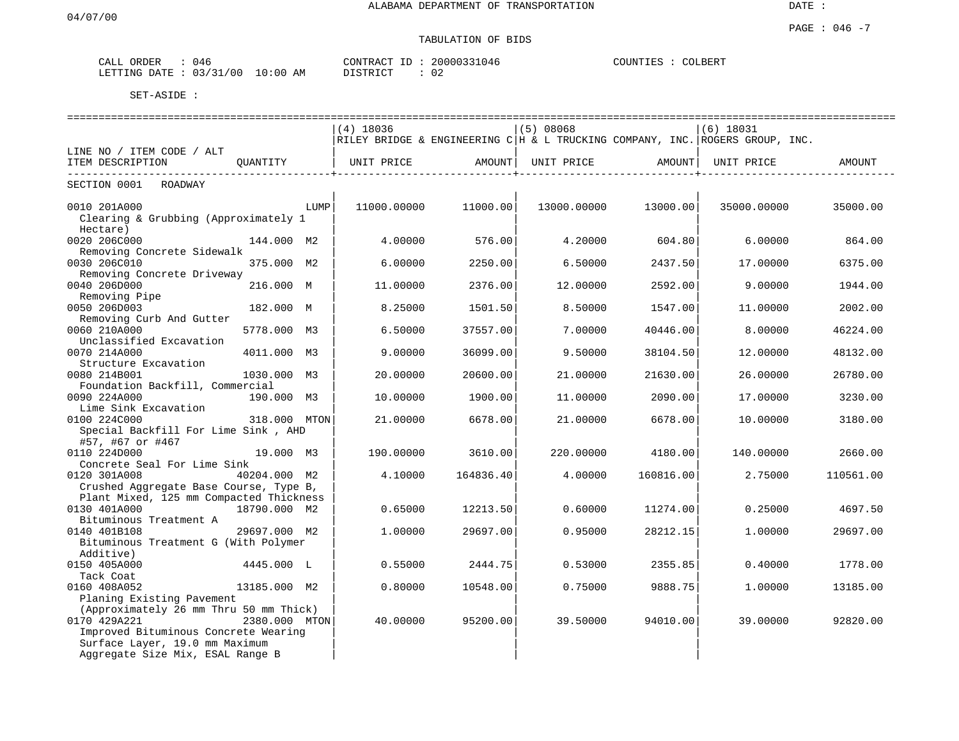# TABULATION OF BIDS

| ORDER<br>CALL | 046                             | CONTRAC'<br>$\pi$ $\sim$<br>$- -$<br>⊥ | 31046<br>20000331 | COUNTIES<br>COLBERT |
|---------------|---------------------------------|----------------------------------------|-------------------|---------------------|
| LETTING DATE  | 10:00<br>121<br>'00<br>03<br>ΑM | TAT<br>DI GEB                          | $\sim$            |                     |

|                                                                     |               |      |             |           |             | ========================== |                                                                              | ================================== |
|---------------------------------------------------------------------|---------------|------|-------------|-----------|-------------|----------------------------|------------------------------------------------------------------------------|------------------------------------|
|                                                                     |               |      | $(4)$ 18036 |           | (5) 08068   |                            | $(6)$ 18031                                                                  |                                    |
|                                                                     |               |      |             |           |             |                            | RILEY BRIDGE & ENGINEERING C H & L TRUCKING COMPANY, INC. ROGERS GROUP, INC. |                                    |
| LINE NO / ITEM CODE / ALT                                           |               |      |             |           |             |                            |                                                                              |                                    |
| ITEM DESCRIPTION                                                    | OUANTITY      |      | UNIT PRICE  | AMOUNT    | UNIT PRICE  | AMOUNT                     | UNIT PRICE                                                                   | AMOUNT                             |
| SECTION 0001<br>ROADWAY                                             |               |      |             |           |             |                            |                                                                              |                                    |
| 0010 201A000                                                        |               | LUMP | 11000.00000 | 11000.00  | 13000.00000 | 13000.00                   | 35000.00000                                                                  | 35000.00                           |
| Clearing & Grubbing (Approximately 1                                |               |      |             |           |             |                            |                                                                              |                                    |
| Hectare)                                                            |               |      |             |           |             |                            |                                                                              |                                    |
| 0020 206C000                                                        | 144.000 M2    |      | 4.00000     | 576.00    | 4.20000     | 604.80                     | 6.00000                                                                      | 864.00                             |
| Removing Concrete Sidewalk                                          |               |      |             |           |             |                            |                                                                              |                                    |
| 0030 206C010                                                        | 375.000 M2    |      | 6.00000     | 2250.00   | 6.50000     | 2437.50                    | 17.00000                                                                     | 6375.00                            |
| Removing Concrete Driveway                                          |               |      |             |           |             |                            |                                                                              |                                    |
| 0040 206D000                                                        | 216.000 M     |      | 11.00000    | 2376.00   | 12.00000    | 2592.00                    | 9.00000                                                                      | 1944.00                            |
| Removing Pipe<br>0050 206D003                                       | 182.000 M     |      | 8.25000     | 1501.50   | 8.50000     | 1547.00                    | 11,00000                                                                     | 2002.00                            |
| Removing Curb And Gutter                                            |               |      |             |           |             |                            |                                                                              |                                    |
| 0060 210A000                                                        | 5778.000 M3   |      | 6.50000     | 37557.00  | 7.00000     | 40446.00                   | 8.00000                                                                      | 46224.00                           |
| Unclassified Excavation                                             |               |      |             |           |             |                            |                                                                              |                                    |
| 0070 214A000                                                        | 4011.000 M3   |      | 9.00000     | 36099.00  | 9.50000     | 38104.50                   | 12,00000                                                                     | 48132.00                           |
| Structure Excavation                                                |               |      |             |           |             |                            |                                                                              |                                    |
| 0080 214B001                                                        | 1030.000 M3   |      | 20.00000    | 20600.00  | 21.00000    | 21630.00                   | 26.00000                                                                     | 26780.00                           |
| Foundation Backfill, Commercial                                     |               |      |             |           |             |                            |                                                                              |                                    |
| 0090 224A000                                                        | 190.000 M3    |      | 10.00000    | 1900.00   | 11,00000    | 2090.00                    | 17.00000                                                                     | 3230.00                            |
| Lime Sink Excavation                                                |               |      |             |           |             |                            |                                                                              |                                    |
| 0100 224C000                                                        | 318.000 MTON  |      | 21.00000    | 6678.00   | 21.00000    | 6678.00                    | 10.00000                                                                     | 3180.00                            |
| Special Backfill For Lime Sink, AHD<br>#57, #67 or #467             |               |      |             |           |             |                            |                                                                              |                                    |
| 0110 224D000                                                        | 19.000 M3     |      | 190.00000   | 3610.00   | 220.00000   | 4180.00                    | 140.00000                                                                    | 2660.00                            |
| Concrete Seal For Lime Sink                                         |               |      |             |           |             |                            |                                                                              |                                    |
| 0120 301A008                                                        | 40204.000 M2  |      | 4.10000     | 164836.40 | 4.00000     | 160816.00                  | 2.75000                                                                      | 110561.00                          |
| Crushed Aggregate Base Course, Type B,                              |               |      |             |           |             |                            |                                                                              |                                    |
| Plant Mixed, 125 mm Compacted Thickness                             |               |      |             |           |             |                            |                                                                              |                                    |
| 0130 401A000                                                        | 18790.000 M2  |      | 0.65000     | 12213.50  | 0.60000     | 11274.00                   | 0.25000                                                                      | 4697.50                            |
| Bituminous Treatment A                                              |               |      |             |           |             |                            |                                                                              |                                    |
| 0140 401B108                                                        | 29697.000 M2  |      | 1.00000     | 29697.00  | 0.95000     | 28212.15                   | 1,00000                                                                      | 29697.00                           |
| Bituminous Treatment G (With Polymer                                |               |      |             |           |             |                            |                                                                              |                                    |
| Additive)                                                           |               |      |             |           |             |                            |                                                                              |                                    |
| 0150 405A000                                                        | 4445.000 L    |      | 0.55000     | 2444.75   | 0.53000     | 2355.85                    | 0.40000                                                                      | 1778.00                            |
| Tack Coat                                                           |               |      |             |           |             |                            |                                                                              |                                    |
| 0160 408A052                                                        | 13185.000 M2  |      | 0.80000     | 10548.00  | 0.75000     | 9888.75                    | 1,00000                                                                      | 13185.00                           |
| Planing Existing Pavement<br>(Approximately 26 mm Thru 50 mm Thick) |               |      |             |           |             |                            |                                                                              |                                    |
| 0170 429A221                                                        | 2380.000 MTON |      | 40.00000    | 95200.00  | 39.50000    | 94010.00                   | 39.00000                                                                     | 92820.00                           |
| Improved Bituminous Concrete Wearing                                |               |      |             |           |             |                            |                                                                              |                                    |
| Surface Layer, 19.0 mm Maximum                                      |               |      |             |           |             |                            |                                                                              |                                    |
| Aggregate Size Mix, ESAL Range B                                    |               |      |             |           |             |                            |                                                                              |                                    |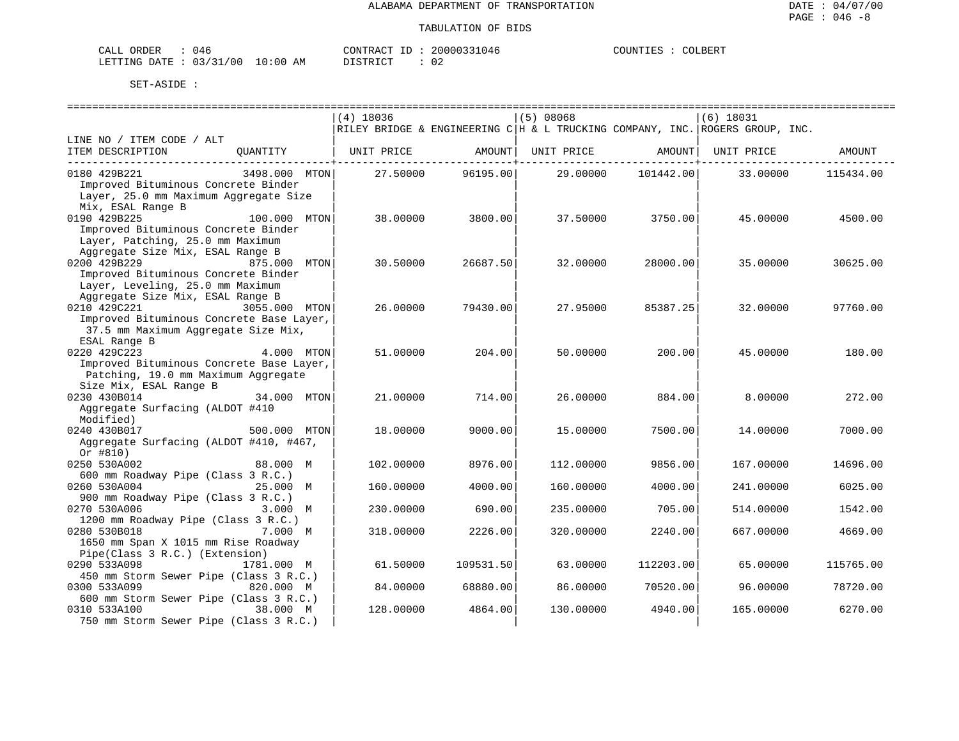| CALL ORDER                      | () 4 F | CONTRACT<br>ID            | 20000331046 | COUNTIES | COLBERT |
|---------------------------------|--------|---------------------------|-------------|----------|---------|
| LETTING DATE: 03/31/00 10:00 AM |        | ነT STR T CT<br>---------- | 02          |          |         |

|                                                                         | $(4)$ 18036 |           | (5) 08068  |             | $(6)$ 18031                                                                  |           |
|-------------------------------------------------------------------------|-------------|-----------|------------|-------------|------------------------------------------------------------------------------|-----------|
|                                                                         |             |           |            |             | RILEY BRIDGE & ENGINEERING C H & L TRUCKING COMPANY, INC. ROGERS GROUP, INC. |           |
| LINE NO / ITEM CODE / ALT                                               |             |           |            |             |                                                                              |           |
| ITEM DESCRIPTION<br>OUANTITY                                            | UNIT PRICE  | AMOUNT    | UNIT PRICE | AMOUNT      | UNIT PRICE                                                                   | AMOUNT    |
|                                                                         |             |           |            | ----------- |                                                                              |           |
| 0180 429B221<br>3498,000 MTON                                           | 27.50000    | 96195.00  | 29.00000   | 101442.00   | 33.00000                                                                     | 115434.00 |
| Improved Bituminous Concrete Binder                                     |             |           |            |             |                                                                              |           |
| Layer, 25.0 mm Maximum Aggregate Size                                   |             |           |            |             |                                                                              |           |
| Mix, ESAL Range B                                                       |             |           |            |             |                                                                              |           |
| 0190 429B225<br>100.000 MTON                                            | 38.00000    | 3800.00   | 37.50000   | 3750.00     | 45.00000                                                                     | 4500.00   |
| Improved Bituminous Concrete Binder                                     |             |           |            |             |                                                                              |           |
| Layer, Patching, 25.0 mm Maximum                                        |             |           |            |             |                                                                              |           |
| Aggregate Size Mix, ESAL Range B                                        |             |           |            |             |                                                                              |           |
| 0200 429B229<br>875.000 MTON                                            | 30.50000    | 26687.50  | 32.00000   | 28000.00    | 35.00000                                                                     | 30625.00  |
| Improved Bituminous Concrete Binder<br>Layer, Leveling, 25.0 mm Maximum |             |           |            |             |                                                                              |           |
| Aggregate Size Mix, ESAL Range B                                        |             |           |            |             |                                                                              |           |
| 0210 429C221<br>3055.000 MTON                                           | 26.00000    | 79430.00  | 27.95000   | 85387.25    | 32.00000                                                                     | 97760.00  |
| Improved Bituminous Concrete Base Layer,                                |             |           |            |             |                                                                              |           |
| 37.5 mm Maximum Aggregate Size Mix,                                     |             |           |            |             |                                                                              |           |
| ESAL Range B                                                            |             |           |            |             |                                                                              |           |
| 0220 429C223<br>4.000 MTON                                              | 51.00000    | 204.00    | 50.00000   | 200.00      | 45.00000                                                                     | 180.00    |
| Improved Bituminous Concrete Base Layer,                                |             |           |            |             |                                                                              |           |
| Patching, 19.0 mm Maximum Aggregate                                     |             |           |            |             |                                                                              |           |
| Size Mix, ESAL Range B                                                  |             |           |            |             |                                                                              |           |
| 0230 430B014<br>34.000 MTON                                             | 21.00000    | 714.00    | 26.00000   | 884.00      | 8,00000                                                                      | 272.00    |
| Aggregate Surfacing (ALDOT #410                                         |             |           |            |             |                                                                              |           |
| Modified)                                                               |             |           |            |             |                                                                              |           |
| 0240 430B017<br>500.000 MTON                                            | 18,00000    | 9000.00   | 15,00000   | 7500.00     | 14.00000                                                                     | 7000.00   |
| Aggregate Surfacing (ALDOT #410, #467,                                  |             |           |            |             |                                                                              |           |
| Or $#810)$                                                              |             |           |            |             |                                                                              |           |
| 0250 530A002<br>88.000 M                                                | 102.00000   | 8976.00   | 112,00000  | 9856.00     | 167.00000                                                                    | 14696.00  |
| 600 mm Roadway Pipe (Class 3 R.C.)                                      |             |           |            |             |                                                                              |           |
| 0260 530A004<br>25.000 M                                                | 160.00000   | 4000.00   | 160.00000  | 4000.00     | 241.00000                                                                    | 6025.00   |
| 900 mm Roadway Pipe (Class 3 R.C.)                                      |             |           |            |             |                                                                              |           |
| 0270 530A006<br>3.000 M                                                 | 230.00000   | 690.00    | 235.00000  | 705.00      | 514.00000                                                                    | 1542.00   |
| 1200 mm Roadway Pipe (Class 3 R.C.)                                     |             |           |            |             |                                                                              |           |
| 0280 530B018<br>7.000 M                                                 | 318,00000   | 2226.00   | 320.00000  | 2240.00     | 667.00000                                                                    | 4669.00   |
| 1650 mm Span X 1015 mm Rise Roadway                                     |             |           |            |             |                                                                              |           |
| Pipe(Class 3 R.C.) (Extension)<br>0290 533A098<br>1781.000 M            | 61.50000    | 109531.50 | 63.00000   | 112203.00   | 65.00000                                                                     | 115765.00 |
| 450 mm Storm Sewer Pipe (Class 3 R.C.)                                  |             |           |            |             |                                                                              |           |
| 0300 533A099<br>820.000 M                                               | 84.00000    | 68880.00  | 86.00000   | 70520.00    | 96.00000                                                                     | 78720.00  |
| 600 mm Storm Sewer Pipe (Class 3 R.C.)                                  |             |           |            |             |                                                                              |           |
| 0310 533A100<br>38.000 M                                                | 128.00000   | 4864.00   | 130.00000  | 4940.00     | 165.00000                                                                    | 6270.00   |
| 750 mm Storm Sewer Pipe (Class 3 R.C.)                                  |             |           |            |             |                                                                              |           |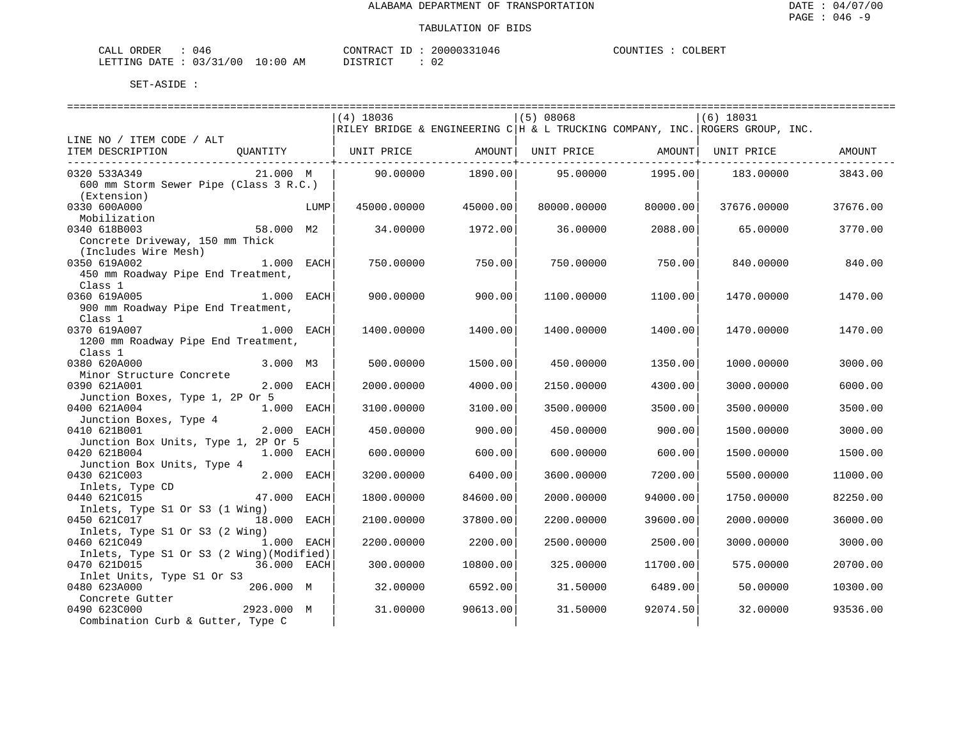| 746<br>CALL ORDER               |          | CONTRACT ID: 20000331046 | COUNTIES : COLBERT |  |
|---------------------------------|----------|--------------------------|--------------------|--|
| LETTING DATE: 03/31/00 10:00 AM | DISTRICT | ◡∠                       |                    |  |

|                                                                              |             |      | $(4)$ 18036 |          | $(5)$ 08068                                                           |                  | $(6)$ 18031                                                                  |          |
|------------------------------------------------------------------------------|-------------|------|-------------|----------|-----------------------------------------------------------------------|------------------|------------------------------------------------------------------------------|----------|
|                                                                              |             |      |             |          |                                                                       |                  | RILEY BRIDGE & ENGINEERING C H & L TRUCKING COMPANY, INC. ROGERS GROUP, INC. |          |
| LINE NO / ITEM CODE / ALT<br>ITEM DESCRIPTION                                |             |      |             |          | QUANTITY   UNIT PRICE           AMOUNT  UNIT PRICE             AMOUNT |                  | UNIT PRICE                                                                   | AMOUNT   |
| 0320 533A349<br>600 mm Storm Sewer Pipe (Class 3 R.C.)<br>(Extension)        | 21.000 M    |      | 90.00000    | 1890.00  |                                                                       | 95.00000 1995.00 | 183.00000                                                                    | 3843.00  |
| 0330 600A000<br>Mobilization                                                 |             | LUMP | 45000.00000 | 45000.00 | 80000.00000                                                           | 80000.00         | 37676.00000                                                                  | 37676.00 |
| 0340 618B003<br>Concrete Driveway, 150 mm Thick<br>(Includes Wire Mesh)      | 58.000 M2   |      | 34,00000    | 1972.00  | 36,00000                                                              | 2088.00          | 65.00000                                                                     | 3770.00  |
| 0350 619A002<br>450 mm Roadway Pipe End Treatment,<br>Class 1                | 1.000 EACH  |      | 750.00000   | 750.00   | 750.00000                                                             | 750.00           | 840.00000                                                                    | 840.00   |
| 0360 619A005<br>900 mm Roadway Pipe End Treatment,<br>Class 1                | 1.000 EACH  |      | 900.00000   | 900.00   | 1100.00000                                                            | 1100.00          | 1470.00000                                                                   | 1470.00  |
| 1.000 EACH<br>0370 619A007<br>1200 mm Roadway Pipe End Treatment,<br>Class 1 |             |      | 1400.00000  | 1400.00  | 1400.00000                                                            | 1400.00          | 1470.00000                                                                   | 1470.00  |
| 0380 620A000<br>Minor Structure Concrete                                     | 3.000 M3    |      | 500.00000   | 1500.00  | 450.00000                                                             | 1350.00          | 1000.00000                                                                   | 3000.00  |
| 0390 621A001<br>Junction Boxes, Type 1, 2P Or 5                              | 2.000 EACH  |      | 2000.00000  | 4000.00  | 2150.00000                                                            | 4300.00          | 3000.00000                                                                   | 6000.00  |
| 0400 621A004<br>Junction Boxes, Type 4                                       | 1.000 EACH  |      | 3100.00000  | 3100.00  | 3500.00000                                                            | 3500.00          | 3500.00000                                                                   | 3500.00  |
| 0410 621B001<br>Junction Box Units, Type 1, 2P Or 5                          | 2.000 EACH  |      | 450.00000   | 900.00   | 450.00000                                                             | 900.00           | 1500.00000                                                                   | 3000.00  |
| 0420 621B004<br>Junction Box Units, Type 4                                   | 1.000 EACH  |      | 600.00000   | 600.00   | 600.00000                                                             | 600.00           | 1500.00000                                                                   | 1500.00  |
| 0430 621C003<br>Inlets, Type CD                                              | 2.000 EACH  |      | 3200.00000  | 6400.00  | 3600.00000                                                            | 7200.00          | 5500.00000                                                                   | 11000.00 |
| 0440 621C015<br>Inlets, Type S1 Or S3 (1 Wing)                               | 47.000 EACH |      | 1800.00000  | 84600.00 | 2000.00000                                                            | 94000.00         | 1750.00000                                                                   | 82250.00 |
| 0450 621C017<br>Inlets, Type S1 Or S3 (2 Wing)                               | 18.000 EACH |      | 2100.00000  | 37800.00 | 2200.00000                                                            | 39600.00         | 2000.00000                                                                   | 36000.00 |
| 0460 621C049                                                                 | 1.000 EACH  |      | 2200.00000  | 2200.00  | 2500.00000                                                            | 2500.00          | 3000.00000                                                                   | 3000.00  |
| Inlets, Type S1 Or S3 (2 Wing) (Modified)<br>0470 621D015                    | 36.000 EACH |      | 300.00000   | 10800.00 | 325.00000                                                             | 11700.00         | 575.00000                                                                    | 20700.00 |
| Inlet Units, Type S1 Or S3<br>0480 623A000                                   | 206.000 M   |      | 32.00000    | 6592.00  | 31.50000                                                              | 6489.00          | 50.00000                                                                     | 10300.00 |
| Concrete Gutter<br>0490 623C000<br>Combination Curb & Gutter, Type C         | 2923.000 M  |      | 31,00000    | 90613.00 | 31.50000                                                              | 92074.50         | 32.00000                                                                     | 93536.00 |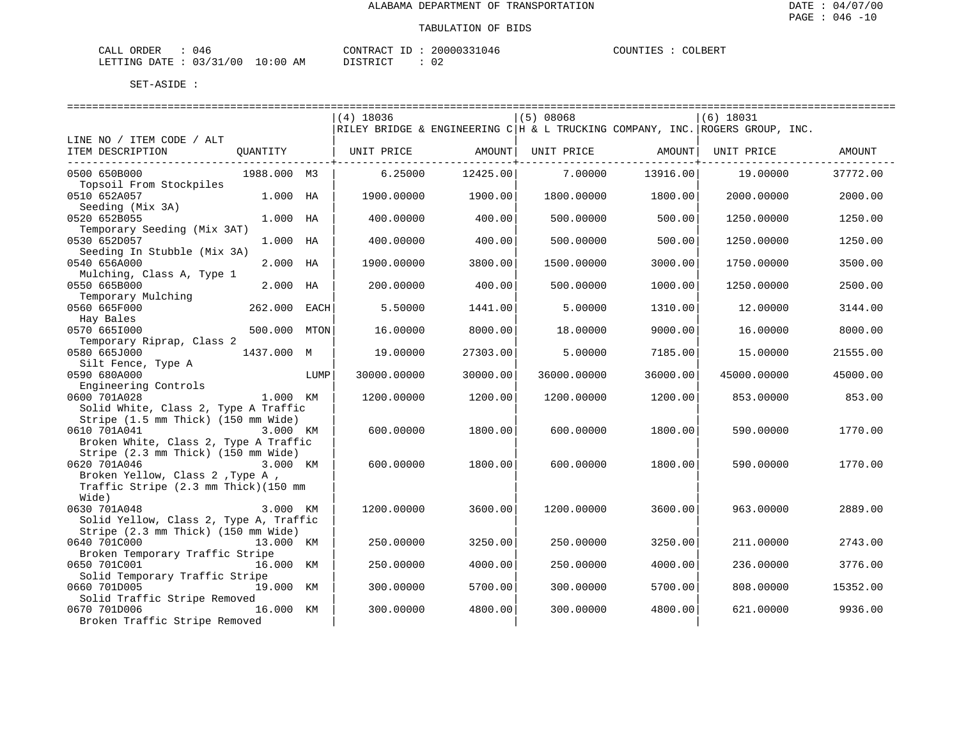COLBERT

| CALI<br>ORDER | 14'        |             | CONTRACT<br>ΙD                       | 20000331046  | COUNTIES | COLBERT |
|---------------|------------|-------------|--------------------------------------|--------------|----------|---------|
| LETTING DATE  | : 03/31/00 | 10:00<br>AМ | <sub>ו</sub> ד קידי > ־<br>- - - - - | 02<br>$\sim$ |          |         |

|                                                |             |      | $(4)$ 18036 |          | (5) 08068   |          | $(6)$ 18031                                                                    |          |
|------------------------------------------------|-------------|------|-------------|----------|-------------|----------|--------------------------------------------------------------------------------|----------|
|                                                |             |      |             |          |             |          | RILEY BRIDGE & ENGINEERING C   H & L TRUCKING COMPANY, INC. ROGERS GROUP, INC. |          |
| LINE NO / ITEM CODE / ALT                      |             |      |             |          |             |          |                                                                                |          |
| ITEM DESCRIPTION                               | QUANTITY    |      | UNIT PRICE  | AMOUNT   | UNIT PRICE  | AMOUNT   | UNIT PRICE                                                                     | AMOUNT   |
|                                                |             |      |             |          |             |          |                                                                                |          |
| 0500 650B000                                   | 1988.000 M3 |      | 6.25000     | 12425.00 | 7.00000     | 13916.00 | 19.00000                                                                       | 37772.00 |
| Topsoil From Stockpiles<br>0510 652A057        | 1.000 HA    |      | 1900.00000  | 1900.00  | 1800.00000  | 1800.00  | 2000.00000                                                                     | 2000.00  |
| Seeding (Mix 3A)                               |             |      |             |          |             |          |                                                                                |          |
| 0520 652B055                                   | 1.000 HA    |      | 400.00000   | 400.00   | 500.00000   | 500.00   | 1250.00000                                                                     | 1250.00  |
| Temporary Seeding (Mix 3AT)                    |             |      |             |          |             |          |                                                                                |          |
| 0530 652D057                                   | 1.000 HA    |      | 400.00000   | 400.00   | 500.00000   | 500.00   | 1250.00000                                                                     | 1250.00  |
| Seeding In Stubble (Mix 3A)                    |             |      |             |          |             |          |                                                                                |          |
| 0540 656A000                                   | 2.000 HA    |      | 1900.00000  | 3800.00  | 1500.00000  | 3000.00  | 1750.00000                                                                     | 3500.00  |
| Mulching, Class A, Type 1                      |             |      |             |          |             |          |                                                                                |          |
| 0550 665B000                                   | 2.000 HA    |      | 200.00000   | 400.00   | 500.00000   | 1000.00  | 1250.00000                                                                     | 2500.00  |
| Temporary Mulching                             |             |      |             |          |             |          |                                                                                |          |
| 0560 665F000                                   | 262.000     | EACH | 5.50000     | 1441.00  | 5.00000     | 1310.00  | 12.00000                                                                       | 3144.00  |
| Hay Bales                                      |             |      |             |          |             |          |                                                                                |          |
| 0570 665I000                                   | 500.000     | MTON | 16.00000    | 8000.00  | 18.00000    | 9000.00  | 16,00000                                                                       | 8000.00  |
| Temporary Riprap, Class 2<br>0580 665J000      | 1437.000 M  |      | 19.00000    | 27303.00 | 5.00000     | 7185.00  | 15.00000                                                                       | 21555.00 |
| Silt Fence, Type A                             |             |      |             |          |             |          |                                                                                |          |
| 0590 680A000                                   |             | LUMP | 30000.00000 | 30000.00 | 36000.00000 | 36000.00 | 45000.00000                                                                    | 45000.00 |
| Engineering Controls                           |             |      |             |          |             |          |                                                                                |          |
| 0600 701A028                                   | 1.000 KM    |      | 1200.00000  | 1200.00  | 1200.00000  | 1200.00  | 853.00000                                                                      | 853.00   |
| Solid White, Class 2, Type A Traffic           |             |      |             |          |             |          |                                                                                |          |
| Stripe (1.5 mm Thick) (150 mm Wide)            |             |      |             |          |             |          |                                                                                |          |
| 0610 701A041                                   | 3.000 KM    |      | 600.00000   | 1800.00  | 600.00000   | 1800.00  | 590.00000                                                                      | 1770.00  |
| Broken White, Class 2, Type A Traffic          |             |      |             |          |             |          |                                                                                |          |
| Stripe (2.3 mm Thick) (150 mm Wide)            |             |      |             |          |             |          |                                                                                |          |
| 0620 701A046                                   | 3.000 KM    |      | 600.00000   | 1800.00  | 600.00000   | 1800.00  | 590.00000                                                                      | 1770.00  |
| Broken Yellow, Class 2, Type A,                |             |      |             |          |             |          |                                                                                |          |
| Traffic Stripe (2.3 mm Thick) (150 mm<br>Wide) |             |      |             |          |             |          |                                                                                |          |
| 0630 701A048                                   | 3.000 KM    |      | 1200.00000  | 3600.00  | 1200.00000  | 3600.00  | 963.00000                                                                      | 2889.00  |
| Solid Yellow, Class 2, Type A, Traffic         |             |      |             |          |             |          |                                                                                |          |
| Stripe (2.3 mm Thick) (150 mm Wide)            |             |      |             |          |             |          |                                                                                |          |
| 0640 701C000                                   | 13.000 KM   |      | 250.00000   | 3250.00  | 250.00000   | 3250.00  | 211,00000                                                                      | 2743.00  |
| Broken Temporary Traffic Stripe                |             |      |             |          |             |          |                                                                                |          |
| 0650 701C001                                   | 16.000 KM   |      | 250.00000   | 4000.00  | 250.00000   | 4000.00  | 236.00000                                                                      | 3776.00  |
| Solid Temporary Traffic Stripe                 |             |      |             |          |             |          |                                                                                |          |
| 0660 701D005                                   | 19.000 KM   |      | 300.00000   | 5700.00  | 300.00000   | 5700.00  | 808.00000                                                                      | 15352.00 |
| Solid Traffic Stripe Removed                   |             |      |             |          |             |          |                                                                                |          |
| 0670 701D006                                   | 16.000 KM   |      | 300.00000   | 4800.00  | 300.00000   | 4800.00  | 621.00000                                                                      | 9936.00  |
| Broken Traffic Stripe Removed                  |             |      |             |          |             |          |                                                                                |          |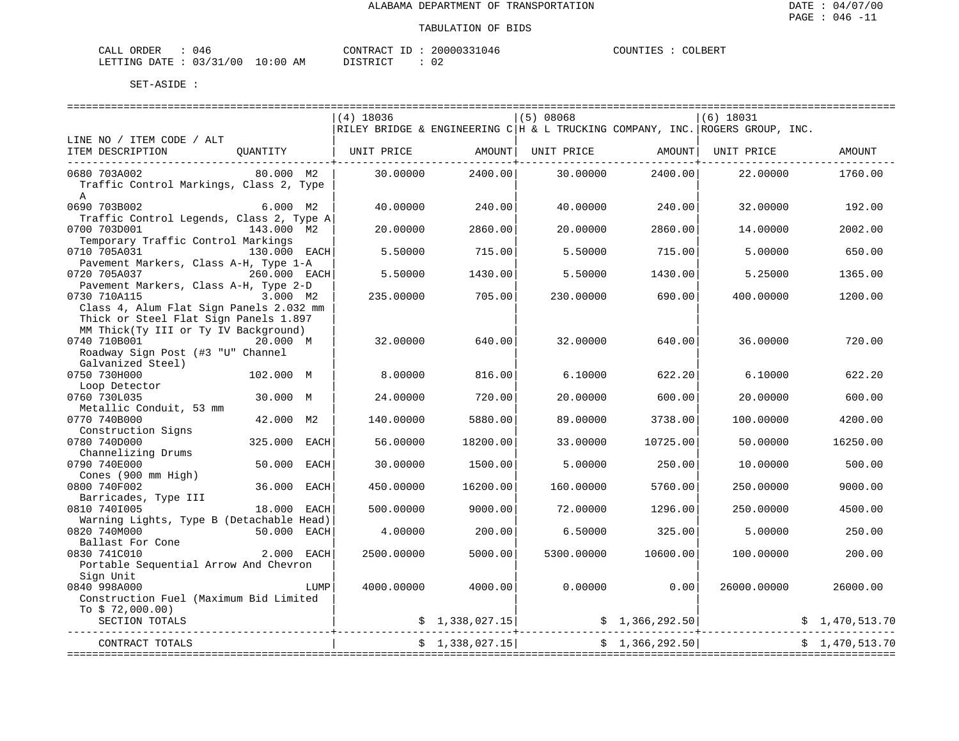====================================================================================================================================

| ORDER<br>CALI           | . . 4         |               | CONTRACT<br>TD.  | `1046<br>20000 | COUNTIF<br>. TRZ | COLBERT |
|-------------------------|---------------|---------------|------------------|----------------|------------------|---------|
| DATE.<br><b>LETTING</b> | 02/31<br>L/00 | LO : 00<br>ΑM | ד פידים ד $\sim$ | 02             |                  |         |

|                                                                                                                                                      | $(4)$ 18036 |                 | (5) 08068  |                 | $(6)$ 18031                                                                    |                |
|------------------------------------------------------------------------------------------------------------------------------------------------------|-------------|-----------------|------------|-----------------|--------------------------------------------------------------------------------|----------------|
|                                                                                                                                                      |             |                 |            |                 | RILEY BRIDGE & ENGINEERING C   H & L TRUCKING COMPANY, INC. ROGERS GROUP, INC. |                |
| LINE NO / ITEM CODE / ALT<br>ITEM DESCRIPTION<br>OUANTITY                                                                                            | UNIT PRICE  | AMOUNT          | UNIT PRICE | AMOUNT          | UNIT PRICE                                                                     | AMOUNT         |
| 0680 703A002<br>80.000 M2                                                                                                                            | 30.00000    | 2400.00         | 30.00000   | 2400.00         | 22.00000                                                                       | 1760.00        |
| Traffic Control Markings, Class 2, Type<br>$\mathbb{A}$                                                                                              |             |                 |            |                 |                                                                                |                |
| 0690 703B002<br>6.000 M2<br>Traffic Control Legends, Class 2, Type A                                                                                 | 40.00000    | 240.00          | 40.00000   | 240.00          | 32.00000                                                                       | 192.00         |
| 0700 703D001<br>143.000 M2<br>Temporary Traffic Control Markings                                                                                     | 20.00000    | 2860.00         | 20.00000   | 2860.00         | 14.00000                                                                       | 2002.00        |
| 0710 705A031<br>130.000 EACH<br>Pavement Markers, Class A-H, Type 1-A                                                                                | 5.50000     | 715.00          | 5.50000    | 715.00          | 5.00000                                                                        | 650.00         |
| 0720 705A037<br>260.000 EACH                                                                                                                         | 5.50000     | 1430.00         | 5.50000    | 1430.00         | 5.25000                                                                        | 1365.00        |
| Pavement Markers, Class A-H, Type 2-D<br>0730 710A115<br>3.000 M2                                                                                    | 235,00000   | 705.00          | 230.00000  | 690.00          | 400.00000                                                                      | 1200.00        |
| Class 4, Alum Flat Sign Panels 2.032 mm<br>Thick or Steel Flat Sign Panels 1.897<br>MM Thick(Ty III or Ty IV Background)<br>0740 710B001<br>20.000 M | 32.00000    | 640.00          | 32.00000   | 640.00          | 36.00000                                                                       | 720.00         |
| Roadway Sign Post (#3 "U" Channel<br>Galvanized Steel)                                                                                               |             |                 |            |                 |                                                                                |                |
| 0750 730H000<br>102.000 M<br>Loop Detector                                                                                                           | 8,00000     | 816.00          | 6.10000    | 622.20          | 6.10000                                                                        | 622.20         |
| 0760 730L035<br>30.000 M<br>Metallic Conduit, 53 mm                                                                                                  | 24.00000    | 720.00          | 20.00000   | 600.00          | 20.00000                                                                       | 600.00         |
| 0770 740B000<br>42.000<br>M <sub>2</sub><br>Construction Signs                                                                                       | 140.00000   | 5880.00         | 89.00000   | 3738.00         | 100.00000                                                                      | 4200.00        |
| 0780 740D000<br>325.000<br><b>EACH</b>                                                                                                               | 56.00000    | 18200.00        | 33.00000   | 10725.00        | 50.00000                                                                       | 16250.00       |
| Channelizing Drums<br>0790 740E000<br>50.000<br>EACH                                                                                                 | 30.00000    | 1500.00         | 5.00000    | 250.00          | 10.00000                                                                       | 500.00         |
| Cones (900 mm High)<br>0800 740F002<br>36.000<br>EACH                                                                                                | 450.00000   | 16200.00        | 160.00000  | 5760.00         | 250.00000                                                                      | 9000.00        |
| Barricades, Type III<br>0810 7401005<br>18.000 EACH                                                                                                  | 500.00000   | 9000.00         | 72.00000   | 1296.00         | 250.00000                                                                      | 4500.00        |
| Warning Lights, Type B (Detachable Head)<br>0820 740M000<br>50.000 EACH                                                                              | 4.00000     | 200.00          | 6.50000    | 325.00          | 5.00000                                                                        | 250.00         |
| Ballast For Cone<br>0830 741C010<br>2.000 EACH<br>Portable Sequential Arrow And Chevron                                                              | 2500.00000  | 5000.00         | 5300.00000 | 10600.00        | 100.00000                                                                      | 200.00         |
| Sign Unit<br>0840 998A000<br>LUMP<br>Construction Fuel (Maximum Bid Limited                                                                          | 4000.00000  | 4000.00         | 0.00000    | 0.00            | 26000.00000                                                                    | 26000.00       |
| To $$72,000.00)$<br>SECTION TOTALS                                                                                                                   |             | \$1,338,027.15] |            | \$1,366,292.50] |                                                                                | \$1,470,513.70 |
| CONTRACT TOTALS                                                                                                                                      |             | \$1,338,027.15] |            | \$1,366,292.50] |                                                                                | \$1,470,513.70 |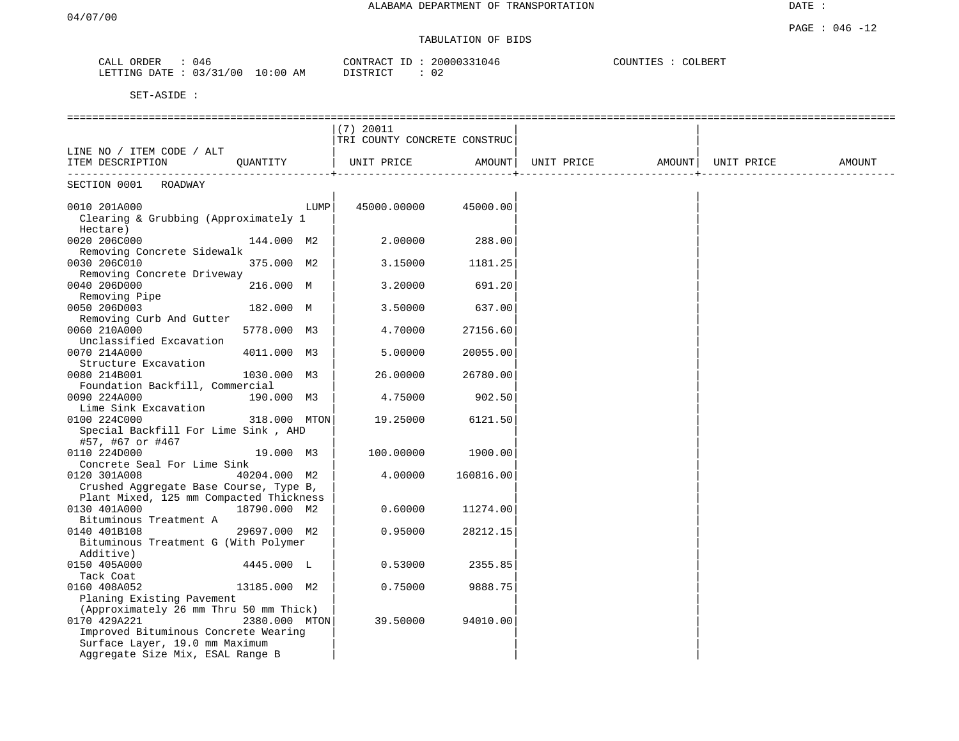# TABULATION OF BIDS

| ORDER<br>CALL | 046      |             | CONTRACT<br>H. | 20000331046  | COUNTIES | COLBERT |
|---------------|----------|-------------|----------------|--------------|----------|---------|
| LETTING DATE  | 03/31/00 | 10:00<br>AΜ | DISTRICT       | $\sim$<br>◡∠ |          |         |

|                                                                                   |               |      | $(7)$ 20011                  |           |                   |                    |            |        |
|-----------------------------------------------------------------------------------|---------------|------|------------------------------|-----------|-------------------|--------------------|------------|--------|
|                                                                                   |               |      | TRI COUNTY CONCRETE CONSTRUC |           |                   |                    |            |        |
| LINE NO / ITEM CODE / ALT                                                         |               |      |                              |           |                   |                    |            |        |
| ITEM DESCRIPTION                                                                  | QUANTITY      |      | UNIT PRICE                   | AMOUNT    | UNIT PRICE AMOUNT | ------------------ | UNIT PRICE | AMOUNT |
| _________________________<br>SECTION 0001<br>ROADWAY                              |               |      |                              |           |                   |                    |            |        |
|                                                                                   |               |      |                              |           |                   |                    |            |        |
| 0010 201A000                                                                      |               | LUMP | 45000.00000                  | 45000.00  |                   |                    |            |        |
| Clearing & Grubbing (Approximately 1<br>Hectare)                                  |               |      |                              |           |                   |                    |            |        |
| 0020 206C000                                                                      | 144.000 M2    |      | 2.00000                      | 288.00    |                   |                    |            |        |
| Removing Concrete Sidewalk                                                        |               |      |                              |           |                   |                    |            |        |
| 0030 206C010                                                                      | 375.000 M2    |      | 3.15000                      | 1181.25   |                   |                    |            |        |
| Removing Concrete Driveway                                                        |               |      |                              |           |                   |                    |            |        |
| 0040 206D000                                                                      | 216.000 M     |      | 3.20000                      | 691.20    |                   |                    |            |        |
| Removing Pipe                                                                     |               |      |                              |           |                   |                    |            |        |
| 0050 206D003                                                                      | 182.000 M     |      | 3.50000                      | 637.00    |                   |                    |            |        |
| Removing Curb And Gutter                                                          |               |      |                              |           |                   |                    |            |        |
| 0060 210A000                                                                      | 5778.000 M3   |      | 4.70000                      | 27156.60  |                   |                    |            |        |
| Unclassified Excavation                                                           |               |      |                              |           |                   |                    |            |        |
| 0070 214A000                                                                      | 4011.000 M3   |      | 5.00000                      | 20055.00  |                   |                    |            |        |
| Structure Excavation                                                              |               |      |                              |           |                   |                    |            |        |
| 0080 214B001                                                                      | 1030.000 M3   |      | 26.00000                     | 26780.00  |                   |                    |            |        |
| Foundation Backfill, Commercial                                                   |               |      |                              |           |                   |                    |            |        |
| 0090 224A000                                                                      | 190.000 M3    |      | 4.75000                      | 902.50    |                   |                    |            |        |
| Lime Sink Excavation                                                              |               |      |                              |           |                   |                    |            |        |
| 0100 224C000                                                                      | 318.000 MTON  |      | 19.25000                     | 6121.50   |                   |                    |            |        |
| Special Backfill For Lime Sink, AHD                                               |               |      |                              |           |                   |                    |            |        |
| #57, #67 or #467                                                                  |               |      |                              |           |                   |                    |            |        |
| 0110 224D000                                                                      | 19.000 M3     |      | 100.00000                    | 1900.00   |                   |                    |            |        |
| Concrete Seal For Lime Sink                                                       |               |      |                              |           |                   |                    |            |        |
| 0120 301A008                                                                      | 40204.000 M2  |      | 4.00000                      | 160816.00 |                   |                    |            |        |
| Crushed Aggregate Base Course, Type B,<br>Plant Mixed, 125 mm Compacted Thickness |               |      |                              |           |                   |                    |            |        |
| 0130 401A000                                                                      | 18790.000 M2  |      | 0.60000                      | 11274.00  |                   |                    |            |        |
| Bituminous Treatment A                                                            |               |      |                              |           |                   |                    |            |        |
| 0140 401B108                                                                      | 29697.000 M2  |      | 0.95000                      | 28212.15  |                   |                    |            |        |
| Bituminous Treatment G (With Polymer                                              |               |      |                              |           |                   |                    |            |        |
| Additive)                                                                         |               |      |                              |           |                   |                    |            |        |
| 0150 405A000                                                                      | 4445.000 L    |      | 0.53000                      | 2355.85   |                   |                    |            |        |
| Tack Coat                                                                         |               |      |                              |           |                   |                    |            |        |
| 0160 408A052                                                                      | 13185.000 M2  |      | 0.75000                      | 9888.75   |                   |                    |            |        |
| Planing Existing Pavement                                                         |               |      |                              |           |                   |                    |            |        |
| (Approximately 26 mm Thru 50 mm Thick)                                            |               |      |                              |           |                   |                    |            |        |
| 0170 429A221                                                                      | 2380.000 MTON |      | 39.50000                     | 94010.00  |                   |                    |            |        |
| Improved Bituminous Concrete Wearing                                              |               |      |                              |           |                   |                    |            |        |
| Surface Layer, 19.0 mm Maximum                                                    |               |      |                              |           |                   |                    |            |        |
| Aggregate Size Mix, ESAL Range B                                                  |               |      |                              |           |                   |                    |            |        |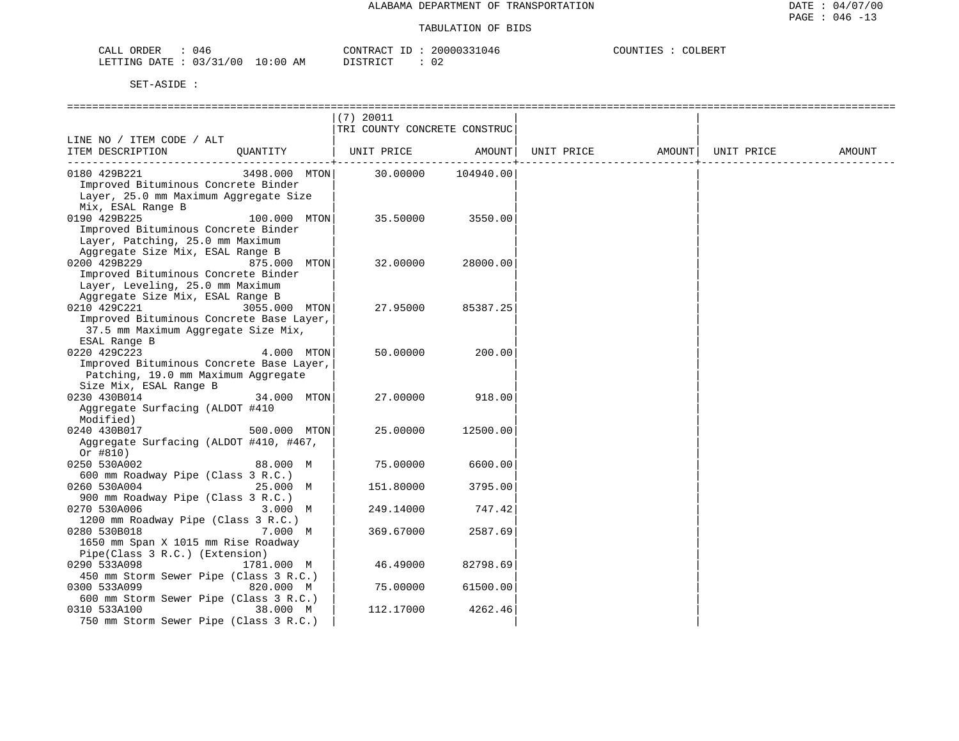| 046 ل<br>CALL<br>ORDER                    | 20000331046<br>CONTRACT                | COUNTIES<br>COLBERT |
|-------------------------------------------|----------------------------------------|---------------------|
| : 03/31/00<br>10:00<br>LETTING DATE<br>AM | $\gamma$ T C T D T $\gamma$ T $\gamma$ |                     |

|                                                                                                                                                                  | $(7)$ 20011 | TRI COUNTY CONCRETE CONSTRUC |            |        |            |        |
|------------------------------------------------------------------------------------------------------------------------------------------------------------------|-------------|------------------------------|------------|--------|------------|--------|
| LINE NO / ITEM CODE / ALT<br>ITEM DESCRIPTION<br>OUANTITY                                                                                                        | UNIT PRICE  | AMOUNT                       | UNIT PRICE | AMOUNT | UNIT PRICE | AMOUNT |
| 0180 429B221<br>3498.000 MTON<br>Improved Bituminous Concrete Binder<br>Layer, 25.0 mm Maximum Aggregate Size                                                    | 30.00000    | -------------+<br>104940.00  |            |        |            |        |
| Mix, ESAL Range B<br>0190 429B225<br>100.000 MTON<br>Improved Bituminous Concrete Binder<br>Layer, Patching, 25.0 mm Maximum<br>Aggregate Size Mix, ESAL Range B | 35.50000    | 3550.00                      |            |        |            |        |
| 0200 429B229<br>875.000 MTON<br>Improved Bituminous Concrete Binder<br>Layer, Leveling, 25.0 mm Maximum<br>Aggregate Size Mix, ESAL Range B                      | 32.00000    | 28000.00                     |            |        |            |        |
| 0210 429C221<br>3055.000 MTON<br>Improved Bituminous Concrete Base Layer,<br>37.5 mm Maximum Aggregate Size Mix,<br>ESAL Range B                                 | 27.95000    | 85387.25                     |            |        |            |        |
| 0220 429C223<br>4.000 MTON<br>Improved Bituminous Concrete Base Layer,<br>Patching, 19.0 mm Maximum Aggregate<br>Size Mix, ESAL Range B                          | 50.00000    | 200.00                       |            |        |            |        |
| 0230 430B014<br>34.000 MTON<br>Aggregate Surfacing (ALDOT #410<br>Modified)                                                                                      | 27,00000    | 918.00                       |            |        |            |        |
| 0240 430B017<br>500.000 MTON<br>Aggregate Surfacing (ALDOT #410, #467,<br>Or $#810)$                                                                             | 25.00000    | 12500.00                     |            |        |            |        |
| 0250 530A002<br>88.000 M<br>600 mm Roadway Pipe (Class 3 R.C.)                                                                                                   | 75.00000    | 6600.00                      |            |        |            |        |
| 0260 530A004<br>25.000 M<br>900 mm Roadway Pipe (Class 3 R.C.)                                                                                                   | 151.80000   | 3795.00                      |            |        |            |        |
| 0270 530A006<br>3.000 M<br>1200 mm Roadway Pipe (Class 3 R.C.)                                                                                                   | 249.14000   | 747.42                       |            |        |            |        |
| 0280 530B018<br>7.000 M<br>1650 mm Span X 1015 mm Rise Roadway<br>Pipe(Class 3 R.C.) (Extension)                                                                 | 369.67000   | 2587.69                      |            |        |            |        |
| 0290 533A098<br>1781.000 M<br>450 mm Storm Sewer Pipe (Class 3 R.C.)                                                                                             | 46.49000    | 82798.69                     |            |        |            |        |
| 0300 533A099<br>820.000 M<br>600 mm Storm Sewer Pipe (Class 3 R.C.)                                                                                              | 75.00000    | 61500.00                     |            |        |            |        |
| 0310 533A100<br>38.000 M<br>750 mm Storm Sewer Pipe (Class 3 R.C.)                                                                                               | 112.17000   | 4262.46                      |            |        |            |        |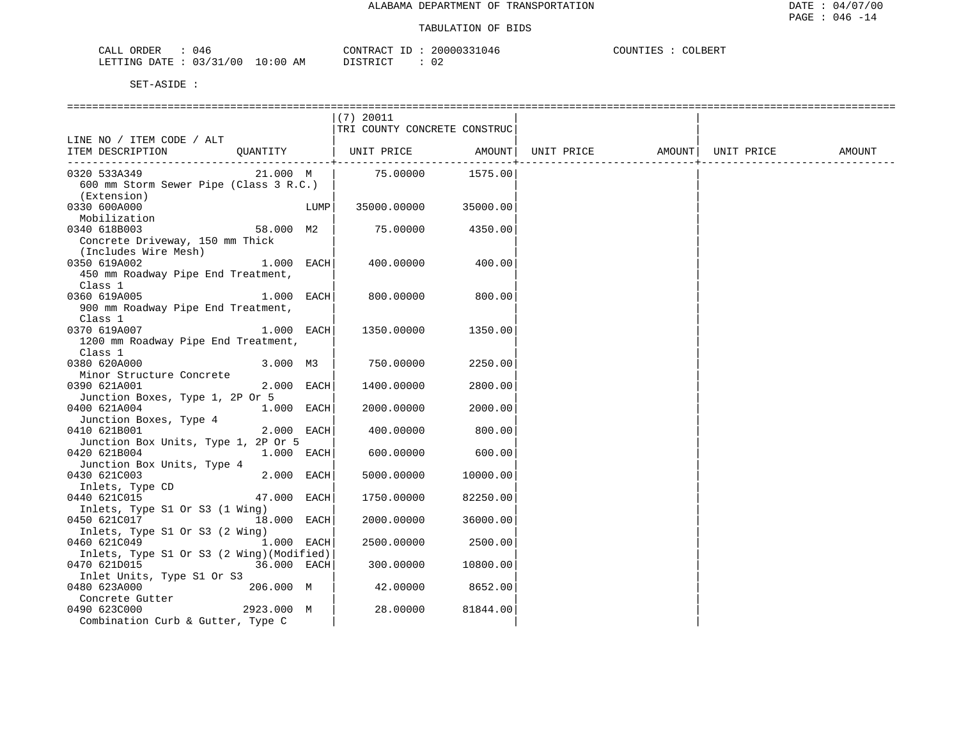| 046                                                                                  | 200003                    | <b>TNTT</b> |
|--------------------------------------------------------------------------------------|---------------------------|-------------|
| <b><i>ORDER</i></b>                                                                  | $\bigcap$ 4               | BERT-       |
| $\cdot$ $\Delta$ .                                                                   | אידא∩י                    | 70T         |
|                                                                                      | י בי ≁                    | ר∩י.        |
|                                                                                      |                           |             |
|                                                                                      |                           |             |
| $\cdot$ $\cdot$ $\sim$ $\cdot$<br>'00<br>LETTING<br>$M + D\Delta T$<br>. ი : იი<br>. | ∩∩<br>АM<br>∪∠<br>------- |             |

|                                                                           |                           |      | $(7)$ 20011             | TRI COUNTY CONCRETE CONSTRUC |            |                    |        |
|---------------------------------------------------------------------------|---------------------------|------|-------------------------|------------------------------|------------|--------------------|--------|
| LINE NO / ITEM CODE / ALT<br>ITEM DESCRIPTION                             | QUANTITY                  |      |                         | UNIT PRICE AMOUNT            | UNIT PRICE | AMOUNT  UNIT PRICE | AMOUNT |
| 0320 533A349<br>600 mm Storm Sewer Pipe (Class 3 R.C.)<br>(Extension)     | 21.000 M                  |      |                         | 75.00000 1575.00             |            |                    |        |
| 0330 600A000<br>Mobilization                                              |                           | LUMP | 35000.00000             | 35000.00                     |            |                    |        |
| 0340 618B003<br>Concrete Driveway, 150 mm Thick<br>(Includes Wire Mesh)   | 58.000 M2                 |      | 75.00000                | 4350.00                      |            |                    |        |
| 0350 619A002<br>450 mm Roadway Pipe End Treatment,<br>Class 1             | $1.000$ EACH              |      | 400.00000               | 400.00                       |            |                    |        |
| 0360 619A005<br>900 mm Roadway Pipe End Treatment,<br>Class 1             | 1.000 EACH                |      | 800.00000               | 800.00                       |            |                    |        |
| 0370 619A007<br>1200 mm Roadway Pipe End Treatment,<br>Class 1            | 1.000 EACH                |      | 1350.00000              | 1350.00                      |            |                    |        |
| 0380 620A000<br>Minor Structure Concrete                                  | 3.000 M3                  |      | 750.00000               | 2250.00                      |            |                    |        |
| 0390 621A001<br>Junction Boxes, Type 1, 2P Or 5                           | 2.000 EACH                |      | 1400.00000              | 2800.00                      |            |                    |        |
| 0400 621A004<br>Junction Boxes, Type 4                                    | 1.000 EACH                |      | 2000.00000              | 2000.00                      |            |                    |        |
| 0410 621B001<br>Junction Box Units, Type 1, 2P Or 5                       | 2.000 EACH                |      | 400.00000               | 800.00                       |            |                    |        |
| 0420 621B004<br>Junction Box Units, Type 4                                | 1.000 EACH                |      | 600.00000               | 600.00                       |            |                    |        |
| 0430 621C003<br>Inlets, Type CD                                           | 2.000 EACH                |      | 5000.00000              | 10000.001                    |            |                    |        |
| 0440 621C015<br>Inlets, Type S1 Or S3 (1 Wing)                            | 47.000 EACH               |      | 1750.00000              | 82250.00                     |            |                    |        |
| 0450 621C017<br>Inlets, Type S1 Or S3 (2 Wing)                            | 18.000                    | EACH | 2000.00000              | 36000.001                    |            |                    |        |
| 0460 621C049<br>Inlets, Type S1 Or S3 (2 Wing) (Modified)<br>0470 621D015 | 1.000 EACH<br>36.000 EACH |      | 2500.00000<br>300.00000 | 2500.00<br>10800.00          |            |                    |        |
| Inlet Units, Type S1 Or S3<br>0480 623A000                                | 206.000 M                 |      | 42.00000                | 8652.00                      |            |                    |        |
| Concrete Gutter<br>0490 623C000                                           | 2923.000 M                |      | 28.00000                | 81844.00                     |            |                    |        |
| Combination Curb & Gutter, Type C                                         |                           |      |                         |                              |            |                    |        |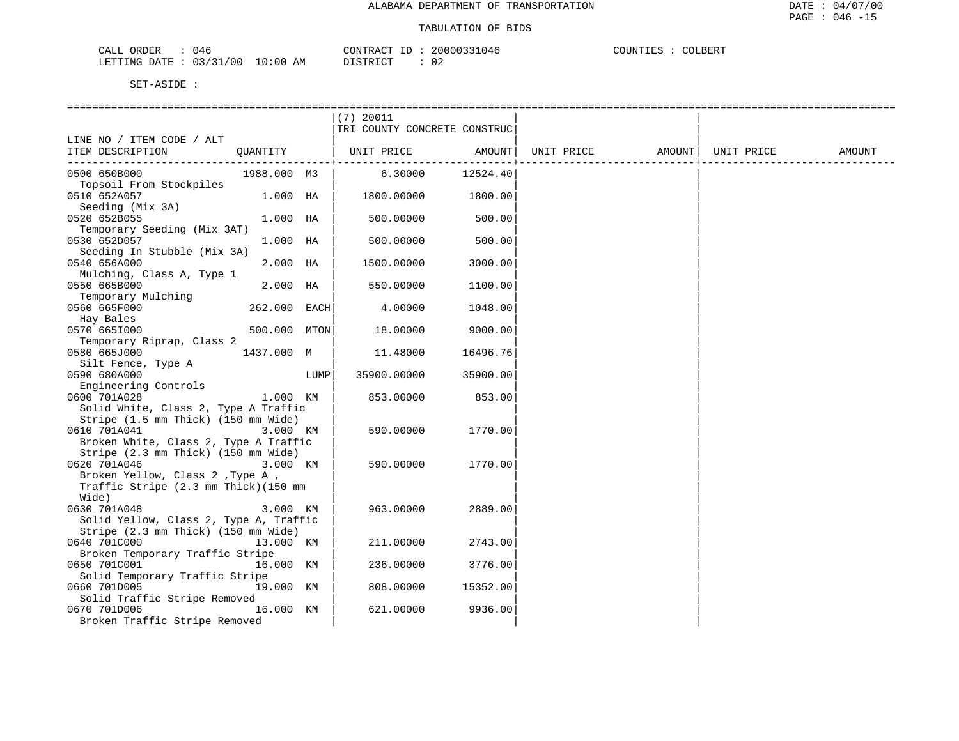| ORDER<br>$\neg$ $\neg$ $\neg$<br>U 46<br>للطلاب |                         | ∴RAC'T    | (146)        | BERT-<br><b>INT</b> |
|-------------------------------------------------|-------------------------|-----------|--------------|---------------------|
| .RTTTNC<br>⊤ דב∩<br>40 C<br>ባገ.<br>___          | 10:0<br>AΜ<br>,,,,<br>. | amp<br>∵⊷ | $\sim$<br>◡▵ |                     |

|                                        |              |      | $(7)$ 20011                  |                |            |        |            |        |
|----------------------------------------|--------------|------|------------------------------|----------------|------------|--------|------------|--------|
|                                        |              |      | TRI COUNTY CONCRETE CONSTRUC |                |            |        |            |        |
| LINE NO / ITEM CODE / ALT              |              |      |                              |                |            |        |            |        |
| ITEM DESCRIPTION                       | OUANTITY     |      | UNIT PRICE                   | AMOUNT         | UNIT PRICE | AMOUNT | UNIT PRICE | AMOUNT |
|                                        |              |      |                              | -------------- |            |        |            |        |
| 0500 650B000                           | 1988.000 M3  |      | 6.30000                      | 12524.40       |            |        |            |        |
| Topsoil From Stockpiles                |              |      |                              |                |            |        |            |        |
| 0510 652A057                           | 1.000 HA     |      | 1800.00000                   | 1800.00        |            |        |            |        |
| Seeding (Mix 3A)                       |              |      |                              |                |            |        |            |        |
| 0520 652B055                           | 1.000 HA     |      | 500.00000                    | 500.00         |            |        |            |        |
| Temporary Seeding (Mix 3AT)            |              |      |                              |                |            |        |            |        |
| 0530 652D057                           | 1.000 HA     |      | 500.00000                    | 500.00         |            |        |            |        |
| Seeding In Stubble (Mix 3A)            |              |      |                              |                |            |        |            |        |
| 0540 656A000                           | 2.000 HA     |      | 1500.00000                   | 3000.00        |            |        |            |        |
| Mulching, Class A, Type 1              |              |      |                              |                |            |        |            |        |
| 0550 665B000                           | 2.000 HA     |      | 550.00000                    | 1100.00        |            |        |            |        |
| Temporary Mulching                     |              |      |                              |                |            |        |            |        |
| 0560 665F000                           | 262.000 EACH |      | 4.00000                      | 1048.00        |            |        |            |        |
| Hay Bales                              |              |      |                              |                |            |        |            |        |
| 0570 6651000                           | 500.000 MTON |      | 18.00000                     | 9000.00        |            |        |            |        |
| Temporary Riprap, Class 2              |              |      |                              |                |            |        |            |        |
| 0580 665J000                           | 1437.000 M   |      | 11.48000                     | 16496.76       |            |        |            |        |
| Silt Fence, Type A                     |              |      |                              |                |            |        |            |        |
| 0590 680A000                           |              | LUMP | 35900.00000                  | 35900.00       |            |        |            |        |
| Engineering Controls                   |              |      |                              |                |            |        |            |        |
| 0600 701A028                           | 1.000 KM     |      | 853.00000                    | 853.00         |            |        |            |        |
| Solid White, Class 2, Type A Traffic   |              |      |                              |                |            |        |            |        |
| Stripe (1.5 mm Thick) (150 mm Wide)    |              |      |                              |                |            |        |            |        |
| 0610 701A041                           | 3.000 KM     |      | 590.00000                    | 1770.00        |            |        |            |        |
| Broken White, Class 2, Type A Traffic  |              |      |                              |                |            |        |            |        |
| Stripe (2.3 mm Thick) (150 mm Wide)    |              |      |                              |                |            |        |            |        |
| 0620 701A046                           | 3.000 KM     |      | 590.00000                    | 1770.00        |            |        |            |        |
| Broken Yellow, Class 2, Type A,        |              |      |                              |                |            |        |            |        |
| Traffic Stripe (2.3 mm Thick) (150 mm  |              |      |                              |                |            |        |            |        |
| Wide)                                  |              |      |                              |                |            |        |            |        |
| 0630 701A048                           | 3.000 KM     |      | 963.00000                    | 2889.00        |            |        |            |        |
| Solid Yellow, Class 2, Type A, Traffic |              |      |                              |                |            |        |            |        |
| Stripe (2.3 mm Thick) (150 mm Wide)    |              |      |                              |                |            |        |            |        |
| 0640 701C000                           | 13.000 KM    |      | 211.00000                    | 2743.00        |            |        |            |        |
| Broken Temporary Traffic Stripe        |              |      |                              |                |            |        |            |        |
| 0650 701C001                           | 16.000 KM    |      | 236.00000                    | 3776.00        |            |        |            |        |
| Solid Temporary Traffic Stripe         |              |      |                              |                |            |        |            |        |
| 0660 701D005                           | 19.000 KM    |      | 808,00000                    | 15352.00       |            |        |            |        |
| Solid Traffic Stripe Removed           |              |      |                              |                |            |        |            |        |
| 0670 701D006                           | 16.000 KM    |      | 621.00000                    | 9936.00        |            |        |            |        |
| Broken Traffic Stripe Removed          |              |      |                              |                |            |        |            |        |
|                                        |              |      |                              |                |            |        |            |        |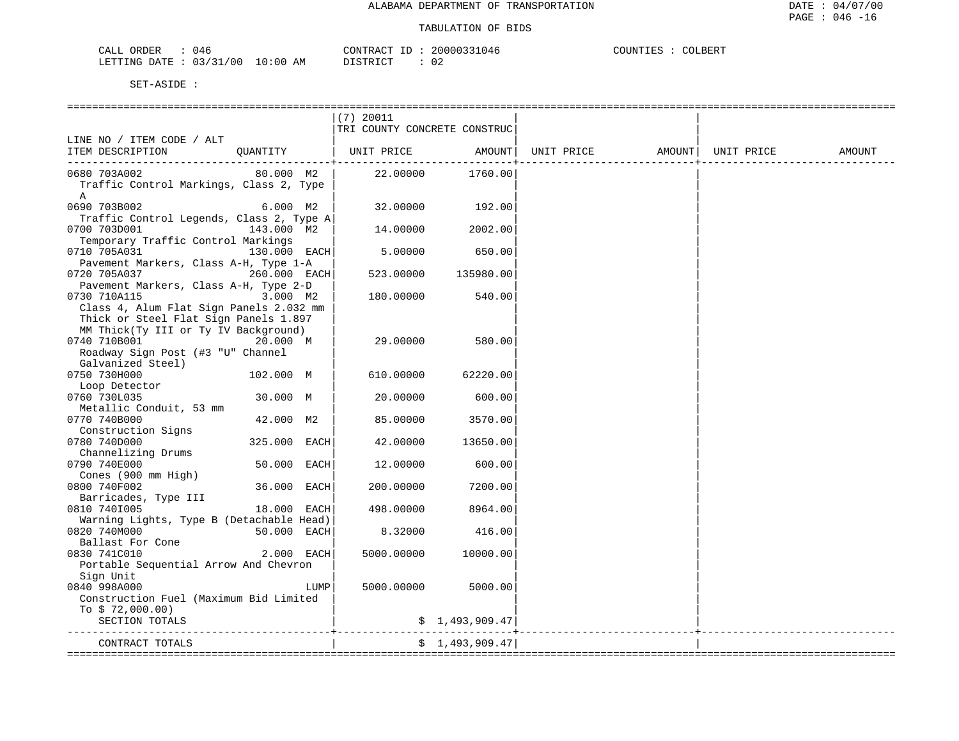| ORDER<br>CALL    | J46        |             | CONTRACT<br>ID | 20000331046 | COUNTIES | COLBERT |
|------------------|------------|-------------|----------------|-------------|----------|---------|
| LETTING DATE : ' | : 03/31/00 | 10:00<br>ΑM | DISTRICT       | 02          |          |         |

| $(7)$ 20011                                      | TRI COUNTY CONCRETE CONSTRUC |                                |        |
|--------------------------------------------------|------------------------------|--------------------------------|--------|
|                                                  |                              |                                |        |
|                                                  |                              |                                |        |
| LINE NO / ITEM CODE / ALT                        |                              |                                |        |
| QUANTITY   UNIT PRICE AMOUNT<br>ITEM DESCRIPTION |                              | UNIT PRICE AMOUNT   UNIT PRICE | AMOUNT |
|                                                  | -------------+-              |                                |        |
| 80.000 M2  <br>0680 703A002                      | 22.00000 1760.00             |                                |        |
| Traffic Control Markings, Class 2, Type          |                              |                                |        |
| $\mathbf{A}$                                     |                              |                                |        |
| 0690 703B002<br>32.00000<br>6.000 M2             | 192.00                       |                                |        |
| Traffic Control Legends, Class 2, Type A         |                              |                                |        |
| 0700 703D001<br>143.000 M2<br>14.00000           | 2002.00                      |                                |        |
| Temporary Traffic Control Markings               |                              |                                |        |
| 0710 705A031<br>130.000 EACH<br>5.00000          | 650.00                       |                                |        |
| Pavement Markers, Class A-H, Type 1-A            |                              |                                |        |
| 0720 705A037<br>260.000 EACH<br>523.00000        | 135980.00                    |                                |        |
| Pavement Markers, Class A-H, Type 2-D            |                              |                                |        |
| 0730 710A115<br>3.000 M2<br>180.00000            | 540.00                       |                                |        |
| Class 4, Alum Flat Sign Panels 2.032 mm          |                              |                                |        |
| Thick or Steel Flat Sign Panels 1.897            |                              |                                |        |
| MM Thick(Ty III or Ty IV Background)             |                              |                                |        |
| 0740 710B001<br>20.000 M<br>29.00000             | 580.00                       |                                |        |
| Roadway Sign Post (#3 "U" Channel                |                              |                                |        |
| Galvanized Steel)                                |                              |                                |        |
| 0750 730H000<br>102.000 M<br>610.00000           | 62220.00                     |                                |        |
| Loop Detector                                    |                              |                                |        |
| 30.000 M<br>20.00000<br>0760 730L035             | 600.00                       |                                |        |
| Metallic Conduit, 53 mm                          |                              |                                |        |
| 0770 740B000<br>42.000 M2<br>85.00000            | 3570.00                      |                                |        |
| Construction Signs                               |                              |                                |        |
| 325.000 EACH<br>0780 740D000<br>42.00000         | 13650.00                     |                                |        |
| Channelizing Drums                               |                              |                                |        |
| 50.000 EACH<br>0790 740E000<br>12,00000          | 600.00                       |                                |        |
| Cones (900 mm High)                              |                              |                                |        |
| 36.000 EACH<br>0800 740F002<br>200.00000         | 7200.00                      |                                |        |
| Barricades, Type III                             |                              |                                |        |
| 0810 7401005<br>18.000 EACH<br>498,00000         | 8964.00                      |                                |        |
| Warning Lights, Type B (Detachable Head)         |                              |                                |        |
| 0820 740M000<br>50.000 EACH<br>8.32000           | 416.00                       |                                |        |
| Ballast For Cone                                 |                              |                                |        |
| 2.000 EACH<br>0830 741C010<br>5000.00000         | 10000.00                     |                                |        |
| Portable Sequential Arrow And Chevron            |                              |                                |        |
| Sign Unit                                        |                              |                                |        |
| 0840 998A000<br>LUMP<br>5000.00000               | 5000.00                      |                                |        |
| Construction Fuel (Maximum Bid Limited           |                              |                                |        |
| To $$72,000.00)$                                 |                              |                                |        |
| SECTION TOTALS                                   | \$1,493,909.47               | _________________________      |        |
| CONTRACT TOTALS                                  | \$1,493,909.47               |                                |        |
|                                                  |                              |                                |        |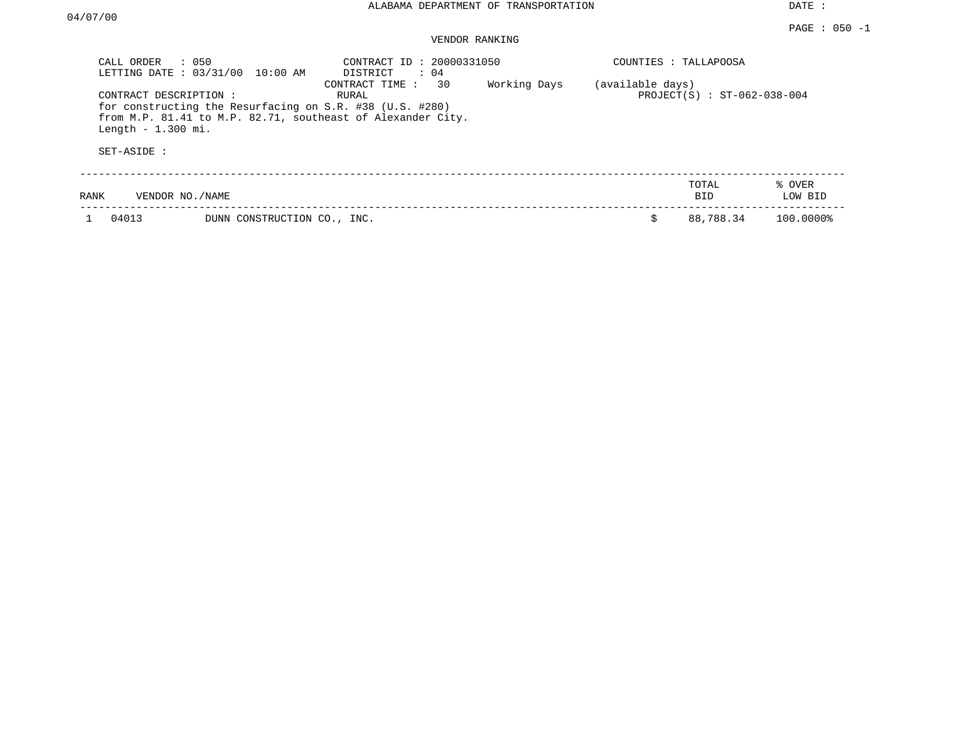| CALL ORDER                                                  | $\therefore$ 050<br>LETTING DATE : 03/31/00 10:00 AM                                                                    | CONTRACT ID: 20000331050<br>$\therefore$ 04<br>DISTRICT |                             |  | COUNTIES : TALLAPOOSA |                   |
|-------------------------------------------------------------|-------------------------------------------------------------------------------------------------------------------------|---------------------------------------------------------|-----------------------------|--|-----------------------|-------------------|
| CONTRACT DESCRIPTION:<br>Length $-1.300$ mi.<br>SET-ASIDE : | for constructing the Resurfacing on S.R. #38 (U.S. #280)<br>from M.P. 81.41 to M.P. 82.71, southeast of Alexander City. | (available days)                                        | PROJECT(S) : ST-062-038-004 |  |                       |                   |
| RANK                                                        | VENDOR NO./NAME                                                                                                         |                                                         |                             |  | TOTAL<br>BID.         | % OVER<br>LOW BID |
| 04013                                                       | DUNN CONSTRUCTION CO., INC.                                                                                             |                                                         |                             |  | 88,788.34             | 100.0000%         |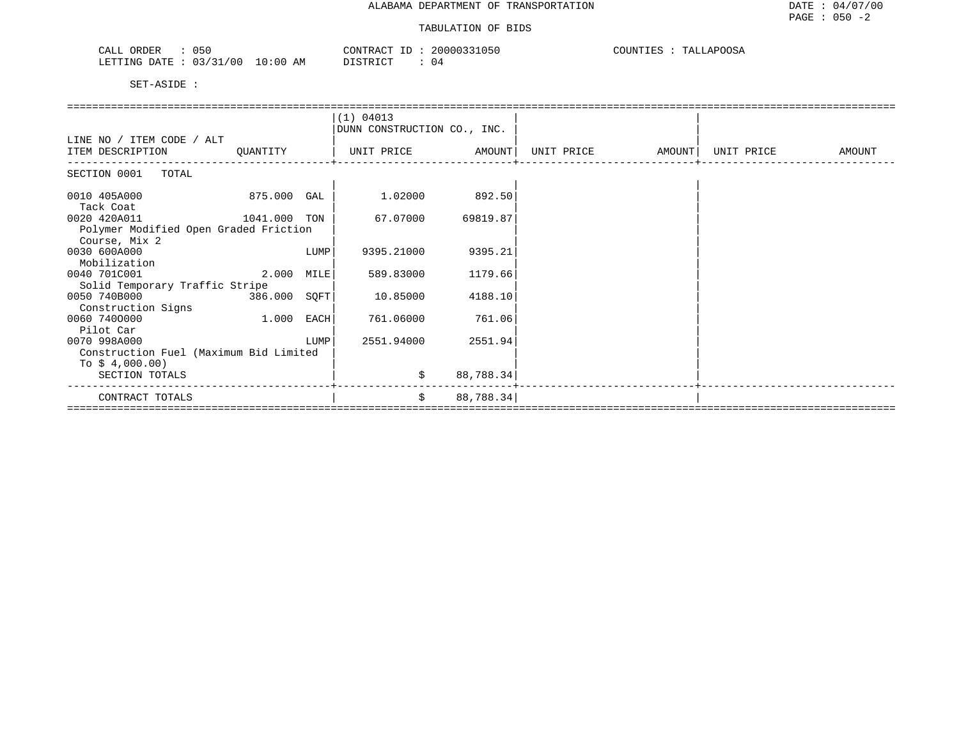| 050<br>CALL ORDER               | CONTRACT ID: 20000331050 | TALLAPOOSA<br>COUNTIES : ' |
|---------------------------------|--------------------------|----------------------------|
| LETTING DATE: 03/31/00 10:00 AM | DISTRICT<br>. 04         |                            |

|                                        |              |      | (1) 04013                   |           |            |        |            |        |
|----------------------------------------|--------------|------|-----------------------------|-----------|------------|--------|------------|--------|
|                                        |              |      | DUNN CONSTRUCTION CO., INC. |           |            |        |            |        |
| LINE NO / ITEM CODE / ALT              |              |      |                             |           |            |        |            |        |
| ITEM DESCRIPTION                       | QUANTITY     |      | UNIT PRICE                  | AMOUNT    | UNIT PRICE | AMOUNT | UNIT PRICE | AMOUNT |
| SECTION 0001 TOTAL                     |              |      |                             |           |            |        |            |        |
| 0010 405A000                           | 875.000 GAL  |      | 1.02000                     | 892.50    |            |        |            |        |
| Tack Coat                              |              |      |                             |           |            |        |            |        |
| 0020 420A011<br>1041.000 TON           |              |      | 67.07000                    | 69819.87  |            |        |            |        |
| Polymer Modified Open Graded Friction  |              |      |                             |           |            |        |            |        |
| Course, Mix 2                          |              |      |                             |           |            |        |            |        |
| 0030 600A000                           |              | LUMP | 9395.21000                  | 9395.21   |            |        |            |        |
| Mobilization                           |              |      |                             |           |            |        |            |        |
| 0040 701C001                           | 2.000        | MILE | 589.83000                   | 1179.66   |            |        |            |        |
| Solid Temporary Traffic Stripe         |              |      |                             |           |            |        |            |        |
| 0050 740B000                           | 386.000 SQFT |      | 10.85000                    | 4188.10   |            |        |            |        |
| Construction Signs                     |              |      |                             |           |            |        |            |        |
| 0060 7400000                           | 1.000        | EACH | 761.06000                   | 761.06    |            |        |            |        |
| Pilot Car<br>0070 998A000              |              | LUMP | 2551.94000                  | 2551.94   |            |        |            |        |
| Construction Fuel (Maximum Bid Limited |              |      |                             |           |            |        |            |        |
| To $$4,000.00)$                        |              |      |                             |           |            |        |            |        |
| SECTION TOTALS                         |              |      | \$                          | 88,788.34 |            |        |            |        |
|                                        |              |      |                             |           |            |        |            |        |
| CONTRACT TOTALS                        |              |      | \$                          | 88,788.34 |            |        |            |        |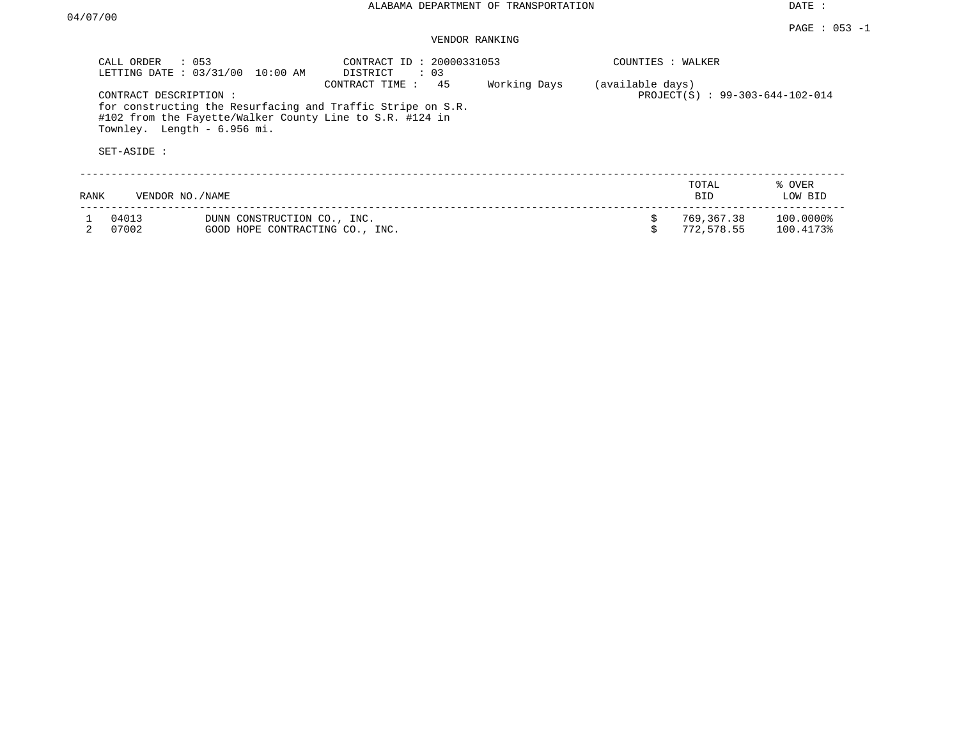|      | CALL ORDER<br>: 053<br>LETTING DATE: 03/31/00<br>10:00 AM                                                                                                                                      | CONTRACT ID: 20000331053<br>: 03<br>DISTRICT |              | COUNTIES : WALKER |                                 |                        |
|------|------------------------------------------------------------------------------------------------------------------------------------------------------------------------------------------------|----------------------------------------------|--------------|-------------------|---------------------------------|------------------------|
|      | CONTRACT DESCRIPTION:<br>for constructing the Resurfacing and Traffic Stripe on S.R.<br>#102 from the Fayette/Walker County Line to S.R. #124 in<br>Townley. Length - 6.956 mi.<br>SET-ASIDE : | 45<br>CONTRACT TIME:                         | Working Days | (available days)  | PROJECT(S) : 99-303-644-102-014 |                        |
|      |                                                                                                                                                                                                |                                              |              |                   |                                 |                        |
| RANK | VENDOR NO./NAME                                                                                                                                                                                |                                              |              |                   | TOTAL<br><b>BID</b>             | % OVER<br>LOW BID      |
|      | 04013<br>DUNN CONSTRUCTION CO., INC.<br>07002<br>GOOD HOPE CONTRACTING CO., INC.                                                                                                               |                                              |              |                   | 769,367.38<br>772,578.55        | 100.0000%<br>100.4173% |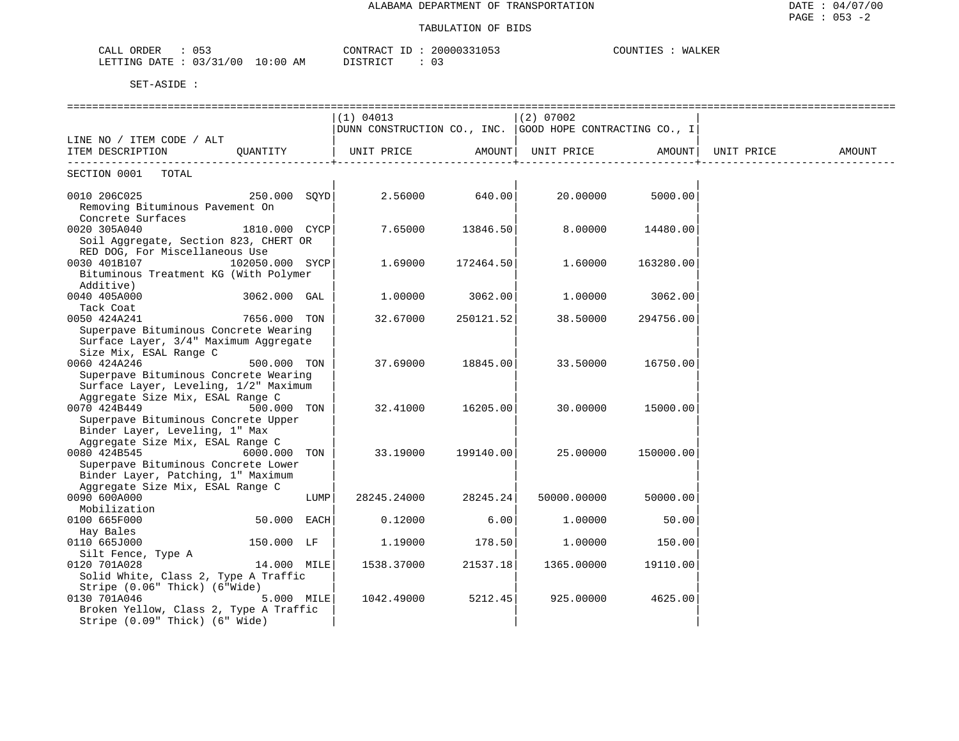| 053<br>ORDER<br>CALL                   | 20000331053<br>CONTRACT ID: | COUNTIES<br>WALKER |
|----------------------------------------|-----------------------------|--------------------|
| 03/31/00<br>$10:00$ AM<br>LETTING DATE | DISTRICT                    |                    |

|                                        |               |                                                            |           | ================================ |           |                     |        |
|----------------------------------------|---------------|------------------------------------------------------------|-----------|----------------------------------|-----------|---------------------|--------|
|                                        |               | (1) 04013                                                  |           | $(2)$ 07002                      |           |                     |        |
|                                        |               | DUNN CONSTRUCTION CO., INC.   GOOD HOPE CONTRACTING CO., I |           |                                  |           |                     |        |
| LINE NO / ITEM CODE / ALT              |               |                                                            |           |                                  |           |                     |        |
| ITEM DESCRIPTION                       | OUANTITY      | UNIT PRICE AMOUNT  UNIT PRICE                              |           |                                  |           | AMOUNT   UNIT PRICE | AMOUNT |
|                                        |               |                                                            |           |                                  |           |                     |        |
| SECTION 0001<br>TOTAL                  |               |                                                            |           |                                  |           |                     |        |
|                                        |               |                                                            |           |                                  |           |                     |        |
| 0010 206C025                           | 250.000 SOYD  | $2.56000$ 640.00                                           |           | 20,00000                         | 5000.00   |                     |        |
| Removing Bituminous Pavement On        |               |                                                            |           |                                  |           |                     |        |
| Concrete Surfaces                      |               |                                                            |           |                                  |           |                     |        |
| 0020 305A040                           | 1810.000 CYCP | 7.65000                                                    | 13846.50  | 8.00000                          | 14480.00  |                     |        |
| Soil Aggregate, Section 823, CHERT OR  |               |                                                            |           |                                  |           |                     |        |
| RED DOG, For Miscellaneous Use         |               |                                                            |           |                                  |           |                     |        |
| 0030 401B107<br>102050.000 SYCP        |               | 1.69000                                                    | 172464.50 | 1,60000                          | 163280.00 |                     |        |
| Bituminous Treatment KG (With Polymer  |               |                                                            |           |                                  |           |                     |        |
| Additive)                              |               |                                                            |           |                                  |           |                     |        |
| 0040 405A000                           | 3062.000 GAL  | 1,00000                                                    | 3062.00   | 1,00000                          | 3062.00   |                     |        |
| Tack Coat                              |               |                                                            |           |                                  |           |                     |        |
| 0050 424A241                           | 7656.000 TON  | 32.67000                                                   | 250121.52 | 38.50000                         | 294756.00 |                     |        |
| Superpave Bituminous Concrete Wearing  |               |                                                            |           |                                  |           |                     |        |
| Surface Layer, 3/4" Maximum Aggregate  |               |                                                            |           |                                  |           |                     |        |
| Size Mix, ESAL Range C                 |               |                                                            |           |                                  |           |                     |        |
| 0060 424A246                           | 500.000 TON   | 37.69000                                                   | 18845.00  | 33.50000                         | 16750.00  |                     |        |
| Superpave Bituminous Concrete Wearing  |               |                                                            |           |                                  |           |                     |        |
| Surface Layer, Leveling, 1/2" Maximum  |               |                                                            |           |                                  |           |                     |        |
| Aggregate Size Mix, ESAL Range C       |               |                                                            |           |                                  |           |                     |        |
| 0070 424B449                           | 500.000 TON   | 32.41000                                                   | 16205.00  | 30.00000                         | 15000.00  |                     |        |
| Superpave Bituminous Concrete Upper    |               |                                                            |           |                                  |           |                     |        |
| Binder Layer, Leveling, 1" Max         |               |                                                            |           |                                  |           |                     |        |
| Aggregate Size Mix, ESAL Range C       |               |                                                            |           |                                  |           |                     |        |
| 0080 424B545<br>$6000.000$ TON         |               | 33.19000                                                   | 199140.00 | 25.00000                         | 150000.00 |                     |        |
| Superpave Bituminous Concrete Lower    |               |                                                            |           |                                  |           |                     |        |
| Binder Layer, Patching, 1" Maximum     |               |                                                            |           |                                  |           |                     |        |
| Aggregate Size Mix, ESAL Range C       |               |                                                            |           |                                  |           |                     |        |
| 0090 600A000                           | LUMP          | 28245.24000                                                | 28245.24  | 50000.00000                      | 50000.00  |                     |        |
| Mobilization                           |               |                                                            |           |                                  |           |                     |        |
| 0100 665F000                           | 50.000 EACH   | 0.12000                                                    | 6.00      | 1,00000                          | 50.00     |                     |        |
| Hay Bales                              |               |                                                            |           |                                  |           |                     |        |
| 0110 665J000                           | 150.000 LF    | 1.19000                                                    | 178.50    | 1.00000                          | 150.00    |                     |        |
| Silt Fence, Type A                     |               |                                                            |           |                                  |           |                     |        |
| 14.000 MILE<br>0120 701A028            |               | 1538.37000                                                 | 21537.18  | 1365.00000                       | 19110.00  |                     |        |
| Solid White, Class 2, Type A Traffic   |               |                                                            |           |                                  |           |                     |        |
| Stripe (0.06" Thick) (6"Wide)          |               |                                                            |           |                                  |           |                     |        |
| 0130 701A046                           | 5.000 MILE    | 1042.49000                                                 | 5212.45   | 925.00000                        | 4625.00   |                     |        |
| Broken Yellow, Class 2, Type A Traffic |               |                                                            |           |                                  |           |                     |        |
| Stripe (0.09" Thick) (6" Wide)         |               |                                                            |           |                                  |           |                     |        |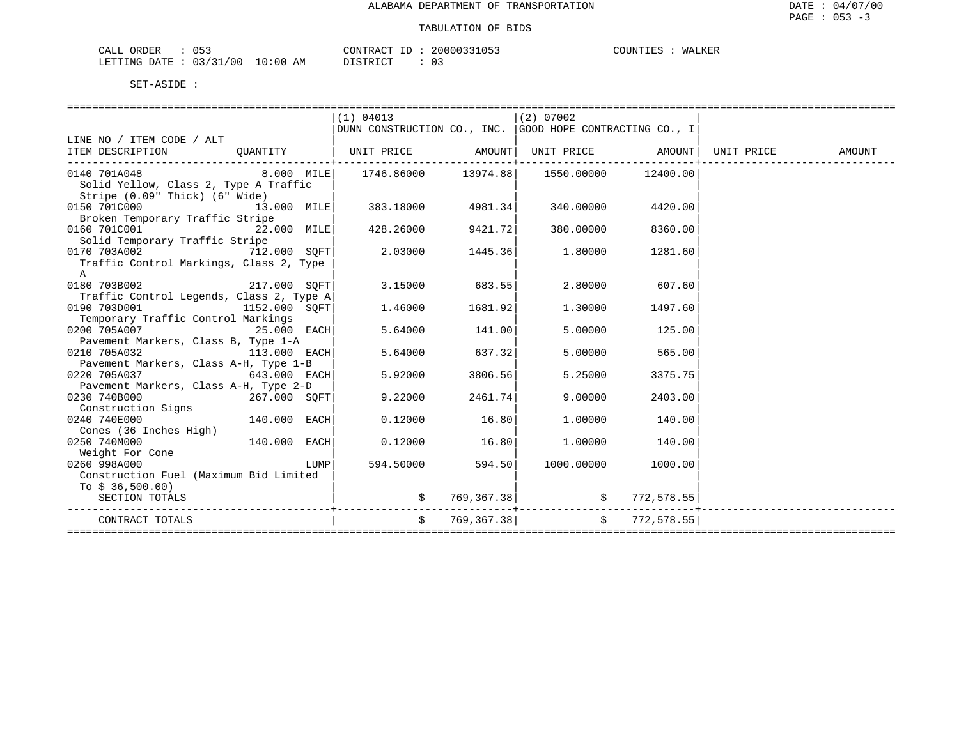| ו ז בי<br>ORDER | $\sim -$<br>ֲ<br>◡ ◡ ◡ |                                                                                                                                | $ -$<br>⊬⊬ ∆ ∩ ™<br>CONTR : | 20000331053 | COLINT. | <b>NALKER</b><br>wА |
|-----------------|------------------------|--------------------------------------------------------------------------------------------------------------------------------|-----------------------------|-------------|---------|---------------------|
| LETTING DATE    | '00<br>: 03/31         | 10:00<br>ΑM<br>the contract of the contract of the contract of the contract of the contract of the contract of the contract of | $T \cap T$                  |             |         |                     |

|                                                                                     |                | (1) 04013                                                    |                   | $(2)$ 07002                                                      |                    |  |
|-------------------------------------------------------------------------------------|----------------|--------------------------------------------------------------|-------------------|------------------------------------------------------------------|--------------------|--|
|                                                                                     |                |                                                              |                   | $ $ DUNN CONSTRUCTION CO., INC. $ $ GOOD HOPE CONTRACTING CO., I |                    |  |
| LINE NO / ITEM CODE / ALT                                                           |                |                                                              |                   |                                                                  |                    |  |
| ITEM DESCRIPTION QUANTITY   UNIT PRICE AMOUNT  UNIT PRICE AMOUNT  UNIT PRICE AMOUNT |                |                                                              |                   |                                                                  |                    |  |
|                                                                                     |                |                                                              |                   |                                                                  |                    |  |
| 0140 701A048                                                                        |                | $8.000$ MILE $1746.86000$ $13974.88$ $1550.00000$ $12400.00$ |                   |                                                                  |                    |  |
| Solid Yellow, Class 2, Type A Traffic                                               |                |                                                              |                   |                                                                  |                    |  |
| Stripe (0.09" Thick) (6" Wide)                                                      |                |                                                              |                   |                                                                  |                    |  |
| $0.150$ 701C000 $13.000$ MILE 383.18000 4981.34                                     |                |                                                              |                   | 340.00000                                                        | 4420.00            |  |
| Broken Temporary Traffic Stripe                                                     |                |                                                              |                   |                                                                  |                    |  |
| 0160 701C001                                                                        | $22.000$ MILE  |                                                              | 428.26000 9421.72 |                                                                  | 380.00000 8360.00  |  |
| Solid Temporary Traffic Stripe                                                      |                |                                                              |                   |                                                                  |                    |  |
| 0170 703A002 712.000 SQFT                                                           |                | 2.03000                                                      | 1445.36           | 1.80000                                                          | 1281.60            |  |
| Traffic Control Markings, Class 2, Type                                             |                |                                                              |                   |                                                                  |                    |  |
| A                                                                                   |                |                                                              |                   |                                                                  |                    |  |
| 0180 703B002 217.000 SOFT                                                           |                |                                                              | 3.15000 683.55    | 2.80000                                                          | 607.60             |  |
| Traffic Control Legends, Class 2, Type A                                            |                |                                                              |                   |                                                                  |                    |  |
| 0190 703D001                                                                        | 1152.000 SOFT  | 1.46000                                                      | 1681.92           |                                                                  | 1.30000 1497.60    |  |
| Temporary Traffic Control Markings                                                  |                |                                                              |                   |                                                                  |                    |  |
| 0200 705A007 25.000 EACH                                                            |                | 5.64000                                                      | 141.00            | 5.00000                                                          | 125.00             |  |
| Pavement Markers, Class B, Type 1-A                                                 |                |                                                              |                   |                                                                  |                    |  |
| 0210 705A032                                                                        | 113.000 EACH   | 5.64000                                                      | 637.32            | 5,00000                                                          | 565.00             |  |
| Pavement Markers, Class A-H, Type 1-B                                               |                |                                                              |                   |                                                                  |                    |  |
| 0220 705A037                                                                        | 643.000 EACH   | 5.92000                                                      | 3806.56           | 5.25000                                                          | 3375.75            |  |
| Pavement Markers, Class A-H, Type 2-D                                               |                |                                                              |                   |                                                                  |                    |  |
| 0230 740B000                                                                        | 267.000 SOFT   | 9.22000                                                      | 2461.74           | 9,00000                                                          | 2403.00            |  |
| Construction Signs                                                                  |                |                                                              |                   |                                                                  |                    |  |
| 0240 740E000                                                                        | $140.000$ EACH | 0.12000                                                      | 16.80             | 1.00000                                                          | 140.00             |  |
| Cones (36 Inches High)                                                              |                |                                                              |                   |                                                                  |                    |  |
| 0250 740M000                                                                        | 140.000 EACH   | 0.12000                                                      | 16.80             | 1.00000                                                          | 140.00             |  |
| Weight For Cone                                                                     |                |                                                              |                   |                                                                  |                    |  |
| 0260 998A000                                                                        | LUMP           | 594.50000                                                    | 594.50            |                                                                  | 1000.00000 1000.00 |  |
| Construction Fuel (Maximum Bid Limited                                              |                |                                                              |                   |                                                                  |                    |  |
| To $$36,500.00)$                                                                    |                |                                                              |                   |                                                                  |                    |  |
| SECTION TOTALS                                                                      |                |                                                              | 769,367.38        |                                                                  | \$772,578.55       |  |
|                                                                                     |                |                                                              |                   |                                                                  |                    |  |
| CONTRACT TOTALS                                                                     |                |                                                              | \$769,367.38]     |                                                                  | \$772,578.55]      |  |
|                                                                                     |                |                                                              |                   |                                                                  |                    |  |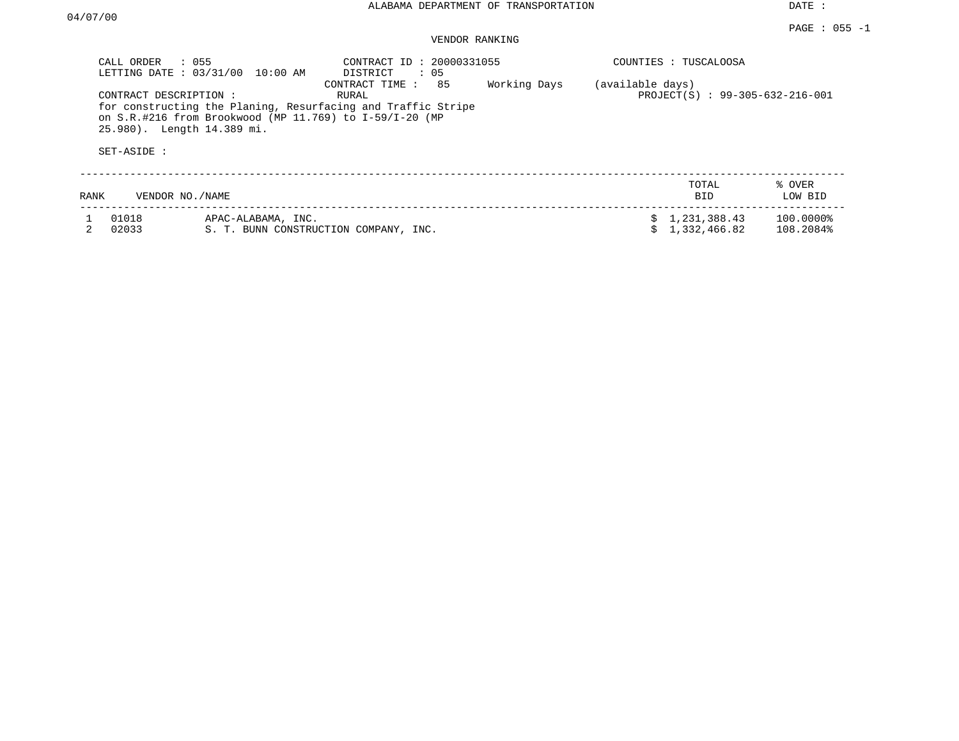|      | CALL ORDER<br>$\therefore$ 055<br>LETTING DATE: 03/31/00            | 10:00 AM                                                                                                                  | CONTRACT ID: 20000331055<br>DISTRICT<br>: 05 |                                 |  | COUNTIES : TUSCALOOSA        |                        |
|------|---------------------------------------------------------------------|---------------------------------------------------------------------------------------------------------------------------|----------------------------------------------|---------------------------------|--|------------------------------|------------------------|
|      | CONTRACT DESCRIPTION :<br>25.980). Length 14.389 mi.<br>SET-ASIDE : | for constructing the Planing, Resurfacing and Traffic Stripe<br>on S.R.#216 from Brookwood (MP 11.769) to $I-59/I-20$ (MP | (available days)                             | PROJECT(S) : 99-305-632-216-001 |  |                              |                        |
| RANK | VENDOR NO./NAME                                                     |                                                                                                                           |                                              |                                 |  | TOTAL<br>BID.                | % OVER<br>LOW BID      |
|      | 01018<br>02033                                                      | APAC-ALABAMA, INC.                                                                                                        | S. T. BUNN CONSTRUCTION COMPANY, INC.        |                                 |  | 1,231,388.43<br>1,332,466.82 | 100.0000%<br>108.2084% |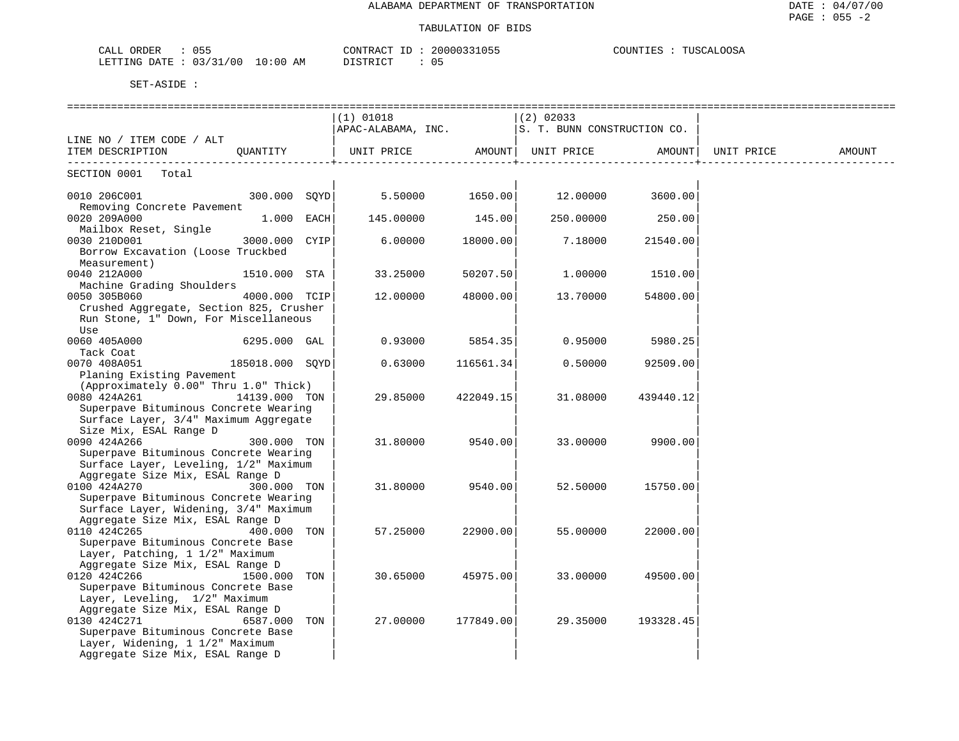| 055<br>CALL<br>ORDER     |             | 20000331055<br>CONTRACT               | COUNTIES<br>TUSCALOOSA |
|--------------------------|-------------|---------------------------------------|------------------------|
| 03/31/00<br>LETTING DATE | 10:00<br>ΑM | 05<br><b>DISTRICT</b><br><i>┙</i> ∸┘∸ |                        |

|                                                                                                                                                                                                                                                                                                                                                                                          |                 | $(1)$ 01018                                                              |           | ============<br>$ (2)$ 02033 |                  |            |        |
|------------------------------------------------------------------------------------------------------------------------------------------------------------------------------------------------------------------------------------------------------------------------------------------------------------------------------------------------------------------------------------------|-----------------|--------------------------------------------------------------------------|-----------|------------------------------|------------------|------------|--------|
|                                                                                                                                                                                                                                                                                                                                                                                          |                 | $APAC-ALABAMA$ , INC. $ S. T. BUNN CONSTRUCTION CO$ .                    |           |                              |                  |            |        |
| LINE NO / ITEM CODE / ALT                                                                                                                                                                                                                                                                                                                                                                |                 |                                                                          |           |                              |                  |            |        |
| ITEM DESCRIPTION                                                                                                                                                                                                                                                                                                                                                                         | QUANTITY        | UNIT PRICE AMOUNT   UNIT PRICE AMOUNT  <br>---------------------------+- |           |                              |                  | UNIT PRICE | AMOUNT |
| SECTION 0001 Total                                                                                                                                                                                                                                                                                                                                                                       |                 |                                                                          |           |                              |                  |            |        |
| $\begin{array}{cccc} 0010 & 206 \text{ } \text{ } \text{ } 001 & \text{ } 010 & \text{ } 001 & \text{ } 001 & \text{ } 001 & \text{ } 001 & \text{ } 010 & \text{ } 010 & \text{ } 010 & \text{ } 010 & \text{ } 010 & \text{ } 010 & \text{ } 010 & \text{ } 010 & \text{ } 010 & \text{ } 010 & \text{ } 010 & \text{ } 010 & \text{ } 010 & \text{ } 010 & \text{ } 010 & \text{ } 0$ |                 |                                                                          |           |                              |                  |            |        |
| Removing Concrete Pavement<br>0020 209A000                                                                                                                                                                                                                                                                                                                                               | $1.000$ EACH    | 145.00000                                                                | 145.00    |                              | 250.00000 250.00 |            |        |
| Mailbox Reset, Single<br>3000.000 CYIP<br>0030 210D001<br>Borrow Excavation (Loose Truckbed<br>Measurement)                                                                                                                                                                                                                                                                              |                 | 6.00000                                                                  | 18000.00  | 7.18000                      | 21540.00         |            |        |
| 0040 212A000<br>Machine Grading Shoulders                                                                                                                                                                                                                                                                                                                                                | 1510.000 STA    | 33.25000                                                                 | 50207.50  | 1.00000                      | 1510.00          |            |        |
| 0050 305B060<br>Crushed Aggregate, Section 825, Crusher<br>Run Stone, 1" Down, For Miscellaneous<br>Use                                                                                                                                                                                                                                                                                  | 4000.000 TCIP   | 12.00000                                                                 | 48000.00  | 13.70000                     | 54800.00         |            |        |
| 0060 405A000<br>Tack Coat                                                                                                                                                                                                                                                                                                                                                                | $6295.000$ GAL  | 0.93000                                                                  | 5854.35   | 0.95000                      | 5980.25          |            |        |
| 0070 408A051<br>Planing Existing Pavement                                                                                                                                                                                                                                                                                                                                                | 185018.000 SQYD | 0.63000                                                                  | 116561.34 | 0.50000                      | 92509.00         |            |        |
| (Approximately 0.00" Thru 1.0" Thick)<br>0080 424A261<br>Superpave Bituminous Concrete Wearing<br>Surface Layer, 3/4" Maximum Aggregate<br>Size Mix, ESAL Range D                                                                                                                                                                                                                        | 14139.000 TON   | 29.85000                                                                 | 422049.15 | 31.08000                     | 439440.12        |            |        |
| 0090 424A266<br>Superpave Bituminous Concrete Wearing<br>Surface Layer, Leveling, 1/2" Maximum<br>Aggregate Size Mix, ESAL Range D                                                                                                                                                                                                                                                       | 300.000 TON     | 31.80000                                                                 | 9540.00   | 33.00000                     | 9900.00          |            |        |
| 0100 424A270<br>Superpave Bituminous Concrete Wearing<br>Surface Layer, Widening, 3/4" Maximum<br>Aggregate Size Mix, ESAL Range D                                                                                                                                                                                                                                                       | 300.000 TON     | 31.80000                                                                 | 9540.00   | 52.50000                     | 15750.00         |            |        |
| 0110 424C265<br>Superpave Bituminous Concrete Base<br>Layer, Patching, 1 1/2" Maximum                                                                                                                                                                                                                                                                                                    | 400.000 TON     | 57.25000                                                                 | 22900.00  | 55.00000                     | 22000.00         |            |        |
| Aggregate Size Mix, ESAL Range D<br>0120 424C266<br>Superpave Bituminous Concrete Base<br>Layer, Leveling, 1/2" Maximum<br>Aggregate Size Mix, ESAL Range D                                                                                                                                                                                                                              | 1500.000 TON    | 30.65000                                                                 | 45975.00  | 33.00000                     | 49500.00         |            |        |
| 0130 424C271<br>Superpave Bituminous Concrete Base<br>Layer, Widening, 1 1/2" Maximum<br>Aggregate Size Mix, ESAL Range D                                                                                                                                                                                                                                                                | 6587.000 TON    | 27.00000                                                                 | 177849.00 | 29.35000                     | 193328.45        |            |        |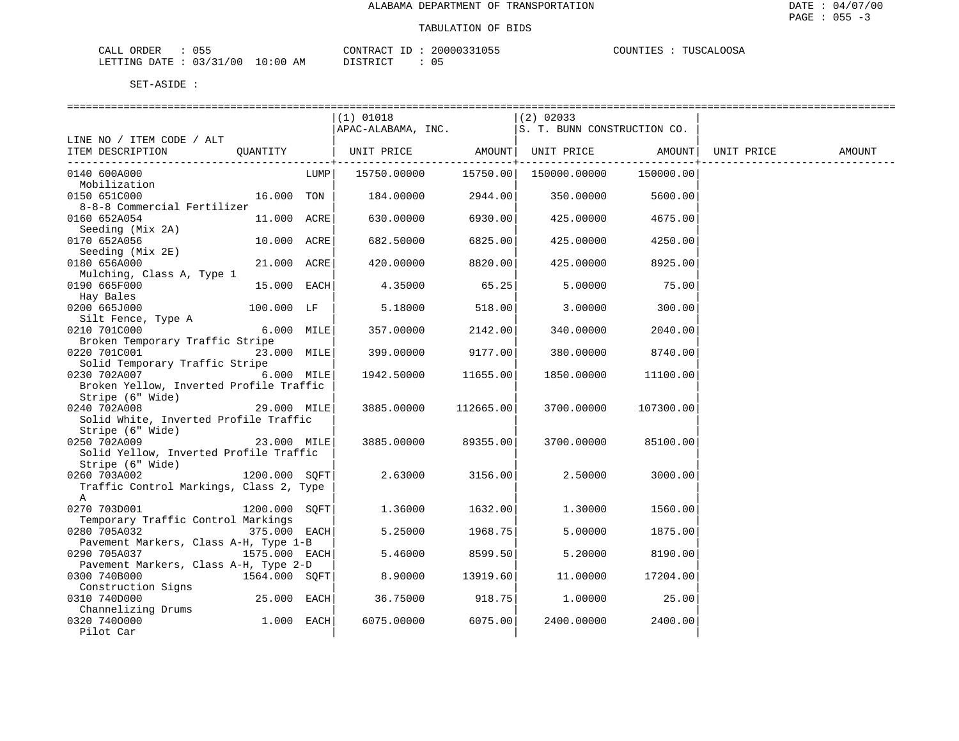| ORDER<br>CALL |          |             | CONTRACT   | 20000331055 | COUNTIES<br>TIISCALI<br><b>COSA</b> |
|---------------|----------|-------------|------------|-------------|-------------------------------------|
| LETTING DATE  | 03/31/00 | 10:00<br>AΜ | חי חים דרו | $\sim$<br>≀ |                                     |

|                                         |               |             | $(1)$ 01018                  |           | $(2)$ 02033                 |           |            |        |
|-----------------------------------------|---------------|-------------|------------------------------|-----------|-----------------------------|-----------|------------|--------|
|                                         |               |             | APAC-ALABAMA, INC.           |           | S. T. BUNN CONSTRUCTION CO. |           |            |        |
| LINE NO / ITEM CODE / ALT               |               |             |                              |           |                             |           |            |        |
| ITEM DESCRIPTION                        | OUANTITY      |             | UNIT PRICE AMOUNT UNIT PRICE |           |                             | AMOUNT    | UNIT PRICE | AMOUNT |
|                                         |               |             |                              | -------+  |                             |           |            |        |
| 0140 600A000                            |               | LUMP        | 15750.00000                  |           | 15750.00  150000.00000      | 150000.00 |            |        |
| Mobilization                            |               |             |                              |           |                             |           |            |        |
| 0150 651C000                            | 16.000 TON    |             | 184.00000                    | 2944.00   | 350.00000                   | 5600.00   |            |        |
| 8-8-8 Commercial Fertilizer             |               |             |                              |           |                             |           |            |        |
| 0160 652A054                            | 11.000 ACRE   |             | 630.00000                    | 6930.00   | 425.00000                   | 4675.00   |            |        |
| Seeding (Mix 2A)                        |               |             |                              |           |                             |           |            |        |
| 0170 652A056                            | 10.000 ACRE   |             | 682.50000                    | 6825.00   | 425.00000                   | 4250.00   |            |        |
| Seeding (Mix 2E)                        |               |             |                              |           |                             |           |            |        |
| 0180 656A000                            | 21.000 ACRE   |             | 420.00000                    | 8820.00   | 425.00000                   | 8925.00   |            |        |
| Mulching, Class A, Type 1               |               |             |                              |           |                             |           |            |        |
| 0190 665F000                            | 15.000 EACH   |             | 4.35000                      | 65.25     | 5.00000                     | 75.00     |            |        |
| Hay Bales                               |               |             |                              |           |                             |           |            |        |
| 0200 665J000                            | 100.000 LF    |             | 5.18000                      | 518.00    | 3.00000                     | 300.00    |            |        |
| Silt Fence, Type A                      |               |             |                              |           |                             |           |            |        |
| 0210 701C000                            | $6.000$ MILE  |             | 357.00000                    | 2142.00   | 340.00000                   | 2040.00   |            |        |
| Broken Temporary Traffic Stripe         |               |             |                              |           |                             |           |            |        |
| 0220 701C001                            | 23.000 MILE   |             | 399.00000                    | 9177.00   | 380.00000                   | 8740.00   |            |        |
| Solid Temporary Traffic Stripe          |               |             |                              |           |                             |           |            |        |
| 0230 702A007                            | $6.000$ MILE  |             | 1942.50000                   | 11655.00  | 1850.00000                  | 11100.00  |            |        |
| Broken Yellow, Inverted Profile Traffic |               |             |                              |           |                             |           |            |        |
| Stripe (6" Wide)                        |               |             |                              |           |                             |           |            |        |
| 0240 702A008                            | 29.000 MILE   |             | 3885.00000                   | 112665.00 | 3700.00000                  | 107300.00 |            |        |
| Solid White, Inverted Profile Traffic   |               |             |                              |           |                             |           |            |        |
| Stripe (6" Wide)<br>0250 702A009        | 23.000 MILE   |             | 3885.00000                   | 89355.00  | 3700.00000                  | 85100.00  |            |        |
| Solid Yellow, Inverted Profile Traffic  |               |             |                              |           |                             |           |            |        |
| Stripe (6" Wide)                        |               |             |                              |           |                             |           |            |        |
| 0260 703A002                            | 1200.000 SQFT |             | 2.63000                      | 3156.00   | 2.50000                     | 3000.00   |            |        |
| Traffic Control Markings, Class 2, Type |               |             |                              |           |                             |           |            |        |
| A                                       |               |             |                              |           |                             |           |            |        |
| 0270 703D001                            | 1200.000 SOFT |             | 1.36000                      | 1632.00   | 1,30000                     | 1560.00   |            |        |
| Temporary Traffic Control Markings      |               |             |                              |           |                             |           |            |        |
| 0280 705A032                            | 375.000 EACH  |             | 5.25000                      | 1968.75   | 5.00000                     | 1875.00   |            |        |
| Pavement Markers, Class A-H, Type 1-B   |               |             |                              |           |                             |           |            |        |
| 0290 705A037                            | 1575.000 EACH |             | 5.46000                      | 8599.50   | 5.20000                     | 8190.00   |            |        |
| Pavement Markers, Class A-H, Type 2-D   |               |             |                              |           |                             |           |            |        |
| 0300 740B000                            | 1564.000 SQFT |             | 8.90000                      | 13919.60  | 11.00000                    | 17204.00  |            |        |
| Construction Signs                      |               |             |                              |           |                             |           |            |        |
| 0310 740D000                            | $25.000$ EACH |             | 36.75000                     | 918.75    | 1.00000                     | 25.00     |            |        |
| Channelizing Drums                      |               |             |                              |           |                             |           |            |        |
| 0320 7400000                            | 1.000         | <b>EACH</b> | 6075.00000                   | 6075.00   | 2400.00000                  | 2400.00   |            |        |
| Pilot Car                               |               |             |                              |           |                             |           |            |        |
|                                         |               |             |                              |           |                             |           |            |        |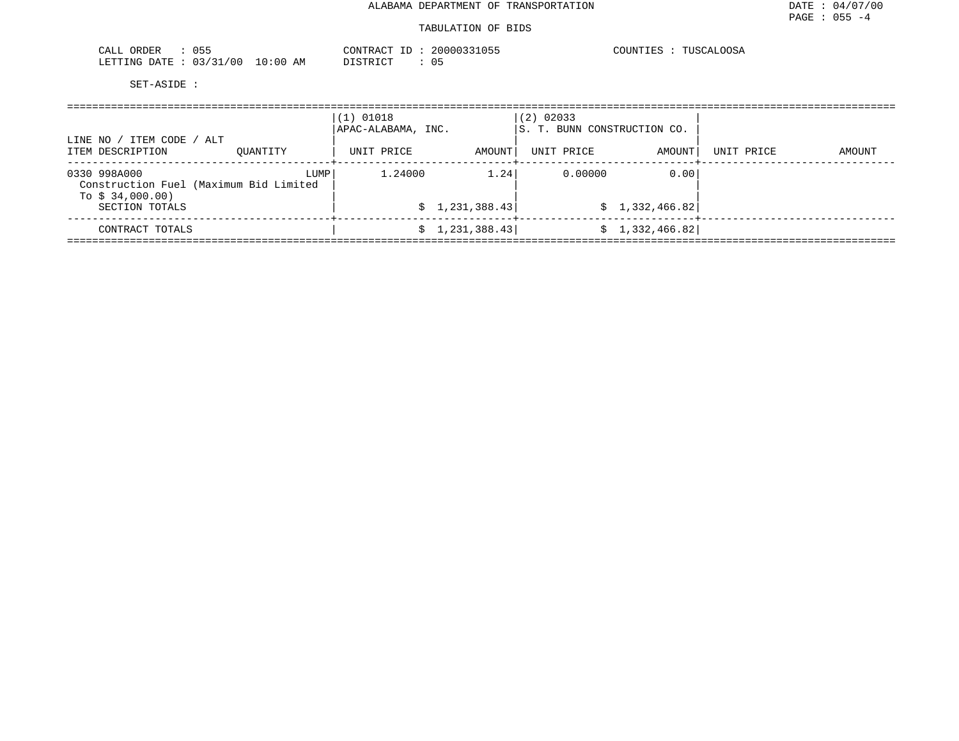## TABULATION OF BIDS

| $\sim$ $ -$<br><br>$\cap$ $\wedge$<br>ገድዞ<br>لمسلما<br>◡◡                       | 2000033<br>חיחד ה                  | า∩⊂⊅<br>"OTIN"<br>TUSC.<br>. UU |
|---------------------------------------------------------------------------------|------------------------------------|---------------------------------|
| 00 /<br>LETTING<br>$\sim$ $\sim$<br>$\sim$ $\sim$ $\sim$<br>DATE<br>፡ በበ<br>-11 | דים דמידי פידים<br>ΑM<br>∩ ⊾<br>ັບ |                                 |

| LINE NO / ITEM CODE / ALT                                                  |      | $(1)$ 01018<br>APAC-ALABAMA, INC. |                 | $(2)$ 02033<br>IS. T. BUNN CONSTRUCTION CO. |                 |                            |        |
|----------------------------------------------------------------------------|------|-----------------------------------|-----------------|---------------------------------------------|-----------------|----------------------------|--------|
| ITEM DESCRIPTION<br>OUANTITY                                               |      | UNIT PRICE                        | AMOUNT          | UNIT PRICE                                  | AMOUNT          | UNIT PRICE<br>-----+------ | AMOUNT |
| 0330 998A000<br>Construction Fuel (Maximum Bid Limited<br>To $$34,000.00)$ | LUMP | 1,24000                           | 1.24            | 0.00000                                     | 0.00            |                            |        |
| SECTION TOTALS                                                             |      |                                   | \$1,231,388.43] |                                             | \$1,332,466.82] |                            |        |
| CONTRACT TOTALS                                                            |      |                                   | \$1,231,388.43] |                                             | \$1,332,466.82] |                            |        |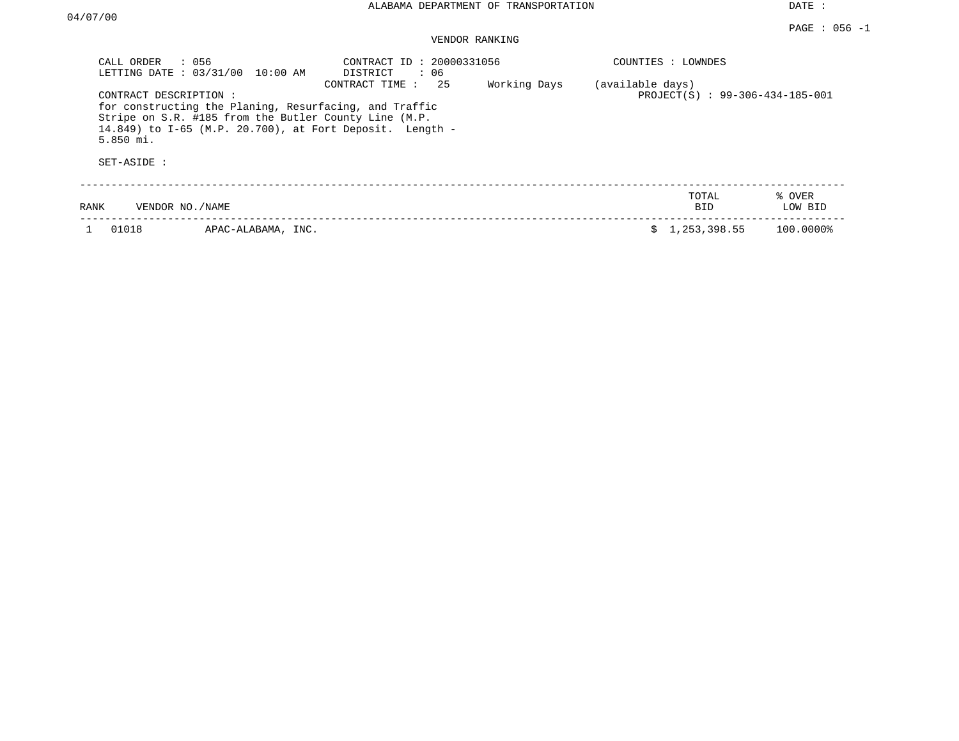| CALL ORDER<br>LETTING DATE: 03/31/00                | : 056<br>$10:00$ AM                                                                                             | CONTRACT ID: 20000331056<br>DISTRICT<br>: 06                                     |              |                  | COUNTIES : LOWNDES              |                   |
|-----------------------------------------------------|-----------------------------------------------------------------------------------------------------------------|----------------------------------------------------------------------------------|--------------|------------------|---------------------------------|-------------------|
| CONTRACT DESCRIPTION:<br>$5.850$ mi.<br>SET-ASIDE : | for constructing the Planing, Resurfacing, and Traffic<br>Stripe on S.R. #185 from the Butler County Line (M.P. | 25<br>CONTRACT TIME:<br>14.849) to I-65 (M.P. 20.700), at Fort Deposit. Length - | Working Days | (available days) | PROJECT(S) : 99-306-434-185-001 |                   |
| RANK<br>VENDOR NO./NAME                             |                                                                                                                 |                                                                                  |              |                  | TOTAL<br>BID.                   | % OVER<br>LOW BID |
| 01018                                               | APAC-ALABAMA, INC.                                                                                              |                                                                                  |              | s                | 1,253,398.55                    | 100.0000%         |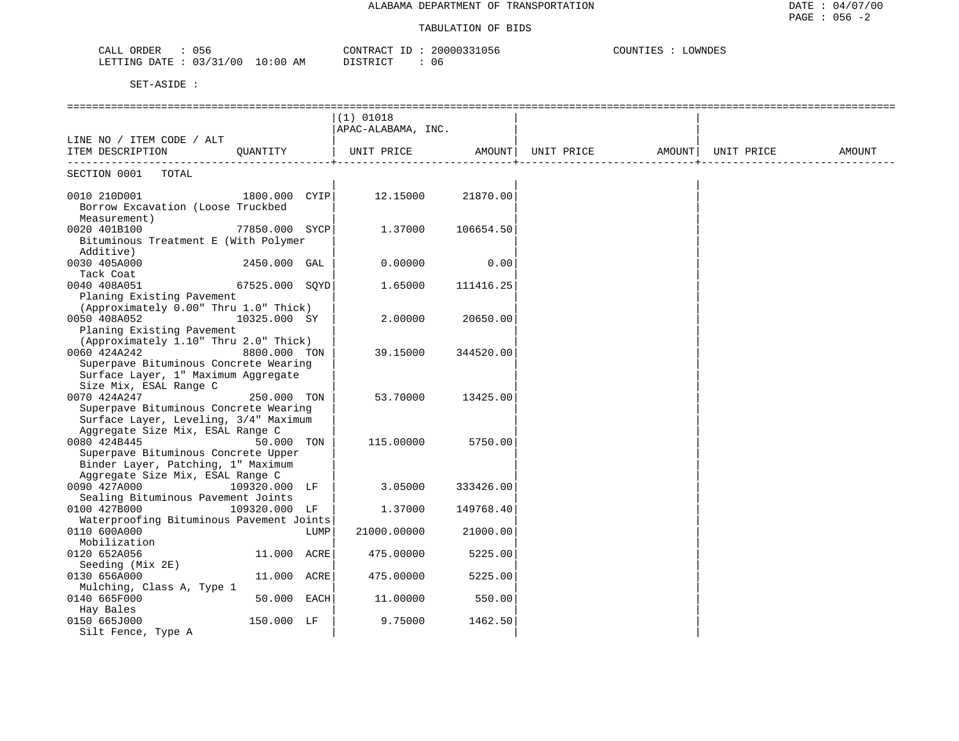| $\sim$ $\sim$<br>$\bigcap \pi$ $\tau$<br>ORDER<br>りっや<br>CALL | 20000<br>$\pi$ $\pi$<br>חידות מ<br>11 <sub>h</sub> | OWNDES<br>. |
|---------------------------------------------------------------|----------------------------------------------------|-------------|
| 0 () /<br>$\sim$ $\sim$<br>LETTING<br>ΆM<br>ויד∆ר<br>) : 00   | $T \cap T$<br>$\sim$ $\sim$<br>. O 6               |             |

|                                                                           |                |      | $(1)$ 01018        |                    |                   |            |        |
|---------------------------------------------------------------------------|----------------|------|--------------------|--------------------|-------------------|------------|--------|
|                                                                           |                |      | APAC-ALABAMA, INC. |                    |                   |            |        |
| LINE NO / ITEM CODE / ALT                                                 |                |      |                    |                    |                   |            |        |
| ITEM DESCRIPTION                                                          | QUANTITY       |      | UNIT PRICE AMOUNT  |                    | UNIT PRICE AMOUNT | UNIT PRICE | AMOUNT |
| --------------------------<br>SECTION 0001<br>TOTAL                       |                |      |                    | ----------------+- |                   |            |        |
|                                                                           |                |      |                    |                    |                   |            |        |
| 0010 210D001                                                              | 1800.000 CYIP  |      | 12.15000           | 21870.00           |                   |            |        |
| Borrow Excavation (Loose Truckbed                                         |                |      |                    |                    |                   |            |        |
| Measurement)                                                              |                |      |                    |                    |                   |            |        |
| 0020 401B100                                                              | 77850.000 SYCP |      | 1.37000            | 106654.50          |                   |            |        |
| Bituminous Treatment E (With Polymer<br>Additive)                         |                |      |                    |                    |                   |            |        |
| 0030 405A000                                                              | 2450.000 GAL   |      | 0.00000            | 0.00               |                   |            |        |
| Tack Coat                                                                 |                |      |                    |                    |                   |            |        |
| 0040 408A051                                                              | 67525.000 SOYD |      | 1.65000            | 111416.25          |                   |            |        |
| Planing Existing Pavement                                                 |                |      |                    |                    |                   |            |        |
| (Approximately 0.00" Thru 1.0" Thick)                                     |                |      |                    |                    |                   |            |        |
| 0050 408A052                                                              | 10325.000 SY   |      | 2.00000            | 20650.00           |                   |            |        |
| Planing Existing Pavement                                                 |                |      |                    |                    |                   |            |        |
| (Approximately 1.10" Thru 2.0" Thick)                                     |                |      |                    |                    |                   |            |        |
| 0060 424A242                                                              | 8800.000 TON   |      | 39.15000           | 344520.00          |                   |            |        |
| Superpave Bituminous Concrete Wearing                                     |                |      |                    |                    |                   |            |        |
| Surface Layer, 1" Maximum Aggregate                                       |                |      |                    |                    |                   |            |        |
| Size Mix, ESAL Range C                                                    |                |      |                    |                    |                   |            |        |
| 0070 424A247                                                              | 250.000 TON    |      | 53.70000           | 13425.00           |                   |            |        |
| Superpave Bituminous Concrete Wearing                                     |                |      |                    |                    |                   |            |        |
| Surface Layer, Leveling, 3/4" Maximum                                     |                |      |                    |                    |                   |            |        |
| Aggregate Size Mix, ESAL Range C                                          |                |      |                    |                    |                   |            |        |
| 0080 424B445                                                              | 50.000 TON     |      | 115.00000          | 5750.00            |                   |            |        |
| Superpave Bituminous Concrete Upper<br>Binder Layer, Patching, 1" Maximum |                |      |                    |                    |                   |            |        |
| Aggregate Size Mix, ESAL Range C                                          |                |      |                    |                    |                   |            |        |
| 0090 427A000                                                              | 109320.000 LF  |      | 3.05000            | 333426.00          |                   |            |        |
| Sealing Bituminous Pavement Joints                                        |                |      |                    |                    |                   |            |        |
| 0100 427B000                                                              | 109320.000 LF  |      | 1.37000            | 149768.40          |                   |            |        |
| Waterproofing Bituminous Pavement Joints                                  |                |      |                    |                    |                   |            |        |
| 0110 600A000                                                              |                | LUMP | 21000.00000        | 21000.00           |                   |            |        |
| Mobilization                                                              |                |      |                    |                    |                   |            |        |
| 0120 652A056                                                              | 11.000 ACRE    |      | 475.00000          | 5225.00            |                   |            |        |
| Seeding (Mix 2E)                                                          |                |      |                    |                    |                   |            |        |
| 0130 656A000                                                              | 11.000 ACRE    |      | 475.00000          | 5225.00            |                   |            |        |
| Mulching, Class A, Type 1                                                 |                |      |                    |                    |                   |            |        |
| 0140 665F000                                                              | 50.000 EACH    |      | 11,00000           | 550.00             |                   |            |        |
| Hay Bales                                                                 |                |      |                    |                    |                   |            |        |
| 0150 665J000                                                              | 150.000 LF     |      | 9.75000            | 1462.50            |                   |            |        |
| Silt Fence, Type A                                                        |                |      |                    |                    |                   |            |        |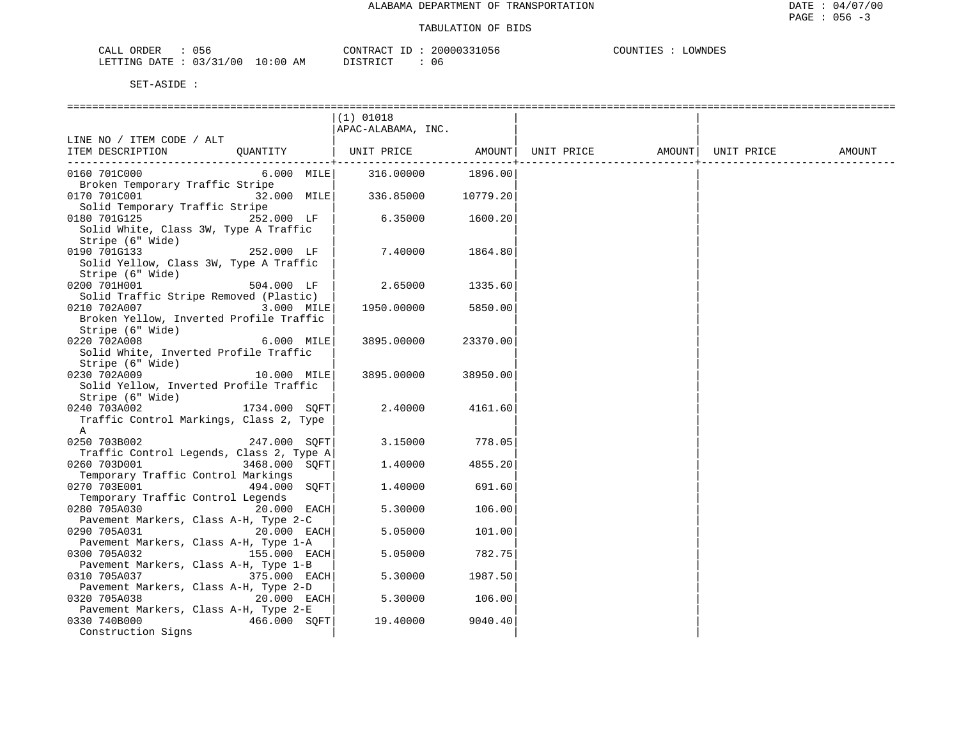| CALL ORDER                      | 056 | CONTRACT ID: | : 20000331056 | COUNTIES | LOWNDES |
|---------------------------------|-----|--------------|---------------|----------|---------|
| LETTING DATE: 03/31/00 10:00 AM |     | DISTRICT     | 06            |          |         |

|                                                           |               | $(1)$ 01018        |          |                   |            |        |
|-----------------------------------------------------------|---------------|--------------------|----------|-------------------|------------|--------|
|                                                           |               | APAC-ALABAMA, INC. |          |                   |            |        |
| LINE NO / ITEM CODE / ALT                                 |               |                    |          |                   |            |        |
| ITEM DESCRIPTION                                          | QUANTITY      | UNIT PRICE AMOUNT  |          | UNIT PRICE AMOUNT | UNIT PRICE | AMOUNT |
|                                                           |               |                    |          |                   |            |        |
| 0160 701C000<br>Broken Temporary Traffic Stripe           | $6.000$ MILE  | 316.00000          | 1896.00  |                   |            |        |
| 0170 701C001                                              | 32.000 MILE   | 336.85000          | 10779.20 |                   |            |        |
| Solid Temporary Traffic Stripe                            |               |                    |          |                   |            |        |
| 0180 701G125                                              | 252.000 LF    | 6.35000            | 1600.20  |                   |            |        |
| Solid White, Class 3W, Type A Traffic                     |               |                    |          |                   |            |        |
| Stripe (6" Wide)                                          |               |                    |          |                   |            |        |
| 0190 701G133                                              | 252.000 LF    | 7.40000            | 1864.80  |                   |            |        |
| Solid Yellow, Class 3W, Type A Traffic                    |               |                    |          |                   |            |        |
| Stripe (6" Wide)                                          |               |                    |          |                   |            |        |
| 0200 701H001                                              | 504.000 LF    | 2.65000            | 1335.60  |                   |            |        |
| Solid Traffic Stripe Removed (Plastic)                    |               |                    |          |                   |            |        |
| 0210 702A007                                              | 3.000 MILE    | 1950.00000         | 5850.00  |                   |            |        |
| Broken Yellow, Inverted Profile Traffic                   |               |                    |          |                   |            |        |
| Stripe (6" Wide)                                          |               |                    |          |                   |            |        |
| 0220 702A008                                              | 6.000 MILE    | 3895.00000         | 23370.00 |                   |            |        |
| Solid White, Inverted Profile Traffic<br>Stripe (6" Wide) |               |                    |          |                   |            |        |
| 0230 702A009                                              | 10.000 MILE   | 3895.00000         | 38950.00 |                   |            |        |
| Solid Yellow, Inverted Profile Traffic                    |               |                    |          |                   |            |        |
| Stripe (6" Wide)                                          |               |                    |          |                   |            |        |
| 0240 703A002                                              | 1734.000 SQFT | 2.40000            | 4161.60  |                   |            |        |
| Traffic Control Markings, Class 2, Type                   |               |                    |          |                   |            |        |
| A                                                         |               |                    |          |                   |            |        |
| 0250 703B002                                              | 247.000 SQFT  | 3.15000            | 778.05   |                   |            |        |
| Traffic Control Legends, Class 2, Type A                  |               |                    |          |                   |            |        |
| 0260 703D001                                              | 3468.000 SQFT | 1.40000            | 4855.20  |                   |            |        |
| Temporary Traffic Control Markings                        |               |                    |          |                   |            |        |
| 0270 703E001                                              | 494.000 SOFT  | 1.40000            | 691.60   |                   |            |        |
| Temporary Traffic Control Legends                         |               |                    |          |                   |            |        |
| 0280 705A030<br>Pavement Markers, Class A-H, Type 2-C     | $20.000$ EACH | 5.30000            | 106.00   |                   |            |        |
| 0290 705A031                                              | 20.000 EACH   | 5.05000            | 101.00   |                   |            |        |
| Pavement Markers, Class A-H, Type 1-A                     |               |                    |          |                   |            |        |
| 0300 705A032                                              | 155.000 EACH  | 5.05000            | 782.75   |                   |            |        |
| Pavement Markers, Class A-H, Type 1-B                     |               |                    |          |                   |            |        |
| 0310 705A037                                              | 375.000 EACH  | 5.30000            | 1987.50  |                   |            |        |
| Pavement Markers, Class A-H, Type 2-D                     |               |                    |          |                   |            |        |
| 0320 705A038                                              | $20.000$ EACH | 5.30000            | 106.00   |                   |            |        |
| Pavement Markers, Class A-H, Type 2-E                     |               |                    |          |                   |            |        |
| 0330 740B000                                              | 466.000 SQFT  | 19.40000           | 9040.40  |                   |            |        |
| Construction Signs                                        |               |                    |          |                   |            |        |